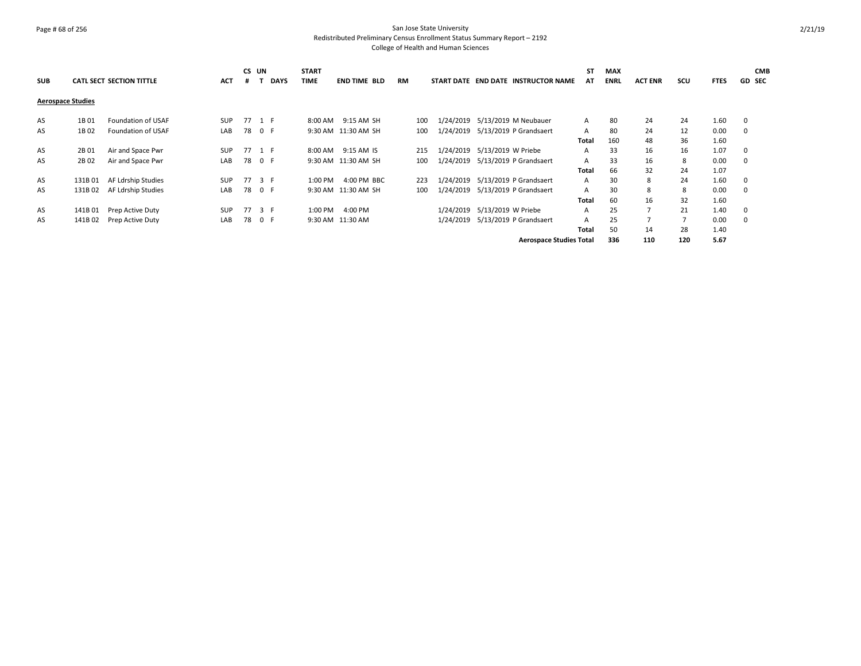# Page # 68 of 256 San Jose State University Redistributed Preliminary Census Enrollment Status Summary Report – 2192

|                          |         |                                 |            | CS UN  |     |             | <b>START</b> |                     |           |     |           |                              |                                     | ST    | <b>MAX</b>  |                |     |             |               | <b>CMB</b> |
|--------------------------|---------|---------------------------------|------------|--------|-----|-------------|--------------|---------------------|-----------|-----|-----------|------------------------------|-------------------------------------|-------|-------------|----------------|-----|-------------|---------------|------------|
| <b>SUB</b>               |         | <b>CATL SECT SECTION TITTLE</b> | <b>ACT</b> | #      |     | <b>DAYS</b> | <b>TIME</b>  | <b>END TIME BLD</b> | <b>RM</b> |     |           |                              | START DATE END DATE INSTRUCTOR NAME | AT    | <b>ENRL</b> | <b>ACT ENR</b> | SCU | <b>FTES</b> | <b>GD SEC</b> |            |
| <b>Aerospace Studies</b> |         |                                 |            |        |     |             |              |                     |           |     |           |                              |                                     |       |             |                |     |             |               |            |
| AS                       | 1B 01   | Foundation of USAF              | <b>SUP</b> | 77 1 F |     |             |              | 8:00 AM 9:15 AM SH  |           | 100 |           |                              | 1/24/2019 5/13/2019 M Neubauer      | A     | 80          | 24             | 24  | 1.60        | 0             |            |
| AS                       | 1B 02   | Foundation of USAF              | LAB        | 78 0 F |     |             |              | 9:30 AM 11:30 AM SH |           | 100 |           |                              | 1/24/2019 5/13/2019 P Grandsaert    | A     | 80          | 24             | 12  | 0.00        | 0             |            |
|                          |         |                                 |            |        |     |             |              |                     |           |     |           |                              |                                     | Total | 160         | 48             | 36  | 1.60        |               |            |
| AS                       | 2B 01   | Air and Space Pwr               | <b>SUP</b> | 77 1 F |     |             | 8:00 AM      | 9:15 AM IS          |           | 215 |           | 1/24/2019 5/13/2019 W Priebe |                                     | A     | 33          | 16             | 16  | 1.07        | 0             |            |
| AS                       | 2B 02   | Air and Space Pwr               | LAB        | 78 0 F |     |             |              | 9:30 AM 11:30 AM SH |           | 100 |           |                              | 1/24/2019 5/13/2019 P Grandsaert    | A     | 33          | 16             | 8   | 0.00        | 0             |            |
|                          |         |                                 |            |        |     |             |              |                     |           |     |           |                              |                                     | Total | 66          | 32             | 24  | 1.07        |               |            |
| AS                       | 131B01  | AF Ldrship Studies              | <b>SUP</b> | 77 3 F |     |             | 1:00 PM      | 4:00 PM BBC         |           | 223 | 1/24/2019 |                              | 5/13/2019 P Grandsaert              | A     | 30          | 8              | 24  | 1.60        | $\mathbf 0$   |            |
| AS                       | 131B 02 | AF Ldrship Studies              | LAB        | 78 0 F |     |             |              | 9:30 AM 11:30 AM SH |           | 100 | 1/24/2019 |                              | 5/13/2019 P Grandsaert              | A     | 30          | 8              | 8   | 0.00        | $\mathbf 0$   |            |
|                          |         |                                 |            |        |     |             |              |                     |           |     |           |                              |                                     | Total | 60          | 16             | 32  | 1.60        |               |            |
| AS                       | 141B01  | Prep Active Duty                | <b>SUP</b> | 77     | 3 F |             | 1:00 PM      | 4:00 PM             |           |     | 1/24/2019 | 5/13/2019 W Priebe           |                                     | A     | 25          | $\overline{7}$ | 21  | 1.40        | 0             |            |
| AS                       | 141B 02 | Prep Active Duty                | LAB        | 78     | 0 F |             |              | 9:30 AM 11:30 AM    |           |     |           |                              | 1/24/2019 5/13/2019 P Grandsaert    | A     | 25          | $\overline{7}$ |     | 0.00        | $\mathbf 0$   |            |
|                          |         |                                 |            |        |     |             |              |                     |           |     |           |                              |                                     | Total | 50          | 14             | 28  | 1.40        |               |            |
|                          |         |                                 |            |        |     |             |              |                     |           |     |           |                              | <b>Aerospace Studies Total</b>      |       | 336         | 110            | 120 | 5.67        |               |            |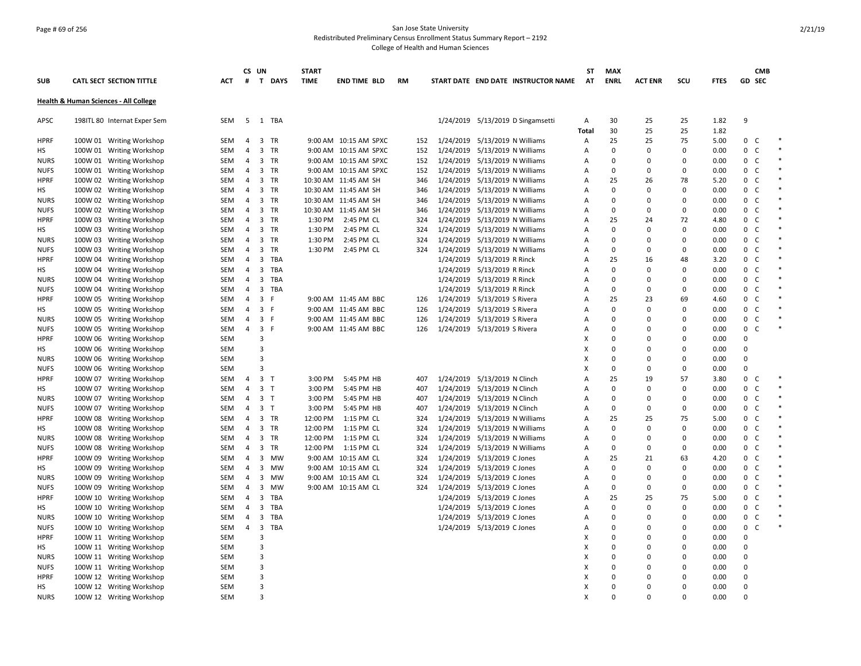## Page # 69 of 256 San Jose State University Redistributed Preliminary Census Enrollment Status Summary Report – 2192

|                   |                                                      |            |                     | CS UN                   |                | <b>START</b> |                       |    |     |                                                                  |                                     | SΤ         | <b>MAX</b>              |                |             |              |                                | <b>CMB</b>   |        |
|-------------------|------------------------------------------------------|------------|---------------------|-------------------------|----------------|--------------|-----------------------|----|-----|------------------------------------------------------------------|-------------------------------------|------------|-------------------------|----------------|-------------|--------------|--------------------------------|--------------|--------|
| <b>SUB</b>        | <b>CATL SECT SECTION TITTLE</b>                      | ACT        | #                   |                         | T DAYS         | <b>TIME</b>  | <b>END TIME BLD</b>   | RM |     |                                                                  | START DATE END DATE INSTRUCTOR NAME | AT         | <b>ENRL</b>             | <b>ACT ENR</b> | SCU         | <b>FTES</b>  | GD SEC                         |              |        |
|                   | Health & Human Sciences - All College                |            |                     |                         |                |              |                       |    |     |                                                                  |                                     |            |                         |                |             |              |                                |              |        |
| APSC              | 198ITL 80 Internat Exper Sem                         | <b>SEM</b> |                     |                         | 5 1 TBA        |              |                       |    |     |                                                                  | 1/24/2019 5/13/2019 D Singamsetti   | Α          | 30                      | 25             | 25          | 1.82         | 9                              |              |        |
| <b>HPRF</b>       |                                                      | <b>SEM</b> | 4                   |                         | 3 TR           |              | 9:00 AM 10:15 AM SPXC |    | 152 | 1/24/2019 5/13/2019 N Williams                                   |                                     | Total<br>Α | 30<br>25                | 25<br>25       | 25<br>75    | 1.82<br>5.00 | $\mathbf{0}$<br>C              |              |        |
|                   | 100W 01 Writing Workshop                             | SEM        | 4                   |                         | 3 TR           |              | 9:00 AM 10:15 AM SPXC |    | 152 |                                                                  |                                     | А          | $\mathbf 0$             | $\Omega$       | 0           | 0.00         | 0                              | $\mathsf C$  | $\ast$ |
| НS<br><b>NURS</b> | 100W 01 Writing Workshop<br>100W 01 Writing Workshop | SEM        | 4                   |                         | 3 TR           |              | 9:00 AM 10:15 AM SPXC |    | 152 | 1/24/2019 5/13/2019 N Williams<br>1/24/2019 5/13/2019 N Williams |                                     | А          | $\mathbf 0$             | $\Omega$       | $\mathbf 0$ | 0.00         | 0<br>$\mathsf{C}$              |              | $\ast$ |
| <b>NUFS</b>       |                                                      | SEM        | 4                   |                         | 3 TR           |              | 9:00 AM 10:15 AM SPXC |    | 152 | 1/24/2019 5/13/2019 N Williams                                   |                                     | А          | $\mathbf 0$             | $\Omega$       | 0           | 0.00         | 0<br>$\mathsf{C}$              |              |        |
| <b>HPRF</b>       | 100W 01 Writing Workshop<br>100W 02 Writing Workshop | SEM        | 4                   |                         | 3 TR           |              | 10:30 AM 11:45 AM SH  |    | 346 | 1/24/2019 5/13/2019 N Williams                                   |                                     | А          | 25                      | 26             | 78          | 5.20         | 0                              | C            | $\ast$ |
| НS                | 100W 02 Writing Workshop                             | SEM        | $\overline{4}$      |                         | 3 TR           |              | 10:30 AM 11:45 AM SH  |    | 346 | 1/24/2019 5/13/2019 N Williams                                   |                                     | А          | $\mathbf 0$             | $\Omega$       | 0           | 0.00         | C<br>0                         |              |        |
| <b>NURS</b>       | 100W 02 Writing Workshop                             | SEM        | $\overline{4}$      |                         | 3 TR           |              | 10:30 AM 11:45 AM SH  |    | 346 | 1/24/2019 5/13/2019 N Williams                                   |                                     | А          | 0                       | $\Omega$       | 0           | 0.00         | $\mathsf{C}$<br>0              |              |        |
| <b>NUFS</b>       | 100W 02 Writing Workshop                             | SEM        | $\overline{4}$      |                         | 3 TR           |              | 10:30 AM 11:45 AM SH  |    | 346 | 1/24/2019 5/13/2019 N Williams                                   |                                     | A          | $\Omega$                | $\Omega$       | 0           | 0.00         | C<br>0                         |              |        |
| <b>HPRF</b>       | 100W 03 Writing Workshop                             | SEM        | 4                   |                         | 3 TR           | 1:30 PM      | 2:45 PM CL            |    | 324 | 1/24/2019 5/13/2019 N Williams                                   |                                     | А          | 25                      | 24             | 72          | 4.80         | 0<br>$\mathsf{C}$              |              |        |
| НS                | 100W 03 Writing Workshop                             | SEM        | 4                   |                         | 3 TR           | 1:30 PM      | 2:45 PM CL            |    | 324 | 1/24/2019 5/13/2019 N Williams                                   |                                     | А          | $\Omega$                | $\Omega$       | $\mathbf 0$ | 0.00         | 0                              | C            |        |
| <b>NURS</b>       | 100W 03 Writing Workshop                             | SEM        | 4                   |                         | 3 TR           | 1:30 PM      | 2:45 PM CL            |    | 324 | 1/24/2019 5/13/2019 N Williams                                   |                                     | А          | $\mathbf 0$             | $\Omega$       | $\mathbf 0$ | 0.00         | $\mathsf{C}$<br>0              |              |        |
| <b>NUFS</b>       |                                                      | SEM        | $\overline{4}$      |                         | 3 TR           | 1:30 PM      | 2:45 PM CL            |    | 324 | 1/24/2019 5/13/2019 N Williams                                   |                                     | А          | $\mathbf 0$             | $\Omega$       | $\mathbf 0$ | 0.00         | 0<br>C                         |              | $\ast$ |
| <b>HPRF</b>       | 100W 03 Writing Workshop                             | <b>SEM</b> | $\overline{4}$      | 3                       | TBA            |              |                       |    |     | 1/24/2019 5/13/2019 R Rinck                                      |                                     | A          | 25                      | 16             | 48          | 3.20         | 0<br>C                         |              |        |
| НS                | 100W 04 Writing Workshop                             | SEM        | 4                   |                         | 3 TBA          |              |                       |    |     | 1/24/2019 5/13/2019 R Rinck                                      |                                     | Α          | $\mathbf 0$             | $\Omega$       | $\mathbf 0$ | 0.00         | $\mathbf{0}$<br>$\mathsf{C}$   |              |        |
|                   | 100W 04 Writing Workshop                             |            |                     |                         | <b>TBA</b>     |              |                       |    |     |                                                                  |                                     |            | $\Omega$                | $\Omega$       | $\Omega$    | 0.00         | 0                              | C            | $\ast$ |
| <b>NURS</b>       | 100W 04 Writing Workshop                             | SEM        | 4                   | $\overline{\mathbf{3}}$ | 3 TBA          |              |                       |    |     | 1/24/2019 5/13/2019 R Rinck                                      |                                     | А          | $\mathbf 0$             | $\Omega$       | 0           | 0.00         | $\mathsf C$<br>0               |              |        |
| <b>NUFS</b>       | 100W 04 Writing Workshop                             | SEM        | 4<br>$\overline{4}$ | $\overline{\mathbf{3}}$ |                |              | 9:00 AM 11:45 AM BBC  |    |     | 1/24/2019 5/13/2019 R Rinck                                      |                                     | Α          | 25                      | 23             | 69          |              | $\mathsf{C}$<br>0              |              |        |
| <b>HPRF</b>       | 100W 05 Writing Workshop                             | SEM        |                     |                         | - F            |              |                       |    | 126 | 1/24/2019 5/13/2019 S Rivera                                     |                                     | Α          |                         |                | $\mathbf 0$ | 4.60         |                                |              |        |
| НS                | 100W 05 Writing Workshop                             | SEM        | 4                   | 3 F                     |                |              | 9:00 AM 11:45 AM BBC  |    | 126 | 1/24/2019 5/13/2019 S Rivera                                     |                                     | Α          | $\mathbf 0$             | $\Omega$       |             | 0.00         | 0                              | C            |        |
| <b>NURS</b>       | 100W 05 Writing Workshop                             | SEM        | $\overline{4}$      |                         | 3 F            |              | 9:00 AM 11:45 AM BBC  |    | 126 | 1/24/2019 5/13/2019 S Rivera                                     |                                     | А          | $\mathbf 0$<br>$\Omega$ | $\Omega$       | 0           | 0.00         | 0                              | C<br>C       |        |
| <b>NUFS</b>       | 100W 05 Writing Workshop                             | SEM        | $\overline{4}$      | 3 F                     |                |              | 9:00 AM 11:45 AM BBC  |    | 126 | 1/24/2019 5/13/2019 S Rivera                                     |                                     | Α          |                         | 0              | 0           | 0.00         | 0                              |              |        |
| <b>HPRF</b>       | 100W 06 Writing Workshop                             | SEM        |                     | 3                       |                |              |                       |    |     |                                                                  |                                     | X          | $\Omega$                | U              | $\mathbf 0$ | 0.00         | $\Omega$                       |              |        |
| НS                | 100W 06 Writing Workshop                             | SEM        |                     | 3                       |                |              |                       |    |     |                                                                  |                                     | x          | $\Omega$                | $\Omega$       | 0           | 0.00         | $\Omega$                       |              |        |
| <b>NURS</b>       | 100W 06 Writing Workshop                             | SEM        |                     | 3                       |                |              |                       |    |     |                                                                  |                                     | X          | $\mathbf 0$             | 0              | 0           | 0.00         | $\mathbf 0$                    |              |        |
| <b>NUFS</b>       | 100W 06 Writing Workshop                             | SEM        |                     | 3                       |                |              |                       |    |     |                                                                  |                                     | x          | $\Omega$                | $\Omega$       | 0           | 0.00         | $\Omega$                       |              |        |
| <b>HPRF</b>       | 100W 07 Writing Workshop                             | SEM        | 4                   |                         | 3 <sub>T</sub> | 3:00 PM      | 5:45 PM HB            |    | 407 | 1/24/2019 5/13/2019 N Clinch                                     |                                     | А          | 25                      | 19             | 57          | 3.80         | 0                              | C            | $\ast$ |
| НS                | 100W 07 Writing Workshop                             | <b>SEM</b> | $\overline{4}$      |                         | 3 <sub>T</sub> | 3:00 PM      | 5:45 PM HB            |    | 407 | 1/24/2019 5/13/2019 N Clinch                                     |                                     | A          | $\Omega$                | $\Omega$       | $\Omega$    | 0.00         | 0<br>C                         |              |        |
| <b>NURS</b>       | 100W 07 Writing Workshop                             | SEM        | $\overline{4}$      |                         | 3 <sub>T</sub> | 3:00 PM      | 5:45 PM HB            |    | 407 | 1/24/2019 5/13/2019 N Clinch                                     |                                     | А          | $\mathbf 0$             | $\Omega$       | 0           | 0.00         | 0<br>$\mathsf{C}$              |              |        |
| <b>NUFS</b>       | 100W 07 Writing Workshop                             | SEM        | 4                   |                         | 3 <sub>1</sub> | 3:00 PM      | 5:45 PM HB            |    | 407 | 1/24/2019 5/13/2019 N Clinch                                     |                                     | Α          | $\mathbf 0$             | $\Omega$       | 0           | 0.00         | 0                              | C            | $\ast$ |
| <b>HPRF</b>       | 100W 08 Writing Workshop                             | SEM        | 4                   |                         | 3 TR           | 12:00 PM     | 1:15 PM CL            |    | 324 | 1/24/2019 5/13/2019 N Williams                                   |                                     | А          | 25                      | 25             | 75          | 5.00         | $\mathsf C$<br>0               |              |        |
| НS                | 100W 08 Writing Workshop                             | SEM        | 4                   |                         | 3 TR           | 12:00 PM     | 1:15 PM CL            |    | 324 | 1/24/2019 5/13/2019 N Williams                                   |                                     | Α          | $\mathbf 0$             | $\Omega$       | $\mathbf 0$ | 0.00         | $\mathsf{O}$<br>$\mathsf{C}$   |              |        |
| <b>NURS</b>       | 100W 08 Writing Workshop                             | SEM        | 4                   |                         | 3 TR           | 12:00 PM     | 1:15 PM CL            |    | 324 | 1/24/2019 5/13/2019 N Williams                                   |                                     | A          | $\Omega$                | $\Omega$       | 0           | 0.00         | $\mathsf{C}$<br>0              |              |        |
| <b>NUFS</b>       | 100W 08 Writing Workshop                             | SEM        | 4                   |                         | 3 TR           | 12:00 PM     | 1:15 PM CL            |    | 324 | 1/24/2019 5/13/2019 N Williams                                   |                                     | А          | 0                       | 0              | 0           | 0.00         | 0<br>$\mathsf{C}$              |              |        |
| <b>HPRF</b>       | 100W 09 Writing Workshop                             | SEM        | 4                   |                         | 3 MW           |              | 9:00 AM 10:15 AM CL   |    | 324 | 1/24/2019 5/13/2019 C Jones                                      |                                     | А          | 25                      | 21             | 63          | 4.20         | 0                              | C            |        |
| НS                | 100W 09 Writing Workshop                             | SEM        | 4                   |                         | 3 MW           |              | 9:00 AM 10:15 AM CL   |    | 324 | 1/24/2019 5/13/2019 C Jones                                      |                                     | Α          | $\mathbf 0$             | $\Omega$       | $\mathbf 0$ | 0.00         | 0                              | C            |        |
| <b>NURS</b>       | 100W 09 Writing Workshop                             | SEM        | $\overline{4}$      |                         | 3 MW           |              | 9:00 AM 10:15 AM CL   |    | 324 | 1/24/2019 5/13/2019 C Jones                                      |                                     | А          | 0                       | $\Omega$       | 0           | 0.00         | $\mathbf{0}$<br>C <sub>1</sub> |              |        |
| <b>NUFS</b>       | 100W 09 Writing Workshop                             | SEM        | 4                   | 3                       | MW             |              | 9:00 AM 10:15 AM CL   |    | 324 | 1/24/2019 5/13/2019 C Jones                                      |                                     | А          | $\Omega$                | $\Omega$       | 0           | 0.00         | $\mathbf 0$                    | C            |        |
| <b>HPRF</b>       | 100W 10 Writing Workshop                             | SEM        | $\overline{4}$      | $\overline{3}$          | TBA            |              |                       |    |     | 1/24/2019 5/13/2019 C Jones                                      |                                     | А          | 25                      | 25             | 75          | 5.00         | $\mathbf{0}$<br>$\mathsf{C}$   |              |        |
| НS                | 100W 10 Writing Workshop                             | SEM        | $\overline{4}$      | 3                       | TBA            |              |                       |    |     | 1/24/2019 5/13/2019 C Jones                                      |                                     | A          | $\mathbf 0$             | $\Omega$       | $\mathbf 0$ | 0.00         | 0                              | $\mathsf{C}$ | $\ast$ |
| <b>NURS</b>       | 100W 10 Writing Workshop                             | SEM        | $\overline{4}$      |                         | 3 TBA          |              |                       |    |     | 1/24/2019 5/13/2019 C Jones                                      |                                     | А          | $\Omega$                | $\Omega$       | $\Omega$    | 0.00         | 0<br>$\mathsf{C}$              |              |        |
| <b>NUFS</b>       | 100W 10 Writing Workshop                             | <b>SEM</b> | $\overline{4}$      |                         | 3 TBA          |              |                       |    |     | 1/24/2019 5/13/2019 C Jones                                      |                                     | A          | $\mathbf 0$             | $\Omega$       | $\mathbf 0$ | 0.00         | $\Omega$                       | $\mathsf{C}$ |        |
| <b>HPRF</b>       | 100W 11 Writing Workshop                             | SEM        |                     | 3                       |                |              |                       |    |     |                                                                  |                                     | X          | $\Omega$                | O              | 0           | 0.00         | $\Omega$                       |              |        |
| НS                | 100W 11 Writing Workshop                             | SEM        |                     | 3                       |                |              |                       |    |     |                                                                  |                                     | X          | $\Omega$                | $\Omega$       | 0           | 0.00         | $\Omega$                       |              |        |
| <b>NURS</b>       | 100W 11 Writing Workshop                             | SEM        |                     | 3                       |                |              |                       |    |     |                                                                  |                                     | х          | 0                       | 0              | 0           | 0.00         | 0                              |              |        |
| <b>NUFS</b>       | 100W 11 Writing Workshop                             | SEM        |                     | 3                       |                |              |                       |    |     |                                                                  |                                     | х          | $\Omega$                | $\Omega$       | 0           | 0.00         | $\Omega$                       |              |        |
| <b>HPRF</b>       | 100W 12 Writing Workshop                             | SEM        |                     | 3                       |                |              |                       |    |     |                                                                  |                                     | X          | $\mathbf 0$             | 0              | 0           | 0.00         | $\Omega$                       |              |        |
| НS                | 100W 12 Writing Workshop                             | SEM        |                     | 3                       |                |              |                       |    |     |                                                                  |                                     | X          | $\Omega$                | 0              | 0           | 0.00         | $\Omega$                       |              |        |
| <b>NURS</b>       | 100W 12 Writing Workshop                             | <b>SEM</b> |                     | 3                       |                |              |                       |    |     |                                                                  |                                     | X          | $\Omega$                | $\Omega$       | $\Omega$    | 0.00         | $\Omega$                       |              |        |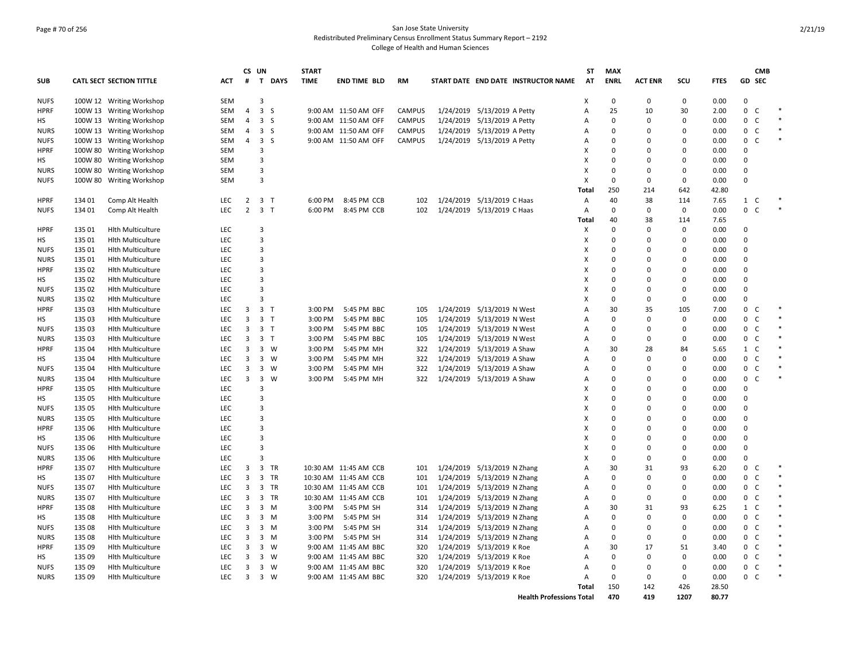## Page # 70 of 256 San Jose State University Redistributed Preliminary Census Enrollment Status Summary Report – 2192 College of Health and Human Sciences

|             |         |                                 |            |                | CS UN                         | <b>START</b> |                       |               |                                     |                | <b>ST</b><br><b>MAX</b> |                |             |             |                   | <b>CMB</b> |        |
|-------------|---------|---------------------------------|------------|----------------|-------------------------------|--------------|-----------------------|---------------|-------------------------------------|----------------|-------------------------|----------------|-------------|-------------|-------------------|------------|--------|
| <b>SUB</b>  |         | <b>CATL SECT SECTION TITTLE</b> | <b>ACT</b> | #              | T DAYS                        | <b>TIME</b>  | <b>END TIME BLD</b>   | <b>RM</b>     | START DATE END DATE INSTRUCTOR NAME |                | <b>ENRL</b><br>AT       | <b>ACT ENR</b> | SCU         | <b>FTES</b> | GD SEC            |            |        |
| <b>NUFS</b> |         | 100W 12 Writing Workshop        | SEM        |                | 3                             |              |                       |               |                                     | X              | $\Omega$                | $\Omega$       | 0           | 0.00        | 0                 |            |        |
| <b>HPRF</b> |         | 100W 13 Writing Workshop        | SEM        | 4              | 3 <sub>5</sub>                |              | 9:00 AM 11:50 AM OFF  | <b>CAMPUS</b> | 1/24/2019 5/13/2019 A Petty         | Α              | 25                      | 10             | 30          | 2.00        | $\mathbf{0}$<br>C |            |        |
| HS          |         | 100W 13 Writing Workshop        | SEM        | $\overline{4}$ | 3 <sub>5</sub>                |              | 9:00 AM 11:50 AM OFF  | <b>CAMPUS</b> | 1/24/2019 5/13/2019 A Petty         | Α              | $\Omega$                | $\Omega$       | $\mathbf 0$ | 0.00        | 0<br>C            |            | $\ast$ |
| <b>NURS</b> |         | 100W 13 Writing Workshop        | SEM        | 4              | 3 <sub>5</sub>                |              | 9:00 AM 11:50 AM OFF  | <b>CAMPUS</b> | 1/24/2019 5/13/2019 A Petty         | Α              | $\Omega$                | $\Omega$       | 0           | 0.00        | $\mathsf{C}$<br>0 |            |        |
| <b>NUFS</b> |         | 100W 13 Writing Workshop        | SEM        | $\overline{4}$ | 3 <sub>5</sub>                |              | 9:00 AM 11:50 AM OFF  | <b>CAMPUS</b> | 1/24/2019 5/13/2019 A Petty         | Α              | $\Omega$                | $\Omega$       | 0           | 0.00        | $\mathsf{C}$<br>0 |            |        |
| <b>HPRF</b> | 100W 80 | <b>Writing Workshop</b>         | <b>SEM</b> |                | 3                             |              |                       |               |                                     | X              | $\Omega$                | $\Omega$       | $\mathbf 0$ | 0.00        | $\Omega$          |            |        |
| HS          |         | 100W 80 Writing Workshop        | SEM        |                | 3                             |              |                       |               |                                     | X              | $\Omega$                | $\Omega$       | $\mathbf 0$ | 0.00        | 0                 |            |        |
| <b>NURS</b> |         | 100W 80 Writing Workshop        | <b>SEM</b> |                | 3                             |              |                       |               |                                     | X              | $\Omega$                | $\Omega$       | $\mathbf 0$ | 0.00        | $\Omega$          |            |        |
| <b>NUFS</b> |         | 100W 80 Writing Workshop        | SEM        |                | 3                             |              |                       |               |                                     | X              | $\mathbf 0$             | $\mathbf 0$    | $\mathbf 0$ | 0.00        | 0                 |            |        |
|             |         |                                 |            |                |                               |              |                       |               |                                     | Total          | 250                     | 214            | 642         | 42.80       |                   |            |        |
| <b>HPRF</b> | 134 01  | Comp Alt Health                 | LEC        | 2              | 3 <sub>T</sub>                | 6:00 PM      | 8:45 PM CCB           | 102           | 1/24/2019 5/13/2019 C Haas          | Α              | 40                      | 38             | 114         | 7.65        | 1 C               |            |        |
| <b>NUFS</b> | 134 01  | Comp Alt Health                 | <b>LEC</b> | $\overline{2}$ | 3 <sub>T</sub>                | 6:00 PM      | 8:45 PM CCB           | 102           | 1/24/2019 5/13/2019 C Haas          | A              | $\Omega$                | 0              | 0           | 0.00        | 0 <sup>2</sup>    |            | $\ast$ |
|             |         |                                 |            |                |                               |              |                       |               |                                     | Total          | 40                      | 38             | 114         | 7.65        |                   |            |        |
| <b>HPRF</b> | 135 01  | <b>Hlth Multiculture</b>        | <b>LEC</b> |                | 3                             |              |                       |               |                                     | Х              | $\Omega$                | $\Omega$       | 0           | 0.00        | $\Omega$          |            |        |
| HS          | 135 01  | <b>Hlth Multiculture</b>        | LEC        |                | 3                             |              |                       |               |                                     | X              | $\Omega$                | $\Omega$       | $\mathbf 0$ | 0.00        | $\Omega$          |            |        |
| <b>NUFS</b> | 135 01  | <b>Hlth Multiculture</b>        | LEC        |                | 3                             |              |                       |               |                                     | X              | $\Omega$                | $\Omega$       | $\mathbf 0$ | 0.00        | $\Omega$          |            |        |
| <b>NURS</b> | 135 01  | <b>Hith Multiculture</b>        | <b>LEC</b> |                | 3                             |              |                       |               |                                     | X              | $\Omega$                | $\Omega$       | $\mathbf 0$ | 0.00        | $\Omega$          |            |        |
| <b>HPRF</b> | 135 02  | <b>Hith Multiculture</b>        | LEC        |                | 3                             |              |                       |               |                                     | х              | $\Omega$                | $\Omega$       | $\Omega$    | 0.00        | $\Omega$          |            |        |
| HS          | 135 02  | <b>Hith Multiculture</b>        | <b>LEC</b> |                | 3                             |              |                       |               |                                     | X              | $\Omega$                | $\Omega$       | 0           | 0.00        | $\Omega$          |            |        |
| <b>NUFS</b> | 135 02  | <b>Hith Multiculture</b>        | <b>LEC</b> |                | 3                             |              |                       |               |                                     | х              | 0                       | $\Omega$       | $\mathbf 0$ | 0.00        | 0                 |            |        |
| <b>NURS</b> | 135 02  | <b>Hith Multiculture</b>        | <b>LEC</b> |                | 3                             |              |                       |               |                                     | X              | $\Omega$                | $\Omega$       | 0           | 0.00        | $\Omega$          |            |        |
| <b>HPRF</b> | 135 03  | <b>Hith Multiculture</b>        | <b>LEC</b> | 3              | 3 <sub>1</sub>                | 3:00 PM      | 5:45 PM BBC           | 105           | 1/24/2019 5/13/2019 N West          | Α              | 30                      | 35             | 105         | 7.00        | 0<br>C            |            |        |
| HS          | 135 03  |                                 | <b>LEC</b> | 3              | 3 <sub>T</sub>                | 3:00 PM      | 5:45 PM BBC           | 105           |                                     | A              | $\Omega$                | $\Omega$       | $\mathbf 0$ | 0.00        | 0<br>C            |            |        |
| <b>NUFS</b> | 135 03  | <b>Hith Multiculture</b>        | <b>LEC</b> | 3              | 3 <sub>T</sub>                | 3:00 PM      | 5:45 PM BBC           | 105           | 1/24/2019 5/13/2019 N West          | A              | $\Omega$                | $\Omega$       | $\mathbf 0$ | 0.00        | 0<br>C            |            |        |
|             |         | <b>Hith Multiculture</b>        |            |                |                               |              |                       |               | 1/24/2019 5/13/2019 N West          |                | $\Omega$                | $\Omega$       |             |             |                   |            |        |
| <b>NURS</b> | 135 03  | <b>Hlth Multiculture</b>        | <b>LEC</b> | 3              | 3 <sub>T</sub>                | 3:00 PM      | 5:45 PM BBC           | 105           | 1/24/2019 5/13/2019 N West          | $\overline{A}$ |                         |                | $\mathbf 0$ | 0.00        | $0-$              |            |        |
| <b>HPRF</b> | 135 04  | <b>Hith Multiculture</b>        | <b>LEC</b> | 3              | 3 W                           | 3:00 PM      | 5:45 PM MH            | 322           | 1/24/2019 5/13/2019 A Shaw          | $\overline{A}$ | 30                      | 28             | 84          | 5.65        | $\mathbf{1}$<br>C |            |        |
| HS          | 135 04  | <b>Hlth Multiculture</b>        | LEC        | 3              | 3 W                           | 3:00 PM      | 5:45 PM MH            | 322           | 1/24/2019 5/13/2019 A Shaw          | Α              | $\Omega$                | $\Omega$       | $\mathbf 0$ | 0.00        | 0<br>$\mathsf{C}$ |            | $\ast$ |
| <b>NUFS</b> | 135 04  | <b>Hith Multiculture</b>        | <b>LEC</b> | 3              | 3 W                           | 3:00 PM      | 5:45 PM MH            | 322           | 1/24/2019 5/13/2019 A Shaw          | Α              | $\Omega$                | $\Omega$       | 0           | 0.00        | 0<br>C            |            | $\ast$ |
| <b>NURS</b> | 135 04  | <b>Hith Multiculture</b>        | <b>LEC</b> | 3              | $\overline{\mathbf{3}}$<br>W  | 3:00 PM      | 5:45 PM MH            | 322           | 1/24/2019 5/13/2019 A Shaw          | Α              | $\Omega$                | $\Omega$       | $\mathbf 0$ | 0.00        | 0<br>C.           |            |        |
| <b>HPRF</b> | 135 05  | <b>Hith Multiculture</b>        | <b>LEC</b> |                | 3                             |              |                       |               |                                     | X              | $\Omega$                | $\Omega$       | $\mathbf 0$ | 0.00        | $\Omega$          |            |        |
| HS          | 135 05  | <b>Hith Multiculture</b>        | <b>LEC</b> |                | 3                             |              |                       |               |                                     | Х              | $\Omega$                | $\Omega$       | $\mathbf 0$ | 0.00        | $\Omega$          |            |        |
| <b>NUFS</b> | 135 05  | <b>Hlth Multiculture</b>        | <b>LEC</b> |                | 3                             |              |                       |               |                                     | Х              | $\Omega$                | $\Omega$       | $\mathbf 0$ | 0.00        | $\Omega$          |            |        |
| <b>NURS</b> | 135 05  | <b>Hith Multiculture</b>        | <b>LEC</b> |                | 3                             |              |                       |               |                                     | X              | $\Omega$                | $\Omega$       | $\mathbf 0$ | 0.00        | $\Omega$          |            |        |
| <b>HPRF</b> | 135 06  | <b>Hlth Multiculture</b>        | <b>LEC</b> |                | 3                             |              |                       |               |                                     | X              | $\Omega$                | $\Omega$       | $\mathbf 0$ | 0.00        | $\Omega$          |            |        |
| <b>HS</b>   | 135 06  | <b>Hith Multiculture</b>        | <b>LEC</b> |                | 3                             |              |                       |               |                                     | X              | $\Omega$                | $\Omega$       | $\mathbf 0$ | 0.00        | $\Omega$          |            |        |
| <b>NUFS</b> | 135 06  | <b>Hlth Multiculture</b>        | LEC        |                | 3                             |              |                       |               |                                     | х              | $\Omega$                | $\Omega$       | $\mathbf 0$ | 0.00        | 0                 |            |        |
| <b>NURS</b> | 135 06  | <b>Hith Multiculture</b>        | LEC        |                | 3                             |              |                       |               |                                     | X              | $\Omega$                | $\Omega$       | $\mathbf 0$ | 0.00        | 0                 |            |        |
| <b>HPRF</b> | 135 07  | <b>Hith Multiculture</b>        | <b>LEC</b> | 3              | $\overline{\mathbf{3}}$<br>TR |              | 10:30 AM 11:45 AM CCB | 101           | 1/24/2019 5/13/2019 N Zhang         | A              | 30                      | 31             | 93          | 6.20        | 0<br>C            |            |        |
| HS          | 135 07  | <b>Hith Multiculture</b>        | <b>LEC</b> | 3              | 3 TR                          |              | 10:30 AM 11:45 AM CCB | 101           | 1/24/2019 5/13/2019 N Zhang         | Α              | $\Omega$                | $\Omega$       | $\mathbf 0$ | 0.00        | 0<br>C            |            | $\ast$ |
| <b>NUFS</b> | 135 07  | <b>Hith Multiculture</b>        | <b>LEC</b> | 3              | 3 TR                          |              | 10:30 AM 11:45 AM CCB | 101           | 1/24/2019 5/13/2019 N Zhang         | Α              | $\Omega$                | $\Omega$       | $\mathbf 0$ | 0.00        | 0<br>C            |            |        |
| <b>NURS</b> | 135 07  | <b>Hlth Multiculture</b>        | <b>LEC</b> | 3              | 3 TR                          |              | 10:30 AM 11:45 AM CCB | 101           | 1/24/2019 5/13/2019 N Zhang         | Α              | $\Omega$                | $\Omega$       | $\mathbf 0$ | 0.00        | C<br>$\mathbf{0}$ |            |        |
| <b>HPRF</b> | 135 08  | <b>Hith Multiculture</b>        | <b>LEC</b> | 3              | $3 \, M$                      | 3:00 PM      | 5:45 PM SH            | 314           | 1/24/2019 5/13/2019 N Zhang         | A              | 30                      | 31             | 93          | 6.25        | $\mathbf{1}$<br>C |            |        |
| HS          | 135 08  | <b>Hlth Multiculture</b>        | <b>LEC</b> | 3              | $3 \, M$                      | 3:00 PM      | 5:45 PM SH            | 314           | 1/24/2019 5/13/2019 N Zhang         | A              | $\Omega$                | $\Omega$       | $\mathbf 0$ | 0.00        | 0 <sup>o</sup>    |            |        |
| <b>NUFS</b> | 135 08  | <b>Hith Multiculture</b>        | <b>LEC</b> | 3              | 3 M                           | 3:00 PM      | 5:45 PM SH            | 314           | 1/24/2019 5/13/2019 N Zhang         | $\overline{A}$ | $\Omega$                | $\Omega$       | $\mathbf 0$ | 0.00        | C<br>0            |            |        |
| <b>NURS</b> | 135 08  | <b>Hlth Multiculture</b>        | LEC        | 3              | $3 \, M$                      | 3:00 PM      | 5:45 PM SH            | 314           | 1/24/2019 5/13/2019 N Zhang         | Α              | $\Omega$                | $\Omega$       | $\mathbf 0$ | 0.00        | 0<br>$\mathsf{C}$ |            |        |
| <b>HPRF</b> | 135 09  | <b>Hith Multiculture</b>        | <b>LEC</b> | 3              | $3 \quad W$                   |              | 9:00 AM 11:45 AM BBC  | 320           | 1/24/2019 5/13/2019 K Roe           | Α              | 30                      | 17             | 51          | 3.40        | $\mathsf{C}$<br>0 |            |        |
| HS          | 135 09  | <b>Hith Multiculture</b>        | <b>LEC</b> | 3              | 3 W                           |              | 9:00 AM 11:45 AM BBC  | 320           | 1/24/2019 5/13/2019 K Roe           | Α              | $\Omega$                | $\Omega$       | $\mathbf 0$ | 0.00        | 0<br>C            |            | $\ast$ |
| <b>NUFS</b> | 135 09  | <b>Hith Multiculture</b>        | <b>LEC</b> | 3              | 3 W                           |              | 9:00 AM 11:45 AM BBC  | 320           | 1/24/2019 5/13/2019 K Roe           | A              | $\Omega$                | $\Omega$       | 0           | 0.00        | 0 <sup>o</sup>    |            |        |
| <b>NURS</b> | 135 09  | <b>Hith Multiculture</b>        | <b>LEC</b> | 3              | 3 W                           |              | 9:00 AM 11:45 AM BBC  | 320           | 1/24/2019 5/13/2019 K Roe           | A              | $\Omega$                | $\Omega$       | $\mathbf 0$ | 0.00        | $0-$              |            |        |
|             |         |                                 |            |                |                               |              |                       |               |                                     | <b>Total</b>   | 150                     | 142            | 426         | 28.50       |                   |            |        |
|             |         |                                 |            |                |                               |              |                       |               | <b>Health Professions Total</b>     |                | 470                     | 419            | 1207        | 80.77       |                   |            |        |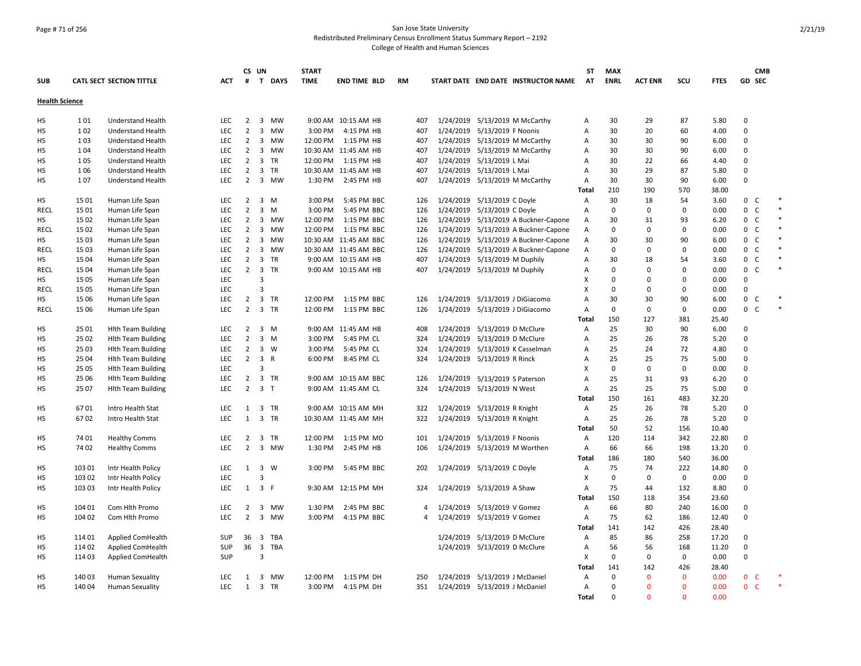# Page # 71 of 256 San Jose State University Redistributed Preliminary Census Enrollment Status Summary Report – 2192

|                       |        |                                 |            |                                  | CS UN                   |                | <b>START</b> |                       |            |   |                                      | SΤ             | <b>MAX</b>  |                |              |                |                         | <b>CMB</b>   |        |
|-----------------------|--------|---------------------------------|------------|----------------------------------|-------------------------|----------------|--------------|-----------------------|------------|---|--------------------------------------|----------------|-------------|----------------|--------------|----------------|-------------------------|--------------|--------|
| <b>SUB</b>            |        | <b>CATL SECT SECTION TITTLE</b> | <b>ACT</b> | #                                |                         | T DAYS         | <b>TIME</b>  | <b>END TIME BLD</b>   | RM         |   | START DATE END DATE INSTRUCTOR NAME  | AT             | <b>ENRL</b> | <b>ACT ENR</b> | scu          | <b>FTES</b>    | GD SEC                  |              |        |
| <b>Health Science</b> |        |                                 |            |                                  |                         |                |              |                       |            |   |                                      |                |             |                |              |                |                         |              |        |
| HS                    | 101    | <b>Understand Health</b>        | <b>LEC</b> | $\overline{2}$                   |                         | 3 MW           |              | 9:00 AM 10:15 AM HB   | 407        |   | 1/24/2019 5/13/2019 M McCarthy       | Α              | 30          | 29             | 87           | 5.80           | $\Omega$                |              |        |
| HS                    | 102    | <b>Understand Health</b>        | LEC        | $\overline{2}$                   |                         | 3 MW           | 3:00 PM      | 4:15 PM HB            | 407        |   | 1/24/2019 5/13/2019 F Noonis         | Α              | 30          | 20             | 60           | 4.00           | $\Omega$                |              |        |
| HS                    | 103    | <b>Understand Health</b>        | LEC        | $\overline{2}$                   |                         | 3 MW           | 12:00 PM     | 1:15 PM HB            | 407        |   | 1/24/2019 5/13/2019 M McCarthy       | Α              | 30          | 30             | 90           | 6.00           | $\Omega$                |              |        |
| НS                    | 104    | Understand Health               | <b>LEC</b> | $\overline{2}$                   | $\overline{\mathbf{3}}$ | MW             |              | 10:30 AM 11:45 AM HB  | 407        |   | 1/24/2019 5/13/2019 M McCarthy       | Α              | 30          | 30             | 90           | 6.00           | $\Omega$                |              |        |
| HS                    | 105    | Understand Health               | LEC        | $\overline{2}$                   |                         | 3 TR           | 12:00 PM     | 1:15 PM HB            | 407        |   | 1/24/2019 5/13/2019 L Mai            | Α              | 30          | 22             | 66           | 4.40           | $\Omega$                |              |        |
| HS                    | 106    | Understand Health               | <b>LEC</b> | $\overline{2}$                   |                         | 3 TR           |              | 10:30 AM 11:45 AM HB  | 407        |   | 1/24/2019 5/13/2019 L Mai            | Α              | 30          | 29             | 87           | 5.80           | $\Omega$                |              |        |
| HS                    | 107    | <b>Understand Health</b>        | <b>LEC</b> | 2                                |                         | 3 MW           | 1:30 PM      | 2:45 PM HB            | 407        |   | 1/24/2019 5/13/2019 M McCarthy       | A              | 30          | 30             | 90           | 6.00           | $\Omega$                |              |        |
|                       |        |                                 |            |                                  |                         |                |              |                       |            |   |                                      | Total          | 210         | 190            | 570          | 38.00          |                         |              |        |
| HS                    | 1501   | Human Life Span                 | LEC        | $\overline{2}$                   |                         | 3 M            | 3:00 PM      | 5:45 PM BBC           | 126        |   | 1/24/2019 5/13/2019 C Doyle          | A              | 30          | 18             | 54           | 3.60           | 0                       | C            | $\ast$ |
| RECL                  | 1501   | Human Life Span                 | <b>LEC</b> | $\overline{2}$                   |                         | 3 M            | 3:00 PM      | 5:45 PM BBC           | 126        |   | 1/24/2019 5/13/2019 C Doyle          | Α              | 0           | 0              | 0            | 0.00           | 0                       | C            | $\ast$ |
| HS                    | 15 02  | Human Life Span                 | <b>LEC</b> | $\overline{2}$                   |                         | 3 MW           | 12:00 PM     | 1:15 PM BBC           | 126        |   | 1/24/2019 5/13/2019 A Buckner-Capone | Α              | 30          | 31             | 93           | 6.20           | $\mathbf 0$             | <sub>c</sub> | $\ast$ |
| <b>RECL</b>           | 15 02  | Human Life Span                 | <b>LEC</b> | $\overline{2}$                   | $\overline{\mathbf{3}}$ | MW             | 12:00 PM     | 1:15 PM BBC           | 126        |   | 1/24/2019 5/13/2019 A Buckner-Capone | Α              | 0           | 0              | 0            | 0.00           | 0                       | C            | $\ast$ |
| HS                    | 1503   | Human Life Span                 | <b>LEC</b> | $\overline{2}$                   |                         | 3 MW           |              | 10:30 AM 11:45 AM BBC | 126        |   | 1/24/2019 5/13/2019 A Buckner-Capone | Α              | 30          | 30             | 90           | 6.00           | $\mathbf 0$             | C            | $\ast$ |
| <b>RECL</b>           | 1503   | Human Life Span                 | <b>LEC</b> | $\overline{2}$                   |                         | 3 MW           |              | 10:30 AM 11:45 AM BBC | 126        |   | 1/24/2019 5/13/2019 A Buckner-Capone | Α              | 0           | 0              | $\mathbf 0$  | 0.00           | $\mathbf 0$             | $\mathsf{C}$ | $\ast$ |
| HS                    | 15 04  | Human Life Span                 | <b>LEC</b> | $\overline{2}$                   |                         | 3 TR           |              | 9:00 AM 10:15 AM HB   | 407        |   | 1/24/2019 5/13/2019 M Duphily        | Α              | 30          | 18             | 54           | 3.60           | 0                       | C            | $\ast$ |
| <b>RECL</b>           | 15 04  | Human Life Span                 | LEC        | $\overline{2}$                   |                         | 3 TR           |              | 9:00 AM 10:15 AM HB   | 407        |   | 1/24/2019 5/13/2019 M Duphily        | Α              | 0           | 0              | 0            | 0.00           | 0                       | C            | $\ast$ |
| НS                    | 15 05  | Human Life Span                 | <b>LEC</b> |                                  | 3                       |                |              |                       |            |   |                                      | x              | $\Omega$    | 0              | 0            | 0.00           | 0                       |              |        |
| <b>RECL</b>           | 15 05  | Human Life Span                 | <b>LEC</b> |                                  | 3                       |                |              |                       |            |   |                                      | x              | 0           | 0              | 0            | 0.00           | $\mathbf 0$             |              |        |
| HS                    | 15 06  | Human Life Span                 | <b>LEC</b> | $\overline{2}$                   |                         | 3 TR           | 12:00 PM     | 1:15 PM BBC           | 126        |   | 1/24/2019 5/13/2019 J DiGiacomo      | A              | 30          | 30             | 90           | 6.00           | $\mathbf 0$             | C            |        |
| <b>RECL</b>           | 15 06  | Human Life Span                 | <b>LEC</b> | $\overline{2}$                   |                         | 3 TR           | 12:00 PM     | 1:15 PM BBC           | 126        |   | 1/24/2019 5/13/2019 J DiGiacomo      | A              | 0           | 0              | $\mathbf 0$  | 0.00           | 0                       | $\mathsf{C}$ | $\ast$ |
|                       |        |                                 |            |                                  |                         |                |              |                       |            |   |                                      | Total          | 150         | 127            | 381          | 25.40          |                         |              |        |
| <b>HS</b>             | 25 01  | <b>Hlth Team Building</b>       | LEC        | $\overline{2}$                   |                         | $3 \, M$       |              | 9:00 AM 11:45 AM HB   | 408        |   | 1/24/2019 5/13/2019 D McClure        | A              | 25          | 30             | 90           | 6.00           | $\mathbf 0$             |              |        |
| HS                    | 25 02  | <b>Hith Team Building</b>       | <b>LEC</b> | $\overline{2}$                   |                         | $3 \, M$       | 3:00 PM      | 5:45 PM CL            | 324        |   | 1/24/2019 5/13/2019 D McClure        | Α              | 25          | 26             | 78           | 5.20           | $\Omega$                |              |        |
| HS                    | 25 03  | <b>Hith Team Building</b>       | <b>LEC</b> | $\overline{2}$                   |                         | 3 W            | 3:00 PM      | 5:45 PM CL            | 324        |   | 1/24/2019 5/13/2019 K Casselman      | Α              | 25          | 24             | 72           | 4.80           | $\Omega$                |              |        |
| HS                    | 25 04  | <b>Hith Team Building</b>       | <b>LEC</b> | $\overline{2}$                   |                         | 3 R            | 6:00 PM      | 8:45 PM CL            | 324        |   | 1/24/2019 5/13/2019 R Rinck          | Α              | 25          | 25             | 75           | 5.00           | $\Omega$                |              |        |
| HS                    | 25 05  | <b>Hith Team Building</b>       | <b>LEC</b> |                                  | 3                       |                |              |                       |            |   |                                      | X              | $\mathbf 0$ | 0              | $\mathbf 0$  | 0.00           | $\Omega$                |              |        |
|                       | 25 06  |                                 | LEC        | $\overline{2}$                   |                         | 3 TR           |              | 9:00 AM 10:15 AM BBC  |            |   | 1/24/2019 5/13/2019 S Paterson       | Α              | 25          | 31             | 93           | 6.20           | $\Omega$                |              |        |
| HS                    | 25 07  | <b>Hith Team Building</b>       | LEC        | $\overline{2}$                   |                         | 3 <sub>T</sub> |              | 9:00 AM 11:45 AM CL   | 126<br>324 |   | 1/24/2019 5/13/2019 N West           | Α              | 25          | 25             | 75           | 5.00           | $\Omega$                |              |        |
| HS                    |        | <b>Hith Team Building</b>       |            |                                  |                         |                |              |                       |            |   |                                      |                | 150         | 161            | 483          | 32.20          |                         |              |        |
|                       | 6701   | Intro Health Stat               | <b>LEC</b> | 1                                |                         | 3 TR           |              | 9:00 AM 10:15 AM MH   | 322        |   | 1/24/2019 5/13/2019 R Knight         | Total<br>A     | 25          | 26             | 78           | 5.20           | $\Omega$                |              |        |
| НS<br>HS              | 6702   | Intro Health Stat               | <b>LEC</b> | $\mathbf{1}$                     |                         | 3 TR           |              | 10:30 AM 11:45 AM MH  | 322        |   | 1/24/2019 5/13/2019 R Knight         | Α              | 25          | 26             | 78           | 5.20           | $\Omega$                |              |        |
|                       |        |                                 |            |                                  |                         |                |              |                       |            |   |                                      |                | 50          | 52             |              |                |                         |              |        |
|                       | 74 01  |                                 | <b>LEC</b> |                                  |                         |                | 12:00 PM     | 1:15 PM MD            | 101        |   |                                      | <b>Total</b>   | 120         | 114            | 156<br>342   | 10.40          | $\Omega$                |              |        |
| HS                    | 7402   | <b>Healthy Comms</b>            | <b>LEC</b> | $\overline{2}$<br>$\overline{2}$ |                         | 3 TR<br>3 MW   | 1:30 PM      | 2:45 PM HB            | 106        |   | 1/24/2019 5/13/2019 F Noonis         | Α<br>Α         | 66          | 66             | 198          | 22.80<br>13.20 | $\Omega$                |              |        |
| HS                    |        | <b>Healthy Comms</b>            |            |                                  |                         |                |              |                       |            |   | 1/24/2019 5/13/2019 M Worthen        |                | 186         | 180            | 540          |                |                         |              |        |
|                       |        |                                 |            |                                  |                         | 3 W            |              |                       |            |   |                                      | Total          | 75          | 74             |              | 36.00          | $\Omega$                |              |        |
| HS                    | 103 01 | Intr Health Policy              | <b>LEC</b> | 1                                | 3                       |                | 3:00 PM      | 5:45 PM BBC           | 202        |   | 1/24/2019 5/13/2019 C Doyle          | Α              | $\mathbf 0$ |                | 222          | 14.80          | $\Omega$                |              |        |
| нs                    | 103 02 | Intr Health Policy              | <b>LEC</b> |                                  |                         | 3 F            |              |                       |            |   |                                      | Χ              |             | 0              | $\mathbf 0$  | 0.00           | $\Omega$                |              |        |
| HS                    | 103 03 | Intr Health Policy              | <b>LEC</b> | 1                                |                         |                |              | 9:30 AM 12:15 PM MH   | 324        |   | 1/24/2019 5/13/2019 A Shaw           | Α              | 75          | 44             | 132          | 8.80           |                         |              |        |
|                       |        |                                 |            |                                  |                         |                |              |                       |            |   |                                      | <b>Total</b>   | 150         | 118            | 354          | 23.60          |                         |              |        |
| HS                    | 104 01 | Com Hlth Promo                  | <b>LEC</b> | $\overline{2}$                   |                         | 3 MW           | 1:30 PM      | 2:45 PM BBC           |            | 4 | 1/24/2019 5/13/2019 V Gomez          | Α              | 66          | 80             | 240          | 16.00          | $\mathbf 0$<br>$\Omega$ |              |        |
| HS                    | 104 02 | Com Hith Promo                  | LEC        | $\overline{2}$                   |                         | 3 MW           | 3:00 PM      | 4:15 PM BBC           |            | 4 | 1/24/2019 5/13/2019 V Gomez          | A              | 75          | 62             | 186          | 12.40          |                         |              |        |
|                       |        |                                 |            |                                  |                         |                |              |                       |            |   |                                      | Total          | 141         | 142            | 426          | 28.40          |                         |              |        |
| HS                    | 114 01 | Applied ComHealth               | <b>SUP</b> | 36                               | $\overline{\mathbf{3}}$ | TBA            |              |                       |            |   | 1/24/2019 5/13/2019 D McClure        | $\overline{A}$ | 85          | 86             | 258          | 17.20          | $\Omega$                |              |        |
| HS                    | 114 02 | Applied ComHealth               | <b>SUP</b> | 36                               | $\overline{\mathbf{3}}$ | <b>TBA</b>     |              |                       |            |   | 1/24/2019 5/13/2019 D McClure        | Α              | 56          | 56             | 168          | 11.20          | $\Omega$                |              |        |
| HS                    | 114 03 | Applied ComHealth               | <b>SUP</b> |                                  | 3                       |                |              |                       |            |   |                                      | X              | $\Omega$    | 0              | $\mathbf 0$  | 0.00           | $\Omega$                |              |        |
|                       |        |                                 |            |                                  |                         |                |              |                       |            |   |                                      | <b>Total</b>   | 141         | 142            | 426          | 28.40          |                         |              |        |
| НS                    | 140 03 | <b>Human Sexuality</b>          | <b>LEC</b> | 1                                |                         | 3 MW           | 12:00 PM     | 1:15 PM DH            | 250        |   | 1/24/2019 5/13/2019 J McDaniel       | Α              | 0           | $\mathbf{0}$   | 0            | 0.00           | 0 <sub>c</sub>          |              |        |
| HS                    | 140 04 | <b>Human Sexuality</b>          | <b>LEC</b> | 1                                |                         | 3 TR           | 3:00 PM      | 4:15 PM DH            |            |   | 351 1/24/2019 5/13/2019 J McDaniel   | Α              | 0           | $\mathbf{0}$   | $\mathbf{0}$ | 0.00           | $\mathbf{0}$            | - C          |        |
|                       |        |                                 |            |                                  |                         |                |              |                       |            |   |                                      | Total          | $\Omega$    | $\Omega$       | $\Omega$     | 0.00           |                         |              |        |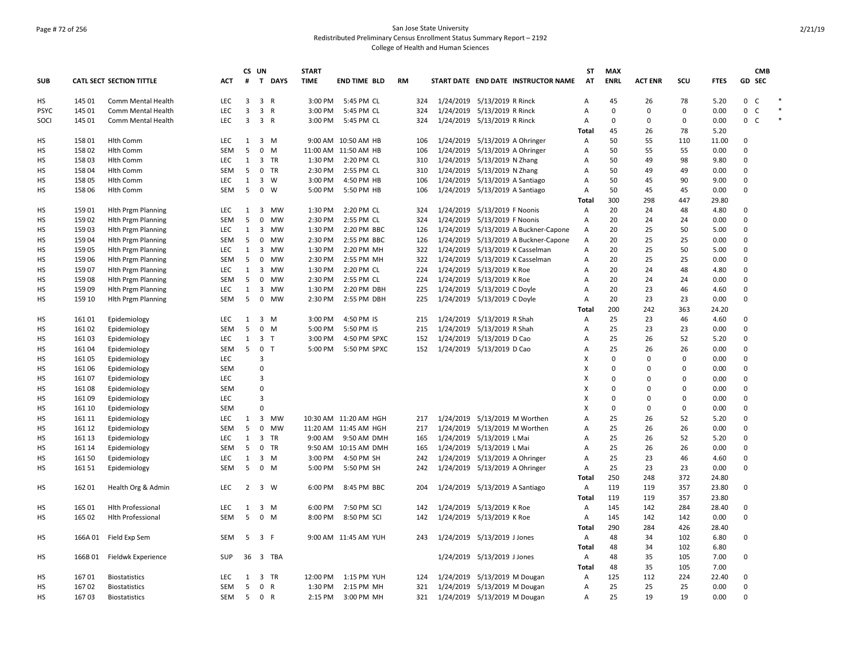### Page # 72 of 256 San Jose State University Redistributed Preliminary Census Enrollment Status Summary Report – 2192 College of Health and Human Sciences

| <b>CATL SECT SECTION TITTLE</b><br>T DAYS<br><b>TIME</b><br>AT<br><b>ENRL</b><br>GD SEC<br><b>SUB</b><br><b>ACT</b><br>#<br><b>END TIME BLD</b><br><b>RM</b><br>START DATE END DATE INSTRUCTOR NAME<br><b>ACT ENR</b><br>SCU<br><b>FTES</b><br>0<br>HS<br>145 01<br>LEC<br>3<br>3 R<br>3:00 PM<br>5:45 PM CL<br>324<br>1/24/2019 5/13/2019 R Rinck<br>45<br>26<br>78<br>5.20<br>C<br>Comm Mental Health<br>Α<br><b>LEC</b><br>3<br>3 R<br>0<br>0<br><b>PSYC</b><br>145 01<br>3:00 PM<br>5:45 PM CL<br>324<br>1/24/2019 5/13/2019 R Rinck<br>$\Omega$<br>0<br>0.00<br>C<br>Comm Mental Health<br>Α<br>145 01<br><b>LEC</b><br>$\overline{3}$<br>3 R<br>5:45 PM CL<br>1/24/2019 5/13/2019 R Rinck<br>$\Omega$<br>0<br>$\Omega$<br>0.00<br>0 C<br>SOCI<br>3:00 PM<br>324<br>Α<br>Comm Mental Health<br>78<br>Total<br>45<br>26<br>5.20<br>158 01<br>LEC<br>$3 \, M$<br>9:00 AM 10:50 AM HB<br>1/24/2019 5/13/2019 A Ohringer<br>50<br>55<br>11.00<br>$\Omega$<br>HS<br><b>Hlth Comm</b><br>$\mathbf{1}$<br>106<br>Α<br>110<br>5<br>$\mathsf 0$<br>HS<br>15802<br><b>Hlth Comm</b><br><b>SEM</b><br>M<br>11:00 AM 11:50 AM HB<br>106<br>1/24/2019 5/13/2019 A Ohringer<br>50<br>55<br>55<br>0.00<br>0<br>$\mathsf{A}$<br>3 TR<br>50<br>$\Omega$<br>HS<br>15803<br>LEC<br>$\mathbf{1}$<br>1:30 PM<br>2:20 PM CL<br>310<br>1/24/2019 5/13/2019 N Zhang<br>49<br>98<br>9.80<br><b>Hlth Comm</b><br>Α<br>HS<br>158 04<br><b>SEM</b><br>5<br>0 TR<br>2:30 PM<br>2:55 PM CL<br>310<br>1/24/2019 5/13/2019 N Zhang<br>50<br>49<br>49<br>0.00<br>$\Omega$<br><b>Hlth Comm</b><br>A<br>НS<br>$\overline{3}$<br>1/24/2019<br>5/13/2019 A Santiago<br>50<br>90<br>$\Omega$<br>158 05<br><b>LEC</b><br>$\mathbf{1}$<br>W<br>3:00 PM<br>4:50 PM HB<br>106<br>45<br>9.00<br>Hlth Comm<br>A<br><b>SEM</b><br>5<br>$0 \quad W$<br>1/24/2019 5/13/2019 A Santiago<br>50<br>45<br>$\Omega$<br>HS<br>158 06<br><b>Hlth Comm</b><br>5:00 PM<br>5:50 PM HB<br>106<br>Α<br>45<br>0.00<br>300<br>298<br>447<br>29.80<br>Total<br>HS<br>15901<br><b>Hith Prgm Planning</b><br>3<br>MW<br>1:30 PM<br>2:20 PM CL<br>1/24/2019 5/13/2019 F Noonis<br>20<br>24<br>48<br>4.80<br>0<br><b>LEC</b><br>1<br>324<br>$\mathsf{A}$<br>5<br>20<br>0.00<br>$\mathbf 0$<br>HS<br>15902<br><b>Hith Prgm Planning</b><br><b>SEM</b><br>0<br><b>MW</b><br>2:30 PM<br>2:55 PM CL<br>324<br>1/24/2019 5/13/2019 F Noonis<br>A<br>24<br>24<br>$\Omega$<br>HS<br>15903<br><b>Hith Prgm Planning</b><br><b>LEC</b><br>1<br>$\overline{3}$<br>MW<br>1:30 PM<br>2:20 PM BBC<br>126<br>1/24/2019<br>5/13/2019 A Buckner-Capone<br>$\overline{A}$<br>20<br>25<br>50<br>5.00<br>$\Omega$<br>25<br>HS<br>159 04<br><b>SEM</b><br>5<br>0<br>MW<br>2:30 PM<br>2:55 PM BBC<br>126<br>1/24/2019 5/13/2019 A Buckner-Capone<br>$\overline{A}$<br>20<br>25<br>0.00<br><b>Hith Prgm Planning</b><br>HS<br>15905<br>LEC<br>$\mathbf{1}$<br>3 MW<br>1:30 PM<br>2:20 PM MH<br>322<br>1/24/2019 5/13/2019 K Casselman<br>20<br>25<br>50<br>5.00<br>$\Omega$<br><b>Hith Prgm Planning</b><br>Α<br>$\mathbf 0$<br><b>SEM</b><br>5<br>2:30 PM<br>322<br>1/24/2019 5/13/2019 K Casselman<br>20<br>25<br>25<br>нs<br>159 06<br><b>Hith Prgm Planning</b><br>0<br>МW<br>2:55 PM MH<br>Α<br>0.00<br>$\mathbf 0$<br>HS<br>159 07<br><b>Hith Prgm Planning</b><br>LEC<br>$\mathbf{1}$<br>3<br>MW<br>1:30 PM<br>2:20 PM CL<br>224<br>1/24/2019 5/13/2019 K Roe<br>Α<br>20<br>24<br>48<br>4.80<br>$\Omega$<br>HS<br>15908<br><b>Hith Prgm Planning</b><br><b>SEM</b><br>5<br>0<br>MW<br>2:30 PM<br>2:55 PM CL<br>224<br>1/24/2019 5/13/2019 K Roe<br>$\overline{A}$<br>20<br>24<br>24<br>0.00<br>15909<br>LEC<br>$\overline{3}$<br><b>MW</b><br>1:30 PM<br>2:20 PM DBH<br>225<br>1/24/2019 5/13/2019 C Doyle<br>20<br>23<br>$\Omega$<br>HS<br><b>Hlth Prgm Planning</b><br>$\mathbf{1}$<br>A<br>46<br>4.60<br>5<br>0 MW<br>2:30 PM<br>225<br>1/24/2019 5/13/2019 C Doyle<br>20<br>23<br>23<br>$\mathbf 0$<br>НS<br>159 10<br><b>Hlth Prgm Planning</b><br>SEM<br>2:55 PM DBH<br>Α<br>0.00<br>200<br>242<br>363<br>24.20<br>Total<br>HS<br>16101<br>Epidemiology<br><b>LEC</b><br>$\mathbf{1}$<br>3 M<br>3:00 PM<br>4:50 PM IS<br>215<br>1/24/2019 5/13/2019 R Shah<br>25<br>23<br>46<br>4.60<br>0<br>$\mathsf{A}$<br><b>SEM</b><br>5<br>$\mathbf 0$<br>215<br>1/24/2019 5/13/2019 R Shah<br>25<br>23<br>23<br>0.00<br>$\Omega$<br>HS<br>161 02<br>Epidemiology<br>M<br>5:00 PM<br>5:50 PM IS<br>Α<br><b>LEC</b><br>$\mathbf{1}$<br>3 <sub>T</sub><br>3:00 PM<br>4:50 PM SPXC<br>1/24/2019 5/13/2019 D Cao<br>25<br>26<br>52<br>5.20<br>$\Omega$<br><b>HS</b><br>16103<br>Epidemiology<br>152<br>$\overline{A}$<br>5<br>0 <sub>T</sub><br>25<br>0.00<br>$\mathbf 0$<br>SEM<br>5:00 PM<br>5:50 PM SPXC<br>152<br>1/24/2019 5/13/2019 D Cao<br>26<br>26<br>HS<br>16104<br>Epidemiology<br>Α<br><b>LEC</b><br>3<br>X<br>0<br>$\Omega$<br>0<br>0.00<br>0<br>НS<br>16105<br>Epidemiology<br>$\overline{0}$<br>$\times$<br>$\Omega$<br>$\Omega$<br>$\Omega$<br>HS<br><b>SEM</b><br>0<br>0.00<br>16106<br>Epidemiology<br>$\overline{3}$<br>$\Omega$<br>$\Omega$<br>HS<br>16107<br>Epidemiology<br><b>LEC</b><br>х<br>$\Omega$<br>0<br>0.00<br>$\Omega$<br><b>SEM</b><br>$\Omega$<br>$\times$<br>$\Omega$<br>$\Omega$<br>0.00<br>$\Omega$<br>НS<br>161 08<br>Epidemiology<br>$\overline{\mathbf{3}}$<br>16109<br>LEC<br>X<br>0<br>0<br>0<br>0.00<br>$\mathbf 0$<br>HS<br>Epidemiology<br>$\Omega$<br>$\Omega$<br>$\Omega$<br>$\mathbf 0$<br>х<br>0<br>НS<br>161 10<br>Epidemiology<br><b>SEM</b><br>0.00<br>3 MW<br>52<br>HS<br>161 11<br>LEC<br>1<br>10:30 AM 11:20 AM HGH<br>217<br>1/24/2019 5/13/2019 M Worthen<br>A<br>25<br>26<br>5.20<br>$\Omega$<br>Epidemiology<br>5<br>$\mathbf 0$<br>1/24/2019 5/13/2019 M Worthen<br>25<br>26<br>26<br>$\Omega$<br>HS<br>161 12<br>Epidemiology<br><b>SEM</b><br>MW<br>11:20 AM 11:45 AM HGH<br>217<br>A<br>0.00<br>3<br><b>TR</b><br>1/24/2019 5/13/2019 L Mai<br>25<br>52<br>$\Omega$<br>HS<br>161 13<br>Epidemiology<br><b>LEC</b><br>$\mathbf{1}$<br>9:00 AM<br>9:50 AM DMH<br>165<br>Α<br>26<br>5.20<br>$\Omega$<br>5<br>0 TR<br>25<br>HS<br>161 14<br>Epidemiology<br><b>SEM</b><br>9:50 AM 10:15 AM DMH<br>165<br>1/24/2019 5/13/2019 L Mai<br>Α<br>26<br>26<br>0.00<br>25<br>HS<br>161 50<br>LEC<br>$\mathbf{1}$<br>$3 \, M$<br>3:00 PM<br>4:50 PM SH<br>242<br>1/24/2019 5/13/2019 A Ohringer<br>23<br>46<br>4.60<br>$\mathbf 0$<br>Epidemiology<br>Α<br>5<br>$\Omega$<br>НS<br>161 51<br><b>SEM</b><br>0 M<br>5:00 PM<br>5:50 PM SH<br>242<br>1/24/2019 5/13/2019 A Ohringer<br>25<br>23<br>23<br>0.00<br>Epidemiology<br>$\mathsf{A}$<br>250<br>372<br>Total<br>248<br>24.80<br>3 W<br>0<br>HS<br>16201<br>Health Org & Admin<br><b>LEC</b><br>$\overline{2}$<br>6:00 PM<br>8:45 PM BBC<br>204<br>1/24/2019 5/13/2019 A Santiago<br>$\overline{A}$<br>119<br>119<br>357<br>23.80<br>119<br>119<br>23.80<br>Total<br>357<br>HS<br>165 01<br><b>Hlth Professional</b><br>LEC<br>$\mathbf{1}$<br>$3 \, M$<br>6:00 PM<br>7:50 PM SCI<br>1/24/2019 5/13/2019 K Roe<br>145<br>142<br>284<br>28.40<br>$\mathbf 0$<br>142<br>A<br>5<br>$0$ M<br>0<br>НS<br>165 02<br><b>Hlth Professional</b><br><b>SEM</b><br>8:00 PM<br>8:50 PM SCI<br>142<br>1/24/2019 5/13/2019 K Roe<br>145<br>142<br>142<br>0.00<br>A<br>290<br>284<br>Total<br>426<br>28.40<br>3 F<br>0<br>HS<br>166A 01<br>Field Exp Sem<br><b>SEM</b><br>5<br>9:00 AM 11:45 AM YUH<br>1/24/2019 5/13/2019 J Jones<br>Α<br>48<br>34<br>102<br>6.80<br>243<br>Total<br>48<br>34<br>102<br>6.80<br>36 3 TBA<br>1/24/2019 5/13/2019 J Jones<br>48<br>35<br>105<br>7.00<br>0<br>НS<br>166B01<br>Fieldwk Experience<br>SUP<br>A<br><b>Total</b><br>48<br>35<br>105<br>7.00<br>16701<br>3 TR<br>12:00 PM<br>1:15 PM YUH<br>1/24/2019 5/13/2019 M Dougan<br>125<br>112<br>224<br>22.40<br>0<br>HS<br><b>Biostatistics</b><br><b>LEC</b><br>1<br>124<br>A<br>16702<br>5<br>0 R<br>2:15 PM MH<br>321<br>1/24/2019 5/13/2019 M Dougan<br>25<br>25<br>25<br>0.00<br>$\Omega$<br>HS<br><b>Biostatistics</b><br><b>SEM</b><br>1:30 PM<br>$\overline{A}$<br>SEM<br>321<br>1/24/2019 5/13/2019 M Dougan<br>25<br>19<br>0.00<br>$\Omega$<br>НS<br>16703<br><b>Biostatistics</b><br>5<br>0 R<br>2:15 PM<br>3:00 PM MH<br>Α<br>19 |  |  | CS UN | <b>START</b> |  |  | ST | <b>MAX</b> |  |  | <b>CMB</b> |
|----------------------------------------------------------------------------------------------------------------------------------------------------------------------------------------------------------------------------------------------------------------------------------------------------------------------------------------------------------------------------------------------------------------------------------------------------------------------------------------------------------------------------------------------------------------------------------------------------------------------------------------------------------------------------------------------------------------------------------------------------------------------------------------------------------------------------------------------------------------------------------------------------------------------------------------------------------------------------------------------------------------------------------------------------------------------------------------------------------------------------------------------------------------------------------------------------------------------------------------------------------------------------------------------------------------------------------------------------------------------------------------------------------------------------------------------------------------------------------------------------------------------------------------------------------------------------------------------------------------------------------------------------------------------------------------------------------------------------------------------------------------------------------------------------------------------------------------------------------------------------------------------------------------------------------------------------------------------------------------------------------------------------------------------------------------------------------------------------------------------------------------------------------------------------------------------------------------------------------------------------------------------------------------------------------------------------------------------------------------------------------------------------------------------------------------------------------------------------------------------------------------------------------------------------------------------------------------------------------------------------------------------------------------------------------------------------------------------------------------------------------------------------------------------------------------------------------------------------------------------------------------------------------------------------------------------------------------------------------------------------------------------------------------------------------------------------------------------------------------------------------------------------------------------------------------------------------------------------------------------------------------------------------------------------------------------------------------------------------------------------------------------------------------------------------------------------------------------------------------------------------------------------------------------------------------------------------------------------------------------------------------------------------------------------------------------------------------------------------------------------------------------------------------------------------------------------------------------------------------------------------------------------------------------------------------------------------------------------------------------------------------------------------------------------------------------------------------------------------------------------------------------------------------------------------------------------------------------------------------------------------------------------------------------------------------------------------------------------------------------------------------------------------------------------------------------------------------------------------------------------------------------------------------------------------------------------------------------------------------------------------------------------------------------------------------------------------------------------------------------------------------------------------------------------------------------------------------------------------------------------------------------------------------------------------------------------------------------------------------------------------------------------------------------------------------------------------------------------------------------------------------------------------------------------------------------------------------------------------------------------------------------------------------------------------------------------------------------------------------------------------------------------------------------------------------------------------------------------------------------------------------------------------------------------------------------------------------------------------------------------------------------------------------------------------------------------------------------------------------------------------------------------------------------------------------------------------------------------------------------------------------------------------------------------------------------------------------------------------------------------------------------------------------------------------------------------------------------------------------------------------------------------------------------------------------------------------------------------------------------------------------------------------------------------------------------------------------------------------------------------------------------------------------------------------------------------------------------------------------------------------------------------------------------------------------------------------------------------------------------------------------------------------------------------------------------------------------------------------------------------------------------------------------------------------------------------------------------------------------------------------------------------------------------------------------------------------------------------------------------------------------------------------------------------------------------------------------------------------------------------------------------------------------------------------------------------------------------------------------------------------------------------------------------------------------------------------------------------------------------------------------------------------------------------------------------------------------------------------------------------------------------------------------------------------------------------------------------------------------------------------------------------------------------------------------------------------------------------------------------------------------------------------------------------------------------------------------------------------------------------------------------------------------------------------------------------------------------------------------------------------------------------------------------------------------------------------------------------------------------------------------------------------------------------------------------------------------------------------|--|--|-------|--------------|--|--|----|------------|--|--|------------|
|                                                                                                                                                                                                                                                                                                                                                                                                                                                                                                                                                                                                                                                                                                                                                                                                                                                                                                                                                                                                                                                                                                                                                                                                                                                                                                                                                                                                                                                                                                                                                                                                                                                                                                                                                                                                                                                                                                                                                                                                                                                                                                                                                                                                                                                                                                                                                                                                                                                                                                                                                                                                                                                                                                                                                                                                                                                                                                                                                                                                                                                                                                                                                                                                                                                                                                                                                                                                                                                                                                                                                                                                                                                                                                                                                                                                                                                                                                                                                                                                                                                                                                                                                                                                                                                                                                                                                                                                                                                                                                                                                                                                                                                                                                                                                                                                                                                                                                                                                                                                                                                                                                                                                                                                                                                                                                                                                                                                                                                                                                                                                                                                                                                                                                                                                                                                                                                                                                                                                                                                                                                                                                                                                                                                                                                                                                                                                                                                                                                                                                                                                                                                                                                                                                                                                                                                                                                                                                                                                                                                                                                                                                                                                                                                                                                                                                                                                                                                                                                                                                                                                                                                                                                                                                                                                                                                                                                                                                                                                                                                                                                                                                                                                                                                                                  |  |  |       |              |  |  |    |            |  |  |            |
|                                                                                                                                                                                                                                                                                                                                                                                                                                                                                                                                                                                                                                                                                                                                                                                                                                                                                                                                                                                                                                                                                                                                                                                                                                                                                                                                                                                                                                                                                                                                                                                                                                                                                                                                                                                                                                                                                                                                                                                                                                                                                                                                                                                                                                                                                                                                                                                                                                                                                                                                                                                                                                                                                                                                                                                                                                                                                                                                                                                                                                                                                                                                                                                                                                                                                                                                                                                                                                                                                                                                                                                                                                                                                                                                                                                                                                                                                                                                                                                                                                                                                                                                                                                                                                                                                                                                                                                                                                                                                                                                                                                                                                                                                                                                                                                                                                                                                                                                                                                                                                                                                                                                                                                                                                                                                                                                                                                                                                                                                                                                                                                                                                                                                                                                                                                                                                                                                                                                                                                                                                                                                                                                                                                                                                                                                                                                                                                                                                                                                                                                                                                                                                                                                                                                                                                                                                                                                                                                                                                                                                                                                                                                                                                                                                                                                                                                                                                                                                                                                                                                                                                                                                                                                                                                                                                                                                                                                                                                                                                                                                                                                                                                                                                                                                  |  |  |       |              |  |  |    |            |  |  |            |
|                                                                                                                                                                                                                                                                                                                                                                                                                                                                                                                                                                                                                                                                                                                                                                                                                                                                                                                                                                                                                                                                                                                                                                                                                                                                                                                                                                                                                                                                                                                                                                                                                                                                                                                                                                                                                                                                                                                                                                                                                                                                                                                                                                                                                                                                                                                                                                                                                                                                                                                                                                                                                                                                                                                                                                                                                                                                                                                                                                                                                                                                                                                                                                                                                                                                                                                                                                                                                                                                                                                                                                                                                                                                                                                                                                                                                                                                                                                                                                                                                                                                                                                                                                                                                                                                                                                                                                                                                                                                                                                                                                                                                                                                                                                                                                                                                                                                                                                                                                                                                                                                                                                                                                                                                                                                                                                                                                                                                                                                                                                                                                                                                                                                                                                                                                                                                                                                                                                                                                                                                                                                                                                                                                                                                                                                                                                                                                                                                                                                                                                                                                                                                                                                                                                                                                                                                                                                                                                                                                                                                                                                                                                                                                                                                                                                                                                                                                                                                                                                                                                                                                                                                                                                                                                                                                                                                                                                                                                                                                                                                                                                                                                                                                                                                                  |  |  |       |              |  |  |    |            |  |  |            |
|                                                                                                                                                                                                                                                                                                                                                                                                                                                                                                                                                                                                                                                                                                                                                                                                                                                                                                                                                                                                                                                                                                                                                                                                                                                                                                                                                                                                                                                                                                                                                                                                                                                                                                                                                                                                                                                                                                                                                                                                                                                                                                                                                                                                                                                                                                                                                                                                                                                                                                                                                                                                                                                                                                                                                                                                                                                                                                                                                                                                                                                                                                                                                                                                                                                                                                                                                                                                                                                                                                                                                                                                                                                                                                                                                                                                                                                                                                                                                                                                                                                                                                                                                                                                                                                                                                                                                                                                                                                                                                                                                                                                                                                                                                                                                                                                                                                                                                                                                                                                                                                                                                                                                                                                                                                                                                                                                                                                                                                                                                                                                                                                                                                                                                                                                                                                                                                                                                                                                                                                                                                                                                                                                                                                                                                                                                                                                                                                                                                                                                                                                                                                                                                                                                                                                                                                                                                                                                                                                                                                                                                                                                                                                                                                                                                                                                                                                                                                                                                                                                                                                                                                                                                                                                                                                                                                                                                                                                                                                                                                                                                                                                                                                                                                                                  |  |  |       |              |  |  |    |            |  |  |            |
|                                                                                                                                                                                                                                                                                                                                                                                                                                                                                                                                                                                                                                                                                                                                                                                                                                                                                                                                                                                                                                                                                                                                                                                                                                                                                                                                                                                                                                                                                                                                                                                                                                                                                                                                                                                                                                                                                                                                                                                                                                                                                                                                                                                                                                                                                                                                                                                                                                                                                                                                                                                                                                                                                                                                                                                                                                                                                                                                                                                                                                                                                                                                                                                                                                                                                                                                                                                                                                                                                                                                                                                                                                                                                                                                                                                                                                                                                                                                                                                                                                                                                                                                                                                                                                                                                                                                                                                                                                                                                                                                                                                                                                                                                                                                                                                                                                                                                                                                                                                                                                                                                                                                                                                                                                                                                                                                                                                                                                                                                                                                                                                                                                                                                                                                                                                                                                                                                                                                                                                                                                                                                                                                                                                                                                                                                                                                                                                                                                                                                                                                                                                                                                                                                                                                                                                                                                                                                                                                                                                                                                                                                                                                                                                                                                                                                                                                                                                                                                                                                                                                                                                                                                                                                                                                                                                                                                                                                                                                                                                                                                                                                                                                                                                                                                  |  |  |       |              |  |  |    |            |  |  |            |
|                                                                                                                                                                                                                                                                                                                                                                                                                                                                                                                                                                                                                                                                                                                                                                                                                                                                                                                                                                                                                                                                                                                                                                                                                                                                                                                                                                                                                                                                                                                                                                                                                                                                                                                                                                                                                                                                                                                                                                                                                                                                                                                                                                                                                                                                                                                                                                                                                                                                                                                                                                                                                                                                                                                                                                                                                                                                                                                                                                                                                                                                                                                                                                                                                                                                                                                                                                                                                                                                                                                                                                                                                                                                                                                                                                                                                                                                                                                                                                                                                                                                                                                                                                                                                                                                                                                                                                                                                                                                                                                                                                                                                                                                                                                                                                                                                                                                                                                                                                                                                                                                                                                                                                                                                                                                                                                                                                                                                                                                                                                                                                                                                                                                                                                                                                                                                                                                                                                                                                                                                                                                                                                                                                                                                                                                                                                                                                                                                                                                                                                                                                                                                                                                                                                                                                                                                                                                                                                                                                                                                                                                                                                                                                                                                                                                                                                                                                                                                                                                                                                                                                                                                                                                                                                                                                                                                                                                                                                                                                                                                                                                                                                                                                                                                                  |  |  |       |              |  |  |    |            |  |  |            |
|                                                                                                                                                                                                                                                                                                                                                                                                                                                                                                                                                                                                                                                                                                                                                                                                                                                                                                                                                                                                                                                                                                                                                                                                                                                                                                                                                                                                                                                                                                                                                                                                                                                                                                                                                                                                                                                                                                                                                                                                                                                                                                                                                                                                                                                                                                                                                                                                                                                                                                                                                                                                                                                                                                                                                                                                                                                                                                                                                                                                                                                                                                                                                                                                                                                                                                                                                                                                                                                                                                                                                                                                                                                                                                                                                                                                                                                                                                                                                                                                                                                                                                                                                                                                                                                                                                                                                                                                                                                                                                                                                                                                                                                                                                                                                                                                                                                                                                                                                                                                                                                                                                                                                                                                                                                                                                                                                                                                                                                                                                                                                                                                                                                                                                                                                                                                                                                                                                                                                                                                                                                                                                                                                                                                                                                                                                                                                                                                                                                                                                                                                                                                                                                                                                                                                                                                                                                                                                                                                                                                                                                                                                                                                                                                                                                                                                                                                                                                                                                                                                                                                                                                                                                                                                                                                                                                                                                                                                                                                                                                                                                                                                                                                                                                                                  |  |  |       |              |  |  |    |            |  |  |            |
|                                                                                                                                                                                                                                                                                                                                                                                                                                                                                                                                                                                                                                                                                                                                                                                                                                                                                                                                                                                                                                                                                                                                                                                                                                                                                                                                                                                                                                                                                                                                                                                                                                                                                                                                                                                                                                                                                                                                                                                                                                                                                                                                                                                                                                                                                                                                                                                                                                                                                                                                                                                                                                                                                                                                                                                                                                                                                                                                                                                                                                                                                                                                                                                                                                                                                                                                                                                                                                                                                                                                                                                                                                                                                                                                                                                                                                                                                                                                                                                                                                                                                                                                                                                                                                                                                                                                                                                                                                                                                                                                                                                                                                                                                                                                                                                                                                                                                                                                                                                                                                                                                                                                                                                                                                                                                                                                                                                                                                                                                                                                                                                                                                                                                                                                                                                                                                                                                                                                                                                                                                                                                                                                                                                                                                                                                                                                                                                                                                                                                                                                                                                                                                                                                                                                                                                                                                                                                                                                                                                                                                                                                                                                                                                                                                                                                                                                                                                                                                                                                                                                                                                                                                                                                                                                                                                                                                                                                                                                                                                                                                                                                                                                                                                                                                  |  |  |       |              |  |  |    |            |  |  |            |
|                                                                                                                                                                                                                                                                                                                                                                                                                                                                                                                                                                                                                                                                                                                                                                                                                                                                                                                                                                                                                                                                                                                                                                                                                                                                                                                                                                                                                                                                                                                                                                                                                                                                                                                                                                                                                                                                                                                                                                                                                                                                                                                                                                                                                                                                                                                                                                                                                                                                                                                                                                                                                                                                                                                                                                                                                                                                                                                                                                                                                                                                                                                                                                                                                                                                                                                                                                                                                                                                                                                                                                                                                                                                                                                                                                                                                                                                                                                                                                                                                                                                                                                                                                                                                                                                                                                                                                                                                                                                                                                                                                                                                                                                                                                                                                                                                                                                                                                                                                                                                                                                                                                                                                                                                                                                                                                                                                                                                                                                                                                                                                                                                                                                                                                                                                                                                                                                                                                                                                                                                                                                                                                                                                                                                                                                                                                                                                                                                                                                                                                                                                                                                                                                                                                                                                                                                                                                                                                                                                                                                                                                                                                                                                                                                                                                                                                                                                                                                                                                                                                                                                                                                                                                                                                                                                                                                                                                                                                                                                                                                                                                                                                                                                                                                                  |  |  |       |              |  |  |    |            |  |  |            |
|                                                                                                                                                                                                                                                                                                                                                                                                                                                                                                                                                                                                                                                                                                                                                                                                                                                                                                                                                                                                                                                                                                                                                                                                                                                                                                                                                                                                                                                                                                                                                                                                                                                                                                                                                                                                                                                                                                                                                                                                                                                                                                                                                                                                                                                                                                                                                                                                                                                                                                                                                                                                                                                                                                                                                                                                                                                                                                                                                                                                                                                                                                                                                                                                                                                                                                                                                                                                                                                                                                                                                                                                                                                                                                                                                                                                                                                                                                                                                                                                                                                                                                                                                                                                                                                                                                                                                                                                                                                                                                                                                                                                                                                                                                                                                                                                                                                                                                                                                                                                                                                                                                                                                                                                                                                                                                                                                                                                                                                                                                                                                                                                                                                                                                                                                                                                                                                                                                                                                                                                                                                                                                                                                                                                                                                                                                                                                                                                                                                                                                                                                                                                                                                                                                                                                                                                                                                                                                                                                                                                                                                                                                                                                                                                                                                                                                                                                                                                                                                                                                                                                                                                                                                                                                                                                                                                                                                                                                                                                                                                                                                                                                                                                                                                                                  |  |  |       |              |  |  |    |            |  |  |            |
|                                                                                                                                                                                                                                                                                                                                                                                                                                                                                                                                                                                                                                                                                                                                                                                                                                                                                                                                                                                                                                                                                                                                                                                                                                                                                                                                                                                                                                                                                                                                                                                                                                                                                                                                                                                                                                                                                                                                                                                                                                                                                                                                                                                                                                                                                                                                                                                                                                                                                                                                                                                                                                                                                                                                                                                                                                                                                                                                                                                                                                                                                                                                                                                                                                                                                                                                                                                                                                                                                                                                                                                                                                                                                                                                                                                                                                                                                                                                                                                                                                                                                                                                                                                                                                                                                                                                                                                                                                                                                                                                                                                                                                                                                                                                                                                                                                                                                                                                                                                                                                                                                                                                                                                                                                                                                                                                                                                                                                                                                                                                                                                                                                                                                                                                                                                                                                                                                                                                                                                                                                                                                                                                                                                                                                                                                                                                                                                                                                                                                                                                                                                                                                                                                                                                                                                                                                                                                                                                                                                                                                                                                                                                                                                                                                                                                                                                                                                                                                                                                                                                                                                                                                                                                                                                                                                                                                                                                                                                                                                                                                                                                                                                                                                                                                  |  |  |       |              |  |  |    |            |  |  |            |
|                                                                                                                                                                                                                                                                                                                                                                                                                                                                                                                                                                                                                                                                                                                                                                                                                                                                                                                                                                                                                                                                                                                                                                                                                                                                                                                                                                                                                                                                                                                                                                                                                                                                                                                                                                                                                                                                                                                                                                                                                                                                                                                                                                                                                                                                                                                                                                                                                                                                                                                                                                                                                                                                                                                                                                                                                                                                                                                                                                                                                                                                                                                                                                                                                                                                                                                                                                                                                                                                                                                                                                                                                                                                                                                                                                                                                                                                                                                                                                                                                                                                                                                                                                                                                                                                                                                                                                                                                                                                                                                                                                                                                                                                                                                                                                                                                                                                                                                                                                                                                                                                                                                                                                                                                                                                                                                                                                                                                                                                                                                                                                                                                                                                                                                                                                                                                                                                                                                                                                                                                                                                                                                                                                                                                                                                                                                                                                                                                                                                                                                                                                                                                                                                                                                                                                                                                                                                                                                                                                                                                                                                                                                                                                                                                                                                                                                                                                                                                                                                                                                                                                                                                                                                                                                                                                                                                                                                                                                                                                                                                                                                                                                                                                                                                                  |  |  |       |              |  |  |    |            |  |  |            |
|                                                                                                                                                                                                                                                                                                                                                                                                                                                                                                                                                                                                                                                                                                                                                                                                                                                                                                                                                                                                                                                                                                                                                                                                                                                                                                                                                                                                                                                                                                                                                                                                                                                                                                                                                                                                                                                                                                                                                                                                                                                                                                                                                                                                                                                                                                                                                                                                                                                                                                                                                                                                                                                                                                                                                                                                                                                                                                                                                                                                                                                                                                                                                                                                                                                                                                                                                                                                                                                                                                                                                                                                                                                                                                                                                                                                                                                                                                                                                                                                                                                                                                                                                                                                                                                                                                                                                                                                                                                                                                                                                                                                                                                                                                                                                                                                                                                                                                                                                                                                                                                                                                                                                                                                                                                                                                                                                                                                                                                                                                                                                                                                                                                                                                                                                                                                                                                                                                                                                                                                                                                                                                                                                                                                                                                                                                                                                                                                                                                                                                                                                                                                                                                                                                                                                                                                                                                                                                                                                                                                                                                                                                                                                                                                                                                                                                                                                                                                                                                                                                                                                                                                                                                                                                                                                                                                                                                                                                                                                                                                                                                                                                                                                                                                                                  |  |  |       |              |  |  |    |            |  |  |            |
|                                                                                                                                                                                                                                                                                                                                                                                                                                                                                                                                                                                                                                                                                                                                                                                                                                                                                                                                                                                                                                                                                                                                                                                                                                                                                                                                                                                                                                                                                                                                                                                                                                                                                                                                                                                                                                                                                                                                                                                                                                                                                                                                                                                                                                                                                                                                                                                                                                                                                                                                                                                                                                                                                                                                                                                                                                                                                                                                                                                                                                                                                                                                                                                                                                                                                                                                                                                                                                                                                                                                                                                                                                                                                                                                                                                                                                                                                                                                                                                                                                                                                                                                                                                                                                                                                                                                                                                                                                                                                                                                                                                                                                                                                                                                                                                                                                                                                                                                                                                                                                                                                                                                                                                                                                                                                                                                                                                                                                                                                                                                                                                                                                                                                                                                                                                                                                                                                                                                                                                                                                                                                                                                                                                                                                                                                                                                                                                                                                                                                                                                                                                                                                                                                                                                                                                                                                                                                                                                                                                                                                                                                                                                                                                                                                                                                                                                                                                                                                                                                                                                                                                                                                                                                                                                                                                                                                                                                                                                                                                                                                                                                                                                                                                                                                  |  |  |       |              |  |  |    |            |  |  |            |
|                                                                                                                                                                                                                                                                                                                                                                                                                                                                                                                                                                                                                                                                                                                                                                                                                                                                                                                                                                                                                                                                                                                                                                                                                                                                                                                                                                                                                                                                                                                                                                                                                                                                                                                                                                                                                                                                                                                                                                                                                                                                                                                                                                                                                                                                                                                                                                                                                                                                                                                                                                                                                                                                                                                                                                                                                                                                                                                                                                                                                                                                                                                                                                                                                                                                                                                                                                                                                                                                                                                                                                                                                                                                                                                                                                                                                                                                                                                                                                                                                                                                                                                                                                                                                                                                                                                                                                                                                                                                                                                                                                                                                                                                                                                                                                                                                                                                                                                                                                                                                                                                                                                                                                                                                                                                                                                                                                                                                                                                                                                                                                                                                                                                                                                                                                                                                                                                                                                                                                                                                                                                                                                                                                                                                                                                                                                                                                                                                                                                                                                                                                                                                                                                                                                                                                                                                                                                                                                                                                                                                                                                                                                                                                                                                                                                                                                                                                                                                                                                                                                                                                                                                                                                                                                                                                                                                                                                                                                                                                                                                                                                                                                                                                                                                                  |  |  |       |              |  |  |    |            |  |  |            |
|                                                                                                                                                                                                                                                                                                                                                                                                                                                                                                                                                                                                                                                                                                                                                                                                                                                                                                                                                                                                                                                                                                                                                                                                                                                                                                                                                                                                                                                                                                                                                                                                                                                                                                                                                                                                                                                                                                                                                                                                                                                                                                                                                                                                                                                                                                                                                                                                                                                                                                                                                                                                                                                                                                                                                                                                                                                                                                                                                                                                                                                                                                                                                                                                                                                                                                                                                                                                                                                                                                                                                                                                                                                                                                                                                                                                                                                                                                                                                                                                                                                                                                                                                                                                                                                                                                                                                                                                                                                                                                                                                                                                                                                                                                                                                                                                                                                                                                                                                                                                                                                                                                                                                                                                                                                                                                                                                                                                                                                                                                                                                                                                                                                                                                                                                                                                                                                                                                                                                                                                                                                                                                                                                                                                                                                                                                                                                                                                                                                                                                                                                                                                                                                                                                                                                                                                                                                                                                                                                                                                                                                                                                                                                                                                                                                                                                                                                                                                                                                                                                                                                                                                                                                                                                                                                                                                                                                                                                                                                                                                                                                                                                                                                                                                                                  |  |  |       |              |  |  |    |            |  |  |            |
|                                                                                                                                                                                                                                                                                                                                                                                                                                                                                                                                                                                                                                                                                                                                                                                                                                                                                                                                                                                                                                                                                                                                                                                                                                                                                                                                                                                                                                                                                                                                                                                                                                                                                                                                                                                                                                                                                                                                                                                                                                                                                                                                                                                                                                                                                                                                                                                                                                                                                                                                                                                                                                                                                                                                                                                                                                                                                                                                                                                                                                                                                                                                                                                                                                                                                                                                                                                                                                                                                                                                                                                                                                                                                                                                                                                                                                                                                                                                                                                                                                                                                                                                                                                                                                                                                                                                                                                                                                                                                                                                                                                                                                                                                                                                                                                                                                                                                                                                                                                                                                                                                                                                                                                                                                                                                                                                                                                                                                                                                                                                                                                                                                                                                                                                                                                                                                                                                                                                                                                                                                                                                                                                                                                                                                                                                                                                                                                                                                                                                                                                                                                                                                                                                                                                                                                                                                                                                                                                                                                                                                                                                                                                                                                                                                                                                                                                                                                                                                                                                                                                                                                                                                                                                                                                                                                                                                                                                                                                                                                                                                                                                                                                                                                                                                  |  |  |       |              |  |  |    |            |  |  |            |
|                                                                                                                                                                                                                                                                                                                                                                                                                                                                                                                                                                                                                                                                                                                                                                                                                                                                                                                                                                                                                                                                                                                                                                                                                                                                                                                                                                                                                                                                                                                                                                                                                                                                                                                                                                                                                                                                                                                                                                                                                                                                                                                                                                                                                                                                                                                                                                                                                                                                                                                                                                                                                                                                                                                                                                                                                                                                                                                                                                                                                                                                                                                                                                                                                                                                                                                                                                                                                                                                                                                                                                                                                                                                                                                                                                                                                                                                                                                                                                                                                                                                                                                                                                                                                                                                                                                                                                                                                                                                                                                                                                                                                                                                                                                                                                                                                                                                                                                                                                                                                                                                                                                                                                                                                                                                                                                                                                                                                                                                                                                                                                                                                                                                                                                                                                                                                                                                                                                                                                                                                                                                                                                                                                                                                                                                                                                                                                                                                                                                                                                                                                                                                                                                                                                                                                                                                                                                                                                                                                                                                                                                                                                                                                                                                                                                                                                                                                                                                                                                                                                                                                                                                                                                                                                                                                                                                                                                                                                                                                                                                                                                                                                                                                                                                                  |  |  |       |              |  |  |    |            |  |  |            |
|                                                                                                                                                                                                                                                                                                                                                                                                                                                                                                                                                                                                                                                                                                                                                                                                                                                                                                                                                                                                                                                                                                                                                                                                                                                                                                                                                                                                                                                                                                                                                                                                                                                                                                                                                                                                                                                                                                                                                                                                                                                                                                                                                                                                                                                                                                                                                                                                                                                                                                                                                                                                                                                                                                                                                                                                                                                                                                                                                                                                                                                                                                                                                                                                                                                                                                                                                                                                                                                                                                                                                                                                                                                                                                                                                                                                                                                                                                                                                                                                                                                                                                                                                                                                                                                                                                                                                                                                                                                                                                                                                                                                                                                                                                                                                                                                                                                                                                                                                                                                                                                                                                                                                                                                                                                                                                                                                                                                                                                                                                                                                                                                                                                                                                                                                                                                                                                                                                                                                                                                                                                                                                                                                                                                                                                                                                                                                                                                                                                                                                                                                                                                                                                                                                                                                                                                                                                                                                                                                                                                                                                                                                                                                                                                                                                                                                                                                                                                                                                                                                                                                                                                                                                                                                                                                                                                                                                                                                                                                                                                                                                                                                                                                                                                                                  |  |  |       |              |  |  |    |            |  |  |            |
|                                                                                                                                                                                                                                                                                                                                                                                                                                                                                                                                                                                                                                                                                                                                                                                                                                                                                                                                                                                                                                                                                                                                                                                                                                                                                                                                                                                                                                                                                                                                                                                                                                                                                                                                                                                                                                                                                                                                                                                                                                                                                                                                                                                                                                                                                                                                                                                                                                                                                                                                                                                                                                                                                                                                                                                                                                                                                                                                                                                                                                                                                                                                                                                                                                                                                                                                                                                                                                                                                                                                                                                                                                                                                                                                                                                                                                                                                                                                                                                                                                                                                                                                                                                                                                                                                                                                                                                                                                                                                                                                                                                                                                                                                                                                                                                                                                                                                                                                                                                                                                                                                                                                                                                                                                                                                                                                                                                                                                                                                                                                                                                                                                                                                                                                                                                                                                                                                                                                                                                                                                                                                                                                                                                                                                                                                                                                                                                                                                                                                                                                                                                                                                                                                                                                                                                                                                                                                                                                                                                                                                                                                                                                                                                                                                                                                                                                                                                                                                                                                                                                                                                                                                                                                                                                                                                                                                                                                                                                                                                                                                                                                                                                                                                                                                  |  |  |       |              |  |  |    |            |  |  |            |
|                                                                                                                                                                                                                                                                                                                                                                                                                                                                                                                                                                                                                                                                                                                                                                                                                                                                                                                                                                                                                                                                                                                                                                                                                                                                                                                                                                                                                                                                                                                                                                                                                                                                                                                                                                                                                                                                                                                                                                                                                                                                                                                                                                                                                                                                                                                                                                                                                                                                                                                                                                                                                                                                                                                                                                                                                                                                                                                                                                                                                                                                                                                                                                                                                                                                                                                                                                                                                                                                                                                                                                                                                                                                                                                                                                                                                                                                                                                                                                                                                                                                                                                                                                                                                                                                                                                                                                                                                                                                                                                                                                                                                                                                                                                                                                                                                                                                                                                                                                                                                                                                                                                                                                                                                                                                                                                                                                                                                                                                                                                                                                                                                                                                                                                                                                                                                                                                                                                                                                                                                                                                                                                                                                                                                                                                                                                                                                                                                                                                                                                                                                                                                                                                                                                                                                                                                                                                                                                                                                                                                                                                                                                                                                                                                                                                                                                                                                                                                                                                                                                                                                                                                                                                                                                                                                                                                                                                                                                                                                                                                                                                                                                                                                                                                                  |  |  |       |              |  |  |    |            |  |  |            |
|                                                                                                                                                                                                                                                                                                                                                                                                                                                                                                                                                                                                                                                                                                                                                                                                                                                                                                                                                                                                                                                                                                                                                                                                                                                                                                                                                                                                                                                                                                                                                                                                                                                                                                                                                                                                                                                                                                                                                                                                                                                                                                                                                                                                                                                                                                                                                                                                                                                                                                                                                                                                                                                                                                                                                                                                                                                                                                                                                                                                                                                                                                                                                                                                                                                                                                                                                                                                                                                                                                                                                                                                                                                                                                                                                                                                                                                                                                                                                                                                                                                                                                                                                                                                                                                                                                                                                                                                                                                                                                                                                                                                                                                                                                                                                                                                                                                                                                                                                                                                                                                                                                                                                                                                                                                                                                                                                                                                                                                                                                                                                                                                                                                                                                                                                                                                                                                                                                                                                                                                                                                                                                                                                                                                                                                                                                                                                                                                                                                                                                                                                                                                                                                                                                                                                                                                                                                                                                                                                                                                                                                                                                                                                                                                                                                                                                                                                                                                                                                                                                                                                                                                                                                                                                                                                                                                                                                                                                                                                                                                                                                                                                                                                                                                                                  |  |  |       |              |  |  |    |            |  |  |            |
|                                                                                                                                                                                                                                                                                                                                                                                                                                                                                                                                                                                                                                                                                                                                                                                                                                                                                                                                                                                                                                                                                                                                                                                                                                                                                                                                                                                                                                                                                                                                                                                                                                                                                                                                                                                                                                                                                                                                                                                                                                                                                                                                                                                                                                                                                                                                                                                                                                                                                                                                                                                                                                                                                                                                                                                                                                                                                                                                                                                                                                                                                                                                                                                                                                                                                                                                                                                                                                                                                                                                                                                                                                                                                                                                                                                                                                                                                                                                                                                                                                                                                                                                                                                                                                                                                                                                                                                                                                                                                                                                                                                                                                                                                                                                                                                                                                                                                                                                                                                                                                                                                                                                                                                                                                                                                                                                                                                                                                                                                                                                                                                                                                                                                                                                                                                                                                                                                                                                                                                                                                                                                                                                                                                                                                                                                                                                                                                                                                                                                                                                                                                                                                                                                                                                                                                                                                                                                                                                                                                                                                                                                                                                                                                                                                                                                                                                                                                                                                                                                                                                                                                                                                                                                                                                                                                                                                                                                                                                                                                                                                                                                                                                                                                                                                  |  |  |       |              |  |  |    |            |  |  |            |
|                                                                                                                                                                                                                                                                                                                                                                                                                                                                                                                                                                                                                                                                                                                                                                                                                                                                                                                                                                                                                                                                                                                                                                                                                                                                                                                                                                                                                                                                                                                                                                                                                                                                                                                                                                                                                                                                                                                                                                                                                                                                                                                                                                                                                                                                                                                                                                                                                                                                                                                                                                                                                                                                                                                                                                                                                                                                                                                                                                                                                                                                                                                                                                                                                                                                                                                                                                                                                                                                                                                                                                                                                                                                                                                                                                                                                                                                                                                                                                                                                                                                                                                                                                                                                                                                                                                                                                                                                                                                                                                                                                                                                                                                                                                                                                                                                                                                                                                                                                                                                                                                                                                                                                                                                                                                                                                                                                                                                                                                                                                                                                                                                                                                                                                                                                                                                                                                                                                                                                                                                                                                                                                                                                                                                                                                                                                                                                                                                                                                                                                                                                                                                                                                                                                                                                                                                                                                                                                                                                                                                                                                                                                                                                                                                                                                                                                                                                                                                                                                                                                                                                                                                                                                                                                                                                                                                                                                                                                                                                                                                                                                                                                                                                                                                                  |  |  |       |              |  |  |    |            |  |  |            |
|                                                                                                                                                                                                                                                                                                                                                                                                                                                                                                                                                                                                                                                                                                                                                                                                                                                                                                                                                                                                                                                                                                                                                                                                                                                                                                                                                                                                                                                                                                                                                                                                                                                                                                                                                                                                                                                                                                                                                                                                                                                                                                                                                                                                                                                                                                                                                                                                                                                                                                                                                                                                                                                                                                                                                                                                                                                                                                                                                                                                                                                                                                                                                                                                                                                                                                                                                                                                                                                                                                                                                                                                                                                                                                                                                                                                                                                                                                                                                                                                                                                                                                                                                                                                                                                                                                                                                                                                                                                                                                                                                                                                                                                                                                                                                                                                                                                                                                                                                                                                                                                                                                                                                                                                                                                                                                                                                                                                                                                                                                                                                                                                                                                                                                                                                                                                                                                                                                                                                                                                                                                                                                                                                                                                                                                                                                                                                                                                                                                                                                                                                                                                                                                                                                                                                                                                                                                                                                                                                                                                                                                                                                                                                                                                                                                                                                                                                                                                                                                                                                                                                                                                                                                                                                                                                                                                                                                                                                                                                                                                                                                                                                                                                                                                                                  |  |  |       |              |  |  |    |            |  |  |            |
|                                                                                                                                                                                                                                                                                                                                                                                                                                                                                                                                                                                                                                                                                                                                                                                                                                                                                                                                                                                                                                                                                                                                                                                                                                                                                                                                                                                                                                                                                                                                                                                                                                                                                                                                                                                                                                                                                                                                                                                                                                                                                                                                                                                                                                                                                                                                                                                                                                                                                                                                                                                                                                                                                                                                                                                                                                                                                                                                                                                                                                                                                                                                                                                                                                                                                                                                                                                                                                                                                                                                                                                                                                                                                                                                                                                                                                                                                                                                                                                                                                                                                                                                                                                                                                                                                                                                                                                                                                                                                                                                                                                                                                                                                                                                                                                                                                                                                                                                                                                                                                                                                                                                                                                                                                                                                                                                                                                                                                                                                                                                                                                                                                                                                                                                                                                                                                                                                                                                                                                                                                                                                                                                                                                                                                                                                                                                                                                                                                                                                                                                                                                                                                                                                                                                                                                                                                                                                                                                                                                                                                                                                                                                                                                                                                                                                                                                                                                                                                                                                                                                                                                                                                                                                                                                                                                                                                                                                                                                                                                                                                                                                                                                                                                                                                  |  |  |       |              |  |  |    |            |  |  |            |
|                                                                                                                                                                                                                                                                                                                                                                                                                                                                                                                                                                                                                                                                                                                                                                                                                                                                                                                                                                                                                                                                                                                                                                                                                                                                                                                                                                                                                                                                                                                                                                                                                                                                                                                                                                                                                                                                                                                                                                                                                                                                                                                                                                                                                                                                                                                                                                                                                                                                                                                                                                                                                                                                                                                                                                                                                                                                                                                                                                                                                                                                                                                                                                                                                                                                                                                                                                                                                                                                                                                                                                                                                                                                                                                                                                                                                                                                                                                                                                                                                                                                                                                                                                                                                                                                                                                                                                                                                                                                                                                                                                                                                                                                                                                                                                                                                                                                                                                                                                                                                                                                                                                                                                                                                                                                                                                                                                                                                                                                                                                                                                                                                                                                                                                                                                                                                                                                                                                                                                                                                                                                                                                                                                                                                                                                                                                                                                                                                                                                                                                                                                                                                                                                                                                                                                                                                                                                                                                                                                                                                                                                                                                                                                                                                                                                                                                                                                                                                                                                                                                                                                                                                                                                                                                                                                                                                                                                                                                                                                                                                                                                                                                                                                                                                                  |  |  |       |              |  |  |    |            |  |  |            |
|                                                                                                                                                                                                                                                                                                                                                                                                                                                                                                                                                                                                                                                                                                                                                                                                                                                                                                                                                                                                                                                                                                                                                                                                                                                                                                                                                                                                                                                                                                                                                                                                                                                                                                                                                                                                                                                                                                                                                                                                                                                                                                                                                                                                                                                                                                                                                                                                                                                                                                                                                                                                                                                                                                                                                                                                                                                                                                                                                                                                                                                                                                                                                                                                                                                                                                                                                                                                                                                                                                                                                                                                                                                                                                                                                                                                                                                                                                                                                                                                                                                                                                                                                                                                                                                                                                                                                                                                                                                                                                                                                                                                                                                                                                                                                                                                                                                                                                                                                                                                                                                                                                                                                                                                                                                                                                                                                                                                                                                                                                                                                                                                                                                                                                                                                                                                                                                                                                                                                                                                                                                                                                                                                                                                                                                                                                                                                                                                                                                                                                                                                                                                                                                                                                                                                                                                                                                                                                                                                                                                                                                                                                                                                                                                                                                                                                                                                                                                                                                                                                                                                                                                                                                                                                                                                                                                                                                                                                                                                                                                                                                                                                                                                                                                                                  |  |  |       |              |  |  |    |            |  |  |            |
|                                                                                                                                                                                                                                                                                                                                                                                                                                                                                                                                                                                                                                                                                                                                                                                                                                                                                                                                                                                                                                                                                                                                                                                                                                                                                                                                                                                                                                                                                                                                                                                                                                                                                                                                                                                                                                                                                                                                                                                                                                                                                                                                                                                                                                                                                                                                                                                                                                                                                                                                                                                                                                                                                                                                                                                                                                                                                                                                                                                                                                                                                                                                                                                                                                                                                                                                                                                                                                                                                                                                                                                                                                                                                                                                                                                                                                                                                                                                                                                                                                                                                                                                                                                                                                                                                                                                                                                                                                                                                                                                                                                                                                                                                                                                                                                                                                                                                                                                                                                                                                                                                                                                                                                                                                                                                                                                                                                                                                                                                                                                                                                                                                                                                                                                                                                                                                                                                                                                                                                                                                                                                                                                                                                                                                                                                                                                                                                                                                                                                                                                                                                                                                                                                                                                                                                                                                                                                                                                                                                                                                                                                                                                                                                                                                                                                                                                                                                                                                                                                                                                                                                                                                                                                                                                                                                                                                                                                                                                                                                                                                                                                                                                                                                                                                  |  |  |       |              |  |  |    |            |  |  |            |
|                                                                                                                                                                                                                                                                                                                                                                                                                                                                                                                                                                                                                                                                                                                                                                                                                                                                                                                                                                                                                                                                                                                                                                                                                                                                                                                                                                                                                                                                                                                                                                                                                                                                                                                                                                                                                                                                                                                                                                                                                                                                                                                                                                                                                                                                                                                                                                                                                                                                                                                                                                                                                                                                                                                                                                                                                                                                                                                                                                                                                                                                                                                                                                                                                                                                                                                                                                                                                                                                                                                                                                                                                                                                                                                                                                                                                                                                                                                                                                                                                                                                                                                                                                                                                                                                                                                                                                                                                                                                                                                                                                                                                                                                                                                                                                                                                                                                                                                                                                                                                                                                                                                                                                                                                                                                                                                                                                                                                                                                                                                                                                                                                                                                                                                                                                                                                                                                                                                                                                                                                                                                                                                                                                                                                                                                                                                                                                                                                                                                                                                                                                                                                                                                                                                                                                                                                                                                                                                                                                                                                                                                                                                                                                                                                                                                                                                                                                                                                                                                                                                                                                                                                                                                                                                                                                                                                                                                                                                                                                                                                                                                                                                                                                                                                                  |  |  |       |              |  |  |    |            |  |  |            |
|                                                                                                                                                                                                                                                                                                                                                                                                                                                                                                                                                                                                                                                                                                                                                                                                                                                                                                                                                                                                                                                                                                                                                                                                                                                                                                                                                                                                                                                                                                                                                                                                                                                                                                                                                                                                                                                                                                                                                                                                                                                                                                                                                                                                                                                                                                                                                                                                                                                                                                                                                                                                                                                                                                                                                                                                                                                                                                                                                                                                                                                                                                                                                                                                                                                                                                                                                                                                                                                                                                                                                                                                                                                                                                                                                                                                                                                                                                                                                                                                                                                                                                                                                                                                                                                                                                                                                                                                                                                                                                                                                                                                                                                                                                                                                                                                                                                                                                                                                                                                                                                                                                                                                                                                                                                                                                                                                                                                                                                                                                                                                                                                                                                                                                                                                                                                                                                                                                                                                                                                                                                                                                                                                                                                                                                                                                                                                                                                                                                                                                                                                                                                                                                                                                                                                                                                                                                                                                                                                                                                                                                                                                                                                                                                                                                                                                                                                                                                                                                                                                                                                                                                                                                                                                                                                                                                                                                                                                                                                                                                                                                                                                                                                                                                                                  |  |  |       |              |  |  |    |            |  |  |            |
|                                                                                                                                                                                                                                                                                                                                                                                                                                                                                                                                                                                                                                                                                                                                                                                                                                                                                                                                                                                                                                                                                                                                                                                                                                                                                                                                                                                                                                                                                                                                                                                                                                                                                                                                                                                                                                                                                                                                                                                                                                                                                                                                                                                                                                                                                                                                                                                                                                                                                                                                                                                                                                                                                                                                                                                                                                                                                                                                                                                                                                                                                                                                                                                                                                                                                                                                                                                                                                                                                                                                                                                                                                                                                                                                                                                                                                                                                                                                                                                                                                                                                                                                                                                                                                                                                                                                                                                                                                                                                                                                                                                                                                                                                                                                                                                                                                                                                                                                                                                                                                                                                                                                                                                                                                                                                                                                                                                                                                                                                                                                                                                                                                                                                                                                                                                                                                                                                                                                                                                                                                                                                                                                                                                                                                                                                                                                                                                                                                                                                                                                                                                                                                                                                                                                                                                                                                                                                                                                                                                                                                                                                                                                                                                                                                                                                                                                                                                                                                                                                                                                                                                                                                                                                                                                                                                                                                                                                                                                                                                                                                                                                                                                                                                                                                  |  |  |       |              |  |  |    |            |  |  |            |
|                                                                                                                                                                                                                                                                                                                                                                                                                                                                                                                                                                                                                                                                                                                                                                                                                                                                                                                                                                                                                                                                                                                                                                                                                                                                                                                                                                                                                                                                                                                                                                                                                                                                                                                                                                                                                                                                                                                                                                                                                                                                                                                                                                                                                                                                                                                                                                                                                                                                                                                                                                                                                                                                                                                                                                                                                                                                                                                                                                                                                                                                                                                                                                                                                                                                                                                                                                                                                                                                                                                                                                                                                                                                                                                                                                                                                                                                                                                                                                                                                                                                                                                                                                                                                                                                                                                                                                                                                                                                                                                                                                                                                                                                                                                                                                                                                                                                                                                                                                                                                                                                                                                                                                                                                                                                                                                                                                                                                                                                                                                                                                                                                                                                                                                                                                                                                                                                                                                                                                                                                                                                                                                                                                                                                                                                                                                                                                                                                                                                                                                                                                                                                                                                                                                                                                                                                                                                                                                                                                                                                                                                                                                                                                                                                                                                                                                                                                                                                                                                                                                                                                                                                                                                                                                                                                                                                                                                                                                                                                                                                                                                                                                                                                                                                                  |  |  |       |              |  |  |    |            |  |  |            |
|                                                                                                                                                                                                                                                                                                                                                                                                                                                                                                                                                                                                                                                                                                                                                                                                                                                                                                                                                                                                                                                                                                                                                                                                                                                                                                                                                                                                                                                                                                                                                                                                                                                                                                                                                                                                                                                                                                                                                                                                                                                                                                                                                                                                                                                                                                                                                                                                                                                                                                                                                                                                                                                                                                                                                                                                                                                                                                                                                                                                                                                                                                                                                                                                                                                                                                                                                                                                                                                                                                                                                                                                                                                                                                                                                                                                                                                                                                                                                                                                                                                                                                                                                                                                                                                                                                                                                                                                                                                                                                                                                                                                                                                                                                                                                                                                                                                                                                                                                                                                                                                                                                                                                                                                                                                                                                                                                                                                                                                                                                                                                                                                                                                                                                                                                                                                                                                                                                                                                                                                                                                                                                                                                                                                                                                                                                                                                                                                                                                                                                                                                                                                                                                                                                                                                                                                                                                                                                                                                                                                                                                                                                                                                                                                                                                                                                                                                                                                                                                                                                                                                                                                                                                                                                                                                                                                                                                                                                                                                                                                                                                                                                                                                                                                                                  |  |  |       |              |  |  |    |            |  |  |            |
|                                                                                                                                                                                                                                                                                                                                                                                                                                                                                                                                                                                                                                                                                                                                                                                                                                                                                                                                                                                                                                                                                                                                                                                                                                                                                                                                                                                                                                                                                                                                                                                                                                                                                                                                                                                                                                                                                                                                                                                                                                                                                                                                                                                                                                                                                                                                                                                                                                                                                                                                                                                                                                                                                                                                                                                                                                                                                                                                                                                                                                                                                                                                                                                                                                                                                                                                                                                                                                                                                                                                                                                                                                                                                                                                                                                                                                                                                                                                                                                                                                                                                                                                                                                                                                                                                                                                                                                                                                                                                                                                                                                                                                                                                                                                                                                                                                                                                                                                                                                                                                                                                                                                                                                                                                                                                                                                                                                                                                                                                                                                                                                                                                                                                                                                                                                                                                                                                                                                                                                                                                                                                                                                                                                                                                                                                                                                                                                                                                                                                                                                                                                                                                                                                                                                                                                                                                                                                                                                                                                                                                                                                                                                                                                                                                                                                                                                                                                                                                                                                                                                                                                                                                                                                                                                                                                                                                                                                                                                                                                                                                                                                                                                                                                                                                  |  |  |       |              |  |  |    |            |  |  |            |
|                                                                                                                                                                                                                                                                                                                                                                                                                                                                                                                                                                                                                                                                                                                                                                                                                                                                                                                                                                                                                                                                                                                                                                                                                                                                                                                                                                                                                                                                                                                                                                                                                                                                                                                                                                                                                                                                                                                                                                                                                                                                                                                                                                                                                                                                                                                                                                                                                                                                                                                                                                                                                                                                                                                                                                                                                                                                                                                                                                                                                                                                                                                                                                                                                                                                                                                                                                                                                                                                                                                                                                                                                                                                                                                                                                                                                                                                                                                                                                                                                                                                                                                                                                                                                                                                                                                                                                                                                                                                                                                                                                                                                                                                                                                                                                                                                                                                                                                                                                                                                                                                                                                                                                                                                                                                                                                                                                                                                                                                                                                                                                                                                                                                                                                                                                                                                                                                                                                                                                                                                                                                                                                                                                                                                                                                                                                                                                                                                                                                                                                                                                                                                                                                                                                                                                                                                                                                                                                                                                                                                                                                                                                                                                                                                                                                                                                                                                                                                                                                                                                                                                                                                                                                                                                                                                                                                                                                                                                                                                                                                                                                                                                                                                                                                                  |  |  |       |              |  |  |    |            |  |  |            |
|                                                                                                                                                                                                                                                                                                                                                                                                                                                                                                                                                                                                                                                                                                                                                                                                                                                                                                                                                                                                                                                                                                                                                                                                                                                                                                                                                                                                                                                                                                                                                                                                                                                                                                                                                                                                                                                                                                                                                                                                                                                                                                                                                                                                                                                                                                                                                                                                                                                                                                                                                                                                                                                                                                                                                                                                                                                                                                                                                                                                                                                                                                                                                                                                                                                                                                                                                                                                                                                                                                                                                                                                                                                                                                                                                                                                                                                                                                                                                                                                                                                                                                                                                                                                                                                                                                                                                                                                                                                                                                                                                                                                                                                                                                                                                                                                                                                                                                                                                                                                                                                                                                                                                                                                                                                                                                                                                                                                                                                                                                                                                                                                                                                                                                                                                                                                                                                                                                                                                                                                                                                                                                                                                                                                                                                                                                                                                                                                                                                                                                                                                                                                                                                                                                                                                                                                                                                                                                                                                                                                                                                                                                                                                                                                                                                                                                                                                                                                                                                                                                                                                                                                                                                                                                                                                                                                                                                                                                                                                                                                                                                                                                                                                                                                                                  |  |  |       |              |  |  |    |            |  |  |            |
|                                                                                                                                                                                                                                                                                                                                                                                                                                                                                                                                                                                                                                                                                                                                                                                                                                                                                                                                                                                                                                                                                                                                                                                                                                                                                                                                                                                                                                                                                                                                                                                                                                                                                                                                                                                                                                                                                                                                                                                                                                                                                                                                                                                                                                                                                                                                                                                                                                                                                                                                                                                                                                                                                                                                                                                                                                                                                                                                                                                                                                                                                                                                                                                                                                                                                                                                                                                                                                                                                                                                                                                                                                                                                                                                                                                                                                                                                                                                                                                                                                                                                                                                                                                                                                                                                                                                                                                                                                                                                                                                                                                                                                                                                                                                                                                                                                                                                                                                                                                                                                                                                                                                                                                                                                                                                                                                                                                                                                                                                                                                                                                                                                                                                                                                                                                                                                                                                                                                                                                                                                                                                                                                                                                                                                                                                                                                                                                                                                                                                                                                                                                                                                                                                                                                                                                                                                                                                                                                                                                                                                                                                                                                                                                                                                                                                                                                                                                                                                                                                                                                                                                                                                                                                                                                                                                                                                                                                                                                                                                                                                                                                                                                                                                                                                  |  |  |       |              |  |  |    |            |  |  |            |
|                                                                                                                                                                                                                                                                                                                                                                                                                                                                                                                                                                                                                                                                                                                                                                                                                                                                                                                                                                                                                                                                                                                                                                                                                                                                                                                                                                                                                                                                                                                                                                                                                                                                                                                                                                                                                                                                                                                                                                                                                                                                                                                                                                                                                                                                                                                                                                                                                                                                                                                                                                                                                                                                                                                                                                                                                                                                                                                                                                                                                                                                                                                                                                                                                                                                                                                                                                                                                                                                                                                                                                                                                                                                                                                                                                                                                                                                                                                                                                                                                                                                                                                                                                                                                                                                                                                                                                                                                                                                                                                                                                                                                                                                                                                                                                                                                                                                                                                                                                                                                                                                                                                                                                                                                                                                                                                                                                                                                                                                                                                                                                                                                                                                                                                                                                                                                                                                                                                                                                                                                                                                                                                                                                                                                                                                                                                                                                                                                                                                                                                                                                                                                                                                                                                                                                                                                                                                                                                                                                                                                                                                                                                                                                                                                                                                                                                                                                                                                                                                                                                                                                                                                                                                                                                                                                                                                                                                                                                                                                                                                                                                                                                                                                                                                                  |  |  |       |              |  |  |    |            |  |  |            |
|                                                                                                                                                                                                                                                                                                                                                                                                                                                                                                                                                                                                                                                                                                                                                                                                                                                                                                                                                                                                                                                                                                                                                                                                                                                                                                                                                                                                                                                                                                                                                                                                                                                                                                                                                                                                                                                                                                                                                                                                                                                                                                                                                                                                                                                                                                                                                                                                                                                                                                                                                                                                                                                                                                                                                                                                                                                                                                                                                                                                                                                                                                                                                                                                                                                                                                                                                                                                                                                                                                                                                                                                                                                                                                                                                                                                                                                                                                                                                                                                                                                                                                                                                                                                                                                                                                                                                                                                                                                                                                                                                                                                                                                                                                                                                                                                                                                                                                                                                                                                                                                                                                                                                                                                                                                                                                                                                                                                                                                                                                                                                                                                                                                                                                                                                                                                                                                                                                                                                                                                                                                                                                                                                                                                                                                                                                                                                                                                                                                                                                                                                                                                                                                                                                                                                                                                                                                                                                                                                                                                                                                                                                                                                                                                                                                                                                                                                                                                                                                                                                                                                                                                                                                                                                                                                                                                                                                                                                                                                                                                                                                                                                                                                                                                                                  |  |  |       |              |  |  |    |            |  |  |            |
|                                                                                                                                                                                                                                                                                                                                                                                                                                                                                                                                                                                                                                                                                                                                                                                                                                                                                                                                                                                                                                                                                                                                                                                                                                                                                                                                                                                                                                                                                                                                                                                                                                                                                                                                                                                                                                                                                                                                                                                                                                                                                                                                                                                                                                                                                                                                                                                                                                                                                                                                                                                                                                                                                                                                                                                                                                                                                                                                                                                                                                                                                                                                                                                                                                                                                                                                                                                                                                                                                                                                                                                                                                                                                                                                                                                                                                                                                                                                                                                                                                                                                                                                                                                                                                                                                                                                                                                                                                                                                                                                                                                                                                                                                                                                                                                                                                                                                                                                                                                                                                                                                                                                                                                                                                                                                                                                                                                                                                                                                                                                                                                                                                                                                                                                                                                                                                                                                                                                                                                                                                                                                                                                                                                                                                                                                                                                                                                                                                                                                                                                                                                                                                                                                                                                                                                                                                                                                                                                                                                                                                                                                                                                                                                                                                                                                                                                                                                                                                                                                                                                                                                                                                                                                                                                                                                                                                                                                                                                                                                                                                                                                                                                                                                                                                  |  |  |       |              |  |  |    |            |  |  |            |
|                                                                                                                                                                                                                                                                                                                                                                                                                                                                                                                                                                                                                                                                                                                                                                                                                                                                                                                                                                                                                                                                                                                                                                                                                                                                                                                                                                                                                                                                                                                                                                                                                                                                                                                                                                                                                                                                                                                                                                                                                                                                                                                                                                                                                                                                                                                                                                                                                                                                                                                                                                                                                                                                                                                                                                                                                                                                                                                                                                                                                                                                                                                                                                                                                                                                                                                                                                                                                                                                                                                                                                                                                                                                                                                                                                                                                                                                                                                                                                                                                                                                                                                                                                                                                                                                                                                                                                                                                                                                                                                                                                                                                                                                                                                                                                                                                                                                                                                                                                                                                                                                                                                                                                                                                                                                                                                                                                                                                                                                                                                                                                                                                                                                                                                                                                                                                                                                                                                                                                                                                                                                                                                                                                                                                                                                                                                                                                                                                                                                                                                                                                                                                                                                                                                                                                                                                                                                                                                                                                                                                                                                                                                                                                                                                                                                                                                                                                                                                                                                                                                                                                                                                                                                                                                                                                                                                                                                                                                                                                                                                                                                                                                                                                                                                                  |  |  |       |              |  |  |    |            |  |  |            |
|                                                                                                                                                                                                                                                                                                                                                                                                                                                                                                                                                                                                                                                                                                                                                                                                                                                                                                                                                                                                                                                                                                                                                                                                                                                                                                                                                                                                                                                                                                                                                                                                                                                                                                                                                                                                                                                                                                                                                                                                                                                                                                                                                                                                                                                                                                                                                                                                                                                                                                                                                                                                                                                                                                                                                                                                                                                                                                                                                                                                                                                                                                                                                                                                                                                                                                                                                                                                                                                                                                                                                                                                                                                                                                                                                                                                                                                                                                                                                                                                                                                                                                                                                                                                                                                                                                                                                                                                                                                                                                                                                                                                                                                                                                                                                                                                                                                                                                                                                                                                                                                                                                                                                                                                                                                                                                                                                                                                                                                                                                                                                                                                                                                                                                                                                                                                                                                                                                                                                                                                                                                                                                                                                                                                                                                                                                                                                                                                                                                                                                                                                                                                                                                                                                                                                                                                                                                                                                                                                                                                                                                                                                                                                                                                                                                                                                                                                                                                                                                                                                                                                                                                                                                                                                                                                                                                                                                                                                                                                                                                                                                                                                                                                                                                                                  |  |  |       |              |  |  |    |            |  |  |            |
|                                                                                                                                                                                                                                                                                                                                                                                                                                                                                                                                                                                                                                                                                                                                                                                                                                                                                                                                                                                                                                                                                                                                                                                                                                                                                                                                                                                                                                                                                                                                                                                                                                                                                                                                                                                                                                                                                                                                                                                                                                                                                                                                                                                                                                                                                                                                                                                                                                                                                                                                                                                                                                                                                                                                                                                                                                                                                                                                                                                                                                                                                                                                                                                                                                                                                                                                                                                                                                                                                                                                                                                                                                                                                                                                                                                                                                                                                                                                                                                                                                                                                                                                                                                                                                                                                                                                                                                                                                                                                                                                                                                                                                                                                                                                                                                                                                                                                                                                                                                                                                                                                                                                                                                                                                                                                                                                                                                                                                                                                                                                                                                                                                                                                                                                                                                                                                                                                                                                                                                                                                                                                                                                                                                                                                                                                                                                                                                                                                                                                                                                                                                                                                                                                                                                                                                                                                                                                                                                                                                                                                                                                                                                                                                                                                                                                                                                                                                                                                                                                                                                                                                                                                                                                                                                                                                                                                                                                                                                                                                                                                                                                                                                                                                                                                  |  |  |       |              |  |  |    |            |  |  |            |
|                                                                                                                                                                                                                                                                                                                                                                                                                                                                                                                                                                                                                                                                                                                                                                                                                                                                                                                                                                                                                                                                                                                                                                                                                                                                                                                                                                                                                                                                                                                                                                                                                                                                                                                                                                                                                                                                                                                                                                                                                                                                                                                                                                                                                                                                                                                                                                                                                                                                                                                                                                                                                                                                                                                                                                                                                                                                                                                                                                                                                                                                                                                                                                                                                                                                                                                                                                                                                                                                                                                                                                                                                                                                                                                                                                                                                                                                                                                                                                                                                                                                                                                                                                                                                                                                                                                                                                                                                                                                                                                                                                                                                                                                                                                                                                                                                                                                                                                                                                                                                                                                                                                                                                                                                                                                                                                                                                                                                                                                                                                                                                                                                                                                                                                                                                                                                                                                                                                                                                                                                                                                                                                                                                                                                                                                                                                                                                                                                                                                                                                                                                                                                                                                                                                                                                                                                                                                                                                                                                                                                                                                                                                                                                                                                                                                                                                                                                                                                                                                                                                                                                                                                                                                                                                                                                                                                                                                                                                                                                                                                                                                                                                                                                                                                                  |  |  |       |              |  |  |    |            |  |  |            |
|                                                                                                                                                                                                                                                                                                                                                                                                                                                                                                                                                                                                                                                                                                                                                                                                                                                                                                                                                                                                                                                                                                                                                                                                                                                                                                                                                                                                                                                                                                                                                                                                                                                                                                                                                                                                                                                                                                                                                                                                                                                                                                                                                                                                                                                                                                                                                                                                                                                                                                                                                                                                                                                                                                                                                                                                                                                                                                                                                                                                                                                                                                                                                                                                                                                                                                                                                                                                                                                                                                                                                                                                                                                                                                                                                                                                                                                                                                                                                                                                                                                                                                                                                                                                                                                                                                                                                                                                                                                                                                                                                                                                                                                                                                                                                                                                                                                                                                                                                                                                                                                                                                                                                                                                                                                                                                                                                                                                                                                                                                                                                                                                                                                                                                                                                                                                                                                                                                                                                                                                                                                                                                                                                                                                                                                                                                                                                                                                                                                                                                                                                                                                                                                                                                                                                                                                                                                                                                                                                                                                                                                                                                                                                                                                                                                                                                                                                                                                                                                                                                                                                                                                                                                                                                                                                                                                                                                                                                                                                                                                                                                                                                                                                                                                                                  |  |  |       |              |  |  |    |            |  |  |            |
|                                                                                                                                                                                                                                                                                                                                                                                                                                                                                                                                                                                                                                                                                                                                                                                                                                                                                                                                                                                                                                                                                                                                                                                                                                                                                                                                                                                                                                                                                                                                                                                                                                                                                                                                                                                                                                                                                                                                                                                                                                                                                                                                                                                                                                                                                                                                                                                                                                                                                                                                                                                                                                                                                                                                                                                                                                                                                                                                                                                                                                                                                                                                                                                                                                                                                                                                                                                                                                                                                                                                                                                                                                                                                                                                                                                                                                                                                                                                                                                                                                                                                                                                                                                                                                                                                                                                                                                                                                                                                                                                                                                                                                                                                                                                                                                                                                                                                                                                                                                                                                                                                                                                                                                                                                                                                                                                                                                                                                                                                                                                                                                                                                                                                                                                                                                                                                                                                                                                                                                                                                                                                                                                                                                                                                                                                                                                                                                                                                                                                                                                                                                                                                                                                                                                                                                                                                                                                                                                                                                                                                                                                                                                                                                                                                                                                                                                                                                                                                                                                                                                                                                                                                                                                                                                                                                                                                                                                                                                                                                                                                                                                                                                                                                                                                  |  |  |       |              |  |  |    |            |  |  |            |
|                                                                                                                                                                                                                                                                                                                                                                                                                                                                                                                                                                                                                                                                                                                                                                                                                                                                                                                                                                                                                                                                                                                                                                                                                                                                                                                                                                                                                                                                                                                                                                                                                                                                                                                                                                                                                                                                                                                                                                                                                                                                                                                                                                                                                                                                                                                                                                                                                                                                                                                                                                                                                                                                                                                                                                                                                                                                                                                                                                                                                                                                                                                                                                                                                                                                                                                                                                                                                                                                                                                                                                                                                                                                                                                                                                                                                                                                                                                                                                                                                                                                                                                                                                                                                                                                                                                                                                                                                                                                                                                                                                                                                                                                                                                                                                                                                                                                                                                                                                                                                                                                                                                                                                                                                                                                                                                                                                                                                                                                                                                                                                                                                                                                                                                                                                                                                                                                                                                                                                                                                                                                                                                                                                                                                                                                                                                                                                                                                                                                                                                                                                                                                                                                                                                                                                                                                                                                                                                                                                                                                                                                                                                                                                                                                                                                                                                                                                                                                                                                                                                                                                                                                                                                                                                                                                                                                                                                                                                                                                                                                                                                                                                                                                                                                                  |  |  |       |              |  |  |    |            |  |  |            |
|                                                                                                                                                                                                                                                                                                                                                                                                                                                                                                                                                                                                                                                                                                                                                                                                                                                                                                                                                                                                                                                                                                                                                                                                                                                                                                                                                                                                                                                                                                                                                                                                                                                                                                                                                                                                                                                                                                                                                                                                                                                                                                                                                                                                                                                                                                                                                                                                                                                                                                                                                                                                                                                                                                                                                                                                                                                                                                                                                                                                                                                                                                                                                                                                                                                                                                                                                                                                                                                                                                                                                                                                                                                                                                                                                                                                                                                                                                                                                                                                                                                                                                                                                                                                                                                                                                                                                                                                                                                                                                                                                                                                                                                                                                                                                                                                                                                                                                                                                                                                                                                                                                                                                                                                                                                                                                                                                                                                                                                                                                                                                                                                                                                                                                                                                                                                                                                                                                                                                                                                                                                                                                                                                                                                                                                                                                                                                                                                                                                                                                                                                                                                                                                                                                                                                                                                                                                                                                                                                                                                                                                                                                                                                                                                                                                                                                                                                                                                                                                                                                                                                                                                                                                                                                                                                                                                                                                                                                                                                                                                                                                                                                                                                                                                                                  |  |  |       |              |  |  |    |            |  |  |            |
|                                                                                                                                                                                                                                                                                                                                                                                                                                                                                                                                                                                                                                                                                                                                                                                                                                                                                                                                                                                                                                                                                                                                                                                                                                                                                                                                                                                                                                                                                                                                                                                                                                                                                                                                                                                                                                                                                                                                                                                                                                                                                                                                                                                                                                                                                                                                                                                                                                                                                                                                                                                                                                                                                                                                                                                                                                                                                                                                                                                                                                                                                                                                                                                                                                                                                                                                                                                                                                                                                                                                                                                                                                                                                                                                                                                                                                                                                                                                                                                                                                                                                                                                                                                                                                                                                                                                                                                                                                                                                                                                                                                                                                                                                                                                                                                                                                                                                                                                                                                                                                                                                                                                                                                                                                                                                                                                                                                                                                                                                                                                                                                                                                                                                                                                                                                                                                                                                                                                                                                                                                                                                                                                                                                                                                                                                                                                                                                                                                                                                                                                                                                                                                                                                                                                                                                                                                                                                                                                                                                                                                                                                                                                                                                                                                                                                                                                                                                                                                                                                                                                                                                                                                                                                                                                                                                                                                                                                                                                                                                                                                                                                                                                                                                                                                  |  |  |       |              |  |  |    |            |  |  |            |
|                                                                                                                                                                                                                                                                                                                                                                                                                                                                                                                                                                                                                                                                                                                                                                                                                                                                                                                                                                                                                                                                                                                                                                                                                                                                                                                                                                                                                                                                                                                                                                                                                                                                                                                                                                                                                                                                                                                                                                                                                                                                                                                                                                                                                                                                                                                                                                                                                                                                                                                                                                                                                                                                                                                                                                                                                                                                                                                                                                                                                                                                                                                                                                                                                                                                                                                                                                                                                                                                                                                                                                                                                                                                                                                                                                                                                                                                                                                                                                                                                                                                                                                                                                                                                                                                                                                                                                                                                                                                                                                                                                                                                                                                                                                                                                                                                                                                                                                                                                                                                                                                                                                                                                                                                                                                                                                                                                                                                                                                                                                                                                                                                                                                                                                                                                                                                                                                                                                                                                                                                                                                                                                                                                                                                                                                                                                                                                                                                                                                                                                                                                                                                                                                                                                                                                                                                                                                                                                                                                                                                                                                                                                                                                                                                                                                                                                                                                                                                                                                                                                                                                                                                                                                                                                                                                                                                                                                                                                                                                                                                                                                                                                                                                                                                                  |  |  |       |              |  |  |    |            |  |  |            |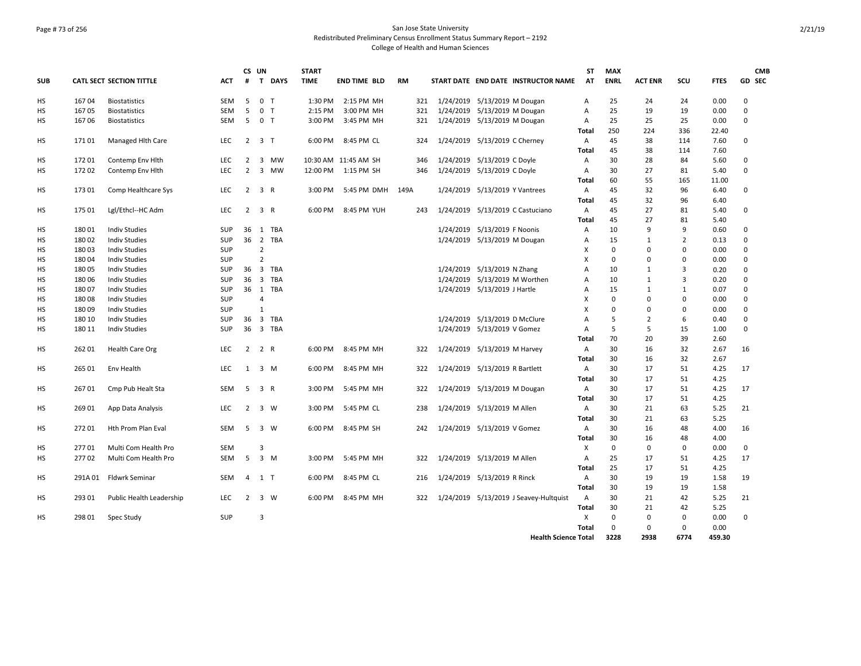## Page # 73 of 256 San Jose State University Redistributed Preliminary Census Enrollment Status Summary Report – 2192 College of Health and Human Sciences

|            |        |                                 |            | CS UN          |                |             | <b>START</b> |                      |           |     |                              |                                |                                         | <b>ST</b> | <b>MAX</b>  |                |                |             | <b>CMB</b>  |
|------------|--------|---------------------------------|------------|----------------|----------------|-------------|--------------|----------------------|-----------|-----|------------------------------|--------------------------------|-----------------------------------------|-----------|-------------|----------------|----------------|-------------|-------------|
| <b>SUB</b> |        | <b>CATL SECT SECTION TITTLE</b> | <b>ACT</b> | #              | $\mathbf{T}$   | <b>DAYS</b> | <b>TIME</b>  | <b>END TIME BLD</b>  | <b>RM</b> |     |                              |                                | START DATE END DATE INSTRUCTOR NAME     | AT        | <b>ENRL</b> | <b>ACT ENR</b> | SCU            | <b>FTES</b> | GD SEC      |
| нs         | 16704  | <b>Biostatistics</b>            | <b>SEM</b> | 5              | 0 <sub>T</sub> |             | $1:30$ PM    | 2:15 PM MH           |           | 321 | 1/24/2019 5/13/2019 M Dougan |                                |                                         | A         | 25          | 24             | 24             | 0.00        | $\mathbf 0$ |
| HS         | 167 05 | <b>Biostatistics</b>            | <b>SEM</b> | 5              | 0 <sub>T</sub> |             | 2:15 PM      | 3:00 PM MH           |           | 321 |                              | 1/24/2019 5/13/2019 M Dougan   |                                         | А         | 25          | 19             | 19             | 0.00        | $\pmb{0}$   |
| HS         | 167 06 | <b>Biostatistics</b>            | SEM        | 5              | 0 <sub>T</sub> |             | 3:00 PM      | 3:45 PM MH           |           | 321 | 1/24/2019 5/13/2019 M Dougan |                                |                                         | А         | 25          | 25             | 25             | 0.00        | $\mathbf 0$ |
|            |        |                                 |            |                |                |             |              |                      |           |     |                              |                                |                                         | Total     | 250         | 224            | 336            | 22.40       |             |
| HS         | 17101  | Managed Hlth Care               | <b>LEC</b> | $\overline{2}$ | 3 <sub>T</sub> |             | 6:00 PM      | 8:45 PM CL           |           | 324 |                              | 1/24/2019 5/13/2019 C Cherney  |                                         | A         | 45          | 38             | 114            | 7.60        | $\mathbf 0$ |
|            |        |                                 |            |                |                |             |              |                      |           |     |                              |                                |                                         | Total     | 45          | 38             | 114            | 7.60        |             |
| HS         | 17201  | Contemp Env Hlth                | LEC        | $\overline{2}$ | $\overline{3}$ | <b>MW</b>   |              | 10:30 AM 11:45 AM SH |           | 346 |                              | 1/24/2019 5/13/2019 C Doyle    |                                         | Α         | 30          | 28             | 84             | 5.60        | $\mathbf 0$ |
| <b>HS</b>  | 17202  | Contemp Env Hlth                | <b>LEC</b> | $\overline{2}$ |                | 3 MW        | 12:00 PM     | 1:15 PM SH           |           | 346 |                              | 1/24/2019 5/13/2019 C Doyle    |                                         | A         | 30          | 27             | 81             | 5.40        | 0           |
|            |        |                                 |            |                |                |             |              |                      |           |     |                              |                                |                                         | Total     | 60          | 55             | 165            | 11.00       |             |
| HS         | 17301  | Comp Healthcare Sys             | <b>LEC</b> | $\overline{2}$ | 3 R            |             | 3:00 PM      | 5:45 PM DMH          | 149A      |     |                              | 1/24/2019 5/13/2019 Y Vantrees |                                         | A         | 45          | 32             | 96             | 6.40        | 0           |
|            |        |                                 |            |                |                |             |              |                      |           |     |                              |                                |                                         | Total     | 45          | 32             | 96             | 6.40        |             |
| HS         | 175 01 | Lgl/Ethcl--HC Adm               | LEC        | $\overline{2}$ | 3 R            |             | 6:00 PM      | 8:45 PM YUH          |           | 243 |                              |                                | 1/24/2019 5/13/2019 C Castuciano        | Α         | 45          | 27             | 81             | 5.40        | $\mathbf 0$ |
|            |        |                                 |            |                |                |             |              |                      |           |     |                              |                                |                                         | Total     | 45          | 27             | 81             | 5.40        |             |
| HS         | 18001  | <b>Indiv Studies</b>            | SUP        | 36             |                | 1 TBA       |              |                      |           |     |                              | 1/24/2019 5/13/2019 F Noonis   |                                         | A         | 10          | 9              | 9              | 0.60        | $\mathbf 0$ |
| <b>HS</b>  | 18002  | <b>Indiv Studies</b>            | SUP        | 36             |                | 2 TBA       |              |                      |           |     |                              | 1/24/2019 5/13/2019 M Dougan   |                                         | A         | 15          | $\mathbf{1}$   | $\overline{2}$ | 0.13        | $\mathbf 0$ |
| HS         | 18003  | <b>Indiv Studies</b>            | <b>SUP</b> |                | $\overline{2}$ |             |              |                      |           |     |                              |                                |                                         | X         | $\mathbf 0$ | $\Omega$       | $\Omega$       | 0.00        | $\mathbf 0$ |
| HS         | 18004  | <b>Indiv Studies</b>            | SUP        |                | $\overline{2}$ |             |              |                      |           |     |                              |                                |                                         | X         | 0           | $\Omega$       | $\Omega$       | 0.00        | 0           |
| HS         | 18005  | <b>Indiv Studies</b>            | <b>SUP</b> | 36             |                | 3 TBA       |              |                      |           |     |                              | 1/24/2019 5/13/2019 N Zhang    |                                         | A         | 10          | $\mathbf{1}$   | 3              | 0.20        | 0           |
| HS         | 180 06 | <b>Indiv Studies</b>            | <b>SUP</b> | 36             |                | 3 TBA       |              |                      |           |     |                              | 1/24/2019 5/13/2019 M Worthen  |                                         | A         | 10          | $\mathbf{1}$   | 3              | 0.20        | 0           |
| HS         | 180 07 | <b>Indiv Studies</b>            | SUP        | 36             |                | 1 TBA       |              |                      |           |     |                              | 1/24/2019 5/13/2019 J Hartle   |                                         | А         | 15          | $\mathbf{1}$   | $\mathbf{1}$   | 0.07        | $\mathbf 0$ |
| НS         | 180 08 | <b>Indiv Studies</b>            | SUP        |                | $\overline{4}$ |             |              |                      |           |     |                              |                                |                                         | X         | $\mathbf 0$ | $\Omega$       | $\Omega$       | 0.00        | $\mathbf 0$ |
| НS         | 18009  | <b>Indiv Studies</b>            | SUP        |                | $\mathbf{1}$   |             |              |                      |           |     |                              |                                |                                         | X         | 0           | $\mathbf 0$    | $\Omega$       | 0.00        | 0           |
| HS         | 180 10 | <b>Indiv Studies</b>            | SUP        | 36             |                | 3 TBA       |              |                      |           |     |                              | 1/24/2019 5/13/2019 D McClure  |                                         | A         | 5           | $\overline{2}$ | 6              | 0.40        | $\mathbf 0$ |
| HS         | 180 11 | <b>Indiv Studies</b>            | SUP        | 36             |                | 3 TBA       |              |                      |           |     |                              | 1/24/2019 5/13/2019 V Gomez    |                                         | A         | 5           | 5              | 15             | 1.00        | $\Omega$    |
|            |        |                                 |            |                |                |             |              |                      |           |     |                              |                                |                                         | Total     | 70          | 20             | 39             | 2.60        |             |
| HS         | 262 01 | Health Care Org                 | <b>LEC</b> | $2^{\circ}$    | 2 R            |             | 6:00 PM      | 8:45 PM MH           |           | 322 |                              | 1/24/2019 5/13/2019 M Harvey   |                                         | Α         | 30          | 16             | 32             | 2.67        | 16          |
|            |        |                                 |            |                |                |             |              |                      |           |     |                              |                                |                                         | Total     | 30          | 16             | 32             | 2.67        |             |
| HS         | 265 01 | Env Health                      | <b>LEC</b> | $\mathbf{1}$   | 3 M            |             | 6:00 PM      | 8:45 PM MH           |           | 322 |                              | 1/24/2019 5/13/2019 R Bartlett |                                         | Α         | 30          | 17             | 51             | 4.25        | 17          |
|            |        |                                 |            |                |                |             |              |                      |           |     |                              |                                |                                         | Total     | 30          | 17             | 51             | 4.25        |             |
| HS         | 26701  | Cmp Pub Healt Sta               | SEM        | 5              | 3 R            |             | 3:00 PM      | 5:45 PM MH           |           | 322 | 1/24/2019 5/13/2019 M Dougan |                                |                                         | Α         | 30          | 17             | 51             | 4.25        | 17          |
|            |        |                                 |            |                |                |             |              |                      |           |     |                              |                                |                                         | Total     | 30          | 17             | 51             | 4.25        |             |
| НS         | 269 01 | App Data Analysis               | <b>LEC</b> | $\overline{2}$ | 3 W            |             | 3:00 PM      | 5:45 PM CL           |           | 238 |                              | 1/24/2019 5/13/2019 M Allen    |                                         | A         | 30          | 21             | 63             | 5.25        | 21          |
|            |        |                                 |            |                |                |             |              |                      |           |     |                              |                                |                                         | Total     | 30          | 21             | 63             | 5.25        |             |
| HS         | 27201  | Hth Prom Plan Eval              | <b>SEM</b> | 5              | 3 W            |             | 6:00 PM      | 8:45 PM SH           |           | 242 | 1/24/2019 5/13/2019 V Gomez  |                                |                                         | Α         | 30          | 16             | 48             | 4.00        | 16          |
|            |        |                                 |            |                |                |             |              |                      |           |     |                              |                                |                                         | Total     | 30          | 16             | 48             | 4.00        |             |
| HS         | 27701  | Multi Com Health Pro            | <b>SEM</b> |                | 3              |             |              |                      |           |     |                              |                                |                                         | Χ         | $\mathbf 0$ | 0              | 0              | 0.00        | 0           |
| HS         | 27702  | Multi Com Health Pro            | <b>SEM</b> | 5              | $3 \, M$       |             | 3:00 PM      | 5:45 PM MH           |           | 322 |                              | 1/24/2019 5/13/2019 M Allen    |                                         | A         | 25          | 17             | 51             | 4.25        | 17          |
|            |        |                                 |            |                |                |             |              |                      |           |     |                              |                                |                                         | Total     | 25          | 17             | 51             | 4.25        |             |
| HS         | 291A01 | <b>Fldwrk Seminar</b>           | SEM        | $\overline{4}$ | 1 T            |             | 6:00 PM      | 8:45 PM CL           |           | 216 | 1/24/2019 5/13/2019 R Rinck  |                                |                                         | Α         | 30          | 19             | 19             | 1.58        | 19          |
|            |        |                                 |            |                |                |             |              |                      |           |     |                              |                                |                                         | Total     | 30          | 19             | 19             | 1.58        |             |
| НS         | 293 01 | Public Health Leadership        | <b>LEC</b> | $\overline{2}$ | 3 W            |             | 6:00 PM      | 8:45 PM MH           |           | 322 |                              |                                | 1/24/2019  5/13/2019 J Seavey-Hultquist | A         | 30          | 21             | 42             | 5.25        | 21          |
|            |        |                                 |            |                |                |             |              |                      |           |     |                              |                                |                                         | Total     | 30          | 21             | 42             | 5.25        |             |
| HS         | 298 01 | Spec Study                      | SUP        |                | 3              |             |              |                      |           |     |                              |                                |                                         | X         | 0           | 0              | 0              | 0.00        | $\mathbf 0$ |
|            |        |                                 |            |                |                |             |              |                      |           |     |                              |                                |                                         | Total     | 0           | $\Omega$       | 0              | 0.00        |             |
|            |        |                                 |            |                |                |             |              |                      |           |     |                              |                                | <b>Health Science Total</b>             |           | 3228        | 2938           | 6774           | 459.30      |             |
|            |        |                                 |            |                |                |             |              |                      |           |     |                              |                                |                                         |           |             |                |                |             |             |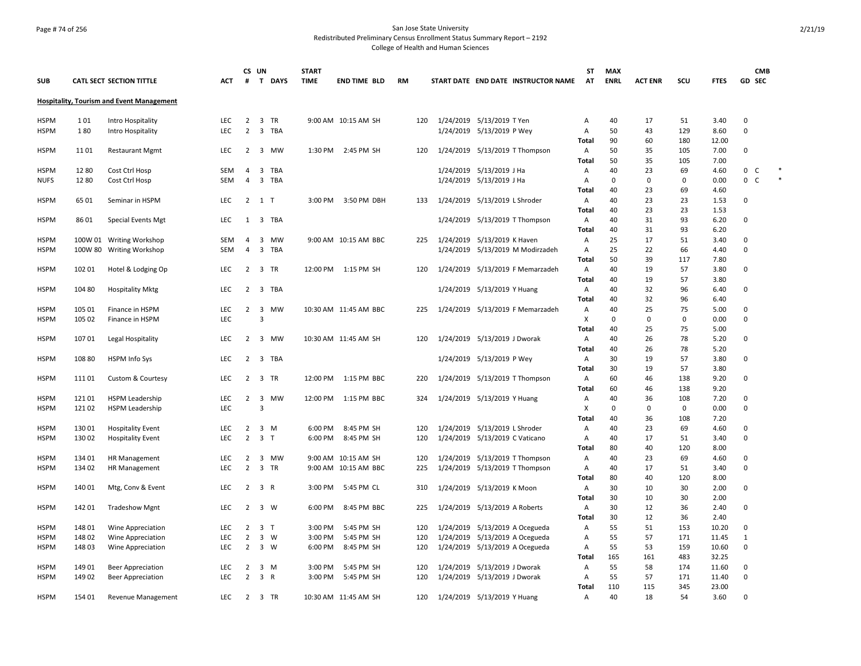## Page # 74 of 256 San Jose State University Redistributed Preliminary Census Enrollment Status Summary Report – 2192

|             |        |                                                  |            |                | CS UN                   |        | <b>START</b> |                       |           |           |                                     | ST             | <b>MAX</b>  |                |     |             | <b>CMB</b>  |        |
|-------------|--------|--------------------------------------------------|------------|----------------|-------------------------|--------|--------------|-----------------------|-----------|-----------|-------------------------------------|----------------|-------------|----------------|-----|-------------|-------------|--------|
| <b>SUB</b>  |        | <b>CATL SECT SECTION TITTLE</b>                  | <b>ACT</b> | #              |                         | T DAYS | <b>TIME</b>  | <b>END TIME BLD</b>   | <b>RM</b> |           | START DATE END DATE INSTRUCTOR NAME | <b>AT</b>      | <b>ENRL</b> | <b>ACT ENR</b> | SCU | <b>FTES</b> | GD SEC      |        |
|             |        | <b>Hospitality, Tourism and Event Management</b> |            |                |                         |        |              |                       |           |           |                                     |                |             |                |     |             |             |        |
| <b>HSPM</b> | 101    | Intro Hospitality                                | <b>LEC</b> | $\overline{2}$ | 3 TR                    |        |              | 9:00 AM 10:15 AM SH   | 120       |           | 1/24/2019 5/13/2019 T Yen           | Α              | 40          | 17             | 51  | 3.40        | $\mathbf 0$ |        |
| HSPM        | 180    | Intro Hospitality                                | <b>LEC</b> | $\overline{2}$ | $\overline{3}$          | TBA    |              |                       |           |           | 1/24/2019 5/13/2019 P Wey           | $\mathsf{A}$   | 50          | 43             | 129 | 8.60        | $\mathbf 0$ |        |
|             |        |                                                  |            |                |                         |        |              |                       |           |           |                                     | Total          | 90          | 60             | 180 | 12.00       |             |        |
| <b>HSPM</b> | 1101   | <b>Restaurant Mgmt</b>                           | <b>LEC</b> | 2              | $\overline{\mathbf{3}}$ | MW     | 1:30 PM      | 2:45 PM SH            | 120       |           | 1/24/2019 5/13/2019 T Thompson      | $\mathsf{A}$   | 50          | 35             | 105 | 7.00        | $\mathbf 0$ |        |
|             |        |                                                  |            |                |                         |        |              |                       |           |           |                                     | Total          | 50          | 35             | 105 | 7.00        |             |        |
| <b>HSPM</b> | 1280   | Cost Ctrl Hosp                                   | SEM        | $\overline{4}$ |                         | 3 TBA  |              |                       |           |           | 1/24/2019 5/13/2019 J Ha            | Α              | 40          | 23             | 69  | 4.60        | 0 C         |        |
| NUFS        | 1280   | Cost Ctrl Hosp                                   | SEM        | 4              |                         | 3 TBA  |              |                       |           |           | 1/24/2019 5/13/2019 J Ha            | A              | 0           | $\Omega$       | 0   | 0.00        | $0-$        | $\ast$ |
|             |        |                                                  |            |                |                         |        |              |                       |           |           |                                     | Total          | 40          | 23             | 69  | 4.60        |             |        |
| HSPM        | 6501   | Seminar in HSPM                                  | <b>LEC</b> |                | $2 \quad 1 \quad T$     |        | 3:00 PM      | 3:50 PM DBH           | 133       | 1/24/2019 | 5/13/2019 L Shroder                 | A              | 40          | 23             | 23  | 1.53        | 0           |        |
|             |        |                                                  |            |                |                         |        |              |                       |           |           |                                     | Total          | 40          | 23             | 23  | 1.53        |             |        |
| <b>HSPM</b> | 8601   | Special Events Mgt                               | <b>LEC</b> | 1              |                         | 3 TBA  |              |                       |           |           | 1/24/2019 5/13/2019 T Thompson      | $\overline{A}$ | 40          | 31             | 93  | 6.20        | 0           |        |
|             |        |                                                  |            |                |                         |        |              |                       |           |           |                                     | Total          | 40          | 31             | 93  | 6.20        |             |        |
| <b>HSPM</b> |        | 100W 01 Writing Workshop                         | <b>SEM</b> | 4              | 3                       | MW     |              | 9:00 AM 10:15 AM BBC  | 225       |           | 1/24/2019 5/13/2019 K Haven         | Α              | 25          | 17             | 51  | 3.40        | 0           |        |
| HSPM        |        | 100W 80 Writing Workshop                         | SEM        | $\overline{4}$ |                         | 3 TBA  |              |                       |           |           | 1/24/2019 5/13/2019 M Modirzadeh    | Α              | 25          | 22             | 66  | 4.40        | $\mathbf 0$ |        |
|             |        |                                                  |            |                |                         |        |              |                       |           |           |                                     | Total          | 50          | 39             | 117 | 7.80        |             |        |
| <b>HSPM</b> | 102 01 | Hotel & Lodging Op                               | LEC        | $\overline{2}$ | 3 TR                    |        |              | 12:00 PM 1:15 PM SH   | 120       |           | 1/24/2019 5/13/2019 F Memarzadeh    | $\mathsf{A}$   | 40          | 19             | 57  | 3.80        | $\mathbf 0$ |        |
|             |        |                                                  |            |                |                         |        |              |                       |           |           |                                     | Total          | 40          | 19             | 57  | 3.80        |             |        |
| <b>HSPM</b> | 104 80 | <b>Hospitality Mktg</b>                          | <b>LEC</b> | $\overline{2}$ |                         | 3 TBA  |              |                       |           |           | 1/24/2019 5/13/2019 Y Huang         | $\mathsf{A}$   | 40          | 32             | 96  | 6.40        | $\mathbf 0$ |        |
|             |        |                                                  |            |                |                         |        |              |                       |           |           |                                     | Total          | 40          | 32             | 96  | 6.40        |             |        |
| <b>HSPM</b> | 105 01 | Finance in HSPM                                  | <b>LEC</b> | 2              | 3                       | МW     |              | 10:30 AM 11:45 AM BBC | 225       |           | 1/24/2019 5/13/2019 F Memarzadeh    | A              | 40          | 25             | 75  | 5.00        | $\mathbf 0$ |        |
| HSPM        | 105 02 | Finance in HSPM                                  | LEC        |                | 3                       |        |              |                       |           |           |                                     | X              | 0           | 0              | 0   | 0.00        | $\mathbf 0$ |        |
|             |        |                                                  |            |                |                         |        |              |                       |           |           |                                     | Total          | 40          | 25             | 75  | 5.00        |             |        |
| HSPM        | 10701  | Legal Hospitality                                | <b>LEC</b> | $\overline{2}$ | $\overline{\mathbf{3}}$ | MW     |              | 10:30 AM 11:45 AM SH  | 120       |           | 1/24/2019 5/13/2019 J Dworak        | $\mathsf{A}$   | 40          | 26             | 78  | 5.20        | $\mathbf 0$ |        |
|             |        |                                                  |            |                |                         |        |              |                       |           |           |                                     | <b>Total</b>   | 40          | 26             | 78  | 5.20        |             |        |
| <b>HSPM</b> | 108 80 | <b>HSPM Info Sys</b>                             | LEC        | $\overline{2}$ |                         | 3 TBA  |              |                       |           |           | 1/24/2019 5/13/2019 P Wey           | $\mathsf{A}$   | 30          | 19             | 57  | 3.80        | $\mathbf 0$ |        |
|             |        |                                                  |            |                |                         |        |              |                       |           |           |                                     | <b>Total</b>   | 30          | 19             | 57  | 3.80        |             |        |
| <b>HSPM</b> | 11101  | Custom & Courtesy                                | LEC        | $2^{\circ}$    | 3 TR                    |        | 12:00 PM     | 1:15 PM BBC           | 220       |           | 1/24/2019 5/13/2019 T Thompson      | Α              | 60          | 46             | 138 | 9.20        | $\pmb{0}$   |        |
|             |        |                                                  |            |                |                         |        |              |                       |           |           |                                     | Total          | 60          | 46             | 138 | 9.20        |             |        |
| HSPM        | 12101  | <b>HSPM Leadership</b>                           | <b>LEC</b> | $\overline{2}$ | $\overline{3}$          | MW     | 12:00 PM     | 1:15 PM BBC           | 324       |           | 1/24/2019 5/13/2019 Y Huang         | Α              | 40          | 36             | 108 | 7.20        | $\mathbf 0$ |        |
| <b>HSPM</b> | 121 02 | <b>HSPM Leadership</b>                           | <b>LEC</b> |                | $\overline{3}$          |        |              |                       |           |           |                                     | X              | 0           | 0              | 0   | 0.00        | $\mathbf 0$ |        |
|             |        |                                                  |            |                |                         |        |              |                       |           |           |                                     | Total          | 40          | 36             | 108 | 7.20        |             |        |
| <b>HSPM</b> | 13001  | <b>Hospitality Event</b>                         | <b>LEC</b> | $\overline{2}$ | 3 M                     |        | 6:00 PM      | 8:45 PM SH            | 120       |           | 1/24/2019 5/13/2019 L Shroder       | Α              | 40          | 23             | 69  | 4.60        | $\mathbf 0$ |        |
| <b>HSPM</b> | 13002  | <b>Hospitality Event</b>                         | <b>LEC</b> | $\overline{2}$ | 3 <sub>T</sub>          |        | 6:00 PM      | 8:45 PM SH            | 120       |           | 1/24/2019 5/13/2019 C Vaticano      | $\mathsf{A}$   | 40          | 17             | 51  | 3.40        | $\mathbf 0$ |        |
|             |        |                                                  |            |                |                         |        |              |                       |           |           |                                     | Total          | 80          | 40             | 120 | 8.00        |             |        |
| HSPM        | 134 01 | HR Management                                    | <b>LEC</b> | 2              |                         | 3 MW   |              | 9:00 AM 10:15 AM SH   | 120       |           | 1/24/2019 5/13/2019 T Thompson      | A              | 40          | 23             | 69  | 4.60        | 0           |        |
| HSPM        | 134 02 | HR Management                                    | LEC        | $\overline{2}$ | 3 TR                    |        | 9:00 AM      | 10:15 AM BBC          | 225       |           | 1/24/2019 5/13/2019 T Thompson      | A              | 40          | 17             | 51  | 3.40        | $\mathbf 0$ |        |
|             |        |                                                  |            |                |                         |        |              |                       |           |           |                                     | Total          | 80          | 40             | 120 | 8.00        |             |        |
| <b>HSPM</b> | 140 01 | Mtg, Conv & Event                                | LEC        | $\overline{2}$ | 3 R                     |        | 3:00 PM      | 5:45 PM CL            | 310       |           | 1/24/2019 5/13/2019 K Moon          | $\mathsf{A}$   | 30          | 10             | 30  | 2.00        | $\mathbf 0$ |        |
|             |        |                                                  |            |                |                         |        |              |                       |           |           |                                     | Total          | 30          | 10             | 30  | 2.00        |             |        |
| <b>HSPM</b> | 142 01 | <b>Tradeshow Mgnt</b>                            | <b>LEC</b> | $\overline{2}$ | 3 W                     |        | 6:00 PM      | 8:45 PM BBC           | 225       |           | 1/24/2019 5/13/2019 A Roberts       | $\mathsf{A}$   | 30          | 12             | 36  | 2.40        | $\pmb{0}$   |        |
|             |        |                                                  |            |                |                         |        |              |                       |           |           |                                     | Total          | 30          | 12             | 36  | 2.40        |             |        |
| HSPM        | 148 01 | Wine Appreciation                                | <b>LEC</b> | 2              | 3 <sub>T</sub>          |        | 3:00 PM      | 5:45 PM SH            | 120       | 1/24/2019 | 5/13/2019 A Ocegueda                | A              | 55          | 51             | 153 | 10.20       | $\mathbf 0$ |        |
| HSPM        | 14802  | Wine Appreciation                                | LEC        | $\overline{2}$ | 3 W                     |        | 3:00 PM      | 5:45 PM SH            | 120       | 1/24/2019 | 5/13/2019 A Ocegueda                | Α              | 55          | 57             | 171 | 11.45       | 1           |        |
| HSPM        | 14803  | Wine Appreciation                                | <b>LEC</b> | $\overline{2}$ | 3 W                     |        | 6:00 PM      | 8:45 PM SH            | 120       |           | 1/24/2019 5/13/2019 A Ocegueda      | A              | 55          | 53             | 159 | 10.60       | $\mathbf 0$ |        |
|             |        |                                                  |            |                |                         |        |              |                       |           |           |                                     | Total          | 165         | 161            | 483 | 32.25       |             |        |
| HSPM        | 14901  | <b>Beer Appreciation</b>                         | <b>LEC</b> | 2              | 3 M                     |        | 3:00 PM      | 5:45 PM SH            | 120       | 1/24/2019 | 5/13/2019 J Dworak                  | $\mathsf{A}$   | 55          | 58             | 174 | 11.60       | 0           |        |
| <b>HSPM</b> | 14902  | <b>Beer Appreciation</b>                         | <b>LEC</b> | $\overline{2}$ | 3 R                     |        | 3:00 PM      | 5:45 PM SH            | 120       |           | 1/24/2019 5/13/2019 J Dworak        | A              | 55          | 57             | 171 | 11.40       | $\mathbf 0$ |        |
|             |        |                                                  |            |                |                         |        |              |                       |           |           |                                     | Total          | 110         | 115            | 345 | 23.00       |             |        |
| <b>HSPM</b> | 154 01 | Revenue Management                               | <b>LEC</b> | 2              | 3 TR                    |        |              | 10:30 AM 11:45 AM SH  | 120       |           | 1/24/2019 5/13/2019 Y Huang         | Α              | 40          | 18             | 54  | 3.60        | $\mathbf 0$ |        |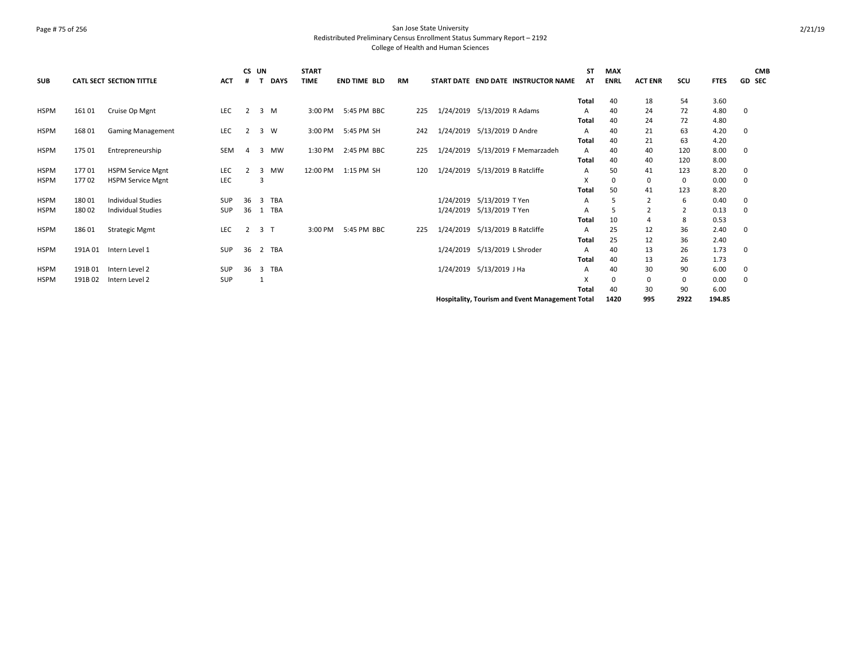### Page # 75 of 256 San Jose State University Redistributed Preliminary Census Enrollment Status Summary Report – 2192 College of Health and Human Sciences

|             |        |                           |            | CS UN          |                |             | <b>START</b> |                     |           |     |                                 |                       |                                                 | <b>ST</b>    | <b>MAX</b>  |                |                |             |   | <b>CMB</b> |
|-------------|--------|---------------------------|------------|----------------|----------------|-------------|--------------|---------------------|-----------|-----|---------------------------------|-----------------------|-------------------------------------------------|--------------|-------------|----------------|----------------|-------------|---|------------|
| <b>SUB</b>  |        | CATL SECT SECTION TITTLE  | <b>ACT</b> | #              |                | <b>DAYS</b> | <b>TIME</b>  | <b>END TIME BLD</b> | <b>RM</b> |     |                                 |                       | START DATE END DATE INSTRUCTOR NAME             | AT           | <b>ENRL</b> | <b>ACT ENR</b> | SCU            | <b>FTES</b> |   | GD SEC     |
|             |        |                           |            |                |                |             |              |                     |           |     |                                 |                       |                                                 | Total        | 40          | 18             | 54             | 3.60        |   |            |
| <b>HSPM</b> | 161 01 | Cruise Op Mgnt            | <b>LEC</b> | 2              |                | 3 M         | 3:00 PM      | 5:45 PM BBC         |           | 225 | 1/24/2019 5/13/2019 R Adams     |                       |                                                 | A            | 40          | 24             | 72             | 4.80        | 0 |            |
|             |        |                           |            |                |                |             |              |                     |           |     |                                 |                       |                                                 | Total        | 40          | 24             | 72             | 4.80        |   |            |
| <b>HSPM</b> | 168 01 | <b>Gaming Management</b>  | LEC        | 2              | 3 W            |             | 3:00 PM      | 5:45 PM SH          |           | 242 | 1/24/2019                       | 5/13/2019 D Andre     |                                                 | А            | 40          | 21             | 63             | 4.20        | 0 |            |
|             |        |                           |            |                |                |             |              |                     |           |     |                                 |                       |                                                 | Total        | 40          | 21             | 63             | 4.20        |   |            |
| <b>HSPM</b> | 175 01 | Entrepreneurship          | <b>SEM</b> | 4              | 3              | MW          | 1:30 PM      | 2:45 PM BBC         |           | 225 | 1/24/2019                       |                       | 5/13/2019 F Memarzadeh                          | А            | 40          | 40             | 120            | 8.00        | 0 |            |
|             |        |                           |            |                |                |             |              |                     |           |     |                                 |                       |                                                 | Total        | 40          | 40             | 120            | 8.00        |   |            |
| <b>HSPM</b> | 17701  | <b>HSPM Service Mgnt</b>  | LEC        | $\overline{2}$ | 3              | MW          | 12:00 PM     | 1:15 PM SH          |           | 120 | 1/24/2019                       | 5/13/2019 B Ratcliffe |                                                 | A            | 50          | 41             | 123            | 8.20        | 0 |            |
| <b>HSPM</b> | 17702  | <b>HSPM Service Mgnt</b>  | LEC        |                | 3              |             |              |                     |           |     |                                 |                       |                                                 | X            |             | 0              | 0              | 0.00        | 0 |            |
|             |        |                           |            |                |                |             |              |                     |           |     |                                 |                       |                                                 | Total        | 50          | 41             | 123            | 8.20        |   |            |
| <b>HSPM</b> | 18001  | <b>Individual Studies</b> | SUP        | 36             |                | 3 TBA       |              |                     |           |     | 1/24/2019                       | 5/13/2019 T Yen       |                                                 | A            |             | $\overline{2}$ | 6              | 0.40        | 0 |            |
| <b>HSPM</b> | 180 02 | <b>Individual Studies</b> | <b>SUP</b> | 36             |                | 1 TBA       |              |                     |           |     | 1/24/2019                       | 5/13/2019 T Yen       |                                                 | A            |             | $\overline{2}$ | $\overline{2}$ | 0.13        | 0 |            |
|             |        |                           |            |                |                |             |              |                     |           |     |                                 |                       |                                                 | Total        | 10          | $\overline{4}$ | 8              | 0.53        |   |            |
| <b>HSPM</b> | 18601  | <b>Strategic Mgmt</b>     | LEC        | 2              | 3 <sub>T</sub> |             | 3:00 PM      | 5:45 PM BBC         |           | 225 | 1/24/2019 5/13/2019 B Ratcliffe |                       |                                                 | A            | 25          | 12             | 36             | 2.40        | 0 |            |
|             |        |                           |            |                |                |             |              |                     |           |     |                                 |                       |                                                 | Total        | 25          | 12             | 36             | 2.40        |   |            |
| <b>HSPM</b> | 191A01 | Intern Level 1            | <b>SUP</b> | 36             |                | 2 TBA       |              |                     |           |     | 1/24/2019 5/13/2019 L Shroder   |                       |                                                 | A            | 40          | 13             | 26             | 1.73        | 0 |            |
|             |        |                           |            |                |                |             |              |                     |           |     |                                 |                       |                                                 | Total        | 40          | 13             | 26             | 1.73        |   |            |
| <b>HSPM</b> | 191B01 | Intern Level 2            | SUP        | 36             |                | 3 TBA       |              |                     |           |     | 1/24/2019 5/13/2019 J Ha        |                       |                                                 | A            | 40          | 30             | 90             | 6.00        | 0 |            |
| <b>HSPM</b> | 191B02 | Intern Level 2            | <b>SUP</b> |                |                |             |              |                     |           |     |                                 |                       |                                                 | x            |             | 0              | 0              | 0.00        | 0 |            |
|             |        |                           |            |                |                |             |              |                     |           |     |                                 |                       |                                                 | <b>Total</b> | 40          | 30             | 90             | 6.00        |   |            |
|             |        |                           |            |                |                |             |              |                     |           |     |                                 |                       | Hospitality, Tourism and Event Management Total |              | 1420        | 995            | 2922           | 194.85      |   |            |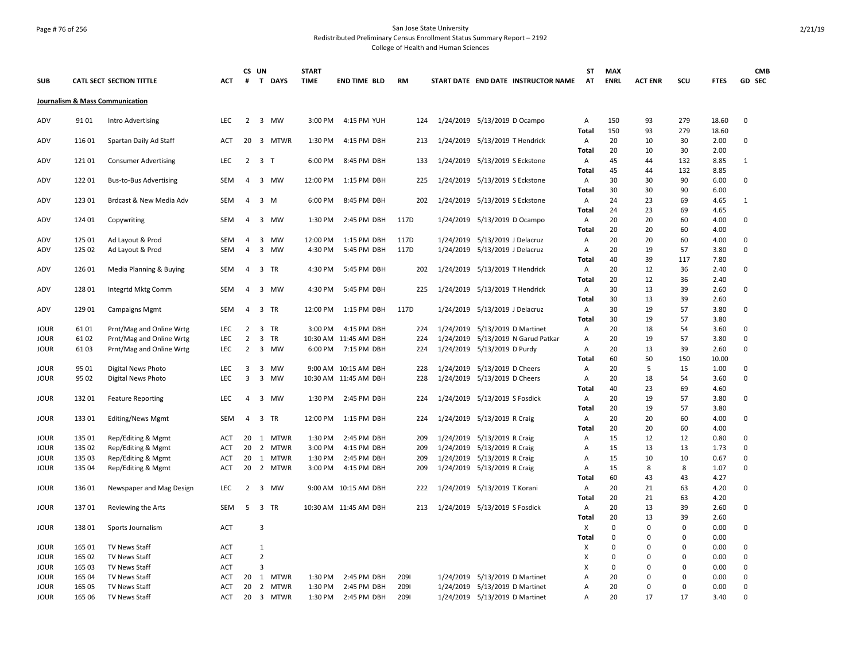## Page # 76 of 256 San Jose State University Redistributed Preliminary Census Enrollment Status Summary Report – 2192 College of Health and Human Sciences

|            |        |                                 |            |                | CS UN          |                | <b>START</b> |                       |           |           |                                     | ST             | <b>MAX</b>  |                |          |              |              | <b>CMB</b> |
|------------|--------|---------------------------------|------------|----------------|----------------|----------------|--------------|-----------------------|-----------|-----------|-------------------------------------|----------------|-------------|----------------|----------|--------------|--------------|------------|
| <b>SUB</b> |        | CATL SECT SECTION TITTLE        | <b>ACT</b> | #              |                | T DAYS         | <b>TIME</b>  | <b>END TIME BLD</b>   | <b>RM</b> |           | START DATE END DATE INSTRUCTOR NAME | AT             | <b>ENRL</b> | <b>ACT ENR</b> | SCU      | <b>FTES</b>  |              | GD SEC     |
|            |        | Journalism & Mass Communication |            |                |                |                |              |                       |           |           |                                     |                |             |                |          |              |              |            |
| ADV        | 9101   | Intro Advertising               | <b>LEC</b> | $\overline{2}$ |                | 3 MW           | 3:00 PM      | 4:15 PM YUH           | 124       |           | 1/24/2019 5/13/2019 D Ocampo        | Α              | 150         | 93             | 279      | 18.60        | $\mathbf 0$  |            |
|            |        |                                 |            |                |                |                |              |                       |           |           |                                     | Total          | 150         | 93             | 279      | 18.60        |              |            |
| ADV        | 116 01 | Spartan Daily Ad Staff          | <b>ACT</b> |                |                | 20 3 MTWR      | 1:30 PM      | 4:15 PM DBH           | 213       |           | 1/24/2019 5/13/2019 T Hendrick      | Α<br>Total     | 20<br>20    | 10<br>10       | 30<br>30 | 2.00<br>2.00 | 0            |            |
| ADV        | 12101  | <b>Consumer Advertising</b>     | LEC        | $\overline{2}$ |                | 3 <sub>T</sub> | 6:00 PM      | 8:45 PM DBH           | 133       | 1/24/2019 | 5/13/2019 S Eckstone                | A              | 45          | 44             | 132      | 8.85         | $\mathbf{1}$ |            |
|            |        |                                 |            |                |                |                |              |                       |           |           |                                     | Total          | 45          | 44             | 132      | 8.85         |              |            |
| ADV        | 12201  | <b>Bus-to-Bus Advertising</b>   | SEM        | 4              | 3              | MW             | 12:00 PM     | 1:15 PM DBH           | 225       | 1/24/2019 | 5/13/2019 S Eckstone                | $\mathsf{A}$   | 30          | 30             | 90       | 6.00         | $\mathbf 0$  |            |
|            |        |                                 |            |                |                |                |              |                       |           |           |                                     | Total          | 30          | 30             | 90       | 6.00         |              |            |
| ADV        | 123 01 | Brdcast & New Media Adv         | SEM        | $\overline{4}$ |                | $3 \, M$       | 6:00 PM      | 8:45 PM DBH           | 202       | 1/24/2019 | 5/13/2019 S Eckstone                | $\mathsf{A}$   | 24          | 23             | 69       | 4.65         | $\mathbf{1}$ |            |
|            |        |                                 |            |                |                |                |              |                       |           |           |                                     | Total          | 24          | 23             | 69       | 4.65         |              |            |
| ADV        | 124 01 | Copywriting                     | SEM        | $\overline{4}$ |                | 3 MW           | 1:30 PM      | 2:45 PM DBH           | 117D      | 1/24/2019 | 5/13/2019 D Ocampo                  | Α              | 20          | 20             | 60       | 4.00         | 0            |            |
|            |        |                                 |            |                |                |                |              |                       |           |           |                                     | <b>Total</b>   | 20          | 20             | 60       | 4.00         |              |            |
| ADV        | 125 01 | Ad Layout & Prod                | <b>SEM</b> | $\overline{4}$ | 3              | MW             | 12:00 PM     | 1:15 PM DBH           | 117D      | 1/24/2019 | 5/13/2019 J Delacruz                | Α              | 20          | 20             | 60       | 4.00         | $\mathbf 0$  |            |
| ADV        | 125 02 | Ad Layout & Prod                | <b>SEM</b> | $\overline{4}$ |                | 3 MW           | 4:30 PM      | 5:45 PM DBH           | 117D      | 1/24/2019 | 5/13/2019 J Delacruz                | Α              | 20          | 19             | 57       | 3.80         | $\mathbf 0$  |            |
|            |        |                                 |            |                |                |                |              |                       |           |           |                                     | Total          | 40          | 39             | 117      | 7.80         |              |            |
| ADV        | 126 01 | Media Planning & Buying         | <b>SEM</b> | $\overline{4}$ |                | 3 TR           | 4:30 PM      | 5:45 PM DBH           | 202       |           | 1/24/2019 5/13/2019 T Hendrick      | Α              | 20          | 12             | 36       | 2.40         | 0            |            |
|            |        |                                 |            |                |                |                |              |                       |           |           |                                     | <b>Total</b>   | 20          | 12             | 36       | 2.40         |              |            |
| ADV        | 128 01 | Integrtd Mktg Comm              | SEM        | $\overline{4}$ |                | 3 MW           | 4:30 PM      | 5:45 PM DBH           | 225       | 1/24/2019 | 5/13/2019 T Hendrick                | A<br>Total     | 30<br>30    | 13<br>13       | 39<br>39 | 2.60<br>2.60 | $\mathbf 0$  |            |
| ADV        | 129 01 | <b>Campaigns Mgmt</b>           | SEM        | $\overline{4}$ |                | 3 TR           | 12:00 PM     | 1:15 PM DBH           | 117D      | 1/24/2019 | 5/13/2019 J Delacruz                | Α              | 30          | 19             | 57       | 3.80         | $\mathbf 0$  |            |
|            |        |                                 |            |                |                |                |              |                       |           |           |                                     | Total          | 30          | 19             | 57       | 3.80         |              |            |
| JOUR       | 6101   | Prnt/Mag and Online Wrtg        | LEC        | 2              | 3              | TR             | 3:00 PM      | 4:15 PM DBH           | 224       | 1/24/2019 | 5/13/2019 D Martinet                | Α              | 20          | 18             | 54       | 3.60         | $\mathbf 0$  |            |
| JOUR       | 6102   | Prnt/Mag and Online Wrtg        | LEC        | $\overline{2}$ | $\overline{3}$ | <b>TR</b>      |              | 10:30 AM 11:45 AM DBH | 224       | 1/24/2019 | 5/13/2019 N Garud Patkar            | А              | 20          | 19             | 57       | 3.80         | $\mathbf 0$  |            |
| JOUR       | 6103   | Prnt/Mag and Online Wrtg        | <b>LEC</b> | $\overline{2}$ |                | 3 MW           | 6:00 PM      | 7:15 PM DBH           | 224       | 1/24/2019 | 5/13/2019 D Purdy                   | A              | 20          | 13             | 39       | 2.60         | $\mathbf 0$  |            |
|            |        |                                 |            |                |                |                |              |                       |           |           |                                     | Total          | 60          | 50             | 150      | 10.00        |              |            |
| JOUR       | 95 01  | Digital News Photo              | <b>LEC</b> | 3              | 3              | МW             |              | 9:00 AM 10:15 AM DBH  | 228       | 1/24/2019 | 5/13/2019 D Cheers                  | Α              | 20          | 5              | 15       | 1.00         | 0            |            |
| JOUR       | 95 02  | Digital News Photo              | <b>LEC</b> | 3              |                | 3 MW           |              | 10:30 AM 11:45 AM DBH | 228       | 1/24/2019 | 5/13/2019 D Cheers                  | Α              | 20          | 18             | 54       | 3.60         | $\mathbf 0$  |            |
|            |        |                                 |            |                |                |                |              |                       |           |           |                                     | Total          | 40          | 23             | 69       | 4.60         |              |            |
| JOUR       | 13201  | <b>Feature Reporting</b>        | <b>LEC</b> | $\overline{4}$ |                | 3 MW           | 1:30 PM      | 2:45 PM DBH           | 224       | 1/24/2019 | 5/13/2019 S Fosdick                 | Α              | 20          | 19             | 57       | 3.80         | 0            |            |
|            |        |                                 |            |                |                |                |              |                       |           |           |                                     | <b>Total</b>   | 20          | 19             | 57       | 3.80         |              |            |
| JOUR       | 133 01 | <b>Editing/News Mgmt</b>        | <b>SEM</b> | $\overline{4}$ |                | 3 TR           | 12:00 PM     | 1:15 PM DBH           | 224       |           | 1/24/2019 5/13/2019 R Craig         | A              | 20          | 20             | 60       | 4.00         | $\mathbf 0$  |            |
|            |        |                                 |            |                |                |                |              |                       |           |           |                                     | Total          | 20          | 20             | 60       | 4.00         |              |            |
| JOUR       | 135 01 | Rep/Editing & Mgmt              | ACT        | 20             | 1              | MTWR           | 1:30 PM      | 2:45 PM DBH           | 209       | 1/24/2019 | 5/13/2019 R Craig                   | Α              | 15          | 12             | 12       | 0.80         | 0            |            |
| JOUR       | 135 02 | Rep/Editing & Mgmt              | ACT        | 20             |                | 2 MTWR         | 3:00 PM      | 4:15 PM DBH           | 209       | 1/24/2019 | 5/13/2019 R Craig                   | Α              | 15          | 13             | 13       | 1.73         | $\mathbf 0$  |            |
| JOUR       | 135 03 | Rep/Editing & Mgmt              | ACT        | 20             | 1              | MTWR           | 1:30 PM      | 2:45 PM DBH           | 209       | 1/24/2019 | 5/13/2019 R Craig                   | Α              | 15          | 10             | 10       | 0.67         | $\mathbf 0$  |            |
| JOUR       | 135 04 | Rep/Editing & Mgmt              | ACT        | 20             |                | 2 MTWR         | 3:00 PM      | 4:15 PM DBH           | 209       |           | 1/24/2019 5/13/2019 R Craig         | Α              | 15          | 8              | 8        | 1.07         | $\mathbf 0$  |            |
|            | 136 01 |                                 | LEC.       | 2              | $\overline{3}$ |                |              |                       |           |           |                                     | <b>Total</b>   | 60<br>20    | 43<br>21       | 43<br>63 | 4.27         | $\Omega$     |            |
| JOUR       |        | Newspaper and Mag Design        |            |                |                | <b>MW</b>      |              | 9:00 AM 10:15 AM DBH  | 222       |           | 1/24/2019 5/13/2019 T Korani        | $\overline{A}$ | 20          | 21             | 63       | 4.20<br>4.20 |              |            |
| JOUR       | 13701  |                                 | SEM        | 5              | 3              | TR             |              | 10:30 AM 11:45 AM DBH | 213       | 1/24/2019 | 5/13/2019 S Fosdick                 | Total<br>A     | 20          | 13             | 39       | 2.60         | 0            |            |
|            |        | Reviewing the Arts              |            |                |                |                |              |                       |           |           |                                     | Total          | 20          | 13             | 39       | 2.60         |              |            |
| JOUR       | 13801  | Sports Journalism               | <b>ACT</b> |                | 3              |                |              |                       |           |           |                                     | X              | $\mathbf 0$ | 0              | $\Omega$ | 0.00         | 0            |            |
|            |        |                                 |            |                |                |                |              |                       |           |           |                                     | <b>Total</b>   | $\mathbf 0$ | $\Omega$       | $\Omega$ | 0.00         |              |            |
| JOUR       | 165 01 | <b>TV News Staff</b>            | ACT        |                | $\mathbf{1}$   |                |              |                       |           |           |                                     | X              | $\mathbf 0$ | $\Omega$       | $\Omega$ | 0.00         | $\mathbf 0$  |            |
| JOUR       | 165 02 | TV News Staff                   | ACT        |                | $\overline{2}$ |                |              |                       |           |           |                                     | Х              | $\Omega$    | $\Omega$       | $\Omega$ | 0.00         | $\mathbf 0$  |            |
| JOUR       | 165 03 | TV News Staff                   | <b>ACT</b> |                | 3              |                |              |                       |           |           |                                     | X              | 0           | $\Omega$       | 0        | 0.00         | $\mathbf 0$  |            |
| JOUR       | 165 04 | TV News Staff                   | <b>ACT</b> | 20             |                | 1 MTWR         | 1:30 PM      | 2:45 PM DBH           | 2091      |           | 1/24/2019 5/13/2019 D Martinet      | А              | 20          | $\Omega$       | $\Omega$ | 0.00         | $\mathbf 0$  |            |
| JOUR       | 165 05 | TV News Staff                   | <b>ACT</b> | 20             |                | 2 MTWR         | 1:30 PM      | 2:45 PM DBH           | 2091      | 1/24/2019 | 5/13/2019 D Martinet                | Α              | 20          | $\Omega$       | $\Omega$ | 0.00         | $\mathbf 0$  |            |
| JOUR       | 165 06 | <b>TV News Staff</b>            | <b>ACT</b> |                |                | 20 3 MTWR      | 1:30 PM      | 2:45 PM DBH           | 2091      |           | 1/24/2019 5/13/2019 D Martinet      | A              | 20          | 17             | 17       | 3.40         | $\Omega$     |            |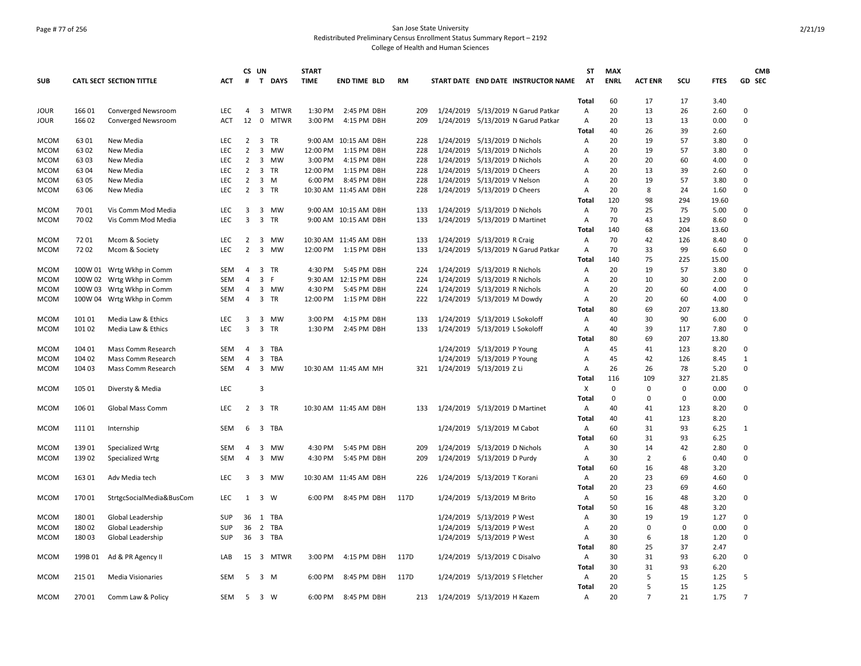## Page # 77 of 256 San Jose State University Redistributed Preliminary Census Enrollment Status Summary Report – 2192 College of Health and Human Sciences

|             |         |                                 |            |                | CS UN        |             | <b>START</b> |                       |           |     |                             |                                |                                     | <b>ST</b>      | <b>MAX</b>  |                |          |             |                | <b>CMB</b> |
|-------------|---------|---------------------------------|------------|----------------|--------------|-------------|--------------|-----------------------|-----------|-----|-----------------------------|--------------------------------|-------------------------------------|----------------|-------------|----------------|----------|-------------|----------------|------------|
| <b>SUB</b>  |         | <b>CATL SECT SECTION TITTLE</b> | <b>ACT</b> | #              |              | T DAYS      | <b>TIME</b>  | <b>END TIME BLD</b>   | <b>RM</b> |     |                             |                                | START DATE END DATE INSTRUCTOR NAME | AT             | <b>ENRL</b> | <b>ACT ENR</b> | SCU      | <b>FTES</b> | GD SEC         |            |
|             |         |                                 |            |                |              |             |              |                       |           |     |                             |                                |                                     | <b>Total</b>   | 60          | 17             | 17       | 3.40        |                |            |
| <b>JOUR</b> | 166 01  | Converged Newsroom              | LEC        | 4              |              | 3 MTWR      | 1:30 PM      | 2:45 PM DBH           |           | 209 | 1/24/2019                   |                                | 5/13/2019 N Garud Patkar            | Α              | 20          | 13             | 26       | 2.60        | 0              |            |
| <b>JOUR</b> | 166 02  | Converged Newsroom              | <b>ACT</b> | 12             | $\mathbf{0}$ | <b>MTWR</b> | 3:00 PM      | 4:15 PM DBH           |           | 209 | 1/24/2019                   |                                | 5/13/2019 N Garud Patkar            | Α              | 20          | 13             | 13       | 0.00        | $\Omega$       |            |
|             |         |                                 |            |                |              |             |              |                       |           |     |                             |                                |                                     | Total          | 40          | 26             | 39       | 2.60        |                |            |
| <b>MCOM</b> | 63 01   | New Media                       | LEC.       | $\overline{2}$ | 3            | <b>TR</b>   |              | 9:00 AM 10:15 AM DBH  |           | 228 | 1/24/2019                   | 5/13/2019 D Nichols            |                                     | Α              | 20          | 19             | 57       | 3.80        | $\Omega$       |            |
| <b>MCOM</b> | 6302    | New Media                       | LEC        | $\overline{2}$ | 3            | MW          | 12:00 PM     | 1:15 PM DBH           |           | 228 | 1/24/2019                   | 5/13/2019 D Nichols            |                                     | Α              | 20          | 19             | 57       | 3.80        | $\Omega$       |            |
| <b>MCOM</b> | 6303    | New Media                       | <b>LEC</b> | 2              |              | 3 MW        | 3:00 PM      | 4:15 PM DBH           |           | 228 | 1/24/2019                   | 5/13/2019 D Nichols            |                                     | Α              | 20          | 20             | 60       | 4.00        | $\Omega$       |            |
| <b>MCOM</b> | 6304    | New Media                       | <b>LEC</b> | $\overline{2}$ | 3            | TR          | 12:00 PM     | 1:15 PM DBH           |           | 228 | 1/24/2019                   | 5/13/2019 D Cheers             |                                     | A              | 20          | 13             | 39       | 2.60        | $\Omega$       |            |
| <b>MCOM</b> | 6305    | New Media                       | LEC        | $\overline{2}$ |              | $3 \, M$    | 6:00 PM      | 8:45 PM DBH           |           | 228 | 1/24/2019                   | 5/13/2019 V Nelson             |                                     | Α              | 20          | 19             | 57       | 3.80        | $\Omega$       |            |
| <b>MCOM</b> | 6306    | New Media                       | LEC        | $\overline{2}$ |              | 3 TR        |              | 10:30 AM 11:45 AM DBH |           | 228 | 1/24/2019                   | 5/13/2019 D Cheers             |                                     | Α              | 20          | 8              | 24       | 1.60        | $\mathbf 0$    |            |
|             |         |                                 |            |                |              |             |              |                       |           |     |                             |                                |                                     | Total          | 120         | 98             | 294      | 19.60       |                |            |
| <b>MCOM</b> | 7001    | Vis Comm Mod Media              | <b>LEC</b> | 3              | 3            | MW          |              | 9:00 AM 10:15 AM DBH  |           | 133 | 1/24/2019                   | 5/13/2019 D Nichols            |                                     | Α              | 70          | 25             | 75       | 5.00        | $\Omega$       |            |
| <b>MCOM</b> | 7002    | Vis Comm Mod Media              | LEC        | 3              |              | 3 TR        |              | 9:00 AM 10:15 AM DBH  |           | 133 | 1/24/2019                   | 5/13/2019 D Martinet           |                                     | Α              | 70          | 43             | 129      | 8.60        | 0              |            |
|             |         |                                 |            |                |              |             |              |                       |           |     |                             |                                |                                     | Total          | 140         | 68             | 204      | 13.60       |                |            |
| <b>MCOM</b> | 7201    | Mcom & Society                  | LEC        | 2              |              | 3 MW        |              | 10:30 AM 11:45 AM DBH |           | 133 | 1/24/2019                   | 5/13/2019 R Craig              |                                     | Α              | 70          | 42             | 126      | 8.40        | 0              |            |
| <b>MCOM</b> | 7202    | Mcom & Society                  | <b>LEC</b> | $\overline{2}$ | 3            | MW          | 12:00 PM     | 1:15 PM DBH           |           | 133 | 1/24/2019                   |                                | 5/13/2019 N Garud Patkar            | $\overline{A}$ | 70          | 33             | 99       | 6.60        | $\Omega$       |            |
|             |         |                                 |            |                |              |             |              |                       |           |     |                             |                                |                                     | Total          | 140         | 75             | 225      | 15.00       |                |            |
| <b>MCOM</b> |         | 100W 01 Wrtg Wkhp in Comm       | <b>SEM</b> | $\overline{4}$ |              | 3 TR        | 4:30 PM      | 5:45 PM DBH           |           | 224 | 1/24/2019                   | 5/13/2019 R Nichols            |                                     | $\overline{A}$ | 20          | 19             | 57       | 3.80        | $\Omega$       |            |
| <b>MCOM</b> | 100W 02 | Wrtg Wkhp in Comm               | SEM        | $\overline{4}$ | 3            | F.          |              | 9:30 AM 12:15 PM DBH  |           | 224 | 1/24/2019                   | 5/13/2019 R Nichols            |                                     | Α              | 20          | 10             | 30       | 2.00        | $\Omega$       |            |
| <b>MCOM</b> | 100W 03 | Wrtg Wkhp in Comm               | <b>SEM</b> | $\overline{4}$ |              | 3 MW        | 4:30 PM      | 5:45 PM DBH           |           | 224 | 1/24/2019                   | 5/13/2019 R Nichols            |                                     | A              | 20          | 20             | 60       | 4.00        | $\Omega$       |            |
| <b>MCOM</b> | 100W 04 | Wrtg Wkhp in Comm               | <b>SEM</b> | $\overline{4}$ | 3            | TR          | 12:00 PM     | 1:15 PM DBH           |           | 222 | 1/24/2019                   | 5/13/2019 M Dowdy              |                                     | Α              | 20          | 20             | 60       | 4.00        | 0              |            |
|             |         |                                 |            |                |              |             |              |                       |           |     |                             |                                |                                     | <b>Total</b>   | 80          | 69             | 207      | 13.80       |                |            |
| <b>MCOM</b> | 101 01  | Media Law & Ethics              | LEC        | 3              |              | 3 MW        | 3:00 PM      | 4:15 PM DBH           |           | 133 | 1/24/2019                   | 5/13/2019 L Sokoloff           |                                     | Α              | 40          | 30             | 90       | 6.00        | 0              |            |
| <b>MCOM</b> | 101 02  | Media Law & Ethics              | <b>LEC</b> | 3              | 3            | TR          | 1:30 PM      | 2:45 PM DBH           |           | 133 | 1/24/2019                   | 5/13/2019 L Sokoloff           |                                     | A              | 40          | 39             | 117      | 7.80        | $\Omega$       |            |
|             |         |                                 |            |                |              |             |              |                       |           |     |                             |                                |                                     | Total          | 80          | 69             | 207      | 13.80       |                |            |
| <b>MCOM</b> | 104 01  | Mass Comm Research              | <b>SEM</b> | $\overline{4}$ | 3            | TBA         |              |                       |           |     | 1/24/2019                   | 5/13/2019 P Young              |                                     | Α              | 45          | 41             | 123      | 8.20        | $\Omega$       |            |
| <b>MCOM</b> | 104 02  | Mass Comm Research              | <b>SEM</b> | 4              | 3            | <b>TBA</b>  |              |                       |           |     | 1/24/2019                   | 5/13/2019 P Young              |                                     | Α              | 45          | 42             | 126      | 8.45        | $\mathbf{1}$   |            |
| <b>MCOM</b> | 104 03  | Mass Comm Research              | SEM        | $\overline{4}$ |              | 3 MW        |              | 10:30 AM 11:45 AM MH  |           | 321 | 1/24/2019 5/13/2019 Z Li    |                                |                                     | Α              | 26          | 26             | 78       | 5.20        | $\Omega$       |            |
|             |         |                                 |            |                |              |             |              |                       |           |     |                             |                                |                                     | Total          | 116         | 109            | 327      | 21.85       |                |            |
| <b>MCOM</b> | 105 01  | Diversty & Media                | <b>LEC</b> |                | 3            |             |              |                       |           |     |                             |                                |                                     | X              | 0           | 0              | $\Omega$ | 0.00        | $\Omega$       |            |
|             |         |                                 |            |                |              |             |              |                       |           |     |                             |                                |                                     | Total          | 0           | $\Omega$       | $\Omega$ | 0.00        |                |            |
| <b>MCOM</b> | 106 01  | Global Mass Comm                | <b>LEC</b> | $\overline{2}$ |              | 3 TR        |              | 10:30 AM 11:45 AM DBH |           | 133 |                             | 1/24/2019 5/13/2019 D Martinet |                                     | Α              | 40          | 41             | 123      | 8.20        | 0              |            |
|             |         |                                 |            |                |              |             |              |                       |           |     |                             |                                |                                     | Total          | 40          | 41             | 123      | 8.20        |                |            |
| <b>MCOM</b> | 11101   | Internship                      | <b>SEM</b> | 6              | 3            | TBA         |              |                       |           |     | 1/24/2019                   | 5/13/2019 M Cabot              |                                     | Α              | 60          | 31             | 93       | 6.25        | $\mathbf{1}$   |            |
|             |         |                                 |            |                |              |             |              |                       |           |     |                             |                                |                                     | <b>Total</b>   | 60          | 31             | 93       | 6.25        |                |            |
| <b>MCOM</b> | 13901   | Specialized Wrtg                | SEM        | 4              |              | 3 MW        | 4:30 PM      | 5:45 PM DBH           |           | 209 | 1/24/2019                   | 5/13/2019 D Nichols            |                                     | Α              | 30          | 14             | 42       | 2.80        | 0              |            |
| <b>MCOM</b> | 13902   | Specialized Wrtg                | SEM        | 4              | 3            | MW          | 4:30 PM      | 5:45 PM DBH           |           | 209 | 1/24/2019                   | 5/13/2019 D Purdy              |                                     | Α              | 30          | $\overline{2}$ | 6        | 0.40        | $\mathbf 0$    |            |
|             |         |                                 |            |                |              |             |              |                       |           |     |                             |                                |                                     | Total          | 60          | 16             | 48       | 3.20        |                |            |
| <b>MCOM</b> | 163 01  | Adv Media tech                  | <b>LEC</b> | 3              |              | 3 MW        |              | 10:30 AM 11:45 AM DBH |           | 226 | 1/24/2019                   | 5/13/2019 T Korani             |                                     | Α              | 20          | 23             | 69       | 4.60        | 0              |            |
|             |         |                                 |            |                |              |             |              |                       |           |     |                             |                                |                                     | Total          | 20          | 23             | 69       | 4.60        |                |            |
| <b>MCOM</b> | 17001   | StrtgcSocialMedia&BusCom        | <b>LEC</b> |                |              | 1 3 W       | 6:00 PM      | 8:45 PM DBH           | 117D      |     |                             | 1/24/2019 5/13/2019 M Brito    |                                     | Α              | 50          | 16             | 48       | 3.20        | $\Omega$       |            |
|             |         |                                 |            |                |              |             |              |                       |           |     |                             |                                |                                     | Total          | 50          | 16             | 48       | 3.20        |                |            |
| <b>MCOM</b> | 18001   | Global Leadership               | <b>SUP</b> | 36             |              | 1 TBA       |              |                       |           |     | 1/24/2019                   | 5/13/2019 P West               |                                     | A              | 30          | 19             | 19       | 1.27        | $\Omega$       |            |
| <b>MCOM</b> | 18002   | Global Leadership               | SUP        | 36             |              | 2 TBA       |              |                       |           |     | 1/24/2019                   | 5/13/2019 P West               |                                     | Α              | 20          | 0              | 0        | 0.00        | $\Omega$       |            |
| <b>MCOM</b> | 180 03  | Global Leadership               | <b>SUP</b> | 36             |              | 3 TBA       |              |                       |           |     |                             | 1/24/2019 5/13/2019 P West     |                                     | Α              | 30          | 6              | 18       | 1.20        | $\Omega$       |            |
|             |         |                                 |            |                |              |             |              |                       |           |     |                             |                                |                                     | Total          | 80          | 25             | 37       | 2.47        |                |            |
| <b>MCOM</b> | 199B 01 | Ad & PR Agency II               | LAB        | 15             | 3            | <b>MTWR</b> | 3:00 PM      | 4:15 PM DBH           | 117D      |     | 1/24/2019                   | 5/13/2019 C Disalvo            |                                     | Α              | 30          | 31             | 93       | 6.20        | 0              |            |
|             |         |                                 |            |                |              |             |              |                       |           |     |                             |                                |                                     | Total          | 30          | 31             | 93       | 6.20        |                |            |
| <b>MCOM</b> | 215 01  | <b>Media Visionaries</b>        | <b>SEM</b> | -5             |              | $3 \, M$    | 6:00 PM      | 8:45 PM DBH           | 117D      |     |                             | 1/24/2019 5/13/2019 S Fletcher |                                     | Α              | 20          | 5              | 15       | 1.25        | 5              |            |
|             |         |                                 |            |                |              |             |              |                       |           |     |                             |                                |                                     | Total          | 20          | 5              | 15       | 1.25        |                |            |
| <b>MCOM</b> | 270 01  | Comm Law & Policy               | <b>SEM</b> | -5             | 3 W          |             | 6:00 PM      | 8:45 PM DBH           |           | 213 | 1/24/2019 5/13/2019 H Kazem |                                |                                     | A              | 20          | $\overline{7}$ | 21       | 1.75        | $\overline{7}$ |            |
|             |         |                                 |            |                |              |             |              |                       |           |     |                             |                                |                                     |                |             |                |          |             |                |            |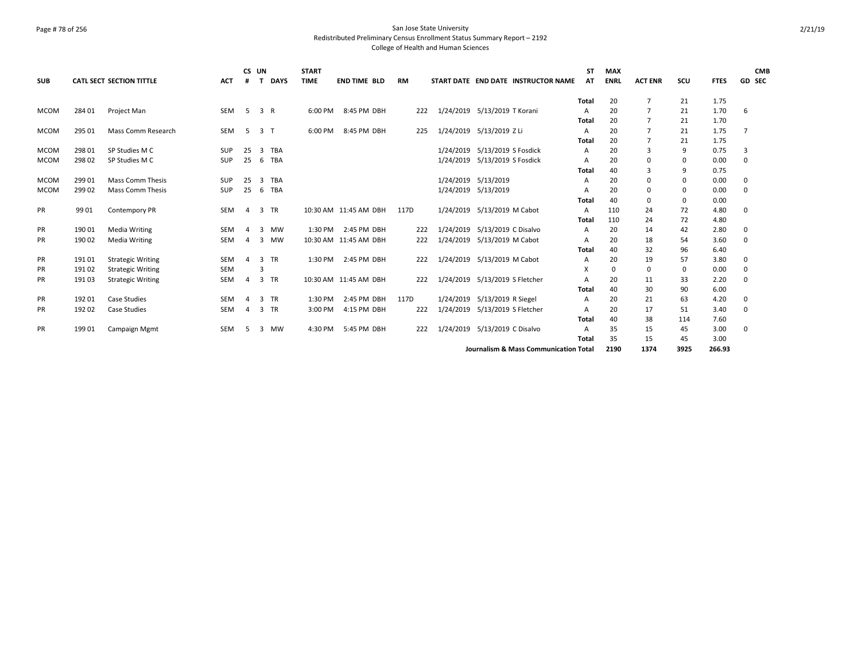### Page # 78 of 256 San Jose State University Redistributed Preliminary Census Enrollment Status Summary Report – 2192 College of Health and Human Sciences

| <b>SUB</b>  |        | <b>CATL SECT SECTION TITTLE</b> | <b>ACT</b> | CS UN<br>#     | T.             | <b>DAYS</b> | <b>START</b><br><b>TIME</b> | <b>END TIME BLD</b>   | <b>RM</b> |           |                                | START DATE END DATE INSTRUCTOR NAME              | <b>ST</b><br>AT | <b>MAX</b><br><b>ENRL</b> | <b>ACT ENR</b> | SCU  | <b>FTES</b> | GD SEC | <b>CMB</b> |
|-------------|--------|---------------------------------|------------|----------------|----------------|-------------|-----------------------------|-----------------------|-----------|-----------|--------------------------------|--------------------------------------------------|-----------------|---------------------------|----------------|------|-------------|--------|------------|
|             |        |                                 |            |                |                |             |                             |                       |           |           |                                |                                                  | Total           | 20                        | $\overline{7}$ | 21   | 1.75        |        |            |
| <b>MCOM</b> | 284 01 | Project Man                     | SEM        | -5             | 3 R            |             | 6:00 PM                     | 8:45 PM DBH           | 222       |           | 1/24/2019 5/13/2019 T Korani   |                                                  | A               | 20                        | $\overline{7}$ | 21   | 1.70        | 6      |            |
|             |        |                                 |            |                |                |             |                             |                       |           |           |                                |                                                  | Total           | 20                        | $\overline{7}$ | 21   | 1.70        |        |            |
| <b>MCOM</b> | 295 01 | Mass Comm Research              | SEM        | -5             | 3 T            |             | 6:00 PM                     | 8:45 PM DBH           | 225       |           | 1/24/2019 5/13/2019 Z Li       |                                                  | A               | 20                        | $\overline{7}$ | 21   | 1.75        | 7      |            |
|             |        |                                 |            |                |                |             |                             |                       |           |           |                                |                                                  | Total           | 20                        | $\overline{7}$ | 21   | 1.75        |        |            |
| <b>MCOM</b> | 298 01 | SP Studies M C                  | <b>SUP</b> | 25             | $\overline{3}$ | <b>TBA</b>  |                             |                       |           | 1/24/2019 | 5/13/2019 S Fosdick            |                                                  | Α               | 20                        | 3              | 9    | 0.75        | 3      |            |
| <b>MCOM</b> | 298 02 | SP Studies M C                  | SUP        | 25             |                | 6 TBA       |                             |                       |           | 1/24/2019 | 5/13/2019 S Fosdick            |                                                  |                 | 20                        | $\mathbf 0$    | 0    | 0.00        | 0      |            |
|             |        |                                 |            |                |                |             |                             |                       |           |           |                                |                                                  | Total           | 40                        | $\overline{3}$ | 9    | 0.75        |        |            |
| <b>MCOM</b> | 299 01 | <b>Mass Comm Thesis</b>         | <b>SUP</b> | 25             | 3              | TBA         |                             |                       |           |           | 1/24/2019 5/13/2019            |                                                  | A               | 20                        | 0              | 0    | 0.00        | 0      |            |
| <b>MCOM</b> | 299 02 | <b>Mass Comm Thesis</b>         | <b>SUP</b> | 25             | - 6            | <b>TBA</b>  |                             |                       |           |           | 1/24/2019 5/13/2019            |                                                  | A               | 20                        | 0              | 0    | 0.00        | 0      |            |
|             |        |                                 |            |                |                |             |                             |                       |           |           |                                |                                                  | Total           | 40                        | 0              | 0    | 0.00        |        |            |
| <b>PR</b>   | 99 01  | Contempory PR                   | SEM        | $\overline{a}$ | $\overline{3}$ | <b>TR</b>   |                             | 10:30 AM 11:45 AM DBH | 117D      |           | 1/24/2019 5/13/2019 M Cabot    |                                                  | A               | 110                       | 24             | 72   | 4.80        | 0      |            |
|             |        |                                 |            |                |                |             |                             |                       |           |           |                                |                                                  | Total           | 110                       | 24             | 72   | 4.80        |        |            |
| PR          | 190 01 | <b>Media Writing</b>            | <b>SEM</b> | $\overline{a}$ | 3              | <b>MW</b>   | 1:30 PM                     | 2:45 PM DBH           | 222       | 1/24/2019 | 5/13/2019 C Disalvo            |                                                  | A               | 20                        | 14             | 42   | 2.80        | 0      |            |
| PR          | 190 02 | <b>Media Writing</b>            | <b>SEM</b> | $\overline{a}$ | 3              | <b>MW</b>   |                             | 10:30 AM 11:45 AM DBH | 222       |           | 1/24/2019 5/13/2019 M Cabot    |                                                  | A               | 20                        | 18             | 54   | 3.60        | 0      |            |
|             |        |                                 |            |                |                |             |                             |                       |           |           |                                |                                                  | Total           | 40                        | 32             | 96   | 6.40        |        |            |
| <b>PR</b>   | 19101  | <b>Strategic Writing</b>        | SEM        | 4              |                | 3 TR        | 1:30 PM                     | 2:45 PM DBH           | 222       |           | 1/24/2019 5/13/2019 M Cabot    |                                                  | A               | 20                        | 19             | 57   | 3.80        | 0      |            |
| <b>PR</b>   | 19102  | <b>Strategic Writing</b>        | <b>SEM</b> |                | З              |             |                             |                       |           |           |                                |                                                  | X               | $\Omega$                  | 0              | 0    | 0.00        | 0      |            |
| PR          | 19103  | <b>Strategic Writing</b>        | SEM        | 4              | 3              | TR          |                             | 10:30 AM 11:45 AM DBH | 222       |           | 1/24/2019 5/13/2019 S Fletcher |                                                  | А               | 20                        | 11             | 33   | 2.20        | 0      |            |
|             |        |                                 |            |                |                |             |                             |                       |           |           |                                |                                                  | Total           | 40                        | 30             | 90   | 6.00        |        |            |
| <b>PR</b>   | 192 01 | Case Studies                    | <b>SEM</b> | 4              | 3              | <b>TR</b>   | 1:30 PM                     | 2:45 PM DBH           | 117D      | 1/24/2019 | 5/13/2019 R Siegel             |                                                  | A               | 20                        | 21             | 63   | 4.20        | 0      |            |
| <b>PR</b>   | 19202  | <b>Case Studies</b>             | SEM        | 4              | 3 TR           |             | 3:00 PM                     | 4:15 PM DBH           | 222       |           | 1/24/2019 5/13/2019 S Fletcher |                                                  | A               | 20                        | 17             | 51   | 3.40        | 0      |            |
|             |        |                                 |            |                |                |             |                             |                       |           |           |                                |                                                  | Total           | 40                        | 38             | 114  | 7.60        |        |            |
| <b>PR</b>   | 19901  | Campaign Mgmt                   | SEM        | 5              | 3              | <b>MW</b>   | 4:30 PM                     | 5:45 PM DBH           | 222       | 1/24/2019 | 5/13/2019 C Disalvo            |                                                  | А               | 35                        | 15             | 45   | 3.00        | 0      |            |
|             |        |                                 |            |                |                |             |                             |                       |           |           |                                |                                                  | Total           | 35                        | 15             | 45   | 3.00        |        |            |
|             |        |                                 |            |                |                |             |                             |                       |           |           |                                | <b>Journalism &amp; Mass Communication Total</b> |                 | 2190                      | 1374           | 3925 | 266.93      |        |            |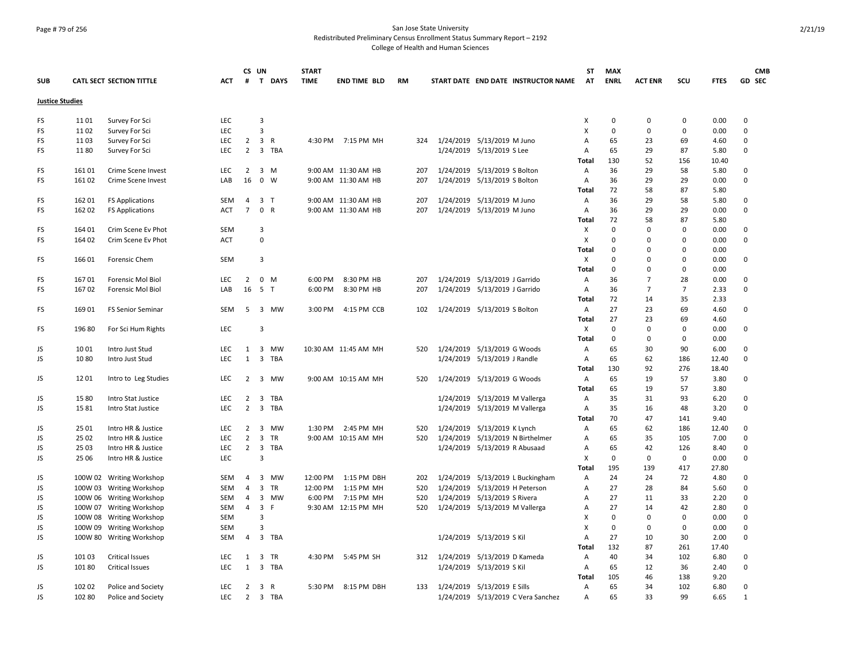## Page # 79 of 256 San Jose State University Redistributed Preliminary Census Enrollment Status Summary Report – 2192

|                        |                |                                          |                          | CS UN                            |                                         | <b>START</b> |                      |           |                                     | ST           | MAX         |                |                |              | <b>CMB</b>       |
|------------------------|----------------|------------------------------------------|--------------------------|----------------------------------|-----------------------------------------|--------------|----------------------|-----------|-------------------------------------|--------------|-------------|----------------|----------------|--------------|------------------|
| <b>SUB</b>             |                | <b>CATL SECT SECTION TITTLE</b>          | <b>ACT</b>               | #                                | T DAYS                                  | <b>TIME</b>  | <b>END TIME BLD</b>  | <b>RM</b> | START DATE END DATE INSTRUCTOR NAME | AT           | <b>ENRL</b> | <b>ACT ENR</b> | SCU            | <b>FTES</b>  | GD SEC           |
| <b>Justice Studies</b> |                |                                          |                          |                                  |                                         |              |                      |           |                                     |              |             |                |                |              |                  |
| FS                     | 1101           | Survey For Sci                           | LEC                      |                                  | 3                                       |              |                      |           |                                     | х            | $\pmb{0}$   | $\mathbf 0$    | 0              | 0.00         | $\mathbf 0$      |
| FS                     | 1102           | Survey For Sci                           | <b>LEC</b>               |                                  | $\overline{3}$                          |              |                      |           |                                     | x            | 0           | $\mathbf 0$    | 0              | 0.00         | $\mathbf 0$      |
| FS                     | 1103           | Survey For Sci                           | <b>LEC</b>               | $\overline{2}$                   | $\overline{\mathbf{3}}$<br>$\mathsf{R}$ |              | 4:30 PM 7:15 PM MH   | 324       | 1/24/2019 5/13/2019 M Juno          | Α            | 65          | 23             | 69             | 4.60         | $\mathbf 0$      |
| FS                     | 1180           | Survey For Sci                           | <b>LEC</b>               | $\overline{2}$                   | 3 TBA                                   |              |                      |           | 1/24/2019 5/13/2019 S Lee           | Α            | 65          | 29             | 87             | 5.80         | 0                |
|                        |                |                                          |                          |                                  |                                         |              |                      |           |                                     | Total        | 130         | 52             | 156            | 10.40        |                  |
| FS                     | 16101          | Crime Scene Invest                       | <b>LEC</b>               | $\overline{2}$                   | 3 M                                     |              | 9:00 AM 11:30 AM HB  | 207       | 1/24/2019 5/13/2019 S Bolton        | Α            | 36          | 29             | 58             | 5.80         | 0                |
| FS                     | 16102          | Crime Scene Invest                       | LAB                      | 16                               | $0 \quad W$                             |              | 9:00 AM 11:30 AM HB  | 207       | 1/24/2019 5/13/2019 S Bolton        | A            | 36          | 29             | 29             | 0.00         | $\mathbf 0$      |
|                        |                |                                          |                          |                                  |                                         |              |                      |           |                                     | Total        | 72          | 58             | 87             | 5.80         |                  |
| FS                     | 162 01         | <b>FS Applications</b>                   | <b>SEM</b>               | 4                                | 3 <sub>T</sub>                          |              | 9:00 AM 11:30 AM HB  | 207       | 1/24/2019 5/13/2019 M Juno          | A            | 36          | 29             | 58             | 5.80         | $\mathbf 0$      |
| FS                     | 162 02         | <b>FS Applications</b>                   | <b>ACT</b>               | $\overline{7}$                   | 0 R                                     |              | 9:00 AM 11:30 AM HB  | 207       | 1/24/2019 5/13/2019 M Juno          | Α            | 36          | 29             | 29             | 0.00         | $\mathbf 0$      |
|                        |                |                                          |                          |                                  |                                         |              |                      |           |                                     | Total        | 72          | 58             | 87             | 5.80         |                  |
| FS                     | 164 01         | Crim Scene Ev Phot                       | <b>SEM</b>               |                                  | 3                                       |              |                      |           |                                     | X            | 0           | $\mathbf 0$    | $\Omega$       | 0.00         | $\mathbf 0$      |
| FS                     | 164 02         | Crim Scene Ev Phot                       | <b>ACT</b>               |                                  | $\Omega$                                |              |                      |           |                                     | x            | $\Omega$    | $\Omega$       | $\Omega$       | 0.00         | $\mathbf 0$      |
|                        |                |                                          |                          |                                  |                                         |              |                      |           |                                     | Total        | $\Omega$    | $\Omega$       | $\Omega$       | 0.00         |                  |
| FS                     | 166 01         | Forensic Chem                            | SEM                      |                                  | 3                                       |              |                      |           |                                     | X            | $\Omega$    | $\Omega$       | $\Omega$       | 0.00         | $\Omega$         |
|                        |                |                                          |                          |                                  |                                         |              |                      |           |                                     | Total        | 0           | 0              | 0              | 0.00         |                  |
| FS                     | 16701          | <b>Forensic Mol Biol</b>                 | <b>LEC</b>               | 2                                | $\mathbf 0$<br>M                        | 6:00 PM      | 8:30 PM HB           | 207       | 1/24/2019 5/13/2019 J Garrido       | Α            | 36          | $\overline{7}$ | 28             | 0.00         | 0                |
| FS                     | 167 02         | Forensic Mol Biol                        | LAB                      | 16                               | 5 T                                     | 6:00 PM      | 8:30 PM HB           | 207       | 1/24/2019 5/13/2019 J Garrido       | Α            | 36          | $\overline{7}$ | $\overline{7}$ | 2.33         | 0                |
|                        |                |                                          |                          |                                  |                                         |              |                      |           |                                     | Total        | 72          | 14             | 35             | 2.33         |                  |
| FS                     | 169 01         | FS Senior Seminar                        | SEM                      | 5                                | 3 MW                                    | 3:00 PM      | 4:15 PM CCB          | 102       | 1/24/2019 5/13/2019 S Bolton        | Α            | 27          | 23             | 69             | 4.60         | 0                |
|                        |                |                                          |                          |                                  |                                         |              |                      |           |                                     | Total        | 27          | 23             | 69             | 4.60         |                  |
| FS                     | 196 80         | For Sci Hum Rights                       | <b>LEC</b>               |                                  | 3                                       |              |                      |           |                                     | X            | 0           | 0              | 0              | 0.00         | 0                |
|                        |                |                                          |                          |                                  |                                         |              |                      |           |                                     | Total        | 0           | 0              | $\Omega$       | 0.00         |                  |
| JS                     | 1001           | Intro Just Stud                          | LEC                      | 1                                | 3 MW                                    |              | 10:30 AM 11:45 AM MH | 520       | 1/24/2019 5/13/2019 G Woods         | Α            | 65          | 30             | 90             | 6.00         | $\mathbf 0$      |
| JS                     | 1080           | Intro Just Stud                          | <b>LEC</b>               | $\mathbf{1}$                     | 3<br><b>TBA</b>                         |              |                      |           | 1/24/2019 5/13/2019 J Randle        | A            | 65          | 62             | 186            | 12.40        | $\mathbf 0$      |
|                        |                |                                          |                          |                                  |                                         |              |                      |           |                                     | <b>Total</b> | 130         | 92             | 276            | 18.40        |                  |
| JS                     | 1201           | Intro to Leg Studies                     | <b>LEC</b>               | 2                                | 3 MW                                    |              | 9:00 AM 10:15 AM MH  | 520       | 1/24/2019 5/13/2019 G Woods         | Α            | 65          | 19             | 57             | 3.80         | 0                |
|                        |                |                                          |                          |                                  |                                         |              |                      |           |                                     | Total        | 65          | 19             | 57             | 3.80         |                  |
| JS                     | 1580           | Intro Stat Justice                       | LEC                      | $\overline{2}$                   | 3 TBA                                   |              |                      |           | 1/24/2019 5/13/2019 M Vallerga      | Α            | 35          | 31             | 93             | 6.20         | 0                |
| JS                     | 1581           | Intro Stat Justice                       | <b>LEC</b>               | $\overline{2}$                   | 3 TBA                                   |              |                      |           | 1/24/2019 5/13/2019 M Vallerga      | Α            | 35          | 16             | 48             | 3.20         | $\mathsf 0$      |
|                        |                |                                          |                          |                                  |                                         |              |                      |           |                                     | Total        | 70          | 47             | 141            | 9.40         |                  |
| JS                     | 25 01          | Intro HR & Justice                       | <b>LEC</b><br><b>LEC</b> | $\overline{2}$                   | 3 MW                                    | 1:30 PM      | 2:45 PM MH           | 520       | 1/24/2019 5/13/2019 K Lynch         | Α            | 65          | 62             | 186            | 12.40        | 0<br>$\mathbf 0$ |
| JS                     | 25 02<br>25 03 | Intro HR & Justice<br>Intro HR & Justice | <b>LEC</b>               | $\overline{2}$<br>$\overline{2}$ | 3 TR<br>3 TBA                           |              | 9:00 AM 10:15 AM MH  | 520       | 1/24/2019 5/13/2019 N Birthelmer    | Α<br>A       | 65<br>65    | 35<br>42       | 105<br>126     | 7.00<br>8.40 | 0                |
| JS<br>JS               | 25 06          | Intro HR & Justice                       | <b>LEC</b>               |                                  | 3                                       |              |                      |           | 1/24/2019 5/13/2019 R Abusaad       | x            | 0           | $\mathbf 0$    | $\mathbf 0$    | 0.00         | $\mathbf 0$      |
|                        |                |                                          |                          |                                  |                                         |              |                      |           |                                     | Total        | 195         | 139            | 417            | 27.80        |                  |
| JS                     |                | 100W 02 Writing Workshop                 | SEM                      | $\overline{4}$                   | 3 MW                                    | 12:00 PM     | 1:15 PM DBH          | 202       | 1/24/2019 5/13/2019 L Buckingham    | Α            | 24          | 24             | 72             | 4.80         | $\mathbf 0$      |
| JS                     |                | 100W 03 Writing Workshop                 | <b>SEM</b>               | $\overline{a}$                   | 3 TR                                    | 12:00 PM     | 1:15 PM MH           | 520       | 1/24/2019 5/13/2019 H Peterson      | A            | 27          | 28             | 84             | 5.60         | 0                |
| JS                     |                | 100W 06 Writing Workshop                 | <b>SEM</b>               | $\overline{4}$                   | 3 MW                                    | 6:00 PM      | 7:15 PM MH           | 520       | 1/24/2019 5/13/2019 S Rivera        | A            | 27          | 11             | 33             | 2.20         | 0                |
| JS                     | 100W 07        | <b>Writing Workshop</b>                  | SEM                      | $\overline{4}$                   | 3<br>F                                  |              | 9:30 AM 12:15 PM MH  | 520       | 1/24/2019 5/13/2019 M Vallerga      | Α            | 27          | 14             | 42             | 2.80         | $\mathbf 0$      |
| JS                     | 100W 08        | <b>Writing Workshop</b>                  | SEM                      |                                  | 3                                       |              |                      |           |                                     | x            | $\Omega$    | 0              | 0              | 0.00         | $\mathbf 0$      |
| JS                     | 100W 09        | <b>Writing Workshop</b>                  | SEM                      |                                  | $\overline{3}$                          |              |                      |           |                                     | x            | 0           | $\mathbf 0$    | $\mathbf 0$    | 0.00         | $\pmb{0}$        |
| JS                     | 100W 80        | <b>Writing Workshop</b>                  | SEM                      | $\overline{4}$                   | 3 TBA                                   |              |                      |           | 1/24/2019 5/13/2019 S Kil           | A            | 27          | 10             | 30             | 2.00         | 0                |
|                        |                |                                          |                          |                                  |                                         |              |                      |           |                                     | Total        | 132         | 87             | 261            | 17.40        |                  |
| JS                     | 101 03         | <b>Critical Issues</b>                   | <b>LEC</b>               | 1                                | 3 TR                                    | 4:30 PM      | 5:45 PM SH           | 312       | 1/24/2019 5/13/2019 D Kameda        | Α            | 40          | 34             | 102            | 6.80         | 0                |
| JS                     | 101 80         | <b>Critical Issues</b>                   | <b>LEC</b>               | $\mathbf{1}$                     | 3 TBA                                   |              |                      |           | 1/24/2019 5/13/2019 S Kil           | Α            | 65          | 12             | 36             | 2.40         | $\mathbf 0$      |
|                        |                |                                          |                          |                                  |                                         |              |                      |           |                                     | Total        | 105         | 46             | 138            | 9.20         |                  |
| JS                     | 102 02         | Police and Society                       | <b>LEC</b>               | 2                                | 3 R                                     | 5:30 PM      | 8:15 PM DBH          | 133       | 1/24/2019 5/13/2019 E Sills         | A            | 65          | 34             | 102            | 6.80         | $\Omega$         |
| JS                     | 102 80         | Police and Society                       | <b>LEC</b>               |                                  | 2 3 TBA                                 |              |                      |           | 1/24/2019 5/13/2019 C Vera Sanchez  | A            | 65          | 33             | 99             | 6.65         | 1                |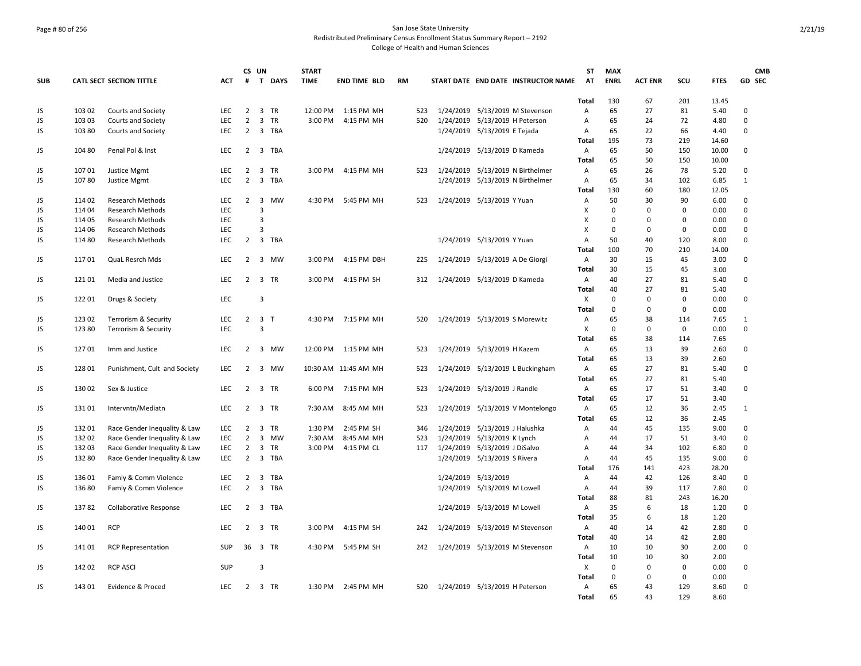### Page # 80 of 256 San Jose State University Redistributed Preliminary Census Enrollment Status Summary Report – 2192 College of Health and Human Sciences

|            |        |                                 |            | CS UN          |                          |           | <b>START</b> |                      |           |     |                     |                                     | <b>ST</b>    | <b>MAX</b>      |                |                    |              |                   | <b>CMB</b> |
|------------|--------|---------------------------------|------------|----------------|--------------------------|-----------|--------------|----------------------|-----------|-----|---------------------|-------------------------------------|--------------|-----------------|----------------|--------------------|--------------|-------------------|------------|
| <b>SUB</b> |        | <b>CATL SECT SECTION TITTLE</b> | <b>ACT</b> | #              |                          | T DAYS    | <b>TIME</b>  | <b>END TIME BLD</b>  | <b>RM</b> |     |                     | START DATE END DATE INSTRUCTOR NAME | AT           | <b>ENRL</b>     | <b>ACT ENR</b> | SCU                | <b>FTES</b>  | GD SEC            |            |
|            |        |                                 |            |                |                          |           |              |                      |           |     |                     |                                     | <b>Total</b> | 130             | 67             | 201                | 13.45        |                   |            |
| JS         | 103 02 | Courts and Society              | <b>LEC</b> | $\overline{2}$ |                          | 3 TR      | 12:00 PM     | 1:15 PM MH           |           | 523 |                     | 1/24/2019 5/13/2019 M Stevenson     | Α            | 65              | 27             | 81                 | 5.40         | 0                 |            |
| JS         | 103 03 | Courts and Society              | LEC        | $\overline{2}$ | $\overline{3}$           | TR        | 3:00 PM      | 4:15 PM MH           |           | 520 |                     | 1/24/2019 5/13/2019 H Peterson      | Α            | 65              | 24             | 72                 | 4.80         | $\Omega$          |            |
| JS         | 103 80 | Courts and Society              | LEC        | 2              |                          | 3 TBA     |              |                      |           |     |                     | 1/24/2019 5/13/2019 E Tejada        | Α            | 65              | 22             | 66                 | 4.40         | 0                 |            |
|            |        |                                 |            |                |                          |           |              |                      |           |     |                     |                                     | Total        | 195             | 73             | 219                | 14.60        |                   |            |
| JS         | 10480  | Penal Pol & Inst                | <b>LEC</b> | 2              |                          | 3 TBA     |              |                      |           |     |                     | 1/24/2019 5/13/2019 D Kameda        | Α            | 65              | 50             | 150                | 10.00        | 0                 |            |
|            |        |                                 |            |                |                          |           |              |                      |           |     |                     |                                     | Total        | 65              | 50             | 150                | 10.00        |                   |            |
| JS         | 10701  | Justice Mgmt                    | LEC        | 2              | $\overline{\mathbf{3}}$  | TR        | 3:00 PM      | 4:15 PM MH           |           | 523 |                     | 1/24/2019 5/13/2019 N Birthelmer    | Α            | 65              | 26             | 78                 | 5.20         | 0                 |            |
| JS         | 10780  | <b>Justice Mgmt</b>             | <b>LEC</b> | $\overline{2}$ | $\overline{\mathbf{3}}$  | TBA       |              |                      |           |     |                     | 1/24/2019 5/13/2019 N Birthelmer    | Α            | 65              | 34             | 102                | 6.85         | $\mathbf{1}$      |            |
|            |        |                                 |            |                |                          |           |              |                      |           |     |                     |                                     | Total        | 130             | 60             | 180                | 12.05        |                   |            |
| JS         | 114 02 | <b>Research Methods</b>         | <b>LEC</b> | 2              | $\overline{3}$           | MW        | 4:30 PM      | 5:45 PM MH           |           | 523 |                     | 1/24/2019 5/13/2019 Y Yuan          | A            | 50              | 30             | 90                 | 6.00         | $\Omega$          |            |
| JS         | 114 04 | <b>Research Methods</b>         | <b>LEC</b> |                | 3                        |           |              |                      |           |     |                     |                                     | X            | $\mathbf 0$     | $\mathbf 0$    | 0                  | 0.00         | 0                 |            |
| JS         | 11405  | <b>Research Methods</b>         | LEC.       |                | $\overline{3}$           |           |              |                      |           |     |                     |                                     | X            | $\mathbf 0$     | $\Omega$       | $\mathbf 0$        | 0.00         | $\Omega$          |            |
| JS         | 114 06 | <b>Research Methods</b>         | LEC        |                | 3                        |           |              |                      |           |     |                     |                                     | X            | $\mathbf 0$     | $\mathbf 0$    | 0                  | 0.00         | 0                 |            |
| JS         | 11480  | <b>Research Methods</b>         | <b>LEC</b> | 2              |                          | 3 TBA     |              |                      |           |     |                     | 1/24/2019 5/13/2019 Y Yuan          | A            | 50              | 40             | 120                | 8.00         | 0                 |            |
|            |        |                                 |            |                |                          |           |              |                      |           |     |                     |                                     | Total        | 100             | 70             | 210                | 14.00        |                   |            |
| JS         | 11701  | QuaL Resrch Mds                 | <b>LEC</b> | $\overline{2}$ |                          | 3 MW      | 3:00 PM      | 4:15 PM DBH          |           | 225 |                     | 1/24/2019 5/13/2019 A De Giorgi     | Α            | 30              | 15             | 45                 | 3.00         | 0                 |            |
|            |        |                                 |            |                |                          |           |              |                      |           |     |                     |                                     | Total        | 30              | 15             | 45                 | 3.00         |                   |            |
| JS         | 12101  | Media and Justice               | LEC        | $\overline{2}$ | $\overline{\mathbf{3}}$  | <b>TR</b> | 3:00 PM      | 4:15 PM SH           |           | 312 |                     | 1/24/2019 5/13/2019 D Kameda        | Α            | 40              | 27             | 81                 | 5.40         | 0                 |            |
|            |        |                                 |            |                |                          |           |              |                      |           |     |                     |                                     | Total        | 40              | 27             | 81                 | 5.40         |                   |            |
| JS         | 12201  | Drugs & Society                 | <b>LEC</b> |                | 3                        |           |              |                      |           |     |                     |                                     | х            | 0               | $\Omega$       | $\mathbf 0$        | 0.00         | 0                 |            |
|            |        |                                 |            |                |                          |           |              |                      |           |     |                     |                                     | Total        | 0               | $\mathbf 0$    | $\mathbf 0$        | 0.00         |                   |            |
| JS         | 123 02 | Terrorism & Security            | <b>LEC</b> |                | $2 \quad 3 \quad T$<br>3 |           |              | 4:30 PM 7:15 PM MH   |           | 520 |                     | 1/24/2019 5/13/2019 S Morewitz      | Α            | 65<br>$\pmb{0}$ | 38             | 114<br>$\mathsf 0$ | 7.65<br>0.00 | $\mathbf{1}$<br>0 |            |
| JS         | 123 80 | Terrorism & Security            | <b>LEC</b> |                |                          |           |              |                      |           |     |                     |                                     | X            |                 | 0              |                    |              |                   |            |
|            | 12701  |                                 | <b>LEC</b> |                |                          | 2 3 MW    |              |                      |           |     |                     |                                     | Total        | 65<br>65        | 38<br>13       | 114<br>39          | 7.65<br>2.60 | 0                 |            |
| JS         |        | Imm and Justice                 |            |                |                          |           |              | 12:00 PM 1:15 PM MH  |           | 523 |                     | 1/24/2019 5/13/2019 H Kazem         | Α<br>Total   | 65              | 13             | 39                 | 2.60         |                   |            |
|            | 128 01 |                                 | LEC        | $\overline{2}$ |                          |           |              |                      |           |     |                     |                                     |              | 65              | 27             | 81                 | 5.40         | 0                 |            |
| JS         |        | Punishment, Cult and Society    |            |                |                          | 3 MW      |              | 10:30 AM 11:45 AM MH |           | 523 |                     | 1/24/2019 5/13/2019 L Buckingham    | Α<br>Total   | 65              | 27             | 81                 | 5.40         |                   |            |
| JS         | 130 02 | Sex & Justice                   | <b>LEC</b> | 2              |                          | 3 TR      | 6:00 PM      | 7:15 PM MH           |           | 523 |                     | 1/24/2019 5/13/2019 J Randle        | Α            | 65              | 17             | 51                 | 3.40         | 0                 |            |
|            |        |                                 |            |                |                          |           |              |                      |           |     |                     |                                     | Total        | 65              | 17             | 51                 | 3.40         |                   |            |
| JS         | 13101  | Intervntn/Mediatn               | <b>LEC</b> | 2              | $\overline{\mathbf{3}}$  | TR        | 7:30 AM      | 8:45 AM MH           |           | 523 | 1/24/2019           | 5/13/2019 V Montelongo              | Α            | 65              | 12             | 36                 | 2.45         | $\mathbf{1}$      |            |
|            |        |                                 |            |                |                          |           |              |                      |           |     |                     |                                     | Total        | 65              | 12             | 36                 | 2.45         |                   |            |
| JS         | 13201  | Race Gender Inequality & Law    | <b>LEC</b> | $\overline{2}$ |                          | 3 TR      | 1:30 PM      | 2:45 PM SH           |           | 346 |                     | 1/24/2019 5/13/2019 J Halushka      | Α            | 44              | 45             | 135                | 9.00         | 0                 |            |
| JS         | 13202  | Race Gender Inequality & Law    | LEC        | $\overline{2}$ | $\overline{\mathbf{3}}$  | MW        | 7:30 AM      | 8:45 AM MH           |           | 523 | 1/24/2019           | 5/13/2019 K Lynch                   | Α            | 44              | 17             | 51                 | 3.40         | 0                 |            |
| JS         | 13203  | Race Gender Inequality & Law    | LEC        | $\overline{2}$ |                          | 3 TR      | 3:00 PM      | 4:15 PM CL           |           | 117 |                     | 1/24/2019 5/13/2019 J DiSalvo       | Α            | 44              | 34             | 102                | 6.80         | 0                 |            |
| JS         | 132 80 | Race Gender Inequality & Law    | <b>LEC</b> | $\overline{2}$ |                          | 3 TBA     |              |                      |           |     |                     | 1/24/2019 5/13/2019 S Rivera        | A            | 44              | 45             | 135                | 9.00         | 0                 |            |
|            |        |                                 |            |                |                          |           |              |                      |           |     |                     |                                     | Total        | 176             | 141            | 423                | 28.20        |                   |            |
| JS         | 13601  | Famly & Comm Violence           | LEC        | 2              |                          | 3 TBA     |              |                      |           |     | 1/24/2019 5/13/2019 |                                     | Α            | 44              | 42             | 126                | 8.40         | 0                 |            |
| JS         | 136 80 | Famly & Comm Violence           | <b>LEC</b> | $\overline{2}$ |                          | 3 TBA     |              |                      |           |     |                     | 1/24/2019 5/13/2019 M Lowell        | Α            | 44              | 39             | 117                | 7.80         | 0                 |            |
|            |        |                                 |            |                |                          |           |              |                      |           |     |                     |                                     | Total        | 88              | 81             | 243                | 16.20        |                   |            |
| JS         | 13782  | Collaborative Response          | <b>LEC</b> | 2              |                          | 3 TBA     |              |                      |           |     |                     | 1/24/2019 5/13/2019 M Lowell        | Α            | 35              | 6              | 18                 | 1.20         | 0                 |            |
|            |        |                                 |            |                |                          |           |              |                      |           |     |                     |                                     | <b>Total</b> | 35              | 6              | 18                 | 1.20         |                   |            |
| JS         | 140 01 | <b>RCP</b>                      | <b>LEC</b> | $\overline{2}$ |                          | 3 TR      | 3:00 PM      | 4:15 PM SH           |           | 242 |                     | 1/24/2019 5/13/2019 M Stevenson     | Α            | 40              | 14             | 42                 | 2.80         | 0                 |            |
|            |        |                                 |            |                |                          |           |              |                      |           |     |                     |                                     | Total        | 40              | 14             | 42                 | 2.80         |                   |            |
| JS         | 14101  | <b>RCP Representation</b>       | <b>SUP</b> | 36 3 TR        |                          |           | 4:30 PM      | 5:45 PM SH           |           | 242 |                     | 1/24/2019 5/13/2019 M Stevenson     | Α            | 10              | 10             | 30                 | 2.00         | 0                 |            |
|            |        |                                 |            |                |                          |           |              |                      |           |     |                     |                                     | Total        | 10              | 10             | 30                 | 2.00         |                   |            |
| JS         | 142 02 | <b>RCP ASCI</b>                 | SUP        |                | 3                        |           |              |                      |           |     |                     |                                     | х            | $\pmb{0}$       | $\mathbf 0$    | 0                  | 0.00         | 0                 |            |
|            |        |                                 |            |                |                          |           |              |                      |           |     |                     |                                     | <b>Total</b> | 0               | 0              | $\mathbf 0$        | 0.00         |                   |            |
| JS         | 14301  | Evidence & Proced               | <b>LEC</b> |                |                          | 2 3 TR    | 1:30 PM      | 2:45 PM MH           |           | 520 |                     | 1/24/2019 5/13/2019 H Peterson      | Α            | 65              | 43             | 129                | 8.60         | 0                 |            |
|            |        |                                 |            |                |                          |           |              |                      |           |     |                     |                                     | Total        | 65              | 43             | 129                | 8.60         |                   |            |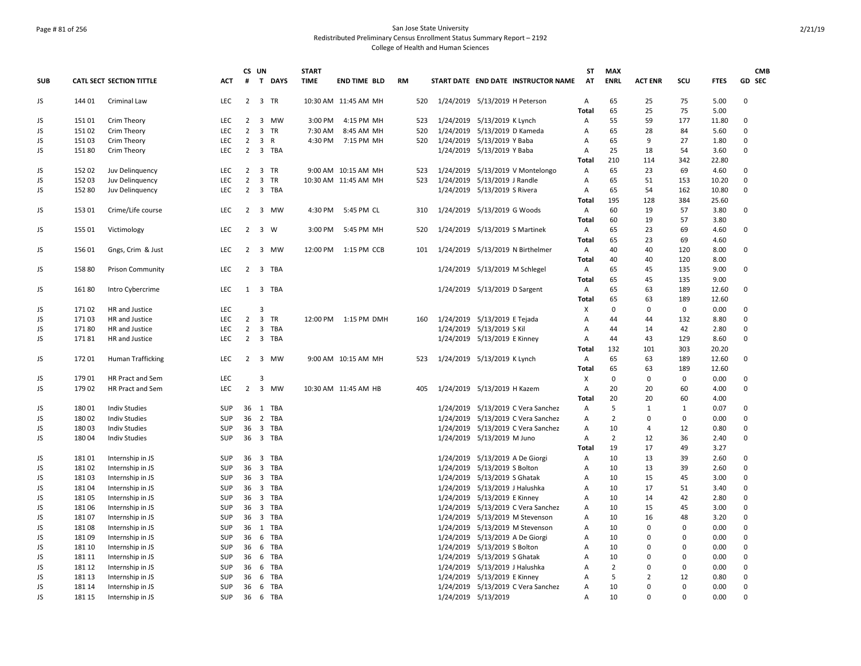### Page # 81 of 256 San Jose State University Redistributed Preliminary Census Enrollment Status Summary Report – 2192 College of Health and Human Sciences

|            |                  |                                      |                   | CS UN                            |   |                | <b>START</b> |                                             |           |            |                                |                                |                                                   | ST                  | <b>MAX</b>     |                |              |               |               | <b>CMB</b> |
|------------|------------------|--------------------------------------|-------------------|----------------------------------|---|----------------|--------------|---------------------------------------------|-----------|------------|--------------------------------|--------------------------------|---------------------------------------------------|---------------------|----------------|----------------|--------------|---------------|---------------|------------|
| <b>SUB</b> |                  | <b>CATL SECT SECTION TITTLE</b>      | <b>ACT</b>        | #                                | T | <b>DAYS</b>    | <b>TIME</b>  | <b>END TIME BLD</b>                         | <b>RM</b> |            |                                |                                | START DATE END DATE INSTRUCTOR NAME               | AT                  | <b>ENRL</b>    | <b>ACT ENR</b> | scu          | <b>FTES</b>   | GD SEC        |            |
| JS         | 144 01           | <b>Criminal Law</b>                  | <b>LEC</b>        | $\overline{2}$                   |   | 3 TR           |              | 10:30 AM 11:45 AM MH                        |           | 520        | 1/24/2019 5/13/2019 H Peterson |                                |                                                   | A                   | 65             | 25             | 75           | 5.00          | $\Omega$      |            |
|            |                  |                                      |                   |                                  |   |                |              |                                             |           |            |                                |                                |                                                   | Total               | 65             | 25             | 75           | 5.00          |               |            |
| JS         | 151 01           | <b>Crim Theory</b>                   | <b>LEC</b>        | 2                                |   | 3 MW           | 3:00 PM      | 4:15 PM MH                                  |           | 523        |                                | 1/24/2019 5/13/2019 K Lynch    |                                                   | Α                   | 55             | 59             | 177          | 11.80         | $\Omega$      |            |
| JS         | 15102            | Crim Theory                          | <b>LEC</b>        | $\overline{2}$                   |   | 3 TR           | 7:30 AM      | 8:45 AM MH                                  |           | 520        | 1/24/2019                      | 5/13/2019 D Kameda             |                                                   | A                   | 65             | 28             | 84           | 5.60          | 0             |            |
| JS         | 15103            | Crim Theory                          | LEC               | $\overline{2}$                   |   | 3 R            |              | 4:30 PM 7:15 PM MH                          |           | 520        | 1/24/2019 5/13/2019 Y Baba     |                                |                                                   | Α                   | 65             | 9              | 27           | 1.80          | $\Omega$      |            |
| JS         | 15180            | Crim Theory                          | LEC               | $\overline{2}$                   |   | 3 TBA          |              |                                             |           |            |                                | 1/24/2019 5/13/2019 Y Baba     |                                                   | Α                   | 25             | 18             | 54           | 3.60          | 0             |            |
|            |                  |                                      | <b>LEC</b>        |                                  |   |                |              |                                             |           |            |                                |                                |                                                   | Total               | 210            | 114<br>23      | 342          | 22.80         |               |            |
| JS<br>JS   | 152 02<br>152 03 | Juv Delinguency<br>Juv Delinquency   | <b>LEC</b>        | $\overline{2}$<br>$\overline{2}$ |   | 3 TR<br>3 TR   |              | 9:00 AM 10:15 AM MH<br>10:30 AM 11:45 AM MH |           | 523<br>523 | 1/24/2019<br>1/24/2019         | 5/13/2019 J Randle             | 5/13/2019 V Montelongo                            | Α<br>$\overline{A}$ | 65<br>65       | 51             | 69<br>153    | 4.60<br>10.20 | 0<br>0        |            |
| JS         | 152 80           | Juv Delinquency                      | <b>LEC</b>        | $\overline{2}$                   |   | 3 TBA          |              |                                             |           |            |                                |                                |                                                   | $\overline{A}$      | 65             | 54             | 162          | 10.80         | 0             |            |
|            |                  |                                      |                   |                                  |   |                |              |                                             |           |            |                                | 1/24/2019 5/13/2019 S Rivera   |                                                   | Total               | 195            | 128            | 384          | 25.60         |               |            |
| JS         | 15301            | Crime/Life course                    | LEC               | 2                                |   | 3 MW           | 4:30 PM      | 5:45 PM CL                                  |           | 310        |                                | 1/24/2019 5/13/2019 G Woods    |                                                   | Α                   | 60             | 19             | 57           | 3.80          | 0             |            |
|            |                  |                                      |                   |                                  |   |                |              |                                             |           |            |                                |                                |                                                   | Total               | 60             | 19             | 57           | 3.80          |               |            |
| JS         | 155 01           | Victimology                          | <b>LEC</b>        | $\overline{2}$                   |   | 3 W            | 3:00 PM      | 5:45 PM MH                                  |           | 520        |                                | 1/24/2019 5/13/2019 S Martinek |                                                   | A                   | 65             | 23             | 69           | 4.60          | $\Omega$      |            |
|            |                  |                                      |                   |                                  |   |                |              |                                             |           |            |                                |                                |                                                   | Total               | 65             | 23             | 69           | 4.60          |               |            |
| JS         | 15601            | Gngs, Crim & Just                    | <b>LEC</b>        | 2                                |   | 3 MW           | 12:00 PM     | 1:15 PM CCB                                 |           | 101        |                                |                                | 1/24/2019 5/13/2019 N Birthelmer                  | Α                   | 40             | 40             | 120          | 8.00          | 0             |            |
|            |                  |                                      |                   |                                  |   |                |              |                                             |           |            |                                |                                |                                                   | Total               | 40             | 40             | 120          | 8.00          |               |            |
| JS         | 158 80           | <b>Prison Community</b>              | LEC               |                                  |   | 2 3 TBA        |              |                                             |           |            |                                | 1/24/2019 5/13/2019 M Schlegel |                                                   | Α                   | 65             | 45             | 135          | 9.00          | $\Omega$      |            |
|            |                  |                                      |                   |                                  |   |                |              |                                             |           |            |                                |                                |                                                   | Total               | 65             | 45             | 135          | 9.00          |               |            |
| JS         | 16180            | Intro Cybercrime                     | <b>LEC</b>        |                                  |   | 1 3 TBA        |              |                                             |           |            |                                | 1/24/2019 5/13/2019 D Sargent  |                                                   | Α                   | 65             | 63             | 189          | 12.60         | 0             |            |
|            |                  |                                      |                   |                                  |   |                |              |                                             |           |            |                                |                                |                                                   | Total               | 65             | 63             | 189          | 12.60         |               |            |
| JS         | 17102            | HR and Justice                       | <b>LEC</b>        |                                  | 3 |                |              |                                             |           |            |                                |                                |                                                   | X                   | $\Omega$       | $\Omega$       | $\mathbf 0$  | 0.00          | 0             |            |
| JS         | 17103            | HR and Justice                       | <b>LEC</b>        | $\overline{2}$                   |   | 3 TR           |              | 12:00 PM 1:15 PM DMH                        |           | 160        | 1/24/2019 5/13/2019 E Tejada   |                                |                                                   | $\overline{A}$      | 44             | 44             | 132          | 8.80          | 0             |            |
| JS         | 17180            | HR and Justice                       | LEC               | $\overline{2}$                   |   | 3 TBA          |              |                                             |           |            |                                | 1/24/2019 5/13/2019 S Kil      |                                                   | Α                   | 44             | 14             | 42           | 2.80          | 0             |            |
| JS         | 17181            | HR and Justice                       | <b>LEC</b>        | 2                                |   | 3 TBA          |              |                                             |           |            |                                | 1/24/2019 5/13/2019 E Kinney   |                                                   | Α                   | 44             | 43             | 129          | 8.60          | 0             |            |
|            |                  |                                      |                   |                                  |   |                |              |                                             |           |            |                                |                                |                                                   | Total               | 132            | 101            | 303          | 20.20         |               |            |
| JS         | 17201            | <b>Human Trafficking</b>             | <b>LEC</b>        | $\overline{2}$                   |   | 3 MW           |              | 9:00 AM 10:15 AM MH                         |           | 523        | 1/24/2019 5/13/2019 K Lynch    |                                |                                                   | $\overline{A}$      | 65             | 63             | 189          | 12.60         | 0             |            |
|            |                  |                                      |                   |                                  |   |                |              |                                             |           |            |                                |                                |                                                   | Total               | 65             | 63             | 189          | 12.60         |               |            |
| JS         | 17901            | HR Pract and Sem                     | <b>LEC</b>        |                                  | 3 |                |              |                                             |           |            |                                |                                |                                                   | х                   | 0              | $\Omega$       | 0            | 0.00          | $\Omega$      |            |
| JS         | 179 02           | HR Pract and Sem                     | LEC               | $\overline{2}$                   |   | 3 MW           |              | 10:30 AM 11:45 AM HB                        |           | 405        | 1/24/2019 5/13/2019 H Kazem    |                                |                                                   | Α                   | 20             | 20             | 60           | 4.00          | $\Omega$      |            |
|            |                  |                                      |                   |                                  |   |                |              |                                             |           |            |                                |                                |                                                   | Total               | 20             | 20             | 60           | 4.00          |               |            |
| JS         | 18001            | <b>Indiv Studies</b>                 | SUP               | 36                               |   | 1 TBA          |              |                                             |           |            | 1/24/2019                      |                                | 5/13/2019 C Vera Sanchez                          | Α                   | 5              | 1              | $\mathbf{1}$ | 0.07          | $\Omega$      |            |
| JS         | 18002            | <b>Indiv Studies</b>                 | <b>SUP</b>        | 36                               |   | 2 TBA          |              |                                             |           |            | 1/24/2019                      |                                | 5/13/2019 C Vera Sanchez                          | Α                   | $\overline{2}$ | $\mathbf 0$    | $\mathbf 0$  | 0.00          | 0             |            |
| JS         | 18003            | <b>Indiv Studies</b>                 | <b>SUP</b>        | 36                               |   | 3 TBA          |              |                                             |           |            |                                |                                | 1/24/2019 5/13/2019 C Vera Sanchez                | $\overline{A}$      | 10             | $\overline{4}$ | 12           | 0.80          | $\Omega$      |            |
| JS         | 18004            | <b>Indiv Studies</b>                 | <b>SUP</b>        | 36                               |   | 3 TBA          |              |                                             |           |            |                                | 1/24/2019 5/13/2019 M Juno     |                                                   | $\overline{A}$      | $\overline{2}$ | 12             | 36           | 2.40          | $\Omega$      |            |
|            |                  |                                      |                   |                                  |   |                |              |                                             |           |            |                                |                                |                                                   | Total               | 19             | 17             | 49           | 3.27          |               |            |
| JS         | 18101            | Internship in JS                     | SUP               | 36                               |   | 3 TBA          |              |                                             |           |            | 1/24/2019                      | 5/13/2019 A De Giorgi          |                                                   | Α                   | 10             | 13             | 39           | 2.60          | 0             |            |
| JS         | 181 02           | Internship in JS                     | <b>SUP</b>        | 36                               |   | 3 TBA          |              |                                             |           |            | 1/24/2019                      | 5/13/2019 S Bolton             |                                                   | A                   | 10             | 13             | 39           | 2.60          | $\Omega$      |            |
| JS         | 18103            | Internship in JS                     | SUP               | 36                               |   | 3 TBA          |              |                                             |           |            | 1/24/2019                      | 5/13/2019 S Ghatak             |                                                   | Α                   | 10             | 15             | 45           | 3.00          | 0             |            |
| JS         | 18104            | Internship in JS                     | SUP               | 36                               |   | 3 TBA          |              |                                             |           |            | 1/24/2019                      | 5/13/2019 J Halushka           |                                                   | A                   | 10             | 17             | 51           | 3.40          | $\Omega$      |            |
| JS         | 18105            | Internship in JS                     | <b>SUP</b><br>SUP | 36<br>36                         |   | 3 TBA<br>3 TBA |              |                                             |           |            | 1/24/2019                      | 5/13/2019 E Kinney             |                                                   | A                   | 10<br>10       | 14<br>15       | 42<br>45     | 2.80<br>3.00  | 0<br>$\Omega$ |            |
| JS<br>JS   | 18106<br>18107   | Internship in JS<br>Internship in JS | SUP               | 36                               |   | 3 TBA          |              |                                             |           |            | 1/24/2019<br>1/24/2019         |                                | 5/13/2019 C Vera Sanchez<br>5/13/2019 M Stevenson | Α<br>Α              | 10             | 16             | 48           | 3.20          | 0             |            |
| JS         | 18108            | Internship in JS                     | SUP               | 36                               |   | 1 TBA          |              |                                             |           |            | 1/24/2019                      |                                | 5/13/2019 M Stevenson                             | Α                   | 10             | $\mathbf 0$    | 0            | 0.00          | 0             |            |
| JS         | 181 09           | Internship in JS                     | SUP               | 36                               |   | 6 TBA          |              |                                             |           |            | 1/24/2019                      | 5/13/2019 A De Giorgi          |                                                   | A                   | 10             | $\Omega$       | 0            | 0.00          | $\Omega$      |            |
| JS         | 181 10           | Internship in JS                     | SUP               | 36                               |   | 6 TBA          |              |                                             |           |            |                                | 1/24/2019 5/13/2019 S Bolton   |                                                   | A                   | 10             | $\mathbf 0$    | 0            | 0.00          | $\Omega$      |            |
| JS         | 181 11           | Internship in JS                     | SUP               | 36                               |   | 6 TBA          |              |                                             |           |            |                                | 1/24/2019 5/13/2019 S Ghatak   |                                                   | A                   | 10             | $\Omega$       | $\Omega$     | 0.00          | $\Omega$      |            |
| JS         | 181 12           | Internship in JS                     | SUP               | 36                               |   | 6 TBA          |              |                                             |           |            | 1/24/2019                      | 5/13/2019 J Halushka           |                                                   | $\overline{A}$      | $\overline{2}$ | $\Omega$       | $\Omega$     | 0.00          | 0             |            |
| JS         | 181 13           | Internship in JS                     | <b>SUP</b>        | 36                               |   | 6 TBA          |              |                                             |           |            |                                | 1/24/2019 5/13/2019 E Kinney   |                                                   | A                   | 5              | $\overline{2}$ | 12           | 0.80          | 0             |            |
| JS         | 181 14           | Internship in JS                     | <b>SUP</b>        | 36                               |   | 6 TBA          |              |                                             |           |            |                                |                                | 1/24/2019 5/13/2019 C Vera Sanchez                | Α                   | 10             | $\mathbf 0$    | 0            | 0.00          | 0             |            |
| JS         | 181 15           | Internship in JS                     | SUP               | 36                               |   | 6 TBA          |              |                                             |           |            |                                | 1/24/2019 5/13/2019            |                                                   | $\overline{A}$      | 10             | $\Omega$       | $\Omega$     | 0.00          | $\Omega$      |            |
|            |                  |                                      |                   |                                  |   |                |              |                                             |           |            |                                |                                |                                                   |                     |                |                |              |               |               |            |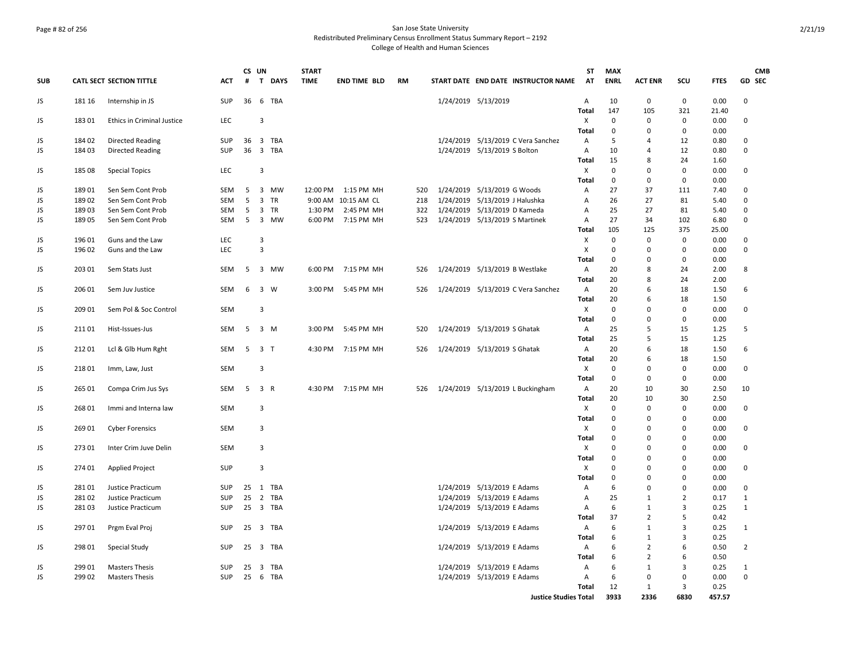### Page # 82 of 256 San Jose State University Redistributed Preliminary Census Enrollment Status Summary Report – 2192 College of Health and Human Sciences

|            |        |                                        |                   | CS UN |                  | <b>START</b> |                     |     |                                                            | <b>ST</b>      | <b>MAX</b>                 |                  |                      |              | <b>CMB</b>                 |
|------------|--------|----------------------------------------|-------------------|-------|------------------|--------------|---------------------|-----|------------------------------------------------------------|----------------|----------------------------|------------------|----------------------|--------------|----------------------------|
| <b>SUB</b> |        | <b>CATL SECT SECTION TITTLE</b>        | ACT               | #     | T<br><b>DAYS</b> | <b>TIME</b>  | <b>END TIME BLD</b> | RM  | START DATE END DATE INSTRUCTOR NAME                        | AT             | <b>ENRL</b>                | <b>ACT ENR</b>   | scu                  | <b>FTES</b>  | GD SEC                     |
| JS         | 181 16 | Internship in JS                       | SUP               | 36    | 6 TBA            |              |                     |     | 1/24/2019 5/13/2019                                        | $\overline{A}$ | 10                         | $\mathbf 0$      | 0                    | 0.00         | $\mathbf 0$                |
|            |        |                                        |                   |       |                  |              |                     |     |                                                            | <b>Total</b>   | 147                        | 105              | 321                  | 21.40        |                            |
| JS         | 183 01 | <b>Ethics in Criminal Justice</b>      | LEC               |       | 3                |              |                     |     |                                                            | X              | 0                          | 0<br>0           | $\mathbf 0$<br>0     | 0.00         | $\mathbf 0$                |
| JS         | 184 02 | <b>Directed Reading</b>                | <b>SUP</b>        | 36    | 3 TBA            |              |                     |     | 1/24/2019 5/13/2019 C Vera Sanchez                         | Total<br>A     | 0<br>5                     | 4                | 12                   | 0.00<br>0.80 | 0                          |
| JS         | 18403  | <b>Directed Reading</b>                | <b>SUP</b>        | 36    | 3 TBA            |              |                     |     | 1/24/2019 5/13/2019 S Bolton                               | Α              | 10                         | $\overline{a}$   | 12                   | 0.80         | $\mathbf 0$                |
|            |        |                                        |                   |       |                  |              |                     |     |                                                            | Total          | 15                         | 8                | 24                   | 1.60         |                            |
| JS         | 185 08 | <b>Special Topics</b>                  | <b>LEC</b>        |       | 3                |              |                     |     |                                                            | X              | $\mathbf 0$                | $\Omega$         | $\Omega$             | 0.00         | 0                          |
|            |        |                                        |                   |       |                  |              |                     |     |                                                            | Total          | 0                          | $\mathbf 0$      | $\mathbf 0$          | 0.00         |                            |
| JS         | 18901  | Sen Sem Cont Prob                      | SEM               | 5     | 3 MW             |              | 12:00 PM 1:15 PM MH | 520 | 1/24/2019 5/13/2019 G Woods                                | Α              | 27                         | 37               | 111                  | 7.40         | 0                          |
| JS         | 18902  | Sen Sem Cont Prob                      | <b>SEM</b>        | 5     | 3<br>TR          |              | 9:00 AM 10:15 AM CL | 218 | 1/24/2019 5/13/2019 J Halushka                             | $\mathsf{A}$   | 26                         | 27               | 81                   | 5.40         | $\Omega$                   |
| JS         | 189 03 | Sen Sem Cont Prob                      | SEM               | 5     | 3 TR             | 1:30 PM      | 2:45 PM MH          | 322 | 1/24/2019 5/13/2019 D Kameda                               | Α              | 25                         | 27               | 81                   | 5.40         | $\mathbf 0$                |
| JS         | 18905  | Sen Sem Cont Prob                      | <b>SEM</b>        | 5     | 3 MW             | 6:00 PM      | 7:15 PM MH          | 523 | 1/24/2019 5/13/2019 S Martinek                             | $\overline{A}$ | 27                         | 34               | 102                  | 6.80         | 0                          |
|            |        |                                        |                   |       |                  |              |                     |     |                                                            | Total          | 105                        | 125              | 375                  | 25.00        |                            |
| JS         | 196 01 | Guns and the Law                       | <b>LEC</b>        |       | 3<br>3           |              |                     |     |                                                            | х              | $\mathbf 0$                | $\mathbf 0$      | $\mathbf 0$          | 0.00         | $\mathbf 0$<br>$\mathbf 0$ |
| JS         | 196 02 | Guns and the Law                       | <b>LEC</b>        |       |                  |              |                     |     |                                                            | X<br>Total     | 0<br>0                     | 0<br>0           | 0<br>0               | 0.00<br>0.00 |                            |
| JS         | 203 01 | Sem Stats Just                         | <b>SEM</b>        | 5     | 3 MW             | 6:00 PM      | 7:15 PM MH          | 526 | 1/24/2019 5/13/2019 B Westlake                             | A              | 20                         | 8                | 24                   | 2.00         | 8                          |
|            |        |                                        |                   |       |                  |              |                     |     |                                                            | Total          | 20                         | 8                | 24                   | 2.00         |                            |
| JS         | 206 01 | Sem Juv Justice                        | SEM               | 6     | 3 W              | 3:00 PM      | 5:45 PM MH          | 526 | 1/24/2019 5/13/2019 C Vera Sanchez                         | A              | 20                         | 6                | 18                   | 1.50         | 6                          |
|            |        |                                        |                   |       |                  |              |                     |     |                                                            | Total          | 20                         | 6                | 18                   | 1.50         |                            |
| JS         | 209 01 | Sem Pol & Soc Control                  | <b>SEM</b>        |       | 3                |              |                     |     |                                                            | Χ              | $\mathbf 0$                | $\Omega$         | 0                    | 0.00         | $\Omega$                   |
|            |        |                                        |                   |       |                  |              |                     |     |                                                            | Total          | $\mathbf 0$                | $\mathbf 0$      | $\Omega$             | 0.00         |                            |
| JS         | 21101  | Hist-Issues-Jus                        | <b>SEM</b>        | 5     | 3 M              | 3:00 PM      | 5:45 PM MH          | 520 | 1/24/2019 5/13/2019 S Ghatak                               | $\overline{A}$ | 25                         | 5                | 15                   | 1.25         | 5                          |
|            |        |                                        |                   |       |                  |              |                     |     |                                                            | Total          | 25                         | 5                | 15                   | 1.25         |                            |
| JS         | 21201  | Lcl & Glb Hum Rght                     | <b>SEM</b>        | 5     | 3 <sub>T</sub>   | 4:30 PM      | 7:15 PM MH          | 526 | 1/24/2019 5/13/2019 S Ghatak                               | A              | 20                         | 6                | 18                   | 1.50         | 6                          |
|            |        |                                        |                   |       |                  |              |                     |     |                                                            | Total          | 20                         | 6                | 18                   | 1.50         |                            |
| JS         | 21801  | Imm, Law, Just                         | SEM               |       | 3                |              |                     |     |                                                            | Χ<br>Total     | $\mathbf 0$<br>$\mathbf 0$ | 0<br>$\mathbf 0$ | 0<br>0               | 0.00<br>0.00 | 0                          |
| JS         | 265 01 | Compa Crim Jus Sys                     | <b>SEM</b>        |       | 5 3 R            | 4:30 PM      | 7:15 PM MH          | 526 | 1/24/2019 5/13/2019 L Buckingham                           | A              | 20                         | 10               | 30                   | 2.50         | 10                         |
|            |        |                                        |                   |       |                  |              |                     |     |                                                            | Total          | 20                         | 10               | 30                   | 2.50         |                            |
| JS         | 268 01 | Immi and Interna law                   | <b>SEM</b>        |       | 3                |              |                     |     |                                                            | Χ              | $\mathbf 0$                | 0                | 0                    | 0.00         | 0                          |
|            |        |                                        |                   |       |                  |              |                     |     |                                                            | Total          | 0                          | 0                | 0                    | 0.00         |                            |
| JS         | 26901  | <b>Cyber Forensics</b>                 | SEM               |       | 3                |              |                     |     |                                                            | X              | $\mathbf 0$                | 0                | $\Omega$             | 0.00         | 0                          |
|            |        |                                        |                   |       |                  |              |                     |     |                                                            | <b>Total</b>   | $\mathbf 0$                | $\Omega$         | $\Omega$             | 0.00         |                            |
| JS         | 27301  | Inter Crim Juve Delin                  | <b>SEM</b>        |       | 3                |              |                     |     |                                                            | X              | $\mathbf 0$                | $\Omega$         | $\Omega$             | 0.00         | $\mathbf 0$                |
|            |        |                                        |                   |       |                  |              |                     |     |                                                            | <b>Total</b>   | $\mathbf 0$                | $\Omega$         | $\mathbf 0$          | 0.00         |                            |
| JS         | 274 01 | <b>Applied Project</b>                 | SUP               |       | 3                |              |                     |     |                                                            | Х              | $\mathbf 0$                | 0                | $\Omega$             | 0.00         | 0                          |
|            | 281 01 |                                        |                   | 25    |                  |              |                     |     |                                                            | <b>Total</b>   | $\mathbf 0$<br>6           | $\Omega$<br>0    | $\Omega$<br>$\Omega$ | 0.00         | 0                          |
| JS<br>JS   | 28102  | Justice Practicum<br>Justice Practicum | <b>SUP</b><br>SUP | 25    | 1 TBA<br>2 TBA   |              |                     |     | 1/24/2019 5/13/2019 E Adams<br>1/24/2019 5/13/2019 E Adams | A<br>A         | 25                         | $\mathbf{1}$     | $\overline{2}$       | 0.00<br>0.17 | $\mathbf{1}$               |
| JS         | 281 03 | Justice Practicum                      | SUP               | 25    | 3 TBA            |              |                     |     | 1/24/2019 5/13/2019 E Adams                                | Α              | 6                          | $\mathbf{1}$     | 3                    | 0.25         | $\mathbf{1}$               |
|            |        |                                        |                   |       |                  |              |                     |     |                                                            | Total          | 37                         | $\overline{2}$   | 5                    | 0.42         |                            |
| JS         | 297 01 | Prgm Eval Proj                         | SUP               | 25    | 3 TBA            |              |                     |     | 1/24/2019 5/13/2019 E Adams                                | A              | 6                          | $\mathbf{1}$     | 3                    | 0.25         | 1                          |
|            |        |                                        |                   |       |                  |              |                     |     |                                                            | Total          | 6                          | $\mathbf{1}$     | 3                    | 0.25         |                            |
| JS         | 298 01 | Special Study                          | <b>SUP</b>        | 25    | 3 TBA            |              |                     |     | 1/24/2019 5/13/2019 E Adams                                | A              | 6                          | $\overline{2}$   | 6                    | 0.50         | $\overline{2}$             |
|            |        |                                        |                   |       |                  |              |                     |     |                                                            | Total          | 6                          | $\overline{2}$   | 6                    | 0.50         |                            |
| JS         | 29901  | <b>Masters Thesis</b>                  | <b>SUP</b>        | 25    | 3 TBA            |              |                     |     | 1/24/2019 5/13/2019 E Adams                                | Α              | 6                          | $\mathbf{1}$     | 3                    | 0.25         | 1                          |
| JS         | 299 02 | <b>Masters Thesis</b>                  | <b>SUP</b>        | 25    | 6 TBA            |              |                     |     | 1/24/2019 5/13/2019 E Adams                                | Α              | 6                          | 0                | 0                    | 0.00         | 0                          |
|            |        |                                        |                   |       |                  |              |                     |     |                                                            | Total          | 12<br>3933                 | 1<br>2336        | 3<br>6830            | 0.25         |                            |
|            |        |                                        |                   |       |                  |              |                     |     | <b>Justice Studies Total</b>                               |                |                            |                  |                      | 457.57       |                            |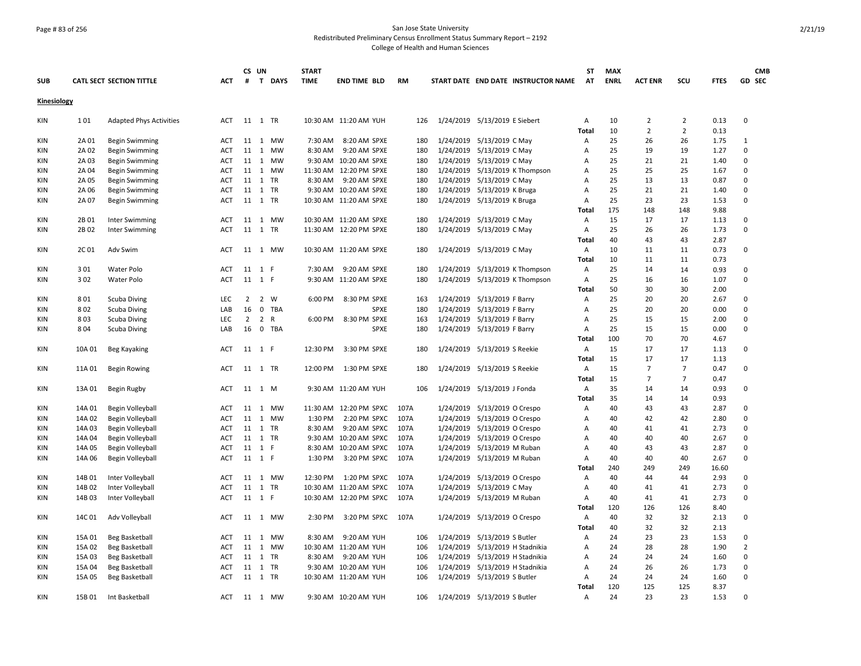## Page # 83 of 256 San Jose State University Redistributed Preliminary Census Enrollment Status Summary Report – 2192

|             |        |                                 |            | CS UN          |       |         | <b>START</b> |                         |           |                                 |                                     | <b>ST</b>    | <b>MAX</b>  |                |                |             | <b>CMB</b>     |  |
|-------------|--------|---------------------------------|------------|----------------|-------|---------|--------------|-------------------------|-----------|---------------------------------|-------------------------------------|--------------|-------------|----------------|----------------|-------------|----------------|--|
| <b>SUB</b>  |        | <b>CATL SECT SECTION TITTLE</b> | <b>ACT</b> | #              |       | T DAYS  | <b>TIME</b>  | <b>END TIME BLD</b>     | <b>RM</b> |                                 | START DATE END DATE INSTRUCTOR NAME | AT           | <b>ENRL</b> | <b>ACT ENR</b> | scu            | <b>FTES</b> | GD SEC         |  |
| Kinesiology |        |                                 |            |                |       |         |              |                         |           |                                 |                                     |              |             |                |                |             |                |  |
| KIN         | 101    | <b>Adapted Phys Activities</b>  | ACT        | 11 1 TR        |       |         |              | 10:30 AM 11:20 AM YUH   | 126       | 1/24/2019 5/13/2019 E Siebert   |                                     | Α            | 10          | 2              | $\overline{2}$ | 0.13        | $\mathbf 0$    |  |
|             |        |                                 |            |                |       |         |              |                         |           |                                 |                                     | <b>Total</b> | 10          | $\overline{2}$ | $\overline{2}$ | 0.13        |                |  |
| KIN         | 2A 01  | <b>Begin Swimming</b>           | ACT        |                |       | 11 1 MW | 7:30 AM      | 8:20 AM SPXE            | 180       | 1/24/2019 5/13/2019 C May       |                                     | Α            | 25          | 26             | 26             | 1.75        | 1              |  |
| KIN         | 2A 02  | <b>Begin Swimming</b>           | ACT        | 11             |       | 1 MW    | 8:30 AM      | 9:20 AM SPXE            | 180       | 1/24/2019 5/13/2019 C May       |                                     | Α            | 25          | 19             | 19             | 1.27        | $\pmb{0}$      |  |
| KIN         | 2A 03  | <b>Begin Swimming</b>           | <b>ACT</b> |                |       | 11 1 MW |              | 9:30 AM 10:20 AM SPXE   | 180       | 1/24/2019 5/13/2019 C May       |                                     | Α            | 25          | 21             | 21             | 1.40        | 0              |  |
| <b>KIN</b>  | 2A 04  | <b>Begin Swimming</b>           | <b>ACT</b> |                |       | 11 1 MW |              | 11:30 AM 12:20 PM SPXE  | 180       |                                 | 1/24/2019 5/13/2019 K Thompson      | Α            | 25          | 25             | 25             | 1.67        | $\mathbf 0$    |  |
| KIN         | 2A 05  | <b>Begin Swimming</b>           | <b>ACT</b> |                |       | 11 1 TR | 8:30 AM      | 9:20 AM SPXE            | 180       | 1/24/2019 5/13/2019 C May       |                                     | Α            | 25          | 13             | 13             | 0.87        | $\mathbf 0$    |  |
| KIN         | 2A 06  | <b>Begin Swimming</b>           | <b>ACT</b> |                |       | 11 1 TR |              | 9:30 AM 10:20 AM SPXE   | 180       | 1/24/2019 5/13/2019 K Bruga     |                                     | A            | 25          | 21             | 21             | 1.40        | $\mathbf 0$    |  |
| KIN         | 2A 07  | <b>Begin Swimming</b>           | ACT        |                |       | 11 1 TR |              | 10:30 AM 11:20 AM SPXE  | 180       | 1/24/2019 5/13/2019 K Bruga     |                                     | Α            | 25          | 23             | 23             | 1.53        | $\mathbf 0$    |  |
|             |        |                                 |            |                |       |         |              |                         |           |                                 |                                     | Total        | 175         | 148            | 148            | 9.88        |                |  |
| KIN         | 2B 01  | Inter Swimming                  | ACT        |                |       | 11 1 MW |              | 10:30 AM 11:20 AM SPXE  | 180       | 1/24/2019 5/13/2019 C May       |                                     | Α            | 15          | 17             | 17             | 1.13        | 0              |  |
| KIN         | 2B 02  | Inter Swimming                  | <b>ACT</b> |                |       | 11 1 TR |              | 11:30 AM 12:20 PM SPXE  | 180       | 1/24/2019 5/13/2019 C May       |                                     | Α            | 25          | 26             | 26             | 1.73        | 0              |  |
|             |        |                                 |            |                |       |         |              |                         |           |                                 |                                     | Total        | 40          | 43             | 43             | 2.87        |                |  |
| <b>KIN</b>  | 2C 01  | Adv Swim                        | <b>ACT</b> |                |       | 11 1 MW |              | 10:30 AM 11:20 AM SPXE  | 180       | 1/24/2019 5/13/2019 C May       |                                     | Α            | 10          | 11             | 11             | 0.73        | 0              |  |
|             |        |                                 |            |                |       |         |              |                         |           |                                 |                                     | Total        | 10          | 11             | 11             | 0.73        |                |  |
| KIN         | 301    | Water Polo                      | ACT        | 11 1 F         |       |         | 7:30 AM      | 9:20 AM SPXE            | 180       |                                 | 1/24/2019 5/13/2019 K Thompson      | Α            | 25          | 14             | 14             | 0.93        | 0              |  |
| KIN         | 302    | Water Polo                      | ACT        | 11 1 F         |       |         |              | 9:30 AM 11:20 AM SPXE   | 180       |                                 | 1/24/2019 5/13/2019 K Thompson      | Α            | 25          | 16             | 16             | 1.07        | 0              |  |
|             |        |                                 |            |                |       |         |              |                         |           |                                 |                                     | <b>Total</b> | 50          | 30             | 30             | 2.00        |                |  |
| KIN         | 801    | Scuba Diving                    | <b>LEC</b> |                | 2 2 W |         | 6:00 PM      | 8:30 PM SPXE            | 163       | 1/24/2019 5/13/2019 F Barry     |                                     | Α            | 25          | 20             | 20             | 2.67        | $\mathbf 0$    |  |
| KIN         | 802    | <b>Scuba Diving</b>             | LAB        | 16             |       | 0 TBA   |              | <b>SPXE</b>             | 180       | 1/24/2019 5/13/2019 F Barry     |                                     | Α            | 25          | 20             | 20             | 0.00        | $\Omega$       |  |
| <b>KIN</b>  | 803    | <b>Scuba Diving</b>             | <b>LEC</b> | $\overline{2}$ | 2 R   |         | 6:00 PM      | 8:30 PM SPXE            | 163       | 1/24/2019 5/13/2019 F Barry     |                                     | A            | 25          | 15             | 15             | 2.00        | $\mathbf 0$    |  |
| KIN         | 804    | Scuba Diving                    | LAB        | 16             |       | 0 TBA   |              | SPXE                    | 180       | 1/24/2019 5/13/2019 F Barry     |                                     | А            | 25          | 15             | 15             | 0.00        | 0              |  |
|             |        |                                 |            |                |       |         |              |                         |           |                                 |                                     | Total        | 100         | 70             | 70             | 4.67        |                |  |
| KIN         | 10A 01 | Beg Kayaking                    | ACT        | 11 1 F         |       |         | 12:30 PM     | 3:30 PM SPXE            | 180       | 1/24/2019 5/13/2019 S Reekie    |                                     | Α            | 15          | 17             | 17             | 1.13        | $\mathbf 0$    |  |
|             |        |                                 |            |                |       |         |              |                         |           |                                 |                                     | Total        | 15          | 17             | 17             | 1.13        |                |  |
| KIN         | 11A 01 | <b>Begin Rowing</b>             | ACT        |                |       | 11 1 TR | 12:00 PM     | 1:30 PM SPXE            | 180       | 1/24/2019 5/13/2019 S Reekie    |                                     | Α            | 15          | $\overline{7}$ | $\overline{7}$ | 0.47        | 0              |  |
|             |        |                                 |            |                |       |         |              |                         |           |                                 |                                     | <b>Total</b> | 15          | $\overline{7}$ | $\overline{7}$ | 0.47        |                |  |
| <b>KIN</b>  | 13A 01 | Begin Rugby                     | <b>ACT</b> | 11 1 M         |       |         |              | 9:30 AM 11:20 AM YUH    | 106       | 1/24/2019 5/13/2019 J Fonda     |                                     | Α            | 35          | 14             | 14             | 0.93        | 0              |  |
|             |        |                                 |            |                |       |         |              |                         |           |                                 |                                     | Total        | 35          | 14             | 14             | 0.93        |                |  |
| KIN         | 14A 01 | Begin Volleyball                | ACT        | 11             |       | 1 MW    |              | 11:30 AM  12:20 PM SPXC | 107A      | 1/24/2019 5/13/2019 O Crespo    |                                     | Α            | 40          | 43             | 43             | 2.87        | 0              |  |
| <b>KIN</b>  | 14A 02 | Begin Volleyball                | <b>ACT</b> | 11             |       | 1 MW    | 1:30 PM      | 2:20 PM SPXC            | 107A      | 1/24/2019 5/13/2019 O Crespo    |                                     | Α            | 40          | 42             | 42             | 2.80        | 0              |  |
| <b>KIN</b>  | 14A 03 | Begin Volleyball                | ACT        |                |       | 11 1 TR | 8:30 AM      | 9:20 AM SPXC            | 107A      | 1/24/2019 5/13/2019 O Crespo    |                                     | Α            | 40          | 41             | 41             | 2.73        | $\mathbf 0$    |  |
| KIN         | 14A 04 | Begin Volleyball                | <b>ACT</b> |                |       | 11 1 TR |              | 9:30 AM 10:20 AM SPXC   | 107A      | 1/24/2019 5/13/2019 O Crespo    |                                     | Α            | 40          | 40             | 40             | 2.67        | $\Omega$       |  |
| KIN         | 14A 05 | Begin Volleyball                | ACT        | 11 1 F         |       |         |              | 8:30 AM 10:20 AM SPXC   | 107A      | 1/24/2019 5/13/2019 M Ruban     |                                     | Α            | 40          | 43             | 43             | 2.87        | 0              |  |
| KIN         | 14A 06 | Begin Volleyball                | ACT        | 11 1 F         |       |         | 1:30 PM      | 3:20 PM SPXC            | 107A      | 1/24/2019 5/13/2019 M Ruban     |                                     | Α            | 40          | 40             | 40             | 2.67        | 0              |  |
|             |        |                                 |            |                |       |         |              |                         |           |                                 |                                     | <b>Total</b> | 240         | 249            | 249            | 16.60       |                |  |
| KIN         | 14B 01 | Inter Volleyball                | ACT        |                |       | 11 1 MW | 12:30 PM     | 1:20 PM SPXC            | 107A      | 1/24/2019 5/13/2019 O Crespo    |                                     | Α            | 40          | 44             | 44             | 2.93        | $\mathbf 0$    |  |
| KIN         | 14B 02 | Inter Volleyball                | <b>ACT</b> |                |       | 11 1 TR |              | 10:30 AM 11:20 AM SPXC  | 107A      | 1/24/2019 5/13/2019 C May       |                                     | A            | 40          | 41             | 41             | 2.73        | 0              |  |
| KIN         | 14B 03 | Inter Volleyball                | <b>ACT</b> | 11 1 F         |       |         |              | 10:30 AM 12:20 PM SPXC  | 107A      | 1/24/2019 5/13/2019 M Ruban     |                                     | Α            | 40          | 41             | 41             | 2.73        | $\mathbf 0$    |  |
|             |        |                                 |            |                |       |         |              |                         |           |                                 |                                     | Total        | 120         | 126            | 126            | 8.40        |                |  |
| <b>KIN</b>  | 14C 01 | Adv Volleyball                  | <b>ACT</b> |                |       | 11 1 MW | 2:30 PM      | 3:20 PM SPXC            | 107A      | 1/24/2019 5/13/2019 O Crespo    |                                     | Α            | 40          | 32             | 32             | 2.13        | 0              |  |
|             |        |                                 |            |                |       |         |              |                         |           |                                 |                                     | Total        | 40          | 32             | 32             | 2.13        |                |  |
| KIN         | 15A 01 | Beg Basketball                  | ACT        | 11             |       | 1 MW    | 8:30 AM      | 9:20 AM YUH             | 106       | 1/24/2019 5/13/2019 S Butler    |                                     | Α            | 24          | 23             | 23             | 1.53        | 0              |  |
| KIN         | 15A 02 | <b>Beg Basketball</b>           | <b>ACT</b> |                |       | 11 1 MW |              | 10:30 AM 11:20 AM YUH   | 106       | 1/24/2019 5/13/2019 H Stadnikia |                                     | Α            | 24          | 28             | 28             | 1.90        | $\overline{2}$ |  |
| <b>KIN</b>  | 15A 03 | <b>Beg Basketball</b>           | <b>ACT</b> |                |       | 11 1 TR | 8:30 AM      | 9:20 AM YUH             | 106       | 1/24/2019 5/13/2019 H Stadnikia |                                     | A            | 24          | 24             | 24             | 1.60        | $\mathbf 0$    |  |
| KIN         | 15A 04 | <b>Beg Basketball</b>           | <b>ACT</b> | 11 1 TR        |       |         |              | 9:30 AM 10:20 AM YUH    | 106       | 1/24/2019 5/13/2019 H Stadnikia |                                     | Α            | 24          | 26             | 26             | 1.73        | $\mathbf 0$    |  |
| KIN         | 15A 05 | <b>Beg Basketball</b>           | ACT        |                |       | 11 1 TR |              | 10:30 AM 11:20 AM YUH   | 106       | 1/24/2019 5/13/2019 S Butler    |                                     | Α            | 24          | 24             | 24             | 1.60        | 0              |  |
|             |        |                                 |            |                |       |         |              |                         |           |                                 |                                     | Total        | 120         | 125            | 125            | 8.37        |                |  |
| <b>KIN</b>  | 15B 01 | Int Basketball                  | <b>ACT</b> |                |       | 11 1 MW |              | 9:30 AM 10:20 AM YUH    | 106       | 1/24/2019 5/13/2019 S Butler    |                                     | A            | 24          | 23             | 23             | 1.53        | $\Omega$       |  |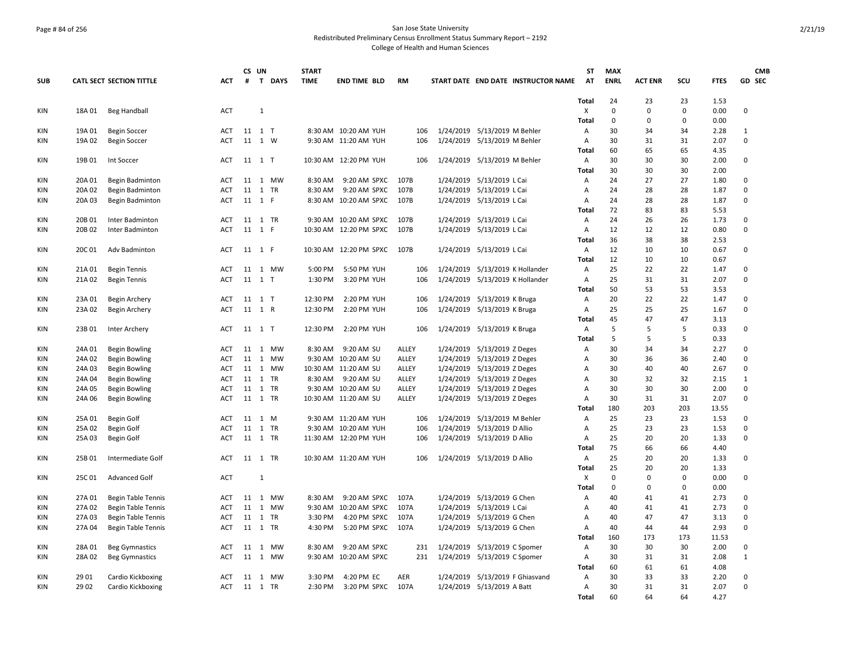#### Page # 84 of 256 San Jose State University Redistributed Preliminary Census Enrollment Status Summary Report – 2192 College of Health and Human Sciences

**ST**

**MAX** 

**CS UN**

**START** 

**SUB CATL SECT SECTION TITTLE ACT # T DAYS TIME END TIME BLD RM START DATE END DATE INSTRUCTOR NAME AT ENRL ACT ENR SCU FTES GD SEC Total** 24 23 23 1.53 KIN 18A 01 Beg Handball ACT 1 X 0 0 0 0.00 0 **Total** 0 0 0 0.00 KIN 19A 01 Begin Soccer ACT 11 1 T 8:30 AM 10:20 AM YUH 106 1/24/2019 5/13/2019 M Behler A 30 34 34 2.28 1 KIN 19A 02 Begin Soccer 6 6 ACT 11 1 W 9:30 AM 11:20 AM YUH 106 1/24/2019 5/13/2019 M Behler 6 A 30 31 31 2.07 0 **Total** 60 65 65 4.35 KIN 19B 01 Int Soccer ACT 11 1 T 10:30 AM 12:20 PM YUH 106 1/24/2019 5/13/2019 M Behler A 30 30 30 2.00 0 **Total** 30 30 30 2.00 KIN 20A 01 Begin Badminton a ACT 11 1 MW 8:30 AM 9:20 AM SPXC 107B 1/24/2019 5/13/2019 L Cai A 24 27 27 1.80 0 KIN 20A 02 Begin Badminton **ACT 11 1 TR** 8:30 AM 9:20 AM SPXC 107B 1/24/2019 5/13/2019 L Cai A 24 28 28 1.87 0 KIN 20A 03 Begin Badminton **ACT 11 1 F 8:30 AM 10:20 AM SPXC 107B** 1/24/2019 5/13/2019 L Cai A 24 28 28 1.87 0 **Total** 72 83 83 5.53 KIN 20B 01 Inter Badminton **ACT 11 1 TR** 9:30 AM 10:20 AM SPXC 107B 1/24/2019 5/13/2019 L Cai A 24 26 26 1.73 0 KIN 20B02 Inter Badminton **ACT 11 1 F** 10:30 AM 12:20 PM SPXC 107B 1/24/2019 5/13/2019 L Cai A 12 12 12 0.80 0 **Total** 36 38 38 2.53 KIN 20C 01 Adv Badminton **ACT 11 1 F 10:30 AM 12:20 PM SPXC 107B** 1/24/2019 5/13/2019 L Cai A 12 10 10 0.67 0 **Total** 12 10 10 0.67 KIN 21A 01 Begin Tennis ACT 11 1 MW 5:00 PM 5:50 PM YUH 106 1/24/2019 5/13/2019 K Hollander A 25 22 22 1.47 0 KIN 21A 02 Begin Tennis **ACT 11 1 T** 1:30 PM 3:20 PM YUH 106 1/24/2019 5/13/2019 K Hollander A 25 31 31 2.07 0 **Total** 50 53 53 3.53 KIN 23A 01 Begin Archery **ACT 11 1 T** 12:30 PM 2:20 PM YUH 106 1/24/2019 5/13/2019 K Bruga A 20 22 22 1.47 0 KIN 23A 02 Begin Archery **ACT 11 1 R** 12:30 PM 2:20 PM YUH 106 1/24/2019 5/13/2019 K Bruga A 25 25 25 1.67 0 **Total** 45 47 47 3.13 KIN 23B 01 Inter Archery **ACT 11 1 T** 12:30 PM 2:20 PM YUH 106 1/24/2019 5/13/2019 K Bruga A 5 5 5 0.33 0 **Total** 5 5 5 0.33 KIN 24A 01 Begin Bowling 6 ACT 11 1 MW 8:30 AM 9:20 AM SU ALLEY 1/24/2019 5/13/2019 Z Deges A 30 34 34 2.27 0 KIN 24A 02 Begin Bowling 6 ACT 11 1 MW 9:30 AM 10:20 AM SU ALLEY 1/24/2019 5/13/2019 Z Deges A 30 36 36 2.40 0 KIN 24A 03 Begin Bowling 6 ACT 11 1 MW 10:30 AM 11:20 AM SU ALLEY 1/24/2019 5/13/2019 Z Deges A 30 40 40 2.67 0 KIN 24A 04 Begin Bowling ACT 11 1 TR 8:30 AM 9:20 AM SU ALLEY 1/24/2019 5/13/2019 Z Deges A 30 32 32 2.15 1 KIN 24A 05 Begin Bowling and ACT 11 1 TR 9:30 AM 10:20 AM SU ALLEY 1/24/2019 5/13/2019 Z Deges A 30 30 30 2.00 0 KIN 24A 06 Begin Bowling 6 7 ACT 11 1 TR 10:30 AM 11:20 AM SU ALLEY 1/24/2019 5/13/2019 Z Deges A 30 31 31 2.07 0 **Total** 180 203 203 13.55 KIN 25A 01 Begin Golf ACT 11 1 M 9:30 AM 11:20 AM YUH 106 1/24/2019 5/13/2019 M Behler A 25 23 23 1.53 0 KIN 25A 02 Begin Golf ACT 11 1 TR 9:30 AM 10:20 AM YUH 106 1/24/2019 5/13/2019 D Allio A 25 23 23 1.53 0 KIN 25A 03 Begin Golf ACT 11 1 TR 11:30 AM 12:20 PM YUH 106 1/24/2019 5/13/2019 D Allio A 25 20 20 1.33 0 **Total** 75 66 66 4.40 KIN 25B 01 Intermediate Golf ACT 11 1 TR 10:30 AM 11:20 AM YUH 106 1/24/2019 5/13/2019 D Allio A 25 20 20 1.33 0 **Total** 25 20 20 1.33 KIN 25C 01 Advanced Golf ACT 1 X 0 0 0 0.00 0 **Total** 0 0 0 0.00 KIN 27A 01 Begin Table Tennis ACT 11 1 MW 8:30 AM 9:20 AM SPXC 107A 1/24/2019 5/13/2019 G Chen A 40 41 41 2.73 0 KIN 27A 02 Begin Table Tennis **ACT 11 1 MW 9:30 AM 10:20 AM SPXC 107A** 1/24/2019 5/13/2019 L Cai A 40 41 41 2.73 0 KIN 27A 03 Begin Table Tennis ACT 11 1 TR 3:30 PM 4:20 PM SPXC 107A 1/24/2019 5/13/2019 G Chen A 40 47 47 3.13 0 KIN 27A 04 Begin Table Tennis ACT 11 1 TR 4:30 PM 5:20 PM SPXC 107A 1/24/2019 5/13/2019 G Chen A 40 44 44 2.93 0 **Total** 160 173 173 11.53 KIN 28A 01 Beg Gymnastics ACT 11 1 MW 8:30 AM 9:20 AM SPXC 231 1/24/2019 5/13/2019 C Spomer A 30 30 30 2.00 0 KIN 28A 02 Beg Gymnastics ACT 11 1 MW 9:30 AM 10:20 AM SPXC 231 1/24/2019 5/13/2019 C Spomer A 30 31 31 2.08 1 **Total** 60 61 61 4.08 KIN 29 01 Cardio Kickboxing ACT 11 1 MW 3:30 PM 4:20 PM EC AER 1/24/2019 5/13/2019 F Ghiasvand A 30 33 33 2.20 0 KIN 29 02 Cardio Kickboxing ACT 11 1 TR 2:30 PM 3:20 PM SPXC 107A 1/24/2019 5/13/2019 A Batt A 30 31 31 2.07 0 **Total** 60 64 64 4.27

**CMB**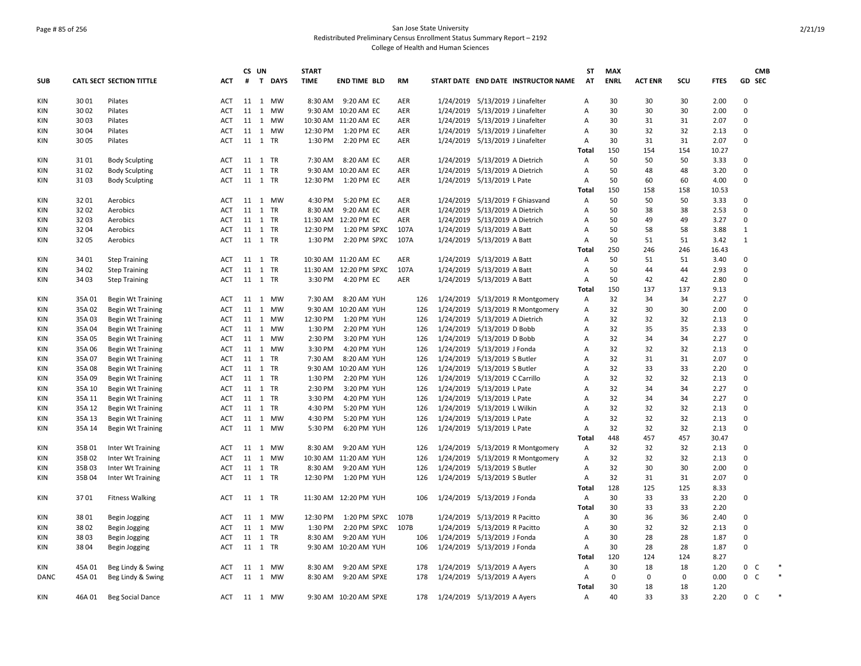## Page # 85 of 256 San Jose State University Redistributed Preliminary Census Enrollment Status Summary Report – 2192 College of Health and Human Sciences

|             |        |                                 |            |         | CS UN   |         | <b>START</b> |                         |           |                                     | <b>ST</b>      | <b>MAX</b>  |                |     |             | CMB            |        |
|-------------|--------|---------------------------------|------------|---------|---------|---------|--------------|-------------------------|-----------|-------------------------------------|----------------|-------------|----------------|-----|-------------|----------------|--------|
| <b>SUB</b>  |        | <b>CATL SECT SECTION TITTLE</b> | <b>ACT</b> | #       |         | T DAYS  | <b>TIME</b>  | <b>END TIME BLD</b>     | <b>RM</b> | START DATE END DATE INSTRUCTOR NAME | AT             | <b>ENRL</b> | <b>ACT ENR</b> | SCU | <b>FTES</b> | GD SEC         |        |
| KIN         | 3001   | Pilates                         | ACT        |         | 11 1 MW |         |              | 8:30 AM 9:20 AM EC      | AER       | 1/24/2019 5/13/2019 J Linafelter    | A              | 30          | 30             | 30  | 2.00        | $\Omega$       |        |
| KIN         | 3002   | Pilates                         | <b>ACT</b> |         |         | 11 1 MW |              | 9:30 AM 10:20 AM EC     | AER       | 1/24/2019 5/13/2019 J Linafelter    | A              | 30          | 30             | 30  | 2.00        | 0              |        |
| KIN         | 3003   | Pilates                         | ACT        |         | 11 1 MW |         |              | 10:30 AM 11:20 AM EC    | AER       | 1/24/2019 5/13/2019 J Linafelter    | A              | 30          | 31             | 31  | 2.07        | $\Omega$       |        |
| KIN         | 3004   | Pilates                         | ACT        |         | 11 1 MW |         | 12:30 PM     | 1:20 PM EC              | AER       | 1/24/2019 5/13/2019 J Linafelter    | Α              | 30          | 32             | 32  | 2.13        | 0              |        |
| KIN         | 3005   | Pilates                         | <b>ACT</b> |         | 11 1 TR |         | 1:30 PM      | 2:20 PM EC              | AER       | 1/24/2019 5/13/2019 J Linafelter    | Α              | 30          | 31             | 31  | 2.07        | $\Omega$       |        |
|             |        |                                 |            |         |         |         |              |                         |           |                                     | Total          | 150         | 154            | 154 | 10.27       |                |        |
| KIN         | 3101   | <b>Body Sculpting</b>           | ACT        |         | 11 1 TR |         | 7:30 AM      | 8:20 AM EC              | AER       | 1/24/2019 5/13/2019 A Dietrich      | Α              | 50          | 50             | 50  | 3.33        | 0              |        |
| KIN         | 3102   | <b>Body Sculpting</b>           | ACT        |         | 11 1 TR |         |              | 9:30 AM 10:20 AM EC     | AER       | 1/24/2019 5/13/2019 A Dietrich      | Α              | 50          | 48             | 48  | 3.20        | $\Omega$       |        |
| KIN         | 3103   | <b>Body Sculpting</b>           | ACT        |         | 11 1 TR |         | 12:30 PM     | 1:20 PM EC              | AER       | 1/24/2019 5/13/2019 L Pate          | Α              | 50          | 60             | 60  | 4.00        | 0              |        |
|             |        |                                 |            |         |         |         |              |                         |           |                                     | <b>Total</b>   | 150         | 158            | 158 | 10.53       |                |        |
| KIN         | 3201   | Aerobics                        | ACT        |         |         | 11 1 MW | 4:30 PM      | 5:20 PM EC              | AER       | 1/24/2019 5/13/2019 F Ghiasvand     | Α              | 50          | 50             | 50  | 3.33        | $\Omega$       |        |
| KIN         | 3202   | Aerobics                        | ACT        |         | 11 1 TR |         | 8:30 AM      | 9:20 AM EC              | AER       | 1/24/2019 5/13/2019 A Dietrich      | A              | 50          | 38             | 38  | 2.53        | $\Omega$       |        |
| KIN         | 3203   | Aerobics                        | <b>ACT</b> |         | 11 1 TR |         |              | 11:30 AM 12:20 PM EC    | AER       | 1/24/2019 5/13/2019 A Dietrich      | Α              | 50          | 49             | 49  | 3.27        | 0              |        |
| KIN         | 3204   | Aerobics                        | <b>ACT</b> |         | 11 1 TR |         | 12:30 PM     | 1:20 PM SPXC            | 107A      | 1/24/2019 5/13/2019 A Batt          | $\overline{A}$ | 50          | 58             | 58  | 3.88        | $\mathbf{1}$   |        |
| KIN         | 3205   | Aerobics                        | ACT        |         | 11 1 TR |         | 1:30 PM      | 2:20 PM SPXC            | 107A      | 1/24/2019 5/13/2019 A Batt          | Α              | 50          | 51             | 51  | 3.42        | $\mathbf{1}$   |        |
|             |        |                                 |            |         |         |         |              |                         |           |                                     | Total          | 250         | 246            | 246 | 16.43       |                |        |
| KIN         | 34 01  | <b>Step Training</b>            | ACT        |         | 11 1 TR |         |              | 10:30 AM 11:20 AM EC    | AER       | 1/24/2019 5/13/2019 A Batt          | Α              | 50          | 51             | 51  | 3.40        | $\Omega$       |        |
| <b>KIN</b>  | 34 02  | <b>Step Training</b>            | <b>ACT</b> |         | 11 1 TR |         |              | 11:30 AM  12:20 PM SPXC | 107A      | 1/24/2019 5/13/2019 A Batt          | Α              | 50          | 44             | 44  | 2.93        | $\Omega$       |        |
| KIN         | 34 03  | <b>Step Training</b>            | ACT        |         | 11 1 TR |         | 3:30 PM      | 4:20 PM EC              | AER       | 1/24/2019 5/13/2019 A Batt          | Α              | 50          | 42             | 42  | 2.80        | $\Omega$       |        |
|             |        |                                 |            |         |         |         |              |                         |           |                                     | Total          | 150         | 137            | 137 | 9.13        |                |        |
| KIN         | 35A 01 | <b>Begin Wt Training</b>        | ACT        |         |         | 11 1 MW | 7:30 AM      | 8:20 AM YUH             | 126       | 1/24/2019 5/13/2019 R Montgomery    | Α              | 32          | 34             | 34  | 2.27        | $\Omega$       |        |
| KIN         | 35A 02 | <b>Begin Wt Training</b>        | ACT        |         | 11 1 MW |         |              | 9:30 AM 10:20 AM YUH    | 126       | 1/24/2019 5/13/2019 R Montgomery    | Α              | 32          | 30             | 30  | 2.00        | $\Omega$       |        |
| KIN         | 35A 03 | <b>Begin Wt Training</b>        | ACT        |         | 11 1 MW |         | 12:30 PM     | 1:20 PM YUH             | 126       | 1/24/2019 5/13/2019 A Dietrich      | Α              | 32          | 32             | 32  | 2.13        | $\Omega$       |        |
| KIN         | 35A 04 | <b>Begin Wt Training</b>        | <b>ACT</b> |         | 11 1 MW |         | 1:30 PM      | 2:20 PM YUH             | 126       | 1/24/2019 5/13/2019 D Bobb          | Α              | 32          | 35             | 35  | 2.33        | $\Omega$       |        |
| KIN         | 35A 05 | <b>Begin Wt Training</b>        | ACT        |         | 11 1 MW |         | 2:30 PM      | 3:20 PM YUH             | 126       | 1/24/2019 5/13/2019 D Bobb          | Α              | 32          | 34             | 34  | 2.27        | $\Omega$       |        |
| KIN         | 35A 06 | <b>Begin Wt Training</b>        | <b>ACT</b> |         | 11 1 MW |         | 3:30 PM      | 4:20 PM YUH             | 126       | 1/24/2019 5/13/2019 J Fonda         | Α              | 32          | 32             | 32  | 2.13        | $\Omega$       |        |
| KIN         | 35A 07 | <b>Begin Wt Training</b>        | ACT        |         | 11 1 TR |         | 7:30 AM      | 8:20 AM YUH             | 126       | 1/24/2019 5/13/2019 S Butler        | Α              | 32          | 31             | 31  | 2.07        | $\Omega$       |        |
| KIN         | 35A08  | <b>Begin Wt Training</b>        | <b>ACT</b> |         | 11 1 TR |         |              | 9:30 AM 10:20 AM YUH    | 126       | 1/24/2019 5/13/2019 S Butler        | A              | 32          | 33             | 33  | 2.20        | $\Omega$       |        |
| <b>KIN</b>  | 35A09  | <b>Begin Wt Training</b>        | <b>ACT</b> |         | 11 1 TR |         | 1:30 PM      | 2:20 PM YUH             | 126       | 1/24/2019 5/13/2019 C Carrillo      | Α              | 32          | 32             | 32  | 2.13        | 0              |        |
| KIN         | 35A 10 | <b>Begin Wt Training</b>        | ACT        |         | 11 1 TR |         | 2:30 PM      | 3:20 PM YUH             | 126       | 1/24/2019 5/13/2019 L Pate          | Α              | 32          | 34             | 34  | 2.27        | $\Omega$       |        |
| KIN         | 35A 11 | <b>Begin Wt Training</b>        | ACT        |         | 11 1 TR |         | 3:30 PM      | 4:20 PM YUH             | 126       | 1/24/2019 5/13/2019 L Pate          | $\overline{A}$ | 32          | 34             | 34  | 2.27        | $\Omega$       |        |
| <b>KIN</b>  | 35A 12 | <b>Begin Wt Training</b>        | <b>ACT</b> |         | 11 1 TR |         | 4:30 PM      | 5:20 PM YUH             | 126       | 1/24/2019 5/13/2019 L Wilkin        | Α              | 32          | 32             | 32  | 2.13        | $\Omega$       |        |
| KIN         | 35A 13 | <b>Begin Wt Training</b>        | <b>ACT</b> |         | 11 1 MW |         | 4:30 PM      | 5:20 PM YUH             | 126       | 1/24/2019 5/13/2019 L Pate          | Α              | 32          | 32             | 32  | 2.13        | $\Omega$       |        |
| KIN         | 35A 14 | <b>Begin Wt Training</b>        | ACT        |         |         | 11 1 MW | 5:30 PM      | 6:20 PM YUH             | 126       | 1/24/2019 5/13/2019 L Pate          | Α              | 32          | 32             | 32  | 2.13        | $\Omega$       |        |
|             |        |                                 |            |         |         |         |              |                         |           |                                     | Total          | 448         | 457            | 457 | 30.47       |                |        |
| KIN         | 35B 01 | Inter Wt Training               | ACT        |         | 11 1 MW |         | 8:30 AM      | 9:20 AM YUH             | 126       | 1/24/2019 5/13/2019 R Montgomery    | Α              | 32          | 32             | 32  | 2.13        | $\Omega$       |        |
| KIN         | 35B 02 | Inter Wt Training               | <b>ACT</b> |         | 11 1 MW |         |              | 10:30 AM 11:20 AM YUH   | 126       | 1/24/2019 5/13/2019 R Montgomery    | Α              | 32          | 32             | 32  | 2.13        | $\Omega$       |        |
| KIN         | 35B03  | Inter Wt Training               | ACT        |         | 11 1 TR |         | 8:30 AM      | 9:20 AM YUH             | 126       | 1/24/2019 5/13/2019 S Butler        | A              | 32          | 30             | 30  | 2.00        | 0              |        |
| KIN         | 35B 04 | Inter Wt Training               | ACT        |         | 11 1 TR |         |              | 12:30 PM 1:20 PM YUH    | 126       | 1/24/2019 5/13/2019 S Butler        | Α              | 32          | 31             | 31  | 2.07        | $\Omega$       |        |
|             |        |                                 |            |         |         |         |              |                         |           |                                     | Total          | 128         | 125            | 125 | 8.33        |                |        |
| KIN         | 3701   | <b>Fitness Walking</b>          | <b>ACT</b> |         | 11 1 TR |         |              | 11:30 AM 12:20 PM YUH   | 106       | 1/24/2019 5/13/2019 J Fonda         | Α              | 30          | 33             | 33  | 2.20        | $\Omega$       |        |
|             |        |                                 |            |         |         |         |              |                         |           |                                     | Total          | 30          | 33             | 33  | 2.20        |                |        |
| KIN         | 3801   | Begin Jogging                   | ACT        |         | 11 1 MW |         | 12:30 PM     | 1:20 PM SPXC            | 107B      | 1/24/2019 5/13/2019 R Pacitto       | Α              | 30          | 36             | 36  | 2.40        | $\Omega$       |        |
| KIN         | 3802   | Begin Jogging                   | ACT        |         |         | 11 1 MW | 1:30 PM      | 2:20 PM SPXC            | 107B      | 1/24/2019 5/13/2019 R Pacitto       | Α              | 30          | 32             | 32  | 2.13        | $\Omega$       |        |
| KIN         | 38 03  | Begin Jogging                   | ACT        |         | 11 1 TR |         | 8:30 AM      | 9:20 AM YUH             | 106       | 1/24/2019 5/13/2019 J Fonda         | Α              | 30          | 28             | 28  | 1.87        | $\Omega$       |        |
| KIN         | 3804   | Begin Jogging                   | ACT        |         | 11 1 TR |         |              | 9:30 AM 10:20 AM YUH    | 106       | 1/24/2019 5/13/2019 J Fonda         | Α              | 30          | 28             | 28  | 1.87        | $\Omega$       |        |
|             |        |                                 |            |         |         |         |              |                         |           |                                     | Total          | 120         | 124            | 124 | 8.27        |                |        |
| KIN         | 45A 01 | Beg Lindy & Swing               | ACT        |         | 11 1 MW |         | 8:30 AM      | 9:20 AM SPXE            | 178       | 1/24/2019 5/13/2019 A Ayers         | Α              | 30          | 18             | 18  | 1.20        | 0<br>C         |        |
| <b>DANC</b> | 45A 01 | Beg Lindy & Swing               | ACT        |         |         | 11 1 MW | 8:30 AM      | 9:20 AM SPXE            | 178       | 1/24/2019 5/13/2019 A Ayers         | Α              | 0           | 0              | 0   | 0.00        | $0-$           | $\ast$ |
|             |        |                                 |            |         |         |         |              |                         |           |                                     | <b>Total</b>   | 30          | 18             | 18  | 1.20        |                |        |
| KIN         | 46A 01 | <b>Beg Social Dance</b>         | ACT        | 11 1 MW |         |         |              | 9:30 AM 10:20 AM SPXE   | 178       | 1/24/2019 5/13/2019 A Ayers         | Α              | 40          | 33             | 33  | 2.20        | 0 <sup>2</sup> | $\ast$ |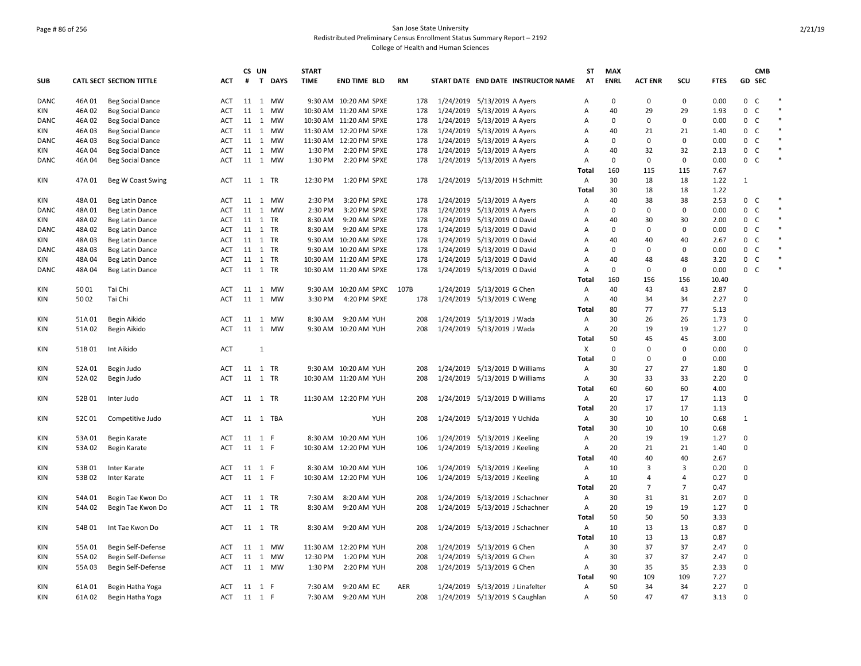## Page # 86 of 256 San Jose State University Redistributed Preliminary Census Enrollment Status Summary Report – 2192 College of Health and Human Sciences

|             |        |                                 |            |         | CS UN        |          | <b>START</b> |                         |           |     |                                |                                     | <b>ST</b>      | <b>MAX</b>  |                |                |             |                | <b>CMB</b>   |        |
|-------------|--------|---------------------------------|------------|---------|--------------|----------|--------------|-------------------------|-----------|-----|--------------------------------|-------------------------------------|----------------|-------------|----------------|----------------|-------------|----------------|--------------|--------|
| <b>SUB</b>  |        | <b>CATL SECT SECTION TITTLE</b> | ACT        | #       |              | T DAYS   | <b>TIME</b>  | END TIME BLD            | <b>RM</b> |     |                                | START DATE END DATE INSTRUCTOR NAME | AT             | <b>ENRL</b> | <b>ACT ENR</b> | SCU            | <b>FTES</b> |                | GD SEC       |        |
| DANC        | 46A01  | <b>Beg Social Dance</b>         | ACT        |         |              | 11 1 MW  |              | 9:30 AM 10:20 AM SPXE   |           | 178 | 1/24/2019 5/13/2019 A Ayers    |                                     | Α              | $\Omega$    | $\Omega$       | $\mathbf 0$    | 0.00        | $0-$           |              | $\ast$ |
| KIN         | 46A 02 | <b>Beg Social Dance</b>         | ACT        |         |              | 11 1 MW  |              | 10:30 AM 11:20 AM SPXE  |           | 178 | 1/24/2019 5/13/2019 A Ayers    |                                     | Α              | 40          | 29             | 29             | 1.93        | $\mathbf{0}$   | $\mathsf{C}$ | $\ast$ |
| DANC        | 46A 02 | <b>Beg Social Dance</b>         | ACT        |         |              | 11 1 MW  |              | 10:30 AM 11:20 AM SPXE  |           | 178 | 1/24/2019 5/13/2019 A Ayers    |                                     | Α              | $\Omega$    | $\mathbf 0$    | $\mathbf 0$    | 0.00        | 0              | $\mathsf{C}$ | $\ast$ |
| <b>KIN</b>  | 46A 03 | <b>Beg Social Dance</b>         | <b>ACT</b> |         |              | 11 1 MW  |              | 11:30 AM  12:20 PM SPXE |           | 178 | 1/24/2019 5/13/2019 A Ayers    |                                     | $\overline{A}$ | 40          | 21             | 21             | 1.40        | $0-$           |              | $\ast$ |
| DANC        | 46A03  | <b>Beg Social Dance</b>         | <b>ACT</b> |         |              | 11 1 MW  |              | 11:30 AM 12:20 PM SPXE  |           | 178 | 1/24/2019 5/13/2019 A Ayers    |                                     | Α              | $\mathbf 0$ | $\mathbf 0$    | 0              | 0.00        | 0 C            |              | $\ast$ |
| KIN         | 46A 04 | <b>Beg Social Dance</b>         | <b>ACT</b> |         |              | 11 1 MW  | 1:30 PM      | 2:20 PM SPXE            |           | 178 | 1/24/2019 5/13/2019 A Ayers    |                                     | $\overline{A}$ | 40          | 32             | 32             | 2.13        | 0              | C            | $\ast$ |
| DANC        | 46A 04 | <b>Beg Social Dance</b>         | <b>ACT</b> |         |              | 11 1 MW  | 1:30 PM      | 2:20 PM SPXE            |           | 178 | 1/24/2019 5/13/2019 A Ayers    |                                     | Α              | $\mathbf 0$ | $\mathbf 0$    | 0              | 0.00        | $0-$           |              | $\ast$ |
|             |        |                                 |            |         |              |          |              |                         |           |     |                                |                                     | Total          | 160         | 115            | 115            | 7.67        |                |              |        |
| KIN         | 47A 01 | Beg W Coast Swing               | ACT        |         |              | 11 1 TR  | 12:30 PM     | 1:20 PM SPXE            |           | 178 | 1/24/2019 5/13/2019 H Schmitt  |                                     | Α              | 30          | 18             | 18             | 1.22        | 1              |              |        |
|             |        |                                 |            |         |              |          |              |                         |           |     |                                |                                     | Total          | 30          | 18             | 18             | 1.22        |                |              |        |
| KIN         | 48A01  | Beg Latin Dance                 | <b>ACT</b> |         |              | 11 1 MW  | 2:30 PM      | 3:20 PM SPXE            |           | 178 | 1/24/2019 5/13/2019 A Ayers    |                                     | Α              | 40          | 38             | 38             | 2.53        | 0 <sup>2</sup> |              | $\ast$ |
| DANC        | 48A 01 | Beg Latin Dance                 | <b>ACT</b> |         |              | 11 1 MW  | 2:30 PM      | 3:20 PM SPXE            |           | 178 | 1/24/2019 5/13/2019 A Ayers    |                                     | Α              | 0           | $\mathbf 0$    | $\mathbf 0$    | 0.00        | $0-$           |              | $\ast$ |
| KIN         | 48A02  | Beg Latin Dance                 | ACT        |         |              | 11 1 TR  | 8:30 AM      | 9:20 AM SPXE            |           | 178 | 1/24/2019 5/13/2019 O David    |                                     | Α              | 40          | 30             | 30             | 2.00        | $0-$           |              | $\ast$ |
| <b>DANC</b> | 48A 02 | Beg Latin Dance                 | <b>ACT</b> |         |              | 11 1 TR  | 8:30 AM      | 9:20 AM SPXE            |           | 178 | 1/24/2019 5/13/2019 O David    |                                     | $\overline{A}$ | $\Omega$    | $\Omega$       | 0              | 0.00        | 0              | C            | $\ast$ |
| KIN         | 48A 03 | Beg Latin Dance                 | <b>ACT</b> | 11 1 TR |              |          |              | 9:30 AM 10:20 AM SPXE   |           | 178 | 1/24/2019 5/13/2019 O David    |                                     | Α              | 40          | 40             | 40             | 2.67        | $0-$           |              | $\ast$ |
| <b>DANC</b> | 48A03  | Beg Latin Dance                 | <b>ACT</b> | 11 1 TR |              |          |              | 9:30 AM 10:20 AM SPXE   |           | 178 | 1/24/2019 5/13/2019 O David    |                                     | Α              | $\Omega$    | $\Omega$       | $\mathbf 0$    | 0.00        | 0              | $\mathsf{C}$ | $\ast$ |
| KIN         | 48A 04 | Beg Latin Dance                 | <b>ACT</b> | 11 1 TR |              |          |              | 10:30 AM 11:20 AM SPXE  |           | 178 | 1/24/2019 5/13/2019 O David    |                                     | Α              | 40          | 48             | 48             | 3.20        | $0-$           |              | $\ast$ |
| DANC        | 48A 04 | Beg Latin Dance                 | <b>ACT</b> |         |              | 11 1 TR  |              | 10:30 AM 11:20 AM SPXE  |           | 178 | 1/24/2019 5/13/2019 O David    |                                     | $\overline{A}$ | $\Omega$    | $\mathbf 0$    | $\mathbf 0$    | 0.00        | $0-$           |              | $\ast$ |
|             |        |                                 |            |         |              |          |              |                         |           |     |                                |                                     | Total          | 160         | 156            | 156            | 10.40       |                |              |        |
| KIN         | 5001   | Tai Chi                         | ACT        |         |              | 11 1 MW  |              | 9:30 AM 10:20 AM SPXC   | 107B      |     | 1/24/2019 5/13/2019 G Chen     |                                     | Α              | 40          | 43             | 43             | 2.87        | 0              |              |        |
| KIN         | 5002   | Tai Chi                         | <b>ACT</b> |         |              | 11 1 MW  | 3:30 PM      | 4:20 PM SPXE            |           | 178 | 1/24/2019 5/13/2019 C Weng     |                                     | Α              | 40          | 34             | 34             | 2.27        | 0              |              |        |
|             |        |                                 |            |         |              |          |              |                         |           |     |                                |                                     | Total          | 80          | 77             | 77             | 5.13        |                |              |        |
| KIN         | 51A01  | Begin Aikido                    | ACT        |         |              | 11 1 MW  | 8:30 AM      | 9:20 AM YUH             |           | 208 | 1/24/2019 5/13/2019 J Wada     |                                     | Α              | 30          | 26             | 26             | 1.73        | 0              |              |        |
| KIN         | 51A 02 | Begin Aikido                    | ACT        | 11      |              | 1 MW     |              | 9:30 AM 10:20 AM YUH    |           | 208 | 1/24/2019 5/13/2019 J Wada     |                                     | Α              | 20          | 19             | 19             | 1.27        | $\Omega$       |              |        |
|             |        |                                 |            |         |              |          |              |                         |           |     |                                |                                     | <b>Total</b>   | 50          | 45             | 45             | 3.00        |                |              |        |
| KIN         | 51B01  | Int Aikido                      | <b>ACT</b> |         | $\mathbf{1}$ |          |              |                         |           |     |                                |                                     | X              | $\Omega$    | $\Omega$       | $\mathbf 0$    | 0.00        | $\Omega$       |              |        |
|             |        |                                 |            |         |              |          |              |                         |           |     |                                |                                     | Total          | $\mathbf 0$ | $\mathbf 0$    | $\mathsf 0$    | 0.00        |                |              |        |
| KIN         | 52A 01 | Begin Judo                      | <b>ACT</b> | 11 1 TR |              |          |              | 9:30 AM 10:20 AM YUH    |           | 208 | 1/24/2019 5/13/2019 D Williams |                                     | Α              | 30          | 27             | 27             | 1.80        | $\Omega$       |              |        |
| KIN         | 52A 02 | Begin Judo                      | <b>ACT</b> | 11 1 TR |              |          |              | 10:30 AM 11:20 AM YUH   |           | 208 | 1/24/2019 5/13/2019 D Williams |                                     | Α              | 30          | 33             | 33             | 2.20        | 0              |              |        |
|             |        |                                 |            |         |              |          |              |                         |           |     |                                |                                     | Total          | 60          | 60             | 60             | 4.00        |                |              |        |
| KIN         | 52B 01 | Inter Judo                      | ACT        |         |              | 11 1 TR  |              | 11:30 AM 12:20 PM YUH   |           | 208 | 1/24/2019 5/13/2019 D Williams |                                     | Α              | 20          | 17             | 17             | 1.13        | $\Omega$       |              |        |
|             |        |                                 |            |         |              |          |              |                         |           |     |                                |                                     | <b>Total</b>   | 20          | 17             | 17             | 1.13        |                |              |        |
| KIN         | 52C 01 | Competitive Judo                | <b>ACT</b> |         |              | 11 1 TBA |              | YUH                     |           | 208 | 1/24/2019 5/13/2019 Y Uchida   |                                     | Α              | 30          | 10             | 10             | 0.68        | 1              |              |        |
|             |        |                                 |            |         |              |          |              |                         |           |     |                                |                                     | <b>Total</b>   | 30          | 10             | 10             | 0.68        |                |              |        |
| KIN         | 53A 01 | Begin Karate                    | ACT        | 11      | 1 F          |          |              | 8:30 AM 10:20 AM YUH    |           | 106 | 1/24/2019 5/13/2019 J Keeling  |                                     | Α              | 20          | 19             | 19             | 1.27        | $\Omega$       |              |        |
| KIN         | 53A 02 | Begin Karate                    | <b>ACT</b> | 11 1 F  |              |          |              | 10:30 AM 12:20 PM YUH   |           | 106 | 1/24/2019 5/13/2019 J Keeling  |                                     | Α              | 20          | 21             | 21             | 1.40        | $\Omega$       |              |        |
|             |        |                                 |            |         |              |          |              |                         |           |     |                                |                                     | <b>Total</b>   | 40          | 40             | 40             | 2.67        |                |              |        |
| <b>KIN</b>  | 53B 01 |                                 | ACT        | 11 1 F  |              |          |              | 8:30 AM 10:20 AM YUH    |           | 106 | 1/24/2019 5/13/2019 J Keeling  |                                     | Α              | 10          | 3              | 3              | 0.20        | 0              |              |        |
| KIN         | 53B 02 | Inter Karate<br>Inter Karate    | <b>ACT</b> | 11 1 F  |              |          |              | 10:30 AM 12:20 PM YUH   |           | 106 | 1/24/2019 5/13/2019 J Keeling  |                                     | Α              | 10          | $\overline{4}$ | 4              | 0.27        | 0              |              |        |
|             |        |                                 |            |         |              |          |              |                         |           |     |                                |                                     | <b>Total</b>   | 20          | $\overline{7}$ | $\overline{7}$ | 0.47        |                |              |        |
|             |        |                                 |            |         |              |          |              |                         |           |     |                                |                                     |                | 30          |                |                |             |                |              |        |
| KIN         | 54A 01 | Begin Tae Kwon Do               | <b>ACT</b> | 11      |              | 1 TR     | 7:30 AM      | 8:20 AM YUH             |           | 208 |                                | 1/24/2019 5/13/2019 J Schachner     | Α              |             | 31             | 31             | 2.07        | 0              |              |        |
| KIN         | 54A 02 | Begin Tae Kwon Do               | <b>ACT</b> |         |              | 11 1 TR  | 8:30 AM      | 9:20 AM YUH             |           | 208 |                                | 1/24/2019 5/13/2019 J Schachner     | Α              | 20          | 19             | 19             | 1.27        | 0              |              |        |
|             |        |                                 |            |         |              |          |              |                         |           |     |                                |                                     | Total          | 50          | 50             | 50             | 3.33        |                |              |        |
| KIN         | 54B01  | Int Tae Kwon Do                 | ACT        | 11 1 TR |              |          | 8:30 AM      | 9:20 AM YUH             |           | 208 |                                | 1/24/2019 5/13/2019 J Schachner     | Α              | 10          | 13             | 13             | 0.87        | 0              |              |        |
|             |        |                                 |            |         |              |          |              |                         |           |     |                                |                                     | Total          | 10          | 13             | 13             | 0.87        |                |              |        |
| KIN         | 55A 01 | Begin Self-Defense              | ACT        |         |              | 11 1 MW  |              | 11:30 AM 12:20 PM YUH   |           | 208 | 1/24/2019 5/13/2019 G Chen     |                                     | Α              | 30          | 37             | 37             | 2.47        | $\Omega$       |              |        |
| <b>KIN</b>  | 55A 02 | Begin Self-Defense              | <b>ACT</b> |         |              | 11 1 MW  | 12:30 PM     | 1:20 PM YUH             |           | 208 | 1/24/2019 5/13/2019 G Chen     |                                     | A              | 30          | 37             | 37             | 2.47        | $\Omega$       |              |        |
| KIN         | 55A 03 | Begin Self-Defense              | <b>ACT</b> |         |              | 11 1 MW  | 1:30 PM      | 2:20 PM YUH             |           | 208 | 1/24/2019 5/13/2019 G Chen     |                                     | Α              | 30          | 35             | 35             | 2.33        | 0              |              |        |
|             |        |                                 |            |         |              |          |              |                         |           |     |                                |                                     | Total          | 90          | 109            | 109            | 7.27        |                |              |        |
| KIN         | 61A 01 | Begin Hatha Yoga                | ACT        | 11 1 F  |              |          | 7:30 AM      | 9:20 AM EC              | AER       |     |                                | 1/24/2019 5/13/2019 J Linafelter    | $\overline{A}$ | 50          | 34             | 34             | 2.27        | 0              |              |        |
| <b>KIN</b>  | 61A 02 | Begin Hatha Yoga                | <b>ACT</b> | 11 1 F  |              |          |              | 7:30 AM 9:20 AM YUH     |           | 208 | 1/24/2019 5/13/2019 S Caughlan |                                     | A              | 50          | 47             | 47             | 3.13        | $\Omega$       |              |        |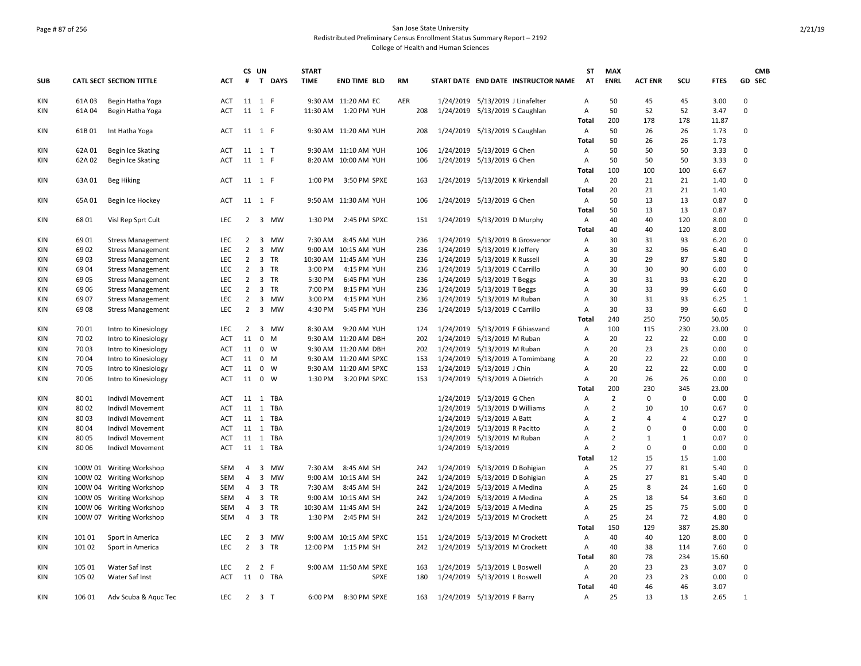### Page # 87 of 256 San Jose State University Redistributed Preliminary Census Enrollment Status Summary Report – 2192 College of Health and Human Sciences

|            |        |                                 |            | CS UN          |                         |             | <b>START</b> |                       |     |     |           |                                  |                                     | <b>ST</b>      | <b>MAX</b>     |                |                |             | <b>CMB</b>   |
|------------|--------|---------------------------------|------------|----------------|-------------------------|-------------|--------------|-----------------------|-----|-----|-----------|----------------------------------|-------------------------------------|----------------|----------------|----------------|----------------|-------------|--------------|
| SUB        |        | <b>CATL SECT SECTION TITTLE</b> | ACT        | #              | T.                      | <b>DAYS</b> | <b>TIME</b>  | <b>END TIME BLD</b>   | RM  |     |           |                                  | START DATE END DATE INSTRUCTOR NAME | AT             | <b>ENRL</b>    | <b>ACT ENR</b> | scu            | <b>FTES</b> | GD SEC       |
| <b>KIN</b> | 61A03  | Begin Hatha Yoga                | <b>ACT</b> | 11 1 F         |                         |             |              | 9:30 AM 11:20 AM EC   | AER |     |           | 1/24/2019 5/13/2019 J Linafelter |                                     | A              | 50             | 45             | 45             | 3.00        | 0            |
| KIN        | 61A04  | Begin Hatha Yoga                | <b>ACT</b> | 11 1 F         |                         |             | 11:30 AM     | 1:20 PM YUH           |     | 208 |           | 1/24/2019 5/13/2019 S Caughlan   |                                     | Α              | 50             | 52             | 52             | 3.47        | 0            |
|            |        |                                 |            |                |                         |             |              |                       |     |     |           |                                  |                                     | Total          | 200            | 178            | 178            | 11.87       |              |
| KIN        | 61B01  | Int Hatha Yoga                  | ACT        | 11 1 F         |                         |             |              | 9:30 AM 11:20 AM YUH  |     | 208 |           | 1/24/2019 5/13/2019 S Caughlan   |                                     | Α              | 50             | 26             | 26             | 1.73        | 0            |
|            |        |                                 |            |                |                         |             |              |                       |     |     |           |                                  |                                     | Total          | 50             | 26             | 26             | 1.73        |              |
| KIN        | 62A 01 | Begin Ice Skating               | ACT        | 11             | 1 T                     |             |              | 9:30 AM 11:10 AM YUH  |     | 106 |           | 1/24/2019 5/13/2019 G Chen       |                                     | Α              | 50             | 50             | 50             | 3.33        | 0            |
| KIN        | 62A 02 | Begin Ice Skating               | ACT        | 11 1 F         |                         |             |              | 8:20 AM 10:00 AM YUH  |     | 106 |           | 1/24/2019 5/13/2019 G Chen       |                                     | Α              | 50             | 50             | 50             | 3.33        | 0            |
|            |        |                                 |            |                |                         |             |              |                       |     |     |           |                                  |                                     | Total          | 100            | 100            | 100            | 6.67        |              |
| <b>KIN</b> | 63A 01 | <b>Beg Hiking</b>               | ACT        | 11 1 F         |                         |             | 1:00 PM      | 3:50 PM SPXE          |     | 163 |           | 1/24/2019 5/13/2019 K Kirkendall |                                     | Α              | 20             | 21             | 21             | 1.40        | 0            |
|            |        |                                 |            |                |                         |             |              |                       |     |     |           |                                  |                                     | Total          | 20             | 21             | 21             | 1.40        |              |
| KIN        | 65A 01 | Begin Ice Hockey                | ACT        | 11 1 F         |                         |             |              | 9:50 AM 11:30 AM YUH  |     | 106 |           | 1/24/2019 5/13/2019 G Chen       |                                     | Α              | 50             | 13             | 13             | 0.87        | 0            |
|            |        |                                 |            |                |                         |             |              |                       |     |     |           |                                  |                                     | Total          | 50             | 13             | 13             | 0.87        |              |
| <b>KIN</b> | 6801   | Visl Rep Sprt Cult              | LEC        |                |                         | 2 3 MW      | 1:30 PM      | 2:45 PM SPXC          |     | 151 |           | 1/24/2019 5/13/2019 D Murphy     |                                     | Α              | 40             | 40             | 120            | 8.00        | 0            |
|            |        |                                 |            |                |                         |             |              |                       |     |     |           |                                  |                                     | Total          | 40             | 40             | 120            | 8.00        |              |
| KIN        | 6901   | <b>Stress Management</b>        | LEC        | $\overline{2}$ |                         | 3 MW        | 7:30 AM      | 8:45 AM YUH           |     | 236 |           |                                  | 1/24/2019 5/13/2019 B Grosvenor     | Α              | 30             | 31             | 93             | 6.20        | 0            |
| <b>KIN</b> | 6902   | <b>Stress Management</b>        | LEC        | $\overline{2}$ |                         | 3 MW        |              | 9:00 AM 10:15 AM YUH  |     | 236 |           | 1/24/2019 5/13/2019 K Jeffery    |                                     | Α              | 30             | 32             | 96             | 6.40        | $\Omega$     |
| KIN        | 6903   | <b>Stress Management</b>        | <b>LEC</b> | $\overline{2}$ |                         | 3 TR        |              | 10:30 AM 11:45 AM YUH |     | 236 |           | 1/24/2019 5/13/2019 K Russell    |                                     | Α              | 30             | 29             | 87             | 5.80        | 0            |
| <b>KIN</b> | 69 04  | <b>Stress Management</b>        | <b>LEC</b> | $\overline{2}$ |                         | 3 TR        | 3:00 PM      | 4:15 PM YUH           |     | 236 |           | 1/24/2019 5/13/2019 C Carrillo   |                                     | A              | 30             | 30             | 90             | 6.00        | 0            |
| ΚIΝ        | 6905   | <b>Stress Management</b>        | LEC        | $\overline{2}$ | $\overline{3}$          | TR          | 5:30 PM      | 6:45 PM YUH           |     | 236 | 1/24/2019 | 5/13/2019 T Beggs                |                                     | Α              | 30             | 31             | 93             | 6.20        | 0            |
| KIN        | 6906   | <b>Stress Management</b>        | <b>LEC</b> | 2              |                         | 3 TR        | 7:00 PM      | 8:15 PM YUH           |     | 236 |           | 1/24/2019 5/13/2019 T Beggs      |                                     | A              | 30             | 33             | 99             | 6.60        | $\Omega$     |
| KIN        | 6907   | <b>Stress Management</b>        | LEC        | $\overline{2}$ |                         | 3 MW        | 3:00 PM      | 4:15 PM YUH           |     | 236 |           | 1/24/2019 5/13/2019 M Ruban      |                                     | $\overline{A}$ | 30             | 31             | 93             | 6.25        | $\mathbf{1}$ |
| KIN        | 6908   | <b>Stress Management</b>        | LEC        | $\overline{2}$ | $\overline{3}$          | MW          | 4:30 PM      | 5:45 PM YUH           |     | 236 |           | 1/24/2019 5/13/2019 C Carrillo   |                                     | Α              | 30             | 33             | 99             | 6.60        | $\Omega$     |
|            |        |                                 |            |                |                         |             |              |                       |     |     |           |                                  |                                     | Total          | 240            | 250            | 750            | 50.05       |              |
| KIN        | 7001   | Intro to Kinesiology            | <b>LEC</b> | $\overline{2}$ |                         | 3 MW        | 8:30 AM      | 9:20 AM YUH           |     | 124 |           |                                  | 1/24/2019 5/13/2019 F Ghiasvand     | Α              | 100            | 115            | 230            | 23.00       | 0            |
| KIN        | 7002   | Intro to Kinesiology            | <b>ACT</b> | 11             | $\mathbf{0}$            | M           |              | 9:30 AM 11:20 AM DBH  |     | 202 |           | 1/24/2019 5/13/2019 M Ruban      |                                     | A              | 20             | 22             | 22             | 0.00        | 0            |
| KIN        | 7003   | Intro to Kinesiology            | <b>ACT</b> | 11             |                         | $0 \quad W$ |              | 9:30 AM 11:20 AM DBH  |     | 202 |           | 1/24/2019 5/13/2019 M Ruban      |                                     | A              | 20             | 23             | 23             | 0.00        | $\Omega$     |
| KIN        | 70 04  | Intro to Kinesiology            | <b>ACT</b> | 11             | $\mathbf 0$             | M           |              | 9:30 AM 11:20 AM SPXC |     | 153 | 1/24/2019 |                                  | 5/13/2019 A Tomimbang               | Α              | 20             | 22             | 22             | 0.00        | 0            |
| KIN        | 7005   | Intro to Kinesiology            | <b>ACT</b> | 11             | $\mathbf 0$             | W           |              | 9:30 AM 11:20 AM SPXC |     | 153 |           | 1/24/2019 5/13/2019 J Chin       |                                     | Α              | 20             | 22             | 22             | 0.00        | 0            |
| KIN        | 7006   | Intro to Kinesiology            | <b>ACT</b> | 11             |                         | $0 \quad W$ | 1:30 PM      | 3:20 PM SPXC          |     | 153 |           | 1/24/2019 5/13/2019 A Dietrich   |                                     | A              | 20             | 26             | 26             | 0.00        | 0            |
|            |        |                                 |            |                |                         |             |              |                       |     |     |           |                                  |                                     | Total          | 200            | 230            | 345            | 23.00       |              |
| KIN        | 8001   | Indivdl Movement                | ACT        | 11             |                         | 1 TBA       |              |                       |     |     |           | 1/24/2019 5/13/2019 G Chen       |                                     | Α              | $\overline{2}$ | $\mathsf 0$    | $\mathsf 0$    | 0.00        | 0            |
| KIN        | 8002   | Indivdl Movement                | ACT        | 11             |                         | 1 TBA       |              |                       |     |     | 1/24/2019 | 5/13/2019 D Williams             |                                     | Α              | $\overline{2}$ | 10             | 10             | 0.67        | 0            |
| KIN        | 8003   | Indivdl Movement                | <b>ACT</b> |                |                         | 11 1 TBA    |              |                       |     |     |           | 1/24/2019 5/13/2019 A Batt       |                                     | A              | $\overline{2}$ | $\overline{4}$ | $\overline{4}$ | 0.27        | 0            |
| ΚIΝ        | 8004   | Indivdl Movement                | <b>ACT</b> |                |                         | 11 1 TBA    |              |                       |     |     |           | 1/24/2019 5/13/2019 R Pacitto    |                                     | Α              | $\overline{2}$ | $\Omega$       | $\mathbf 0$    | 0.00        | 0            |
| KIN        | 8005   | Indivdl Movement                | <b>ACT</b> | 11             | 1                       | TBA         |              |                       |     |     | 1/24/2019 | 5/13/2019 M Ruban                |                                     | Α              | $\overline{2}$ | $\mathbf{1}$   | $\mathbf{1}$   | 0.07        | 0            |
| KIN        | 8006   | Indivdl Movement                | <b>ACT</b> |                |                         | 11 1 TBA    |              |                       |     |     |           | 1/24/2019 5/13/2019              |                                     | Α              | $\overline{2}$ | 0              | 0              | 0.00        | 0            |
|            |        |                                 |            |                |                         |             |              |                       |     |     |           |                                  |                                     | Total          | 12             | 15             | 15             | 1.00        |              |
| KIN        |        | 100W 01 Writing Workshop        | <b>SEM</b> | 4              | $\overline{\mathbf{3}}$ | MW          | 7:30 AM      | 8:45 AM SH            |     | 242 |           | 1/24/2019 5/13/2019 D Bohigian   |                                     | Α              | 25             | 27             | 81             | 5.40        | 0            |
| KIN        |        | 100W 02 Writing Workshop        | SEM        | 4              |                         | 3 MW        |              | 9:00 AM 10:15 AM SH   |     | 242 |           | 1/24/2019 5/13/2019 D Bohigian   |                                     | Α              | 25             | 27             | 81             | 5.40        | 0            |
| ΚIΝ        |        | 100W 04 Writing Workshop        | SEM        | 4              |                         | 3 TR        |              | 7:30 AM 8:45 AM SH    |     | 242 | 1/24/2019 | 5/13/2019 A Medina               |                                     | Α              | 25             | 8              | 24             | 1.60        | 0            |
| <b>KIN</b> |        | 100W 05 Writing Workshop        | <b>SEM</b> | $\overline{4}$ | $\overline{\mathbf{3}}$ | TR          |              | 9:00 AM 10:15 AM SH   |     | 242 | 1/24/2019 | 5/13/2019 A Medina               |                                     | A              | 25             | 18             | 54             | 3.60        | 0            |
| KIN        |        | 100W 06 Writing Workshop        | <b>SEM</b> | 4              |                         | 3 TR        |              | 10:30 AM 11:45 AM SH  |     | 242 |           | 1/24/2019 5/13/2019 A Medina     |                                     | Α              | 25             | 25             | 75             | 5.00        | 0            |
| KIN        |        | 100W 07 Writing Workshop        | SEM        | 4              | 3                       | TR          | 1:30 PM      | 2:45 PM SH            |     | 242 |           | 1/24/2019 5/13/2019 M Crockett   |                                     | Α              | 25             | 24             | 72             | 4.80        | 0            |
|            |        |                                 |            |                |                         |             |              |                       |     |     |           |                                  |                                     | Total          | 150            | 129            | 387            | 25.80       |              |
| KIN        | 10101  | Sport in America                | LEC        | 2              | $\overline{\mathbf{3}}$ | MW          |              | 9:00 AM 10:15 AM SPXC |     | 151 |           | 1/24/2019 5/13/2019 M Crockett   |                                     | Α              | 40             | 40             | 120            | 8.00        | 0            |
| <b>KIN</b> | 10102  | Sport in America                | <b>LEC</b> | $\overline{2}$ |                         | 3 TR        |              | 12:00 PM 1:15 PM SH   |     | 242 |           | 1/24/2019 5/13/2019 M Crockett   |                                     | Α              | 40             | 38             | 114            | 7.60        | 0            |
|            |        |                                 |            |                |                         |             |              |                       |     |     |           |                                  |                                     | Total          | 80             | 78             | 234            | 15.60       |              |
| ΚIΝ        | 105 01 | Water Saf Inst                  | LEC        | 2              | $\overline{2}$          | F           |              | 9:00 AM 11:50 AM SPXE |     | 163 | 1/24/2019 | 5/13/2019 L Boswell              |                                     | Α              | 20             | 23             | 23             | 3.07        | 0            |
| <b>KIN</b> | 105 02 | Water Saf Inst                  | <b>ACT</b> |                |                         | 11 0 TBA    |              | <b>SPXE</b>           |     | 180 |           | 1/24/2019 5/13/2019 L Boswell    |                                     | Α              | 20             | 23             | 23             | 0.00        | 0            |
|            |        |                                 |            |                |                         |             |              |                       |     |     |           |                                  |                                     | Total          | 40             | 46             | 46             | 3.07        |              |
| KIN        | 106 01 | Adv Scuba & Aquc Tec            | LEC        |                | $2 \quad 3 \quad T$     |             | 6:00 PM      | 8:30 PM SPXE          |     | 163 |           | 1/24/2019 5/13/2019 F Barry      |                                     | Α              | 25             | 13             | 13             | 2.65        | $\mathbf{1}$ |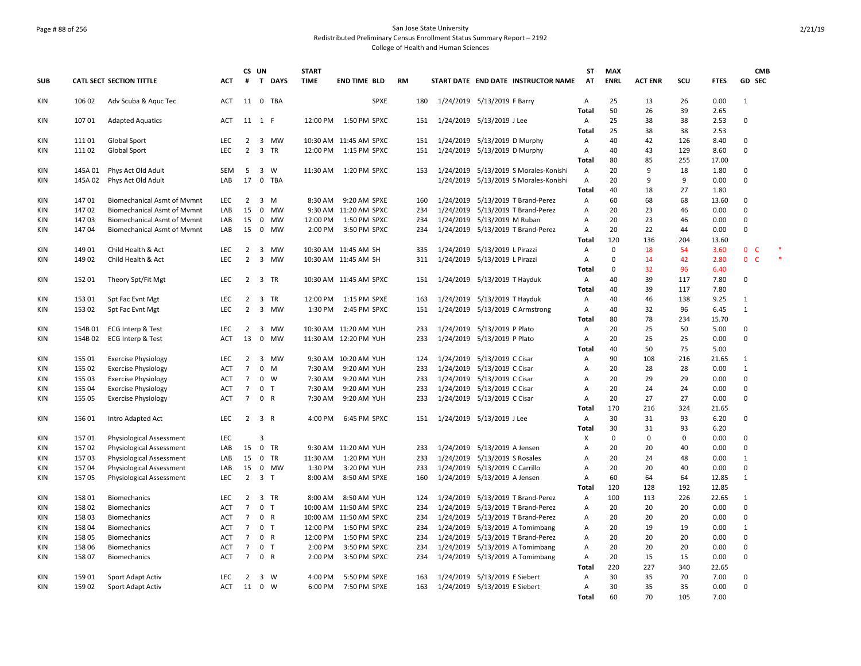## Page # 88 of 256 San Jose State University Redistributed Preliminary Census Enrollment Status Summary Report – 2192 College of Health and Human Sciences

|            |         |                                    |            | CS UN                |                     |          | <b>START</b> |                        |           |     |           |                                       | <b>ST</b>           | <b>MAX</b>  |                |           |              |                              | CMB    |
|------------|---------|------------------------------------|------------|----------------------|---------------------|----------|--------------|------------------------|-----------|-----|-----------|---------------------------------------|---------------------|-------------|----------------|-----------|--------------|------------------------------|--------|
| <b>SUB</b> |         | CATL SECT SECTION TITTLE           | <b>ACT</b> | #                    |                     | T DAYS   | <b>TIME</b>  | <b>END TIME BLD</b>    | <b>RM</b> |     |           | START DATE END DATE INSTRUCTOR NAME   | AT                  | <b>ENRL</b> | <b>ACT ENR</b> | SCU       | <b>FTES</b>  | GD SEC                       |        |
| KIN        | 106 02  | Adv Scuba & Aquc Tec               | <b>ACT</b> |                      |                     | 11 0 TBA |              | <b>SPXE</b>            |           | 180 |           | 1/24/2019 5/13/2019 F Barry           | Α                   | 25          | 13             | 26        | 0.00         | 1                            |        |
|            |         |                                    |            |                      |                     |          |              |                        |           |     |           |                                       | <b>Total</b>        | 50          | 26             | 39        | 2.65         |                              |        |
| KIN        | 107 01  | <b>Adapted Aquatics</b>            | <b>ACT</b> | 11 1 F               |                     |          | 12:00 PM     | 1:50 PM SPXC           |           | 151 |           | 1/24/2019 5/13/2019 J Lee             | Α<br>Total          | 25<br>25    | 38<br>38       | 38<br>38  | 2.53<br>2.53 | 0                            |        |
| KIN        | 11101   | Global Sport                       | <b>LEC</b> | $\overline{2}$       |                     | 3 MW     |              | 10:30 AM 11:45 AM SPXC |           | 151 |           | 1/24/2019 5/13/2019 D Murphy          | Α                   | 40          | 42             | 126       | 8.40         | $\Omega$                     |        |
| KIN        | 11102   | Global Sport                       | LEC        | $\overline{2}$       |                     | 3 TR     | 12:00 PM     | 1:15 PM SPXC           |           | 151 |           | 1/24/2019 5/13/2019 D Murphy          | $\overline{A}$      | 40          | 43             | 129       | 8.60         | $\mathbf 0$                  |        |
|            |         |                                    |            |                      |                     |          |              |                        |           |     |           |                                       | Total               | 80          | 85             | 255       | 17.00        |                              |        |
| KIN        | 145A 01 | Phys Act Old Adult                 | SEM        | 5                    |                     | 3 W      | 11:30 AM     | 1:20 PM SPXC           |           | 153 |           | 1/24/2019 5/13/2019 S Morales-Konishi | Α                   | 20          | 9              | 18        | 1.80         | 0                            |        |
| KIN        | 145A 02 | Phys Act Old Adult                 | LAB        | 17                   | $\mathbf 0$         | TBA      |              |                        |           |     | 1/24/2019 | 5/13/2019 S Morales-Konishi           | Α                   | 20          | 9              | 9         | 0.00         | 0                            |        |
|            |         |                                    |            |                      |                     |          |              |                        |           |     |           |                                       | <b>Total</b>        | 40          | 18             | 27        | 1.80         |                              |        |
| KIN        | 14701   | <b>Biomechanical Asmt of Mvmnt</b> | <b>LEC</b> | $\overline{2}$       |                     | $3 \, M$ | 8:30 AM      | 9:20 AM SPXE           |           | 160 |           | 1/24/2019 5/13/2019 T Brand-Perez     | Α                   | 60          | 68             | 68        | 13.60        | 0                            |        |
| KIN        | 147 02  | <b>Biomechanical Asmt of Mymnt</b> | LAB        | 15                   |                     | 0 MW     |              | 9:30 AM 11:20 AM SPXC  |           | 234 |           | 1/24/2019 5/13/2019 T Brand-Perez     | A                   | 20          | 23             | 46        | 0.00         | 0                            |        |
| KIN        | 14703   | <b>Biomechanical Asmt of Mymnt</b> | LAB        | 15                   |                     | 0 MW     | 12:00 PM     | 1:50 PM SPXC           |           | 234 |           | 1/24/2019 5/13/2019 M Ruban           | A                   | 20          | 23             | 46        | 0.00         | 0                            |        |
| KIN        | 14704   | <b>Biomechanical Asmt of Mymnt</b> | LAB        | 15                   |                     | 0 MW     | 2:00 PM      | 3:50 PM SPXC           |           | 234 |           | 1/24/2019 5/13/2019 T Brand-Perez     | A                   | 20          | 22             | 44        | 0.00         | 0                            |        |
|            |         |                                    |            |                      |                     |          |              |                        |           |     |           |                                       | <b>Total</b>        | 120         | 136            | 204       | 13.60        |                              |        |
| KIN        | 14901   | Child Health & Act                 | <b>LEC</b> | $\overline{2}$       |                     | 3 MW     |              | 10:30 AM 11:45 AM SH   |           | 335 |           | 1/24/2019 5/13/2019 L Pirazzi         | Α                   | $\mathbf 0$ | 18             | 54        | 3.60         | $\mathbf{0}$<br>$\mathsf{C}$ | $\ast$ |
| KIN        | 14902   | Child Health & Act                 | <b>LEC</b> | $\overline{2}$       |                     | 3 MW     |              | 10:30 AM 11:45 AM SH   |           | 311 |           | 1/24/2019 5/13/2019 L Pirazzi         | Α                   | 0           | 14             | 42        | 2.80         | $\mathbf{0}$<br>$\mathsf{C}$ |        |
|            |         |                                    |            |                      |                     |          |              |                        |           |     |           |                                       | <b>Total</b>        | 0           | 32             | 96        | 6.40         |                              |        |
| KIN        | 152 01  | Theory Spt/Fit Mgt                 | <b>LEC</b> | $\overline{2}$       |                     | 3 TR     |              | 10:30 AM 11:45 AM SPXC |           | 151 | 1/24/2019 | 5/13/2019 T Hayduk                    | Α                   | 40          | 39             | 117       | 7.80         | 0                            |        |
|            |         |                                    |            |                      |                     |          |              |                        |           |     |           |                                       | <b>Total</b>        | 40          | 39             | 117       | 7.80         |                              |        |
| KIN        | 153 01  | Spt Fac Evnt Mgt                   | LEC        | $\overline{2}$       |                     | 3 TR     | 12:00 PM     | 1:15 PM SPXE           |           | 163 |           | 1/24/2019 5/13/2019 T Hayduk          | Α                   | 40          | 46             | 138       | 9.25         | 1                            |        |
| KIN        | 153 02  | Spt Fac Evnt Mgt                   | <b>LEC</b> | $\overline{2}$       | $\overline{3}$      | MW       | 1:30 PM      | 2:45 PM SPXC           |           | 151 |           | 1/24/2019 5/13/2019 C Armstrong       | Α                   | 40          | 32             | 96        | 6.45         | 1                            |        |
|            | 154B 01 |                                    | <b>LEC</b> |                      |                     | 3 MW     |              | 10:30 AM 11:20 AM YUH  |           | 233 |           |                                       | <b>Total</b>        | 80<br>20    | 78<br>25       | 234<br>50 | 15.70        | $\mathbf 0$                  |        |
| KIN        | 154B02  | ECG Interp & Test                  |            | $\overline{2}$<br>13 | $\mathbf 0$         | MW       |              |                        |           | 233 |           | 1/24/2019 5/13/2019 P Plato           | Α<br>Α              | 20          | 25             | 25        | 5.00<br>0.00 | 0                            |        |
| KIN        |         | ECG Interp & Test                  | ACT        |                      |                     |          |              | 11:30 AM 12:20 PM YUH  |           |     |           | 1/24/2019 5/13/2019 P Plato           | <b>Total</b>        | 40          | 50             | 75        | 5.00         |                              |        |
| KIN        | 155 01  | <b>Exercise Physiology</b>         | <b>LEC</b> | $\overline{2}$       |                     | 3 MW     | 9:30 AM      | 10:20 AM YUH           |           | 124 |           | 1/24/2019 5/13/2019 C Cisar           | Α                   | 90          | 108            | 216       | 21.65        | 1                            |        |
| KIN        | 155 02  | <b>Exercise Physiology</b>         | <b>ACT</b> | $\overline{7}$       | $\mathbf{0}$        | M        | 7:30 AM      | 9:20 AM YUH            |           | 233 |           | 1/24/2019 5/13/2019 C Cisar           | A                   | 20          | 28             | 28        | 0.00         | $\mathbf{1}$                 |        |
| KIN        | 155 03  | <b>Exercise Physiology</b>         | <b>ACT</b> | $\overline{7}$       | $0 \quad W$         |          | 7:30 AM      | 9:20 AM YUH            |           | 233 |           | 1/24/2019 5/13/2019 C Cisar           | A                   | 20          | 29             | 29        | 0.00         | 0                            |        |
| ΚIΝ        | 155 04  | <b>Exercise Physiology</b>         | <b>ACT</b> | $\overline{7}$       | 0 <sub>T</sub>      |          | 7:30 AM      | 9:20 AM YUH            |           | 233 |           | 1/24/2019 5/13/2019 C Cisar           | Α                   | 20          | 24             | 24        | 0.00         | 0                            |        |
| KIN        | 155 05  | <b>Exercise Physiology</b>         | <b>ACT</b> | $7^{\circ}$          | 0 R                 |          | 7:30 AM      | 9:20 AM YUH            |           | 233 |           | 1/24/2019 5/13/2019 C Cisar           | Α                   | 20          | 27             | 27        | 0.00         | 0                            |        |
|            |         |                                    |            |                      |                     |          |              |                        |           |     |           |                                       | <b>Total</b>        | 170         | 216            | 324       | 21.65        |                              |        |
| KIN        | 15601   | Intro Adapted Act                  | <b>LEC</b> | $\overline{2}$       | 3 R                 |          | 4:00 PM      | 6:45 PM SPXC           |           | 151 |           | 1/24/2019 5/13/2019 J Lee             | Α                   | 30          | 31             | 93        | 6.20         | 0                            |        |
|            |         |                                    |            |                      |                     |          |              |                        |           |     |           |                                       | Total               | 30          | 31             | 93        | 6.20         |                              |        |
| KIN        | 15701   | Physiological Assessment           | <b>LEC</b> |                      | 3                   |          |              |                        |           |     |           |                                       | X                   | 0           | $\Omega$       | $\Omega$  | 0.00         | 0                            |        |
| KIN        | 157 02  | <b>Physiological Assessment</b>    | LAB        | 15                   |                     | 0 TR     |              | 9:30 AM 11:20 AM YUH   |           | 233 |           | 1/24/2019 5/13/2019 A Jensen          | A                   | 20          | 20             | 40        | 0.00         | 0                            |        |
| <b>KIN</b> | 15703   | Physiological Assessment           | LAB        | 15                   |                     | 0 TR     | 11:30 AM     | 1:20 PM YUH            |           | 233 |           | 1/24/2019 5/13/2019 S Rosales         | $\overline{A}$      | 20          | 24             | 48        | 0.00         | $\mathbf{1}$                 |        |
| KIN        | 15704   | Physiological Assessment           | LAB        | 15                   |                     | 0 MW     | 1:30 PM      | 3:20 PM YUH            |           | 233 |           | 1/24/2019 5/13/2019 C Carrillo        | A                   | 20          | 20             | 40        | 0.00         | 0                            |        |
| KIN        | 15705   | Physiological Assessment           | <b>LEC</b> |                      | $2 \quad 3 \quad T$ |          | 8:00 AM      | 8:50 AM SPXE           |           | 160 |           | 1/24/2019 5/13/2019 A Jensen          | Α                   | 60          | 64             | 64        | 12.85        | $\mathbf{1}$                 |        |
|            |         |                                    |            |                      |                     |          |              |                        |           |     |           |                                       | Total               | 120         | 128            | 192       | 12.85        |                              |        |
| KIN        | 158 01  | <b>Biomechanics</b>                | LEC.       | $\overline{2}$       |                     | 3 TR     | 8:00 AM      | 8:50 AM YUH            |           | 124 |           | 1/24/2019 5/13/2019 T Brand-Perez     | Α                   | 100         | 113            | 226       | 22.65        | 1                            |        |
| KIN        | 15802   | Biomechanics                       | <b>ACT</b> | $\overline{7}$       | 0 <sub>T</sub>      |          |              | 10:00 AM 11:50 AM SPXC |           | 234 |           | 1/24/2019 5/13/2019 T Brand-Perez     | A                   | 20          | 20             | 20        | 0.00         | 0                            |        |
| KIN        | 158 03  | <b>Biomechanics</b>                | <b>ACT</b> | 7                    | 0 R                 |          |              | 10:00 AM 11:50 AM SPXC |           | 234 |           | 1/24/2019 5/13/2019 T Brand-Perez     | Α                   | 20          | 20             | 20        | 0.00         | 0                            |        |
| KIN        | 158 04  | <b>Biomechanics</b>                | <b>ACT</b> | $7^{\circ}$          | 0 <sub>T</sub>      |          | 12:00 PM     | 1:50 PM SPXC           |           | 234 |           | 1/24/2019 5/13/2019 A Tomimbang       | A                   | 20          | 19             | 19        | 0.00         | $\mathbf{1}$                 |        |
| KIN        | 158 05  | <b>Biomechanics</b>                | <b>ACT</b> | $\overline{7}$       | 0 R                 |          | 12:00 PM     | 1:50 PM SPXC           |           | 234 | 1/24/2019 | 5/13/2019 T Brand-Perez               | Α                   | 20          | 20             | 20        | 0.00         | 0                            |        |
| KIN        | 158 06  | <b>Biomechanics</b>                | <b>ACT</b> | $\overline{7}$       | 0 <sub>T</sub>      |          | 2:00 PM      | 3:50 PM SPXC           |           | 234 |           | 1/24/2019 5/13/2019 A Tomimbang       | Α                   | 20          | 20             | 20        | 0.00         | 0                            |        |
| KIN        | 15807   | <b>Biomechanics</b>                | <b>ACT</b> | $\overline{7}$       | 0 R                 |          | 2:00 PM      | 3:50 PM SPXC           |           | 234 |           | 1/24/2019 5/13/2019 A Tomimbang       | Α                   | 20          | 15             | 15        | 0.00         | 0                            |        |
|            |         |                                    |            |                      |                     |          |              |                        |           |     |           |                                       | Total               | 220         | 227            | 340       | 22.65        |                              |        |
| KIN        | 159 01  | Sport Adapt Activ                  | <b>LEC</b> | $\overline{2}$<br>11 | 3 W<br>0 W          |          | 4:00 PM      | 5:50 PM SPXE           |           | 163 |           | 1/24/2019 5/13/2019 E Siebert         | Α<br>$\overline{A}$ | 30<br>30    | 35<br>35       | 70<br>35  | 7.00         | 0<br>0                       |        |
| <b>KIN</b> | 15902   | Sport Adapt Activ                  | <b>ACT</b> |                      |                     |          | 6:00 PM      | 7:50 PM SPXE           |           | 163 |           | 1/24/2019 5/13/2019 E Siebert         | <b>Total</b>        | 60          | 70             | 105       | 0.00<br>7.00 |                              |        |
|            |         |                                    |            |                      |                     |          |              |                        |           |     |           |                                       |                     |             |                |           |              |                              |        |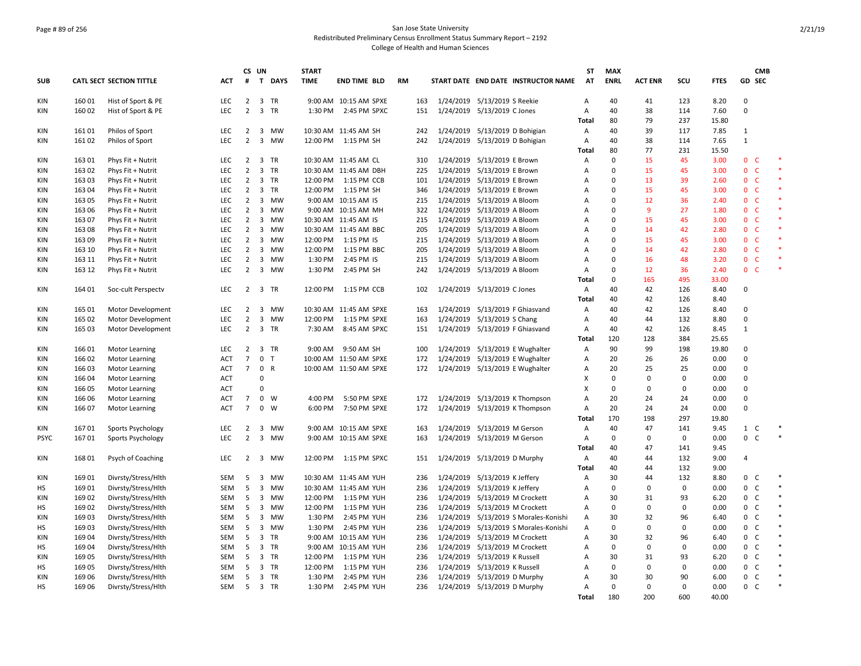## Page # 89 of 256 San Jose State University Redistributed Preliminary Census Enrollment Status Summary Report – 2192 College of Health and Human Sciences

|                  |                 |                                            |            |                | CS UN                   |                   | <b>START</b>         |                            |           |            |                                |                                                                         | ST                | <b>MAX</b>        |                   |                    |               |                | <b>CMB</b>        |        |
|------------------|-----------------|--------------------------------------------|------------|----------------|-------------------------|-------------------|----------------------|----------------------------|-----------|------------|--------------------------------|-------------------------------------------------------------------------|-------------------|-------------------|-------------------|--------------------|---------------|----------------|-------------------|--------|
| <b>SUB</b>       |                 | <b>CATL SECT SECTION TITTLE</b>            | <b>ACT</b> | #              | $\mathbf{T}$            | <b>DAYS</b>       | <b>TIME</b>          | <b>END TIME BLD</b>        | <b>RM</b> |            |                                | START DATE END DATE INSTRUCTOR NAME                                     | AT                | <b>ENRL</b>       | <b>ACT ENR</b>    | SCU                | <b>FTES</b>   |                | GD SEC            |        |
| KIN              | 160 01          | Hist of Sport & PE                         | LEC        | $\overline{2}$ |                         | 3 TR              |                      | 9:00 AM 10:15 AM SPXE      |           | 163        | 1/24/2019 5/13/2019 S Reekie   |                                                                         | $\overline{A}$    | 40                | 41                | 123                | 8.20          | $\Omega$       |                   |        |
| KIN              | 160 02          | Hist of Sport & PE                         | <b>LEC</b> | $\overline{2}$ |                         | 3 TR              |                      | 1:30 PM 2:45 PM SPXC       |           | 151        | 1/24/2019 5/13/2019 C Jones    |                                                                         | $\overline{A}$    | 40                | 38                | 114                | 7.60          | $\Omega$       |                   |        |
|                  |                 |                                            |            |                |                         |                   |                      |                            |           |            |                                |                                                                         | <b>Total</b>      | 80                | 79                | 237                | 15.80         |                |                   |        |
| KIN              | 16101           | Philos of Sport                            | LEC        | $\overline{2}$ |                         | 3 MW              |                      | 10:30 AM 11:45 AM SH       |           | 242        | 1/24/2019 5/13/2019 D Bohigian |                                                                         | $\mathsf{A}$      | 40                | 39                | 117                | 7.85          | $\mathbf{1}$   |                   |        |
| KIN              | 16102           | Philos of Sport                            | LEC        | $\overline{2}$ | $\overline{3}$          | MW                |                      | 12:00 PM 1:15 PM SH        |           | 242        | 1/24/2019 5/13/2019 D Bohigian |                                                                         | Α                 | 40                | 38                | 114                | 7.65          | 1              |                   |        |
| KIN              | 163 01          | Phys Fit + Nutrit                          | LEC        | $\overline{2}$ |                         | 3 TR              |                      | 10:30 AM 11:45 AM CL       |           | 310        | 1/24/2019 5/13/2019 E Brown    |                                                                         | <b>Total</b><br>Α | 80<br>$\mathbf 0$ | 77<br>15          | 231<br>45          | 15.50<br>3.00 | 0 <sup>o</sup> |                   |        |
| KIN              | 163 02          | Phys Fit + Nutrit                          | LEC        | $\overline{2}$ |                         | 3 TR              |                      | 10:30 AM 11:45 AM DBH      |           | 225        | 1/24/2019 5/13/2019 E Brown    |                                                                         | Α                 | $\mathbf 0$       | 15                | 45                 | 3.00          | $\mathbf{0}$   | C                 | $\ast$ |
| KIN              | 163 03          | Phys Fit + Nutrit                          | <b>LEC</b> | $\overline{2}$ |                         | 3 TR              | 12:00 PM             | 1:15 PM CCB                |           | 101        | 1/24/2019 5/13/2019 E Brown    |                                                                         | Α                 | $\mathbf 0$       | 13                | 39                 | 2.60          | $\mathbf{0}$   | <b>C</b>          |        |
| KIN              | 163 04          | Phys Fit + Nutrit                          | LEC        | $\overline{2}$ |                         | 3 TR              |                      | 12:00 PM 1:15 PM SH        |           | 346        | 1/24/2019 5/13/2019 E Brown    |                                                                         | Α                 | $\Omega$          | 15                | 45                 | 3.00          | $0-$           |                   | $\ast$ |
| KIN              | 163 05          | Phys Fit + Nutrit                          | LEC        | $\overline{2}$ | 3                       | MW                |                      | 9:00 AM 10:15 AM IS        |           | 215        | 1/24/2019 5/13/2019 A Bloom    |                                                                         | Α                 | $\mathbf 0$       | 12                | 36                 | 2.40          | 0              | $\mathsf{C}$      |        |
| KIN              | 163 06          | Phys Fit + Nutrit                          | <b>LEC</b> | $\overline{2}$ |                         | 3 MW              |                      | 9:00 AM 10:15 AM MH        |           | 322        | 1/24/2019 5/13/2019 A Bloom    |                                                                         | Α                 | $\mathbf 0$       | 9                 | 27                 | 1.80          | $0\quad C$     |                   |        |
| KIN              | 163 07          | Phys Fit + Nutrit                          | <b>LEC</b> | $\overline{2}$ |                         | 3 MW              |                      | 10:30 AM 11:45 AM IS       |           | 215        | 1/24/2019 5/13/2019 A Bloom    |                                                                         | $\overline{A}$    | $\mathbf 0$       | 15                | 45                 | 3.00          | $\mathbf{0}$   | C                 |        |
| KIN              | 163 08          | Phys Fit + Nutrit                          | <b>LEC</b> | $\overline{2}$ | 3                       | MW                |                      | 10:30 AM 11:45 AM BBC      |           | 205        | 1/24/2019 5/13/2019 A Bloom    |                                                                         | Α                 | $\mathbf 0$       | 14                | 42                 | 2.80          | $\mathbf{0}$   | <b>C</b>          |        |
| <b>KIN</b>       | 163 09          | Phys Fit + Nutrit                          | <b>LEC</b> | $\overline{2}$ |                         | 3 MW              | 12:00 PM             | 1:15 PM IS                 |           | 215        | 1/24/2019 5/13/2019 A Bloom    |                                                                         | A                 | $\mathbf 0$       | 15                | 45                 | 3.00          | $\mathbf{0}$   | <b>C</b>          |        |
| <b>KIN</b>       | 163 10          | Phys Fit + Nutrit                          | LEC        | $\overline{2}$ | 3                       | <b>MW</b>         | 12:00 PM             | 1:15 PM BBC                |           | 205        | 1/24/2019 5/13/2019 A Bloom    |                                                                         | А                 | $\mathbf 0$       | 14                | 42                 | 2.80          | $\mathbf 0$    | $\mathsf{C}$      |        |
| KIN              | 163 11          | Phys Fit + Nutrit                          | LEC        | $\overline{2}$ |                         | 3 MW              | 1:30 PM              | 2:45 PM IS                 |           | 215        | 1/24/2019 5/13/2019 A Bloom    |                                                                         | Α                 | $\mathbf 0$       | 16                | 48                 | 3.20          | $\mathbf{0}$   | $\mathsf{C}$      |        |
| KIN              | 163 12          | Phys Fit + Nutrit                          | LEC        | $\overline{2}$ |                         | 3 MW              | 1:30 PM              | 2:45 PM SH                 |           | 242        | 1/24/2019 5/13/2019 A Bloom    |                                                                         | Α                 | $\mathbf 0$       | 12                | 36                 | 2.40          | $0-$           |                   |        |
|                  |                 |                                            |            |                |                         |                   |                      |                            |           |            |                                |                                                                         | <b>Total</b>      | $\mathbf 0$       | 165               | 495                | 33.00         |                |                   |        |
| KIN              | 164 01          | Soc-cult Perspectv                         | <b>LEC</b> |                |                         | 2 3 TR            | 12:00 PM             | 1:15 PM CCB                |           | 102        | 1/24/2019 5/13/2019 C Jones    |                                                                         | Α                 | 40                | 42                | 126                | 8.40          | $\Omega$       |                   |        |
|                  |                 |                                            |            |                |                         |                   |                      |                            |           |            |                                |                                                                         | <b>Total</b>      | 40                | 42                | 126                | 8.40          |                |                   |        |
| KIN              | 165 01          | Motor Development                          | LEC        | $\overline{2}$ |                         | 3 MW              |                      | 10:30 AM 11:45 AM SPXE     |           | 163        |                                | 1/24/2019 5/13/2019 F Ghiasvand                                         | Α                 | 40                | 42                | 126                | 8.40          | $\Omega$       |                   |        |
| KIN              | 165 02          | Motor Development                          | LEC        | $\overline{2}$ | $\overline{3}$          | MW                | 12:00 PM             | 1:15 PM SPXE               |           | 163        | 1/24/2019 5/13/2019 S Chang    |                                                                         | Α                 | 40                | 44                | 132                | 8.80          | $\Omega$       |                   |        |
| KIN              | 165 03          | Motor Development                          | LEC        | $\overline{2}$ |                         | 3 TR              | 7:30 AM              | 8:45 AM SPXC               |           | 151        |                                | 1/24/2019 5/13/2019 F Ghiasvand                                         | Α                 | 40                | 42                | 126                | 8.45          | $\mathbf{1}$   |                   |        |
|                  |                 |                                            |            |                |                         |                   |                      |                            |           |            |                                |                                                                         | <b>Total</b>      | 120               | 128               | 384                | 25.65         |                |                   |        |
| KIN              | 16601           | <b>Motor Learning</b>                      | <b>LEC</b> | $\overline{2}$ |                         | 3 TR              | $9:00$ AM            | 9:50 AM SH                 |           | 100        |                                | 1/24/2019 5/13/2019 E Wughalter                                         | Α                 | 90                | 99                | 198                | 19.80         | $\Omega$       |                   |        |
| KIN              | 166 02          | <b>Motor Learning</b>                      | <b>ACT</b> | $\overline{7}$ |                         | 0 <sub>T</sub>    |                      | 10:00 AM 11:50 AM SPXE     |           | 172        |                                | 1/24/2019 5/13/2019 E Wughalter                                         | Α                 | 20                | 26                | 26                 | 0.00          | $\Omega$       |                   |        |
| <b>KIN</b>       | 166 03          | <b>Motor Learning</b>                      | ACT        | $7^{\circ}$    | 0 R                     |                   |                      | 10:00 AM 11:50 AM SPXE     |           | 172        |                                | 1/24/2019 5/13/2019 E Wughalter                                         | Α                 | 20                | 25                | 25                 | 0.00          | $\Omega$       |                   |        |
| KIN              | 166 04          | <b>Motor Learning</b>                      | <b>ACT</b> |                | $\pmb{0}$               |                   |                      |                            |           |            |                                |                                                                         | X                 | $\mathbf 0$       | $\mathbf 0$       | $\mathbf 0$        | 0.00          | $\mathbf 0$    |                   |        |
| KIN              | 166 05          | <b>Motor Learning</b>                      | <b>ACT</b> |                | 0                       |                   |                      |                            |           |            |                                |                                                                         | Х                 | 0                 | $\Omega$          | $\mathbf 0$        | 0.00          | $\Omega$       |                   |        |
| KIN              | 166 06          | <b>Motor Learning</b>                      | ACT        | 7              |                         | $0 \quad W$       | 4:00 PM              | 5:50 PM SPXE               |           | 172        |                                | 1/24/2019 5/13/2019 K Thompson                                          | Α                 | 20                | 24                | 24                 | 0.00          | $\Omega$       |                   |        |
| KIN              | 166 07          | <b>Motor Learning</b>                      | <b>ACT</b> | $\overline{7}$ |                         | $0 \quad W$       | 6:00 PM              | 7:50 PM SPXE               |           | 172        |                                | 1/24/2019 5/13/2019 K Thompson                                          | Α                 | 20                | 24                | 24                 | 0.00          | $\Omega$       |                   |        |
|                  |                 |                                            |            |                |                         |                   |                      |                            |           |            |                                |                                                                         | Total             | 170               | 198               | 297                | 19.80         |                |                   |        |
| KIN              | 16701           | Sports Psychology                          | LEC        | $\overline{2}$ | 3                       | <b>MW</b>         |                      | 9:00 AM 10:15 AM SPXE      |           | 163        | 1/24/2019 5/13/2019 M Gerson   |                                                                         | A                 | 40                | 47                | 141                | 9.45          | $1\quad C$     |                   | $\ast$ |
| <b>PSYC</b>      | 16701           | Sports Psychology                          | LEC        | $\overline{2}$ |                         | 3 MW              |                      | 9:00 AM 10:15 AM SPXE      |           | 163        | 1/24/2019 5/13/2019 M Gerson   |                                                                         | Α                 | $\mathbf 0$       | $\mathbf 0$       | $\mathbf 0$        | 0.00          | 0 C            |                   |        |
|                  |                 |                                            |            |                |                         |                   |                      |                            |           |            |                                |                                                                         | <b>Total</b>      | 40                | 47                | 141                | 9.45          |                |                   |        |
| KIN              | 16801           | Psych of Coaching                          | LEC        | 2              | $\overline{\mathbf{3}}$ | MW                | 12:00 PM             | 1:15 PM SPXC               |           | 151        | 1/24/2019 5/13/2019 D Murphy   |                                                                         | Α                 | 40                | 44                | 132                | 9.00          | $\overline{4}$ |                   |        |
|                  |                 |                                            |            |                |                         |                   |                      |                            |           |            |                                |                                                                         | Total             | 40                | 44                | 132                | 9.00          |                |                   | $\ast$ |
| KIN              | 16901           | Divrsty/Stress/Hlth                        | <b>SEM</b> | 5              |                         | 3 MW<br><b>MW</b> |                      | 10:30 AM 11:45 AM YUH      |           | 236        | 1/24/2019 5/13/2019 K Jeffery  |                                                                         | $\overline{A}$    | 30<br>$\Omega$    | 44<br>$\mathbf 0$ | 132<br>$\mathbf 0$ | 8.80          | 0<br>0         | C<br>C            | $\ast$ |
| НS               | 169 01          | Divrsty/Stress/Hlth                        | SEM        | 5              | 3                       |                   |                      | 10:30 AM 11:45 AM YUH      |           | 236        | 1/24/2019 5/13/2019 K Jeffery  |                                                                         | Α                 |                   |                   |                    | 0.00          |                |                   | $\ast$ |
| <b>KIN</b><br>HS | 169 02          | Divrsty/Stress/Hlth                        | SEM        | 5<br>5         | 3                       | 3 MW<br><b>MW</b> | 12:00 PM<br>12:00 PM | 1:15 PM YUH                |           | 236        |                                | 1/24/2019 5/13/2019 M Crockett                                          | Α<br>А            | 30<br>$\mathbf 0$ | 31<br>$\mathbf 0$ | 93<br>$\mathbf 0$  | 6.20<br>0.00  | 0<br>0         | $\mathsf{C}$<br>C | $\ast$ |
| <b>KIN</b>       | 169 02<br>16903 | Divrsty/Stress/Hlth<br>Divrsty/Stress/Hlth | SEM<br>SEM | 5              |                         | 3 MW              | 1:30 PM              | 1:15 PM YUH<br>2:45 PM YUH |           | 236<br>236 |                                | 1/24/2019 5/13/2019 M Crockett<br>1/24/2019 5/13/2019 S Morales-Konishi | Α                 | 30                | 32                | 96                 | 6.40          | 0              | C                 |        |
| НS               | 16903           | Divrsty/Stress/Hlth                        |            | 5              |                         | 3 MW              | 1:30 PM              | 2:45 PM YUH                |           | 236        |                                | 1/24/2019 5/13/2019 S Morales-Konishi                                   | Α                 | $\mathbf 0$       | $\mathbf 0$       | $\mathbf 0$        | 0.00          | $\mathbf{0}$   | C                 |        |
| <b>KIN</b>       | 16904           | Divrsty/Stress/Hlth                        | SEM<br>SEM | -5             |                         | 3 TR              |                      | 9:00 AM 10:15 AM YUH       |           | 236        |                                | 1/24/2019 5/13/2019 M Crockett                                          | A                 | 30                | 32                | 96                 | 6.40          | 0              | C                 | $\ast$ |
| HS               | 169 04          | Divrsty/Stress/Hlth                        | SEM        | 5              |                         | 3 TR              |                      | 9:00 AM 10:15 AM YUH       |           | 236        |                                | 1/24/2019 5/13/2019 M Crockett                                          | Α                 | $\mathbf 0$       | $\mathbf 0$       | $\mathbf 0$        | 0.00          | $\mathbf 0$    | C                 |        |
| <b>KIN</b>       | 169 05          | Divrsty/Stress/Hlth                        | SEM        | 5              |                         | 3 TR              | 12:00 PM             | 1:15 PM YUH                |           | 236        | 1/24/2019 5/13/2019 K Russell  |                                                                         | Α                 | 30                | 31                | 93                 | 6.20          | 0              | $\mathsf{C}$      | $\ast$ |
| HS               | 16905           | Divrsty/Stress/Hlth                        | SEM        | 5              |                         | 3 TR              | 12:00 PM             | 1:15 PM YUH                |           | 236        | 1/24/2019 5/13/2019 K Russell  |                                                                         | Α                 | $\mathbf 0$       | $\mathbf 0$       | $\mathbf 0$        | 0.00          | 0              | $\mathsf{C}$      |        |
| <b>KIN</b>       | 16906           | Divrsty/Stress/Hlth                        | SEM        | 5              |                         | 3 TR              | 1:30 PM              | 2:45 PM YUH                |           | 236        | 1/24/2019 5/13/2019 D Murphy   |                                                                         | Α                 | 30                | 30                | 90                 | 6.00          | 0              | <sub>c</sub>      |        |
| HS               | 169 06          | Divrsty/Stress/Hlth                        | SEM        | - 5            |                         | 3 TR              | 1:30 PM              | 2:45 PM YUH                |           | 236        | 1/24/2019 5/13/2019 D Murphy   |                                                                         | A                 | $\mathbf 0$       | $\mathbf 0$       | $\mathbf 0$        | 0.00          | 0 <sup>o</sup> |                   |        |
|                  |                 |                                            |            |                |                         |                   |                      |                            |           |            |                                |                                                                         | Total             | 180               | 200               | 600                | 40.00         |                |                   |        |
|                  |                 |                                            |            |                |                         |                   |                      |                            |           |            |                                |                                                                         |                   |                   |                   |                    |               |                |                   |        |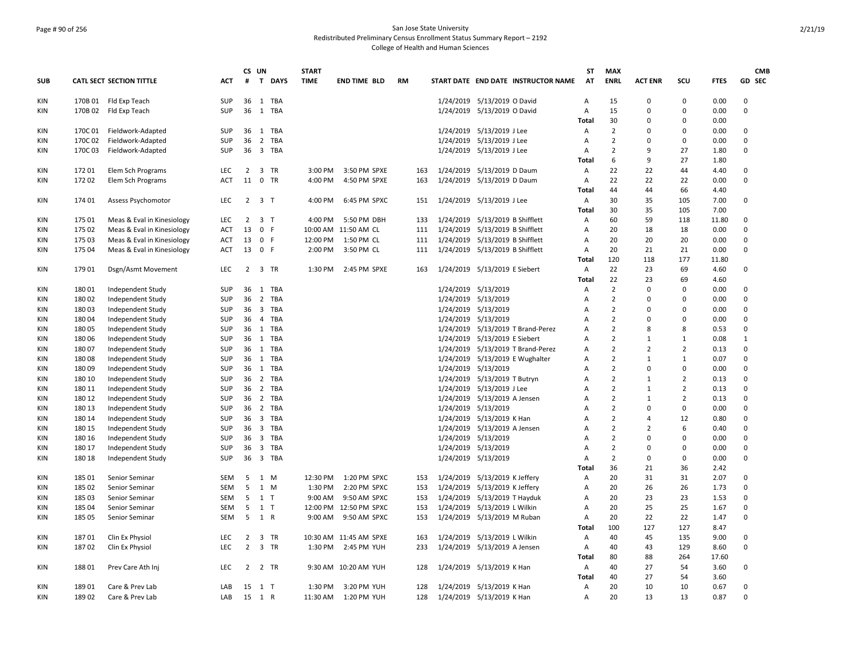### Page # 90 of 256 San Jose State University Redistributed Preliminary Census Enrollment Status Summary Report – 2192 College of Health and Human Sciences

| <b>ENRL</b><br>GD SEC<br><b>SUB</b><br><b>CATL SECT SECTION TITTLE</b><br><b>ACT</b><br>#<br>$\mathbf{T}$<br><b>DAYS</b><br><b>TIME</b><br><b>END TIME BLD</b><br><b>RM</b><br>START DATE END DATE INSTRUCTOR NAME<br>AT<br><b>ACT ENR</b><br>scu<br><b>FTES</b><br>170B 01 Fld Exp Teach<br><b>SUP</b><br>36<br>1 TBA<br>1/24/2019 5/13/2019 O David<br>15<br>$\Omega$<br>$\Omega$<br>0.00<br>$\Omega$<br>KIN<br>A<br>36<br>1/24/2019 5/13/2019 O David<br>15<br>0.00<br>0<br>KIN<br>170B 02 Fld Exp Teach<br>SUP<br>1 TBA<br>Α<br>0<br>$\Omega$<br>30<br>Total<br>$\Omega$<br>$\Omega$<br>0.00<br>36<br>1 TBA<br>$\overline{2}$<br>$\Omega$<br>$\Omega$<br>KIN<br>170C 01<br>Fieldwork-Adapted<br>SUP<br>1/24/2019 5/13/2019 J Lee<br>$\Omega$<br>0.00<br>Α<br>Fieldwork-Adapted<br>SUP<br>36<br>2 TBA<br>1/24/2019 5/13/2019 J Lee<br>$\overline{2}$<br>$\Omega$<br>$\Omega$<br>KIN<br>170C 02<br>Α<br>$\Omega$<br>0.00<br>$\overline{2}$<br>27<br>$\Omega$<br>170C03<br>Fieldwork-Adapted<br><b>SUP</b><br>36<br>3 TBA<br>1/24/2019 5/13/2019 J Lee<br>9<br>1.80<br>KIN<br>Α<br>27<br>6<br>9<br>1.80<br>Total<br>22<br>22<br>44<br>17201<br>Elem Sch Programs<br><b>LEC</b><br>2<br>3 TR<br>3:00 PM<br>3:50 PM SPXE<br>1/24/2019 5/13/2019 D Daum<br>$\Omega$<br>KIN<br>163<br>Α<br>4.40<br>17202<br>11<br>0 TR<br>22<br>22<br>$\Omega$<br>KIN<br>Elem Sch Programs<br><b>ACT</b><br>4:00 PM<br>4:50 PM SPXE<br>163<br>1/24/2019 5/13/2019 D Daum<br>A<br>22<br>0.00<br>44<br>44<br>66<br>Total<br>4.40<br>174 01<br><b>LEC</b><br>2<br>3 <sub>T</sub><br>4:00 PM<br>6:45 PM SPXC<br>1/24/2019 5/13/2019 J Lee<br>30<br>35<br>105<br>7.00<br>0<br>KIN<br>Assess Psychomotor<br>151<br>Α<br>30<br>35<br>105<br>7.00<br>Total<br>60<br>59<br>$\Omega$<br>KIN<br>175 01<br>Meas & Eval in Kinesiology<br><b>LEC</b><br>$\overline{2}$<br>3 <sub>T</sub><br>4:00 PM<br>5:50 PM DBH<br>1/24/2019 5/13/2019 B Shifflett<br>118<br>11.80<br>133<br>Α<br>13<br>$\mathbf{0}$<br>$\Omega$<br>175 02<br>Meas & Eval in Kinesiology<br>ACT<br>-F<br>10:00 AM 11:50 AM CL<br>1/24/2019 5/13/2019 B Shifflett<br>A<br>20<br>18<br>18<br>0.00<br>KIN<br>111<br>13<br>0 F<br>12:00 PM<br>1/24/2019 5/13/2019 B Shifflett<br>20<br>20<br>20<br>0.00<br>0<br>KIN<br>175 03<br>Meas & Eval in Kinesiology<br>ACT<br>1:50 PM CL<br>111<br>A<br>175 04<br>13<br>0 F<br>2:00 PM<br>3:50 PM CL<br>1/24/2019 5/13/2019 B Shifflett<br>20<br>21<br>21<br>0<br>KIN<br>Meas & Eval in Kinesiology<br>ACT<br>111<br>Α<br>0.00<br>120<br>177<br>118<br>Total<br>11.80<br>17901<br>Dsgn/Asmt Movement<br><b>LEC</b><br>$\overline{2}$<br>3 TR<br>1:30 PM<br>2:45 PM SPXE<br>1/24/2019 5/13/2019 E Siebert<br>22<br>23<br>69<br>4.60<br>$\Omega$<br>KIN<br>163<br>A<br>22<br>23<br>69<br>4.60<br>Total<br>1 TBA<br>$\overline{2}$<br>KIN<br>180 01<br>Independent Study<br>SUP<br>36<br>1/24/2019 5/13/2019<br>$\overline{A}$<br>$\Omega$<br>$\Omega$<br>0.00<br>$\Omega$<br>$\overline{2}$<br>SUP<br>36<br>2 TBA<br>1/24/2019 5/13/2019<br>$\Omega$<br>$\Omega$<br>18002<br>Independent Study<br>$\Omega$<br>0.00<br>KIN<br>Α<br>18003<br>Independent Study<br>SUP<br>36<br>3 TBA<br>1/24/2019 5/13/2019<br>$\overline{2}$<br>$\Omega$<br>0.00<br>$\Omega$<br>KIN<br>Α<br>n<br>$\overline{2}$<br>$\Omega$<br>1/24/2019 5/13/2019<br>$\Omega$<br>$\Omega$<br>0.00<br>KIN<br>18004<br>Independent Study<br>SUP<br>36<br>4 TBA<br>A<br>$\overline{2}$<br>18005<br>Independent Study<br>SUP<br>36<br>1 TBA<br>1/24/2019<br>5/13/2019 T Brand-Perez<br>8<br>0.53<br>0<br>KIN<br>A<br>8<br>$\overline{2}$<br>180 06<br>Independent Study<br>SUP<br>36<br>1 TBA<br>1/24/2019 5/13/2019 E Siebert<br>$\overline{A}$<br>$\mathbf{1}$<br>$\mathbf{1}$<br>0.08<br>$\mathbf{1}$<br>KIN<br>SUP<br>1 TBA<br>$\overline{2}$<br>$\overline{2}$<br>$\overline{2}$<br>0.13<br>$\Omega$<br>18007<br>Independent Study<br>36<br>1/24/2019 5/13/2019 T Brand-Perez<br>$\overline{A}$<br>KIN<br>1/24/2019 5/13/2019 E Wughalter<br>$\overline{2}$<br>$\Omega$<br>KIN<br>180 08<br>Independent Study<br>SUP<br>36<br>1 TBA<br>$\mathbf{1}$<br>$\mathbf{1}$<br>0.07<br>A<br>$\overline{2}$<br>$\mathbf 0$<br>180 09<br>SUP<br>36<br>1 TBA<br>1/24/2019 5/13/2019<br>0<br>0<br>0.00<br>KIN<br>Independent Study<br>A<br>$\overline{2}$<br>180 10<br>Independent Study<br>SUP<br>36<br>2 TBA<br>1/24/2019 5/13/2019 T Butryn<br>$\mathbf{1}$<br>$\overline{2}$<br>0.13<br>$\Omega$<br>KIN<br>A<br>$\overline{2}$<br>$\overline{2}$<br>0.13<br>$\Omega$<br>180 11<br>SUP<br>36<br>2 TBA<br>1/24/2019 5/13/2019 J Lee<br>$\mathbf{1}$<br>KIN<br>Independent Study<br>A<br>2 TBA<br>1/24/2019 5/13/2019 A Jensen<br>$\overline{2}$<br>$\overline{2}$<br>$\Omega$<br>KIN<br>180 12<br>Independent Study<br><b>SUP</b><br>36<br>$\mathbf{1}$<br>0.13<br>A<br>$\overline{2}$<br>1/24/2019<br>5/13/2019<br>0<br>$\Omega$<br>0.00<br>$\Omega$<br>KIN<br>180 13<br>Independent Study<br><b>SUP</b><br>36<br>2 TBA<br>A<br>3 TBA<br>1/24/2019 5/13/2019 K Han<br>$\overline{2}$<br>12<br>0<br>KIN<br>180 14<br>Independent Study<br>SUP<br>36<br>$\overline{A}$<br>$\overline{a}$<br>0.80<br>$\overline{2}$<br>$\Omega$<br>3 TBA<br>1/24/2019 5/13/2019 A Jensen<br>$\overline{2}$<br>6<br>KIN<br>180 15<br>Independent Study<br>SUP<br>36<br>Α<br>0.40<br>$\overline{2}$<br>180 16<br>Independent Study<br>SUP<br>36<br>3 TBA<br>1/24/2019 5/13/2019<br>$\Omega$<br>$\Omega$<br>0.00<br>$\Omega$<br>KIN<br>A<br>$\overline{2}$<br>$\Omega$<br>180 17<br>SUP<br>36<br>3 TBA<br>1/24/2019 5/13/2019<br>0<br>$\Omega$<br>0.00<br>KIN<br>Independent Study<br>A<br>3 TBA<br>$\overline{2}$<br>KIN<br>180 18<br>Independent Study<br><b>SUP</b><br>36<br>1/24/2019 5/13/2019<br>$\Omega$<br>$\Omega$<br>0.00<br>$\Omega$<br>A<br>36<br>21<br>36<br>Total<br>2.42<br>185 01<br>SEM<br>5<br>1 M<br>12:30 PM<br>1:20 PM SPXC<br>1/24/2019 5/13/2019 K Jeffery<br>20<br>31<br>31<br>2.07<br>$\Omega$<br>KIN<br>Senior Seminar<br>153<br>Α<br>5<br>0<br>185 02<br>SEM<br>1<br>1:30 PM<br>2:20 PM SPXC<br>1/24/2019<br>5/13/2019 K Jeffery<br>20<br>26<br>26<br>1.73<br>KIN<br>Senior Seminar<br>M<br>153<br>Α<br>5<br>20<br>23<br>23<br>1.53<br>0<br>185 03<br>SEM<br>$1$ T<br>9:00 AM<br>9:50 AM SPXC<br>1/24/2019 5/13/2019 T Hayduk<br>Α<br>KIN<br>Senior Seminar<br>153<br>5<br>$1$ T<br>20<br>25<br>$\Omega$<br>185 04<br><b>SEM</b><br>12:00 PM 12:50 PM SPXC<br>1/24/2019 5/13/2019 L Wilkin<br>A<br>25<br>1.67<br>KIN<br>Senior Seminar<br>153<br>5<br>1 R<br>1/24/2019 5/13/2019 M Ruban<br>20<br>22<br>22<br>1.47<br>$\Omega$<br>KIN<br>185 05<br><b>SEM</b><br>9:00 AM<br>9:50 AM SPXC<br>153<br>$\overline{A}$<br>Senior Seminar<br>100<br>127<br>127<br>8.47<br>Total<br>18701<br>Clin Ex Physiol<br>LEC<br>2<br>3<br>1/24/2019 5/13/2019 L Wilkin<br>Α<br>40<br>45<br>135<br>9.00<br>0<br>KIN<br>TR<br>10:30 AM 11:45 AM SPXE<br>163<br>$\overline{2}$<br>3 TR<br>18702<br>Clin Ex Physiol<br><b>LEC</b><br>1:30 PM<br>2:45 PM YUH<br>1/24/2019 5/13/2019 A Jensen<br>40<br>43<br>129<br>8.60<br>$\Omega$<br>KIN<br>233<br>$\overline{A}$<br>88<br>80<br>264<br>17.60<br>Total<br>27<br>KIN<br>18801<br>Prev Care Ath Inj<br><b>LEC</b><br>$\overline{2}$<br>2 TR<br>9:30 AM 10:20 AM YUH<br>128<br>1/24/2019 5/13/2019 K Han<br>A<br>40<br>54<br>3.60<br>$\Omega$<br>27<br>3.60<br>40<br>54<br>Total<br>189 01<br>Care & Prev Lab<br>3:20 PM YUH<br>1/24/2019 5/13/2019 K Han<br>20<br>10<br>0.67<br>0<br>KIN<br>LAB<br>15<br>1 T<br>1:30 PM<br>128<br>Α<br>10<br>15 1 R<br>20<br>$\Omega$<br>189 02<br>LAB<br>11:30 AM<br>1/24/2019 5/13/2019 K Han<br>13<br>13<br>0.87<br>KIN<br>Care & Prev Lab<br>1:20 PM YUH<br>128<br>$\overline{A}$ |  |  | CS UN | <b>START</b> |  |  | ST | <b>MAX</b> |  |  | <b>CMB</b> |
|------------------------------------------------------------------------------------------------------------------------------------------------------------------------------------------------------------------------------------------------------------------------------------------------------------------------------------------------------------------------------------------------------------------------------------------------------------------------------------------------------------------------------------------------------------------------------------------------------------------------------------------------------------------------------------------------------------------------------------------------------------------------------------------------------------------------------------------------------------------------------------------------------------------------------------------------------------------------------------------------------------------------------------------------------------------------------------------------------------------------------------------------------------------------------------------------------------------------------------------------------------------------------------------------------------------------------------------------------------------------------------------------------------------------------------------------------------------------------------------------------------------------------------------------------------------------------------------------------------------------------------------------------------------------------------------------------------------------------------------------------------------------------------------------------------------------------------------------------------------------------------------------------------------------------------------------------------------------------------------------------------------------------------------------------------------------------------------------------------------------------------------------------------------------------------------------------------------------------------------------------------------------------------------------------------------------------------------------------------------------------------------------------------------------------------------------------------------------------------------------------------------------------------------------------------------------------------------------------------------------------------------------------------------------------------------------------------------------------------------------------------------------------------------------------------------------------------------------------------------------------------------------------------------------------------------------------------------------------------------------------------------------------------------------------------------------------------------------------------------------------------------------------------------------------------------------------------------------------------------------------------------------------------------------------------------------------------------------------------------------------------------------------------------------------------------------------------------------------------------------------------------------------------------------------------------------------------------------------------------------------------------------------------------------------------------------------------------------------------------------------------------------------------------------------------------------------------------------------------------------------------------------------------------------------------------------------------------------------------------------------------------------------------------------------------------------------------------------------------------------------------------------------------------------------------------------------------------------------------------------------------------------------------------------------------------------------------------------------------------------------------------------------------------------------------------------------------------------------------------------------------------------------------------------------------------------------------------------------------------------------------------------------------------------------------------------------------------------------------------------------------------------------------------------------------------------------------------------------------------------------------------------------------------------------------------------------------------------------------------------------------------------------------------------------------------------------------------------------------------------------------------------------------------------------------------------------------------------------------------------------------------------------------------------------------------------------------------------------------------------------------------------------------------------------------------------------------------------------------------------------------------------------------------------------------------------------------------------------------------------------------------------------------------------------------------------------------------------------------------------------------------------------------------------------------------------------------------------------------------------------------------------------------------------------------------------------------------------------------------------------------------------------------------------------------------------------------------------------------------------------------------------------------------------------------------------------------------------------------------------------------------------------------------------------------------------------------------------------------------------------------------------------------------------------------------------------------------------------------------------------------------------------------------------------------------------------------------------------------------------------------------------------------------------------------------------------------------------------------------------------------------------------------------------------------------------------------------------------------------------------------------------------------------------------------------------------------------------------------------------------------------------------------------------------------------------------------------------------------------------------------------------------------------------------------------------------------------------------------------------------------------------------------------------------------------------------------------------------------------------------------------------------------------------------------------------------------------------------------------------------------------------------------------------------------------------------------------------------------------------------------------------------------------------------------|--|--|-------|--------------|--|--|----|------------|--|--|------------|
|                                                                                                                                                                                                                                                                                                                                                                                                                                                                                                                                                                                                                                                                                                                                                                                                                                                                                                                                                                                                                                                                                                                                                                                                                                                                                                                                                                                                                                                                                                                                                                                                                                                                                                                                                                                                                                                                                                                                                                                                                                                                                                                                                                                                                                                                                                                                                                                                                                                                                                                                                                                                                                                                                                                                                                                                                                                                                                                                                                                                                                                                                                                                                                                                                                                                                                                                                                                                                                                                                                                                                                                                                                                                                                                                                                                                                                                                                                                                                                                                                                                                                                                                                                                                                                                                                                                                                                                                                                                                                                                                                                                                                                                                                                                                                                                                                                                                                                                                                                                                                                                                                                                                                                                                                                                                                                                                                                                                                                                                                                                                                                                                                                                                                                                                                                                                                                                                                                                                                                                                                                                                                                                                                                                                                                                                                                                                                                                                                                                                                                                                                                                                                                                                                                                                                                                                                                                                                                                                                                                                                                                                                                                                                                                                                                                                                                                                                                                                                                                                                                                                                                                                                                                                                    |  |  |       |              |  |  |    |            |  |  |            |
|                                                                                                                                                                                                                                                                                                                                                                                                                                                                                                                                                                                                                                                                                                                                                                                                                                                                                                                                                                                                                                                                                                                                                                                                                                                                                                                                                                                                                                                                                                                                                                                                                                                                                                                                                                                                                                                                                                                                                                                                                                                                                                                                                                                                                                                                                                                                                                                                                                                                                                                                                                                                                                                                                                                                                                                                                                                                                                                                                                                                                                                                                                                                                                                                                                                                                                                                                                                                                                                                                                                                                                                                                                                                                                                                                                                                                                                                                                                                                                                                                                                                                                                                                                                                                                                                                                                                                                                                                                                                                                                                                                                                                                                                                                                                                                                                                                                                                                                                                                                                                                                                                                                                                                                                                                                                                                                                                                                                                                                                                                                                                                                                                                                                                                                                                                                                                                                                                                                                                                                                                                                                                                                                                                                                                                                                                                                                                                                                                                                                                                                                                                                                                                                                                                                                                                                                                                                                                                                                                                                                                                                                                                                                                                                                                                                                                                                                                                                                                                                                                                                                                                                                                                                                                    |  |  |       |              |  |  |    |            |  |  |            |
|                                                                                                                                                                                                                                                                                                                                                                                                                                                                                                                                                                                                                                                                                                                                                                                                                                                                                                                                                                                                                                                                                                                                                                                                                                                                                                                                                                                                                                                                                                                                                                                                                                                                                                                                                                                                                                                                                                                                                                                                                                                                                                                                                                                                                                                                                                                                                                                                                                                                                                                                                                                                                                                                                                                                                                                                                                                                                                                                                                                                                                                                                                                                                                                                                                                                                                                                                                                                                                                                                                                                                                                                                                                                                                                                                                                                                                                                                                                                                                                                                                                                                                                                                                                                                                                                                                                                                                                                                                                                                                                                                                                                                                                                                                                                                                                                                                                                                                                                                                                                                                                                                                                                                                                                                                                                                                                                                                                                                                                                                                                                                                                                                                                                                                                                                                                                                                                                                                                                                                                                                                                                                                                                                                                                                                                                                                                                                                                                                                                                                                                                                                                                                                                                                                                                                                                                                                                                                                                                                                                                                                                                                                                                                                                                                                                                                                                                                                                                                                                                                                                                                                                                                                                                                    |  |  |       |              |  |  |    |            |  |  |            |
|                                                                                                                                                                                                                                                                                                                                                                                                                                                                                                                                                                                                                                                                                                                                                                                                                                                                                                                                                                                                                                                                                                                                                                                                                                                                                                                                                                                                                                                                                                                                                                                                                                                                                                                                                                                                                                                                                                                                                                                                                                                                                                                                                                                                                                                                                                                                                                                                                                                                                                                                                                                                                                                                                                                                                                                                                                                                                                                                                                                                                                                                                                                                                                                                                                                                                                                                                                                                                                                                                                                                                                                                                                                                                                                                                                                                                                                                                                                                                                                                                                                                                                                                                                                                                                                                                                                                                                                                                                                                                                                                                                                                                                                                                                                                                                                                                                                                                                                                                                                                                                                                                                                                                                                                                                                                                                                                                                                                                                                                                                                                                                                                                                                                                                                                                                                                                                                                                                                                                                                                                                                                                                                                                                                                                                                                                                                                                                                                                                                                                                                                                                                                                                                                                                                                                                                                                                                                                                                                                                                                                                                                                                                                                                                                                                                                                                                                                                                                                                                                                                                                                                                                                                                                                    |  |  |       |              |  |  |    |            |  |  |            |
|                                                                                                                                                                                                                                                                                                                                                                                                                                                                                                                                                                                                                                                                                                                                                                                                                                                                                                                                                                                                                                                                                                                                                                                                                                                                                                                                                                                                                                                                                                                                                                                                                                                                                                                                                                                                                                                                                                                                                                                                                                                                                                                                                                                                                                                                                                                                                                                                                                                                                                                                                                                                                                                                                                                                                                                                                                                                                                                                                                                                                                                                                                                                                                                                                                                                                                                                                                                                                                                                                                                                                                                                                                                                                                                                                                                                                                                                                                                                                                                                                                                                                                                                                                                                                                                                                                                                                                                                                                                                                                                                                                                                                                                                                                                                                                                                                                                                                                                                                                                                                                                                                                                                                                                                                                                                                                                                                                                                                                                                                                                                                                                                                                                                                                                                                                                                                                                                                                                                                                                                                                                                                                                                                                                                                                                                                                                                                                                                                                                                                                                                                                                                                                                                                                                                                                                                                                                                                                                                                                                                                                                                                                                                                                                                                                                                                                                                                                                                                                                                                                                                                                                                                                                                                    |  |  |       |              |  |  |    |            |  |  |            |
|                                                                                                                                                                                                                                                                                                                                                                                                                                                                                                                                                                                                                                                                                                                                                                                                                                                                                                                                                                                                                                                                                                                                                                                                                                                                                                                                                                                                                                                                                                                                                                                                                                                                                                                                                                                                                                                                                                                                                                                                                                                                                                                                                                                                                                                                                                                                                                                                                                                                                                                                                                                                                                                                                                                                                                                                                                                                                                                                                                                                                                                                                                                                                                                                                                                                                                                                                                                                                                                                                                                                                                                                                                                                                                                                                                                                                                                                                                                                                                                                                                                                                                                                                                                                                                                                                                                                                                                                                                                                                                                                                                                                                                                                                                                                                                                                                                                                                                                                                                                                                                                                                                                                                                                                                                                                                                                                                                                                                                                                                                                                                                                                                                                                                                                                                                                                                                                                                                                                                                                                                                                                                                                                                                                                                                                                                                                                                                                                                                                                                                                                                                                                                                                                                                                                                                                                                                                                                                                                                                                                                                                                                                                                                                                                                                                                                                                                                                                                                                                                                                                                                                                                                                                                                    |  |  |       |              |  |  |    |            |  |  |            |
|                                                                                                                                                                                                                                                                                                                                                                                                                                                                                                                                                                                                                                                                                                                                                                                                                                                                                                                                                                                                                                                                                                                                                                                                                                                                                                                                                                                                                                                                                                                                                                                                                                                                                                                                                                                                                                                                                                                                                                                                                                                                                                                                                                                                                                                                                                                                                                                                                                                                                                                                                                                                                                                                                                                                                                                                                                                                                                                                                                                                                                                                                                                                                                                                                                                                                                                                                                                                                                                                                                                                                                                                                                                                                                                                                                                                                                                                                                                                                                                                                                                                                                                                                                                                                                                                                                                                                                                                                                                                                                                                                                                                                                                                                                                                                                                                                                                                                                                                                                                                                                                                                                                                                                                                                                                                                                                                                                                                                                                                                                                                                                                                                                                                                                                                                                                                                                                                                                                                                                                                                                                                                                                                                                                                                                                                                                                                                                                                                                                                                                                                                                                                                                                                                                                                                                                                                                                                                                                                                                                                                                                                                                                                                                                                                                                                                                                                                                                                                                                                                                                                                                                                                                                                                    |  |  |       |              |  |  |    |            |  |  |            |
|                                                                                                                                                                                                                                                                                                                                                                                                                                                                                                                                                                                                                                                                                                                                                                                                                                                                                                                                                                                                                                                                                                                                                                                                                                                                                                                                                                                                                                                                                                                                                                                                                                                                                                                                                                                                                                                                                                                                                                                                                                                                                                                                                                                                                                                                                                                                                                                                                                                                                                                                                                                                                                                                                                                                                                                                                                                                                                                                                                                                                                                                                                                                                                                                                                                                                                                                                                                                                                                                                                                                                                                                                                                                                                                                                                                                                                                                                                                                                                                                                                                                                                                                                                                                                                                                                                                                                                                                                                                                                                                                                                                                                                                                                                                                                                                                                                                                                                                                                                                                                                                                                                                                                                                                                                                                                                                                                                                                                                                                                                                                                                                                                                                                                                                                                                                                                                                                                                                                                                                                                                                                                                                                                                                                                                                                                                                                                                                                                                                                                                                                                                                                                                                                                                                                                                                                                                                                                                                                                                                                                                                                                                                                                                                                                                                                                                                                                                                                                                                                                                                                                                                                                                                                                    |  |  |       |              |  |  |    |            |  |  |            |
|                                                                                                                                                                                                                                                                                                                                                                                                                                                                                                                                                                                                                                                                                                                                                                                                                                                                                                                                                                                                                                                                                                                                                                                                                                                                                                                                                                                                                                                                                                                                                                                                                                                                                                                                                                                                                                                                                                                                                                                                                                                                                                                                                                                                                                                                                                                                                                                                                                                                                                                                                                                                                                                                                                                                                                                                                                                                                                                                                                                                                                                                                                                                                                                                                                                                                                                                                                                                                                                                                                                                                                                                                                                                                                                                                                                                                                                                                                                                                                                                                                                                                                                                                                                                                                                                                                                                                                                                                                                                                                                                                                                                                                                                                                                                                                                                                                                                                                                                                                                                                                                                                                                                                                                                                                                                                                                                                                                                                                                                                                                                                                                                                                                                                                                                                                                                                                                                                                                                                                                                                                                                                                                                                                                                                                                                                                                                                                                                                                                                                                                                                                                                                                                                                                                                                                                                                                                                                                                                                                                                                                                                                                                                                                                                                                                                                                                                                                                                                                                                                                                                                                                                                                                                                    |  |  |       |              |  |  |    |            |  |  |            |
|                                                                                                                                                                                                                                                                                                                                                                                                                                                                                                                                                                                                                                                                                                                                                                                                                                                                                                                                                                                                                                                                                                                                                                                                                                                                                                                                                                                                                                                                                                                                                                                                                                                                                                                                                                                                                                                                                                                                                                                                                                                                                                                                                                                                                                                                                                                                                                                                                                                                                                                                                                                                                                                                                                                                                                                                                                                                                                                                                                                                                                                                                                                                                                                                                                                                                                                                                                                                                                                                                                                                                                                                                                                                                                                                                                                                                                                                                                                                                                                                                                                                                                                                                                                                                                                                                                                                                                                                                                                                                                                                                                                                                                                                                                                                                                                                                                                                                                                                                                                                                                                                                                                                                                                                                                                                                                                                                                                                                                                                                                                                                                                                                                                                                                                                                                                                                                                                                                                                                                                                                                                                                                                                                                                                                                                                                                                                                                                                                                                                                                                                                                                                                                                                                                                                                                                                                                                                                                                                                                                                                                                                                                                                                                                                                                                                                                                                                                                                                                                                                                                                                                                                                                                                                    |  |  |       |              |  |  |    |            |  |  |            |
|                                                                                                                                                                                                                                                                                                                                                                                                                                                                                                                                                                                                                                                                                                                                                                                                                                                                                                                                                                                                                                                                                                                                                                                                                                                                                                                                                                                                                                                                                                                                                                                                                                                                                                                                                                                                                                                                                                                                                                                                                                                                                                                                                                                                                                                                                                                                                                                                                                                                                                                                                                                                                                                                                                                                                                                                                                                                                                                                                                                                                                                                                                                                                                                                                                                                                                                                                                                                                                                                                                                                                                                                                                                                                                                                                                                                                                                                                                                                                                                                                                                                                                                                                                                                                                                                                                                                                                                                                                                                                                                                                                                                                                                                                                                                                                                                                                                                                                                                                                                                                                                                                                                                                                                                                                                                                                                                                                                                                                                                                                                                                                                                                                                                                                                                                                                                                                                                                                                                                                                                                                                                                                                                                                                                                                                                                                                                                                                                                                                                                                                                                                                                                                                                                                                                                                                                                                                                                                                                                                                                                                                                                                                                                                                                                                                                                                                                                                                                                                                                                                                                                                                                                                                                                    |  |  |       |              |  |  |    |            |  |  |            |
|                                                                                                                                                                                                                                                                                                                                                                                                                                                                                                                                                                                                                                                                                                                                                                                                                                                                                                                                                                                                                                                                                                                                                                                                                                                                                                                                                                                                                                                                                                                                                                                                                                                                                                                                                                                                                                                                                                                                                                                                                                                                                                                                                                                                                                                                                                                                                                                                                                                                                                                                                                                                                                                                                                                                                                                                                                                                                                                                                                                                                                                                                                                                                                                                                                                                                                                                                                                                                                                                                                                                                                                                                                                                                                                                                                                                                                                                                                                                                                                                                                                                                                                                                                                                                                                                                                                                                                                                                                                                                                                                                                                                                                                                                                                                                                                                                                                                                                                                                                                                                                                                                                                                                                                                                                                                                                                                                                                                                                                                                                                                                                                                                                                                                                                                                                                                                                                                                                                                                                                                                                                                                                                                                                                                                                                                                                                                                                                                                                                                                                                                                                                                                                                                                                                                                                                                                                                                                                                                                                                                                                                                                                                                                                                                                                                                                                                                                                                                                                                                                                                                                                                                                                                                                    |  |  |       |              |  |  |    |            |  |  |            |
|                                                                                                                                                                                                                                                                                                                                                                                                                                                                                                                                                                                                                                                                                                                                                                                                                                                                                                                                                                                                                                                                                                                                                                                                                                                                                                                                                                                                                                                                                                                                                                                                                                                                                                                                                                                                                                                                                                                                                                                                                                                                                                                                                                                                                                                                                                                                                                                                                                                                                                                                                                                                                                                                                                                                                                                                                                                                                                                                                                                                                                                                                                                                                                                                                                                                                                                                                                                                                                                                                                                                                                                                                                                                                                                                                                                                                                                                                                                                                                                                                                                                                                                                                                                                                                                                                                                                                                                                                                                                                                                                                                                                                                                                                                                                                                                                                                                                                                                                                                                                                                                                                                                                                                                                                                                                                                                                                                                                                                                                                                                                                                                                                                                                                                                                                                                                                                                                                                                                                                                                                                                                                                                                                                                                                                                                                                                                                                                                                                                                                                                                                                                                                                                                                                                                                                                                                                                                                                                                                                                                                                                                                                                                                                                                                                                                                                                                                                                                                                                                                                                                                                                                                                                                                    |  |  |       |              |  |  |    |            |  |  |            |
|                                                                                                                                                                                                                                                                                                                                                                                                                                                                                                                                                                                                                                                                                                                                                                                                                                                                                                                                                                                                                                                                                                                                                                                                                                                                                                                                                                                                                                                                                                                                                                                                                                                                                                                                                                                                                                                                                                                                                                                                                                                                                                                                                                                                                                                                                                                                                                                                                                                                                                                                                                                                                                                                                                                                                                                                                                                                                                                                                                                                                                                                                                                                                                                                                                                                                                                                                                                                                                                                                                                                                                                                                                                                                                                                                                                                                                                                                                                                                                                                                                                                                                                                                                                                                                                                                                                                                                                                                                                                                                                                                                                                                                                                                                                                                                                                                                                                                                                                                                                                                                                                                                                                                                                                                                                                                                                                                                                                                                                                                                                                                                                                                                                                                                                                                                                                                                                                                                                                                                                                                                                                                                                                                                                                                                                                                                                                                                                                                                                                                                                                                                                                                                                                                                                                                                                                                                                                                                                                                                                                                                                                                                                                                                                                                                                                                                                                                                                                                                                                                                                                                                                                                                                                                    |  |  |       |              |  |  |    |            |  |  |            |
|                                                                                                                                                                                                                                                                                                                                                                                                                                                                                                                                                                                                                                                                                                                                                                                                                                                                                                                                                                                                                                                                                                                                                                                                                                                                                                                                                                                                                                                                                                                                                                                                                                                                                                                                                                                                                                                                                                                                                                                                                                                                                                                                                                                                                                                                                                                                                                                                                                                                                                                                                                                                                                                                                                                                                                                                                                                                                                                                                                                                                                                                                                                                                                                                                                                                                                                                                                                                                                                                                                                                                                                                                                                                                                                                                                                                                                                                                                                                                                                                                                                                                                                                                                                                                                                                                                                                                                                                                                                                                                                                                                                                                                                                                                                                                                                                                                                                                                                                                                                                                                                                                                                                                                                                                                                                                                                                                                                                                                                                                                                                                                                                                                                                                                                                                                                                                                                                                                                                                                                                                                                                                                                                                                                                                                                                                                                                                                                                                                                                                                                                                                                                                                                                                                                                                                                                                                                                                                                                                                                                                                                                                                                                                                                                                                                                                                                                                                                                                                                                                                                                                                                                                                                                                    |  |  |       |              |  |  |    |            |  |  |            |
|                                                                                                                                                                                                                                                                                                                                                                                                                                                                                                                                                                                                                                                                                                                                                                                                                                                                                                                                                                                                                                                                                                                                                                                                                                                                                                                                                                                                                                                                                                                                                                                                                                                                                                                                                                                                                                                                                                                                                                                                                                                                                                                                                                                                                                                                                                                                                                                                                                                                                                                                                                                                                                                                                                                                                                                                                                                                                                                                                                                                                                                                                                                                                                                                                                                                                                                                                                                                                                                                                                                                                                                                                                                                                                                                                                                                                                                                                                                                                                                                                                                                                                                                                                                                                                                                                                                                                                                                                                                                                                                                                                                                                                                                                                                                                                                                                                                                                                                                                                                                                                                                                                                                                                                                                                                                                                                                                                                                                                                                                                                                                                                                                                                                                                                                                                                                                                                                                                                                                                                                                                                                                                                                                                                                                                                                                                                                                                                                                                                                                                                                                                                                                                                                                                                                                                                                                                                                                                                                                                                                                                                                                                                                                                                                                                                                                                                                                                                                                                                                                                                                                                                                                                                                                    |  |  |       |              |  |  |    |            |  |  |            |
|                                                                                                                                                                                                                                                                                                                                                                                                                                                                                                                                                                                                                                                                                                                                                                                                                                                                                                                                                                                                                                                                                                                                                                                                                                                                                                                                                                                                                                                                                                                                                                                                                                                                                                                                                                                                                                                                                                                                                                                                                                                                                                                                                                                                                                                                                                                                                                                                                                                                                                                                                                                                                                                                                                                                                                                                                                                                                                                                                                                                                                                                                                                                                                                                                                                                                                                                                                                                                                                                                                                                                                                                                                                                                                                                                                                                                                                                                                                                                                                                                                                                                                                                                                                                                                                                                                                                                                                                                                                                                                                                                                                                                                                                                                                                                                                                                                                                                                                                                                                                                                                                                                                                                                                                                                                                                                                                                                                                                                                                                                                                                                                                                                                                                                                                                                                                                                                                                                                                                                                                                                                                                                                                                                                                                                                                                                                                                                                                                                                                                                                                                                                                                                                                                                                                                                                                                                                                                                                                                                                                                                                                                                                                                                                                                                                                                                                                                                                                                                                                                                                                                                                                                                                                                    |  |  |       |              |  |  |    |            |  |  |            |
|                                                                                                                                                                                                                                                                                                                                                                                                                                                                                                                                                                                                                                                                                                                                                                                                                                                                                                                                                                                                                                                                                                                                                                                                                                                                                                                                                                                                                                                                                                                                                                                                                                                                                                                                                                                                                                                                                                                                                                                                                                                                                                                                                                                                                                                                                                                                                                                                                                                                                                                                                                                                                                                                                                                                                                                                                                                                                                                                                                                                                                                                                                                                                                                                                                                                                                                                                                                                                                                                                                                                                                                                                                                                                                                                                                                                                                                                                                                                                                                                                                                                                                                                                                                                                                                                                                                                                                                                                                                                                                                                                                                                                                                                                                                                                                                                                                                                                                                                                                                                                                                                                                                                                                                                                                                                                                                                                                                                                                                                                                                                                                                                                                                                                                                                                                                                                                                                                                                                                                                                                                                                                                                                                                                                                                                                                                                                                                                                                                                                                                                                                                                                                                                                                                                                                                                                                                                                                                                                                                                                                                                                                                                                                                                                                                                                                                                                                                                                                                                                                                                                                                                                                                                                                    |  |  |       |              |  |  |    |            |  |  |            |
|                                                                                                                                                                                                                                                                                                                                                                                                                                                                                                                                                                                                                                                                                                                                                                                                                                                                                                                                                                                                                                                                                                                                                                                                                                                                                                                                                                                                                                                                                                                                                                                                                                                                                                                                                                                                                                                                                                                                                                                                                                                                                                                                                                                                                                                                                                                                                                                                                                                                                                                                                                                                                                                                                                                                                                                                                                                                                                                                                                                                                                                                                                                                                                                                                                                                                                                                                                                                                                                                                                                                                                                                                                                                                                                                                                                                                                                                                                                                                                                                                                                                                                                                                                                                                                                                                                                                                                                                                                                                                                                                                                                                                                                                                                                                                                                                                                                                                                                                                                                                                                                                                                                                                                                                                                                                                                                                                                                                                                                                                                                                                                                                                                                                                                                                                                                                                                                                                                                                                                                                                                                                                                                                                                                                                                                                                                                                                                                                                                                                                                                                                                                                                                                                                                                                                                                                                                                                                                                                                                                                                                                                                                                                                                                                                                                                                                                                                                                                                                                                                                                                                                                                                                                                                    |  |  |       |              |  |  |    |            |  |  |            |
|                                                                                                                                                                                                                                                                                                                                                                                                                                                                                                                                                                                                                                                                                                                                                                                                                                                                                                                                                                                                                                                                                                                                                                                                                                                                                                                                                                                                                                                                                                                                                                                                                                                                                                                                                                                                                                                                                                                                                                                                                                                                                                                                                                                                                                                                                                                                                                                                                                                                                                                                                                                                                                                                                                                                                                                                                                                                                                                                                                                                                                                                                                                                                                                                                                                                                                                                                                                                                                                                                                                                                                                                                                                                                                                                                                                                                                                                                                                                                                                                                                                                                                                                                                                                                                                                                                                                                                                                                                                                                                                                                                                                                                                                                                                                                                                                                                                                                                                                                                                                                                                                                                                                                                                                                                                                                                                                                                                                                                                                                                                                                                                                                                                                                                                                                                                                                                                                                                                                                                                                                                                                                                                                                                                                                                                                                                                                                                                                                                                                                                                                                                                                                                                                                                                                                                                                                                                                                                                                                                                                                                                                                                                                                                                                                                                                                                                                                                                                                                                                                                                                                                                                                                                                                    |  |  |       |              |  |  |    |            |  |  |            |
|                                                                                                                                                                                                                                                                                                                                                                                                                                                                                                                                                                                                                                                                                                                                                                                                                                                                                                                                                                                                                                                                                                                                                                                                                                                                                                                                                                                                                                                                                                                                                                                                                                                                                                                                                                                                                                                                                                                                                                                                                                                                                                                                                                                                                                                                                                                                                                                                                                                                                                                                                                                                                                                                                                                                                                                                                                                                                                                                                                                                                                                                                                                                                                                                                                                                                                                                                                                                                                                                                                                                                                                                                                                                                                                                                                                                                                                                                                                                                                                                                                                                                                                                                                                                                                                                                                                                                                                                                                                                                                                                                                                                                                                                                                                                                                                                                                                                                                                                                                                                                                                                                                                                                                                                                                                                                                                                                                                                                                                                                                                                                                                                                                                                                                                                                                                                                                                                                                                                                                                                                                                                                                                                                                                                                                                                                                                                                                                                                                                                                                                                                                                                                                                                                                                                                                                                                                                                                                                                                                                                                                                                                                                                                                                                                                                                                                                                                                                                                                                                                                                                                                                                                                                                                    |  |  |       |              |  |  |    |            |  |  |            |
|                                                                                                                                                                                                                                                                                                                                                                                                                                                                                                                                                                                                                                                                                                                                                                                                                                                                                                                                                                                                                                                                                                                                                                                                                                                                                                                                                                                                                                                                                                                                                                                                                                                                                                                                                                                                                                                                                                                                                                                                                                                                                                                                                                                                                                                                                                                                                                                                                                                                                                                                                                                                                                                                                                                                                                                                                                                                                                                                                                                                                                                                                                                                                                                                                                                                                                                                                                                                                                                                                                                                                                                                                                                                                                                                                                                                                                                                                                                                                                                                                                                                                                                                                                                                                                                                                                                                                                                                                                                                                                                                                                                                                                                                                                                                                                                                                                                                                                                                                                                                                                                                                                                                                                                                                                                                                                                                                                                                                                                                                                                                                                                                                                                                                                                                                                                                                                                                                                                                                                                                                                                                                                                                                                                                                                                                                                                                                                                                                                                                                                                                                                                                                                                                                                                                                                                                                                                                                                                                                                                                                                                                                                                                                                                                                                                                                                                                                                                                                                                                                                                                                                                                                                                                                    |  |  |       |              |  |  |    |            |  |  |            |
|                                                                                                                                                                                                                                                                                                                                                                                                                                                                                                                                                                                                                                                                                                                                                                                                                                                                                                                                                                                                                                                                                                                                                                                                                                                                                                                                                                                                                                                                                                                                                                                                                                                                                                                                                                                                                                                                                                                                                                                                                                                                                                                                                                                                                                                                                                                                                                                                                                                                                                                                                                                                                                                                                                                                                                                                                                                                                                                                                                                                                                                                                                                                                                                                                                                                                                                                                                                                                                                                                                                                                                                                                                                                                                                                                                                                                                                                                                                                                                                                                                                                                                                                                                                                                                                                                                                                                                                                                                                                                                                                                                                                                                                                                                                                                                                                                                                                                                                                                                                                                                                                                                                                                                                                                                                                                                                                                                                                                                                                                                                                                                                                                                                                                                                                                                                                                                                                                                                                                                                                                                                                                                                                                                                                                                                                                                                                                                                                                                                                                                                                                                                                                                                                                                                                                                                                                                                                                                                                                                                                                                                                                                                                                                                                                                                                                                                                                                                                                                                                                                                                                                                                                                                                                    |  |  |       |              |  |  |    |            |  |  |            |
|                                                                                                                                                                                                                                                                                                                                                                                                                                                                                                                                                                                                                                                                                                                                                                                                                                                                                                                                                                                                                                                                                                                                                                                                                                                                                                                                                                                                                                                                                                                                                                                                                                                                                                                                                                                                                                                                                                                                                                                                                                                                                                                                                                                                                                                                                                                                                                                                                                                                                                                                                                                                                                                                                                                                                                                                                                                                                                                                                                                                                                                                                                                                                                                                                                                                                                                                                                                                                                                                                                                                                                                                                                                                                                                                                                                                                                                                                                                                                                                                                                                                                                                                                                                                                                                                                                                                                                                                                                                                                                                                                                                                                                                                                                                                                                                                                                                                                                                                                                                                                                                                                                                                                                                                                                                                                                                                                                                                                                                                                                                                                                                                                                                                                                                                                                                                                                                                                                                                                                                                                                                                                                                                                                                                                                                                                                                                                                                                                                                                                                                                                                                                                                                                                                                                                                                                                                                                                                                                                                                                                                                                                                                                                                                                                                                                                                                                                                                                                                                                                                                                                                                                                                                                                    |  |  |       |              |  |  |    |            |  |  |            |
|                                                                                                                                                                                                                                                                                                                                                                                                                                                                                                                                                                                                                                                                                                                                                                                                                                                                                                                                                                                                                                                                                                                                                                                                                                                                                                                                                                                                                                                                                                                                                                                                                                                                                                                                                                                                                                                                                                                                                                                                                                                                                                                                                                                                                                                                                                                                                                                                                                                                                                                                                                                                                                                                                                                                                                                                                                                                                                                                                                                                                                                                                                                                                                                                                                                                                                                                                                                                                                                                                                                                                                                                                                                                                                                                                                                                                                                                                                                                                                                                                                                                                                                                                                                                                                                                                                                                                                                                                                                                                                                                                                                                                                                                                                                                                                                                                                                                                                                                                                                                                                                                                                                                                                                                                                                                                                                                                                                                                                                                                                                                                                                                                                                                                                                                                                                                                                                                                                                                                                                                                                                                                                                                                                                                                                                                                                                                                                                                                                                                                                                                                                                                                                                                                                                                                                                                                                                                                                                                                                                                                                                                                                                                                                                                                                                                                                                                                                                                                                                                                                                                                                                                                                                                                    |  |  |       |              |  |  |    |            |  |  |            |
|                                                                                                                                                                                                                                                                                                                                                                                                                                                                                                                                                                                                                                                                                                                                                                                                                                                                                                                                                                                                                                                                                                                                                                                                                                                                                                                                                                                                                                                                                                                                                                                                                                                                                                                                                                                                                                                                                                                                                                                                                                                                                                                                                                                                                                                                                                                                                                                                                                                                                                                                                                                                                                                                                                                                                                                                                                                                                                                                                                                                                                                                                                                                                                                                                                                                                                                                                                                                                                                                                                                                                                                                                                                                                                                                                                                                                                                                                                                                                                                                                                                                                                                                                                                                                                                                                                                                                                                                                                                                                                                                                                                                                                                                                                                                                                                                                                                                                                                                                                                                                                                                                                                                                                                                                                                                                                                                                                                                                                                                                                                                                                                                                                                                                                                                                                                                                                                                                                                                                                                                                                                                                                                                                                                                                                                                                                                                                                                                                                                                                                                                                                                                                                                                                                                                                                                                                                                                                                                                                                                                                                                                                                                                                                                                                                                                                                                                                                                                                                                                                                                                                                                                                                                                                    |  |  |       |              |  |  |    |            |  |  |            |
|                                                                                                                                                                                                                                                                                                                                                                                                                                                                                                                                                                                                                                                                                                                                                                                                                                                                                                                                                                                                                                                                                                                                                                                                                                                                                                                                                                                                                                                                                                                                                                                                                                                                                                                                                                                                                                                                                                                                                                                                                                                                                                                                                                                                                                                                                                                                                                                                                                                                                                                                                                                                                                                                                                                                                                                                                                                                                                                                                                                                                                                                                                                                                                                                                                                                                                                                                                                                                                                                                                                                                                                                                                                                                                                                                                                                                                                                                                                                                                                                                                                                                                                                                                                                                                                                                                                                                                                                                                                                                                                                                                                                                                                                                                                                                                                                                                                                                                                                                                                                                                                                                                                                                                                                                                                                                                                                                                                                                                                                                                                                                                                                                                                                                                                                                                                                                                                                                                                                                                                                                                                                                                                                                                                                                                                                                                                                                                                                                                                                                                                                                                                                                                                                                                                                                                                                                                                                                                                                                                                                                                                                                                                                                                                                                                                                                                                                                                                                                                                                                                                                                                                                                                                                                    |  |  |       |              |  |  |    |            |  |  |            |
|                                                                                                                                                                                                                                                                                                                                                                                                                                                                                                                                                                                                                                                                                                                                                                                                                                                                                                                                                                                                                                                                                                                                                                                                                                                                                                                                                                                                                                                                                                                                                                                                                                                                                                                                                                                                                                                                                                                                                                                                                                                                                                                                                                                                                                                                                                                                                                                                                                                                                                                                                                                                                                                                                                                                                                                                                                                                                                                                                                                                                                                                                                                                                                                                                                                                                                                                                                                                                                                                                                                                                                                                                                                                                                                                                                                                                                                                                                                                                                                                                                                                                                                                                                                                                                                                                                                                                                                                                                                                                                                                                                                                                                                                                                                                                                                                                                                                                                                                                                                                                                                                                                                                                                                                                                                                                                                                                                                                                                                                                                                                                                                                                                                                                                                                                                                                                                                                                                                                                                                                                                                                                                                                                                                                                                                                                                                                                                                                                                                                                                                                                                                                                                                                                                                                                                                                                                                                                                                                                                                                                                                                                                                                                                                                                                                                                                                                                                                                                                                                                                                                                                                                                                                                                    |  |  |       |              |  |  |    |            |  |  |            |
|                                                                                                                                                                                                                                                                                                                                                                                                                                                                                                                                                                                                                                                                                                                                                                                                                                                                                                                                                                                                                                                                                                                                                                                                                                                                                                                                                                                                                                                                                                                                                                                                                                                                                                                                                                                                                                                                                                                                                                                                                                                                                                                                                                                                                                                                                                                                                                                                                                                                                                                                                                                                                                                                                                                                                                                                                                                                                                                                                                                                                                                                                                                                                                                                                                                                                                                                                                                                                                                                                                                                                                                                                                                                                                                                                                                                                                                                                                                                                                                                                                                                                                                                                                                                                                                                                                                                                                                                                                                                                                                                                                                                                                                                                                                                                                                                                                                                                                                                                                                                                                                                                                                                                                                                                                                                                                                                                                                                                                                                                                                                                                                                                                                                                                                                                                                                                                                                                                                                                                                                                                                                                                                                                                                                                                                                                                                                                                                                                                                                                                                                                                                                                                                                                                                                                                                                                                                                                                                                                                                                                                                                                                                                                                                                                                                                                                                                                                                                                                                                                                                                                                                                                                                                                    |  |  |       |              |  |  |    |            |  |  |            |
|                                                                                                                                                                                                                                                                                                                                                                                                                                                                                                                                                                                                                                                                                                                                                                                                                                                                                                                                                                                                                                                                                                                                                                                                                                                                                                                                                                                                                                                                                                                                                                                                                                                                                                                                                                                                                                                                                                                                                                                                                                                                                                                                                                                                                                                                                                                                                                                                                                                                                                                                                                                                                                                                                                                                                                                                                                                                                                                                                                                                                                                                                                                                                                                                                                                                                                                                                                                                                                                                                                                                                                                                                                                                                                                                                                                                                                                                                                                                                                                                                                                                                                                                                                                                                                                                                                                                                                                                                                                                                                                                                                                                                                                                                                                                                                                                                                                                                                                                                                                                                                                                                                                                                                                                                                                                                                                                                                                                                                                                                                                                                                                                                                                                                                                                                                                                                                                                                                                                                                                                                                                                                                                                                                                                                                                                                                                                                                                                                                                                                                                                                                                                                                                                                                                                                                                                                                                                                                                                                                                                                                                                                                                                                                                                                                                                                                                                                                                                                                                                                                                                                                                                                                                                                    |  |  |       |              |  |  |    |            |  |  |            |
|                                                                                                                                                                                                                                                                                                                                                                                                                                                                                                                                                                                                                                                                                                                                                                                                                                                                                                                                                                                                                                                                                                                                                                                                                                                                                                                                                                                                                                                                                                                                                                                                                                                                                                                                                                                                                                                                                                                                                                                                                                                                                                                                                                                                                                                                                                                                                                                                                                                                                                                                                                                                                                                                                                                                                                                                                                                                                                                                                                                                                                                                                                                                                                                                                                                                                                                                                                                                                                                                                                                                                                                                                                                                                                                                                                                                                                                                                                                                                                                                                                                                                                                                                                                                                                                                                                                                                                                                                                                                                                                                                                                                                                                                                                                                                                                                                                                                                                                                                                                                                                                                                                                                                                                                                                                                                                                                                                                                                                                                                                                                                                                                                                                                                                                                                                                                                                                                                                                                                                                                                                                                                                                                                                                                                                                                                                                                                                                                                                                                                                                                                                                                                                                                                                                                                                                                                                                                                                                                                                                                                                                                                                                                                                                                                                                                                                                                                                                                                                                                                                                                                                                                                                                                                    |  |  |       |              |  |  |    |            |  |  |            |
|                                                                                                                                                                                                                                                                                                                                                                                                                                                                                                                                                                                                                                                                                                                                                                                                                                                                                                                                                                                                                                                                                                                                                                                                                                                                                                                                                                                                                                                                                                                                                                                                                                                                                                                                                                                                                                                                                                                                                                                                                                                                                                                                                                                                                                                                                                                                                                                                                                                                                                                                                                                                                                                                                                                                                                                                                                                                                                                                                                                                                                                                                                                                                                                                                                                                                                                                                                                                                                                                                                                                                                                                                                                                                                                                                                                                                                                                                                                                                                                                                                                                                                                                                                                                                                                                                                                                                                                                                                                                                                                                                                                                                                                                                                                                                                                                                                                                                                                                                                                                                                                                                                                                                                                                                                                                                                                                                                                                                                                                                                                                                                                                                                                                                                                                                                                                                                                                                                                                                                                                                                                                                                                                                                                                                                                                                                                                                                                                                                                                                                                                                                                                                                                                                                                                                                                                                                                                                                                                                                                                                                                                                                                                                                                                                                                                                                                                                                                                                                                                                                                                                                                                                                                                                    |  |  |       |              |  |  |    |            |  |  |            |
|                                                                                                                                                                                                                                                                                                                                                                                                                                                                                                                                                                                                                                                                                                                                                                                                                                                                                                                                                                                                                                                                                                                                                                                                                                                                                                                                                                                                                                                                                                                                                                                                                                                                                                                                                                                                                                                                                                                                                                                                                                                                                                                                                                                                                                                                                                                                                                                                                                                                                                                                                                                                                                                                                                                                                                                                                                                                                                                                                                                                                                                                                                                                                                                                                                                                                                                                                                                                                                                                                                                                                                                                                                                                                                                                                                                                                                                                                                                                                                                                                                                                                                                                                                                                                                                                                                                                                                                                                                                                                                                                                                                                                                                                                                                                                                                                                                                                                                                                                                                                                                                                                                                                                                                                                                                                                                                                                                                                                                                                                                                                                                                                                                                                                                                                                                                                                                                                                                                                                                                                                                                                                                                                                                                                                                                                                                                                                                                                                                                                                                                                                                                                                                                                                                                                                                                                                                                                                                                                                                                                                                                                                                                                                                                                                                                                                                                                                                                                                                                                                                                                                                                                                                                                                    |  |  |       |              |  |  |    |            |  |  |            |
|                                                                                                                                                                                                                                                                                                                                                                                                                                                                                                                                                                                                                                                                                                                                                                                                                                                                                                                                                                                                                                                                                                                                                                                                                                                                                                                                                                                                                                                                                                                                                                                                                                                                                                                                                                                                                                                                                                                                                                                                                                                                                                                                                                                                                                                                                                                                                                                                                                                                                                                                                                                                                                                                                                                                                                                                                                                                                                                                                                                                                                                                                                                                                                                                                                                                                                                                                                                                                                                                                                                                                                                                                                                                                                                                                                                                                                                                                                                                                                                                                                                                                                                                                                                                                                                                                                                                                                                                                                                                                                                                                                                                                                                                                                                                                                                                                                                                                                                                                                                                                                                                                                                                                                                                                                                                                                                                                                                                                                                                                                                                                                                                                                                                                                                                                                                                                                                                                                                                                                                                                                                                                                                                                                                                                                                                                                                                                                                                                                                                                                                                                                                                                                                                                                                                                                                                                                                                                                                                                                                                                                                                                                                                                                                                                                                                                                                                                                                                                                                                                                                                                                                                                                                                                    |  |  |       |              |  |  |    |            |  |  |            |
|                                                                                                                                                                                                                                                                                                                                                                                                                                                                                                                                                                                                                                                                                                                                                                                                                                                                                                                                                                                                                                                                                                                                                                                                                                                                                                                                                                                                                                                                                                                                                                                                                                                                                                                                                                                                                                                                                                                                                                                                                                                                                                                                                                                                                                                                                                                                                                                                                                                                                                                                                                                                                                                                                                                                                                                                                                                                                                                                                                                                                                                                                                                                                                                                                                                                                                                                                                                                                                                                                                                                                                                                                                                                                                                                                                                                                                                                                                                                                                                                                                                                                                                                                                                                                                                                                                                                                                                                                                                                                                                                                                                                                                                                                                                                                                                                                                                                                                                                                                                                                                                                                                                                                                                                                                                                                                                                                                                                                                                                                                                                                                                                                                                                                                                                                                                                                                                                                                                                                                                                                                                                                                                                                                                                                                                                                                                                                                                                                                                                                                                                                                                                                                                                                                                                                                                                                                                                                                                                                                                                                                                                                                                                                                                                                                                                                                                                                                                                                                                                                                                                                                                                                                                                                    |  |  |       |              |  |  |    |            |  |  |            |
|                                                                                                                                                                                                                                                                                                                                                                                                                                                                                                                                                                                                                                                                                                                                                                                                                                                                                                                                                                                                                                                                                                                                                                                                                                                                                                                                                                                                                                                                                                                                                                                                                                                                                                                                                                                                                                                                                                                                                                                                                                                                                                                                                                                                                                                                                                                                                                                                                                                                                                                                                                                                                                                                                                                                                                                                                                                                                                                                                                                                                                                                                                                                                                                                                                                                                                                                                                                                                                                                                                                                                                                                                                                                                                                                                                                                                                                                                                                                                                                                                                                                                                                                                                                                                                                                                                                                                                                                                                                                                                                                                                                                                                                                                                                                                                                                                                                                                                                                                                                                                                                                                                                                                                                                                                                                                                                                                                                                                                                                                                                                                                                                                                                                                                                                                                                                                                                                                                                                                                                                                                                                                                                                                                                                                                                                                                                                                                                                                                                                                                                                                                                                                                                                                                                                                                                                                                                                                                                                                                                                                                                                                                                                                                                                                                                                                                                                                                                                                                                                                                                                                                                                                                                                                    |  |  |       |              |  |  |    |            |  |  |            |
|                                                                                                                                                                                                                                                                                                                                                                                                                                                                                                                                                                                                                                                                                                                                                                                                                                                                                                                                                                                                                                                                                                                                                                                                                                                                                                                                                                                                                                                                                                                                                                                                                                                                                                                                                                                                                                                                                                                                                                                                                                                                                                                                                                                                                                                                                                                                                                                                                                                                                                                                                                                                                                                                                                                                                                                                                                                                                                                                                                                                                                                                                                                                                                                                                                                                                                                                                                                                                                                                                                                                                                                                                                                                                                                                                                                                                                                                                                                                                                                                                                                                                                                                                                                                                                                                                                                                                                                                                                                                                                                                                                                                                                                                                                                                                                                                                                                                                                                                                                                                                                                                                                                                                                                                                                                                                                                                                                                                                                                                                                                                                                                                                                                                                                                                                                                                                                                                                                                                                                                                                                                                                                                                                                                                                                                                                                                                                                                                                                                                                                                                                                                                                                                                                                                                                                                                                                                                                                                                                                                                                                                                                                                                                                                                                                                                                                                                                                                                                                                                                                                                                                                                                                                                                    |  |  |       |              |  |  |    |            |  |  |            |
|                                                                                                                                                                                                                                                                                                                                                                                                                                                                                                                                                                                                                                                                                                                                                                                                                                                                                                                                                                                                                                                                                                                                                                                                                                                                                                                                                                                                                                                                                                                                                                                                                                                                                                                                                                                                                                                                                                                                                                                                                                                                                                                                                                                                                                                                                                                                                                                                                                                                                                                                                                                                                                                                                                                                                                                                                                                                                                                                                                                                                                                                                                                                                                                                                                                                                                                                                                                                                                                                                                                                                                                                                                                                                                                                                                                                                                                                                                                                                                                                                                                                                                                                                                                                                                                                                                                                                                                                                                                                                                                                                                                                                                                                                                                                                                                                                                                                                                                                                                                                                                                                                                                                                                                                                                                                                                                                                                                                                                                                                                                                                                                                                                                                                                                                                                                                                                                                                                                                                                                                                                                                                                                                                                                                                                                                                                                                                                                                                                                                                                                                                                                                                                                                                                                                                                                                                                                                                                                                                                                                                                                                                                                                                                                                                                                                                                                                                                                                                                                                                                                                                                                                                                                                                    |  |  |       |              |  |  |    |            |  |  |            |
|                                                                                                                                                                                                                                                                                                                                                                                                                                                                                                                                                                                                                                                                                                                                                                                                                                                                                                                                                                                                                                                                                                                                                                                                                                                                                                                                                                                                                                                                                                                                                                                                                                                                                                                                                                                                                                                                                                                                                                                                                                                                                                                                                                                                                                                                                                                                                                                                                                                                                                                                                                                                                                                                                                                                                                                                                                                                                                                                                                                                                                                                                                                                                                                                                                                                                                                                                                                                                                                                                                                                                                                                                                                                                                                                                                                                                                                                                                                                                                                                                                                                                                                                                                                                                                                                                                                                                                                                                                                                                                                                                                                                                                                                                                                                                                                                                                                                                                                                                                                                                                                                                                                                                                                                                                                                                                                                                                                                                                                                                                                                                                                                                                                                                                                                                                                                                                                                                                                                                                                                                                                                                                                                                                                                                                                                                                                                                                                                                                                                                                                                                                                                                                                                                                                                                                                                                                                                                                                                                                                                                                                                                                                                                                                                                                                                                                                                                                                                                                                                                                                                                                                                                                                                                    |  |  |       |              |  |  |    |            |  |  |            |
|                                                                                                                                                                                                                                                                                                                                                                                                                                                                                                                                                                                                                                                                                                                                                                                                                                                                                                                                                                                                                                                                                                                                                                                                                                                                                                                                                                                                                                                                                                                                                                                                                                                                                                                                                                                                                                                                                                                                                                                                                                                                                                                                                                                                                                                                                                                                                                                                                                                                                                                                                                                                                                                                                                                                                                                                                                                                                                                                                                                                                                                                                                                                                                                                                                                                                                                                                                                                                                                                                                                                                                                                                                                                                                                                                                                                                                                                                                                                                                                                                                                                                                                                                                                                                                                                                                                                                                                                                                                                                                                                                                                                                                                                                                                                                                                                                                                                                                                                                                                                                                                                                                                                                                                                                                                                                                                                                                                                                                                                                                                                                                                                                                                                                                                                                                                                                                                                                                                                                                                                                                                                                                                                                                                                                                                                                                                                                                                                                                                                                                                                                                                                                                                                                                                                                                                                                                                                                                                                                                                                                                                                                                                                                                                                                                                                                                                                                                                                                                                                                                                                                                                                                                                                                    |  |  |       |              |  |  |    |            |  |  |            |
|                                                                                                                                                                                                                                                                                                                                                                                                                                                                                                                                                                                                                                                                                                                                                                                                                                                                                                                                                                                                                                                                                                                                                                                                                                                                                                                                                                                                                                                                                                                                                                                                                                                                                                                                                                                                                                                                                                                                                                                                                                                                                                                                                                                                                                                                                                                                                                                                                                                                                                                                                                                                                                                                                                                                                                                                                                                                                                                                                                                                                                                                                                                                                                                                                                                                                                                                                                                                                                                                                                                                                                                                                                                                                                                                                                                                                                                                                                                                                                                                                                                                                                                                                                                                                                                                                                                                                                                                                                                                                                                                                                                                                                                                                                                                                                                                                                                                                                                                                                                                                                                                                                                                                                                                                                                                                                                                                                                                                                                                                                                                                                                                                                                                                                                                                                                                                                                                                                                                                                                                                                                                                                                                                                                                                                                                                                                                                                                                                                                                                                                                                                                                                                                                                                                                                                                                                                                                                                                                                                                                                                                                                                                                                                                                                                                                                                                                                                                                                                                                                                                                                                                                                                                                                    |  |  |       |              |  |  |    |            |  |  |            |
|                                                                                                                                                                                                                                                                                                                                                                                                                                                                                                                                                                                                                                                                                                                                                                                                                                                                                                                                                                                                                                                                                                                                                                                                                                                                                                                                                                                                                                                                                                                                                                                                                                                                                                                                                                                                                                                                                                                                                                                                                                                                                                                                                                                                                                                                                                                                                                                                                                                                                                                                                                                                                                                                                                                                                                                                                                                                                                                                                                                                                                                                                                                                                                                                                                                                                                                                                                                                                                                                                                                                                                                                                                                                                                                                                                                                                                                                                                                                                                                                                                                                                                                                                                                                                                                                                                                                                                                                                                                                                                                                                                                                                                                                                                                                                                                                                                                                                                                                                                                                                                                                                                                                                                                                                                                                                                                                                                                                                                                                                                                                                                                                                                                                                                                                                                                                                                                                                                                                                                                                                                                                                                                                                                                                                                                                                                                                                                                                                                                                                                                                                                                                                                                                                                                                                                                                                                                                                                                                                                                                                                                                                                                                                                                                                                                                                                                                                                                                                                                                                                                                                                                                                                                                                    |  |  |       |              |  |  |    |            |  |  |            |
|                                                                                                                                                                                                                                                                                                                                                                                                                                                                                                                                                                                                                                                                                                                                                                                                                                                                                                                                                                                                                                                                                                                                                                                                                                                                                                                                                                                                                                                                                                                                                                                                                                                                                                                                                                                                                                                                                                                                                                                                                                                                                                                                                                                                                                                                                                                                                                                                                                                                                                                                                                                                                                                                                                                                                                                                                                                                                                                                                                                                                                                                                                                                                                                                                                                                                                                                                                                                                                                                                                                                                                                                                                                                                                                                                                                                                                                                                                                                                                                                                                                                                                                                                                                                                                                                                                                                                                                                                                                                                                                                                                                                                                                                                                                                                                                                                                                                                                                                                                                                                                                                                                                                                                                                                                                                                                                                                                                                                                                                                                                                                                                                                                                                                                                                                                                                                                                                                                                                                                                                                                                                                                                                                                                                                                                                                                                                                                                                                                                                                                                                                                                                                                                                                                                                                                                                                                                                                                                                                                                                                                                                                                                                                                                                                                                                                                                                                                                                                                                                                                                                                                                                                                                                                    |  |  |       |              |  |  |    |            |  |  |            |
|                                                                                                                                                                                                                                                                                                                                                                                                                                                                                                                                                                                                                                                                                                                                                                                                                                                                                                                                                                                                                                                                                                                                                                                                                                                                                                                                                                                                                                                                                                                                                                                                                                                                                                                                                                                                                                                                                                                                                                                                                                                                                                                                                                                                                                                                                                                                                                                                                                                                                                                                                                                                                                                                                                                                                                                                                                                                                                                                                                                                                                                                                                                                                                                                                                                                                                                                                                                                                                                                                                                                                                                                                                                                                                                                                                                                                                                                                                                                                                                                                                                                                                                                                                                                                                                                                                                                                                                                                                                                                                                                                                                                                                                                                                                                                                                                                                                                                                                                                                                                                                                                                                                                                                                                                                                                                                                                                                                                                                                                                                                                                                                                                                                                                                                                                                                                                                                                                                                                                                                                                                                                                                                                                                                                                                                                                                                                                                                                                                                                                                                                                                                                                                                                                                                                                                                                                                                                                                                                                                                                                                                                                                                                                                                                                                                                                                                                                                                                                                                                                                                                                                                                                                                                                    |  |  |       |              |  |  |    |            |  |  |            |
|                                                                                                                                                                                                                                                                                                                                                                                                                                                                                                                                                                                                                                                                                                                                                                                                                                                                                                                                                                                                                                                                                                                                                                                                                                                                                                                                                                                                                                                                                                                                                                                                                                                                                                                                                                                                                                                                                                                                                                                                                                                                                                                                                                                                                                                                                                                                                                                                                                                                                                                                                                                                                                                                                                                                                                                                                                                                                                                                                                                                                                                                                                                                                                                                                                                                                                                                                                                                                                                                                                                                                                                                                                                                                                                                                                                                                                                                                                                                                                                                                                                                                                                                                                                                                                                                                                                                                                                                                                                                                                                                                                                                                                                                                                                                                                                                                                                                                                                                                                                                                                                                                                                                                                                                                                                                                                                                                                                                                                                                                                                                                                                                                                                                                                                                                                                                                                                                                                                                                                                                                                                                                                                                                                                                                                                                                                                                                                                                                                                                                                                                                                                                                                                                                                                                                                                                                                                                                                                                                                                                                                                                                                                                                                                                                                                                                                                                                                                                                                                                                                                                                                                                                                                                                    |  |  |       |              |  |  |    |            |  |  |            |
|                                                                                                                                                                                                                                                                                                                                                                                                                                                                                                                                                                                                                                                                                                                                                                                                                                                                                                                                                                                                                                                                                                                                                                                                                                                                                                                                                                                                                                                                                                                                                                                                                                                                                                                                                                                                                                                                                                                                                                                                                                                                                                                                                                                                                                                                                                                                                                                                                                                                                                                                                                                                                                                                                                                                                                                                                                                                                                                                                                                                                                                                                                                                                                                                                                                                                                                                                                                                                                                                                                                                                                                                                                                                                                                                                                                                                                                                                                                                                                                                                                                                                                                                                                                                                                                                                                                                                                                                                                                                                                                                                                                                                                                                                                                                                                                                                                                                                                                                                                                                                                                                                                                                                                                                                                                                                                                                                                                                                                                                                                                                                                                                                                                                                                                                                                                                                                                                                                                                                                                                                                                                                                                                                                                                                                                                                                                                                                                                                                                                                                                                                                                                                                                                                                                                                                                                                                                                                                                                                                                                                                                                                                                                                                                                                                                                                                                                                                                                                                                                                                                                                                                                                                                                                    |  |  |       |              |  |  |    |            |  |  |            |
|                                                                                                                                                                                                                                                                                                                                                                                                                                                                                                                                                                                                                                                                                                                                                                                                                                                                                                                                                                                                                                                                                                                                                                                                                                                                                                                                                                                                                                                                                                                                                                                                                                                                                                                                                                                                                                                                                                                                                                                                                                                                                                                                                                                                                                                                                                                                                                                                                                                                                                                                                                                                                                                                                                                                                                                                                                                                                                                                                                                                                                                                                                                                                                                                                                                                                                                                                                                                                                                                                                                                                                                                                                                                                                                                                                                                                                                                                                                                                                                                                                                                                                                                                                                                                                                                                                                                                                                                                                                                                                                                                                                                                                                                                                                                                                                                                                                                                                                                                                                                                                                                                                                                                                                                                                                                                                                                                                                                                                                                                                                                                                                                                                                                                                                                                                                                                                                                                                                                                                                                                                                                                                                                                                                                                                                                                                                                                                                                                                                                                                                                                                                                                                                                                                                                                                                                                                                                                                                                                                                                                                                                                                                                                                                                                                                                                                                                                                                                                                                                                                                                                                                                                                                                                    |  |  |       |              |  |  |    |            |  |  |            |
|                                                                                                                                                                                                                                                                                                                                                                                                                                                                                                                                                                                                                                                                                                                                                                                                                                                                                                                                                                                                                                                                                                                                                                                                                                                                                                                                                                                                                                                                                                                                                                                                                                                                                                                                                                                                                                                                                                                                                                                                                                                                                                                                                                                                                                                                                                                                                                                                                                                                                                                                                                                                                                                                                                                                                                                                                                                                                                                                                                                                                                                                                                                                                                                                                                                                                                                                                                                                                                                                                                                                                                                                                                                                                                                                                                                                                                                                                                                                                                                                                                                                                                                                                                                                                                                                                                                                                                                                                                                                                                                                                                                                                                                                                                                                                                                                                                                                                                                                                                                                                                                                                                                                                                                                                                                                                                                                                                                                                                                                                                                                                                                                                                                                                                                                                                                                                                                                                                                                                                                                                                                                                                                                                                                                                                                                                                                                                                                                                                                                                                                                                                                                                                                                                                                                                                                                                                                                                                                                                                                                                                                                                                                                                                                                                                                                                                                                                                                                                                                                                                                                                                                                                                                                                    |  |  |       |              |  |  |    |            |  |  |            |
|                                                                                                                                                                                                                                                                                                                                                                                                                                                                                                                                                                                                                                                                                                                                                                                                                                                                                                                                                                                                                                                                                                                                                                                                                                                                                                                                                                                                                                                                                                                                                                                                                                                                                                                                                                                                                                                                                                                                                                                                                                                                                                                                                                                                                                                                                                                                                                                                                                                                                                                                                                                                                                                                                                                                                                                                                                                                                                                                                                                                                                                                                                                                                                                                                                                                                                                                                                                                                                                                                                                                                                                                                                                                                                                                                                                                                                                                                                                                                                                                                                                                                                                                                                                                                                                                                                                                                                                                                                                                                                                                                                                                                                                                                                                                                                                                                                                                                                                                                                                                                                                                                                                                                                                                                                                                                                                                                                                                                                                                                                                                                                                                                                                                                                                                                                                                                                                                                                                                                                                                                                                                                                                                                                                                                                                                                                                                                                                                                                                                                                                                                                                                                                                                                                                                                                                                                                                                                                                                                                                                                                                                                                                                                                                                                                                                                                                                                                                                                                                                                                                                                                                                                                                                                    |  |  |       |              |  |  |    |            |  |  |            |
|                                                                                                                                                                                                                                                                                                                                                                                                                                                                                                                                                                                                                                                                                                                                                                                                                                                                                                                                                                                                                                                                                                                                                                                                                                                                                                                                                                                                                                                                                                                                                                                                                                                                                                                                                                                                                                                                                                                                                                                                                                                                                                                                                                                                                                                                                                                                                                                                                                                                                                                                                                                                                                                                                                                                                                                                                                                                                                                                                                                                                                                                                                                                                                                                                                                                                                                                                                                                                                                                                                                                                                                                                                                                                                                                                                                                                                                                                                                                                                                                                                                                                                                                                                                                                                                                                                                                                                                                                                                                                                                                                                                                                                                                                                                                                                                                                                                                                                                                                                                                                                                                                                                                                                                                                                                                                                                                                                                                                                                                                                                                                                                                                                                                                                                                                                                                                                                                                                                                                                                                                                                                                                                                                                                                                                                                                                                                                                                                                                                                                                                                                                                                                                                                                                                                                                                                                                                                                                                                                                                                                                                                                                                                                                                                                                                                                                                                                                                                                                                                                                                                                                                                                                                                                    |  |  |       |              |  |  |    |            |  |  |            |
|                                                                                                                                                                                                                                                                                                                                                                                                                                                                                                                                                                                                                                                                                                                                                                                                                                                                                                                                                                                                                                                                                                                                                                                                                                                                                                                                                                                                                                                                                                                                                                                                                                                                                                                                                                                                                                                                                                                                                                                                                                                                                                                                                                                                                                                                                                                                                                                                                                                                                                                                                                                                                                                                                                                                                                                                                                                                                                                                                                                                                                                                                                                                                                                                                                                                                                                                                                                                                                                                                                                                                                                                                                                                                                                                                                                                                                                                                                                                                                                                                                                                                                                                                                                                                                                                                                                                                                                                                                                                                                                                                                                                                                                                                                                                                                                                                                                                                                                                                                                                                                                                                                                                                                                                                                                                                                                                                                                                                                                                                                                                                                                                                                                                                                                                                                                                                                                                                                                                                                                                                                                                                                                                                                                                                                                                                                                                                                                                                                                                                                                                                                                                                                                                                                                                                                                                                                                                                                                                                                                                                                                                                                                                                                                                                                                                                                                                                                                                                                                                                                                                                                                                                                                                                    |  |  |       |              |  |  |    |            |  |  |            |
|                                                                                                                                                                                                                                                                                                                                                                                                                                                                                                                                                                                                                                                                                                                                                                                                                                                                                                                                                                                                                                                                                                                                                                                                                                                                                                                                                                                                                                                                                                                                                                                                                                                                                                                                                                                                                                                                                                                                                                                                                                                                                                                                                                                                                                                                                                                                                                                                                                                                                                                                                                                                                                                                                                                                                                                                                                                                                                                                                                                                                                                                                                                                                                                                                                                                                                                                                                                                                                                                                                                                                                                                                                                                                                                                                                                                                                                                                                                                                                                                                                                                                                                                                                                                                                                                                                                                                                                                                                                                                                                                                                                                                                                                                                                                                                                                                                                                                                                                                                                                                                                                                                                                                                                                                                                                                                                                                                                                                                                                                                                                                                                                                                                                                                                                                                                                                                                                                                                                                                                                                                                                                                                                                                                                                                                                                                                                                                                                                                                                                                                                                                                                                                                                                                                                                                                                                                                                                                                                                                                                                                                                                                                                                                                                                                                                                                                                                                                                                                                                                                                                                                                                                                                                                    |  |  |       |              |  |  |    |            |  |  |            |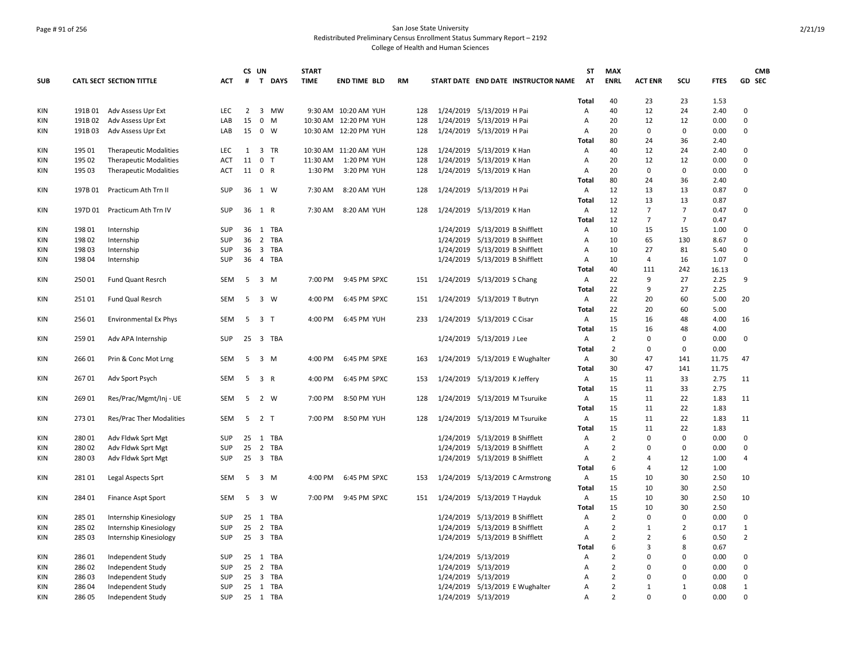### Page # 91 of 256 San Jose State University Redistributed Preliminary Census Enrollment Status Summary Report – 2192 College of Health and Human Sciences

|            |         |                                 |            | CS UN                   |                |             | <b>START</b> |                       |           |     |                             |                                   |                                     | <b>ST</b>    | <b>MAX</b>                       |                  |                |             | <b>CMB</b>     |
|------------|---------|---------------------------------|------------|-------------------------|----------------|-------------|--------------|-----------------------|-----------|-----|-----------------------------|-----------------------------------|-------------------------------------|--------------|----------------------------------|------------------|----------------|-------------|----------------|
| <b>SUB</b> |         | <b>CATL SECT SECTION TITTLE</b> | <b>ACT</b> | #                       |                | T DAYS      | <b>TIME</b>  | <b>END TIME BLD</b>   | <b>RM</b> |     |                             |                                   | START DATE END DATE INSTRUCTOR NAME | AT           | <b>ENRL</b>                      | <b>ACT ENR</b>   | SCU            | <b>FTES</b> | GD SEC         |
|            |         |                                 |            |                         |                |             |              |                       |           |     |                             |                                   |                                     | <b>Total</b> | 40                               | 23               | 23             | 1.53        |                |
| KIN        | 191B01  | Adv Assess Upr Ext              | LEC        | $\overline{2}$          |                | 3 MW        |              | 9:30 AM 10:20 AM YUH  |           | 128 |                             | 1/24/2019 5/13/2019 H Pai         |                                     | Α            | 40                               | 12               | 24             | 2.40        | 0              |
| KIN        | 191B02  | Adv Assess Upr Ext              | LAB        | 15                      |                | $0 \t M$    |              | 10:30 AM 12:20 PM YUH |           | 128 |                             | 1/24/2019 5/13/2019 H Pai         |                                     | A            | 20                               | 12               | 12             | 0.00        | $\Omega$       |
| KIN        | 191B03  | Adv Assess Upr Ext              | LAB        | 15                      |                | $0 \quad W$ |              | 10:30 AM 12:20 PM YUH |           | 128 |                             | 1/24/2019 5/13/2019 H Pai         |                                     | Α            | 20                               | 0                | $\mathbf 0$    | 0.00        | 0              |
|            |         |                                 |            |                         |                |             |              |                       |           |     |                             |                                   |                                     | Total        | 80                               | 24               | 36             | 2.40        |                |
| KIN        | 195 01  | <b>Therapeutic Modalities</b>   | LEC        | 1                       |                | 3 TR        |              | 10:30 AM 11:20 AM YUH |           | 128 |                             | 1/24/2019 5/13/2019 K Han         |                                     | Α            | 40                               | 12               | 24             | 2.40        | 0              |
| KIN        | 195 02  | <b>Therapeutic Modalities</b>   | <b>ACT</b> | 11                      | $\mathbf 0$    | T           | 11:30 AM     | 1:20 PM YUH           |           | 128 |                             | 1/24/2019 5/13/2019 K Han         |                                     | Α            | 20                               | 12               | 12             | 0.00        | 0              |
| KIN        | 195 03  | <b>Therapeutic Modalities</b>   | <b>ACT</b> | 11                      |                | 0 R         | 1:30 PM      | 3:20 PM YUH           |           | 128 |                             | 1/24/2019 5/13/2019 K Han         |                                     | Α            | 20                               | 0                | 0              | 0.00        | 0              |
|            |         |                                 |            |                         |                |             |              |                       |           |     |                             |                                   |                                     | Total        | 80                               | 24               | 36             | 2.40        |                |
| KIN        | 197B 01 | Practicum Ath Trn II            | SUP        | 36                      |                | 1 W         | 7:30 AM      | 8:20 AM YUH           |           | 128 |                             | 1/24/2019 5/13/2019 H Pai         |                                     | Α            | 12                               | 13               | 13             | 0.87        | 0              |
|            |         |                                 |            |                         |                |             |              |                       |           |     |                             |                                   |                                     | Total        | 12                               | 13               | 13             | 0.87        |                |
| KIN        | 197D 01 | Practicum Ath Trn IV            | SUP        | 36                      | 1 R            |             | 7:30 AM      | 8:20 AM YUH           |           | 128 |                             | 1/24/2019 5/13/2019 K Han         |                                     | Α            | 12                               | $\overline{7}$   | $\overline{7}$ | 0.47        | 0              |
|            |         |                                 |            |                         |                |             |              |                       |           |     |                             |                                   |                                     | Total        | 12                               | $\overline{7}$   | $\overline{7}$ | 0.47        |                |
| KIN        | 198 01  | Internship                      | <b>SUP</b> | 36                      |                | 1 TBA       |              |                       |           |     | 1/24/2019                   | 5/13/2019 B Shifflett             |                                     | Α            | 10                               | 15               | 15             | 1.00        | 0              |
| KIN        | 198 02  | Internship                      | SUP        | 36                      |                | 2 TBA       |              |                       |           |     | 1/24/2019                   | 5/13/2019 B Shifflett             |                                     | Α            | 10                               | 65               | 130            | 8.67        | $\Omega$       |
| KIN        | 19803   | Internship                      | SUP        | 36                      |                | 3 TBA       |              |                       |           |     | 1/24/2019                   | 5/13/2019 B Shifflett             |                                     | Α            | 10                               | 27               | 81             | 5.40        | 0              |
| KIN        | 198 04  | Internship                      | SUP        | 36                      |                | 4 TBA       |              |                       |           |     |                             | 1/24/2019  5/13/2019  B Shifflett |                                     | Α            | 10                               | 4                | 16             | 1.07        | 0              |
|            |         |                                 |            |                         |                |             |              |                       |           |     |                             |                                   |                                     | Total        | 40                               | 111              | 242            | 16.13       |                |
| KIN        | 250 01  | Fund Quant Resrch               | <b>SEM</b> | $\overline{\mathbf{5}}$ |                | $3 \, M$    | 7:00 PM      | 9:45 PM SPXC          |           | 151 | 1/24/2019 5/13/2019 S Chang |                                   |                                     | Α            | 22                               | 9                | 27             | 2.25        | 9              |
|            |         |                                 |            |                         |                |             |              |                       |           |     |                             |                                   |                                     | Total        | 22                               | 9                | 27             | 2.25        |                |
| KIN        | 251 01  | Fund Qual Resrch                | <b>SEM</b> | -5                      |                | 3 W         | 4:00 PM      | 6:45 PM SPXC          |           | 151 |                             | 1/24/2019 5/13/2019 T Butryn      |                                     | Α            | 22                               | 20               | 60             | 5.00        | 20             |
|            |         |                                 |            |                         |                |             |              |                       |           |     |                             |                                   |                                     | Total        | 22                               | 20               | 60             | 5.00        |                |
| KIN        | 25601   | <b>Environmental Ex Phys</b>    | <b>SEM</b> | 5                       | 3 <sub>1</sub> |             | 4:00 PM      | 6:45 PM YUH           |           | 233 |                             | 1/24/2019 5/13/2019 C Cisar       |                                     | Α            | 15                               | 16               | 48             | 4.00        | 16             |
|            |         |                                 |            |                         |                |             |              |                       |           |     |                             |                                   |                                     | Total        | 15                               | 16               | 48             | 4.00        |                |
| KIN        | 259 01  | Adv APA Internship              | SUP        | 25                      |                | 3 TBA       |              |                       |           |     |                             | 1/24/2019 5/13/2019 J Lee         |                                     | Α            | $\overline{2}$                   | $\mathbf 0$      | 0              | 0.00        | 0              |
|            |         |                                 |            |                         |                |             |              |                       |           |     |                             |                                   |                                     | Total        | $\overline{2}$                   | $\Omega$         | $\Omega$       | 0.00        |                |
| KIN        | 266 01  | Prin & Conc Mot Lrng            | SEM        | 5                       |                | $3 \, M$    | 4:00 PM      | 6:45 PM SPXE          |           | 163 |                             |                                   | 1/24/2019 5/13/2019 E Wughalter     | Α            | 30                               | 47               | 141            | 11.75       | 47             |
|            |         |                                 |            |                         |                |             |              |                       |           |     |                             |                                   |                                     | Total        | 30                               | 47               | 141            | 11.75       |                |
| KIN        | 26701   | Adv Sport Psych                 | SEM        | 5                       |                | 3 R         | 4:00 PM      | 6:45 PM SPXC          |           | 153 | 1/24/2019                   | 5/13/2019 K Jeffery               |                                     | Α            | 15                               | 11               | 33             | 2.75        | 11             |
|            |         |                                 |            |                         |                |             |              |                       |           |     |                             |                                   |                                     | Total        | 15                               | 11               | 33             | 2.75        |                |
| KIN        | 269 01  | Res/Prac/Mgmt/Inj - UE          | SEM        | 5                       | 2 W            |             | 7:00 PM      | 8:50 PM YUH           |           | 128 |                             |                                   | 1/24/2019 5/13/2019 M Tsuruike      | Α            | 15                               | 11               | 22             | 1.83        | 11             |
|            |         |                                 |            |                         |                |             |              |                       |           |     |                             |                                   |                                     | Total        | 15                               | 11               | 22             | 1.83        |                |
| KIN        | 27301   | <b>Res/Prac Ther Modalities</b> | SEM        | 5                       | 2 <sub>T</sub> |             | 7:00 PM      | 8:50 PM YUH           |           | 128 |                             |                                   | 1/24/2019 5/13/2019 M Tsuruike      | Α            | 15                               | 11               | 22             | 1.83        | 11             |
|            |         |                                 |            |                         |                |             |              |                       |           |     |                             |                                   |                                     | Total        | 15                               | 11               | 22             | 1.83        |                |
| KIN        | 28001   | Adv Fldwk Sprt Mgt              | SUP        | 25                      |                | 1 TBA       |              |                       |           |     | 1/24/2019                   | 5/13/2019 B Shifflett             |                                     | Α            | $\overline{2}$                   | $\mathbf 0$      | 0              | 0.00        | 0              |
| KIN        | 28002   | Adv Fldwk Sprt Mgt              | <b>SUP</b> | 25                      |                | 2 TBA       |              |                       |           |     | 1/24/2019                   | 5/13/2019 B Shifflett             |                                     | Α            | $\overline{2}$                   | $\Omega$         | 0              | 0.00        | $\Omega$       |
| KIN        | 28003   | Adv Fldwk Sprt Mgt              | SUP        | 25                      |                | 3 TBA       |              |                       |           |     | 1/24/2019                   | 5/13/2019 B Shifflett             |                                     | Α            | $\overline{2}$                   | $\overline{4}$   | 12             | 1.00        | 4              |
|            |         |                                 |            |                         |                |             |              |                       |           |     |                             |                                   |                                     | Total        | 6                                | $\overline{4}$   | 12             | 1.00        |                |
| KIN        | 281 01  | Legal Aspects Sprt              | <b>SEM</b> | 5                       |                | 3 M         | 4:00 PM      | 6:45 PM SPXC          |           | 153 |                             |                                   | 1/24/2019 5/13/2019 C Armstrong     | Α            | 15                               | 10               | 30             | 2.50        | 10             |
|            |         |                                 |            |                         |                |             |              |                       |           |     |                             |                                   |                                     | Total        | 15                               | 10               | 30             | 2.50        |                |
| KIN        | 284 01  | Finance Aspt Sport              | <b>SEM</b> | 5                       |                | 3 W         | 7:00 PM      | 9:45 PM SPXC          |           | 151 |                             | 1/24/2019 5/13/2019 T Hayduk      |                                     | Α            | 15                               | 10               | 30             | 2.50        | 10             |
|            |         |                                 |            |                         |                |             |              |                       |           |     |                             |                                   |                                     | <b>Total</b> | 15                               | 10               | 30             | 2.50        |                |
| KIN        | 285 01  | Internship Kinesiology          | SUP        | 25                      |                | 1 TBA       |              |                       |           |     | 1/24/2019                   | 5/13/2019 B Shifflett             |                                     | Α            | $\overline{2}$                   | $\mathbf 0$      | 0              | 0.00        | 0              |
| KIN        | 285 02  | Internship Kinesiology          | <b>SUP</b> | 25                      |                | 2 TBA       |              |                       |           |     | 1/24/2019                   | 5/13/2019 B Shifflett             |                                     | Α            | $\overline{2}$                   | 1                | 2              | 0.17        | $\mathbf{1}$   |
| KIN        | 285 03  | Internship Kinesiology          | SUP        | 25                      |                | 3 TBA       |              |                       |           |     | 1/24/2019                   | 5/13/2019 B Shifflett             |                                     | Α            | $\overline{2}$                   | $\overline{2}$   | 6              | 0.50        | $\overline{2}$ |
|            |         |                                 |            |                         |                |             |              |                       |           |     |                             |                                   |                                     | Total        | 6                                | $\overline{3}$   | 8              | 0.67        |                |
| KIN        | 28601   |                                 | SUP        | 25                      |                | 1 TBA       |              |                       |           |     | 1/24/2019                   | 5/13/2019                         |                                     |              | $\overline{2}$                   | 0                | $\Omega$       | 0.00        | 0              |
| KIN        | 286 02  | Independent Study               | SUP        | 25                      |                | 2 TBA       |              |                       |           |     |                             | 1/24/2019 5/13/2019               |                                     | Α<br>A       | 2                                | $\Omega$         | $\Omega$       | 0.00        | 0              |
| KIN        | 286 03  | Independent Study               | SUP        | 25                      |                | 3 TBA       |              |                       |           |     |                             | 1/24/2019 5/13/2019               |                                     | A            | $\overline{2}$                   | $\Omega$         | $\Omega$       | 0.00        | 0              |
|            |         | Independent Study               |            |                         |                |             |              |                       |           |     |                             |                                   |                                     |              |                                  |                  | $\mathbf{1}$   |             |                |
| KIN        | 28604   | Independent Study               | SUP        | 25                      |                | 1 TBA       |              |                       |           |     |                             |                                   | 1/24/2019 5/13/2019 E Wughalter     | Α            | $\overline{2}$<br>$\overline{2}$ | 1<br>$\mathbf 0$ |                | 0.08        | 1              |
| KIN        | 286 05  | Independent Study               | <b>SUP</b> |                         |                | 25 1 TBA    |              |                       |           |     |                             | 1/24/2019 5/13/2019               |                                     | A            |                                  |                  | 0              | 0.00        | 0              |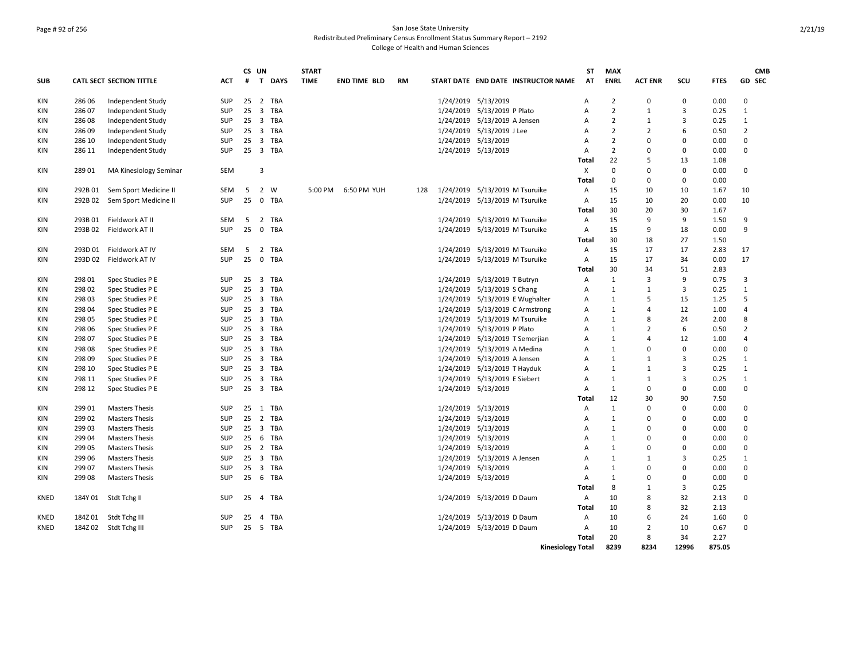### Page # 92 of 256 San Jose State University Redistributed Preliminary Census Enrollment Status Summary Report – 2192 College of Health and Human Sciences

|             |         |                                 |            |    | CS UN          |            | <b>START</b> |                     |           |     |           |                                     |                          | <b>ST</b> | <b>MAX</b>     |                |                |             | <b>CMB</b>     |
|-------------|---------|---------------------------------|------------|----|----------------|------------|--------------|---------------------|-----------|-----|-----------|-------------------------------------|--------------------------|-----------|----------------|----------------|----------------|-------------|----------------|
| <b>SUB</b>  |         | <b>CATL SECT SECTION TITTLE</b> | <b>ACT</b> | #  |                | T DAYS     | <b>TIME</b>  | <b>END TIME BLD</b> | <b>RM</b> |     |           | START DATE END DATE INSTRUCTOR NAME |                          | AT        | <b>ENRL</b>    | <b>ACT ENR</b> | SCU            | <b>FTES</b> | GD SEC         |
| KIN         | 286 06  | Independent Study               | SUP        | 25 |                | 2 TBA      |              |                     |           |     |           | 1/24/2019 5/13/2019                 | A                        |           | $\overline{2}$ | $\Omega$       | 0              | 0.00        | $\Omega$       |
| KIN         | 286 07  | Independent Study               | SUP        | 25 | $\overline{3}$ | <b>TBA</b> |              |                     |           |     |           | 1/24/2019 5/13/2019 P Plato         | A                        |           | $\overline{2}$ | $\mathbf{1}$   | 3              | 0.25        | $\mathbf{1}$   |
| KIN         | 286 08  | Independent Study               | SUP        | 25 |                | 3 TBA      |              |                     |           |     |           | 1/24/2019 5/13/2019 A Jensen        | Α                        |           | $\overline{2}$ | $\mathbf{1}$   | 3              | 0.25        | $\mathbf{1}$   |
| KIN         | 286 09  | Independent Study               | SUP        | 25 |                | 3 TBA      |              |                     |           |     |           | 1/24/2019 5/13/2019 J Lee           | A                        |           | $\overline{2}$ | $\overline{2}$ | 6              | 0.50        | $\overline{2}$ |
| KIN         | 286 10  | Independent Study               | SUP        | 25 |                | 3 TBA      |              |                     |           |     |           | 1/24/2019 5/13/2019                 | Α                        |           | 2              | $\Omega$       | 0              | 0.00        | $\Omega$       |
| KIN         | 286 11  | Independent Study               | <b>SUP</b> |    |                | 25 3 TBA   |              |                     |           |     |           | 1/24/2019 5/13/2019                 | Α                        |           | $\overline{2}$ | $\Omega$       | 0              | 0.00        | $\Omega$       |
|             |         |                                 |            |    |                |            |              |                     |           |     |           |                                     | Total                    |           | 22             | 5              | 13             | 1.08        |                |
| KIN         | 28901   | MA Kinesiology Seminar          | <b>SEM</b> |    | 3              |            |              |                     |           |     |           |                                     | X                        |           | $\mathbf 0$    | $\Omega$       | 0              | 0.00        | 0              |
|             |         |                                 |            |    |                |            |              |                     |           |     |           |                                     | Total                    |           | $\mathbf 0$    | $\Omega$       | 0              | 0.00        |                |
| KIN         | 292B 01 | Sem Sport Medicine II           | <b>SEM</b> | 5  |                | 2 W        | 5:00 PM      | 6:50 PM YUH         |           | 128 |           | 1/24/2019 5/13/2019 M Tsuruike      | A                        |           | 15             | 10             | 10             | 1.67        | 10             |
| KIN         | 292B02  | Sem Sport Medicine II           | <b>SUP</b> | 25 | $\overline{0}$ | <b>TBA</b> |              |                     |           |     |           | 1/24/2019 5/13/2019 M Tsuruike      | Α                        |           | 15             | 10             | 20             | 0.00        | 10             |
|             |         |                                 |            |    |                |            |              |                     |           |     |           |                                     | Total                    |           | 30             | 20             | 30             | 1.67        |                |
| KIN         | 293B01  | Fieldwork AT II                 | <b>SEM</b> | -5 |                | 2 TBA      |              |                     |           |     |           | 1/24/2019 5/13/2019 M Tsuruike      | Α                        |           | 15             | 9              | 9              | 1.50        | 9              |
| KIN         | 293B 02 | Fieldwork AT II                 | SUP        | 25 |                | 0 TBA      |              |                     |           |     |           | 1/24/2019 5/13/2019 M Tsuruike      | Α                        |           | 15             | 9              | 18             | 0.00        | 9              |
|             |         |                                 |            |    |                |            |              |                     |           |     |           |                                     | Total                    |           | 30             | 18             | 27             | 1.50        |                |
| KIN         | 293D 01 | Fieldwork AT IV                 | SEM        | -5 | $\overline{2}$ | TBA        |              |                     |           |     |           | 1/24/2019 5/13/2019 M Tsuruike      | Α                        |           | 15             | 17             | 17             | 2.83        | 17             |
| KIN         | 293D 02 | Fieldwork AT IV                 | <b>SUP</b> | 25 | $\mathbf{0}$   | TBA        |              |                     |           |     |           | 1/24/2019 5/13/2019 M Tsuruike      | A                        |           | 15             | 17             | 34             | 0.00        | 17             |
|             |         |                                 |            |    |                |            |              |                     |           |     |           |                                     | Total                    |           | 30             | 34             | 51             | 2.83        |                |
| KIN         | 298 01  | Spec Studies P E                | SUP        | 25 | 3              | TBA        |              |                     |           |     | 1/24/2019 | 5/13/2019 T Butryn                  | A                        |           | $\mathbf{1}$   | $\overline{3}$ | 9              | 0.75        | 3              |
| KIN         | 298 02  | Spec Studies P E                | SUP        | 25 |                | 3 TBA      |              |                     |           |     |           | 1/24/2019 5/13/2019 S Chang         | A                        |           | $\mathbf{1}$   | $\mathbf{1}$   | 3              | 0.25        | $\mathbf{1}$   |
| KIN         | 298 03  | Spec Studies P E                | SUP        | 25 |                | 3 TBA      |              |                     |           |     | 1/24/2019 | 5/13/2019 E Wughalter               | A                        |           | $\mathbf{1}$   | 5              | 15             | 1.25        | 5              |
| KIN         | 298 04  | Spec Studies P E                | SUP        |    |                | 25 3 TBA   |              |                     |           |     | 1/24/2019 | 5/13/2019 C Armstrong               | Α                        |           | $\mathbf{1}$   | $\overline{4}$ | 12             | 1.00        | $\overline{a}$ |
| KIN         | 298 05  | Spec Studies P E                | SUP        | 25 |                | 3 TBA      |              |                     |           |     | 1/24/2019 | 5/13/2019 M Tsuruike                | A                        |           | $\mathbf{1}$   | 8              | 24             | 2.00        | 8              |
| KIN         | 298 06  | Spec Studies P E                | SUP        |    |                | 25 3 TBA   |              |                     |           |     |           | 1/24/2019 5/13/2019 P Plato         | Α                        |           | 1              | $\overline{2}$ | 6              | 0.50        | $\overline{2}$ |
| KIN         | 298 07  | Spec Studies P E                | SUP        | 25 |                | 3 TBA      |              |                     |           |     | 1/24/2019 | 5/13/2019 T Semerjian               | Α                        |           | $\mathbf{1}$   | $\overline{4}$ | 12             | 1.00        | 4              |
| KIN         | 298 08  | Spec Studies P E                | SUP        |    |                | 25 3 TBA   |              |                     |           |     |           | 1/24/2019 5/13/2019 A Medina        | Α                        |           | $\mathbf{1}$   | $\Omega$       | 0              | 0.00        | 0              |
| KIN         | 298 09  | Spec Studies P E                | SUP        |    |                | 25 3 TBA   |              |                     |           |     |           | 1/24/2019 5/13/2019 A Jensen        | A                        |           | $\mathbf{1}$   | $\mathbf{1}$   | 3              | 0.25        | 1              |
| KIN         | 298 10  | Spec Studies P E                | SUP        | 25 |                | 3 TBA      |              |                     |           |     |           | 1/24/2019 5/13/2019 T Hayduk        | Α                        |           | $\mathbf{1}$   | $\mathbf{1}$   | 3              | 0.25        | $\mathbf{1}$   |
| KIN         | 298 11  | Spec Studies P E                | <b>SUP</b> | 25 |                | 3 TBA      |              |                     |           |     |           | 1/24/2019 5/13/2019 E Siebert       | A                        |           | $\mathbf{1}$   | $\mathbf{1}$   | $\overline{3}$ | 0.25        | $\mathbf{1}$   |
| KIN         | 298 12  | Spec Studies P E                | <b>SUP</b> | 25 |                | 3 TBA      |              |                     |           |     |           | 1/24/2019 5/13/2019                 | A                        |           | $\mathbf{1}$   | $\mathbf 0$    | 0              | 0.00        | 0              |
|             |         |                                 |            |    |                |            |              |                     |           |     |           |                                     | Total                    |           | 12             | 30             | 90             | 7.50        |                |
| KIN         | 299 01  | <b>Masters Thesis</b>           | SUP        | 25 | $\mathbf{1}$   | TBA        |              |                     |           |     |           | 1/24/2019 5/13/2019                 | Α                        |           | $\mathbf{1}$   | $\Omega$       | $\Omega$       | 0.00        | 0              |
| KIN         | 299 02  | <b>Masters Thesis</b>           | SUP        | 25 |                | 2 TBA      |              |                     |           |     |           | 1/24/2019 5/13/2019                 | Α                        |           | $\mathbf{1}$   | $\Omega$       | 0              | 0.00        | $\Omega$       |
| KIN         | 29903   | <b>Masters Thesis</b>           | SUP        | 25 |                | 3 TBA      |              |                     |           |     |           | 1/24/2019 5/13/2019                 | Α                        |           | $\mathbf{1}$   | $\Omega$       | $\Omega$       | 0.00        | 0              |
| KIN         | 299 04  | <b>Masters Thesis</b>           | SUP        | 25 |                | 6 TBA      |              |                     |           |     |           | 1/24/2019 5/13/2019                 | Α                        |           | $\mathbf{1}$   | $\Omega$       | 0              | 0.00        | 0              |
| KIN         | 299 05  | <b>Masters Thesis</b>           | SUP        | 25 |                | 2 TBA      |              |                     |           |     |           | 1/24/2019 5/13/2019                 | Α                        |           | $\mathbf{1}$   | $\mathbf 0$    | 0              | 0.00        | 0              |
| KIN         | 299 06  | <b>Masters Thesis</b>           | SUP        | 25 |                | 3 TBA      |              |                     |           |     |           | 1/24/2019 5/13/2019 A Jensen        | A                        |           | 1              | $\mathbf{1}$   | 3              | 0.25        | 1              |
| KIN         | 299 07  | <b>Masters Thesis</b>           | SUP        | 25 |                | 3 TBA      |              |                     |           |     |           | 1/24/2019 5/13/2019                 | A                        |           | $\mathbf{1}$   | $\Omega$       | $\Omega$       | 0.00        | $\Omega$       |
| <b>KIN</b>  | 299 08  | <b>Masters Thesis</b>           | SUP        |    |                | 25 6 TBA   |              |                     |           |     |           | 1/24/2019 5/13/2019                 | A                        |           | $\mathbf{1}$   | $\Omega$       | 0              | 0.00        | $\Omega$       |
|             |         |                                 |            |    |                |            |              |                     |           |     |           |                                     | Total                    |           | 8              | $\mathbf{1}$   | 3              | 0.25        |                |
| <b>KNED</b> | 184Y 01 | Stdt Tchg II                    | <b>SUP</b> |    |                | 25 4 TBA   |              |                     |           |     |           | 1/24/2019 5/13/2019 D Daum          | A                        |           | 10             | 8              | 32             | 2.13        | 0              |
|             |         |                                 |            |    |                |            |              |                     |           |     |           |                                     | <b>Total</b>             |           | 10             | 8              | 32             | 2.13        |                |
| KNED        | 184Z 01 | Stdt Tchg III                   | SUP        | 25 |                | 4 TBA      |              |                     |           |     |           | 1/24/2019 5/13/2019 D Daum          | Α                        |           | 10             | 6              | 24             | 1.60        | 0              |
| KNED        | 184Z 02 | Stdt Tchg III                   | SUP        |    |                | 25 5 TBA   |              |                     |           |     |           | 1/24/2019 5/13/2019 D Daum          | Α                        |           | 10             | $\overline{2}$ | 10             | 0.67        | $\Omega$       |
|             |         |                                 |            |    |                |            |              |                     |           |     |           |                                     | Total                    |           | 20             | 8              | 34             | 2.27        |                |
|             |         |                                 |            |    |                |            |              |                     |           |     |           |                                     | <b>Kinesiology Total</b> |           | 8239           | 8234           | 12996          | 875.05      |                |
|             |         |                                 |            |    |                |            |              |                     |           |     |           |                                     |                          |           |                |                |                |             |                |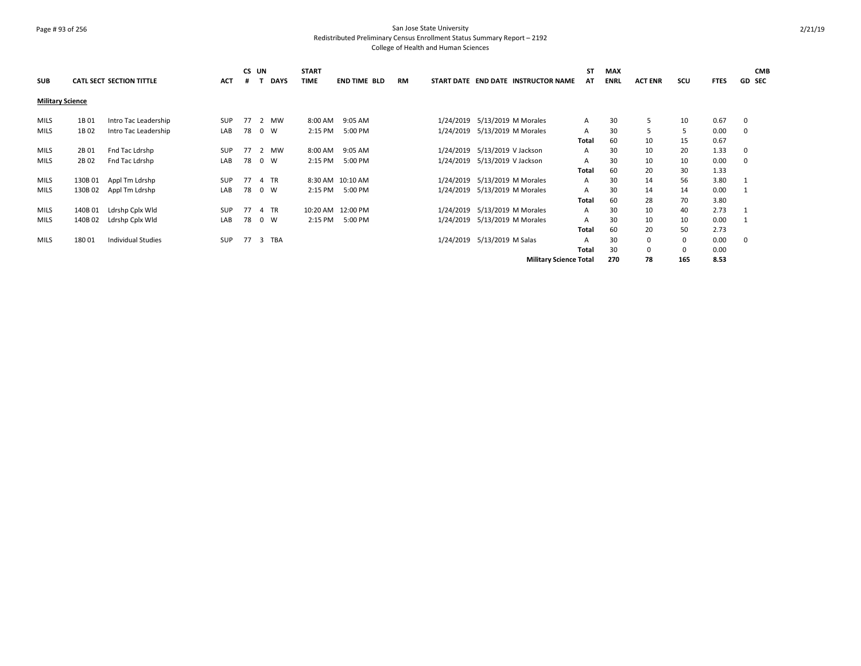## Page # 93 of 256 San Jose State University Redistributed Preliminary Census Enrollment Status Summary Report – 2192 College of Health and Human Sciences

| <b>SUB</b>              |         | <b>CATL SECT SECTION TITTLE</b> | <b>ACT</b> | CS UN<br># | <b>DAYS</b> | <b>START</b><br><b>TIME</b> | <b>END TIME BLD</b> | RM | START DATE END DATE INSTRUCTOR NAME | SΤ<br>AT     | <b>MAX</b><br><b>ENRL</b> | <b>ACT ENR</b> | scu | <b>FTES</b> | <b>CMB</b><br><b>GD SEC</b> |
|-------------------------|---------|---------------------------------|------------|------------|-------------|-----------------------------|---------------------|----|-------------------------------------|--------------|---------------------------|----------------|-----|-------------|-----------------------------|
| <b>Military Science</b> |         |                                 |            |            |             |                             |                     |    |                                     |              |                           |                |     |             |                             |
| <b>MILS</b>             | 1B 01   | Intro Tac Leadership            | <b>SUP</b> | 77         | 2 MW        | 8:00 AM                     | 9:05 AM             |    | 1/24/2019 5/13/2019 M Morales       | A            | 30                        | 5              | 10  | 0.67        | 0                           |
| MILS                    | 1B 02   | Intro Tac Leadership            | LAB        | 78         | $0 \quad W$ | 2:15 PM                     | 5:00 PM             |    | 1/24/2019 5/13/2019 M Morales       | Α            | 30                        | 5              | 5   | 0.00        | $\mathbf 0$                 |
|                         |         |                                 |            |            |             |                             |                     |    |                                     | Total        | 60                        | 10             | 15  | 0.67        |                             |
| MILS                    | 2B 01   | Fnd Tac Ldrshp                  | <b>SUP</b> |            | 77 2 MW     | 8:00 AM                     | 9:05 AM             |    | 1/24/2019 5/13/2019 V Jackson       | A            | 30                        | 10             | 20  | 1.33        | 0                           |
| <b>MILS</b>             | 2B 02   | Fnd Tac Ldrshp                  | LAB        | 78 0 W     |             | 2:15 PM                     | 5:00 PM             |    | 1/24/2019 5/13/2019 V Jackson       | Α            | 30                        | 10             | 10  | 0.00        | $\mathbf 0$                 |
|                         |         |                                 |            |            |             |                             |                     |    |                                     | Total        | 60                        | 20             | 30  | 1.33        |                             |
| <b>MILS</b>             | 130B 01 | Appl Tm Ldrshp                  | <b>SUP</b> | 77         | 4 TR        |                             | 8:30 AM 10:10 AM    |    | 1/24/2019 5/13/2019 M Morales       | A            | 30                        | 14             | 56  | 3.80        |                             |
| <b>MILS</b>             | 130B 02 | Appl Tm Ldrshp                  | LAB        | 78         | 0 W         | 2:15 PM                     | 5:00 PM             |    | 1/24/2019 5/13/2019 M Morales       | Α            | 30                        | 14             | 14  | 0.00        |                             |
|                         |         |                                 |            |            |             |                             |                     |    |                                     | Total        | 60                        | 28             | 70  | 3.80        |                             |
| MILS                    | 140B 01 | Ldrshp Cplx Wld                 | <b>SUP</b> | 77         | 4 TR        |                             | 10:20 AM 12:00 PM   |    | 1/24/2019 5/13/2019 M Morales       | A            | 30                        | 10             | 40  | 2.73        |                             |
| <b>MILS</b>             | 140B 02 | Ldrshp Cplx Wld                 | LAB        | 78         | 0 W         | 2:15 PM                     | 5:00 PM             |    | 1/24/2019 5/13/2019 M Morales       | Α            | 30                        | 10             | 10  | 0.00        |                             |
|                         |         |                                 |            |            |             |                             |                     |    |                                     | Total        | 60                        | 20             | 50  | 2.73        |                             |
| <b>MILS</b>             | 18001   | <b>Individual Studies</b>       | <b>SUP</b> |            | 77 3 TBA    |                             |                     |    | 1/24/2019 5/13/2019 M Salas         | A            | 30                        | 0              | 0   | 0.00        | $\mathbf 0$                 |
|                         |         |                                 |            |            |             |                             |                     |    |                                     | <b>Total</b> | 30                        | 0              | 0   | 0.00        |                             |
|                         |         |                                 |            |            |             |                             |                     |    | <b>Military Science Total</b>       |              | 270                       | 78             | 165 | 8.53        |                             |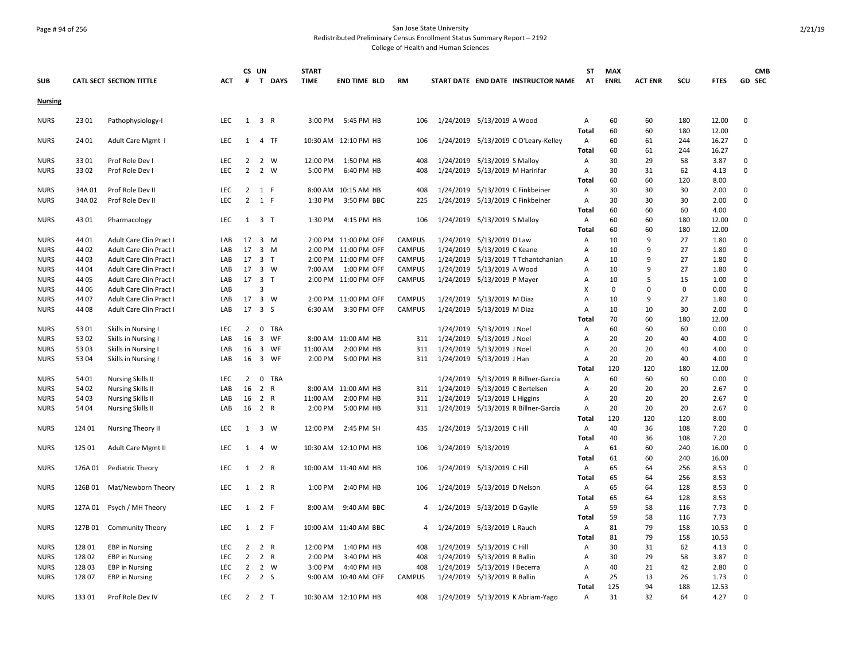## Page # 94 of 256 San Jose State University Redistributed Preliminary Census Enrollment Status Summary Report – 2192

|                |         |                          |            |                | CS UN               |                | <b>START</b> |                       |               |           |                                      | <b>ST</b>      | <b>MAX</b>  |                |             |              | <b>CMB</b> |
|----------------|---------|--------------------------|------------|----------------|---------------------|----------------|--------------|-----------------------|---------------|-----------|--------------------------------------|----------------|-------------|----------------|-------------|--------------|------------|
| <b>SUB</b>     |         | CATL SECT SECTION TITTLE | <b>ACT</b> | #              |                     | T DAYS         | <b>TIME</b>  | <b>END TIME BLD</b>   | <b>RM</b>     |           | START DATE END DATE INSTRUCTOR NAME  | AT             | <b>ENRL</b> | <b>ACT ENR</b> | SCU         | <b>FTES</b>  | GD SEC     |
| <b>Nursing</b> |         |                          |            |                |                     |                |              |                       |               |           |                                      |                |             |                |             |              |            |
| <b>NURS</b>    | 23 01   | Pathophysiology-I        | LEC        |                | $1 \quad 3 \quad R$ |                | 3:00 PM      | 5:45 PM HB            | 106           |           | 1/24/2019 5/13/2019 A Wood           | Α              | 60          | 60             | 180         | 12.00        | 0          |
|                |         |                          |            |                |                     |                |              |                       |               |           |                                      | Total          | 60          | 60             | 180         | 12.00        |            |
| <b>NURS</b>    | 24 01   | Adult Care Mgmt I        | LEC        |                | 1 4 TF              |                |              | 10:30 AM 12:10 PM HB  | 106           |           | 1/24/2019 5/13/2019 C O'Leary-Kelley | Α              | 60          | 61             | 244         | 16.27        | $\Omega$   |
|                |         |                          |            |                |                     |                |              |                       |               |           |                                      | Total          | 60          | 61             | 244         | 16.27        |            |
| <b>NURS</b>    | 3301    | Prof Role Dev I          | <b>LEC</b> | 2              |                     | 2 W            | 12:00 PM     | 1:50 PM HB            | 408           |           | 1/24/2019 5/13/2019 S Malloy         | Α              | 30          | 29             | 58          | 3.87         | 0          |
| <b>NURS</b>    | 3302    | Prof Role Dev I          | <b>LEC</b> | $\overline{2}$ |                     | 2 W            | 5:00 PM      | 6:40 PM HB            | 408           |           | 1/24/2019 5/13/2019 M Haririfar      | Α              | 30          | 31             | 62          | 4.13         | 0          |
|                |         |                          |            |                |                     |                |              |                       |               |           |                                      | Total          | 60          | 60             | 120         | 8.00         |            |
| <b>NURS</b>    | 34A 01  | Prof Role Dev II         | <b>LEC</b> | $\overline{2}$ |                     | 1 F            |              | 8:00 AM 10:15 AM HB   | 408           |           | 1/24/2019 5/13/2019 C Finkbeiner     | A              | 30          | 30             | 30          | 2.00         | $\Omega$   |
| <b>NURS</b>    | 34A 02  | Prof Role Dev II         | LEC.       | $\overline{2}$ |                     | 1 F            | 1:30 PM      | 3:50 PM BBC           | 225           | 1/24/2019 | 5/13/2019 C Finkbeiner               | Α              | 30          | 30             | 30          | 2.00         | 0          |
|                |         |                          |            |                |                     |                |              |                       |               |           |                                      | Total          | 60          | 60             | 60          | 4.00         |            |
| <b>NURS</b>    | 43 01   | Pharmacology             | LEC        |                | $1 \quad 3 \quad T$ |                | 1:30 PM      | 4:15 PM HB            | 106           |           | 1/24/2019 5/13/2019 S Malloy         | Α              | 60          | 60             | 180         | 12.00        | 0          |
|                |         |                          |            |                |                     |                |              |                       |               |           |                                      | Total          | 60          | 60             | 180         | 12.00        |            |
| <b>NURS</b>    | 44 01   | Adult Care Clin Pract I  | LAB        | 17             |                     | 3 M            |              | 2:00 PM 11:00 PM OFF  | <b>CAMPUS</b> |           | 1/24/2019 5/13/2019 D Law            | Α              | 10          | 9              | 27          | 1.80         | 0          |
| <b>NURS</b>    | 44 02   | Adult Care Clin Pract I  | LAB        | 17             |                     | 3 M            |              | 2:00 PM 11:00 PM OFF  | <b>CAMPUS</b> | 1/24/2019 | 5/13/2019 C Keane                    | A              | 10          | 9              | 27          | 1.80         | $\Omega$   |
| <b>NURS</b>    | 44 03   | Adult Care Clin Pract I  | LAB        | 17             |                     | 3 <sub>T</sub> |              | 2:00 PM 11:00 PM OFF  | <b>CAMPUS</b> | 1/24/2019 | 5/13/2019 T Tchantchanian            | Α              | 10          | 9              | 27          | 1.80         | 0          |
| <b>NURS</b>    | 44 04   | Adult Care Clin Pract I  | LAB        |                | 17 3 W              |                | 7:00 AM      | 1:00 PM OFF           | <b>CAMPUS</b> |           | 1/24/2019 5/13/2019 A Wood           | Α              | 10          | 9              | 27          | 1.80         | $\Omega$   |
| <b>NURS</b>    | 44 05   | Adult Care Clin Pract I  | LAB        | 17             | $\overline{3}$      | $\top$         |              | 2:00 PM 11:00 PM OFF  | <b>CAMPUS</b> |           | 1/24/2019 5/13/2019 P Mayer          | A              | 10          | 5              | 15          | 1.00         | $\Omega$   |
| <b>NURS</b>    | 44 06   | Adult Care Clin Pract I  | LAB        |                | 3                   |                |              |                       |               |           |                                      | X              | $\mathbf 0$ | $\Omega$       | $\mathbf 0$ | 0.00         | 0          |
| <b>NURS</b>    | 44 07   | Adult Care Clin Pract I  | LAB        | 17             |                     | $3 \quad W$    |              | 2:00 PM 11:00 PM OFF  | <b>CAMPUS</b> |           | 1/24/2019 5/13/2019 M Diaz           | $\overline{A}$ | 10          | 9              | 27          | 1.80         | 0          |
| <b>NURS</b>    | 44 08   | Adult Care Clin Pract I  | LAB        | 17             | 3S                  |                | 6:30 AM      | 3:30 PM OFF           | <b>CAMPUS</b> |           | 1/24/2019 5/13/2019 M Diaz           | Α              | 10          | 10             | 30          | 2.00         | $\Omega$   |
|                |         |                          |            |                |                     |                |              |                       |               |           |                                      | Total          | 70          | 60             | 180         | 12.00        |            |
| <b>NURS</b>    | 53 01   | Skills in Nursing I      | LEC        | $\overline{2}$ | $\mathbf 0$         | <b>TBA</b>     |              |                       |               |           | 1/24/2019 5/13/2019 J Noel           | Α              | 60          | 60             | 60          | 0.00         | 0          |
| <b>NURS</b>    | 53 02   | Skills in Nursing I      | LAB        | 16             |                     | 3 WF           |              | 8:00 AM 11:00 AM HB   | 311           | 1/24/2019 | 5/13/2019 J Noel                     | A              | 20          | 20             | 40          | 4.00         | 0          |
| <b>NURS</b>    | 53 03   | Skills in Nursing I      | LAB        | 16             |                     | 3 WF           | 11:00 AM     | 2:00 PM HB            | 311           | 1/24/2019 | 5/13/2019 J Noel                     | Α              | 20          | 20             | 40          | 4.00         | $\Omega$   |
| <b>NURS</b>    | 53 04   | Skills in Nursing I      | LAB        | 16             |                     | 3 WF           | 2:00 PM      | 5:00 PM HB            | 311           |           | 1/24/2019 5/13/2019 J Han            | Α              | 20          | 20             | 40          | 4.00         | 0          |
|                |         |                          |            |                |                     |                |              |                       |               |           |                                      | Total          | 120         | 120            | 180         | 12.00        |            |
| <b>NURS</b>    | 54 01   | <b>Nursing Skills II</b> | LEC        | 2              | $\mathbf 0$         | <b>TBA</b>     |              |                       |               | 1/24/2019 | 5/13/2019 R Billner-Garcia           | Α              | 60          | 60             | 60          | 0.00         | 0          |
| <b>NURS</b>    | 54 02   | <b>Nursing Skills II</b> | LAB        | 16             | 2                   | $\overline{R}$ |              | 8:00 AM 11:00 AM HB   | 311           | 1/24/2019 | 5/13/2019 C Bertelsen                | A              | 20          | 20             | 20          | 2.67         | 0          |
| <b>NURS</b>    | 54 03   | <b>Nursing Skills II</b> | LAB        | 16             |                     | 2 R            | 11:00 AM     | 2:00 PM HB            | 311           |           | 1/24/2019 5/13/2019 L Higgins        | Α              | 20          | 20             | 20          | 2.67         | 0          |
| <b>NURS</b>    | 54 04   | <b>Nursing Skills II</b> | LAB        | 16             | 2 R                 |                | 2:00 PM      | 5:00 PM HB            | 311           |           | 1/24/2019 5/13/2019 R Billner-Garcia | A              | 20          | 20             | 20          | 2.67         | $\Omega$   |
|                |         |                          |            |                |                     |                |              |                       |               |           |                                      | Total          | 120         | 120            | 120         | 8.00         |            |
| <b>NURS</b>    | 124 01  | Nursing Theory II        | LEC        | 1              |                     | 3 W            | 12:00 PM     | 2:45 PM SH            | 435           |           | 1/24/2019 5/13/2019 C Hill           | Α              | 40          | 36             | 108         | 7.20         | 0          |
|                |         |                          |            |                |                     |                |              |                       |               |           |                                      | Total          | 40          | 36             | 108         | 7.20         |            |
| <b>NURS</b>    | 125 01  | Adult Care Mgmt II       | LEC        | 1              |                     | 4 W            |              | 10:30 AM 12:10 PM HB  | 106           |           | 1/24/2019 5/13/2019                  | Α              | 61          | 60             | 240         | 16.00        | 0          |
|                |         |                          |            |                |                     |                |              |                       |               |           |                                      | Total          | 61          | 60             | 240         | 16.00        |            |
| <b>NURS</b>    | 126A01  | Pediatric Theory         | LEC        | 1              | 2 R                 |                |              | 10:00 AM 11:40 AM HB  | 106           |           | 1/24/2019 5/13/2019 C Hill           | Α              | 65          | 64             | 256         | 8.53         | 0          |
|                |         |                          |            |                |                     |                |              |                       |               |           |                                      | <b>Total</b>   | 65          | 64             | 256         | 8.53         |            |
| <b>NURS</b>    | 126B 01 | Mat/Newborn Theory       | <b>LEC</b> | 1              | 2 R                 |                | 1:00 PM      | 2:40 PM HB            | 106           |           | 1/24/2019 5/13/2019 D Nelson         | Α              | 65          | 64             | 128         | 8.53         | 0          |
|                |         |                          |            |                |                     |                |              |                       |               |           |                                      | Total          | 65<br>59    | 64             | 128         | 8.53         |            |
| <b>NURS</b>    | 127A 01 | Psych / MH Theory        | <b>LEC</b> | 1              |                     | 2 F            | 8:00 AM      | 9:40 AM BBC           | 4             |           | 1/24/2019 5/13/2019 D Gaylle         | Α              | 59          | 58<br>58       | 116         | 7.73<br>7.73 | 0          |
|                |         |                          |            |                |                     |                |              |                       |               |           |                                      | Total          |             |                | 116         |              |            |
| <b>NURS</b>    | 127B 01 | <b>Community Theory</b>  | <b>LEC</b> |                | $1 \quad 2 \quad F$ |                |              | 10:00 AM 11:40 AM BBC | 4             |           | 1/24/2019 5/13/2019 L Rauch          | Α              | 81          | 79             | 158         | 10.53        | 0          |
|                |         |                          |            |                |                     |                |              |                       |               |           |                                      | Total          | 81          | 79             | 158         | 10.53        |            |
| <b>NURS</b>    | 128 01  | <b>EBP</b> in Nursing    | LEC        | $\overline{2}$ |                     | 2 R            | 12:00 PM     | 1:40 PM HB            | 408           |           | 1/24/2019 5/13/2019 C Hill           | Α              | 30          | 31             | 62          | 4.13         | 0          |
| <b>NURS</b>    | 12802   | <b>EBP</b> in Nursing    | LEC        | $\overline{2}$ |                     | 2 R            | 2:00 PM      | 3:40 PM HB            | 408           |           | 1/24/2019 5/13/2019 R Ballin         | Α              | 30          | 29             | 58          | 3.87         | 0          |
| <b>NURS</b>    | 12803   | <b>EBP</b> in Nursing    | <b>LEC</b> | 2              |                     | 2 W            | 3:00 PM      | 4:40 PM HB            | 408           |           | 1/24/2019 5/13/2019   Becerra        | A              | 40          | 21             | 42          | 2.80         | $\Omega$   |
| <b>NURS</b>    | 128 07  | <b>EBP</b> in Nursing    | <b>LEC</b> |                | $2 \quad 2 \quad S$ |                |              | 9:00 AM 10:40 AM OFF  | <b>CAMPUS</b> |           | 1/24/2019 5/13/2019 R Ballin         | Α              | 25          | 13             | 26          | 1.73         | 0          |
|                |         |                          |            |                |                     |                |              |                       |               |           |                                      | <b>Total</b>   | 125         | 94             | 188         | 12.53        |            |
| <b>NURS</b>    | 133 01  | Prof Role Dev IV         | <b>LEC</b> |                | $2 \quad 2 \quad T$ |                |              | 10:30 AM 12:10 PM HB  | 408           |           | 1/24/2019 5/13/2019 K Abriam-Yago    | A              | 31          | 32             | 64          | 4.27         | 0          |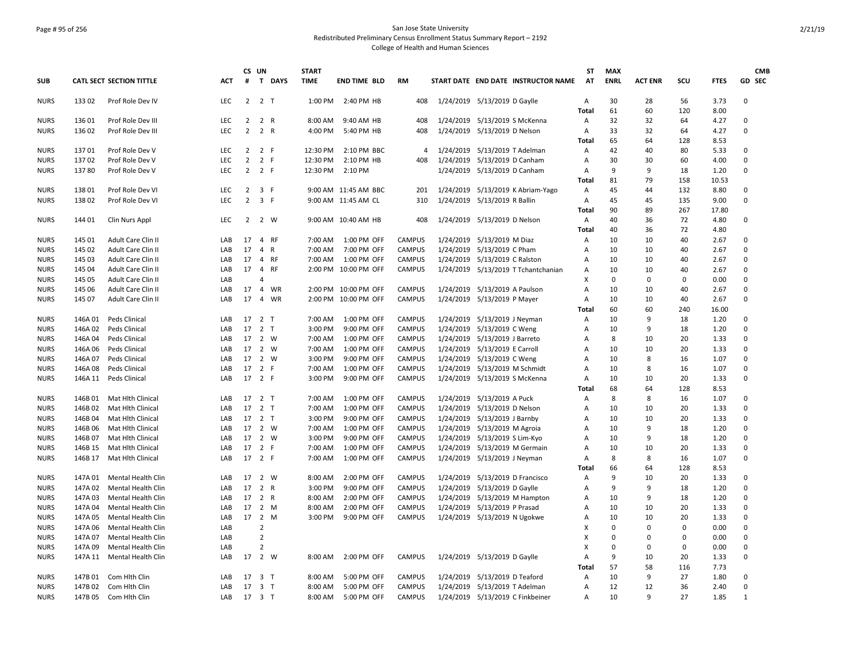### Page # 95 of 256 San Jose State University Redistributed Preliminary Census Enrollment Status Summary Report – 2192 College of Health and Human Sciences

| GD SEC<br><b>CATL SECT SECTION TITTLE</b><br>$\#$<br>T DAYS<br><b>TIME</b><br>START DATE END DATE INSTRUCTOR NAME<br><b>AT</b><br><b>ENRL</b><br><b>ACT ENR</b><br>SCU<br><b>FTES</b><br><b>SUB</b><br>ACT<br><b>END TIME BLD</b><br>RM<br>2 <sub>T</sub><br>30<br>28<br>3.73<br><b>NURS</b><br>133 02<br>Prof Role Dev IV<br><b>LEC</b><br>2<br>1:00 PM<br>2:40 PM HB<br>408<br>1/24/2019 5/13/2019 D Gaylle<br>A<br>56<br>0<br>61<br>60<br>120<br>8.00<br>Total<br>136 01<br>LEC<br>$\overline{2}$<br>2 R<br>9:40 AM HB<br>1/24/2019 5/13/2019 S McKenna<br>32<br>32<br>64<br>4.27<br>$\Omega$<br><b>NURS</b><br>Prof Role Dev III<br>8:00 AM<br>408<br>Α<br>$\overline{2}$<br>2 R<br>LEC<br>33<br>32<br>64<br>4.27<br>0<br><b>NURS</b><br>136 02<br>Prof Role Dev III<br>4:00 PM<br>5:40 PM HB<br>408<br>1/24/2019 5/13/2019 D Nelson<br>Α<br>65<br>64<br>128<br>8.53<br>Total<br>13701<br>Prof Role Dev V<br><b>LEC</b><br>$\overline{2}$<br>2 F<br>12:30 PM<br>2:10 PM BBC<br>1/24/2019<br>5/13/2019 T Adelman<br>42<br>40<br>80<br>5.33<br>$\Omega$<br><b>NURS</b><br>4<br>A<br>13702<br>$\overline{2}$<br>2 F<br>12:30 PM<br>2:10 PM HB<br>5/13/2019 D Canham<br>30<br>30<br>60<br>4.00<br>0<br>Prof Role Dev V<br>LEC<br>408<br>1/24/2019<br>Α<br><b>NURS</b><br>9<br>$\overline{2}$<br>2 F<br>9<br><b>NURS</b><br>13780<br>Prof Role Dev V<br><b>LEC</b><br>12:30 PM<br>2:10 PM<br>1/24/2019<br>5/13/2019 D Canham<br>18<br>1.20<br>$\Omega$<br>A<br>81<br>79<br>158<br>10.53<br>Total<br>13801<br>Prof Role Dev VI<br>LEC<br>$\overline{2}$<br>3 F<br>9:00 AM 11:45 AM BBC<br>1/24/2019<br>5/13/2019 K Abriam-Yago<br>45<br>44<br>132<br>8.80<br>0<br><b>NURS</b><br>201<br>Α<br>$\overline{2}$<br>3 F<br>5/13/2019 R Ballin<br>45<br>138 02<br>LEC<br>9:00 AM 11:45 AM CL<br>310<br>1/24/2019<br>45<br>135<br>9.00<br>0<br><b>NURS</b><br>Prof Role Dev VI<br>A<br>Total<br>90<br>89<br>267<br>17.80<br>1/24/2019 5/13/2019 D Nelson<br>40<br>36<br>72<br><b>NURS</b><br>144 01<br><b>LEC</b><br>2 2 W<br>9:00 AM 10:40 AM HB<br>408<br>4.80<br>0<br>Clin Nurs Appl<br>Α<br>72<br><b>Total</b><br>40<br>36<br>4.80<br>145 01<br>17<br>CAMPUS<br>5/13/2019 M Diaz<br>10<br>10<br>40<br>2.67<br>$\Omega$<br><b>NURS</b><br>Adult Care Clin II<br>LAB<br>4 RF<br>7:00 AM<br>1:00 PM OFF<br>1/24/2019<br>Α<br>145 02<br>Adult Care Clin II<br>LAB<br>17<br>4 R<br>7:00 AM<br>7:00 PM OFF<br><b>CAMPUS</b><br>1/24/2019<br>5/13/2019 C Pham<br>10<br>10<br>40<br>2.67<br>0<br><b>NURS</b><br>Α<br>17<br>4 RF<br><b>CAMPUS</b><br>1/24/2019 5/13/2019 C Ralston<br>10<br>10<br>40<br>2.67<br>$\Omega$<br><b>NURS</b><br>145 03<br>Adult Care Clin II<br>LAB<br>7:00 AM<br>1:00 PM OFF<br>Α<br>17 4 RF<br><b>NURS</b><br>145 04<br>LAB<br>2:00 PM 10:00 PM OFF<br><b>CAMPUS</b><br>1/24/2019 5/13/2019 T Tchantchanian<br>10<br>10<br>40<br>2.67<br>$\Omega$<br>Adult Care Clin II<br>A<br>$\Omega$<br>$\mathbf 0$<br>$\Omega$<br>$\Omega$<br><b>NURS</b><br>145 05<br>Adult Care Clin II<br>LAB<br>$\Delta$<br>X<br>0.00<br>17<br>$\overline{4}$<br>WR<br>2:00 PM 10:00 PM OFF<br><b>CAMPUS</b><br>1/24/2019 5/13/2019 A Paulson<br>10<br>10<br>40<br>2.67<br>0<br><b>NURS</b><br>145 06<br>Adult Care Clin II<br>LAB<br>$\overline{A}$<br>17<br>$\overline{4}$<br><b>CAMPUS</b><br>10<br>40<br>0<br><b>NURS</b><br>145 07<br>Adult Care Clin II<br>LAB<br>WR<br>2:00 PM 10:00 PM OFF<br>1/24/2019<br>5/13/2019 P Mayer<br>10<br>2.67<br>Α<br>60<br>60<br>240<br>16.00<br>Total<br><b>NURS</b><br>146A 01<br>Peds Clinical<br>LAB<br>17 2 T<br>7:00 AM<br>1:00 PM OFF<br><b>CAMPUS</b><br>1/24/2019 5/13/2019 J Neyman<br>10<br>9<br>18<br>1.20<br>$\Omega$<br>A<br>146A02<br>17<br>2 <sub>T</sub><br>3:00 PM<br><b>CAMPUS</b><br>10<br>9<br><b>NURS</b><br>Peds Clinical<br>LAB<br>9:00 PM OFF<br>1/24/2019<br>5/13/2019 C Weng<br>18<br>1.20<br>0<br>A<br>146A 04<br>17<br>2 W<br><b>CAMPUS</b><br>1/24/2019<br>5/13/2019 J Barreto<br>8<br>10<br>20<br>1.33<br>$\Omega$<br><b>NURS</b><br>Peds Clinical<br>LAB<br>7:00 AM<br>1:00 PM OFF<br>$\overline{A}$<br>17 2 W<br>146A06<br>CAMPUS<br>1/24/2019<br>5/13/2019 E Carroll<br>10<br>10<br>20<br>1.33<br>$\Omega$<br><b>NURS</b><br>Peds Clinical<br>LAB<br>7:00 AM<br>1:00 PM OFF<br>A<br>146A 07<br>17<br>2 W<br>3:00 PM<br>9:00 PM OFF<br><b>CAMPUS</b><br>1/24/2019<br>5/13/2019 C Weng<br>10<br>$\mathbf{R}$<br>16<br>1.07<br>$\Omega$<br><b>NURS</b><br>Peds Clinical<br>LAB<br>A<br>2 F<br>1/24/2019<br>8<br>146A08<br>17<br>7:00 AM<br><b>CAMPUS</b><br>5/13/2019 M Schmidt<br>10<br>16<br>1.07<br>$\Omega$<br><b>NURS</b><br>Peds Clinical<br>LAB<br>1:00 PM OFF<br>A<br>17<br>2 F<br><b>CAMPUS</b><br><b>NURS</b><br>146A 11<br>Peds Clinical<br>LAB<br>3:00 PM<br>9:00 PM OFF<br>1/24/2019<br>5/13/2019 S McKenna<br>10<br>10<br>20<br>1.33<br>0<br>Α<br>68<br>128<br>64<br>8.53<br>Total<br>146B01<br>17 2 T<br>7:00 AM<br>1:00 PM OFF<br><b>CAMPUS</b><br>1/24/2019<br>5/13/2019 A Puck<br>8<br>8<br>16<br>1.07<br>0<br><b>NURS</b><br>Mat Hlth Clinical<br>LAB<br>Α<br>17<br>2 <sub>T</sub><br><b>CAMPUS</b><br>1/24/2019<br>5/13/2019 D Nelson<br>0<br><b>NURS</b><br>146B 02<br>Mat Hlth Clinical<br>LAB<br>7:00 AM<br>1:00 PM OFF<br>10<br>10<br>20<br>1.33<br>A<br><b>NURS</b><br>146B 04<br>17 2 T<br>3:00 PM<br>9:00 PM OFF<br><b>CAMPUS</b><br>1/24/2019<br>5/13/2019 J Barnby<br>10<br>10<br>20<br>1.33<br>0<br>Mat Hlth Clinical<br>LAB<br>Α<br>17 2 W<br>9<br><b>NURS</b><br>146B 06<br>Mat Hlth Clinical<br>LAB<br>7:00 AM<br>1:00 PM OFF<br><b>CAMPUS</b><br>1/24/2019<br>5/13/2019 M Agroia<br>10<br>18<br>1.20<br>$\Omega$<br>Α<br>17<br>2 W<br><b>CAMPUS</b><br>1/24/2019<br>10<br>9<br>18<br>1.20<br>$\mathbf 0$<br><b>NURS</b><br>146B 07<br>Mat Hlth Clinical<br>LAB<br>3:00 PM<br>9:00 PM OFF<br>5/13/2019 S Lim-Kyo<br>Α<br>2 F<br><b>NURS</b><br>146B 15<br><b>Mat Hith Clinical</b><br>LAB<br>17<br>7:00 AM<br>1:00 PM OFF<br><b>CAMPUS</b><br>1/24/2019<br>5/13/2019 M Germain<br>10<br>10<br>20<br>1.33<br>$\Omega$<br>A<br>17 2 F<br>CAMPUS<br>1/24/2019<br>5/13/2019 J Neyman<br>8<br>8<br>1.07<br>0<br><b>NURS</b><br>146B 17<br>Mat Hlth Clinical<br>LAB<br>7:00 AM<br>1:00 PM OFF<br>Α<br>16<br>66<br>64<br>128<br>8.53<br>Total<br>17 2 W<br><b>CAMPUS</b><br>1/24/2019<br>5/13/2019 D Francisco<br>9<br>147A 01<br>LAB<br>8:00 AM<br>2:00 PM OFF<br>10<br>20<br>1.33<br>0<br><b>NURS</b><br>Mental Health Clin<br>A<br>17<br>2 R<br>9<br>147A 02<br>Mental Health Clin<br>LAB<br>3:00 PM<br>9:00 PM OFF<br><b>CAMPUS</b><br>1/24/2019<br>5/13/2019 D Gaylle<br>9<br>18<br>1.20<br>$\Omega$<br><b>NURS</b><br>A<br>2 R<br>1/24/2019<br>5/13/2019 M Hampton<br>9<br>18<br>1.20<br>$\Omega$<br><b>NURS</b><br>147A 03<br>Mental Health Clin<br>17<br>8:00 AM<br>2:00 PM OFF<br><b>CAMPUS</b><br>10<br>LAB<br>Α<br>2 M<br><b>CAMPUS</b><br>10<br>10<br>20<br><b>NURS</b><br>147A 04<br>Mental Health Clin<br>LAB<br>17<br>8:00 AM<br>2:00 PM OFF<br>1/24/2019<br>5/13/2019 P Prasad<br>1.33<br>$\Omega$<br>Α<br>17 2 M<br>CAMPUS<br>1/24/2019 5/13/2019 N Ugokwe<br>10<br>10<br>20<br>1.33<br>$\Omega$<br><b>NURS</b><br>147A 05<br>Mental Health Clin<br>LAB<br>3:00 PM<br>9:00 PM OFF<br>Α<br>$\overline{2}$<br>147A 06<br><b>Mental Health Clin</b><br>LAB<br>$\mathbf 0$<br>$\Omega$<br>$\mathbf 0$<br>0.00<br>$\mathbf 0$<br><b>NURS</b><br>x<br>$\overline{2}$<br>147A 07<br>LAB<br>X<br>$\Omega$<br>$\Omega$<br>$\Omega$<br>0.00<br>$\Omega$<br><b>NURS</b><br>Mental Health Clin<br>$\overline{2}$<br><b>NURS</b><br>147A 09<br>LAB<br>х<br>$\Omega$<br>$\mathbf 0$<br>$\mathbf 0$<br>0.00<br>0<br>Mental Health Clin<br>2 W<br>9<br>10<br><b>NURS</b><br>147A 11<br>Mental Health Clin<br>LAB<br>17<br>8:00 AM<br>2:00 PM OFF<br><b>CAMPUS</b><br>1/24/2019 5/13/2019 D Gaylle<br>20<br>1.33<br>0<br>A<br>57<br>58<br>116<br>7.73<br>Total<br><b>CAMPUS</b><br>5/13/2019 D Teaford<br>10<br>9<br>27<br><b>NURS</b><br>147B 01<br>Com Hith Clin<br>LAB<br>17 3 T<br>8:00 AM<br>5:00 PM OFF<br>1/24/2019<br>1.80<br>$\Omega$<br>Α<br>1/24/2019 5/13/2019 T Adelman<br>12<br>12<br>0<br>147B 02<br>Com Hith Clin<br>17<br>3 T<br>8:00 AM<br>5:00 PM OFF<br><b>CAMPUS</b><br>36<br>2.40<br><b>NURS</b><br>LAB<br>A<br>10<br>9<br>27<br><b>NURS</b><br>147B 05<br>Com Hith Clin<br>LAB<br>17 3 T<br>8:00 AM<br>5:00 PM OFF<br><b>CAMPUS</b><br>1/24/2019 5/13/2019 C Finkbeiner<br>1.85<br>1<br>A |  |  | CS UN | <b>START</b> |  |  | <b>ST</b> | <b>MAX</b> |  | <b>CMB</b> |
|---------------------------------------------------------------------------------------------------------------------------------------------------------------------------------------------------------------------------------------------------------------------------------------------------------------------------------------------------------------------------------------------------------------------------------------------------------------------------------------------------------------------------------------------------------------------------------------------------------------------------------------------------------------------------------------------------------------------------------------------------------------------------------------------------------------------------------------------------------------------------------------------------------------------------------------------------------------------------------------------------------------------------------------------------------------------------------------------------------------------------------------------------------------------------------------------------------------------------------------------------------------------------------------------------------------------------------------------------------------------------------------------------------------------------------------------------------------------------------------------------------------------------------------------------------------------------------------------------------------------------------------------------------------------------------------------------------------------------------------------------------------------------------------------------------------------------------------------------------------------------------------------------------------------------------------------------------------------------------------------------------------------------------------------------------------------------------------------------------------------------------------------------------------------------------------------------------------------------------------------------------------------------------------------------------------------------------------------------------------------------------------------------------------------------------------------------------------------------------------------------------------------------------------------------------------------------------------------------------------------------------------------------------------------------------------------------------------------------------------------------------------------------------------------------------------------------------------------------------------------------------------------------------------------------------------------------------------------------------------------------------------------------------------------------------------------------------------------------------------------------------------------------------------------------------------------------------------------------------------------------------------------------------------------------------------------------------------------------------------------------------------------------------------------------------------------------------------------------------------------------------------------------------------------------------------------------------------------------------------------------------------------------------------------------------------------------------------------------------------------------------------------------------------------------------------------------------------------------------------------------------------------------------------------------------------------------------------------------------------------------------------------------------------------------------------------------------------------------------------------------------------------------------------------------------------------------------------------------------------------------------------------------------------------------------------------------------------------------------------------------------------------------------------------------------------------------------------------------------------------------------------------------------------------------------------------------------------------------------------------------------------------------------------------------------------------------------------------------------------------------------------------------------------------------------------------------------------------------------------------------------------------------------------------------------------------------------------------------------------------------------------------------------------------------------------------------------------------------------------------------------------------------------------------------------------------------------------------------------------------------------------------------------------------------------------------------------------------------------------------------------------------------------------------------------------------------------------------------------------------------------------------------------------------------------------------------------------------------------------------------------------------------------------------------------------------------------------------------------------------------------------------------------------------------------------------------------------------------------------------------------------------------------------------------------------------------------------------------------------------------------------------------------------------------------------------------------------------------------------------------------------------------------------------------------------------------------------------------------------------------------------------------------------------------------------------------------------------------------------------------------------------------------------------------------------------------------------------------------------------------------------------------------------------------------------------------------------------------------------------------------------------------------------------------------------------------------------------------------------------------------------------------------------------------------------------------------------------------------------------------------------------------------------------------------------------------------------------------------------------------------------------------------------------------------------------------------------------------------------------------------------------------------------------------------------------------------------------------------------------------------------------------------------------------------------------------------------------------------------------------------------------------------------------------------------------------------------------------------------------------------------------------------------------------------------------------------------------------------------------------------------------------------------------------------------------------------------------------------------------------------------------------------------------------------------------------------------------------------------------------------------------------------------------------------------------------------------------------------------------------------------------------------------------------------------------------------------------------------------------------------------------------------------------------------------------------------------------------------------------------------------------------------------------------------------------------------------------------------------------------------------------------------|--|--|-------|--------------|--|--|-----------|------------|--|------------|
|                                                                                                                                                                                                                                                                                                                                                                                                                                                                                                                                                                                                                                                                                                                                                                                                                                                                                                                                                                                                                                                                                                                                                                                                                                                                                                                                                                                                                                                                                                                                                                                                                                                                                                                                                                                                                                                                                                                                                                                                                                                                                                                                                                                                                                                                                                                                                                                                                                                                                                                                                                                                                                                                                                                                                                                                                                                                                                                                                                                                                                                                                                                                                                                                                                                                                                                                                                                                                                                                                                                                                                                                                                                                                                                                                                                                                                                                                                                                                                                                                                                                                                                                                                                                                                                                                                                                                                                                                                                                                                                                                                                                                                                                                                                                                                                                                                                                                                                                                                                                                                                                                                                                                                                                                                                                                                                                                                                                                                                                                                                                                                                                                                                                                                                                                                                                                                                                                                                                                                                                                                                                                                                                                                                                                                                                                                                                                                                                                                                                                                                                                                                                                                                                                                                                                                                                                                                                                                                                                                                                                                                                                                                                                                                                                                                                                                                                                                                                                                                                                                                                                                                                                                                                                                                                                                                                                                                                                                                                                                                                                                                                                                                                                                                                                                                                                                                                                                                                         |  |  |       |              |  |  |           |            |  |            |
|                                                                                                                                                                                                                                                                                                                                                                                                                                                                                                                                                                                                                                                                                                                                                                                                                                                                                                                                                                                                                                                                                                                                                                                                                                                                                                                                                                                                                                                                                                                                                                                                                                                                                                                                                                                                                                                                                                                                                                                                                                                                                                                                                                                                                                                                                                                                                                                                                                                                                                                                                                                                                                                                                                                                                                                                                                                                                                                                                                                                                                                                                                                                                                                                                                                                                                                                                                                                                                                                                                                                                                                                                                                                                                                                                                                                                                                                                                                                                                                                                                                                                                                                                                                                                                                                                                                                                                                                                                                                                                                                                                                                                                                                                                                                                                                                                                                                                                                                                                                                                                                                                                                                                                                                                                                                                                                                                                                                                                                                                                                                                                                                                                                                                                                                                                                                                                                                                                                                                                                                                                                                                                                                                                                                                                                                                                                                                                                                                                                                                                                                                                                                                                                                                                                                                                                                                                                                                                                                                                                                                                                                                                                                                                                                                                                                                                                                                                                                                                                                                                                                                                                                                                                                                                                                                                                                                                                                                                                                                                                                                                                                                                                                                                                                                                                                                                                                                                                                         |  |  |       |              |  |  |           |            |  |            |
|                                                                                                                                                                                                                                                                                                                                                                                                                                                                                                                                                                                                                                                                                                                                                                                                                                                                                                                                                                                                                                                                                                                                                                                                                                                                                                                                                                                                                                                                                                                                                                                                                                                                                                                                                                                                                                                                                                                                                                                                                                                                                                                                                                                                                                                                                                                                                                                                                                                                                                                                                                                                                                                                                                                                                                                                                                                                                                                                                                                                                                                                                                                                                                                                                                                                                                                                                                                                                                                                                                                                                                                                                                                                                                                                                                                                                                                                                                                                                                                                                                                                                                                                                                                                                                                                                                                                                                                                                                                                                                                                                                                                                                                                                                                                                                                                                                                                                                                                                                                                                                                                                                                                                                                                                                                                                                                                                                                                                                                                                                                                                                                                                                                                                                                                                                                                                                                                                                                                                                                                                                                                                                                                                                                                                                                                                                                                                                                                                                                                                                                                                                                                                                                                                                                                                                                                                                                                                                                                                                                                                                                                                                                                                                                                                                                                                                                                                                                                                                                                                                                                                                                                                                                                                                                                                                                                                                                                                                                                                                                                                                                                                                                                                                                                                                                                                                                                                                                                         |  |  |       |              |  |  |           |            |  |            |
|                                                                                                                                                                                                                                                                                                                                                                                                                                                                                                                                                                                                                                                                                                                                                                                                                                                                                                                                                                                                                                                                                                                                                                                                                                                                                                                                                                                                                                                                                                                                                                                                                                                                                                                                                                                                                                                                                                                                                                                                                                                                                                                                                                                                                                                                                                                                                                                                                                                                                                                                                                                                                                                                                                                                                                                                                                                                                                                                                                                                                                                                                                                                                                                                                                                                                                                                                                                                                                                                                                                                                                                                                                                                                                                                                                                                                                                                                                                                                                                                                                                                                                                                                                                                                                                                                                                                                                                                                                                                                                                                                                                                                                                                                                                                                                                                                                                                                                                                                                                                                                                                                                                                                                                                                                                                                                                                                                                                                                                                                                                                                                                                                                                                                                                                                                                                                                                                                                                                                                                                                                                                                                                                                                                                                                                                                                                                                                                                                                                                                                                                                                                                                                                                                                                                                                                                                                                                                                                                                                                                                                                                                                                                                                                                                                                                                                                                                                                                                                                                                                                                                                                                                                                                                                                                                                                                                                                                                                                                                                                                                                                                                                                                                                                                                                                                                                                                                                                                         |  |  |       |              |  |  |           |            |  |            |
|                                                                                                                                                                                                                                                                                                                                                                                                                                                                                                                                                                                                                                                                                                                                                                                                                                                                                                                                                                                                                                                                                                                                                                                                                                                                                                                                                                                                                                                                                                                                                                                                                                                                                                                                                                                                                                                                                                                                                                                                                                                                                                                                                                                                                                                                                                                                                                                                                                                                                                                                                                                                                                                                                                                                                                                                                                                                                                                                                                                                                                                                                                                                                                                                                                                                                                                                                                                                                                                                                                                                                                                                                                                                                                                                                                                                                                                                                                                                                                                                                                                                                                                                                                                                                                                                                                                                                                                                                                                                                                                                                                                                                                                                                                                                                                                                                                                                                                                                                                                                                                                                                                                                                                                                                                                                                                                                                                                                                                                                                                                                                                                                                                                                                                                                                                                                                                                                                                                                                                                                                                                                                                                                                                                                                                                                                                                                                                                                                                                                                                                                                                                                                                                                                                                                                                                                                                                                                                                                                                                                                                                                                                                                                                                                                                                                                                                                                                                                                                                                                                                                                                                                                                                                                                                                                                                                                                                                                                                                                                                                                                                                                                                                                                                                                                                                                                                                                                                                         |  |  |       |              |  |  |           |            |  |            |
|                                                                                                                                                                                                                                                                                                                                                                                                                                                                                                                                                                                                                                                                                                                                                                                                                                                                                                                                                                                                                                                                                                                                                                                                                                                                                                                                                                                                                                                                                                                                                                                                                                                                                                                                                                                                                                                                                                                                                                                                                                                                                                                                                                                                                                                                                                                                                                                                                                                                                                                                                                                                                                                                                                                                                                                                                                                                                                                                                                                                                                                                                                                                                                                                                                                                                                                                                                                                                                                                                                                                                                                                                                                                                                                                                                                                                                                                                                                                                                                                                                                                                                                                                                                                                                                                                                                                                                                                                                                                                                                                                                                                                                                                                                                                                                                                                                                                                                                                                                                                                                                                                                                                                                                                                                                                                                                                                                                                                                                                                                                                                                                                                                                                                                                                                                                                                                                                                                                                                                                                                                                                                                                                                                                                                                                                                                                                                                                                                                                                                                                                                                                                                                                                                                                                                                                                                                                                                                                                                                                                                                                                                                                                                                                                                                                                                                                                                                                                                                                                                                                                                                                                                                                                                                                                                                                                                                                                                                                                                                                                                                                                                                                                                                                                                                                                                                                                                                                                         |  |  |       |              |  |  |           |            |  |            |
|                                                                                                                                                                                                                                                                                                                                                                                                                                                                                                                                                                                                                                                                                                                                                                                                                                                                                                                                                                                                                                                                                                                                                                                                                                                                                                                                                                                                                                                                                                                                                                                                                                                                                                                                                                                                                                                                                                                                                                                                                                                                                                                                                                                                                                                                                                                                                                                                                                                                                                                                                                                                                                                                                                                                                                                                                                                                                                                                                                                                                                                                                                                                                                                                                                                                                                                                                                                                                                                                                                                                                                                                                                                                                                                                                                                                                                                                                                                                                                                                                                                                                                                                                                                                                                                                                                                                                                                                                                                                                                                                                                                                                                                                                                                                                                                                                                                                                                                                                                                                                                                                                                                                                                                                                                                                                                                                                                                                                                                                                                                                                                                                                                                                                                                                                                                                                                                                                                                                                                                                                                                                                                                                                                                                                                                                                                                                                                                                                                                                                                                                                                                                                                                                                                                                                                                                                                                                                                                                                                                                                                                                                                                                                                                                                                                                                                                                                                                                                                                                                                                                                                                                                                                                                                                                                                                                                                                                                                                                                                                                                                                                                                                                                                                                                                                                                                                                                                                                         |  |  |       |              |  |  |           |            |  |            |
|                                                                                                                                                                                                                                                                                                                                                                                                                                                                                                                                                                                                                                                                                                                                                                                                                                                                                                                                                                                                                                                                                                                                                                                                                                                                                                                                                                                                                                                                                                                                                                                                                                                                                                                                                                                                                                                                                                                                                                                                                                                                                                                                                                                                                                                                                                                                                                                                                                                                                                                                                                                                                                                                                                                                                                                                                                                                                                                                                                                                                                                                                                                                                                                                                                                                                                                                                                                                                                                                                                                                                                                                                                                                                                                                                                                                                                                                                                                                                                                                                                                                                                                                                                                                                                                                                                                                                                                                                                                                                                                                                                                                                                                                                                                                                                                                                                                                                                                                                                                                                                                                                                                                                                                                                                                                                                                                                                                                                                                                                                                                                                                                                                                                                                                                                                                                                                                                                                                                                                                                                                                                                                                                                                                                                                                                                                                                                                                                                                                                                                                                                                                                                                                                                                                                                                                                                                                                                                                                                                                                                                                                                                                                                                                                                                                                                                                                                                                                                                                                                                                                                                                                                                                                                                                                                                                                                                                                                                                                                                                                                                                                                                                                                                                                                                                                                                                                                                                                         |  |  |       |              |  |  |           |            |  |            |
|                                                                                                                                                                                                                                                                                                                                                                                                                                                                                                                                                                                                                                                                                                                                                                                                                                                                                                                                                                                                                                                                                                                                                                                                                                                                                                                                                                                                                                                                                                                                                                                                                                                                                                                                                                                                                                                                                                                                                                                                                                                                                                                                                                                                                                                                                                                                                                                                                                                                                                                                                                                                                                                                                                                                                                                                                                                                                                                                                                                                                                                                                                                                                                                                                                                                                                                                                                                                                                                                                                                                                                                                                                                                                                                                                                                                                                                                                                                                                                                                                                                                                                                                                                                                                                                                                                                                                                                                                                                                                                                                                                                                                                                                                                                                                                                                                                                                                                                                                                                                                                                                                                                                                                                                                                                                                                                                                                                                                                                                                                                                                                                                                                                                                                                                                                                                                                                                                                                                                                                                                                                                                                                                                                                                                                                                                                                                                                                                                                                                                                                                                                                                                                                                                                                                                                                                                                                                                                                                                                                                                                                                                                                                                                                                                                                                                                                                                                                                                                                                                                                                                                                                                                                                                                                                                                                                                                                                                                                                                                                                                                                                                                                                                                                                                                                                                                                                                                                                         |  |  |       |              |  |  |           |            |  |            |
|                                                                                                                                                                                                                                                                                                                                                                                                                                                                                                                                                                                                                                                                                                                                                                                                                                                                                                                                                                                                                                                                                                                                                                                                                                                                                                                                                                                                                                                                                                                                                                                                                                                                                                                                                                                                                                                                                                                                                                                                                                                                                                                                                                                                                                                                                                                                                                                                                                                                                                                                                                                                                                                                                                                                                                                                                                                                                                                                                                                                                                                                                                                                                                                                                                                                                                                                                                                                                                                                                                                                                                                                                                                                                                                                                                                                                                                                                                                                                                                                                                                                                                                                                                                                                                                                                                                                                                                                                                                                                                                                                                                                                                                                                                                                                                                                                                                                                                                                                                                                                                                                                                                                                                                                                                                                                                                                                                                                                                                                                                                                                                                                                                                                                                                                                                                                                                                                                                                                                                                                                                                                                                                                                                                                                                                                                                                                                                                                                                                                                                                                                                                                                                                                                                                                                                                                                                                                                                                                                                                                                                                                                                                                                                                                                                                                                                                                                                                                                                                                                                                                                                                                                                                                                                                                                                                                                                                                                                                                                                                                                                                                                                                                                                                                                                                                                                                                                                                                         |  |  |       |              |  |  |           |            |  |            |
|                                                                                                                                                                                                                                                                                                                                                                                                                                                                                                                                                                                                                                                                                                                                                                                                                                                                                                                                                                                                                                                                                                                                                                                                                                                                                                                                                                                                                                                                                                                                                                                                                                                                                                                                                                                                                                                                                                                                                                                                                                                                                                                                                                                                                                                                                                                                                                                                                                                                                                                                                                                                                                                                                                                                                                                                                                                                                                                                                                                                                                                                                                                                                                                                                                                                                                                                                                                                                                                                                                                                                                                                                                                                                                                                                                                                                                                                                                                                                                                                                                                                                                                                                                                                                                                                                                                                                                                                                                                                                                                                                                                                                                                                                                                                                                                                                                                                                                                                                                                                                                                                                                                                                                                                                                                                                                                                                                                                                                                                                                                                                                                                                                                                                                                                                                                                                                                                                                                                                                                                                                                                                                                                                                                                                                                                                                                                                                                                                                                                                                                                                                                                                                                                                                                                                                                                                                                                                                                                                                                                                                                                                                                                                                                                                                                                                                                                                                                                                                                                                                                                                                                                                                                                                                                                                                                                                                                                                                                                                                                                                                                                                                                                                                                                                                                                                                                                                                                                         |  |  |       |              |  |  |           |            |  |            |
|                                                                                                                                                                                                                                                                                                                                                                                                                                                                                                                                                                                                                                                                                                                                                                                                                                                                                                                                                                                                                                                                                                                                                                                                                                                                                                                                                                                                                                                                                                                                                                                                                                                                                                                                                                                                                                                                                                                                                                                                                                                                                                                                                                                                                                                                                                                                                                                                                                                                                                                                                                                                                                                                                                                                                                                                                                                                                                                                                                                                                                                                                                                                                                                                                                                                                                                                                                                                                                                                                                                                                                                                                                                                                                                                                                                                                                                                                                                                                                                                                                                                                                                                                                                                                                                                                                                                                                                                                                                                                                                                                                                                                                                                                                                                                                                                                                                                                                                                                                                                                                                                                                                                                                                                                                                                                                                                                                                                                                                                                                                                                                                                                                                                                                                                                                                                                                                                                                                                                                                                                                                                                                                                                                                                                                                                                                                                                                                                                                                                                                                                                                                                                                                                                                                                                                                                                                                                                                                                                                                                                                                                                                                                                                                                                                                                                                                                                                                                                                                                                                                                                                                                                                                                                                                                                                                                                                                                                                                                                                                                                                                                                                                                                                                                                                                                                                                                                                                                         |  |  |       |              |  |  |           |            |  |            |
|                                                                                                                                                                                                                                                                                                                                                                                                                                                                                                                                                                                                                                                                                                                                                                                                                                                                                                                                                                                                                                                                                                                                                                                                                                                                                                                                                                                                                                                                                                                                                                                                                                                                                                                                                                                                                                                                                                                                                                                                                                                                                                                                                                                                                                                                                                                                                                                                                                                                                                                                                                                                                                                                                                                                                                                                                                                                                                                                                                                                                                                                                                                                                                                                                                                                                                                                                                                                                                                                                                                                                                                                                                                                                                                                                                                                                                                                                                                                                                                                                                                                                                                                                                                                                                                                                                                                                                                                                                                                                                                                                                                                                                                                                                                                                                                                                                                                                                                                                                                                                                                                                                                                                                                                                                                                                                                                                                                                                                                                                                                                                                                                                                                                                                                                                                                                                                                                                                                                                                                                                                                                                                                                                                                                                                                                                                                                                                                                                                                                                                                                                                                                                                                                                                                                                                                                                                                                                                                                                                                                                                                                                                                                                                                                                                                                                                                                                                                                                                                                                                                                                                                                                                                                                                                                                                                                                                                                                                                                                                                                                                                                                                                                                                                                                                                                                                                                                                                                         |  |  |       |              |  |  |           |            |  |            |
|                                                                                                                                                                                                                                                                                                                                                                                                                                                                                                                                                                                                                                                                                                                                                                                                                                                                                                                                                                                                                                                                                                                                                                                                                                                                                                                                                                                                                                                                                                                                                                                                                                                                                                                                                                                                                                                                                                                                                                                                                                                                                                                                                                                                                                                                                                                                                                                                                                                                                                                                                                                                                                                                                                                                                                                                                                                                                                                                                                                                                                                                                                                                                                                                                                                                                                                                                                                                                                                                                                                                                                                                                                                                                                                                                                                                                                                                                                                                                                                                                                                                                                                                                                                                                                                                                                                                                                                                                                                                                                                                                                                                                                                                                                                                                                                                                                                                                                                                                                                                                                                                                                                                                                                                                                                                                                                                                                                                                                                                                                                                                                                                                                                                                                                                                                                                                                                                                                                                                                                                                                                                                                                                                                                                                                                                                                                                                                                                                                                                                                                                                                                                                                                                                                                                                                                                                                                                                                                                                                                                                                                                                                                                                                                                                                                                                                                                                                                                                                                                                                                                                                                                                                                                                                                                                                                                                                                                                                                                                                                                                                                                                                                                                                                                                                                                                                                                                                                                         |  |  |       |              |  |  |           |            |  |            |
|                                                                                                                                                                                                                                                                                                                                                                                                                                                                                                                                                                                                                                                                                                                                                                                                                                                                                                                                                                                                                                                                                                                                                                                                                                                                                                                                                                                                                                                                                                                                                                                                                                                                                                                                                                                                                                                                                                                                                                                                                                                                                                                                                                                                                                                                                                                                                                                                                                                                                                                                                                                                                                                                                                                                                                                                                                                                                                                                                                                                                                                                                                                                                                                                                                                                                                                                                                                                                                                                                                                                                                                                                                                                                                                                                                                                                                                                                                                                                                                                                                                                                                                                                                                                                                                                                                                                                                                                                                                                                                                                                                                                                                                                                                                                                                                                                                                                                                                                                                                                                                                                                                                                                                                                                                                                                                                                                                                                                                                                                                                                                                                                                                                                                                                                                                                                                                                                                                                                                                                                                                                                                                                                                                                                                                                                                                                                                                                                                                                                                                                                                                                                                                                                                                                                                                                                                                                                                                                                                                                                                                                                                                                                                                                                                                                                                                                                                                                                                                                                                                                                                                                                                                                                                                                                                                                                                                                                                                                                                                                                                                                                                                                                                                                                                                                                                                                                                                                                         |  |  |       |              |  |  |           |            |  |            |
|                                                                                                                                                                                                                                                                                                                                                                                                                                                                                                                                                                                                                                                                                                                                                                                                                                                                                                                                                                                                                                                                                                                                                                                                                                                                                                                                                                                                                                                                                                                                                                                                                                                                                                                                                                                                                                                                                                                                                                                                                                                                                                                                                                                                                                                                                                                                                                                                                                                                                                                                                                                                                                                                                                                                                                                                                                                                                                                                                                                                                                                                                                                                                                                                                                                                                                                                                                                                                                                                                                                                                                                                                                                                                                                                                                                                                                                                                                                                                                                                                                                                                                                                                                                                                                                                                                                                                                                                                                                                                                                                                                                                                                                                                                                                                                                                                                                                                                                                                                                                                                                                                                                                                                                                                                                                                                                                                                                                                                                                                                                                                                                                                                                                                                                                                                                                                                                                                                                                                                                                                                                                                                                                                                                                                                                                                                                                                                                                                                                                                                                                                                                                                                                                                                                                                                                                                                                                                                                                                                                                                                                                                                                                                                                                                                                                                                                                                                                                                                                                                                                                                                                                                                                                                                                                                                                                                                                                                                                                                                                                                                                                                                                                                                                                                                                                                                                                                                                                         |  |  |       |              |  |  |           |            |  |            |
|                                                                                                                                                                                                                                                                                                                                                                                                                                                                                                                                                                                                                                                                                                                                                                                                                                                                                                                                                                                                                                                                                                                                                                                                                                                                                                                                                                                                                                                                                                                                                                                                                                                                                                                                                                                                                                                                                                                                                                                                                                                                                                                                                                                                                                                                                                                                                                                                                                                                                                                                                                                                                                                                                                                                                                                                                                                                                                                                                                                                                                                                                                                                                                                                                                                                                                                                                                                                                                                                                                                                                                                                                                                                                                                                                                                                                                                                                                                                                                                                                                                                                                                                                                                                                                                                                                                                                                                                                                                                                                                                                                                                                                                                                                                                                                                                                                                                                                                                                                                                                                                                                                                                                                                                                                                                                                                                                                                                                                                                                                                                                                                                                                                                                                                                                                                                                                                                                                                                                                                                                                                                                                                                                                                                                                                                                                                                                                                                                                                                                                                                                                                                                                                                                                                                                                                                                                                                                                                                                                                                                                                                                                                                                                                                                                                                                                                                                                                                                                                                                                                                                                                                                                                                                                                                                                                                                                                                                                                                                                                                                                                                                                                                                                                                                                                                                                                                                                                                         |  |  |       |              |  |  |           |            |  |            |
|                                                                                                                                                                                                                                                                                                                                                                                                                                                                                                                                                                                                                                                                                                                                                                                                                                                                                                                                                                                                                                                                                                                                                                                                                                                                                                                                                                                                                                                                                                                                                                                                                                                                                                                                                                                                                                                                                                                                                                                                                                                                                                                                                                                                                                                                                                                                                                                                                                                                                                                                                                                                                                                                                                                                                                                                                                                                                                                                                                                                                                                                                                                                                                                                                                                                                                                                                                                                                                                                                                                                                                                                                                                                                                                                                                                                                                                                                                                                                                                                                                                                                                                                                                                                                                                                                                                                                                                                                                                                                                                                                                                                                                                                                                                                                                                                                                                                                                                                                                                                                                                                                                                                                                                                                                                                                                                                                                                                                                                                                                                                                                                                                                                                                                                                                                                                                                                                                                                                                                                                                                                                                                                                                                                                                                                                                                                                                                                                                                                                                                                                                                                                                                                                                                                                                                                                                                                                                                                                                                                                                                                                                                                                                                                                                                                                                                                                                                                                                                                                                                                                                                                                                                                                                                                                                                                                                                                                                                                                                                                                                                                                                                                                                                                                                                                                                                                                                                                                         |  |  |       |              |  |  |           |            |  |            |
|                                                                                                                                                                                                                                                                                                                                                                                                                                                                                                                                                                                                                                                                                                                                                                                                                                                                                                                                                                                                                                                                                                                                                                                                                                                                                                                                                                                                                                                                                                                                                                                                                                                                                                                                                                                                                                                                                                                                                                                                                                                                                                                                                                                                                                                                                                                                                                                                                                                                                                                                                                                                                                                                                                                                                                                                                                                                                                                                                                                                                                                                                                                                                                                                                                                                                                                                                                                                                                                                                                                                                                                                                                                                                                                                                                                                                                                                                                                                                                                                                                                                                                                                                                                                                                                                                                                                                                                                                                                                                                                                                                                                                                                                                                                                                                                                                                                                                                                                                                                                                                                                                                                                                                                                                                                                                                                                                                                                                                                                                                                                                                                                                                                                                                                                                                                                                                                                                                                                                                                                                                                                                                                                                                                                                                                                                                                                                                                                                                                                                                                                                                                                                                                                                                                                                                                                                                                                                                                                                                                                                                                                                                                                                                                                                                                                                                                                                                                                                                                                                                                                                                                                                                                                                                                                                                                                                                                                                                                                                                                                                                                                                                                                                                                                                                                                                                                                                                                                         |  |  |       |              |  |  |           |            |  |            |
|                                                                                                                                                                                                                                                                                                                                                                                                                                                                                                                                                                                                                                                                                                                                                                                                                                                                                                                                                                                                                                                                                                                                                                                                                                                                                                                                                                                                                                                                                                                                                                                                                                                                                                                                                                                                                                                                                                                                                                                                                                                                                                                                                                                                                                                                                                                                                                                                                                                                                                                                                                                                                                                                                                                                                                                                                                                                                                                                                                                                                                                                                                                                                                                                                                                                                                                                                                                                                                                                                                                                                                                                                                                                                                                                                                                                                                                                                                                                                                                                                                                                                                                                                                                                                                                                                                                                                                                                                                                                                                                                                                                                                                                                                                                                                                                                                                                                                                                                                                                                                                                                                                                                                                                                                                                                                                                                                                                                                                                                                                                                                                                                                                                                                                                                                                                                                                                                                                                                                                                                                                                                                                                                                                                                                                                                                                                                                                                                                                                                                                                                                                                                                                                                                                                                                                                                                                                                                                                                                                                                                                                                                                                                                                                                                                                                                                                                                                                                                                                                                                                                                                                                                                                                                                                                                                                                                                                                                                                                                                                                                                                                                                                                                                                                                                                                                                                                                                                                         |  |  |       |              |  |  |           |            |  |            |
|                                                                                                                                                                                                                                                                                                                                                                                                                                                                                                                                                                                                                                                                                                                                                                                                                                                                                                                                                                                                                                                                                                                                                                                                                                                                                                                                                                                                                                                                                                                                                                                                                                                                                                                                                                                                                                                                                                                                                                                                                                                                                                                                                                                                                                                                                                                                                                                                                                                                                                                                                                                                                                                                                                                                                                                                                                                                                                                                                                                                                                                                                                                                                                                                                                                                                                                                                                                                                                                                                                                                                                                                                                                                                                                                                                                                                                                                                                                                                                                                                                                                                                                                                                                                                                                                                                                                                                                                                                                                                                                                                                                                                                                                                                                                                                                                                                                                                                                                                                                                                                                                                                                                                                                                                                                                                                                                                                                                                                                                                                                                                                                                                                                                                                                                                                                                                                                                                                                                                                                                                                                                                                                                                                                                                                                                                                                                                                                                                                                                                                                                                                                                                                                                                                                                                                                                                                                                                                                                                                                                                                                                                                                                                                                                                                                                                                                                                                                                                                                                                                                                                                                                                                                                                                                                                                                                                                                                                                                                                                                                                                                                                                                                                                                                                                                                                                                                                                                                         |  |  |       |              |  |  |           |            |  |            |
|                                                                                                                                                                                                                                                                                                                                                                                                                                                                                                                                                                                                                                                                                                                                                                                                                                                                                                                                                                                                                                                                                                                                                                                                                                                                                                                                                                                                                                                                                                                                                                                                                                                                                                                                                                                                                                                                                                                                                                                                                                                                                                                                                                                                                                                                                                                                                                                                                                                                                                                                                                                                                                                                                                                                                                                                                                                                                                                                                                                                                                                                                                                                                                                                                                                                                                                                                                                                                                                                                                                                                                                                                                                                                                                                                                                                                                                                                                                                                                                                                                                                                                                                                                                                                                                                                                                                                                                                                                                                                                                                                                                                                                                                                                                                                                                                                                                                                                                                                                                                                                                                                                                                                                                                                                                                                                                                                                                                                                                                                                                                                                                                                                                                                                                                                                                                                                                                                                                                                                                                                                                                                                                                                                                                                                                                                                                                                                                                                                                                                                                                                                                                                                                                                                                                                                                                                                                                                                                                                                                                                                                                                                                                                                                                                                                                                                                                                                                                                                                                                                                                                                                                                                                                                                                                                                                                                                                                                                                                                                                                                                                                                                                                                                                                                                                                                                                                                                                                         |  |  |       |              |  |  |           |            |  |            |
|                                                                                                                                                                                                                                                                                                                                                                                                                                                                                                                                                                                                                                                                                                                                                                                                                                                                                                                                                                                                                                                                                                                                                                                                                                                                                                                                                                                                                                                                                                                                                                                                                                                                                                                                                                                                                                                                                                                                                                                                                                                                                                                                                                                                                                                                                                                                                                                                                                                                                                                                                                                                                                                                                                                                                                                                                                                                                                                                                                                                                                                                                                                                                                                                                                                                                                                                                                                                                                                                                                                                                                                                                                                                                                                                                                                                                                                                                                                                                                                                                                                                                                                                                                                                                                                                                                                                                                                                                                                                                                                                                                                                                                                                                                                                                                                                                                                                                                                                                                                                                                                                                                                                                                                                                                                                                                                                                                                                                                                                                                                                                                                                                                                                                                                                                                                                                                                                                                                                                                                                                                                                                                                                                                                                                                                                                                                                                                                                                                                                                                                                                                                                                                                                                                                                                                                                                                                                                                                                                                                                                                                                                                                                                                                                                                                                                                                                                                                                                                                                                                                                                                                                                                                                                                                                                                                                                                                                                                                                                                                                                                                                                                                                                                                                                                                                                                                                                                                                         |  |  |       |              |  |  |           |            |  |            |
|                                                                                                                                                                                                                                                                                                                                                                                                                                                                                                                                                                                                                                                                                                                                                                                                                                                                                                                                                                                                                                                                                                                                                                                                                                                                                                                                                                                                                                                                                                                                                                                                                                                                                                                                                                                                                                                                                                                                                                                                                                                                                                                                                                                                                                                                                                                                                                                                                                                                                                                                                                                                                                                                                                                                                                                                                                                                                                                                                                                                                                                                                                                                                                                                                                                                                                                                                                                                                                                                                                                                                                                                                                                                                                                                                                                                                                                                                                                                                                                                                                                                                                                                                                                                                                                                                                                                                                                                                                                                                                                                                                                                                                                                                                                                                                                                                                                                                                                                                                                                                                                                                                                                                                                                                                                                                                                                                                                                                                                                                                                                                                                                                                                                                                                                                                                                                                                                                                                                                                                                                                                                                                                                                                                                                                                                                                                                                                                                                                                                                                                                                                                                                                                                                                                                                                                                                                                                                                                                                                                                                                                                                                                                                                                                                                                                                                                                                                                                                                                                                                                                                                                                                                                                                                                                                                                                                                                                                                                                                                                                                                                                                                                                                                                                                                                                                                                                                                                                         |  |  |       |              |  |  |           |            |  |            |
|                                                                                                                                                                                                                                                                                                                                                                                                                                                                                                                                                                                                                                                                                                                                                                                                                                                                                                                                                                                                                                                                                                                                                                                                                                                                                                                                                                                                                                                                                                                                                                                                                                                                                                                                                                                                                                                                                                                                                                                                                                                                                                                                                                                                                                                                                                                                                                                                                                                                                                                                                                                                                                                                                                                                                                                                                                                                                                                                                                                                                                                                                                                                                                                                                                                                                                                                                                                                                                                                                                                                                                                                                                                                                                                                                                                                                                                                                                                                                                                                                                                                                                                                                                                                                                                                                                                                                                                                                                                                                                                                                                                                                                                                                                                                                                                                                                                                                                                                                                                                                                                                                                                                                                                                                                                                                                                                                                                                                                                                                                                                                                                                                                                                                                                                                                                                                                                                                                                                                                                                                                                                                                                                                                                                                                                                                                                                                                                                                                                                                                                                                                                                                                                                                                                                                                                                                                                                                                                                                                                                                                                                                                                                                                                                                                                                                                                                                                                                                                                                                                                                                                                                                                                                                                                                                                                                                                                                                                                                                                                                                                                                                                                                                                                                                                                                                                                                                                                                         |  |  |       |              |  |  |           |            |  |            |
|                                                                                                                                                                                                                                                                                                                                                                                                                                                                                                                                                                                                                                                                                                                                                                                                                                                                                                                                                                                                                                                                                                                                                                                                                                                                                                                                                                                                                                                                                                                                                                                                                                                                                                                                                                                                                                                                                                                                                                                                                                                                                                                                                                                                                                                                                                                                                                                                                                                                                                                                                                                                                                                                                                                                                                                                                                                                                                                                                                                                                                                                                                                                                                                                                                                                                                                                                                                                                                                                                                                                                                                                                                                                                                                                                                                                                                                                                                                                                                                                                                                                                                                                                                                                                                                                                                                                                                                                                                                                                                                                                                                                                                                                                                                                                                                                                                                                                                                                                                                                                                                                                                                                                                                                                                                                                                                                                                                                                                                                                                                                                                                                                                                                                                                                                                                                                                                                                                                                                                                                                                                                                                                                                                                                                                                                                                                                                                                                                                                                                                                                                                                                                                                                                                                                                                                                                                                                                                                                                                                                                                                                                                                                                                                                                                                                                                                                                                                                                                                                                                                                                                                                                                                                                                                                                                                                                                                                                                                                                                                                                                                                                                                                                                                                                                                                                                                                                                                                         |  |  |       |              |  |  |           |            |  |            |
|                                                                                                                                                                                                                                                                                                                                                                                                                                                                                                                                                                                                                                                                                                                                                                                                                                                                                                                                                                                                                                                                                                                                                                                                                                                                                                                                                                                                                                                                                                                                                                                                                                                                                                                                                                                                                                                                                                                                                                                                                                                                                                                                                                                                                                                                                                                                                                                                                                                                                                                                                                                                                                                                                                                                                                                                                                                                                                                                                                                                                                                                                                                                                                                                                                                                                                                                                                                                                                                                                                                                                                                                                                                                                                                                                                                                                                                                                                                                                                                                                                                                                                                                                                                                                                                                                                                                                                                                                                                                                                                                                                                                                                                                                                                                                                                                                                                                                                                                                                                                                                                                                                                                                                                                                                                                                                                                                                                                                                                                                                                                                                                                                                                                                                                                                                                                                                                                                                                                                                                                                                                                                                                                                                                                                                                                                                                                                                                                                                                                                                                                                                                                                                                                                                                                                                                                                                                                                                                                                                                                                                                                                                                                                                                                                                                                                                                                                                                                                                                                                                                                                                                                                                                                                                                                                                                                                                                                                                                                                                                                                                                                                                                                                                                                                                                                                                                                                                                                         |  |  |       |              |  |  |           |            |  |            |
|                                                                                                                                                                                                                                                                                                                                                                                                                                                                                                                                                                                                                                                                                                                                                                                                                                                                                                                                                                                                                                                                                                                                                                                                                                                                                                                                                                                                                                                                                                                                                                                                                                                                                                                                                                                                                                                                                                                                                                                                                                                                                                                                                                                                                                                                                                                                                                                                                                                                                                                                                                                                                                                                                                                                                                                                                                                                                                                                                                                                                                                                                                                                                                                                                                                                                                                                                                                                                                                                                                                                                                                                                                                                                                                                                                                                                                                                                                                                                                                                                                                                                                                                                                                                                                                                                                                                                                                                                                                                                                                                                                                                                                                                                                                                                                                                                                                                                                                                                                                                                                                                                                                                                                                                                                                                                                                                                                                                                                                                                                                                                                                                                                                                                                                                                                                                                                                                                                                                                                                                                                                                                                                                                                                                                                                                                                                                                                                                                                                                                                                                                                                                                                                                                                                                                                                                                                                                                                                                                                                                                                                                                                                                                                                                                                                                                                                                                                                                                                                                                                                                                                                                                                                                                                                                                                                                                                                                                                                                                                                                                                                                                                                                                                                                                                                                                                                                                                                                         |  |  |       |              |  |  |           |            |  |            |
|                                                                                                                                                                                                                                                                                                                                                                                                                                                                                                                                                                                                                                                                                                                                                                                                                                                                                                                                                                                                                                                                                                                                                                                                                                                                                                                                                                                                                                                                                                                                                                                                                                                                                                                                                                                                                                                                                                                                                                                                                                                                                                                                                                                                                                                                                                                                                                                                                                                                                                                                                                                                                                                                                                                                                                                                                                                                                                                                                                                                                                                                                                                                                                                                                                                                                                                                                                                                                                                                                                                                                                                                                                                                                                                                                                                                                                                                                                                                                                                                                                                                                                                                                                                                                                                                                                                                                                                                                                                                                                                                                                                                                                                                                                                                                                                                                                                                                                                                                                                                                                                                                                                                                                                                                                                                                                                                                                                                                                                                                                                                                                                                                                                                                                                                                                                                                                                                                                                                                                                                                                                                                                                                                                                                                                                                                                                                                                                                                                                                                                                                                                                                                                                                                                                                                                                                                                                                                                                                                                                                                                                                                                                                                                                                                                                                                                                                                                                                                                                                                                                                                                                                                                                                                                                                                                                                                                                                                                                                                                                                                                                                                                                                                                                                                                                                                                                                                                                                         |  |  |       |              |  |  |           |            |  |            |
|                                                                                                                                                                                                                                                                                                                                                                                                                                                                                                                                                                                                                                                                                                                                                                                                                                                                                                                                                                                                                                                                                                                                                                                                                                                                                                                                                                                                                                                                                                                                                                                                                                                                                                                                                                                                                                                                                                                                                                                                                                                                                                                                                                                                                                                                                                                                                                                                                                                                                                                                                                                                                                                                                                                                                                                                                                                                                                                                                                                                                                                                                                                                                                                                                                                                                                                                                                                                                                                                                                                                                                                                                                                                                                                                                                                                                                                                                                                                                                                                                                                                                                                                                                                                                                                                                                                                                                                                                                                                                                                                                                                                                                                                                                                                                                                                                                                                                                                                                                                                                                                                                                                                                                                                                                                                                                                                                                                                                                                                                                                                                                                                                                                                                                                                                                                                                                                                                                                                                                                                                                                                                                                                                                                                                                                                                                                                                                                                                                                                                                                                                                                                                                                                                                                                                                                                                                                                                                                                                                                                                                                                                                                                                                                                                                                                                                                                                                                                                                                                                                                                                                                                                                                                                                                                                                                                                                                                                                                                                                                                                                                                                                                                                                                                                                                                                                                                                                                                         |  |  |       |              |  |  |           |            |  |            |
|                                                                                                                                                                                                                                                                                                                                                                                                                                                                                                                                                                                                                                                                                                                                                                                                                                                                                                                                                                                                                                                                                                                                                                                                                                                                                                                                                                                                                                                                                                                                                                                                                                                                                                                                                                                                                                                                                                                                                                                                                                                                                                                                                                                                                                                                                                                                                                                                                                                                                                                                                                                                                                                                                                                                                                                                                                                                                                                                                                                                                                                                                                                                                                                                                                                                                                                                                                                                                                                                                                                                                                                                                                                                                                                                                                                                                                                                                                                                                                                                                                                                                                                                                                                                                                                                                                                                                                                                                                                                                                                                                                                                                                                                                                                                                                                                                                                                                                                                                                                                                                                                                                                                                                                                                                                                                                                                                                                                                                                                                                                                                                                                                                                                                                                                                                                                                                                                                                                                                                                                                                                                                                                                                                                                                                                                                                                                                                                                                                                                                                                                                                                                                                                                                                                                                                                                                                                                                                                                                                                                                                                                                                                                                                                                                                                                                                                                                                                                                                                                                                                                                                                                                                                                                                                                                                                                                                                                                                                                                                                                                                                                                                                                                                                                                                                                                                                                                                                                         |  |  |       |              |  |  |           |            |  |            |
|                                                                                                                                                                                                                                                                                                                                                                                                                                                                                                                                                                                                                                                                                                                                                                                                                                                                                                                                                                                                                                                                                                                                                                                                                                                                                                                                                                                                                                                                                                                                                                                                                                                                                                                                                                                                                                                                                                                                                                                                                                                                                                                                                                                                                                                                                                                                                                                                                                                                                                                                                                                                                                                                                                                                                                                                                                                                                                                                                                                                                                                                                                                                                                                                                                                                                                                                                                                                                                                                                                                                                                                                                                                                                                                                                                                                                                                                                                                                                                                                                                                                                                                                                                                                                                                                                                                                                                                                                                                                                                                                                                                                                                                                                                                                                                                                                                                                                                                                                                                                                                                                                                                                                                                                                                                                                                                                                                                                                                                                                                                                                                                                                                                                                                                                                                                                                                                                                                                                                                                                                                                                                                                                                                                                                                                                                                                                                                                                                                                                                                                                                                                                                                                                                                                                                                                                                                                                                                                                                                                                                                                                                                                                                                                                                                                                                                                                                                                                                                                                                                                                                                                                                                                                                                                                                                                                                                                                                                                                                                                                                                                                                                                                                                                                                                                                                                                                                                                                         |  |  |       |              |  |  |           |            |  |            |
|                                                                                                                                                                                                                                                                                                                                                                                                                                                                                                                                                                                                                                                                                                                                                                                                                                                                                                                                                                                                                                                                                                                                                                                                                                                                                                                                                                                                                                                                                                                                                                                                                                                                                                                                                                                                                                                                                                                                                                                                                                                                                                                                                                                                                                                                                                                                                                                                                                                                                                                                                                                                                                                                                                                                                                                                                                                                                                                                                                                                                                                                                                                                                                                                                                                                                                                                                                                                                                                                                                                                                                                                                                                                                                                                                                                                                                                                                                                                                                                                                                                                                                                                                                                                                                                                                                                                                                                                                                                                                                                                                                                                                                                                                                                                                                                                                                                                                                                                                                                                                                                                                                                                                                                                                                                                                                                                                                                                                                                                                                                                                                                                                                                                                                                                                                                                                                                                                                                                                                                                                                                                                                                                                                                                                                                                                                                                                                                                                                                                                                                                                                                                                                                                                                                                                                                                                                                                                                                                                                                                                                                                                                                                                                                                                                                                                                                                                                                                                                                                                                                                                                                                                                                                                                                                                                                                                                                                                                                                                                                                                                                                                                                                                                                                                                                                                                                                                                                                         |  |  |       |              |  |  |           |            |  |            |
|                                                                                                                                                                                                                                                                                                                                                                                                                                                                                                                                                                                                                                                                                                                                                                                                                                                                                                                                                                                                                                                                                                                                                                                                                                                                                                                                                                                                                                                                                                                                                                                                                                                                                                                                                                                                                                                                                                                                                                                                                                                                                                                                                                                                                                                                                                                                                                                                                                                                                                                                                                                                                                                                                                                                                                                                                                                                                                                                                                                                                                                                                                                                                                                                                                                                                                                                                                                                                                                                                                                                                                                                                                                                                                                                                                                                                                                                                                                                                                                                                                                                                                                                                                                                                                                                                                                                                                                                                                                                                                                                                                                                                                                                                                                                                                                                                                                                                                                                                                                                                                                                                                                                                                                                                                                                                                                                                                                                                                                                                                                                                                                                                                                                                                                                                                                                                                                                                                                                                                                                                                                                                                                                                                                                                                                                                                                                                                                                                                                                                                                                                                                                                                                                                                                                                                                                                                                                                                                                                                                                                                                                                                                                                                                                                                                                                                                                                                                                                                                                                                                                                                                                                                                                                                                                                                                                                                                                                                                                                                                                                                                                                                                                                                                                                                                                                                                                                                                                         |  |  |       |              |  |  |           |            |  |            |
|                                                                                                                                                                                                                                                                                                                                                                                                                                                                                                                                                                                                                                                                                                                                                                                                                                                                                                                                                                                                                                                                                                                                                                                                                                                                                                                                                                                                                                                                                                                                                                                                                                                                                                                                                                                                                                                                                                                                                                                                                                                                                                                                                                                                                                                                                                                                                                                                                                                                                                                                                                                                                                                                                                                                                                                                                                                                                                                                                                                                                                                                                                                                                                                                                                                                                                                                                                                                                                                                                                                                                                                                                                                                                                                                                                                                                                                                                                                                                                                                                                                                                                                                                                                                                                                                                                                                                                                                                                                                                                                                                                                                                                                                                                                                                                                                                                                                                                                                                                                                                                                                                                                                                                                                                                                                                                                                                                                                                                                                                                                                                                                                                                                                                                                                                                                                                                                                                                                                                                                                                                                                                                                                                                                                                                                                                                                                                                                                                                                                                                                                                                                                                                                                                                                                                                                                                                                                                                                                                                                                                                                                                                                                                                                                                                                                                                                                                                                                                                                                                                                                                                                                                                                                                                                                                                                                                                                                                                                                                                                                                                                                                                                                                                                                                                                                                                                                                                                                         |  |  |       |              |  |  |           |            |  |            |
|                                                                                                                                                                                                                                                                                                                                                                                                                                                                                                                                                                                                                                                                                                                                                                                                                                                                                                                                                                                                                                                                                                                                                                                                                                                                                                                                                                                                                                                                                                                                                                                                                                                                                                                                                                                                                                                                                                                                                                                                                                                                                                                                                                                                                                                                                                                                                                                                                                                                                                                                                                                                                                                                                                                                                                                                                                                                                                                                                                                                                                                                                                                                                                                                                                                                                                                                                                                                                                                                                                                                                                                                                                                                                                                                                                                                                                                                                                                                                                                                                                                                                                                                                                                                                                                                                                                                                                                                                                                                                                                                                                                                                                                                                                                                                                                                                                                                                                                                                                                                                                                                                                                                                                                                                                                                                                                                                                                                                                                                                                                                                                                                                                                                                                                                                                                                                                                                                                                                                                                                                                                                                                                                                                                                                                                                                                                                                                                                                                                                                                                                                                                                                                                                                                                                                                                                                                                                                                                                                                                                                                                                                                                                                                                                                                                                                                                                                                                                                                                                                                                                                                                                                                                                                                                                                                                                                                                                                                                                                                                                                                                                                                                                                                                                                                                                                                                                                                                                         |  |  |       |              |  |  |           |            |  |            |
|                                                                                                                                                                                                                                                                                                                                                                                                                                                                                                                                                                                                                                                                                                                                                                                                                                                                                                                                                                                                                                                                                                                                                                                                                                                                                                                                                                                                                                                                                                                                                                                                                                                                                                                                                                                                                                                                                                                                                                                                                                                                                                                                                                                                                                                                                                                                                                                                                                                                                                                                                                                                                                                                                                                                                                                                                                                                                                                                                                                                                                                                                                                                                                                                                                                                                                                                                                                                                                                                                                                                                                                                                                                                                                                                                                                                                                                                                                                                                                                                                                                                                                                                                                                                                                                                                                                                                                                                                                                                                                                                                                                                                                                                                                                                                                                                                                                                                                                                                                                                                                                                                                                                                                                                                                                                                                                                                                                                                                                                                                                                                                                                                                                                                                                                                                                                                                                                                                                                                                                                                                                                                                                                                                                                                                                                                                                                                                                                                                                                                                                                                                                                                                                                                                                                                                                                                                                                                                                                                                                                                                                                                                                                                                                                                                                                                                                                                                                                                                                                                                                                                                                                                                                                                                                                                                                                                                                                                                                                                                                                                                                                                                                                                                                                                                                                                                                                                                                                         |  |  |       |              |  |  |           |            |  |            |
|                                                                                                                                                                                                                                                                                                                                                                                                                                                                                                                                                                                                                                                                                                                                                                                                                                                                                                                                                                                                                                                                                                                                                                                                                                                                                                                                                                                                                                                                                                                                                                                                                                                                                                                                                                                                                                                                                                                                                                                                                                                                                                                                                                                                                                                                                                                                                                                                                                                                                                                                                                                                                                                                                                                                                                                                                                                                                                                                                                                                                                                                                                                                                                                                                                                                                                                                                                                                                                                                                                                                                                                                                                                                                                                                                                                                                                                                                                                                                                                                                                                                                                                                                                                                                                                                                                                                                                                                                                                                                                                                                                                                                                                                                                                                                                                                                                                                                                                                                                                                                                                                                                                                                                                                                                                                                                                                                                                                                                                                                                                                                                                                                                                                                                                                                                                                                                                                                                                                                                                                                                                                                                                                                                                                                                                                                                                                                                                                                                                                                                                                                                                                                                                                                                                                                                                                                                                                                                                                                                                                                                                                                                                                                                                                                                                                                                                                                                                                                                                                                                                                                                                                                                                                                                                                                                                                                                                                                                                                                                                                                                                                                                                                                                                                                                                                                                                                                                                                         |  |  |       |              |  |  |           |            |  |            |
|                                                                                                                                                                                                                                                                                                                                                                                                                                                                                                                                                                                                                                                                                                                                                                                                                                                                                                                                                                                                                                                                                                                                                                                                                                                                                                                                                                                                                                                                                                                                                                                                                                                                                                                                                                                                                                                                                                                                                                                                                                                                                                                                                                                                                                                                                                                                                                                                                                                                                                                                                                                                                                                                                                                                                                                                                                                                                                                                                                                                                                                                                                                                                                                                                                                                                                                                                                                                                                                                                                                                                                                                                                                                                                                                                                                                                                                                                                                                                                                                                                                                                                                                                                                                                                                                                                                                                                                                                                                                                                                                                                                                                                                                                                                                                                                                                                                                                                                                                                                                                                                                                                                                                                                                                                                                                                                                                                                                                                                                                                                                                                                                                                                                                                                                                                                                                                                                                                                                                                                                                                                                                                                                                                                                                                                                                                                                                                                                                                                                                                                                                                                                                                                                                                                                                                                                                                                                                                                                                                                                                                                                                                                                                                                                                                                                                                                                                                                                                                                                                                                                                                                                                                                                                                                                                                                                                                                                                                                                                                                                                                                                                                                                                                                                                                                                                                                                                                                                         |  |  |       |              |  |  |           |            |  |            |
|                                                                                                                                                                                                                                                                                                                                                                                                                                                                                                                                                                                                                                                                                                                                                                                                                                                                                                                                                                                                                                                                                                                                                                                                                                                                                                                                                                                                                                                                                                                                                                                                                                                                                                                                                                                                                                                                                                                                                                                                                                                                                                                                                                                                                                                                                                                                                                                                                                                                                                                                                                                                                                                                                                                                                                                                                                                                                                                                                                                                                                                                                                                                                                                                                                                                                                                                                                                                                                                                                                                                                                                                                                                                                                                                                                                                                                                                                                                                                                                                                                                                                                                                                                                                                                                                                                                                                                                                                                                                                                                                                                                                                                                                                                                                                                                                                                                                                                                                                                                                                                                                                                                                                                                                                                                                                                                                                                                                                                                                                                                                                                                                                                                                                                                                                                                                                                                                                                                                                                                                                                                                                                                                                                                                                                                                                                                                                                                                                                                                                                                                                                                                                                                                                                                                                                                                                                                                                                                                                                                                                                                                                                                                                                                                                                                                                                                                                                                                                                                                                                                                                                                                                                                                                                                                                                                                                                                                                                                                                                                                                                                                                                                                                                                                                                                                                                                                                                                                         |  |  |       |              |  |  |           |            |  |            |
|                                                                                                                                                                                                                                                                                                                                                                                                                                                                                                                                                                                                                                                                                                                                                                                                                                                                                                                                                                                                                                                                                                                                                                                                                                                                                                                                                                                                                                                                                                                                                                                                                                                                                                                                                                                                                                                                                                                                                                                                                                                                                                                                                                                                                                                                                                                                                                                                                                                                                                                                                                                                                                                                                                                                                                                                                                                                                                                                                                                                                                                                                                                                                                                                                                                                                                                                                                                                                                                                                                                                                                                                                                                                                                                                                                                                                                                                                                                                                                                                                                                                                                                                                                                                                                                                                                                                                                                                                                                                                                                                                                                                                                                                                                                                                                                                                                                                                                                                                                                                                                                                                                                                                                                                                                                                                                                                                                                                                                                                                                                                                                                                                                                                                                                                                                                                                                                                                                                                                                                                                                                                                                                                                                                                                                                                                                                                                                                                                                                                                                                                                                                                                                                                                                                                                                                                                                                                                                                                                                                                                                                                                                                                                                                                                                                                                                                                                                                                                                                                                                                                                                                                                                                                                                                                                                                                                                                                                                                                                                                                                                                                                                                                                                                                                                                                                                                                                                                                         |  |  |       |              |  |  |           |            |  |            |
|                                                                                                                                                                                                                                                                                                                                                                                                                                                                                                                                                                                                                                                                                                                                                                                                                                                                                                                                                                                                                                                                                                                                                                                                                                                                                                                                                                                                                                                                                                                                                                                                                                                                                                                                                                                                                                                                                                                                                                                                                                                                                                                                                                                                                                                                                                                                                                                                                                                                                                                                                                                                                                                                                                                                                                                                                                                                                                                                                                                                                                                                                                                                                                                                                                                                                                                                                                                                                                                                                                                                                                                                                                                                                                                                                                                                                                                                                                                                                                                                                                                                                                                                                                                                                                                                                                                                                                                                                                                                                                                                                                                                                                                                                                                                                                                                                                                                                                                                                                                                                                                                                                                                                                                                                                                                                                                                                                                                                                                                                                                                                                                                                                                                                                                                                                                                                                                                                                                                                                                                                                                                                                                                                                                                                                                                                                                                                                                                                                                                                                                                                                                                                                                                                                                                                                                                                                                                                                                                                                                                                                                                                                                                                                                                                                                                                                                                                                                                                                                                                                                                                                                                                                                                                                                                                                                                                                                                                                                                                                                                                                                                                                                                                                                                                                                                                                                                                                                                         |  |  |       |              |  |  |           |            |  |            |
|                                                                                                                                                                                                                                                                                                                                                                                                                                                                                                                                                                                                                                                                                                                                                                                                                                                                                                                                                                                                                                                                                                                                                                                                                                                                                                                                                                                                                                                                                                                                                                                                                                                                                                                                                                                                                                                                                                                                                                                                                                                                                                                                                                                                                                                                                                                                                                                                                                                                                                                                                                                                                                                                                                                                                                                                                                                                                                                                                                                                                                                                                                                                                                                                                                                                                                                                                                                                                                                                                                                                                                                                                                                                                                                                                                                                                                                                                                                                                                                                                                                                                                                                                                                                                                                                                                                                                                                                                                                                                                                                                                                                                                                                                                                                                                                                                                                                                                                                                                                                                                                                                                                                                                                                                                                                                                                                                                                                                                                                                                                                                                                                                                                                                                                                                                                                                                                                                                                                                                                                                                                                                                                                                                                                                                                                                                                                                                                                                                                                                                                                                                                                                                                                                                                                                                                                                                                                                                                                                                                                                                                                                                                                                                                                                                                                                                                                                                                                                                                                                                                                                                                                                                                                                                                                                                                                                                                                                                                                                                                                                                                                                                                                                                                                                                                                                                                                                                                                         |  |  |       |              |  |  |           |            |  |            |
|                                                                                                                                                                                                                                                                                                                                                                                                                                                                                                                                                                                                                                                                                                                                                                                                                                                                                                                                                                                                                                                                                                                                                                                                                                                                                                                                                                                                                                                                                                                                                                                                                                                                                                                                                                                                                                                                                                                                                                                                                                                                                                                                                                                                                                                                                                                                                                                                                                                                                                                                                                                                                                                                                                                                                                                                                                                                                                                                                                                                                                                                                                                                                                                                                                                                                                                                                                                                                                                                                                                                                                                                                                                                                                                                                                                                                                                                                                                                                                                                                                                                                                                                                                                                                                                                                                                                                                                                                                                                                                                                                                                                                                                                                                                                                                                                                                                                                                                                                                                                                                                                                                                                                                                                                                                                                                                                                                                                                                                                                                                                                                                                                                                                                                                                                                                                                                                                                                                                                                                                                                                                                                                                                                                                                                                                                                                                                                                                                                                                                                                                                                                                                                                                                                                                                                                                                                                                                                                                                                                                                                                                                                                                                                                                                                                                                                                                                                                                                                                                                                                                                                                                                                                                                                                                                                                                                                                                                                                                                                                                                                                                                                                                                                                                                                                                                                                                                                                                         |  |  |       |              |  |  |           |            |  |            |
|                                                                                                                                                                                                                                                                                                                                                                                                                                                                                                                                                                                                                                                                                                                                                                                                                                                                                                                                                                                                                                                                                                                                                                                                                                                                                                                                                                                                                                                                                                                                                                                                                                                                                                                                                                                                                                                                                                                                                                                                                                                                                                                                                                                                                                                                                                                                                                                                                                                                                                                                                                                                                                                                                                                                                                                                                                                                                                                                                                                                                                                                                                                                                                                                                                                                                                                                                                                                                                                                                                                                                                                                                                                                                                                                                                                                                                                                                                                                                                                                                                                                                                                                                                                                                                                                                                                                                                                                                                                                                                                                                                                                                                                                                                                                                                                                                                                                                                                                                                                                                                                                                                                                                                                                                                                                                                                                                                                                                                                                                                                                                                                                                                                                                                                                                                                                                                                                                                                                                                                                                                                                                                                                                                                                                                                                                                                                                                                                                                                                                                                                                                                                                                                                                                                                                                                                                                                                                                                                                                                                                                                                                                                                                                                                                                                                                                                                                                                                                                                                                                                                                                                                                                                                                                                                                                                                                                                                                                                                                                                                                                                                                                                                                                                                                                                                                                                                                                                                         |  |  |       |              |  |  |           |            |  |            |
|                                                                                                                                                                                                                                                                                                                                                                                                                                                                                                                                                                                                                                                                                                                                                                                                                                                                                                                                                                                                                                                                                                                                                                                                                                                                                                                                                                                                                                                                                                                                                                                                                                                                                                                                                                                                                                                                                                                                                                                                                                                                                                                                                                                                                                                                                                                                                                                                                                                                                                                                                                                                                                                                                                                                                                                                                                                                                                                                                                                                                                                                                                                                                                                                                                                                                                                                                                                                                                                                                                                                                                                                                                                                                                                                                                                                                                                                                                                                                                                                                                                                                                                                                                                                                                                                                                                                                                                                                                                                                                                                                                                                                                                                                                                                                                                                                                                                                                                                                                                                                                                                                                                                                                                                                                                                                                                                                                                                                                                                                                                                                                                                                                                                                                                                                                                                                                                                                                                                                                                                                                                                                                                                                                                                                                                                                                                                                                                                                                                                                                                                                                                                                                                                                                                                                                                                                                                                                                                                                                                                                                                                                                                                                                                                                                                                                                                                                                                                                                                                                                                                                                                                                                                                                                                                                                                                                                                                                                                                                                                                                                                                                                                                                                                                                                                                                                                                                                                                         |  |  |       |              |  |  |           |            |  |            |
|                                                                                                                                                                                                                                                                                                                                                                                                                                                                                                                                                                                                                                                                                                                                                                                                                                                                                                                                                                                                                                                                                                                                                                                                                                                                                                                                                                                                                                                                                                                                                                                                                                                                                                                                                                                                                                                                                                                                                                                                                                                                                                                                                                                                                                                                                                                                                                                                                                                                                                                                                                                                                                                                                                                                                                                                                                                                                                                                                                                                                                                                                                                                                                                                                                                                                                                                                                                                                                                                                                                                                                                                                                                                                                                                                                                                                                                                                                                                                                                                                                                                                                                                                                                                                                                                                                                                                                                                                                                                                                                                                                                                                                                                                                                                                                                                                                                                                                                                                                                                                                                                                                                                                                                                                                                                                                                                                                                                                                                                                                                                                                                                                                                                                                                                                                                                                                                                                                                                                                                                                                                                                                                                                                                                                                                                                                                                                                                                                                                                                                                                                                                                                                                                                                                                                                                                                                                                                                                                                                                                                                                                                                                                                                                                                                                                                                                                                                                                                                                                                                                                                                                                                                                                                                                                                                                                                                                                                                                                                                                                                                                                                                                                                                                                                                                                                                                                                                                                         |  |  |       |              |  |  |           |            |  |            |
|                                                                                                                                                                                                                                                                                                                                                                                                                                                                                                                                                                                                                                                                                                                                                                                                                                                                                                                                                                                                                                                                                                                                                                                                                                                                                                                                                                                                                                                                                                                                                                                                                                                                                                                                                                                                                                                                                                                                                                                                                                                                                                                                                                                                                                                                                                                                                                                                                                                                                                                                                                                                                                                                                                                                                                                                                                                                                                                                                                                                                                                                                                                                                                                                                                                                                                                                                                                                                                                                                                                                                                                                                                                                                                                                                                                                                                                                                                                                                                                                                                                                                                                                                                                                                                                                                                                                                                                                                                                                                                                                                                                                                                                                                                                                                                                                                                                                                                                                                                                                                                                                                                                                                                                                                                                                                                                                                                                                                                                                                                                                                                                                                                                                                                                                                                                                                                                                                                                                                                                                                                                                                                                                                                                                                                                                                                                                                                                                                                                                                                                                                                                                                                                                                                                                                                                                                                                                                                                                                                                                                                                                                                                                                                                                                                                                                                                                                                                                                                                                                                                                                                                                                                                                                                                                                                                                                                                                                                                                                                                                                                                                                                                                                                                                                                                                                                                                                                                                         |  |  |       |              |  |  |           |            |  |            |
|                                                                                                                                                                                                                                                                                                                                                                                                                                                                                                                                                                                                                                                                                                                                                                                                                                                                                                                                                                                                                                                                                                                                                                                                                                                                                                                                                                                                                                                                                                                                                                                                                                                                                                                                                                                                                                                                                                                                                                                                                                                                                                                                                                                                                                                                                                                                                                                                                                                                                                                                                                                                                                                                                                                                                                                                                                                                                                                                                                                                                                                                                                                                                                                                                                                                                                                                                                                                                                                                                                                                                                                                                                                                                                                                                                                                                                                                                                                                                                                                                                                                                                                                                                                                                                                                                                                                                                                                                                                                                                                                                                                                                                                                                                                                                                                                                                                                                                                                                                                                                                                                                                                                                                                                                                                                                                                                                                                                                                                                                                                                                                                                                                                                                                                                                                                                                                                                                                                                                                                                                                                                                                                                                                                                                                                                                                                                                                                                                                                                                                                                                                                                                                                                                                                                                                                                                                                                                                                                                                                                                                                                                                                                                                                                                                                                                                                                                                                                                                                                                                                                                                                                                                                                                                                                                                                                                                                                                                                                                                                                                                                                                                                                                                                                                                                                                                                                                                                                         |  |  |       |              |  |  |           |            |  |            |
|                                                                                                                                                                                                                                                                                                                                                                                                                                                                                                                                                                                                                                                                                                                                                                                                                                                                                                                                                                                                                                                                                                                                                                                                                                                                                                                                                                                                                                                                                                                                                                                                                                                                                                                                                                                                                                                                                                                                                                                                                                                                                                                                                                                                                                                                                                                                                                                                                                                                                                                                                                                                                                                                                                                                                                                                                                                                                                                                                                                                                                                                                                                                                                                                                                                                                                                                                                                                                                                                                                                                                                                                                                                                                                                                                                                                                                                                                                                                                                                                                                                                                                                                                                                                                                                                                                                                                                                                                                                                                                                                                                                                                                                                                                                                                                                                                                                                                                                                                                                                                                                                                                                                                                                                                                                                                                                                                                                                                                                                                                                                                                                                                                                                                                                                                                                                                                                                                                                                                                                                                                                                                                                                                                                                                                                                                                                                                                                                                                                                                                                                                                                                                                                                                                                                                                                                                                                                                                                                                                                                                                                                                                                                                                                                                                                                                                                                                                                                                                                                                                                                                                                                                                                                                                                                                                                                                                                                                                                                                                                                                                                                                                                                                                                                                                                                                                                                                                                                         |  |  |       |              |  |  |           |            |  |            |
|                                                                                                                                                                                                                                                                                                                                                                                                                                                                                                                                                                                                                                                                                                                                                                                                                                                                                                                                                                                                                                                                                                                                                                                                                                                                                                                                                                                                                                                                                                                                                                                                                                                                                                                                                                                                                                                                                                                                                                                                                                                                                                                                                                                                                                                                                                                                                                                                                                                                                                                                                                                                                                                                                                                                                                                                                                                                                                                                                                                                                                                                                                                                                                                                                                                                                                                                                                                                                                                                                                                                                                                                                                                                                                                                                                                                                                                                                                                                                                                                                                                                                                                                                                                                                                                                                                                                                                                                                                                                                                                                                                                                                                                                                                                                                                                                                                                                                                                                                                                                                                                                                                                                                                                                                                                                                                                                                                                                                                                                                                                                                                                                                                                                                                                                                                                                                                                                                                                                                                                                                                                                                                                                                                                                                                                                                                                                                                                                                                                                                                                                                                                                                                                                                                                                                                                                                                                                                                                                                                                                                                                                                                                                                                                                                                                                                                                                                                                                                                                                                                                                                                                                                                                                                                                                                                                                                                                                                                                                                                                                                                                                                                                                                                                                                                                                                                                                                                                                         |  |  |       |              |  |  |           |            |  |            |
|                                                                                                                                                                                                                                                                                                                                                                                                                                                                                                                                                                                                                                                                                                                                                                                                                                                                                                                                                                                                                                                                                                                                                                                                                                                                                                                                                                                                                                                                                                                                                                                                                                                                                                                                                                                                                                                                                                                                                                                                                                                                                                                                                                                                                                                                                                                                                                                                                                                                                                                                                                                                                                                                                                                                                                                                                                                                                                                                                                                                                                                                                                                                                                                                                                                                                                                                                                                                                                                                                                                                                                                                                                                                                                                                                                                                                                                                                                                                                                                                                                                                                                                                                                                                                                                                                                                                                                                                                                                                                                                                                                                                                                                                                                                                                                                                                                                                                                                                                                                                                                                                                                                                                                                                                                                                                                                                                                                                                                                                                                                                                                                                                                                                                                                                                                                                                                                                                                                                                                                                                                                                                                                                                                                                                                                                                                                                                                                                                                                                                                                                                                                                                                                                                                                                                                                                                                                                                                                                                                                                                                                                                                                                                                                                                                                                                                                                                                                                                                                                                                                                                                                                                                                                                                                                                                                                                                                                                                                                                                                                                                                                                                                                                                                                                                                                                                                                                                                                         |  |  |       |              |  |  |           |            |  |            |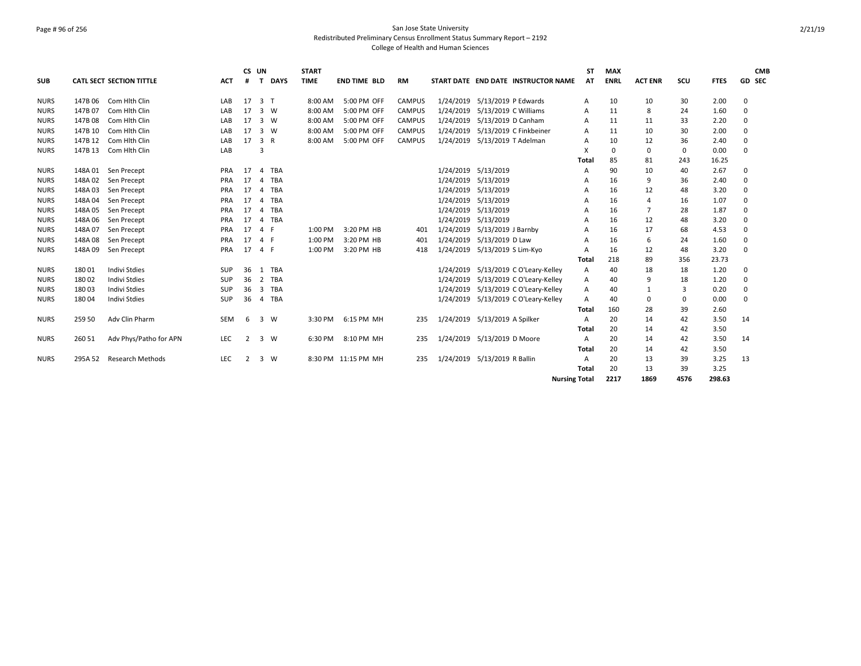### Page # 96 of 256 San Jose State University Redistributed Preliminary Census Enrollment Status Summary Report – 2192 College of Health and Human Sciences

| <b>SUB</b>  |         | <b>CATL SECT SECTION TITTLE</b> | <b>ACT</b> | CS UN<br># | T              | <b>DAYS</b> | <b>START</b><br><b>TIME</b> | <b>END TIME BLD</b> | <b>RM</b>     |                              |                               | START DATE END DATE INSTRUCTOR NAME  | <b>ST</b><br>AT | <b>MAX</b><br><b>ENRL</b> | <b>ACT ENR</b> | SCU         | <b>FTES</b> |          | <b>CMB</b><br>GD SEC |
|-------------|---------|---------------------------------|------------|------------|----------------|-------------|-----------------------------|---------------------|---------------|------------------------------|-------------------------------|--------------------------------------|-----------------|---------------------------|----------------|-------------|-------------|----------|----------------------|
|             |         |                                 |            |            |                |             |                             |                     |               |                              |                               |                                      |                 |                           |                |             |             |          |                      |
| <b>NURS</b> | 147B 06 | Com Hith Clin                   | LAB        | 17         | 3 <sub>T</sub> |             | 8:00 AM                     | 5:00 PM OFF         | <b>CAMPUS</b> | 1/24/2019                    | 5/13/2019 P Edwards           |                                      | A               | 10                        | 10             | 30          | 2.00        | 0        |                      |
| <b>NURS</b> | 147B 07 | Com Hith Clin                   | LAB        | 17         | 3              | W           | 8:00 AM                     | 5:00 PM OFF         | <b>CAMPUS</b> | 1/24/2019                    | 5/13/2019 C Williams          |                                      | A               | 11                        | 8              | 24          | 1.60        | $\Omega$ |                      |
| <b>NURS</b> | 147B 08 | Com Hith Clin                   | LAB        | 17         | $\overline{3}$ | W           | 8:00 AM                     | 5:00 PM OFF         | <b>CAMPUS</b> | 1/24/2019                    | 5/13/2019 D Canham            |                                      | A               | 11                        | 11             | 33          | 2.20        | 0        |                      |
| <b>NURS</b> | 147B 10 | Com Hith Clin                   | LAB        | 17         | 3              | W           | 8:00 AM                     | 5:00 PM OFF         | <b>CAMPUS</b> | 1/24/2019                    |                               | 5/13/2019 C Finkbeiner               | A               | 11                        | 10             | 30          | 2.00        | 0        |                      |
| <b>NURS</b> | 147B 12 | Com Hlth Clin                   | LAB        | 17         | 3 R            |             | 8:00 AM                     | 5:00 PM OFF         | <b>CAMPUS</b> | 1/24/2019                    | 5/13/2019 T Adelman           |                                      | A               | 10                        | 12             | 36          | 2.40        | 0        |                      |
| <b>NURS</b> | 147B 13 | Com Hith Clin                   | LAB        |            | 3              |             |                             |                     |               |                              |                               |                                      | X               | 0                         | 0              | $\mathbf 0$ | 0.00        | 0        |                      |
|             |         |                                 |            |            |                |             |                             |                     |               |                              |                               |                                      | Total           | 85                        | 81             | 243         | 16.25       |          |                      |
| <b>NURS</b> | 148A 01 | Sen Precept                     | PRA        | 17         | $\overline{a}$ | TBA         |                             |                     |               |                              | 1/24/2019 5/13/2019           |                                      | A               | 90                        | 10             | 40          | 2.67        | 0        |                      |
| <b>NURS</b> | 148A 02 | Sen Precept                     | PRA        | 17         | $\overline{a}$ | <b>TBA</b>  |                             |                     |               | 1/24/2019                    | 5/13/2019                     |                                      | A               | 16                        | 9              | 36          | 2.40        | $\Omega$ |                      |
| <b>NURS</b> | 148A03  | Sen Precept                     | PRA        | 17         | $\overline{a}$ | TBA         |                             |                     |               | 1/24/2019                    | 5/13/2019                     |                                      | A               | 16                        | 12             | 48          | 3.20        | $\Omega$ |                      |
| <b>NURS</b> | 148A 04 | Sen Precept                     | <b>PRA</b> | 17         | $\overline{4}$ | TBA         |                             |                     |               | 1/24/2019                    | 5/13/2019                     |                                      | А               | 16                        | $\overline{a}$ | 16          | 1.07        | 0        |                      |
| <b>NURS</b> | 148A 05 | Sen Precept                     | <b>PRA</b> | 17         | $\overline{4}$ | TBA         |                             |                     |               | 1/24/2019                    | 5/13/2019                     |                                      | A               | 16                        | $\overline{7}$ | 28          | 1.87        | $\Omega$ |                      |
| <b>NURS</b> | 148A 06 | Sen Precept                     | PRA        | 17         | $\overline{4}$ | TBA         |                             |                     |               | 1/24/2019                    | 5/13/2019                     |                                      | A               | 16                        | 12             | 48          | 3.20        | 0        |                      |
| <b>NURS</b> | 148A 07 | Sen Precept                     | PRA        | 17         | $\overline{a}$ |             | 1:00 PM                     | 3:20 PM HB          | 401           | 1/24/2019                    | 5/13/2019 J Barnby            |                                      | А               | 16                        | 17             | 68          | 4.53        | 0        |                      |
| <b>NURS</b> | 148A08  | Sen Precept                     | PRA        | 17         | 4 F            |             | 1:00 PM                     | 3:20 PM HB          | 401           | 1/24/2019                    | 5/13/2019 D Law               |                                      | A               | 16                        | 6              | 24          | 1.60        | $\Omega$ |                      |
| <b>NURS</b> | 148A 09 | Sen Precept                     | PRA        | 17         | 4 F            |             | 1:00 PM                     | 3:20 PM HB          | 418           | 1/24/2019                    | 5/13/2019 S Lim-Kyo           |                                      | A               | 16                        | 12             | 48          | 3.20        | 0        |                      |
|             |         |                                 |            |            |                |             |                             |                     |               |                              |                               |                                      | Total           | 218                       | 89             | 356         | 23.73       |          |                      |
| <b>NURS</b> | 18001   | <b>Indivi Stdies</b>            | <b>SUP</b> | 36         |                | 1 TBA       |                             |                     |               | 1/24/2019                    |                               | 5/13/2019 C O'Leary-Kelley           | A               | 40                        | 18             | 18          | 1.20        | $\Omega$ |                      |
| <b>NURS</b> | 18002   | <b>Indivi Stdies</b>            | <b>SUP</b> | 36         | 2              | TBA         |                             |                     |               | 1/24/2019                    |                               | 5/13/2019 C O'Leary-Kelley           | A               | 40                        | 9              | 18          | 1.20        | $\Omega$ |                      |
| <b>NURS</b> | 18003   | <b>Indivi Stdies</b>            | <b>SUP</b> | 36         | 3              | <b>TBA</b>  |                             |                     |               | 1/24/2019                    |                               | 5/13/2019 C O'Leary-Kelley           | A               | 40                        | 1              | 3           | 0.20        | $\Omega$ |                      |
| <b>NURS</b> | 18004   | Indivi Stdies                   | <b>SUP</b> | 36         |                | 4 TBA       |                             |                     |               |                              |                               | 1/24/2019 5/13/2019 C O'Leary-Kelley | A               | 40                        | 0              | $\mathbf 0$ | 0.00        | $\Omega$ |                      |
|             |         |                                 |            |            |                |             |                             |                     |               |                              |                               |                                      | Total           | 160                       | 28             | 39          | 2.60        |          |                      |
| <b>NURS</b> | 259 50  | Adv Clin Pharm                  | <b>SEM</b> | 6          | 3              | W           | 3:30 PM                     | 6:15 PM MH          | 235           |                              | 1/24/2019 5/13/2019 A Spilker |                                      | A               | 20                        | 14             | 42          | 3.50        | 14       |                      |
|             |         |                                 |            |            |                |             |                             |                     |               |                              |                               |                                      | Total           | 20                        | 14             | 42          | 3.50        |          |                      |
| <b>NURS</b> | 260 51  | Adv Phys/Patho for APN          | <b>LEC</b> | 2          | 3              | W           | 6:30 PM                     | 8:10 PM MH          | 235           | 1/24/2019 5/13/2019 D Moore  |                               |                                      | A               | 20                        | 14             | 42          | 3.50        | 14       |                      |
|             |         |                                 |            |            |                |             |                             |                     |               |                              |                               |                                      | Total           | 20                        | 14             | 42          | 3.50        |          |                      |
| <b>NURS</b> | 295A 52 | <b>Research Methods</b>         | LEC        | 2          |                | 3 W         |                             | 8:30 PM 11:15 PM MH | 235           | 1/24/2019 5/13/2019 R Ballin |                               |                                      | A               | 20                        | 13             | 39          | 3.25        | 13       |                      |
|             |         |                                 |            |            |                |             |                             |                     |               |                              |                               |                                      | Total           | 20                        | 13             | 39          | 3.25        |          |                      |
|             |         |                                 |            |            |                |             |                             |                     |               |                              |                               | <b>Nursing Total</b>                 |                 | 2217                      | 1869           | 4576        | 298.63      |          |                      |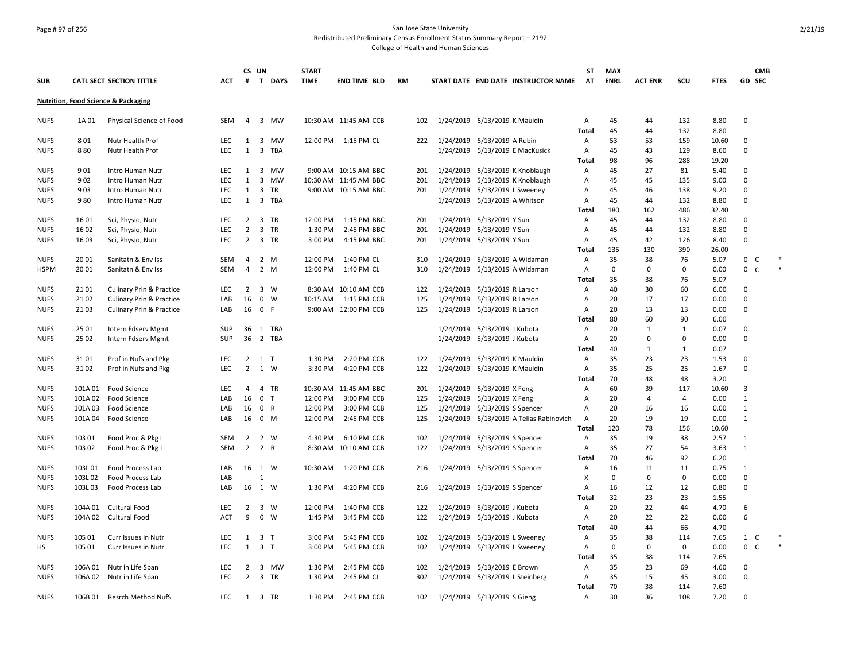## Page # 97 of 256 San Jose State University Redistributed Preliminary Census Enrollment Status Summary Report – 2192

|                            |                    |                                                |                          |                                  | CS UN                   |                | <b>START</b>       |                           |           |            |                                                                |                                         | SΤ                | <b>MAX</b>  |                |              |               | <b>CMB</b>                  |        |
|----------------------------|--------------------|------------------------------------------------|--------------------------|----------------------------------|-------------------------|----------------|--------------------|---------------------------|-----------|------------|----------------------------------------------------------------|-----------------------------------------|-------------------|-------------|----------------|--------------|---------------|-----------------------------|--------|
| <b>SUB</b>                 |                    | <b>CATL SECT SECTION TITTLE</b>                | <b>ACT</b>               | #                                |                         | T DAYS         | <b>TIME</b>        | <b>END TIME BLD</b>       | <b>RM</b> |            |                                                                | START DATE END DATE INSTRUCTOR NAME     | AT                | <b>ENRL</b> | <b>ACT ENR</b> | SCU          | <b>FTES</b>   | GD SEC                      |        |
|                            |                    | <b>Nutrition, Food Science &amp; Packaging</b> |                          |                                  |                         |                |                    |                           |           |            |                                                                |                                         |                   |             |                |              |               |                             |        |
| <b>NUFS</b>                | 1A 01              | Physical Science of Food                       | SEM                      |                                  |                         | 4 3 MW         |                    | 10:30 AM 11:45 AM CCB     |           | 102        | 1/24/2019 5/13/2019 K Mauldin                                  |                                         | Α                 | 45          | 44             | 132          | 8.80          | $\Omega$                    |        |
|                            |                    |                                                |                          |                                  |                         |                |                    |                           |           |            |                                                                |                                         | Total             | 45          | 44             | 132          | 8.80          |                             |        |
| <b>NUFS</b>                | 801                | Nutr Health Prof                               | <b>LEC</b>               | 1                                |                         | 3 MW           |                    | 12:00 PM  1:15 PM CL      |           | 222        | 1/24/2019 5/13/2019 A Rubin                                    |                                         | Α                 | 53          | 53             | 159          | 10.60         | $\Omega$                    |        |
| <b>NUFS</b>                | 880                | Nutr Health Prof                               | LEC.                     | $\mathbf{1}$                     |                         | 3 TBA          |                    |                           |           |            | 1/24/2019 5/13/2019 E MacKusick                                |                                         | A                 | 45          | 43             | 129          | 8.60          | $\Omega$                    |        |
|                            |                    |                                                |                          |                                  |                         |                |                    |                           |           |            |                                                                |                                         | Total             | 98          | 96             | 288          | 19.20         |                             |        |
| <b>NUFS</b>                | 901                | Intro Human Nutr                               | <b>LEC</b>               | 1                                |                         | 3 MW           |                    | 9:00 AM 10:15 AM BBC      |           | 201        | 1/24/2019 5/13/2019 K Knoblaugh                                |                                         | Α                 | 45          | 27             | 81           | 5.40          | $\mathbf 0$                 |        |
| <b>NUFS</b>                | 902                | Intro Human Nutr                               | <b>LEC</b>               | $\mathbf{1}$                     | $\overline{\mathbf{3}}$ | MW             |                    | 10:30 AM 11:45 AM BBC     |           | 201        | 1/24/2019 5/13/2019 K Knoblaugh                                |                                         | Α                 | 45          | 45             | 135          | 9.00          | $\mathbf 0$<br>$\Omega$     |        |
| <b>NUFS</b>                | 903                | Intro Human Nutr                               | <b>LEC</b>               | $\mathbf{1}$<br>$\mathbf{1}$     |                         | 3 TR<br>3 TBA  |                    | 9:00 AM 10:15 AM BBC      |           | 201        | 1/24/2019 5/13/2019 L Sweeney                                  |                                         | Α                 | 45<br>45    | 46<br>44       | 138<br>132   | 9.20          | $\Omega$                    |        |
| <b>NUFS</b>                | 980                | Intro Human Nutr                               | <b>LEC</b>               |                                  |                         |                |                    |                           |           |            | 1/24/2019 5/13/2019 A Whitson                                  |                                         | Α<br>Total        | 180         | 162            | 486          | 8.80<br>32.40 |                             |        |
| <b>NUFS</b>                | 1601               | Sci, Physio, Nutr                              | <b>LEC</b>               | 2                                |                         | 3 TR           | 12:00 PM           | 1:15 PM BBC               |           | 201        | 1/24/2019 5/13/2019 Y Sun                                      |                                         | A                 | 45          | 44             | 132          | 8.80          | $\Omega$                    |        |
| <b>NUFS</b>                | 1602               | Sci, Physio, Nutr                              | <b>LEC</b>               | $\overline{2}$                   |                         | 3 TR           | 1:30 PM            | 2:45 PM BBC               |           | 201        | 1/24/2019 5/13/2019 Y Sun                                      |                                         | Α                 | 45          | 44             | 132          | 8.80          | $\mathbf 0$                 |        |
| <b>NUFS</b>                | 1603               | Sci, Physio, Nutr                              | LEC                      | $\overline{2}$                   |                         | 3 TR           | 3:00 PM            | 4:15 PM BBC               |           | 201        | 1/24/2019 5/13/2019 Y Sun                                      |                                         | Α                 | 45          | 42             | 126          | 8.40          | $\Omega$                    |        |
|                            |                    |                                                |                          |                                  |                         |                |                    |                           |           |            |                                                                |                                         | Total             | 135         | 130            | 390          | 26.00         |                             |        |
| <b>NUFS</b>                | 20 01              | Sanitatn & Env Iss                             | SEM                      | 4                                |                         | 2 M            | 12:00 PM           | 1:40 PM CL                |           | 310        | 1/24/2019 5/13/2019 A Widaman                                  |                                         | $\mathsf{A}$      | 35          | 38             | 76           | 5.07          | $\mathbf 0$<br>C            | $\ast$ |
| <b>HSPM</b>                | 2001               | Sanitatn & Env Iss                             | SEM                      | 4                                |                         | 2 M            | 12:00 PM           | 1:40 PM CL                |           | 310        | 1/24/2019 5/13/2019 A Widaman                                  |                                         | Α                 | $\mathbf 0$ | 0              | 0            | 0.00          | $\mathbf 0$<br><sub>c</sub> | $\ast$ |
|                            |                    |                                                |                          |                                  |                         |                |                    |                           |           |            |                                                                |                                         | <b>Total</b>      | 35          | 38             | 76           | 5.07          |                             |        |
| <b>NUFS</b>                | 2101               | <b>Culinary Prin &amp; Practice</b>            | <b>LEC</b>               | 2                                |                         | 3 W            |                    | 8:30 AM 10:10 AM CCB      |           | 122        | 1/24/2019 5/13/2019 R Larson                                   |                                         | Α                 | 40          | 30             | 60           | 6.00          | $\Omega$                    |        |
| <b>NUFS</b>                | 2102               | <b>Culinary Prin &amp; Practice</b>            | LAB                      | 16                               |                         | $0 \quad W$    | 10:15 AM           | 1:15 PM CCB               |           | 125        | 1/24/2019 5/13/2019 R Larson                                   |                                         | Α                 | 20          | 17             | 17           | 0.00          | $\Omega$                    |        |
| <b>NUFS</b>                | 2103               | Culinary Prin & Practice                       | LAB                      | 16                               |                         | 0 F            |                    | 9:00 AM 12:00 PM CCB      |           | 125        | 1/24/2019 5/13/2019 R Larson                                   |                                         | Α                 | 20          | 13             | 13           | 0.00          | $\mathbf 0$                 |        |
|                            |                    |                                                |                          |                                  |                         |                |                    |                           |           |            |                                                                |                                         | Total             | 80          | 60             | 90           | 6.00          |                             |        |
| <b>NUFS</b>                | 25 01              | Intern Fdserv Mgmt                             | SUP                      |                                  |                         | 36 1 TBA       |                    |                           |           |            | 1/24/2019 5/13/2019 J Kubota                                   |                                         | Α                 | 20          | 1              | $\mathbf{1}$ | 0.07          | 0                           |        |
| <b>NUFS</b>                | 25 02              | Intern Fdserv Mgmt                             | <b>SUP</b>               | 36                               |                         | 2 TBA          |                    |                           |           |            | 1/24/2019 5/13/2019 J Kubota                                   |                                         | Α                 | 20          | 0              | 0            | 0.00          | $\Omega$                    |        |
|                            |                    |                                                |                          |                                  |                         |                |                    |                           |           |            |                                                                |                                         | Total             | 40          | $\mathbf{1}$   | $\mathbf{1}$ | 0.07          |                             |        |
| <b>NUFS</b>                | 3101               | Prof in Nufs and Pkg                           | LEC                      | $\overline{2}$                   |                         | 1 T            | 1:30 PM            | 2:20 PM CCB               |           | 122        | 1/24/2019 5/13/2019 K Mauldin                                  |                                         | Α                 | 35          | 23             | 23           | 1.53          | $\Omega$                    |        |
| <b>NUFS</b>                | 3102               | Prof in Nufs and Pkg                           | <b>LEC</b>               | $\overline{2}$                   |                         | 1 W            | 3:30 PM            | 4:20 PM CCB               |           | 122        | 1/24/2019 5/13/2019 K Mauldin                                  |                                         | Α                 | 35          | 25             | 25           | 1.67          | $\Omega$                    |        |
|                            |                    |                                                |                          |                                  |                         |                |                    |                           |           |            |                                                                |                                         | Total             | 70          | 48             | 48           | 3.20          |                             |        |
| <b>NUFS</b>                | 101A 01            | Food Science                                   | <b>LEC</b>               | 4                                |                         | 4 TR           |                    | 10:30 AM 11:45 AM BBC     |           | 201        | 1/24/2019 5/13/2019 X Feng                                     |                                         | Α                 | 60          | 39             | 117          | 10.60         | 3                           |        |
| <b>NUFS</b>                | 101A 02            | Food Science                                   | LAB                      | 16                               |                         | 0 <sub>T</sub> | 12:00 PM           | 3:00 PM CCB               |           | 125        | 1/24/2019 5/13/2019 X Feng                                     |                                         | Α                 | 20          | 4              | 4            | 0.00          | $\mathbf{1}$                |        |
| <b>NUFS</b>                | 101A03             | Food Science                                   | LAB                      | 16                               |                         | 0 R            | 12:00 PM           | 3:00 PM CCB               |           | 125        | 1/24/2019 5/13/2019 S Spencer                                  |                                         | Α                 | 20          | 16             | 16           | 0.00          | 1                           |        |
| <b>NUFS</b>                |                    | 101A 04 Food Science                           | LAB                      | 16                               |                         | 0 M            | 12:00 PM           | 2:45 PM CCB               |           | 125        |                                                                | 1/24/2019 5/13/2019 A Telias Rabinovich | A                 | 20          | 19             | 19           | 0.00          | $\mathbf{1}$                |        |
|                            |                    |                                                |                          |                                  |                         |                |                    |                           |           |            |                                                                |                                         | <b>Total</b>      | 120         | 78             | 156          | 10.60         |                             |        |
| <b>NUFS</b>                | 103 01             | Food Proc & Pkg I                              | SEM                      | 2                                |                         | 2 W            | 4:30 PM            | 6:10 PM CCB               |           | 102        | 1/24/2019 5/13/2019 S Spencer                                  |                                         | Α                 | 35          | 19             | 38           | 2.57          | $\mathbf{1}$                |        |
| <b>NUFS</b>                | 103 02             | Food Proc & Pkg I                              | SEM                      | $\overline{2}$                   |                         | 2 R            |                    | 8:30 AM 10:10 AM CCB      |           | 122        | 1/24/2019 5/13/2019 S Spencer                                  |                                         | Α                 | 35          | 27             | 54           | 3.63          | $\mathbf{1}$                |        |
|                            |                    |                                                |                          |                                  |                         |                |                    |                           |           |            |                                                                |                                         | Total             | 70          | 46             | 92           | 6.20          |                             |        |
| <b>NUFS</b>                | 103L01             | Food Process Lab                               | LAB                      | 16                               |                         | 1 W            | 10:30 AM           | 1:20 PM CCB               |           | 216        | 1/24/2019 5/13/2019 S Spencer                                  |                                         | Α                 | 16          | 11             | 11           | 0.75          | 1                           |        |
| <b>NUFS</b>                | 103L02             | Food Process Lab                               | LAB                      |                                  | $\mathbf{1}$            |                |                    |                           |           |            |                                                                |                                         | X                 | 0           | 0              | 0            | 0.00          | $\Omega$                    |        |
| <b>NUFS</b>                | 103L03             | Food Process Lab                               | LAB                      | 16                               |                         | 1 W            | 1:30 PM            | 4:20 PM CCB               |           | 216        | 1/24/2019 5/13/2019 S Spencer                                  |                                         | Α                 | 16          | 12             | 12           | 0.80          | $\mathbf 0$                 |        |
|                            |                    |                                                |                          |                                  |                         |                |                    |                           |           |            |                                                                |                                         | Total             | 32          | 23             | 23           | 1.55          |                             |        |
| <b>NUFS</b>                | 104A 01            | Cultural Food                                  | <b>LEC</b>               | $\overline{2}$                   |                         | 3 W            | 12:00 PM           | 1:40 PM CCB               |           | 122        | 1/24/2019 5/13/2019 J Kubota                                   |                                         | Α                 | 20          | 22             | 44           | 4.70          | 6                           |        |
| <b>NUFS</b>                |                    | 104A 02 Cultural Food                          | <b>ACT</b>               | 9                                |                         | $0 \quad W$    | 1:45 PM            | 3:45 PM CCB               |           | 122        | 1/24/2019 5/13/2019 J Kubota                                   |                                         | A                 | 20          | 22             | 22           | 0.00          | 6                           |        |
|                            |                    |                                                |                          |                                  |                         |                |                    |                           |           |            |                                                                |                                         | Total             | 40          | 44             | 66           | 4.70          |                             |        |
| <b>NUFS</b>                | 105 01             | Curr Issues in Nutr                            | LEC                      | 1                                |                         | 3 <sub>T</sub> | 3:00 PM            | 5:45 PM CCB               |           | 102        | 1/24/2019 5/13/2019 L Sweeney                                  |                                         | Α                 | 35          | 38             | 114          | 7.65          | $\mathbf{1}$<br>C           |        |
| HS                         | 105 01             | Curr Issues in Nutr                            | <b>LEC</b>               | $\mathbf{1}$                     |                         | 3 <sub>T</sub> | 3:00 PM            | 5:45 PM CCB               |           | 102        | 1/24/2019 5/13/2019 L Sweeney                                  |                                         | A                 | 0           | 0              | 0            | 0.00          | 0 <sup>o</sup>              |        |
|                            |                    |                                                |                          |                                  |                         |                |                    |                           |           |            |                                                                |                                         | Total             | 35          | 38             | 114          | 7.65          |                             |        |
| <b>NUFS</b><br><b>NUFS</b> | 106A 01<br>106A 02 | Nutr in Life Span                              | <b>LEC</b><br><b>LEC</b> | $\overline{2}$<br>$\overline{2}$ | 3                       | MW<br>3 TR     | 1:30 PM<br>1:30 PM | 2:45 PM CCB<br>2:45 PM CL |           | 102<br>302 | 1/24/2019 5/13/2019 E Brown<br>1/24/2019 5/13/2019 L Steinberg |                                         | $\mathsf{A}$<br>Α | 35<br>35    | 23<br>15       | 69<br>45     | 4.60<br>3.00  | $\Omega$<br>$\mathbf 0$     |        |
|                            |                    | Nutr in Life Span                              |                          |                                  |                         |                |                    |                           |           |            |                                                                |                                         | Total             | 70          | 38             | 114          | 7.60          |                             |        |
| <b>NUFS</b>                | 106B 01            | Resrch Method NufS                             | <b>LEC</b>               |                                  |                         | 1 3 TR         | 1:30 PM            | 2:45 PM CCB               |           | 102        | 1/24/2019 5/13/2019 S Gieng                                    |                                         | Α                 | 30          | 36             | 108          | 7.20          | $\Omega$                    |        |
|                            |                    |                                                |                          |                                  |                         |                |                    |                           |           |            |                                                                |                                         |                   |             |                |              |               |                             |        |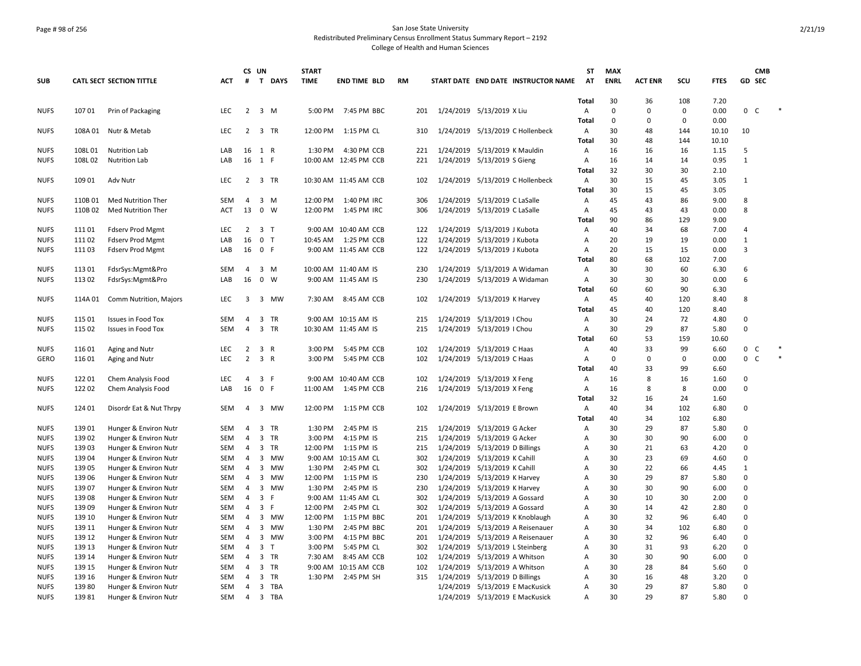#### Page # 98 of 256 San Jose State University Redistributed Preliminary Census Enrollment Status Summary Report – 2192 College of Health and Human Sciences

**ST**

**MAX** 

**CS UN**

**START** 

**SUB CATL SECT SECTION TITTLE ACT # T DAYS TIME END TIME BLD RM START DATE END DATE INSTRUCTOR NAME AT ENRL ACT ENR SCU FTES GD SEC Total** 30 36 108 7.20 NUFS 107 01 Prin of Packaging CLEC 2 3 M 5:00 PM 7:45 PM BBC 201 1/24/2019 5/13/2019 X Liu A 0 0 0 0.00 0 C **Total** 0 0 0 0.00 NUFS 108A 01 Nutr & Metab LEC 2 3 TR 12:00 PM 1:15 PM CL 310 1/24/2019 5/13/2019 C Hollenbeck A 30 48 144 10.10 10 **Total** 30 48 144 10.10 NUFS 108L 01 Nutrition Lab LAB 16 1 R 1:30 PM 4:30 PM CCB 221 1/24/2019 5/13/2019 K Mauldin A 16 16 16 1.15 5 NUFS 108L 02 Nutrition Lab LAB 16 1 F 10:00 AM 12:45 PM CCB 221 1/24/2019 5/13/2019 S Gieng A 16 14 14 0.95 1 **Total** 32 30 30 2.10 NUFS 109 01 Adv Nutr CHA CHA LEC 2 3 TR 10:30 AM 11:45 AM CCB 102 1/24/2019 5/13/2019 C Hollenbeck A 30 15 45 3.05 1 **Total** 30 15 45 3.05 NUFS 110B 01 Med Nutrition Ther SEM 4 3 M 12:00 PM 1:40 PM IRC 306 1/24/2019 5/13/2019 C LaSalle A 45 43 86 9.00 8 NUFS 110B 02 Med Nutrition Ther ACT 13 0 W 12:00 PM 1:45 PM IRC 306 1/24/2019 5/13/2019 C LaSalle A 45 43 43 0.00 8 **Total** 90 86 129 9.00 NUFS 111 01 Fdserv Prod Mgmt LEC 2 3 T 9:00 AM 10:40 AM CCB 122 1/24/2019 5/13/2019 J Kubota A 40 34 68 7.00 4 NUFS 111 02 Fdserv Prod Mgmt LAB 16 0 T 10:45 AM 1:25 PM CCB 122 1/24/2019 5/13/2019 J Kubota A 20 19 19 0.00 1 NUFS 111 03 Fdserv Prod Mgmt LAB 16 0 F 9:00 AM 11:45 AM CCB 122 1/24/2019 5/13/2019 J Kubota A 20 15 15 0.00 3 **Total** 80 68 102 7.00 NUFS 113 01 FdsrSys:Mgmt&Pro SEM 4 3 M 10:00 AM 11:40 AM IS 230 1/24/2019 5/13/2019 A Widaman A 30 30 60 6.30 6 NUFS 113 02 FdsrSys:Mgmt&Pro LAB 16 0 W 9:00 AM 11:45 AM IS 230 1/24/2019 5/13/2019 A Widaman A 30 30 30 0.00 6 **Total** 60 60 90 6.30 NUFS 114A 01 Comm Nutrition, Majors LEC 3 3 MW 7:30 AM 8:45 AM CCB 102 1/24/2019 5/13/2019 K Harvey A 45 40 120 8.40 8 **Total** 45 40 120 8.40 NUFS 115 01 Issues in Food Tox SEM 4 3 TR 9:00 AM 10:15 AM IS 215 1/24/2019 5/13/2019 I Chou A 30 24 72 4.80 0 NUFS 115 02 Issues in Food Tox SEM 4 3 TR 10:30 AM 11:45 AM IS 215 1/24/2019 5/13/2019 I Chou A 30 29 87 5.80 0 **Total** 60 53 159 10.60 NUFS 116 01 Aging and Nutr 
LEC 2 3 R 3:00 PM 5:45 PM CCB 102 1/24/2019 5/13/2019 C Haas A 40 33 99 6.60 0 C GERO 11601 Aging and Nutr 
LEC 2 3 R 3:00 PM 5:45 PM CCB 102 1/24/2019 5/13/2019 C Haas A 0 0 0 0.00 0 C **Total** 40 33 99 6.60 NUFS 122 01 Chem Analysis Food LEC 4 3 F 9:00 AM 10:40 AM CCB 102 1/24/2019 5/13/2019 X Feng A 16 8 16 1.60 0 NUFS 122 02 Chem Analysis Food LAB 16 0 F 11:00 AM 1:45 PM CCB 216 1/24/2019 5/13/2019 X Feng A 16 8 8 0.00 0 **Total** 32 16 24 1.60 NUFS 124 01 Disordr Eat & Nut Thrpy SEM 4 3 MW 12:00 PM 1:15 PM CCB 102 1/24/2019 5/13/2019 E Brown A 40 34 102 6.80 0 **Total** 40 34 102 6.80 NUFS 139 01 Hunger & Environ Nutr SEM 4 3 TR 1:30 PM 2:45 PM IS 215 1/24/2019 5/13/2019 G Acker A 30 29 87 5.80 0 NUFS 139 02 Hunger & Environ Nutr SEM 4 3 TR 3:00 PM 4:15 PM IS 215 1/24/2019 5/13/2019 G Acker A 30 30 90 6.00 0 NUFS 139 03 Hunger & Environ Nutr SEM 4 3 TR 12:00 PM 1:15 PM IS 215 1/24/2019 5/13/2019 D Billings A 30 21 63 4.20 0 NUFS 139 04 Hunger & Environ Nutr SEM 4 3 MW 9:00 AM 10:15 AM CL 302 1/24/2019 5/13/2019 K Cahill A 30 23 69 4.60 0 NUFS 139 05 Hunger & Environ Nutr SEM 4 3 MW 1:30 PM 2:45 PM CL 302 1/24/2019 5/13/2019 K Cahill A 30 22 66 4.45 1 NUFS 139 06 Hunger & Environ Nutr SEM 4 3 MW 12:00 PM 1:15 PM IS 230 1/24/2019 5/13/2019 K Harvey A 30 29 87 5.80 0 NUFS 139 07 Hunger & Environ Nutr SEM 4 3 MW 1:30 PM 2:45 PM IS 230 1/24/2019 5/13/2019 K Harvey A 30 30 90 6.00 0 NUFS 139 08 Hunger & Environ Nutr SEM 4 3 F 9:00 AM 11:45 AM CL 302 1/24/2019 5/13/2019 A Gossard A 30 10 30 2.00 0 NUFS 139 09 Hunger & Environ Nutr SEM 4 3 F 12:00 PM 2:45 PM CL 302 1/24/2019 5/13/2019 A Gossard A 30 14 42 2.80 0 NUFS 139 10 Hunger & Environ Nutr SEM 4 3 MW 12:00 PM 1:15 PM BBC 201 1/24/2019 5/13/2019 K Knoblaugh A 30 32 96 6.40 0 NUFS 139 11 Hunger & Environ Nutr SEM 4 3 MW 1:30 PM 2:45 PM BBC 201 1/24/2019 5/13/2019 A Reisenauer A 30 34 102 6.80 0 NUFS 139 12 Hunger & Environ Nutr SEM 4 3 MW 3:00 PM 4:15 PM BBC 201 1/24/2019 5/13/2019 A Reisenauer A 30 32 96 6.40 0 NUFS 139 13 Hunger & Environ Nutr SEM 4 3 T 3:00 PM 5:45 PM CL 302 1/24/2019 5/13/2019 L Steinberg A 30 31 93 6.20 0 NUFS 139 14 Hunger & Environ Nutr SEM 4 3 TR 7:30 AM 8:45 AM CCB 102 1/24/2019 5/13/2019 A Whitson A 30 30 90 6.00 0 NUFS 139 15 Hunger & Environ Nutr SEM 4 3 TR 9:00 AM 10:15 AM CCB 102 1/24/2019 5/13/2019 A Whitson A 30 28 84 5.60 0

NUFS 139 16 Hunger & Environ Nutr SEM 4 3 TR 1:30 PM 2:45 PM SH 315 1/24/2019 5/13/2019 D Billings A 30 16 48 3.20 0 NUFS 139 80 Hunger & Environ Nutr SEM 4 3 TBA 1/24/2019 5/13/2019 E MacKusick A 30 29 87 5.80 0 NUFS 139 81 Hunger & Environ Nutr SEM 4 3 TBA 1/24/2019 5/13/2019 E MacKusick A 30 29 87 5.80 0

**CMB**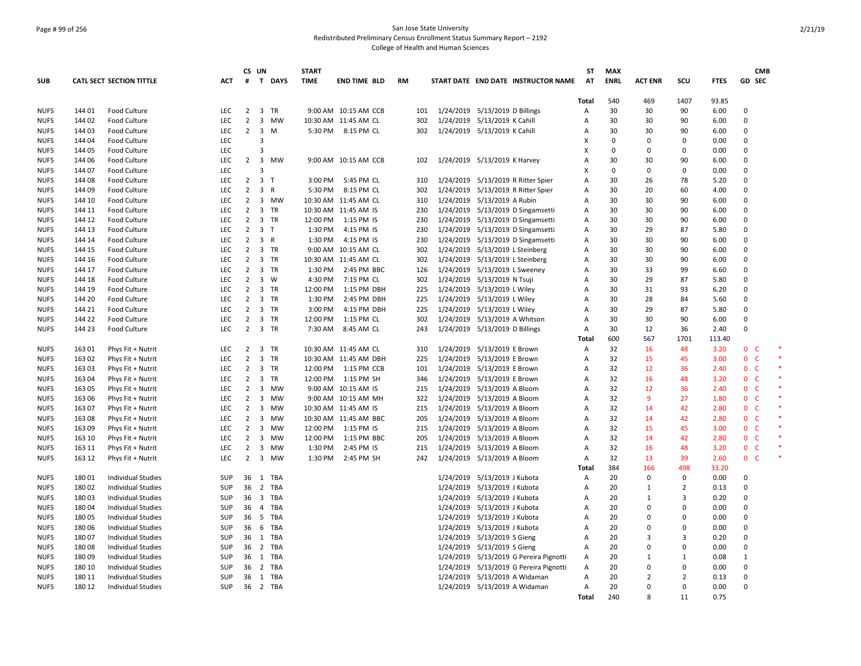## Page # 99 of 256 San Jose State University Redistributed Preliminary Census Enrollment Status Summary Report – 2192 College of Health and Human Sciences

|             |        |                                 |            |                | CS UN                   |          | <b>START</b> |                       |           |           |                                        | <b>ST</b>      | <b>MAX</b>  |                |                |             | <b>CMB</b>                   |        |
|-------------|--------|---------------------------------|------------|----------------|-------------------------|----------|--------------|-----------------------|-----------|-----------|----------------------------------------|----------------|-------------|----------------|----------------|-------------|------------------------------|--------|
| <b>SUB</b>  |        | <b>CATL SECT SECTION TITTLE</b> | ACT        | #              |                         | T DAYS   | <b>TIME</b>  | <b>END TIME BLD</b>   | <b>RM</b> |           | START DATE END DATE INSTRUCTOR NAME    | AT             | <b>ENRL</b> | <b>ACT ENR</b> | SCU            | <b>FTES</b> | GD SEC                       |        |
|             |        |                                 |            |                |                         |          |              |                       |           |           |                                        | Total          | 540         | 469            | 1407           | 93.85       |                              |        |
| <b>NUFS</b> | 144 01 | Food Culture                    | LEC        |                | 2 3 TR                  |          |              | 9:00 AM 10:15 AM CCB  | 101       |           | 1/24/2019 5/13/2019 D Billings         | Α              | 30          | 30             | 90             | 6.00        | 0                            |        |
| <b>NUFS</b> | 144 02 | <b>Food Culture</b>             | <b>LEC</b> | $\overline{2}$ |                         | 3 MW     |              | 10:30 AM 11:45 AM CL  | 302       |           | 1/24/2019 5/13/2019 K Cahill           | Α              | 30          | 30             | 90             | 6.00        | $\Omega$                     |        |
| <b>NUFS</b> | 144 03 | <b>Food Culture</b>             | LEC        | $\overline{2}$ | $\overline{\mathbf{3}}$ | M        |              | 5:30 PM 8:15 PM CL    | 302       |           | 1/24/2019 5/13/2019 K Cahill           | A              | 30          | 30             | 90             | 6.00        | $\Omega$                     |        |
| <b>NUFS</b> | 144 04 | Food Culture                    | <b>LEC</b> |                | 3                       |          |              |                       |           |           |                                        | X              | $\Omega$    | $\Omega$       | $\Omega$       | 0.00        | $\Omega$                     |        |
| <b>NUFS</b> | 144 05 | Food Culture                    | LEC        |                | 3                       |          |              |                       |           |           |                                        | X              | $\Omega$    | $\Omega$       | 0              | 0.00        | $\mathbf 0$                  |        |
| <b>NUFS</b> | 144 06 | Food Culture                    | LEC        | $\overline{2}$ |                         | 3 MW     |              | 9:00 AM 10:15 AM CCB  | 102       |           | 1/24/2019 5/13/2019 K Harvey           | A              | 30          | 30             | 90             | 6.00        | $\Omega$                     |        |
| <b>NUFS</b> | 144 07 | <b>Food Culture</b>             | LEC        |                | 3                       |          |              |                       |           |           |                                        | X              | $\Omega$    | 0              | 0              | 0.00        | $\Omega$                     |        |
| <b>NUFS</b> | 144 08 | <b>Food Culture</b>             | LEC        | $\overline{2}$ | 3 <sub>1</sub>          |          | 3:00 PM      | 5:45 PM CL            | 310       |           | 1/24/2019 5/13/2019 R Ritter Spier     | A              | 30          | 26             | 78             | 5.20        | $\Omega$                     |        |
| <b>NUFS</b> | 144 09 | Food Culture                    | LEC        | $\overline{2}$ | 3 R                     |          | 5:30 PM      | 8:15 PM CL            | 302       | 1/24/2019 | 5/13/2019 R Ritter Spier               | Α              | 30          | 20             | 60             | 4.00        | $\Omega$                     |        |
| <b>NUFS</b> | 144 10 | Food Culture                    | LEC        | $\overline{2}$ |                         | 3 MW     |              | 10:30 AM 11:45 AM CL  | 310       |           | 1/24/2019 5/13/2019 A Rubin            | Α              | 30          | 30             | 90             | 6.00        | $\Omega$                     |        |
| <b>NUFS</b> | 144 11 | Food Culture                    | LEC        | $\overline{2}$ |                         | 3 TR     |              | 10:30 AM 11:45 AM IS  | 230       |           | 1/24/2019 5/13/2019 D Singamsetti      | A              | 30          | 30             | 90             | 6.00        | $\Omega$                     |        |
| <b>NUFS</b> | 144 12 | <b>Food Culture</b>             | LEC        | $\overline{2}$ |                         | 3 TR     | 12:00 PM     | 1:15 PM IS            | 230       | 1/24/2019 | 5/13/2019 D Singamsetti                | Α              | 30          | 30             | 90             | 6.00        | $\Omega$                     |        |
| <b>NUFS</b> | 144 13 | <b>Food Culture</b>             | <b>LEC</b> | $\overline{2}$ | 3 <sub>1</sub>          |          | 1:30 PM      | 4:15 PM IS            | 230       |           | 1/24/2019 5/13/2019 D Singamsetti      | Α              | 30          | 29             | 87             | 5.80        | $\Omega$                     |        |
| <b>NUFS</b> | 144 14 | Food Culture                    | LEC        | $\overline{2}$ | 3 R                     |          | 1:30 PM      | 4:15 PM IS            | 230       |           | 1/24/2019 5/13/2019 D Singamsetti      | A              | 30          | 30             | 90             | 6.00        | $\Omega$                     |        |
| <b>NUFS</b> | 144 15 | <b>Food Culture</b>             | <b>LEC</b> | $\overline{2}$ |                         | 3 TR     |              | 9:00 AM 10:15 AM CL   | 302       |           | 1/24/2019 5/13/2019 L Steinberg        | Α              | 30          | 30             | 90             | 6.00        | $\Omega$                     |        |
| <b>NUFS</b> | 144 16 | <b>Food Culture</b>             | LEC        | $\overline{2}$ |                         | 3 TR     |              | 10:30 AM 11:45 AM CL  | 302       |           | 1/24/2019 5/13/2019 L Steinberg        | Α              | 30          | 30             | 90             | 6.00        | $\Omega$                     |        |
| <b>NUFS</b> | 144 17 | <b>Food Culture</b>             | <b>LEC</b> | $\overline{2}$ |                         | 3 TR     | 1:30 PM      | 2:45 PM BBC           | 126       |           | 1/24/2019 5/13/2019 L Sweeney          | Α              | 30          | 33             | 99             | 6.60        | $\Omega$                     |        |
| <b>NUFS</b> | 144 18 | Food Culture                    | <b>LEC</b> | $\overline{2}$ | $3 \quad W$             |          | 4:30 PM      | 7:15 PM CL            | 302       |           | 1/24/2019 5/13/2019 N Tsuji            | Α              | 30          | 29             | 87             | 5.80        | $\Omega$                     |        |
| <b>NUFS</b> | 144 19 | Food Culture                    | <b>LEC</b> | $\overline{2}$ |                         | 3 TR     | 12:00 PM     | 1:15 PM DBH           | 225       |           | 1/24/2019 5/13/2019 L Wiley            | Α              | 30          | 31             | 93             | 6.20        | $\Omega$                     |        |
| <b>NUFS</b> | 144 20 | Food Culture                    | LEC        | $\overline{2}$ |                         | 3 TR     | 1:30 PM      | 2:45 PM DBH           | 225       | 1/24/2019 | 5/13/2019 L Wiley                      | Α              | 30          | 28             | 84             | 5.60        | 0                            |        |
| <b>NUFS</b> | 144 21 | <b>Food Culture</b>             | <b>LEC</b> | $\overline{2}$ |                         | 3 TR     | 3:00 PM      | 4:15 PM DBH           | 225       |           | 1/24/2019 5/13/2019 L Wiley            | Α              | 30          | 29             | 87             | 5.80        | $\Omega$                     |        |
| <b>NUFS</b> | 144 22 | <b>Food Culture</b>             | LEC        | $\overline{2}$ |                         | 3 TR     | 12:00 PM     | 1:15 PM CL            | 302       | 1/24/2019 | 5/13/2019 A Whitson                    | $\overline{A}$ | 30          | 30             | 90             | 6.00        | $\Omega$                     |        |
| <b>NUFS</b> | 144 23 | Food Culture                    | LEC.       | $\overline{2}$ |                         | 3 TR     | 7:30 AM      | 8:45 AM CL            | 243       |           | 1/24/2019 5/13/2019 D Billings         | A              | 30          | 12             | 36             | 2.40        | $\Omega$                     |        |
|             |        |                                 |            |                |                         |          |              |                       |           |           |                                        | Total          | 600         | 567            | 1701           | 113.40      |                              |        |
| <b>NUFS</b> | 163 01 | Phys Fit + Nutrit               | LEC        | $\overline{2}$ |                         | 3 TR     |              | 10:30 AM 11:45 AM CL  | 310       | 1/24/2019 | 5/13/2019 E Brown                      | Α              | 32          | 16             | 48             | 3.20        | $\mathbf{0}$<br>-C           | $\ast$ |
| <b>NUFS</b> | 163 02 | Phys Fit + Nutrit               | LEC        | $\overline{2}$ |                         | 3 TR     |              | 10:30 AM 11:45 AM DBH | 225       | 1/24/2019 | 5/13/2019 E Brown                      | Α              | 32          | 15             | 45             | 3.00        | $\mathbf{0}$<br>$\mathsf{C}$ |        |
| <b>NUFS</b> | 163 03 | Phys Fit + Nutrit               | <b>LEC</b> | $\overline{2}$ |                         | 3 TR     | 12:00 PM     | 1:15 PM CCB           | 101       |           | 1/24/2019 5/13/2019 E Brown            | $\overline{A}$ | 32          | 12             | 36             | 2.40        | 0 <sup>o</sup>               |        |
| <b>NUFS</b> | 163 04 | Phys Fit + Nutrit               | LEC        | $\overline{2}$ | $\overline{3}$          | TR       | 12:00 PM     | 1:15 PM SH            | 346       |           | 1/24/2019 5/13/2019 E Brown            | Α              | 32          | 16             | 48             | 3.20        | $\mathbf 0$<br>$\mathsf{C}$  |        |
| <b>NUFS</b> | 163 05 | Phys Fit + Nutrit               | LEC        | $\overline{2}$ |                         | 3 MW     |              | 9:00 AM 10:15 AM IS   | 215       |           | 1/24/2019 5/13/2019 A Bloom            | A              | 32          | 12             | 36             | 2.40        | 0 <sub>c</sub>               |        |
| <b>NUFS</b> | 163 06 | Phys Fit + Nutrit               | <b>LEC</b> | $\overline{2}$ |                         | 3 MW     |              | 9:00 AM 10:15 AM MH   | 322       |           | 1/24/2019 5/13/2019 A Bloom            | A              | 32          | 9              | 27             | 1.80        | $\mathbf{0}$<br><b>C</b>     |        |
| <b>NUFS</b> | 163 07 | Phys Fit + Nutrit               | <b>LEC</b> | $\overline{2}$ | 3                       | MW       |              | 10:30 AM 11:45 AM IS  | 215       |           | 1/24/2019 5/13/2019 A Bloom            | Α              | 32          | 14             | 42             | 2.80        | 0 <sup>o</sup>               |        |
| <b>NUFS</b> | 163 08 | Phys Fit + Nutrit               | <b>LEC</b> | $\overline{2}$ |                         | 3 MW     |              | 10:30 AM 11:45 AM BBC | 205       |           | 1/24/2019 5/13/2019 A Bloom            | A              | 32          | 14             | 42             | 2.80        | 0 <sup>o</sup>               |        |
| <b>NUFS</b> | 163 09 | Phys Fit + Nutrit               | LEC        | $\overline{2}$ | 3                       | MW       | 12:00 PM     | 1:15 PM IS            | 215       | 1/24/2019 | 5/13/2019 A Bloom                      | Α              | 32          | 15             | 45             | 3.00        | $\mathbf{0}$<br>$\mathsf{C}$ |        |
| <b>NUFS</b> | 163 10 | Phys Fit + Nutrit               | LEC        | $\overline{2}$ | 3                       | MW       | 12:00 PM     | 1:15 PM BBC           | 205       |           | 1/24/2019 5/13/2019 A Bloom            | Α              | 32          | 14             | 42             | 2.80        | 0 <sup>o</sup>               |        |
| <b>NUFS</b> | 163 11 | Phys Fit + Nutrit               | LEC        | $\overline{2}$ |                         | 3 MW     | 1:30 PM      | 2:45 PM IS            | 215       |           | 1/24/2019 5/13/2019 A Bloom            | Α              | 32          | 16             | 48             | 3.20        | 0 <sup>o</sup>               |        |
| <b>NUFS</b> | 163 12 | Phys Fit + Nutrit               | <b>LEC</b> | $\overline{2}$ |                         | 3 MW     | 1:30 PM      | 2:45 PM SH            | 242       |           | 1/24/2019 5/13/2019 A Bloom            | A              | 32          | 13             | 39             | 2.60        | 0 <sup>2</sup>               |        |
|             |        |                                 |            |                |                         |          |              |                       |           |           |                                        | Total          | 384         | 166            | 498            | 33.20       |                              |        |
| <b>NUFS</b> | 18001  | <b>Individual Studies</b>       | SUP        | 36             |                         | 1 TBA    |              |                       |           |           | 1/24/2019 5/13/2019 J Kubota           | Α              | 20          | 0              | 0              | 0.00        | 0                            |        |
| <b>NUFS</b> | 18002  | <b>Individual Studies</b>       | SUP        | 36             |                         | 2 TBA    |              |                       |           |           | 1/24/2019 5/13/2019 J Kubota           | Α              | 20          | 1              | 2              | 0.13        | $\Omega$                     |        |
| <b>NUFS</b> | 18003  | <b>Individual Studies</b>       | SUP        |                |                         | 36 3 TBA |              |                       |           |           | 1/24/2019 5/13/2019 J Kubota           | Α              | 20          | 1              | 3              | 0.20        | $\Omega$                     |        |
| <b>NUFS</b> | 180 04 | <b>Individual Studies</b>       | SUP        | 36             | 4                       | TBA      |              |                       |           | 1/24/2019 | 5/13/2019 J Kubota                     | Α              | 20          | $\Omega$       | $\Omega$       | 0.00        | $\Omega$                     |        |
| <b>NUFS</b> | 180 05 | <b>Individual Studies</b>       | <b>SUP</b> | 36             |                         | 5 TBA    |              |                       |           | 1/24/2019 | 5/13/2019 J Kubota                     | A              | 20          | $\Omega$       | $\Omega$       | 0.00        | $\Omega$                     |        |
| <b>NUFS</b> | 18006  | <b>Individual Studies</b>       | SUP        | 36             |                         | 6 TBA    |              |                       |           | 1/24/2019 | 5/13/2019 J Kubota                     | A              | 20          | 0              | 0              | 0.00        | 0                            |        |
| <b>NUFS</b> | 18007  | <b>Individual Studies</b>       | SUP        | 36             |                         | 1 TBA    |              |                       |           |           | 1/24/2019 5/13/2019 S Gieng            | Α              | 20          | 3              | 3              | 0.20        | $\Omega$                     |        |
| <b>NUFS</b> | 18008  | <b>Individual Studies</b>       | SUP        | 36             |                         | 2 TBA    |              |                       |           |           | 1/24/2019 5/13/2019 S Gieng            | Α              | 20          | $\Omega$       | 0              | 0.00        | $\Omega$                     |        |
| <b>NUFS</b> | 18009  | <b>Individual Studies</b>       | SUP        | 36             |                         | 1 TBA    |              |                       |           |           | 1/24/2019 5/13/2019 G Pereira Pignotti | Α              | 20          | $\mathbf{1}$   | 1              | 0.08        | $\mathbf{1}$                 |        |
| <b>NUFS</b> | 180 10 | <b>Individual Studies</b>       | SUP        | 36             |                         | 2 TBA    |              |                       |           |           | 1/24/2019 5/13/2019 G Pereira Pignotti | A              | 20          | $\Omega$       | 0              | 0.00        | $\Omega$                     |        |
| <b>NUFS</b> | 180 11 | <b>Individual Studies</b>       | SUP        | 36             |                         | 1 TBA    |              |                       |           |           | 1/24/2019 5/13/2019 A Widaman          | $\overline{A}$ | 20          | 2              | $\overline{2}$ | 0.13        | $\Omega$                     |        |
| <b>NUFS</b> | 180 12 | <b>Individual Studies</b>       | SUP        | 36             |                         | 2 TBA    |              |                       |           |           | 1/24/2019 5/13/2019 A Widaman          | A              | 20          | 0              | $\Omega$       | 0.00        | $\Omega$                     |        |
|             |        |                                 |            |                |                         |          |              |                       |           |           |                                        | Total          | 240         | R              | 11             | 0.75        |                              |        |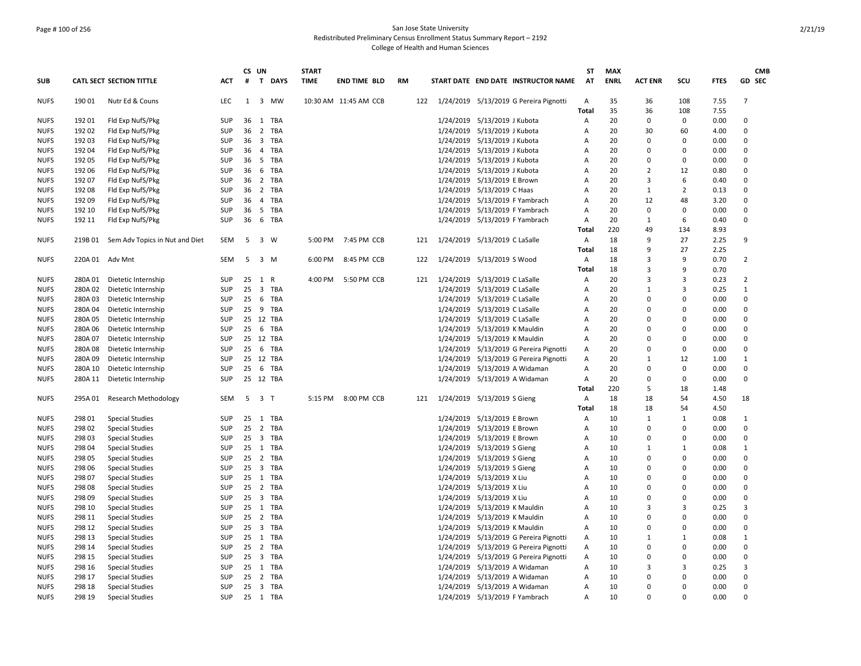### Page # 100 of 256 San Jose State University Redistributed Preliminary Census Enrollment Status Summary Report – 2192 College of Health and Human Sciences

|             |         |                                 |            | CS UN |                |     | <b>START</b> |                       |           |     |           |                                |                                        | ST    | <b>MAX</b>  |                |              |             | <b>CMB</b>     |
|-------------|---------|---------------------------------|------------|-------|----------------|-----|--------------|-----------------------|-----------|-----|-----------|--------------------------------|----------------------------------------|-------|-------------|----------------|--------------|-------------|----------------|
| <b>SUB</b>  |         | <b>CATL SECT SECTION TITTLE</b> | <b>ACT</b> | #     | T DAYS         |     | <b>TIME</b>  | <b>END TIME BLD</b>   | <b>RM</b> |     |           |                                | START DATE END DATE INSTRUCTOR NAME    | AT    | <b>ENRL</b> | <b>ACT ENR</b> | SCU          | <b>FTES</b> | GD SEC         |
| <b>NUFS</b> | 190 01  | Nutr Ed & Couns                 | <b>LEC</b> | 1     | $\overline{3}$ | MW  |              | 10:30 AM 11:45 AM CCB |           | 122 |           |                                | 1/24/2019 5/13/2019 G Pereira Pignotti | Α     | 35          | 36             | 108          | 7.55        | $\overline{7}$ |
|             |         |                                 |            |       |                |     |              |                       |           |     |           |                                |                                        | Total | 35          | 36             | 108          | 7.55        |                |
| <b>NUFS</b> | 192 01  | Fld Exp NufS/Pkg                | <b>SUP</b> | 36    | 1              | TBA |              |                       |           |     | 1/24/2019 | 5/13/2019 J Kubota             |                                        | Α     | 20          | $\mathbf 0$    | 0            | 0.00        | 0              |
| <b>NUFS</b> | 192 02  | Fld Exp NufS/Pkg                | <b>SUP</b> | 36    | $\overline{2}$ | TBA |              |                       |           |     | 1/24/2019 | 5/13/2019 J Kubota             |                                        | A     | 20          | 30             | 60           | 4.00        | $\Omega$       |
| <b>NUFS</b> | 192 03  | Fld Exp NufS/Pkg                | SUP        | 36    | 3 TBA          |     |              |                       |           |     |           | 1/24/2019 5/13/2019 J Kubota   |                                        | Α     | 20          | $\Omega$       | 0            | 0.00        | $\Omega$       |
| <b>NUFS</b> | 192 04  | Fld Exp NufS/Pkg                | SUP        | 36    | 4              | TBA |              |                       |           |     | 1/24/2019 | 5/13/2019 J Kubota             |                                        | A     | 20          | $\Omega$       | $\Omega$     | 0.00        | $\Omega$       |
| <b>NUFS</b> | 192 05  | Fld Exp NufS/Pkg                | SUP        | 36    | - 5            | TBA |              |                       |           |     | 1/24/2019 | 5/13/2019 J Kubota             |                                        | A     | 20          | 0              | 0            | 0.00        | 0              |
| <b>NUFS</b> | 192 06  | Fld Exp NufS/Pkg                | <b>SUP</b> | 36    | 6 TBA          |     |              |                       |           |     | 1/24/2019 | 5/13/2019 J Kubota             |                                        | A     | 20          | $\overline{2}$ | 12           | 0.80        | $\Omega$       |
| <b>NUFS</b> | 192 07  | Fld Exp NufS/Pkg                | SUP        | 36    | 2 TBA          |     |              |                       |           |     | 1/24/2019 | 5/13/2019 E Brown              |                                        | Α     | 20          | 3              | 6            | 0.40        | $\Omega$       |
| <b>NUFS</b> | 192 08  | Fld Exp NufS/Pkg                | <b>SUP</b> | 36    | 2 TBA          |     |              |                       |           |     |           | 1/24/2019 5/13/2019 C Haas     |                                        | A     | 20          | $\mathbf{1}$   | 2            | 0.13        | $\Omega$       |
| <b>NUFS</b> | 192 09  | Fld Exp NufS/Pkg                | <b>SUP</b> | 36    | $\overline{4}$ | TBA |              |                       |           |     | 1/24/2019 | 5/13/2019 F Yambrach           |                                        | A     | 20          | 12             | 48           | 3.20        | $\Omega$       |
| <b>NUFS</b> | 192 10  | Fld Exp NufS/Pkg                | <b>SUP</b> | 36    | 5 TBA          |     |              |                       |           |     | 1/24/2019 | 5/13/2019 F Yambrach           |                                        | Α     | 20          | $\mathbf 0$    | 0            | 0.00        | $\Omega$       |
| <b>NUFS</b> | 192 11  | Fld Exp NufS/Pkg                | SUP        | 36    | 6 TBA          |     |              |                       |           |     |           | 1/24/2019 5/13/2019 F Yambrach |                                        | Α     | 20          | $\mathbf{1}$   | 6            | 0.40        | 0              |
|             |         |                                 |            |       |                |     |              |                       |           |     |           |                                |                                        | Total | 220         | 49             | 134          | 8.93        |                |
| <b>NUFS</b> | 219B 01 | Sem Adv Topics in Nut and Diet  | SEM        | 5     | 3 W            |     |              | 5:00 PM 7:45 PM CCB   |           | 121 |           | 1/24/2019 5/13/2019 C LaSalle  |                                        | Α     | 18          | 9              | 27           | 2.25        | 9              |
|             |         |                                 |            |       |                |     |              |                       |           |     |           |                                |                                        | Total | 18          | 9              | 27           | 2.25        |                |
| <b>NUFS</b> |         | 220A 01 Adv Mnt                 | <b>SEM</b> | 5     | 3 M            |     | 6:00 PM      | 8:45 PM CCB           |           | 122 |           | 1/24/2019 5/13/2019 S Wood     |                                        | Α     | 18          | $\overline{3}$ | 9            | 0.70        | $\overline{2}$ |
|             |         |                                 |            |       |                |     |              |                       |           |     |           |                                |                                        | Total | 18          | $\overline{3}$ | 9            | 0.70        |                |
| <b>NUFS</b> | 280A 01 | Dietetic Internship             | <b>SUP</b> | 25    | 1<br>R         |     | 4:00 PM      | 5:50 PM CCB           |           | 121 | 1/24/2019 | 5/13/2019 C LaSalle            |                                        | Α     | 20          | $\mathbf{a}$   | 3            | 0.23        | $\overline{2}$ |
| <b>NUFS</b> | 280A 02 | Dietetic Internship             | SUP        | 25    | $\overline{3}$ | TBA |              |                       |           |     | 1/24/2019 | 5/13/2019 C LaSalle            |                                        | Α     | 20          | $\mathbf{1}$   | 3            | 0.25        | $\mathbf{1}$   |
| <b>NUFS</b> | 280A 03 | Dietetic Internship             | SUP        | 25    | 6 TBA          |     |              |                       |           |     |           | 1/24/2019 5/13/2019 C LaSalle  |                                        | A     | 20          | $\Omega$       | $\Omega$     | 0.00        | 0              |
| <b>NUFS</b> | 280A 04 | Dietetic Internship             | <b>SUP</b> | 25    | 9 TBA          |     |              |                       |           |     |           | 1/24/2019 5/13/2019 C LaSalle  |                                        | Α     | 20          | $\mathbf 0$    | $\Omega$     | 0.00        | $\Omega$       |
| <b>NUFS</b> | 280A 05 | Dietetic Internship             | <b>SUP</b> |       | 25 12 TBA      |     |              |                       |           |     |           | 1/24/2019 5/13/2019 C LaSalle  |                                        | Α     | 20          | $\Omega$       | $\Omega$     | 0.00        | $\Omega$       |
| <b>NUFS</b> | 280A 06 | Dietetic Internship             | SUP        | 25    | 6              | TBA |              |                       |           |     | 1/24/2019 | 5/13/2019 K Mauldin            |                                        | A     | 20          | $\Omega$       | $\Omega$     | 0.00        | $\Omega$       |
| <b>NUFS</b> | 280A 07 | Dietetic Internship             | <b>SUP</b> |       | 25 12 TBA      |     |              |                       |           |     | 1/24/2019 | 5/13/2019 K Mauldin            |                                        | Α     | 20          | $\mathbf 0$    | $\Omega$     | 0.00        | $\Omega$       |
| <b>NUFS</b> | 280A08  | Dietetic Internship             | <b>SUP</b> | 25    | 6 TBA          |     |              |                       |           |     | 1/24/2019 |                                | 5/13/2019 G Pereira Pignotti           | Α     | 20          | $\Omega$       | $\Omega$     | 0.00        | $\Omega$       |
| <b>NUFS</b> | 280A09  | Dietetic Internship             | SUP        |       | 25 12 TBA      |     |              |                       |           |     | 1/24/2019 |                                | 5/13/2019 G Pereira Pignotti           | Α     | 20          | 1              | 12           | 1.00        | 1              |
| <b>NUFS</b> | 280A 10 |                                 | <b>SUP</b> | 25    | 6 TBA          |     |              |                       |           |     |           |                                |                                        |       | 20          | $\Omega$       | 0            | 0.00        | $\Omega$       |
|             |         | Dietetic Internship             |            | 25    |                |     |              |                       |           |     |           | 1/24/2019 5/13/2019 A Widaman  |                                        | Α     | 20          |                | 0            |             |                |
| <b>NUFS</b> | 280A 11 | Dietetic Internship             | SUP        |       | 12 TBA         |     |              |                       |           |     |           | 1/24/2019 5/13/2019 A Widaman  |                                        | Α     |             | 0              |              | 0.00        | 0              |
|             |         |                                 |            |       |                |     |              |                       |           |     |           |                                |                                        | Total | 220         | 5              | 18           | 1.48        |                |
| <b>NUFS</b> | 295A 01 | <b>Research Methodology</b>     | <b>SEM</b> | 5     | 3 T            |     | 5:15 PM      | 8:00 PM CCB           |           | 121 |           | 1/24/2019 5/13/2019 S Gieng    |                                        | Α     | 18          | 18             | 54           | 4.50        | 18             |
|             |         |                                 |            |       |                |     |              |                       |           |     |           |                                |                                        | Total | 18          | 18             | 54           | 4.50        |                |
| <b>NUFS</b> | 298 01  | <b>Special Studies</b>          | SUP        | 25    | 1 TBA          |     |              |                       |           |     |           | 1/24/2019 5/13/2019 E Brown    |                                        | Α     | 10          | 1              | $\mathbf{1}$ | 0.08        | 1              |
| <b>NUFS</b> | 298 02  | <b>Special Studies</b>          | SUP        | 25    | 2 TBA          |     |              |                       |           |     |           | 1/24/2019 5/13/2019 E Brown    |                                        | Α     | 10          | $\mathbf 0$    | $\Omega$     | 0.00        | 0              |
| <b>NUFS</b> | 298 03  | <b>Special Studies</b>          | SUP        | 25    | 3 TBA          |     |              |                       |           |     |           | 1/24/2019 5/13/2019 E Brown    |                                        | Α     | 10          | $\mathbf 0$    | $\Omega$     | 0.00        | $\Omega$       |
| <b>NUFS</b> | 298 04  | <b>Special Studies</b>          | <b>SUP</b> |       | 25 1 TBA       |     |              |                       |           |     |           | 1/24/2019 5/13/2019 S Gieng    |                                        | Α     | 10          | 1              | $\mathbf{1}$ | 0.08        | 1              |
| <b>NUFS</b> | 298 05  | <b>Special Studies</b>          | <b>SUP</b> | 25    | $\overline{2}$ | TBA |              |                       |           |     |           | 1/24/2019 5/13/2019 S Gieng    |                                        | Α     | 10          | $\mathbf 0$    | $\Omega$     | 0.00        | $\Omega$       |
| <b>NUFS</b> | 298 06  | <b>Special Studies</b>          | SUP        |       | 25 3 TBA       |     |              |                       |           |     |           | 1/24/2019 5/13/2019 S Gieng    |                                        | Α     | 10          | $\mathbf 0$    | $\Omega$     | 0.00        | $\Omega$       |
| <b>NUFS</b> | 298 07  | <b>Special Studies</b>          | <b>SUP</b> | 25    | 1 TBA          |     |              |                       |           |     |           | 1/24/2019 5/13/2019 X Liu      |                                        | A     | 10          | $\Omega$       | $\Omega$     | 0.00        | $\Omega$       |
| <b>NUFS</b> | 298 08  | <b>Special Studies</b>          | SUP        |       | 25 2 TBA       |     |              |                       |           |     |           | 1/24/2019 5/13/2019 X Liu      |                                        | Α     | 10          | $\Omega$       | $\Omega$     | 0.00        | $\Omega$       |
| <b>NUFS</b> | 298 09  | <b>Special Studies</b>          | SUP        |       | 25 3 TBA       |     |              |                       |           |     |           | 1/24/2019 5/13/2019 X Liu      |                                        | А     | 10          | $\Omega$       | $\Omega$     | 0.00        | $\Omega$       |
| <b>NUFS</b> | 298 10  | <b>Special Studies</b>          | <b>SUP</b> | 25    | $\mathbf{1}$   | TBA |              |                       |           |     | 1/24/2019 | 5/13/2019 K Mauldin            |                                        | A     | 10          | 3              | 3            | 0.25        | 3              |
| <b>NUFS</b> | 298 11  | <b>Special Studies</b>          | <b>SUP</b> |       | 25 2 TBA       |     |              |                       |           |     | 1/24/2019 | 5/13/2019 K Mauldin            |                                        | Α     | 10          | $\Omega$       | $\Omega$     | 0.00        | $\Omega$       |
| <b>NUFS</b> | 298 12  | <b>Special Studies</b>          | <b>SUP</b> | 25    | 3 TBA          |     |              |                       |           |     |           | 1/24/2019 5/13/2019 K Mauldin  |                                        | Α     | 10          | $\Omega$       | $\Omega$     | 0.00        | $\Omega$       |
| <b>NUFS</b> | 298 13  | <b>Special Studies</b>          | <b>SUP</b> |       | $25 \quad 1$   | TBA |              |                       |           |     | 1/24/2019 |                                | 5/13/2019 G Pereira Pignotti           | Α     | 10          | $\mathbf{1}$   | $\mathbf{1}$ | 0.08        | $\mathbf{1}$   |
| <b>NUFS</b> | 298 14  | <b>Special Studies</b>          | <b>SUP</b> | 25    | 2 TBA          |     |              |                       |           |     |           |                                | 1/24/2019 5/13/2019 G Pereira Pignotti | Α     | 10          | $\mathbf 0$    | 0            | 0.00        | $\Omega$       |
| <b>NUFS</b> | 298 15  | <b>Special Studies</b>          | SUP        | 25    | 3 TBA          |     |              |                       |           |     | 1/24/2019 |                                | 5/13/2019 G Pereira Pignotti           | Α     | 10          | $\mathbf 0$    | 0            | 0.00        | 0              |
| <b>NUFS</b> | 298 16  | <b>Special Studies</b>          | SUP        | 25    | 1 TBA          |     |              |                       |           |     | 1/24/2019 | 5/13/2019 A Widaman            |                                        | Α     | 10          | $\overline{3}$ | 3            | 0.25        | 3              |
| <b>NUFS</b> | 298 17  | <b>Special Studies</b>          | <b>SUP</b> |       | 25 2 TBA       |     |              |                       |           |     |           | 1/24/2019 5/13/2019 A Widaman  |                                        | A     | 10          | $\Omega$       | $\Omega$     | 0.00        | $\Omega$       |
| <b>NUFS</b> | 298 18  | <b>Special Studies</b>          | <b>SUP</b> |       | 25 3 TBA       |     |              |                       |           |     |           | 1/24/2019 5/13/2019 A Widaman  |                                        | A     | 10          | $\Omega$       | $\Omega$     | 0.00        | $\Omega$       |
| <b>NUFS</b> | 298 19  | <b>Special Studies</b>          | <b>SUP</b> |       | 25 1 TBA       |     |              |                       |           |     |           | 1/24/2019 5/13/2019 F Yambrach |                                        | A     | 10          | $\Omega$       | <sup>n</sup> | 0.00        | $\Omega$       |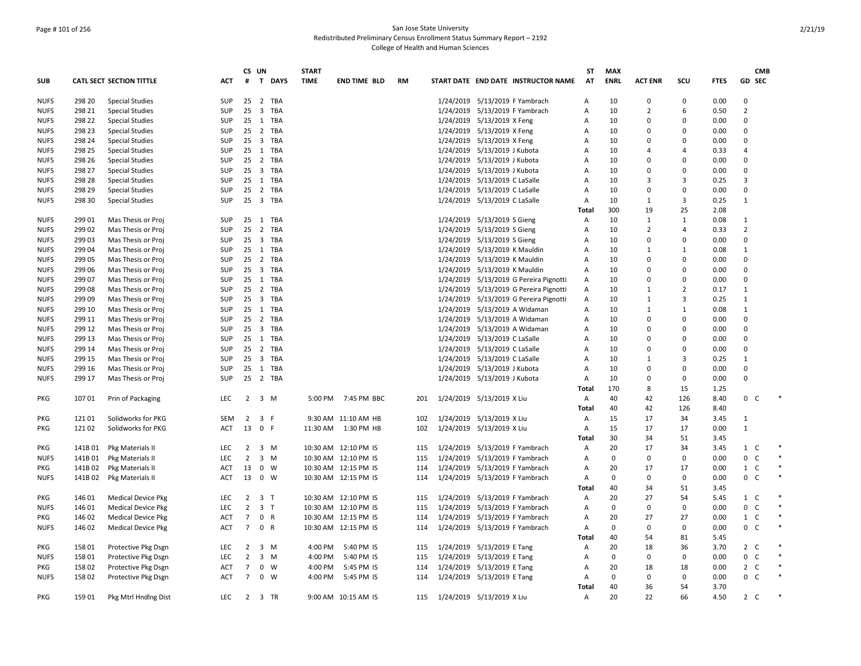## Page # 101 of 256 San Jose State University Redistributed Preliminary Census Enrollment Status Summary Report – 2192 College of Health and Human Sciences

|             |         |                                 |            |                | CS UN               |                | <b>START</b> |                      |     |                                        | SΤ             | <b>MAX</b>  |                |                |             |                            | <b>CMB</b> |
|-------------|---------|---------------------------------|------------|----------------|---------------------|----------------|--------------|----------------------|-----|----------------------------------------|----------------|-------------|----------------|----------------|-------------|----------------------------|------------|
| SUB         |         | <b>CATL SECT SECTION TITTLE</b> | ACT        | #              |                     | <b>T DAYS</b>  | <b>TIME</b>  | <b>END TIME BLD</b>  | RM  | START DATE END DATE INSTRUCTOR NAME    | AT             | <b>ENRL</b> | <b>ACT ENR</b> | scu            | <b>FTES</b> | <b>GD SEC</b>              |            |
| <b>NUFS</b> | 298 20  | <b>Special Studies</b>          | SUP        | 25             |                     | 2 TBA          |              |                      |     | 1/24/2019 5/13/2019 F Yambrach         | А              | 10          | $\Omega$       | $\Omega$       | 0.00        | $\Omega$                   |            |
| <b>NUFS</b> | 298 21  | <b>Special Studies</b>          | SUP        | 25             |                     | 3 TBA          |              |                      |     | 1/24/2019 5/13/2019 F Yambrach         | Α              | 10          | $\overline{2}$ | 6              | 0.50        | $\overline{2}$             |            |
| <b>NUFS</b> | 298 22  | <b>Special Studies</b>          | SUP        | 25             |                     | 1 TBA          |              |                      |     | 1/24/2019 5/13/2019 X Feng             | A              | 10          | 0              | 0              | 0.00        | 0                          |            |
| <b>NUFS</b> | 298 23  | <b>Special Studies</b>          | SUP        | 25             |                     | 2 TBA          |              |                      |     | 1/24/2019 5/13/2019 X Feng             | Α              | 10          | $\Omega$       | $\Omega$       | 0.00        | $\Omega$                   |            |
| <b>NUFS</b> | 298 24  | <b>Special Studies</b>          | SUP        |                |                     | 25 3 TBA       |              |                      |     | 1/24/2019 5/13/2019 X Feng             | Α              | 10          | $\Omega$       | $\Omega$       | 0.00        | $\Omega$                   |            |
| <b>NUFS</b> | 298 25  | <b>Special Studies</b>          | SUP        | 25             |                     | 1 TBA          |              |                      |     | 1/24/2019 5/13/2019 J Kubota           | A              | 10          | Δ              | 4              | 0.33        | $\overline{a}$             |            |
| <b>NUFS</b> | 298 26  | <b>Special Studies</b>          | SUP        |                |                     | 25 2 TBA       |              |                      |     | 1/24/2019 5/13/2019 J Kubota           | A              | 10          | 0              | $\mathbf 0$    | 0.00        | 0                          |            |
| <b>NUFS</b> | 298 27  | <b>Special Studies</b>          | SUP        |                |                     | 25 3 TBA       |              |                      |     | 1/24/2019 5/13/2019 J Kubota           | Α              | 10          | 0              | $\Omega$       | 0.00        | $\Omega$                   |            |
| <b>NUFS</b> | 298 28  | <b>Special Studies</b>          | SUP        |                |                     | 25 1 TBA       |              |                      |     | 1/24/2019 5/13/2019 C LaSalle          | Α              | 10          | 3              | 3              | 0.25        | 3                          |            |
| <b>NUFS</b> | 298 29  | <b>Special Studies</b>          | SUP        | 25             |                     | 2 TBA          |              |                      |     | 1/24/2019 5/13/2019 C LaSalle          | Α              | 10          | $\Omega$       | $\Omega$       | 0.00        | $\Omega$                   |            |
| <b>NUFS</b> | 298 30  | <b>Special Studies</b>          | SUP        | 25             |                     | 3 TBA          |              |                      |     | 1/24/2019 5/13/2019 C LaSalle          | Α              | 10          | 1              | 3              | 0.25        | $\mathbf{1}$               |            |
|             |         |                                 |            |                |                     |                |              |                      |     |                                        | Total          | 300         | 19             | 25             | 2.08        |                            |            |
| <b>NUFS</b> | 299 01  | Mas Thesis or Proj              | SUP        |                |                     | 25 1 TBA       |              |                      |     | 1/24/2019 5/13/2019 S Gieng            | Α              | 10          | 1              | $\mathbf{1}$   | 0.08        | 1                          |            |
| <b>NUFS</b> | 29902   | Mas Thesis or Proj              | SUP        | 25             |                     | 2 TBA          |              |                      |     | 1/24/2019 5/13/2019 S Gieng            | Α              | 10          | $\overline{2}$ | 4              | 0.33        | $\overline{2}$             |            |
| <b>NUFS</b> | 299 03  | Mas Thesis or Proj              | SUP        |                |                     | 25 3 TBA       |              |                      |     | 1/24/2019 5/13/2019 S Gieng            | Α              | 10          | $\Omega$       | 0              | 0.00        | 0                          |            |
| <b>NUFS</b> | 299 04  | Mas Thesis or Proj              | SUP        | 25             |                     | 1 TBA          |              |                      |     | 1/24/2019 5/13/2019 K Mauldin          | Α              | 10          | 1              | 1              | 0.08        | $\mathbf{1}$               |            |
| <b>NUFS</b> | 299 05  | Mas Thesis or Proj              | SUP        | 25             |                     | 2 TBA          |              |                      |     | 1/24/2019 5/13/2019 K Mauldin          | A              | 10          | $\Omega$       | 0              | 0.00        | $\Omega$                   |            |
| <b>NUFS</b> | 299 06  | Mas Thesis or Proj              | SUP        |                |                     | 25 3 TBA       |              |                      |     | 1/24/2019 5/13/2019 K Mauldin          | A              | 10          | $\Omega$       | $\Omega$       | 0.00        | $\Omega$                   |            |
| <b>NUFS</b> | 299 07  | Mas Thesis or Proj              | <b>SUP</b> | 25             |                     | 1 TBA          |              |                      |     | 1/24/2019 5/13/2019 G Pereira Pignotti | A              | 10          | $\Omega$       | $\Omega$       | 0.00        | 0                          |            |
| <b>NUFS</b> | 299 08  | Mas Thesis or Proj              | SUP        | 25             |                     | 2 TBA          |              |                      |     | 1/24/2019 5/13/2019 G Pereira Pignotti | А              | 10          | 1              | $\overline{2}$ | 0.17        | $\mathbf{1}$               |            |
| <b>NUFS</b> | 299 09  | Mas Thesis or Proj              | SUP        |                |                     | 25 3 TBA       |              |                      |     | 1/24/2019 5/13/2019 G Pereira Pignotti | Α              | 10          | $\mathbf{1}$   | 3              | 0.25        | $\mathbf{1}$               |            |
| <b>NUFS</b> | 299 10  | Mas Thesis or Proj              | SUP        |                |                     | 25 1 TBA       |              |                      |     | 1/24/2019 5/13/2019 A Widaman          | A              | 10          | 1              | $\mathbf{1}$   | 0.08        | $\mathbf{1}$               |            |
| <b>NUFS</b> | 299 11  | Mas Thesis or Proj              | <b>SUP</b> | 25             |                     | 2 TBA          |              |                      |     | 1/24/2019 5/13/2019 A Widaman          | $\overline{A}$ | 10          | $\Omega$       | 0              | 0.00        | 0                          |            |
| <b>NUFS</b> | 299 12  | Mas Thesis or Proj              | SUP        | 25             |                     | 3 TBA          |              |                      |     | 1/24/2019 5/13/2019 A Widaman          | Α              | 10          | n              | $\Omega$       | 0.00        | 0                          |            |
| <b>NUFS</b> | 299 13  | Mas Thesis or Proj              | SUP        | 25             |                     | 1 TBA          |              |                      |     | 1/24/2019 5/13/2019 C LaSalle          | Α              | 10          | $\Omega$       | $\Omega$       | 0.00        | $\Omega$                   |            |
| <b>NUFS</b> | 299 14  | Mas Thesis or Proj              | SUP        |                |                     | 25 2 TBA       |              |                      |     | 1/24/2019 5/13/2019 C LaSalle          | Α              | 10          | $\Omega$       | $\Omega$       | 0.00        | 0                          |            |
| <b>NUFS</b> | 299 15  | Mas Thesis or Proj              | <b>SUP</b> | 25             |                     | 3 TBA          |              |                      |     | 1/24/2019 5/13/2019 C LaSalle          | $\overline{A}$ | 10          | 1              | 3              | 0.25        | $\mathbf{1}$               |            |
| <b>NUFS</b> | 299 16  | Mas Thesis or Proj              | SUP        | 25             |                     | 1 TBA          |              |                      |     | 1/24/2019 5/13/2019 J Kubota           | A              | 10          | $\Omega$       | 0              | 0.00        | 0                          |            |
| <b>NUFS</b> | 299 17  | Mas Thesis or Proj              | SUP        | 25             |                     | 2 TBA          |              |                      |     | 1/24/2019 5/13/2019 J Kubota           | Α              | 10          | $\Omega$       | 0              | 0.00        | 0                          |            |
|             |         |                                 |            |                |                     |                |              |                      |     |                                        | Total          | 170         | 8              | 15             | 1.25        |                            |            |
| <b>PKG</b>  | 10701   | Prin of Packaging               | <b>LEC</b> |                | $2 \quad 3 \quad M$ |                |              | 5:00 PM 7:45 PM BBC  | 201 | 1/24/2019 5/13/2019 X Liu              | Α              | 40          | 42             | 126            | 8.40        | 0 <sup>o</sup>             |            |
|             |         |                                 |            |                |                     |                |              |                      |     |                                        | <b>Total</b>   | 40          | 42             | 126            | 8.40        |                            |            |
| PKG         | 121 01  | Solidworks for PKG              | SEM        | $\overline{2}$ | 3 F                 |                |              | 9:30 AM 11:10 AM HB  | 102 | 1/24/2019 5/13/2019 X Liu              | Α              | 15          | 17             | 34             | 3.45        | $\mathbf{1}$               |            |
| PKG         | 12102   | Solidworks for PKG              | ACT        | 13             | 0 F                 |                | 11:30 AM     | 1:30 PM HB           | 102 | 1/24/2019 5/13/2019 X Liu              | Α              | 15          | 17             | 17             | 0.00        | $\mathbf{1}$               |            |
|             |         |                                 |            |                |                     |                |              |                      |     |                                        | Total          | 30          | 34             | 51             | 3.45        |                            |            |
| PKG         | 141B01  | Pkg Materials II                | <b>LEC</b> | $\overline{2}$ |                     | 3 M            |              | 10:30 AM 12:10 PM IS | 115 | 1/24/2019 5/13/2019 F Yambrach         | Α              | 20          | 17             | 34             | 3.45        | $1\quad C$                 |            |
| <b>NUFS</b> | 141B01  | Pkg Materials II                | <b>LEC</b> | $\overline{2}$ |                     | $3 \, M$       |              | 10:30 AM 12:10 PM IS | 115 | 1/24/2019 5/13/2019 F Yambrach         | Α              | 0           | $\Omega$       | $\Omega$       | 0.00        | 0<br>$\mathsf{C}$          | $\ast$     |
| PKG         | 141B 02 |                                 | ACT        | 13             |                     | 0 W            |              | 10:30 AM 12:15 PM IS | 114 | 1/24/2019 5/13/2019 F Yambrach         | Α              | 20          | 17             | 17             | 0.00        | $1 \quad C$                |            |
| <b>NUFS</b> | 141B 02 | Pkg Materials II                | <b>ACT</b> |                | 13 0 W              |                |              | 10:30 AM 12:15 PM IS | 114 | 1/24/2019 5/13/2019 F Yambrach         | Α              | 0           | $\Omega$       | 0              | 0.00        | $0-$                       | $\ast$     |
|             |         | Pkg Materials II                |            |                |                     |                |              |                      |     |                                        | Total          | 40          | 34             | 51             | 3.45        |                            |            |
|             | 146 01  |                                 |            | $\overline{2}$ |                     |                |              |                      |     |                                        |                | 20          | 27             |                |             |                            |            |
| PKG         |         | <b>Medical Device Pkg</b>       | LEC        | $\overline{2}$ | 3 <sub>1</sub>      | 3 <sub>7</sub> |              | 10:30 AM 12:10 PM IS | 115 | 1/24/2019 5/13/2019 F Yambrach         | Α              | $\mathbf 0$ |                | 54             | 5.45        | $1\quad C$<br>$\mathsf{C}$ | $\ast$     |
| <b>NUFS</b> | 146 01  | <b>Medical Device Pkg</b>       | LEC        |                |                     |                |              | 10:30 AM 12:10 PM IS | 115 | 1/24/2019 5/13/2019 F Yambrach         | Α              |             | $\Omega$       | 0              | 0.00        | 0                          | $\ast$     |
| PKG         | 146 02  | <b>Medical Device Pkg</b>       | ACT        | 7              | 0 R                 |                |              | 10:30 AM 12:15 PM IS | 114 | 1/24/2019 5/13/2019 F Yambrach         | Α              | 20          | 27             | 27             | 0.00        | 1 C                        | $\ast$     |
| <b>NUFS</b> | 146 02  | <b>Medical Device Pkg</b>       | <b>ACT</b> | $7^{\circ}$    |                     | 0 R            |              | 10:30 AM 12:15 PM IS | 114 | 1/24/2019 5/13/2019 F Yambrach         | $\overline{A}$ | $\mathbf 0$ | $\Omega$       | 0              | 0.00        | $0-$                       |            |
|             |         |                                 |            |                |                     |                |              |                      |     |                                        | <b>Total</b>   | 40          | 54             | 81             | 5.45        |                            |            |
| PKG         | 158 01  | Protective Pkg Dsgn             | <b>LEC</b> | $\overline{2}$ |                     | $3 \, M$       | 4:00 PM      | 5:40 PM IS           | 115 | 1/24/2019 5/13/2019 E Tang             | Α              | 20          | 18             | 36             | 3.70        | $2\degree$ C               |            |
| <b>NUFS</b> | 158 01  | Protective Pkg Dsgn             | <b>LEC</b> | $\overline{2}$ |                     | $3 \, M$       | 4:00 PM      | 5:40 PM IS           | 115 | 1/24/2019 5/13/2019 E Tang             | Α              | $\mathbf 0$ | 0              | 0              | 0.00        | $0-$                       |            |
| PKG         | 158 02  | Protective Pkg Dsgn             | ACT        | $\overline{7}$ |                     | $0 \quad W$    | 4:00 PM      | 5:45 PM IS           | 114 | 1/24/2019 5/13/2019 E Tang             | Α              | 20          | 18             | 18             | 0.00        | $\overline{2}$<br>C        |            |
| <b>NUFS</b> | 15802   | Protective Pkg Dsgn             | <b>ACT</b> | $7^{\circ}$    |                     | $0 \quad W$    | 4:00 PM      | 5:45 PM IS           | 114 | 1/24/2019 5/13/2019 E Tang             | Α              | $\mathbf 0$ | 0              | 0              | 0.00        | $0-$                       |            |
|             |         |                                 |            |                |                     |                |              |                      |     |                                        | Total          | 40          | 36             | 54             | 3.70        |                            |            |
| PKG         | 159 01  | Pkg Mtrl Hndlng Dist            | LEC        |                |                     | 2 3 TR         |              | 9:00 AM 10:15 AM IS  | 115 | 1/24/2019 5/13/2019 X Liu              | Α              | 20          | 22             | 66             | 4.50        | $2\quad C$                 |            |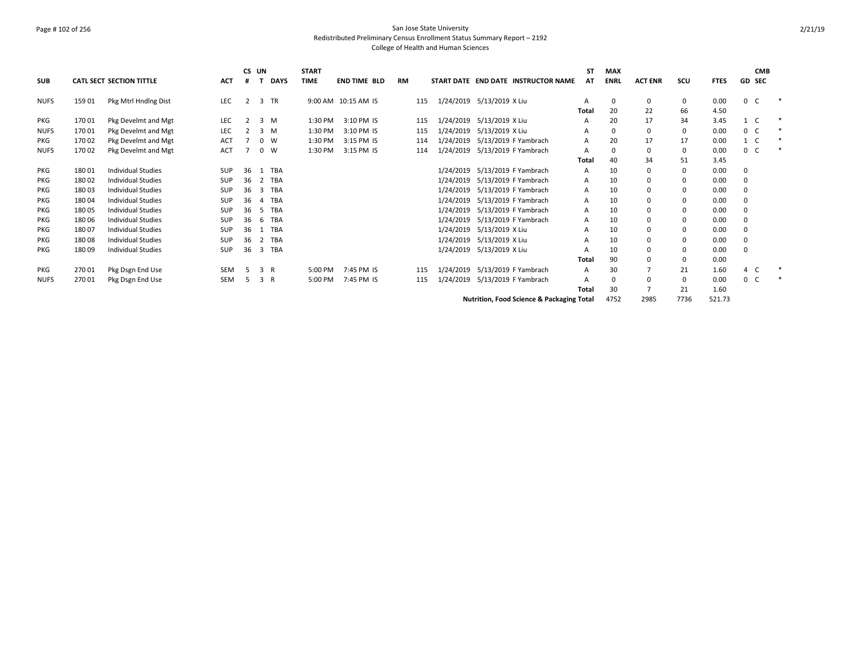## Page # 102 of 256 San Jose State University Redistributed Preliminary Census Enrollment Status Summary Report – 2192 College of Health and Human Sciences

|             |        |                                 |            |    | CS UN          |             | <b>START</b> |                     |           |           |                                           | <b>ST</b> | <b>MAX</b>  |                |          |             |                | <b>CMB</b>    |        |
|-------------|--------|---------------------------------|------------|----|----------------|-------------|--------------|---------------------|-----------|-----------|-------------------------------------------|-----------|-------------|----------------|----------|-------------|----------------|---------------|--------|
| <b>SUB</b>  |        | <b>CATL SECT SECTION TITTLE</b> | <b>ACT</b> | #  |                | <b>DAYS</b> | TIME         | <b>END TIME BLD</b> | <b>RM</b> |           | START DATE END DATE INSTRUCTOR NAME       | AT        | <b>ENRL</b> | <b>ACT ENR</b> | scu      | <b>FTES</b> |                | <b>GD SEC</b> |        |
| <b>NUFS</b> | 159 01 | Pkg Mtrl Hndlng Dist            | <b>LEC</b> | 2  |                | 3 TR        |              | 9:00 AM 10:15 AM IS | 115       |           | 1/24/2019 5/13/2019 X Liu                 | A         | 0           | 0              | 0        | 0.00        | 0 <sup>o</sup> |               |        |
|             |        |                                 |            |    |                |             |              |                     |           |           |                                           | Total     | 20          | 22             | 66       | 4.50        |                |               |        |
| <b>PKG</b>  | 170 01 | Pkg Develmt and Mgt             | <b>LEC</b> |    |                | $3 \, M$    | 1:30 PM      | 3:10 PM IS          | 115       |           | 1/24/2019 5/13/2019 X Liu                 | А         | 20          | 17             | 34       | 3.45        | 1 C            |               |        |
| <b>NUFS</b> | 17001  | Pkg Develmt and Mgt             | LEC        |    |                | $3 \, M$    | 1:30 PM      | 3:10 PM IS          | 115       | 1/24/2019 | 5/13/2019 X Liu                           | A         | $\Omega$    | 0              | 0        | 0.00        | 0 <sup>o</sup> |               |        |
| <b>PKG</b>  | 17002  | Pkg Develmt and Mgt             | <b>ACT</b> |    |                | $0 \quad W$ | 1:30 PM      | 3:15 PM IS          | 114       | 1/24/2019 | 5/13/2019 F Yambrach                      | A         | 20          | 17             | 17       | 0.00        | $1\quad C$     |               |        |
| <b>NUFS</b> | 17002  | Pkg Develmt and Mgt             | <b>ACT</b> |    |                | $0 \quad W$ | 1:30 PM      | 3:15 PM IS          | 114       |           | 1/24/2019 5/13/2019 F Yambrach            | A         | $\Omega$    |                | 0        | 0.00        | 0 <sup>o</sup> |               | $\ast$ |
|             |        |                                 |            |    |                |             |              |                     |           |           |                                           | Total     | 40          | 34             | 51       | 3.45        |                |               |        |
| <b>PKG</b>  | 18001  | Individual Studies              | <b>SUP</b> | 36 |                | 1 TBA       |              |                     |           | 1/24/2019 | 5/13/2019 F Yambrach                      | A         | 10          |                | 0        | 0.00        |                |               |        |
| PKG         | 18002  | <b>Individual Studies</b>       | SUP        | 36 |                | 2 TBA       |              |                     |           | 1/24/2019 | 5/13/2019 F Yambrach                      | A         | 10          |                | $\Omega$ | 0.00        | 0              |               |        |
| <b>PKG</b>  | 180 03 | <b>Individual Studies</b>       | SUP        | 36 | 3              | TBA         |              |                     |           | 1/24/2019 | 5/13/2019 F Yambrach                      | A         | 10          |                | 0        | 0.00        |                |               |        |
| <b>PKG</b>  | 180 04 | <b>Individual Studies</b>       | SUP        | 36 | $\overline{a}$ | <b>TBA</b>  |              |                     |           | 1/24/2019 | 5/13/2019 F Yambrach                      | A         | 10          |                | $\Omega$ | 0.00        |                |               |        |
| <b>PKG</b>  | 18005  | <b>Individual Studies</b>       | SUP        | 36 | -5             | TBA         |              |                     |           | 1/24/2019 | 5/13/2019 F Yambrach                      | A         | 10          |                | 0        | 0.00        |                |               |        |
| <b>PKG</b>  | 18006  | <b>Individual Studies</b>       | <b>SUP</b> | 36 | 6              | TBA         |              |                     |           | 1/24/2019 | 5/13/2019 F Yambrach                      | A         | 10          |                | $\Omega$ | 0.00        |                |               |        |
| PKG         | 18007  | <b>Individual Studies</b>       | SUP        | 36 | 1              | TBA         |              |                     |           | 1/24/2019 | 5/13/2019 X Liu                           |           | 10          |                | 0        | 0.00        |                |               |        |
| <b>PKG</b>  | 18008  | <b>Individual Studies</b>       | <b>SUP</b> | 36 | $\mathbf{2}$   | TBA         |              |                     |           | 1/24/2019 | 5/13/2019 X Liu                           | A         | 10          |                | $\Omega$ | 0.00        |                |               |        |
| PKG         | 18009  | <b>Individual Studies</b>       | SUP        | 36 | 3              | TBA         |              |                     |           | 1/24/2019 | 5/13/2019 X Liu                           |           | 10          |                | 0        | 0.00        |                |               |        |
|             |        |                                 |            |    |                |             |              |                     |           |           |                                           | Total     | 90          |                | 0        | 0.00        |                |               |        |
| PKG         | 270 01 | Pkg Dsgn End Use                | <b>SEM</b> | -5 | 3 R            |             | 5:00 PM      | 7:45 PM IS          | 115       | 1/24/2019 | 5/13/2019 F Yambrach                      | A         | 30          |                | 21       | 1.60        | 4 C            |               |        |
| <b>NUFS</b> | 270 01 | Pkg Dsgn End Use                | <b>SEM</b> | -5 | 3 R            |             | 5:00 PM      | 7:45 PM IS          | 115       | 1/24/2019 | 5/13/2019 F Yambrach                      |           | $\Omega$    |                | 0        | 0.00        | 0 <sup>o</sup> |               | $\ast$ |
|             |        |                                 |            |    |                |             |              |                     |           |           |                                           | Total     | 30          |                | 21       | 1.60        |                |               |        |
|             |        |                                 |            |    |                |             |              |                     |           |           | Nutrition, Food Science & Packaging Total |           | 4752        | 2985           | 7736     | 521.73      |                |               |        |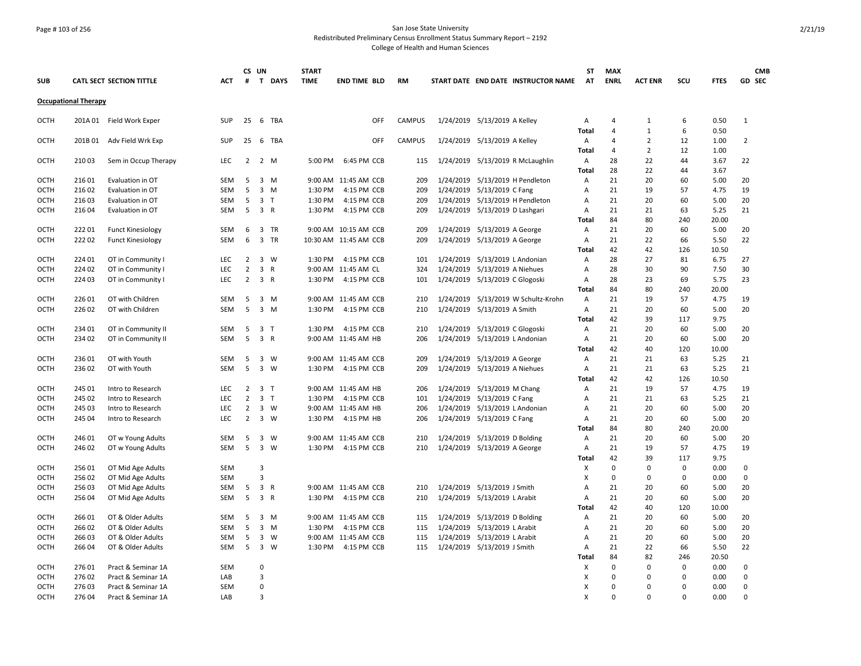## Page # 103 of 256 San Jose State University Redistributed Preliminary Census Enrollment Status Summary Report – 2192

|                            |                             |                                                      |                          |                | CS UN                   |                | <b>START</b> |                                               |            |               |           |                                                               |                                     | ST           | <b>MAX</b>     |                |             |              | <b>CMB</b>     |
|----------------------------|-----------------------------|------------------------------------------------------|--------------------------|----------------|-------------------------|----------------|--------------|-----------------------------------------------|------------|---------------|-----------|---------------------------------------------------------------|-------------------------------------|--------------|----------------|----------------|-------------|--------------|----------------|
| <b>SUB</b>                 |                             | CATL SECT SECTION TITTLE                             | <b>ACT</b>               | #              |                         | T DAYS         | <b>TIME</b>  | <b>END TIME BLD</b>                           |            | <b>RM</b>     |           |                                                               | START DATE END DATE INSTRUCTOR NAME | <b>AT</b>    | <b>ENRL</b>    | <b>ACT ENR</b> | SCU         | <b>FTES</b>  | GD SEC         |
|                            | <b>Occupational Therapy</b> |                                                      |                          |                |                         |                |              |                                               |            |               |           |                                                               |                                     |              |                |                |             |              |                |
| OCTH                       |                             | 201A 01 Field Work Exper                             | <b>SUP</b>               | 25             |                         | 6 TBA          |              |                                               | OFF        | <b>CAMPUS</b> |           | 1/24/2019 5/13/2019 A Kelley                                  |                                     | Α            | 4              | 1              | 6           | 0.50         | 1              |
|                            |                             |                                                      |                          |                |                         |                |              |                                               |            |               |           |                                                               |                                     | <b>Total</b> | $\overline{4}$ | $\mathbf{1}$   | 6           | 0.50         |                |
| <b>OCTH</b>                | 201B01                      | Adv Field Wrk Exp                                    | <b>SUP</b>               | 25             |                         | 6 TBA          |              |                                               | <b>OFF</b> | <b>CAMPUS</b> |           | 1/24/2019 5/13/2019 A Kelley                                  |                                     | A            | $\overline{4}$ | $\overline{2}$ | 12          | 1.00         | $\overline{2}$ |
|                            |                             |                                                      |                          |                |                         |                |              |                                               |            |               |           |                                                               |                                     | Total        | $\overline{4}$ | $\overline{2}$ | 12          | 1.00         |                |
| OCTH                       | 210 03                      | Sem in Occup Therapy                                 | LEC                      | $\overline{2}$ |                         | 2 M            | 5:00 PM      | 6:45 PM CCB                                   |            | 115           |           |                                                               | 1/24/2019 5/13/2019 R McLaughlin    | Α            | 28             | 22             | 44          | 3.67         | 22             |
|                            |                             |                                                      |                          |                |                         |                |              |                                               |            |               |           |                                                               |                                     | Total        | 28             | 22             | 44          | 3.67         |                |
| <b>OCTH</b>                | 21601                       | Evaluation in OT                                     | <b>SEM</b>               | 5              | 3                       | M              |              | 9:00 AM 11:45 AM CCB                          |            | 209           | 1/24/2019 |                                                               | 5/13/2019 H Pendleton               | A            | 21             | 20             | 60          | 5.00         | 20             |
| <b>OCTH</b>                | 216 02                      | Evaluation in OT                                     | SEM                      | 5              | $\overline{3}$          | M              | 1:30 PM      | 4:15 PM CCB                                   |            | 209           | 1/24/2019 | 5/13/2019 C Fang                                              |                                     | Α            | 21             | 19             | 57          | 4.75         | 19             |
| <b>OCTH</b>                | 21603                       | Evaluation in OT                                     | <b>SEM</b>               | 5              |                         | 3 <sub>T</sub> | 1:30 PM      | 4:15 PM CCB                                   |            | 209           |           |                                                               | 1/24/2019 5/13/2019 H Pendleton     | A            | 21             | 20             | 60          | 5.00         | 20             |
| OCTH                       | 216 04                      | Evaluation in OT                                     | <b>SEM</b>               | 5              |                         | 3 R            | 1:30 PM      | 4:15 PM CCB                                   |            | 209           |           | 1/24/2019 5/13/2019 D Lashgari                                |                                     | Α            | 21             | 21             | 63          | 5.25         | 21             |
|                            | 22201                       |                                                      |                          |                |                         |                |              |                                               |            |               |           |                                                               |                                     | Total        | 84<br>21       | 80<br>20       | 240         | 20.00        |                |
| <b>OCTH</b><br>OCTH        | 22202                       | <b>Funct Kinesiology</b><br><b>Funct Kinesiology</b> | <b>SEM</b><br><b>SEM</b> | 6<br>6         | $\overline{\mathbf{3}}$ | TR<br>3 TR     |              | 9:00 AM 10:15 AM CCB<br>10:30 AM 11:45 AM CCB |            | 209<br>209    |           | 1/24/2019 5/13/2019 A George<br>1/24/2019 5/13/2019 A George  |                                     | Α<br>Α       | 21             | 22             | 60<br>66    | 5.00<br>5.50 | 20<br>22       |
|                            |                             |                                                      |                          |                |                         |                |              |                                               |            |               |           |                                                               |                                     | Total        | 42             | 42             | 126         | 10.50        |                |
| <b>OCTH</b>                | 224 01                      | OT in Community I                                    | <b>LEC</b>               | $\overline{2}$ | $\overline{3}$          | W              | 1:30 PM      | 4:15 PM CCB                                   |            | 101           |           | 1/24/2019 5/13/2019 L Andonian                                |                                     | A            | 28             | 27             | 81          | 6.75         | 27             |
| <b>OCTH</b>                | 224 02                      | OT in Community I                                    | <b>LEC</b>               | $\overline{2}$ | 3                       | $\mathsf{R}$   |              | 9:00 AM 11:45 AM CL                           |            | 324           | 1/24/2019 | 5/13/2019 A Niehues                                           |                                     | A            | 28             | 30             | 90          | 7.50         | 30             |
| OCTH                       | 224 03                      | OT in Community I                                    | LEC                      | $\overline{2}$ |                         | 3 R            | 1:30 PM      | 4:15 PM CCB                                   |            | 101           | 1/24/2019 | 5/13/2019 C Glogoski                                          |                                     | Α            | 28             | 23             | 69          | 5.75         | 23             |
|                            |                             |                                                      |                          |                |                         |                |              |                                               |            |               |           |                                                               |                                     | Total        | 84             | 80             | 240         | 20.00        |                |
| <b>OCTH</b>                | 226 01                      | OT with Children                                     | <b>SEM</b>               | -5             |                         | 3 M            |              | 9:00 AM 11:45 AM CCB                          |            | 210           | 1/24/2019 |                                                               | 5/13/2019 W Schultz-Krohn           | Α            | 21             | 19             | 57          | 4.75         | 19             |
| <b>OCTH</b>                | 22602                       | OT with Children                                     | SEM                      | 5              | $\overline{3}$          | M              | 1:30 PM      | 4:15 PM CCB                                   |            | 210           |           | 1/24/2019 5/13/2019 A Smith                                   |                                     | A            | 21             | 20             | 60          | 5.00         | 20             |
|                            |                             |                                                      |                          |                |                         |                |              |                                               |            |               |           |                                                               |                                     | Total        | 42             | 39             | 117         | 9.75         |                |
| <b>OCTH</b>                | 23401                       | OT in Community II                                   | <b>SEM</b>               | 5              | 3 <sub>1</sub>          |                | 1:30 PM      | 4:15 PM CCB                                   |            | 210           |           | 1/24/2019 5/13/2019 C Glogoski                                |                                     | Α            | 21             | 20             | 60          | 5.00         | 20             |
| <b>OCTH</b>                | 234 02                      | OT in Community II                                   | SEM                      | 5              |                         | 3 R            |              | 9:00 AM 11:45 AM HB                           |            | 206           |           | 1/24/2019 5/13/2019 L Andonian                                |                                     | Α            | 21             | 20             | 60          | 5.00         | 20             |
|                            |                             |                                                      |                          |                |                         |                |              |                                               |            |               |           |                                                               |                                     | Total        | 42             | 40             | 120         | 10.00        |                |
| <b>OCTH</b>                | 236 01                      | OT with Youth                                        | SEM                      | 5              | $\overline{\mathbf{3}}$ | W              |              | 9:00 AM 11:45 AM CCB                          |            | 209           |           | 1/24/2019 5/13/2019 A George                                  |                                     | Α            | 21             | 21             | 63          | 5.25         | 21             |
| <b>OCTH</b>                | 23602                       | OT with Youth                                        | <b>SEM</b>               | 5              |                         | 3 W            | 1:30 PM      | 4:15 PM CCB                                   |            | 209           |           | 1/24/2019 5/13/2019 A Niehues                                 |                                     | Α            | 21             | 21             | 63          | 5.25         | 21             |
|                            |                             |                                                      |                          |                |                         |                |              |                                               |            |               |           |                                                               |                                     | Total        | 42             | 42             | 126         | 10.50        |                |
| <b>OCTH</b>                | 245 01                      | Intro to Research                                    | <b>LEC</b>               | $\overline{2}$ |                         | 3 <sub>T</sub> |              | 9:00 AM 11:45 AM HB                           |            | 206           |           | 1/24/2019 5/13/2019 M Chang                                   |                                     | A            | 21             | 19             | 57          | 4.75         | 19             |
| <b>OCTH</b>                | 245 02                      | Intro to Research                                    | LEC                      | $\overline{2}$ |                         | 3 <sub>T</sub> | 1:30 PM      | 4:15 PM CCB                                   |            | 101           |           | 1/24/2019 5/13/2019 C Fang                                    |                                     | Α            | 21             | 21             | 63          | 5.25         | 21             |
| <b>OCTH</b>                | 245 03                      | Intro to Research                                    | LEC                      | $\overline{2}$ |                         | 3 W            |              | 9:00 AM 11:45 AM HB                           |            | 206           | 1/24/2019 |                                                               | 5/13/2019 L Andonian                | Α            | 21             | 20             | 60          | 5.00         | 20             |
| OCTH                       | 245 04                      | Intro to Research                                    | LEC                      | 2              |                         | 3 W            | 1:30 PM      | 4:15 PM HB                                    |            | 206           |           | 1/24/2019 5/13/2019 C Fang                                    |                                     | Α            | 21             | 20             | 60          | 5.00         | 20             |
|                            |                             |                                                      |                          |                |                         |                |              |                                               |            |               |           |                                                               |                                     | Total        | 84<br>21       | 80<br>20       | 240<br>60   | 20.00        |                |
| <b>OCTH</b><br><b>OCTH</b> | 246 01<br>246 02            | OT w Young Adults<br>OT w Young Adults               | <b>SEM</b><br>SEM        | 5<br>5         | 3                       | W<br>3 W       | 1:30 PM      | 9:00 AM 11:45 AM CCB<br>4:15 PM CCB           |            | 210<br>210    |           | 1/24/2019 5/13/2019 D Bolding<br>1/24/2019 5/13/2019 A George |                                     | A<br>Α       | 21             | 19             | 57          | 5.00<br>4.75 | 20<br>19       |
|                            |                             |                                                      |                          |                |                         |                |              |                                               |            |               |           |                                                               |                                     | Total        | 42             | 39             | 117         | 9.75         |                |
| OCTH                       | 256 01                      | OT Mid Age Adults                                    | SEM                      |                | $\overline{3}$          |                |              |                                               |            |               |           |                                                               |                                     | X            | $\mathbf 0$    | $\pmb{0}$      | 0           | 0.00         | 0              |
| <b>OCTH</b>                | 256 02                      | OT Mid Age Adults                                    | <b>SEM</b>               |                | $\overline{3}$          |                |              |                                               |            |               |           |                                                               |                                     | X            | $\mathbf 0$    | 0              | 0           | 0.00         | 0              |
| <b>OCTH</b>                | 25603                       | OT Mid Age Adults                                    | SEM                      | 5              | $\overline{\mathbf{3}}$ | R              |              | 9:00 AM 11:45 AM CCB                          |            | 210           |           | 1/24/2019 5/13/2019 J Smith                                   |                                     | Α            | 21             | 20             | 60          | 5.00         | 20             |
| <b>OCTH</b>                | 256 04                      | OT Mid Age Adults                                    | SEM                      | 5              |                         | 3 R            | 1:30 PM      | 4:15 PM CCB                                   |            | 210           |           | 1/24/2019 5/13/2019 L Arabit                                  |                                     | Α            | 21             | 20             | 60          | 5.00         | 20             |
|                            |                             |                                                      |                          |                |                         |                |              |                                               |            |               |           |                                                               |                                     | Total        | 42             | 40             | 120         | 10.00        |                |
| <b>OCTH</b>                | 26601                       | OT & Older Adults                                    | SEM                      | 5              | $\overline{3}$          | M              |              | 9:00 AM 11:45 AM CCB                          |            | 115           |           | 1/24/2019 5/13/2019 D Bolding                                 |                                     | A            | 21             | 20             | 60          | 5.00         | 20             |
| OCTH                       | 26602                       | OT & Older Adults                                    | SEM                      | 5              | $\overline{3}$          | M              | 1:30 PM      | 4:15 PM CCB                                   |            | 115           | 1/24/2019 | 5/13/2019 L Arabit                                            |                                     | Α            | 21             | 20             | 60          | 5.00         | 20             |
| <b>OCTH</b>                | 266 03                      | OT & Older Adults                                    | SEM                      | 5              |                         | 3 W            |              | 9:00 AM 11:45 AM CCB                          |            | 115           | 1/24/2019 | 5/13/2019 L Arabit                                            |                                     | Α            | 21             | 20             | 60          | 5.00         | 20             |
| <b>OCTH</b>                | 26604                       | OT & Older Adults                                    | SEM                      | 5              |                         | 3 W            | 1:30 PM      | 4:15 PM CCB                                   |            | 115           |           | 1/24/2019 5/13/2019 J Smith                                   |                                     | Α            | 21             | 22             | 66          | 5.50         | 22             |
|                            |                             |                                                      |                          |                |                         |                |              |                                               |            |               |           |                                                               |                                     | Total        | 84             | 82             | 246         | 20.50        |                |
| <b>OCTH</b>                | 27601                       | Pract & Seminar 1A                                   | <b>SEM</b>               |                | $\Omega$                |                |              |                                               |            |               |           |                                                               |                                     | X            | $\Omega$       | 0              | 0           | 0.00         | 0              |
| <b>OCTH</b>                | 27602                       | Pract & Seminar 1A                                   | LAB                      |                | 3                       |                |              |                                               |            |               |           |                                                               |                                     | X            | $\Omega$       | $\mathbf 0$    | $\mathbf 0$ | 0.00         | 0              |
| OCTH                       | 27603                       | Pract & Seminar 1A                                   | <b>SEM</b>               |                | 0                       |                |              |                                               |            |               |           |                                                               |                                     | X            | $\Omega$       | $\Omega$       | $\Omega$    | 0.00         | 0              |
| <b>OCTH</b>                | 276 04                      | Pract & Seminar 1A                                   | LAB                      |                | 3                       |                |              |                                               |            |               |           |                                                               |                                     | $\mathsf{x}$ | $\Omega$       | $\Omega$       | $\Omega$    | 0.00         | 0              |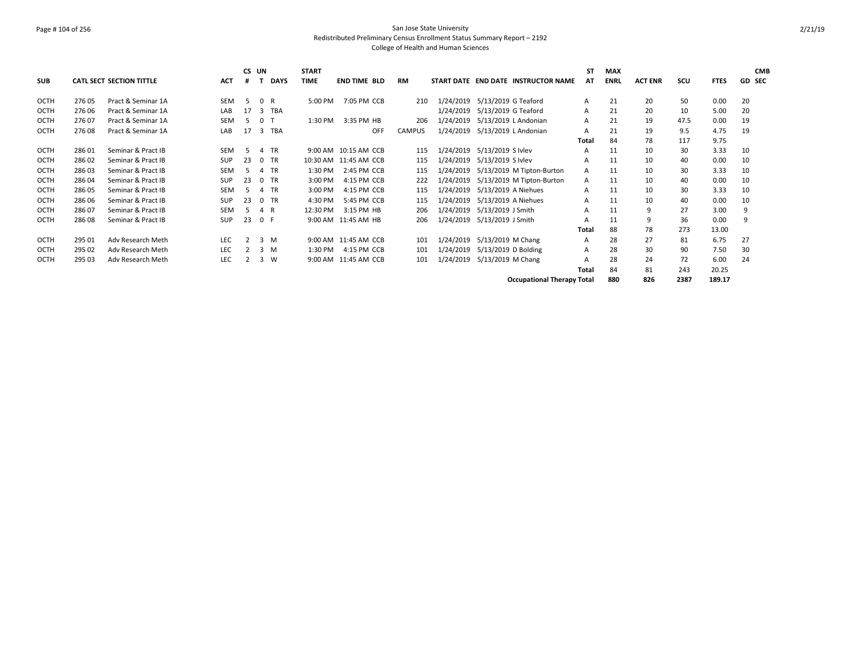### Page # 104 of 256 San Jose State University Redistributed Preliminary Census Enrollment Status Summary Report – 2192 College of Health and Human Sciences

|             |        |                                 |            | CS UN         |                |             | <b>START</b> |                       |               |           |                                     | SΤ           | <b>MAX</b>  |                |      |             |    | <b>CMB</b> |
|-------------|--------|---------------------------------|------------|---------------|----------------|-------------|--------------|-----------------------|---------------|-----------|-------------------------------------|--------------|-------------|----------------|------|-------------|----|------------|
| <b>SUB</b>  |        | <b>CATL SECT SECTION TITTLE</b> | <b>ACT</b> | #             |                | <b>DAYS</b> | <b>TIME</b>  | <b>END TIME BLD</b>   | RM            |           | START DATE END DATE INSTRUCTOR NAME | AT           | <b>ENRL</b> | <b>ACT ENR</b> | scu  | <b>FTES</b> |    | GD SEC     |
| <b>OCTH</b> | 276 05 | Pract & Seminar 1A              | <b>SEM</b> | .5            | 0 R            |             | 5:00 PM      | 7:05 PM CCB           | 210           | 1/24/2019 | 5/13/2019 G Teaford                 | A            | 21          | 20             | 50   | 0.00        | 20 |            |
| <b>OCTH</b> | 276 06 | Pract & Seminar 1A              | LAB        | 17            | 3              | TBA         |              |                       |               | 1/24/2019 | 5/13/2019 G Teaford                 | A            | 21          | 20             | 10   | 5.00        | 20 |            |
| <b>OCTH</b> | 276.07 | Pract & Seminar 1A              | SEM        | .5            | 0 T            |             | 1:30 PM      | 3:35 PM HB            | 206           | 1/24/2019 | 5/13/2019 L Andonian                | A            | 21          | 19             | 47.5 | 0.00        | 19 |            |
| OCTH        | 27608  | Pract & Seminar 1A              | LAB        | 17            | 3              | <b>TBA</b>  |              | OFF                   | <b>CAMPUS</b> | 1/24/2019 | 5/13/2019 L Andonian                | A            | 21          | 19             | 9.5  | 4.75        | 19 |            |
|             |        |                                 |            |               |                |             |              |                       |               |           |                                     | Total        | 84          | 78             | 117  | 9.75        |    |            |
| <b>OCTH</b> | 28601  | Seminar & Pract IB              | SEM        | 5             | $\overline{a}$ | <b>TR</b>   |              | 9:00 AM 10:15 AM CCB  | 115           | 1/24/2019 | 5/13/2019 S Ivlev                   | A            | 11          | 10             | 30   | 3.33        | 10 |            |
| OCTH        | 28602  | Seminar & Pract IB              | <b>SUP</b> | 23            | $\Omega$       | <b>TR</b>   |              | 10:30 AM 11:45 AM CCB | 115           | 1/24/2019 | 5/13/2019 S Ivlev                   | A            | 11          | 10             | 40   | 0.00        | 10 |            |
| OCTH        | 28603  | Seminar & Pract IB              | <b>SEM</b> | .5            | $\overline{a}$ | <b>TR</b>   | 1:30 PM      | 2:45 PM CCB           | 115           | 1/24/2019 | 5/13/2019 M Tipton-Burton           | A            | 11          | 10             | 30   | 3.33        | 10 |            |
| OCTH        | 28604  | Seminar & Pract IB              | <b>SUP</b> | 23            | $\Omega$       | <b>TR</b>   | 3:00 PM      | 4:15 PM CCB           | 222           | 1/24/2019 | 5/13/2019 M Tipton-Burton           | A            | 11          | 10             | 40   | 0.00        | 10 |            |
| <b>OCTH</b> | 28605  | Seminar & Pract IB              | <b>SEM</b> | 5             | 4              | <b>TR</b>   | 3:00 PM      | 4:15 PM CCB           | 115           | 1/24/2019 | 5/13/2019 A Niehues                 | A            | 11          | 10             | 30   | 3.33        | 10 |            |
| <b>OCTH</b> | 28606  | Seminar & Pract IB              | <b>SUP</b> | 23            |                | 0 TR        | 4:30 PM      | 5:45 PM CCB           | 115           | 1/24/2019 | 5/13/2019 A Niehues                 | A            | 11          | 10             | 40   | 0.00        | 10 |            |
| OCTH        | 28607  | Seminar & Pract IB              | SEM        | -5            | 4 R            |             | 12:30 PM     | 3:15 PM HB            | 206           | 1/24/2019 | 5/13/2019 J Smith                   | A            | 11          | 9              | 27   | 3.00        | 9  |            |
| <b>OCTH</b> | 28608  | Seminar & Pract IB              | <b>SUP</b> | 23            | 0 F            |             |              | 9:00 AM 11:45 AM HB   | 206           | 1/24/2019 | 5/13/2019 J Smith                   |              | 11          | 9              | 36   | 0.00        | 9  |            |
|             |        |                                 |            |               |                |             |              |                       |               |           |                                     | Total        | 88          | 78             | 273  | 13.00       |    |            |
| OCTH        | 295 01 | Adv Research Meth               | <b>LEC</b> | $\mathcal{P}$ |                | $3 \, M$    |              | 9:00 AM 11:45 AM CCB  | 101           | 1/24/2019 | 5/13/2019 M Chang                   | A            | 28          | 27             | 81   | 6.75        | 27 |            |
| OCTH        | 295 02 | Adv Research Meth               | <b>LEC</b> |               | 3              | M           | 1:30 PM      | 4:15 PM CCB           | 101           | 1/24/2019 | 5/13/2019 D Bolding                 | A            | 28          | 30             | 90   | 7.50        | 30 |            |
| <b>OCTH</b> | 295 03 | Adv Research Meth               | <b>LEC</b> |               | 3              | W           |              | 9:00 AM 11:45 AM CCB  | 101           | 1/24/2019 | 5/13/2019 M Chang                   |              | 28          | 24             | 72   | 6.00        | 24 |            |
|             |        |                                 |            |               |                |             |              |                       |               |           |                                     | <b>Total</b> | 84          | 81             | 243  | 20.25       |    |            |
|             |        |                                 |            |               |                |             |              |                       |               |           | <b>Occupational Therapy Total</b>   |              | 880         | 826            | 2387 | 189.17      |    |            |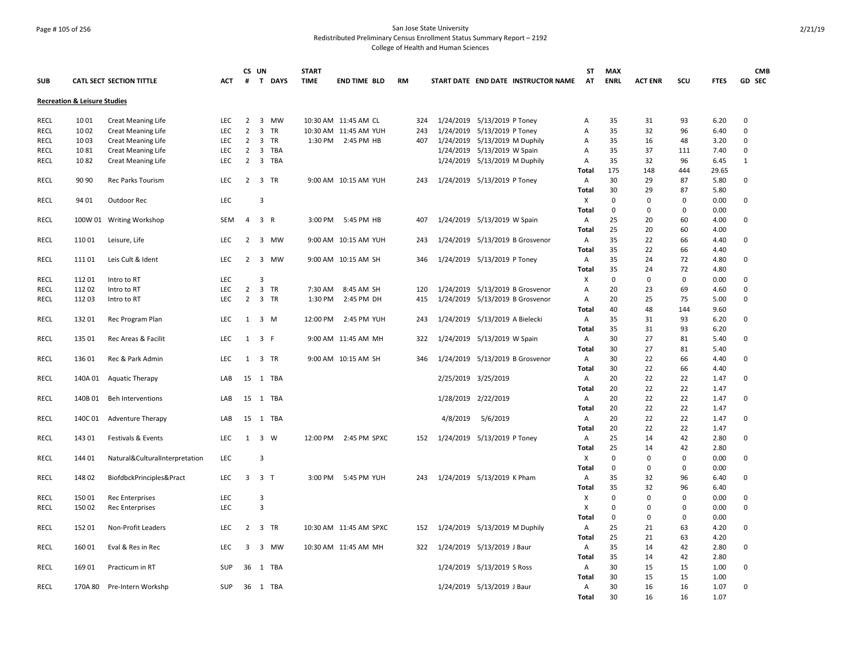## Page # 105 of 256 San Jose State University Redistributed Preliminary Census Enrollment Status Summary Report – 2192

|             |                                         |                                 |            | CS UN               |                |             | <b>START</b> |                        |           |           |                                |                                     | <b>ST</b>      | <b>MAX</b>  |                |             |              |              | <b>CMB</b> |
|-------------|-----------------------------------------|---------------------------------|------------|---------------------|----------------|-------------|--------------|------------------------|-----------|-----------|--------------------------------|-------------------------------------|----------------|-------------|----------------|-------------|--------------|--------------|------------|
| <b>SUB</b>  |                                         | <b>CATL SECT SECTION TITTLE</b> | <b>ACT</b> | #                   | T              | <b>DAYS</b> | <b>TIME</b>  | <b>END TIME BLD</b>    | <b>RM</b> |           |                                | START DATE END DATE INSTRUCTOR NAME | AT             | <b>ENRL</b> | <b>ACT ENR</b> | SCU         | <b>FTES</b>  | GD SEC       |            |
|             | <b>Recreation &amp; Leisure Studies</b> |                                 |            |                     |                |             |              |                        |           |           |                                |                                     |                |             |                |             |              |              |            |
| <b>RECL</b> | 1001                                    | <b>Creat Meaning Life</b>       | LEC        | 2                   |                | 3 MW        |              | 10:30 AM 11:45 AM CL   | 324       |           | 1/24/2019 5/13/2019 P Toney    |                                     | Α              | 35          | 31             | 93          | 6.20         | 0            |            |
| <b>RECL</b> | 1002                                    | <b>Creat Meaning Life</b>       | LEC        | $\overline{2}$      |                | 3 TR        |              | 10:30 AM 11:45 AM YUH  | 243       | 1/24/2019 | 5/13/2019 P Toney              |                                     | Α              | 35          | 32             | 96          | 6.40         | 0            |            |
| <b>RECL</b> | 1003                                    | <b>Creat Meaning Life</b>       | <b>LEC</b> | 2                   |                | 3 TR        |              | 1:30 PM 2:45 PM HB     | 407       |           | 1/24/2019 5/13/2019 M Duphily  |                                     | Α              | 35          | 16             | 48          | 3.20         | 0            |            |
| <b>RECL</b> | 1081                                    | <b>Creat Meaning Life</b>       | <b>LEC</b> | $\overline{2}$      | 3              | TBA         |              |                        |           |           | 1/24/2019 5/13/2019 W Spain    |                                     | A              | 35          | 37             | 111         | 7.40         | 0            |            |
| <b>RECL</b> | 1082                                    | <b>Creat Meaning Life</b>       | <b>LEC</b> | $\overline{2}$      |                | 3 TBA       |              |                        |           |           | 1/24/2019 5/13/2019 M Duphily  |                                     | Α              | 35          | 32             | 96          | 6.45         | $\mathbf{1}$ |            |
|             |                                         |                                 |            |                     |                |             |              |                        |           |           |                                |                                     | <b>Total</b>   | 175         | 148            | 444         | 29.65        |              |            |
| <b>RECL</b> | 90 90                                   | Rec Parks Tourism               | LEC        | $\overline{2}$      |                | 3 TR        |              | 9:00 AM 10:15 AM YUH   | 243       |           | 1/24/2019 5/13/2019 P Toney    |                                     | A              | 30          | 29             | 87          | 5.80         | 0            |            |
|             |                                         |                                 |            |                     |                |             |              |                        |           |           |                                |                                     | Total          | 30          | 29             | 87          | 5.80         |              |            |
| <b>RECL</b> | 94 01                                   | Outdoor Rec                     | LEC        |                     | 3              |             |              |                        |           |           |                                |                                     | X              | 0           | 0              | 0           | 0.00         | 0            |            |
|             |                                         |                                 |            |                     |                |             |              |                        |           |           |                                |                                     | <b>Total</b>   | 0           | $\mathbf 0$    | 0           | 0.00         |              |            |
| RECL        |                                         | 100W 01 Writing Workshop        | <b>SEM</b> | 4                   | 3 R            |             |              | 3:00 PM 5:45 PM HB     | 407       |           | 1/24/2019 5/13/2019 W Spain    |                                     | Α              | 25          | 20             | 60          | 4.00         | 0            |            |
|             |                                         |                                 |            |                     |                |             |              |                        |           |           |                                |                                     | Total          | 25          | 20             | 60          | 4.00         |              |            |
| <b>RECL</b> | 11001                                   | Leisure, Life                   | LEC        | $\overline{2}$      |                | 3 MW        |              | 9:00 AM 10:15 AM YUH   | 243       |           |                                | 1/24/2019 5/13/2019 B Grosvenor     | Α              | 35          | 22             | 66          | 4.40         | 0            |            |
|             |                                         |                                 |            |                     |                |             |              |                        |           |           |                                |                                     | Total          | 35          | 22             | 66          | 4.40         |              |            |
| <b>RECL</b> | 11101                                   | Leis Cult & Ident               | <b>LEC</b> | 2                   |                | 3 MW        |              | 9:00 AM 10:15 AM SH    | 346       |           | 1/24/2019 5/13/2019 P Toney    |                                     | Α              | 35          | 24             | 72          | 4.80         | 0            |            |
|             |                                         |                                 |            |                     |                |             |              |                        |           |           |                                |                                     | Total          | 35          | 24             | 72          | 4.80         |              |            |
| RECL        | 11201                                   | Intro to RT                     | LEC        |                     | 3              |             |              |                        |           |           |                                |                                     | х              | 0           | $\mathbf 0$    | 0           | 0.00         | $\Omega$     |            |
| <b>RECL</b> | 11202                                   | Intro to RT                     | <b>LEC</b> | $\overline{2}$      |                | 3 TR        | 7:30 AM      | 8:45 AM SH             | 120       |           |                                | 1/24/2019 5/13/2019 B Grosvenor     | Α              | 20          | 23             | 69          | 4.60         | 0            |            |
| RECL        | 112 03                                  | Intro to RT                     | <b>LEC</b> | $\overline{2}$      |                | 3 TR        | 1:30 PM      | 2:45 PM DH             | 415       |           |                                | 1/24/2019 5/13/2019 B Grosvenor     | Α              | 20          | 25             | 75          | 5.00         | 0            |            |
|             |                                         |                                 |            |                     |                |             |              |                        |           |           |                                |                                     | Total          | 40          | 48             | 144         | 9.60         |              |            |
| <b>RECL</b> | 13201                                   | Rec Program Plan                | <b>LEC</b> | $1 \quad 3 \quad M$ |                |             |              | 12:00 PM 2:45 PM YUH   | 243       |           | 1/24/2019 5/13/2019 A Bielecki |                                     | Α              | 35          | 31             | 93          | 6.20         | 0            |            |
|             |                                         |                                 |            |                     |                |             |              |                        |           |           |                                |                                     | Total          | 35          | 31             | 93          | 6.20         |              |            |
| <b>RECL</b> | 135 01                                  | Rec Areas & Facilit             | <b>LEC</b> | 1                   | 3 F            |             |              | 9:00 AM 11:45 AM MH    | 322       |           | 1/24/2019 5/13/2019 W Spain    |                                     | Α              | 30          | 27             | 81          | 5.40         | 0            |            |
|             |                                         |                                 |            |                     |                |             |              |                        |           |           |                                |                                     | <b>Total</b>   | 30          | 27             | 81          | 5.40         |              |            |
| <b>RECL</b> | 13601                                   | Rec & Park Admin                | LEC        | $\mathbf{1}$        |                | 3 TR        |              | 9:00 AM 10:15 AM SH    | 346       |           |                                | 1/24/2019 5/13/2019 B Grosvenor     | Α              | 30          | 22             | 66          | 4.40         | 0            |            |
|             |                                         |                                 |            |                     |                |             |              |                        |           |           |                                |                                     | Total          | 30          | 22             | 66          | 4.40         |              |            |
| <b>RECL</b> | 140A 01                                 | <b>Aquatic Therapy</b>          | LAB        | 15                  |                | 1 TBA       |              |                        |           |           | 2/25/2019 3/25/2019            |                                     | Α              | 20          | 22             | 22          | 1.47         | 0            |            |
|             |                                         |                                 |            |                     |                |             |              |                        |           |           |                                |                                     | Total          | 20          | 22             | 22          | 1.47         |              |            |
| RECL        | 140B 01                                 | <b>Beh Interventions</b>        | LAB        | 15                  |                | 1 TBA       |              |                        |           |           | 1/28/2019 2/22/2019            |                                     | A              | 20          | 22             | 22          | 1.47         | 0            |            |
|             |                                         |                                 |            |                     |                |             |              |                        |           |           |                                |                                     | Total          | 20          | 22             | 22          | 1.47         |              |            |
| <b>RECL</b> | 140C01                                  | <b>Adventure Therapy</b>        | LAB        | 15                  |                | 1 TBA       |              |                        |           | 4/8/2019  | 5/6/2019                       |                                     | Α              | 20          | 22             | 22          | 1.47         | 0            |            |
|             |                                         |                                 |            |                     |                |             |              |                        |           |           |                                |                                     | Total          | 20<br>25    | 22             | 22<br>42    | 1.47         |              |            |
| <b>RECL</b> | 14301                                   | Festivals & Events              | <b>LEC</b> | $\mathbf{1}$        | 3 W            |             | 12:00 PM     | 2:45 PM SPXC           | 152       |           | 1/24/2019 5/13/2019 P Toney    |                                     | Α              | 25          | 14<br>14       | 42          | 2.80<br>2.80 | 0            |            |
| RECL        | 144 01                                  | Natural&CulturalInterpretation  | LEC        |                     | 3              |             |              |                        |           |           |                                |                                     | Total<br>х     | $\mathbf 0$ | $\mathbf 0$    | $\mathbf 0$ | 0.00         | 0            |            |
|             |                                         |                                 |            |                     |                |             |              |                        |           |           |                                |                                     | Total          | $\mathbf 0$ | 0              | 0           | 0.00         |              |            |
| RECL        | 14802                                   | BiofdbckPrinciples&Pract        | <b>LEC</b> | 3                   | 3 <sub>T</sub> |             | 3:00 PM      | 5:45 PM YUH            | 243       |           | 1/24/2019 5/13/2019 K Pham     |                                     | Α              | 35          | 32             | 96          | 6.40         | 0            |            |
|             |                                         |                                 |            |                     |                |             |              |                        |           |           |                                |                                     | Total          | 35          | 32             | 96          | 6.40         |              |            |
| <b>RECL</b> | 15001                                   | <b>Rec Enterprises</b>          | <b>LEC</b> |                     | 3              |             |              |                        |           |           |                                |                                     | х              | $\mathbf 0$ | $\mathbf 0$    | $\mathbf 0$ | 0.00         | 0            |            |
| <b>RECL</b> | 150 02                                  | <b>Rec Enterprises</b>          | LEC        |                     | 3              |             |              |                        |           |           |                                |                                     | X              | $\Omega$    | $\mathbf 0$    | 0           | 0.00         | 0            |            |
|             |                                         |                                 |            |                     |                |             |              |                        |           |           |                                |                                     | <b>Total</b>   | 0           | $\mathbf 0$    | 0           | 0.00         |              |            |
| <b>RECL</b> | 15201                                   | Non-Profit Leaders              | LEC        | 2                   |                | 3 TR        |              | 10:30 AM 11:45 AM SPXC | 152       |           | 1/24/2019 5/13/2019 M Duphily  |                                     | Α              | 25          | 21             | 63          | 4.20         | 0            |            |
|             |                                         |                                 |            |                     |                |             |              |                        |           |           |                                |                                     | Total          | 25          | 21             | 63          | 4.20         |              |            |
| RECL        | 16001                                   | Eval & Res in Rec               | LEC        | 3                   |                | 3 MW        |              | 10:30 AM 11:45 AM MH   | 322       |           | 1/24/2019 5/13/2019 J Baur     |                                     | A              | 35          | 14             | 42          | 2.80         | 0            |            |
|             |                                         |                                 |            |                     |                |             |              |                        |           |           |                                |                                     | Total          | 35          | 14             | 42          | 2.80         |              |            |
| <b>RECL</b> | 16901                                   | Practicum in RT                 | <b>SUP</b> | 36                  |                | 1 TBA       |              |                        |           |           | 1/24/2019 5/13/2019 S Ross     |                                     | A              | 30          | 15             | 15          | 1.00         | 0            |            |
|             |                                         |                                 |            |                     |                |             |              |                        |           |           |                                |                                     | Total          | 30          | 15             | 15          | 1.00         |              |            |
| <b>RECL</b> |                                         | 170A 80 Pre-Intern Workshp      | <b>SUP</b> |                     |                | 36 1 TBA    |              |                        |           |           | 1/24/2019 5/13/2019 J Baur     |                                     | $\overline{A}$ | 30          | 16             | 16          | 1.07         | 0            |            |
|             |                                         |                                 |            |                     |                |             |              |                        |           |           |                                |                                     | <b>Total</b>   | 30          | 16             | 16          | 1.07         |              |            |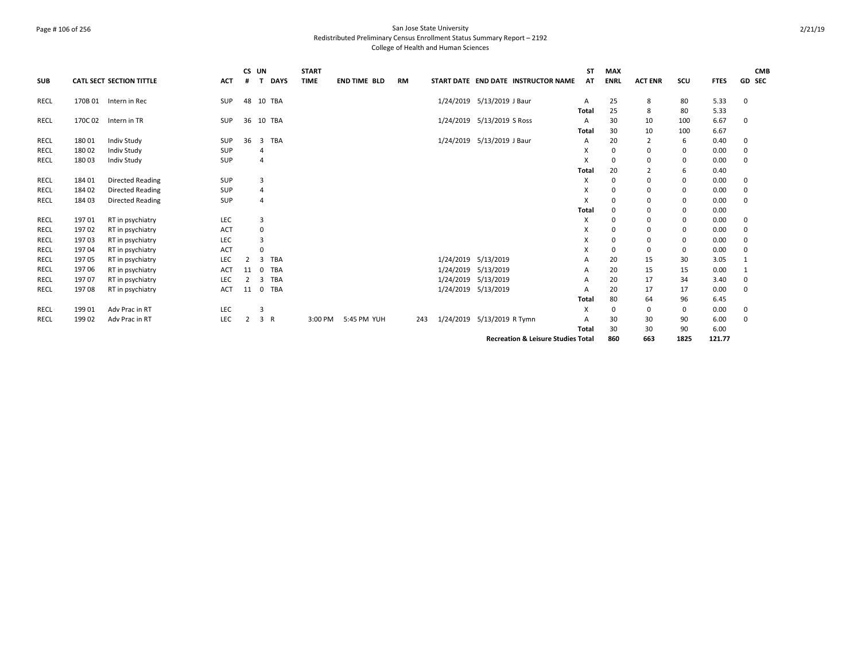### Page # 106 of 256 San Jose State University Redistributed Preliminary Census Enrollment Status Summary Report – 2192 College of Health and Human Sciences

|             |         |                                 |            | CS UN |        |             | <b>START</b> |                     |           |           |                            |                                               | <b>ST</b> | <b>MAX</b>  |                |      |             |               | <b>CMB</b> |
|-------------|---------|---------------------------------|------------|-------|--------|-------------|--------------|---------------------|-----------|-----------|----------------------------|-----------------------------------------------|-----------|-------------|----------------|------|-------------|---------------|------------|
| <b>SUB</b>  |         | <b>CATL SECT SECTION TITTLE</b> | <b>ACT</b> | #     | T      | <b>DAYS</b> | <b>TIME</b>  | <b>END TIME BLD</b> | <b>RM</b> |           |                            | START DATE END DATE INSTRUCTOR NAME           | AT        | <b>ENRL</b> | <b>ACT ENR</b> | SCU  | <b>FTES</b> | <b>GD SEC</b> |            |
| <b>RECL</b> | 170B 01 | Intern in Rec                   | <b>SUP</b> | 48    | 10 TBA |             |              |                     |           |           | 1/24/2019 5/13/2019 J Baur |                                               | A         | 25          | 8              | 80   | 5.33        | 0             |            |
|             |         |                                 |            |       |        |             |              |                     |           |           |                            |                                               | Total     | 25          | 8              | 80   | 5.33        |               |            |
| <b>RECL</b> | 170C 02 | Intern in TR                    | <b>SUP</b> | 36    | 10 TBA |             |              |                     |           |           | 1/24/2019 5/13/2019 S Ross |                                               | A         | 30          | 10             | 100  | 6.67        | $\Omega$      |            |
|             |         |                                 |            |       |        |             |              |                     |           |           |                            |                                               | Total     | 30          | 10             | 100  | 6.67        |               |            |
| <b>RECL</b> | 180 01  | <b>Indiv Study</b>              | SUP        | 36    | 3 TBA  |             |              |                     |           |           | 1/24/2019 5/13/2019 J Baur |                                               | А         | 20          | 2              | 6    | 0.40        | 0             |            |
| <b>RECL</b> | 18002   | <b>Indiv Study</b>              | SUP        |       | 4      |             |              |                     |           |           |                            |                                               | X         | 0           | 0              | 0    | 0.00        | 0             |            |
| <b>RECL</b> | 18003   | <b>Indiv Study</b>              | SUP        |       | 4      |             |              |                     |           |           |                            |                                               | X         | $\mathbf 0$ | 0              | 0    | 0.00        | 0             |            |
|             |         |                                 |            |       |        |             |              |                     |           |           |                            |                                               | Total     | 20          | $\overline{2}$ | 6    | 0.40        |               |            |
| <b>RECL</b> | 18401   | <b>Directed Reading</b>         | <b>SUP</b> |       | 3      |             |              |                     |           |           |                            |                                               | X         | 0           | 0              | 0    | 0.00        | 0             |            |
| <b>RECL</b> | 18402   | <b>Directed Reading</b>         | SUP        |       | 4      |             |              |                     |           |           |                            |                                               | X         | 0           | 0              | 0    | 0.00        | 0             |            |
| RECL        | 184 03  | <b>Directed Reading</b>         | SUP        |       | 4      |             |              |                     |           |           |                            |                                               | X         | 0           | 0              | 0    | 0.00        | 0             |            |
|             |         |                                 |            |       |        |             |              |                     |           |           |                            |                                               | Total     | 0           | 0              | 0    | 0.00        |               |            |
| <b>RECL</b> | 19701   | RT in psychiatry                | LEC        |       | 3      |             |              |                     |           |           |                            |                                               | X         | 0           | 0              | 0    | 0.00        | 0             |            |
| <b>RECL</b> | 19702   | RT in psychiatry                | <b>ACT</b> |       | 0      |             |              |                     |           |           |                            |                                               | X         | 0           | 0              | 0    | 0.00        | 0             |            |
| RECL        | 19703   | RT in psychiatry                | <b>LEC</b> |       | 3      |             |              |                     |           |           |                            |                                               | X         | $\mathbf 0$ | 0              | 0    | 0.00        | 0             |            |
| <b>RECL</b> | 19704   | RT in psychiatry                | <b>ACT</b> |       | 0      |             |              |                     |           |           |                            |                                               | х         | 0           | 0              | 0    | 0.00        | 0             |            |
| RECL        | 19705   | RT in psychiatry                | LEC        | 2     | 3      | <b>TBA</b>  |              |                     |           | 1/24/2019 | 5/13/2019                  |                                               | Α         | 20          | 15             | 30   | 3.05        | 1             |            |
| RECL        | 19706   | RT in psychiatry                | <b>ACT</b> | 11    | 0      | <b>TBA</b>  |              |                     |           | 1/24/2019 | 5/13/2019                  |                                               | A         | 20          | 15             | 15   | 0.00        |               |            |
| <b>RECL</b> | 197 07  | RT in psychiatry                | LEC        | 2     | 3      | TBA         |              |                     |           | 1/24/2019 | 5/13/2019                  |                                               | A         | 20          | 17             | 34   | 3.40        | 0             |            |
| RECL        | 19708   | RT in psychiatry                | ACT        | 11    | 0 TBA  |             |              |                     |           |           | 1/24/2019 5/13/2019        |                                               | А         | 20          | 17             | 17   | 0.00        | 0             |            |
|             |         |                                 |            |       |        |             |              |                     |           |           |                            |                                               | Total     | 80          | 64             | 96   | 6.45        |               |            |
| <b>RECL</b> | 199 01  | Adv Prac in RT                  | <b>LEC</b> |       | 3      |             |              |                     |           |           |                            |                                               | X         | 0           | 0              | 0    | 0.00        | 0             |            |
| RECL        | 199 02  | Adv Prac in RT                  | <b>LEC</b> | 2     | 3 R    |             | 3:00 PM      | 5:45 PM YUH         | 243       | 1/24/2019 | 5/13/2019 R Tymn           |                                               | A         | 30          | 30             | 90   | 6.00        | $\Omega$      |            |
|             |         |                                 |            |       |        |             |              |                     |           |           |                            |                                               | Total     | 30          | 30             | 90   | 6.00        |               |            |
|             |         |                                 |            |       |        |             |              |                     |           |           |                            | <b>Recreation &amp; Leisure Studies Total</b> |           | 860         | 663            | 1825 | 121.77      |               |            |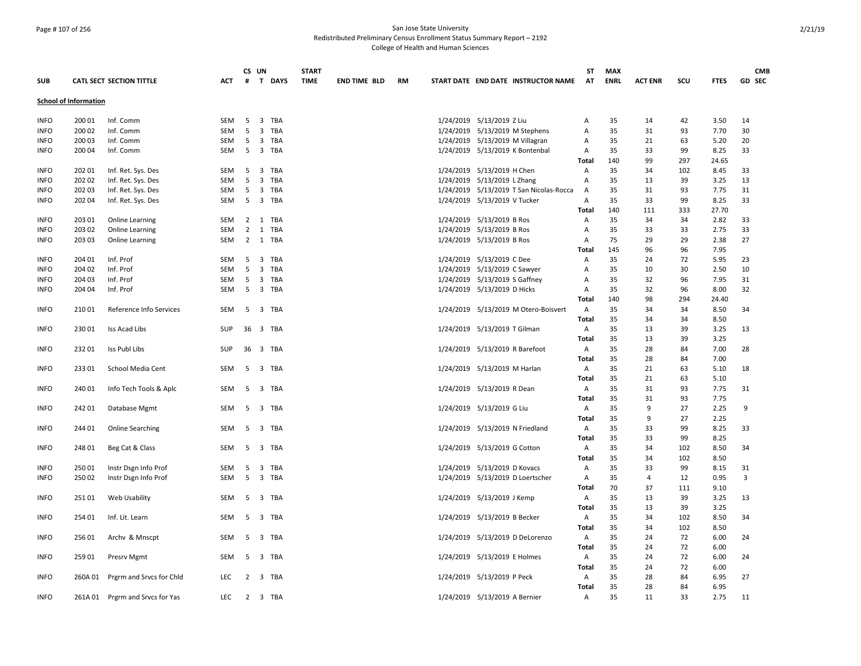### Page # 107 of 256 San Jose State University Redistributed Preliminary Census Enrollment Status Summary Report – 2192 College of Health and Human Sciences

|             |                              |                                 |            |                | CS UN |         | <b>START</b> |                     |    |                                         | ST                           | <b>MAX</b>  |                |          |              | <b>CMB</b> |
|-------------|------------------------------|---------------------------------|------------|----------------|-------|---------|--------------|---------------------|----|-----------------------------------------|------------------------------|-------------|----------------|----------|--------------|------------|
| <b>SUB</b>  |                              | <b>CATL SECT SECTION TITTLE</b> | <b>ACT</b> | #              |       | T DAYS  | <b>TIME</b>  | <b>END TIME BLD</b> | RM | START DATE END DATE INSTRUCTOR NAME     | <b>AT</b>                    | <b>ENRL</b> | <b>ACT ENR</b> | SCU      | <b>FTES</b>  | GD SEC     |
|             | <b>School of Information</b> |                                 |            |                |       |         |              |                     |    |                                         |                              |             |                |          |              |            |
| <b>INFO</b> | 200 01                       | Inf. Comm                       | SEM        | - 5            |       | 3 TBA   |              |                     |    | 1/24/2019 5/13/2019 Z Liu               | Α                            | 35          | 14             | 42       | 3.50         | 14         |
| <b>INFO</b> | 200 02                       | Inf. Comm                       | SEM        | 5              |       | 3 TBA   |              |                     |    | 1/24/2019 5/13/2019 M Stephens          | Α                            | 35          | 31             | 93       | 7.70         | 30         |
| <b>INFO</b> | 200 03                       | Inf. Comm                       | SEM        | 5              |       | 3 TBA   |              |                     |    | 1/24/2019 5/13/2019 M Villagran         | Α                            | 35          | 21             | 63       | 5.20         | 20         |
| <b>INFO</b> | 200 04                       | Inf. Comm                       | SEM        | - 5            |       | 3 TBA   |              |                     |    | 1/24/2019 5/13/2019 K Bontenbal         | Α                            | 35          | 33             | 99       | 8.25         | 33         |
|             |                              |                                 |            |                |       |         |              |                     |    |                                         | <b>Total</b>                 | 140         | 99             | 297      | 24.65        |            |
| <b>INFO</b> | 202 01                       | Inf. Ret. Sys. Des              | SEM        | 5              |       | 3 TBA   |              |                     |    | 1/24/2019 5/13/2019 H Chen              | Α                            | 35          | 34             | 102      | 8.45         | 33         |
| <b>INFO</b> | 202 02                       | Inf. Ret. Sys. Des              | SEM        | - 5            |       | 3 TBA   |              |                     |    | 1/24/2019 5/13/2019 L Zhang             | Α                            | 35          | 13             | 39       | 3.25         | 13         |
| <b>INFO</b> | 202 03                       | Inf. Ret. Sys. Des              | SEM        | 5              |       | 3 TBA   |              |                     |    | 1/24/2019 5/13/2019 T San Nicolas-Rocca | $\overline{A}$               | 35          | 31             | 93       | 7.75         | 31         |
| <b>INFO</b> | 202 04                       | Inf. Ret. Sys. Des              | SEM        | 5              |       | 3 TBA   |              |                     |    | 1/24/2019 5/13/2019 V Tucker            | А                            | 35          | 33             | 99       | 8.25         | 33         |
|             |                              |                                 |            |                |       |         |              |                     |    |                                         | Total                        | 140         | 111            | 333      | 27.70        |            |
| <b>INFO</b> | 203 01                       | <b>Online Learning</b>          | SEM        |                |       | 2 1 TBA |              |                     |    | 1/24/2019 5/13/2019 B Ros               | Α                            | 35          | 34             | 34       | 2.82         | 33         |
| <b>INFO</b> | 203 02                       | Online Learning                 | SEM        | $\overline{2}$ |       | 1 TBA   |              |                     |    | 1/24/2019 5/13/2019 B Ros               | Α                            | 35          | 33             | 33       | 2.75         | 33         |
| <b>INFO</b> | 203 03                       | Online Learning                 | SEM        |                |       | 2 1 TBA |              |                     |    | 1/24/2019 5/13/2019 B Ros               | Α                            | 75          | 29             | 29       | 2.38         | 27         |
|             |                              |                                 |            |                |       |         |              |                     |    |                                         | Total                        | 145         | 96             | 96       | 7.95         |            |
| <b>INFO</b> | 204 01                       | Inf. Prof                       | <b>SEM</b> | - 5            |       | 3 TBA   |              |                     |    | 1/24/2019 5/13/2019 C Dee               | Α                            | 35          | 24             | 72       | 5.95         | 23         |
| <b>INFO</b> | 204 02                       | Inf. Prof                       | SEM        | -5             |       | 3 TBA   |              |                     |    | 1/24/2019 5/13/2019 C Sawyer            | Α                            | 35          | 10             | 30       | 2.50         | 10         |
| <b>INFO</b> | 204 03                       | Inf. Prof                       | <b>SEM</b> | 5              |       | 3 TBA   |              |                     |    | 1/24/2019 5/13/2019 S Gaffney           | A                            | 35          | 32             | 96       | 7.95         | 31         |
| <b>INFO</b> | 204 04                       | Inf. Prof                       | SEM        |                |       | 5 3 TBA |              |                     |    | 1/24/2019 5/13/2019 D Hicks             | Α                            | 35          | 32             | 96       | 8.00         | 32         |
|             |                              |                                 |            |                |       |         |              |                     |    |                                         | <b>Total</b>                 | 140         | 98             | 294      | 24.40        |            |
| <b>INFO</b> | 21001                        | Reference Info Services         | <b>SEM</b> | - 5            |       | 3 TBA   |              |                     |    | 1/24/2019  5/13/2019  M Otero-Boisvert  | Α                            | 35          | 34             | 34       | 8.50         | 34         |
|             |                              |                                 |            |                |       |         |              |                     |    |                                         | <b>Total</b>                 | 35          | 34             | 34       | 8.50         |            |
| <b>INFO</b> | 230 01                       | Iss Acad Libs                   | SUP        | 36             |       | 3 TBA   |              |                     |    | 1/24/2019 5/13/2019 T Gilman            | A                            | 35          | 13             | 39       | 3.25         | 13         |
|             |                              |                                 |            |                |       |         |              |                     |    |                                         | <b>Total</b>                 | 35          | 13             | 39       | 3.25         |            |
| <b>INFO</b> | 23201                        | Iss Publ Libs                   | <b>SUP</b> | 36             |       | 3 TBA   |              |                     |    | 1/24/2019 5/13/2019 R Barefoot          | Α                            | 35          | 28             | 84       | 7.00         | 28         |
|             |                              |                                 |            |                |       |         |              |                     |    |                                         | Total                        | 35          | 28             | 84       | 7.00         |            |
| <b>INFO</b> | 23301                        | School Media Cent               | SEM        |                |       | 5 3 TBA |              |                     |    | 1/24/2019 5/13/2019 M Harlan            | A                            | 35          | 21             | 63       | 5.10         | 18         |
|             |                              |                                 |            |                |       |         |              |                     |    |                                         | Total                        | 35          | 21             | 63       | 5.10         |            |
| <b>INFO</b> | 240 01                       | Info Tech Tools & Aplc          | SEM        | -5             |       | 3 TBA   |              |                     |    | 1/24/2019 5/13/2019 R Dean              | A                            | 35          | 31             | 93       | 7.75         | 31         |
| <b>INFO</b> | 24201                        |                                 | <b>SEM</b> | -5             |       | 3 TBA   |              |                     |    |                                         | <b>Total</b><br>$\mathsf{A}$ | 35<br>35    | 31<br>9        | 93<br>27 | 7.75         | 9          |
|             |                              | Database Mgmt                   |            |                |       |         |              |                     |    | 1/24/2019 5/13/2019 G Liu               | <b>Total</b>                 | 35          | 9              | 27       | 2.25<br>2.25 |            |
| <b>INFO</b> | 244 01                       |                                 | SEM        | 5              |       | 3 TBA   |              |                     |    | 1/24/2019 5/13/2019 N Friedland         | Α                            | 35          | 33             | 99       | 8.25         | 33         |
|             |                              | <b>Online Searching</b>         |            |                |       |         |              |                     |    |                                         | Total                        | 35          | 33             | 99       | 8.25         |            |
| <b>INFO</b> | 24801                        | Beg Cat & Class                 | SEM        |                |       | 5 3 TBA |              |                     |    | 1/24/2019 5/13/2019 G Cotton            | A                            | 35          | 34             | 102      | 8.50         | 34         |
|             |                              |                                 |            |                |       |         |              |                     |    |                                         | Total                        | 35          | 34             | 102      | 8.50         |            |
| <b>INFO</b> | 25001                        | Instr Dsgn Info Prof            | SEM        | -5             |       | 3 TBA   |              |                     |    | 1/24/2019 5/13/2019 D Kovacs            | Α                            | 35          | 33             | 99       | 8.15         | 31         |
| <b>INFO</b> | 25002                        | Instr Dsgn Info Prof            | SEM        | 5              |       | 3 TBA   |              |                     |    | 1/24/2019 5/13/2019 D Loertscher        | Α                            | 35          | $\overline{4}$ | 12       | 0.95         | 3          |
|             |                              |                                 |            |                |       |         |              |                     |    |                                         | Total                        | 70          | 37             | 111      | 9.10         |            |
| <b>INFO</b> | 251 01                       | Web Usability                   | SEM        |                |       | 5 3 TBA |              |                     |    | 1/24/2019 5/13/2019 J Kemp              | A                            | 35          | 13             | 39       | 3.25         | 13         |
|             |                              |                                 |            |                |       |         |              |                     |    |                                         | Total                        | 35          | 13             | 39       | 3.25         |            |
| <b>INFO</b> | 254 01                       | Inf. Lit. Learn                 | SEM        | -5             |       | 3 TBA   |              |                     |    | 1/24/2019 5/13/2019 B Becker            | A                            | 35          | 34             | 102      | 8.50         | 34         |
|             |                              |                                 |            |                |       |         |              |                     |    |                                         | <b>Total</b>                 | 35          | 34             | 102      | 8.50         |            |
| <b>INFO</b> | 25601                        | Archy & Mnscpt                  | SEM        | 5              |       | 3 TBA   |              |                     |    | 1/24/2019 5/13/2019 D DeLorenzo         | A                            | 35          | 24             | 72       | 6.00         | 24         |
|             |                              |                                 |            |                |       |         |              |                     |    |                                         | Total                        | 35          | 24             | 72       | 6.00         |            |
| <b>INFO</b> | 259 01                       | Presry Mgmt                     | SEM        | 5              |       | 3 TBA   |              |                     |    | 1/24/2019 5/13/2019 E Holmes            | A                            | 35          | 24             | 72       | 6.00         | 24         |
|             |                              |                                 |            |                |       |         |              |                     |    |                                         | <b>Total</b>                 | 35          | 24             | 72       | 6.00         |            |
| <b>INFO</b> | 260A 01                      | Prgrm and Srvcs for Chld        | LEC        |                |       | 2 3 TBA |              |                     |    | 1/24/2019 5/13/2019 P Peck              | А                            | 35          | 28             | 84       | 6.95         | 27         |
|             |                              |                                 |            |                |       |         |              |                     |    |                                         | Total                        | 35          | 28             | 84       | 6.95         |            |
| <b>INFO</b> |                              | 261A 01 Prgrm and Srvcs for Yas | LEC        |                |       | 2 3 TBA |              |                     |    | 1/24/2019 5/13/2019 A Bernier           | Α                            | 35          | 11             | 33       | 2.75         | 11         |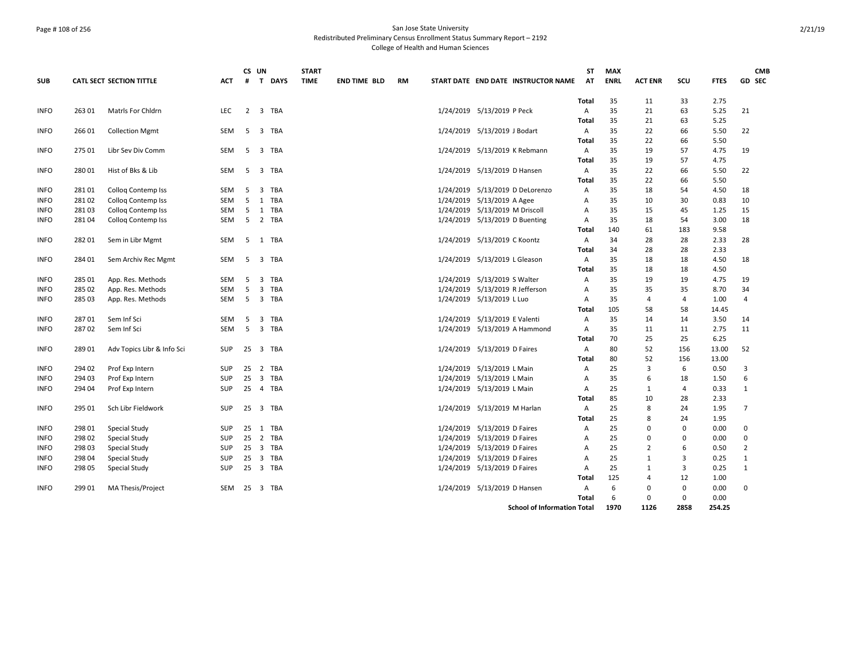### Page # 108 of 256 San Jose State University Redistributed Preliminary Census Enrollment Status Summary Report – 2192 College of Health and Human Sciences

|             |        |                                        |            |     | CS UN                   |            | <b>START</b> |                     |           |                                     | ST         | <b>MAX</b>  |                |                |              | <b>CMB</b>     |
|-------------|--------|----------------------------------------|------------|-----|-------------------------|------------|--------------|---------------------|-----------|-------------------------------------|------------|-------------|----------------|----------------|--------------|----------------|
| <b>SUB</b>  |        | <b>CATL SECT SECTION TITTLE</b>        | <b>ACT</b> | #   |                         | T DAYS     | <b>TIME</b>  | <b>END TIME BLD</b> | <b>RM</b> | START DATE END DATE INSTRUCTOR NAME | AT         | <b>ENRL</b> | <b>ACT ENR</b> | SCU            | <b>FTES</b>  | GD SEC         |
|             |        |                                        |            |     |                         |            |              |                     |           |                                     | Total      | 35          | 11             | 33             | 2.75         |                |
| <b>INFO</b> | 263 01 | <b>Matris For Chidrn</b>               | <b>LEC</b> |     |                         | 2 3 TBA    |              |                     |           | 1/24/2019 5/13/2019 P Peck          | Α          | 35          | 21             | 63             | 5.25         | 21             |
|             |        |                                        |            |     |                         |            |              |                     |           |                                     | Total      | 35          | 21             | 63             | 5.25         |                |
| <b>INFO</b> | 26601  | <b>Collection Mgmt</b>                 | SEM        | 5   | 3                       | TBA        |              |                     |           | 1/24/2019 5/13/2019 J Bodart        | Α          | 35          | 22             | 66             | 5.50         | 22             |
|             |        |                                        |            |     |                         |            |              |                     |           |                                     | Total      | 35          | 22             | 66             | 5.50         |                |
| <b>INFO</b> | 275 01 | Libr Sev Div Comm                      | SEM        | - 5 |                         | 3 TBA      |              |                     |           | 1/24/2019 5/13/2019 K Rebmann       | Α          | 35          | 19             | 57             | 4.75         | 19             |
|             |        |                                        |            |     |                         |            |              |                     |           |                                     | Total      | 35          | 19             | 57             | 4.75         |                |
| <b>INFO</b> | 28001  | Hist of Bks & Lib                      | SEM        | 5   |                         | 3 TBA      |              |                     |           | 1/24/2019 5/13/2019 D Hansen        | A          | 35          | 22             | 66             | 5.50         | 22             |
|             |        |                                        |            |     |                         |            |              |                     |           |                                     | Total      | 35          | 22             | 66             | 5.50         |                |
| <b>INFO</b> | 28101  | Collog Contemp Iss                     | SEM        | 5   | 3                       | TBA        |              |                     |           | 1/24/2019 5/13/2019 D DeLorenzo     | Α          | 35          | 18             | 54             | 4.50         | 18             |
| <b>INFO</b> | 28102  | <b>Collog Contemp Iss</b>              | SEM        | 5   |                         | 1 TBA      |              |                     |           | 1/24/2019 5/13/2019 A Agee          | A          | 35          | 10             | 30             | 0.83         | 10             |
| <b>INFO</b> | 281 03 | Collog Contemp Iss                     | SEM        | 5   |                         | 1 TBA      |              |                     |           | 1/24/2019 5/13/2019 M Driscoll      | Α          | 35          | 15             | 45             | 1.25         | 15             |
| <b>INFO</b> | 28104  | Collog Contemp Iss                     | SEM        | 5   |                         | 2 TBA      |              |                     |           | 1/24/2019 5/13/2019 D Buenting      | A          | 35          | 18             | 54             | 3.00         | 18             |
|             |        |                                        |            | -5  |                         |            |              |                     |           |                                     | Total      | 140<br>34   | 61             | 183            | 9.58         | 28             |
| <b>INFO</b> | 28201  | Sem in Libr Mgmt                       | SEM        |     |                         | 1 TBA      |              |                     |           | 1/24/2019 5/13/2019 C Koontz        | Α          |             | 28             | 28             | 2.33         |                |
|             |        |                                        |            |     |                         |            |              |                     |           |                                     | Total      | 34          | 28             | 28             | 2.33<br>4.50 |                |
| <b>INFO</b> | 284 01 | Sem Archiv Rec Mgmt                    | SEM        | 5   |                         | 3 TBA      |              |                     |           | 1/24/2019 5/13/2019 L Gleason       | Α          | 35<br>35    | 18<br>18       | 18<br>18       | 4.50         | 18             |
| <b>INFO</b> | 285 01 |                                        | SEM        | 5   | $\overline{3}$          | TBA        |              |                     |           | 1/24/2019 5/13/2019 S Walter        | Total<br>A | 35          | 19             | 19             | 4.75         | 19             |
| <b>INFO</b> | 285 02 | App. Res. Methods<br>App. Res. Methods | SEM        | 5   |                         | 3 TBA      |              |                     |           | 1/24/2019 5/13/2019 R Jefferson     | Α          | 35          | 35             | 35             | 8.70         | 34             |
| <b>INFO</b> | 285 03 | App. Res. Methods                      | SEM        | 5   |                         | 3 TBA      |              |                     |           | 1/24/2019 5/13/2019 L Luo           | A          | 35          | $\overline{4}$ | 4              | 1.00         | 4              |
|             |        |                                        |            |     |                         |            |              |                     |           |                                     | Total      | 105         | 58             | 58             | 14.45        |                |
| <b>INFO</b> | 287 01 | Sem Inf Sci                            | SEM        | 5   | $\overline{\mathbf{3}}$ | TBA        |              |                     |           | 1/24/2019 5/13/2019 E Valenti       | Α          | 35          | 14             | 14             | 3.50         | 14             |
| <b>INFO</b> | 28702  | Sem Inf Sci                            | SEM        | 5   |                         | 3 TBA      |              |                     |           | 1/24/2019 5/13/2019 A Hammond       | A          | 35          | 11             | 11             | 2.75         | 11             |
|             |        |                                        |            |     |                         |            |              |                     |           |                                     | Total      | 70          | 25             | 25             | 6.25         |                |
| <b>INFO</b> | 28901  | Adv Topics Libr & Info Sci             | <b>SUP</b> | 25  |                         | 3 TBA      |              |                     |           | 1/24/2019 5/13/2019 D Faires        | Α          | 80          | 52             | 156            | 13.00        | 52             |
|             |        |                                        |            |     |                         |            |              |                     |           |                                     | Total      | 80          | 52             | 156            | 13.00        |                |
| <b>INFO</b> | 294 02 | Prof Exp Intern                        | SUP        | 25  | 2                       | <b>TBA</b> |              |                     |           | 1/24/2019 5/13/2019 L Main          | A          | 25          | 3              | 6              | 0.50         | 3              |
| <b>INFO</b> | 294 03 | Prof Exp Intern                        | <b>SUP</b> | 25  |                         | 3 TBA      |              |                     |           | 1/24/2019 5/13/2019 L Main          | Α          | 35          | 6              | 18             | 1.50         | 6              |
| <b>INFO</b> | 294 04 | Prof Exp Intern                        | SUP        | 25  |                         | 4 TBA      |              |                     |           | 1/24/2019 5/13/2019 L Main          | Α          | 25          | 1              | 4              | 0.33         | $\mathbf{1}$   |
|             |        |                                        |            |     |                         |            |              |                     |           |                                     | Total      | 85          | 10             | 28             | 2.33         |                |
| <b>INFO</b> | 295 01 | Sch Libr Fieldwork                     | <b>SUP</b> | 25  |                         | 3 TBA      |              |                     |           | 1/24/2019 5/13/2019 M Harlan        | Α          | 25          | 8              | 24             | 1.95         | $\overline{7}$ |
|             |        |                                        |            |     |                         |            |              |                     |           |                                     | Total      | 25          | 8              | 24             | 1.95         |                |
| <b>INFO</b> | 298 01 | Special Study                          | <b>SUP</b> | 25  |                         | 1 TBA      |              |                     |           | 1/24/2019 5/13/2019 D Faires        | A          | 25          | $\Omega$       | 0              | 0.00         | $\Omega$       |
| <b>INFO</b> | 298 02 | Special Study                          | <b>SUP</b> | 25  |                         | 2 TBA      |              |                     |           | 1/24/2019 5/13/2019 D Faires        | A          | 25          | $\Omega$       | 0              | 0.00         | $\Omega$       |
| <b>INFO</b> | 298 03 | Special Study                          | SUP        | 25  |                         | 3 TBA      |              |                     |           | 1/24/2019 5/13/2019 D Faires        | Α          | 25          | $\overline{2}$ | 6              | 0.50         | $\overline{2}$ |
| <b>INFO</b> | 298 04 | Special Study                          | <b>SUP</b> | 25  |                         | 3 TBA      |              |                     |           | 1/24/2019 5/13/2019 D Faires        | A          | 25          | 1              | $\overline{3}$ | 0.25         | $\mathbf{1}$   |
| <b>INFO</b> | 298 05 | Special Study                          | <b>SUP</b> | 25  |                         | 3 TBA      |              |                     |           | 1/24/2019 5/13/2019 D Faires        | A          | 25          | $\mathbf{1}$   | 3              | 0.25         | $\mathbf{1}$   |
|             |        |                                        |            |     |                         |            |              |                     |           |                                     | Total      | 125         | $\overline{4}$ | 12             | 1.00         |                |
| <b>INFO</b> | 299 01 | MA Thesis/Project                      | SEM        | 25  |                         | 3 TBA      |              |                     |           | 1/24/2019 5/13/2019 D Hansen        | Α          | 6           | 0              | 0              | 0.00         | 0              |
|             |        |                                        |            |     |                         |            |              |                     |           |                                     | Total      | 6           | $\mathbf 0$    | 0              | 0.00         |                |
|             |        |                                        |            |     |                         |            |              |                     |           | <b>School of Information Total</b>  |            | 1970        | 1126           | 2858           | 254.25       |                |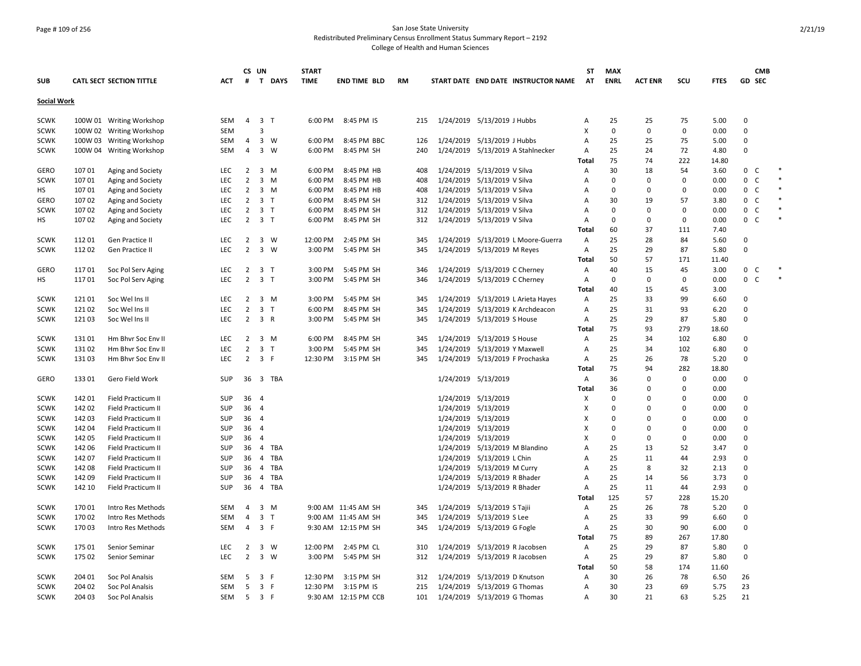## Page # 109 of 256 San Jose State University Redistributed Preliminary Census Enrollment Status Summary Report – 2192

|             |        |                          |            |                | CS UN               |          | <b>START</b> |                      |           |                              |                               |                                     | SΤ           | <b>MAX</b>     |                |             |             |                              | <b>CMB</b> |        |
|-------------|--------|--------------------------|------------|----------------|---------------------|----------|--------------|----------------------|-----------|------------------------------|-------------------------------|-------------------------------------|--------------|----------------|----------------|-------------|-------------|------------------------------|------------|--------|
| <b>SUB</b>  |        | CATL SECT SECTION TITTLE | <b>ACT</b> | #              |                     | T DAYS   | <b>TIME</b>  | <b>END TIME BLD</b>  | <b>RM</b> |                              |                               | START DATE END DATE INSTRUCTOR NAME | <b>AT</b>    | <b>ENRL</b>    | <b>ACT ENR</b> | SCU         | <b>FTES</b> | GD SEC                       |            |        |
| Social Work |        |                          |            |                |                     |          |              |                      |           |                              |                               |                                     |              |                |                |             |             |                              |            |        |
| <b>SCWK</b> |        | 100W 01 Writing Workshop | SEM        | $\overline{4}$ | 3 <sub>1</sub>      |          | 6:00 PM      | 8:45 PM IS           | 215       | 1/24/2019 5/13/2019 J Hubbs  |                               |                                     | Α            | 25             | 25             | 75          | 5.00        | $\mathbf 0$                  |            |        |
| <b>SCWK</b> |        | 100W 02 Writing Workshop | <b>SEM</b> |                | 3                   |          |              |                      |           |                              |                               |                                     | x            | 0              | 0              | 0           | 0.00        | $\mathbf 0$                  |            |        |
| <b>SCWK</b> |        | 100W 03 Writing Workshop | <b>SEM</b> | 4              | 3 W                 |          | 6:00 PM      | 8:45 PM BBC          | 126       |                              | 1/24/2019 5/13/2019 J Hubbs   |                                     | А            | 25             | 25             | 75          | 5.00        | $\Omega$                     |            |        |
| <b>SCWK</b> |        | 100W 04 Writing Workshop | <b>SEM</b> | $\overline{4}$ | 3 W                 |          | 6:00 PM      | 8:45 PM SH           | 240       |                              |                               | 1/24/2019 5/13/2019 A Stahlnecker   | А            | 25             | 24             | 72          | 4.80        | $\Omega$                     |            |        |
|             |        |                          |            |                |                     |          |              |                      |           |                              |                               |                                     | Total        | 75             | 74             | 222         | 14.80       |                              |            |        |
| <b>GERO</b> | 107 01 | Aging and Society        | LEC        | $\overline{2}$ | $3 \, M$            |          | 6:00 PM      | 8:45 PM HB           | 408       |                              | 1/24/2019 5/13/2019 V Silva   |                                     | Α            | 30             | 18             | 54          | 3.60        | $\mathbf 0$<br>C             |            |        |
| <b>SCWK</b> | 10701  | Aging and Society        | <b>LEC</b> | $\overline{2}$ | $3 \, M$            |          | 6:00 PM      | 8:45 PM HB           | 408       |                              | 1/24/2019 5/13/2019 V Silva   |                                     | A            | $\Omega$       | $\Omega$       | $\mathbf 0$ | 0.00        | 0<br>C                       |            | $\ast$ |
| НS          | 107 01 | Aging and Society        | <b>LEC</b> | $\overline{2}$ | 3 M                 |          | 6:00 PM      | 8:45 PM HB           | 408       |                              | 1/24/2019 5/13/2019 V Silva   |                                     | А            | 0              | $\Omega$       | 0           | 0.00        | $\mathbf 0$<br>$\mathsf{C}$  |            |        |
| GERO        | 107 02 | Aging and Society        | LEC        | $\overline{2}$ | 3 <sub>7</sub>      |          | 6:00 PM      | 8:45 PM SH           | 312       | 1/24/2019 5/13/2019 V Silva  |                               |                                     | A            | 30             | 19             | 57          | 3.80        | 0<br>C                       |            |        |
| <b>SCWK</b> | 107 02 | Aging and Society        | <b>LEC</b> | $\overline{2}$ | 3 <sub>7</sub>      |          | 6:00 PM      | 8:45 PM SH           | 312       | 1/24/2019 5/13/2019 V Silva  |                               |                                     | А            | $\Omega$       | $\Omega$       | 0           | 0.00        | $\mathsf{C}$<br>$\mathbf 0$  |            |        |
| HS          | 10702  | Aging and Society        | <b>LEC</b> |                | $2 \quad 3 \quad T$ |          | 6:00 PM      | 8:45 PM SH           | 312       | 1/24/2019 5/13/2019 V Silva  |                               |                                     | A            | 0              | $\Omega$       | $\mathbf 0$ | 0.00        | 0 <sup>o</sup>               |            |        |
|             |        |                          |            |                |                     |          |              |                      |           |                              |                               |                                     | Total        | 60             | 37             | 111         | 7.40        |                              |            |        |
| <b>SCWK</b> | 11201  | Gen Practice II          | <b>LEC</b> | $\overline{2}$ | $3 \quad W$         |          | 12:00 PM     | 2:45 PM SH           | 345       |                              |                               | 1/24/2019 5/13/2019 L Moore-Guerra  | Α            | 25             | 28             | 84          | 5.60        | $\mathbf 0$                  |            |        |
| <b>SCWK</b> | 11202  | Gen Practice II          | <b>LEC</b> | $\overline{2}$ | $3 \quad W$         |          | 3:00 PM      | 5:45 PM SH           | 345       |                              | 1/24/2019 5/13/2019 M Reyes   |                                     | А            | 25             | 29             | 87          | 5.80        | $\Omega$                     |            |        |
|             |        |                          |            |                |                     |          |              |                      |           |                              |                               |                                     | <b>Total</b> | 50             | 57             | 171         | 11.40       |                              |            |        |
| GERO        | 11701  | Soc Pol Serv Aging       | <b>LEC</b> | $\overline{2}$ | 3 T                 |          | 3:00 PM      | 5:45 PM SH           | 346       |                              |                               | 1/24/2019 5/13/2019 C Cherney       | А            | 40             | 15             | 45          | 3.00        | 0 <sup>o</sup>               |            |        |
| НS          | 11701  | Soc Pol Serv Aging       | <b>LEC</b> | $\overline{2}$ | 3 <sub>T</sub>      |          | 3:00 PM      | 5:45 PM SH           | 346       |                              | 1/24/2019 5/13/2019 C Cherney |                                     | А            | $\mathbf 0$    | $\Omega$       | 0           | 0.00        | $\mathbf{0}$<br>$\mathsf{C}$ |            |        |
|             |        |                          |            |                |                     |          |              |                      |           |                              |                               |                                     | Total        | 40             | 15             | 45          | 3.00        |                              |            |        |
| <b>SCWK</b> | 12101  | Soc Wel Ins II           | <b>LEC</b> | $\overline{2}$ | 3 M                 |          | 3:00 PM      | 5:45 PM SH           | 345       |                              |                               | 1/24/2019 5/13/2019 L Arieta Hayes  | А            | 25             | 33             | 99          | 6.60        | $\mathbf 0$                  |            |        |
| <b>SCWK</b> | 12102  | Soc Wel Ins II           | <b>LEC</b> | $\overline{2}$ | 3 <sub>T</sub>      |          | 6:00 PM      | 8:45 PM SH           | 345       |                              |                               | 1/24/2019 5/13/2019 K Archdeacon    | A            | 25             | 31             | 93          | 6.20        | $\mathbf 0$                  |            |        |
| <b>SCWK</b> | 12103  | Soc Wel Ins II           | <b>LEC</b> |                | $2 \quad 3 \quad R$ |          | 3:00 PM      | 5:45 PM SH           | 345       | 1/24/2019 5/13/2019 S House  |                               |                                     | A            | 25             | 29             | 87          | 5.80        | $\Omega$                     |            |        |
|             |        |                          |            |                |                     |          |              |                      |           |                              |                               |                                     | Total        | 75             | 93             | 279         | 18.60       |                              |            |        |
| <b>SCWK</b> | 13101  | Hm Bhvr Soc Env II       | LEC        | $\overline{2}$ | 3 M                 |          | 6:00 PM      | 8:45 PM SH           | 345       |                              | 1/24/2019 5/13/2019 S House   |                                     | А            | 25             | 34             | 102         | 6.80        | $\Omega$                     |            |        |
| <b>SCWK</b> | 131 02 | Hm Bhvr Soc Env II       | LEC        | $\overline{2}$ | 3 <sub>7</sub>      |          | 3:00 PM      | 5:45 PM SH           | 345       |                              | 1/24/2019 5/13/2019 Y Maxwell |                                     | А            | 25             | 34             | 102         | 6.80        | $\Omega$                     |            |        |
| <b>SCWK</b> | 13103  | Hm Bhvr Soc Env II       | <b>LEC</b> | $\overline{2}$ | 3 F                 |          | 12:30 PM     | 3:15 PM SH           | 345       |                              |                               | 1/24/2019 5/13/2019 F Prochaska     | А            | 25             | 26             | 78          | 5.20        | $\Omega$                     |            |        |
|             |        |                          |            |                |                     |          |              |                      |           |                              |                               |                                     | <b>Total</b> | 75             | 94             | 282         | 18.80       |                              |            |        |
| <b>GERO</b> | 13301  | Gero Field Work          | <b>SUP</b> |                |                     | 36 3 TBA |              |                      |           |                              | 1/24/2019 5/13/2019           |                                     | A            | 36             | $\Omega$       | 0           | 0.00        | $\Omega$                     |            |        |
|             |        |                          |            |                |                     |          |              |                      |           |                              |                               |                                     | <b>Total</b> | 36             | $\Omega$       | 0           | 0.00        |                              |            |        |
| <b>SCWK</b> | 14201  | Field Practicum II       | SUP        | 36 4           |                     |          |              |                      |           |                              | 1/24/2019 5/13/2019           |                                     | x            | $\Omega$       | ŋ              | 0           | 0.00        | $\Omega$                     |            |        |
| <b>SCWK</b> | 142 02 | Field Practicum II       | SUP        | 36 4           |                     |          |              |                      |           |                              | 1/24/2019 5/13/2019           |                                     | Χ            | $\Omega$       | ŋ              | $\Omega$    | 0.00        | $\Omega$                     |            |        |
| <b>SCWK</b> | 142 03 | Field Practicum II       | SUP        | 36 4           |                     |          |              |                      |           |                              | 1/24/2019 5/13/2019           |                                     | x            | $\overline{0}$ | $\Omega$       | 0           | 0.00        | $\Omega$                     |            |        |
| <b>SCWK</b> | 142 04 | Field Practicum II       | SUP        | 36 4           |                     |          |              |                      |           |                              | 1/24/2019 5/13/2019           |                                     | X            | $\Omega$       | 0              | $\Omega$    | 0.00        | $\Omega$                     |            |        |
| <b>SCWK</b> | 142 05 | Field Practicum II       | SUP        | 36             | $\overline{4}$      |          |              |                      |           |                              | 1/24/2019 5/13/2019           |                                     | X            | $\Omega$       | $\Omega$       | 0           | 0.00        | $\Omega$                     |            |        |
| <b>SCWK</b> | 142 06 | Field Practicum II       | SUP        | 36             | $\overline{4}$      | TBA      |              |                      |           |                              |                               | 1/24/2019 5/13/2019 M Blandino      | A            | 25             | 13             | 52          | 3.47        | $\Omega$                     |            |        |
| <b>SCWK</b> | 142 07 | Field Practicum II       | SUP        | 36             | $\overline{4}$      | TBA      |              |                      |           |                              | 1/24/2019 5/13/2019 L Chin    |                                     | А            | 25             | 11             | 44          | 2.93        | $\Omega$                     |            |        |
| <b>SCWK</b> | 14208  | Field Practicum II       | SUP        | 36             |                     | 4 TBA    |              |                      |           |                              | 1/24/2019 5/13/2019 M Curry   |                                     | A            | 25             | 8              | 32          | 2.13        | $\Omega$                     |            |        |
| <b>SCWK</b> | 142 09 | Field Practicum II       | SUP        | 36             |                     | 4 TBA    |              |                      |           |                              | 1/24/2019 5/13/2019 R Bhader  |                                     | Α            | 25             | 14             | 56          | 3.73        | $\Omega$                     |            |        |
| <b>SCWK</b> | 142 10 | Field Practicum II       | SUP        | 36             |                     | 4 TBA    |              |                      |           |                              | 1/24/2019 5/13/2019 R Bhader  |                                     | А            | 25             | 11             | 44          | 2.93        | $\Omega$                     |            |        |
|             |        |                          |            |                |                     |          |              |                      |           |                              |                               |                                     | Total        | 125            | 57             | 228         | 15.20       |                              |            |        |
| <b>SCWK</b> | 170 01 | Intro Res Methods        | SEM        | $\overline{4}$ | 3 M                 |          |              | 9:00 AM 11:45 AM SH  | 345       | 1/24/2019 5/13/2019 S Tajii  |                               |                                     | А            | 25             | 26             | 78          | 5.20        | $\Omega$                     |            |        |
| <b>SCWK</b> | 170 02 | Intro Res Methods        | SEM        | $\overline{4}$ | 3 <sub>7</sub>      |          |              | 9:00 AM 11:45 AM SH  | 345       | 1/24/2019 5/13/2019 S Lee    |                               |                                     | А            | 25             | 33             | 99          | 6.60        | $\mathbf 0$                  |            |        |
| <b>SCWK</b> | 17003  | Intro Res Methods        | <b>SEM</b> | $\overline{4}$ | 3 F                 |          |              | 9:30 AM 12:15 PM SH  | 345       | 1/24/2019 5/13/2019 G Fogle  |                               |                                     | А            | 25             | 30             | 90          | 6.00        | $\Omega$                     |            |        |
|             |        |                          |            |                |                     |          |              |                      |           |                              |                               |                                     | Total        | 75             | 89             | 267         | 17.80       |                              |            |        |
| <b>SCWK</b> | 175 01 | Senior Seminar           | <b>LEC</b> | $\overline{2}$ | $3 \quad W$         |          | 12:00 PM     | 2:45 PM CL           | 310       |                              |                               | 1/24/2019 5/13/2019 R Jacobsen      | Α            | 25             | 29             | 87          | 5.80        | $\mathbf 0$                  |            |        |
| <b>SCWK</b> | 175 02 | Senior Seminar           | <b>LEC</b> | $\overline{2}$ | $3 \quad W$         |          | 3:00 PM      | 5:45 PM SH           | 312       |                              |                               | 1/24/2019 5/13/2019 R Jacobsen      | A            | 25             | 29             | 87          | 5.80        | $\Omega$                     |            |        |
|             |        |                          |            |                |                     |          |              |                      |           |                              |                               |                                     | <b>Total</b> | 50             | 58             | 174         | 11.60       |                              |            |        |
| <b>SCWK</b> | 204 01 | Soc Pol Analsis          | SEM        | -5             | 3 F                 |          | 12:30 PM     | 3:15 PM SH           | 312       |                              |                               | 1/24/2019 5/13/2019 D Knutson       | А            | 30             | 26             | 78          | 6.50        | 26                           |            |        |
| <b>SCWK</b> | 204 02 | Soc Pol Analsis          | SEM        | 5              | 3 F                 |          | 12:30 PM     | 3:15 PM IS           | 215       | 1/24/2019 5/13/2019 G Thomas |                               |                                     | А            | 30             | 23             | 69          | 5.75        | 23                           |            |        |
| <b>SCWK</b> | 204 03 | Soc Pol Analsis          | <b>SEM</b> | -5             | 3 F                 |          |              | 9:30 AM 12:15 PM CCB | 101       |                              | 1/24/2019 5/13/2019 G Thomas  |                                     | A            | 30             | 21             | 63          | 5.25        | 21                           |            |        |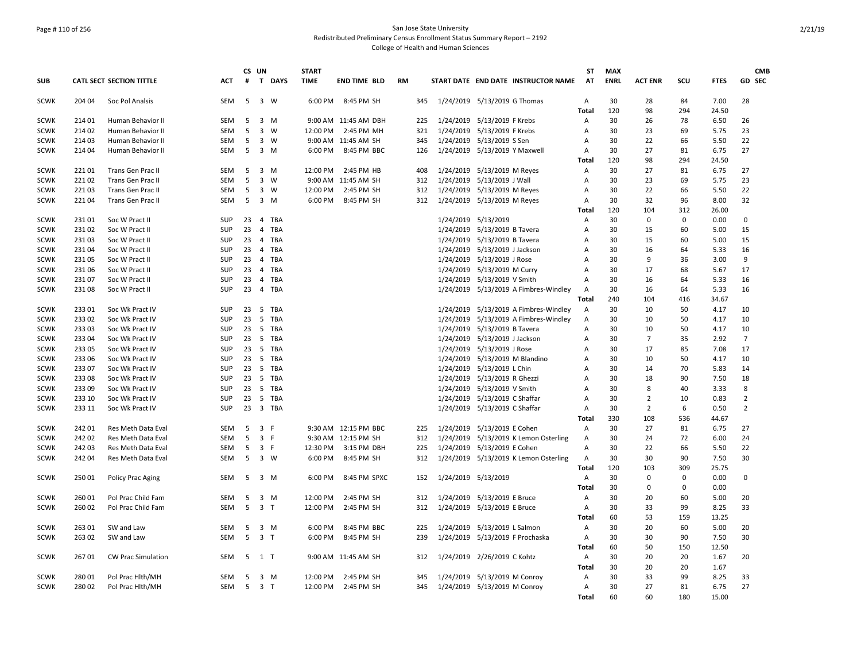### Page # 110 of 256 San Jose State University Redistributed Preliminary Census Enrollment Status Summary Report – 2192 College of Health and Human Sciences

|             |        |                           |            | CS UN |                         |             | <b>START</b> |                      |           |     |                                 |                               |                                       | <b>ST</b>      | <b>MAX</b>  |                |           |               | <b>CMB</b>     |
|-------------|--------|---------------------------|------------|-------|-------------------------|-------------|--------------|----------------------|-----------|-----|---------------------------------|-------------------------------|---------------------------------------|----------------|-------------|----------------|-----------|---------------|----------------|
| <b>SUB</b>  |        | CATL SECT SECTION TITTLE  | <b>ACT</b> | #     | T                       | <b>DAYS</b> | <b>TIME</b>  | <b>END TIME BLD</b>  | <b>RM</b> |     |                                 |                               | START DATE END DATE INSTRUCTOR NAME   | AT             | <b>ENRL</b> | <b>ACT ENR</b> | scu       | <b>FTES</b>   | GD SEC         |
| <b>SCWK</b> | 204 04 | Soc Pol Analsis           | <b>SEM</b> | -5    | 3 W                     |             | 6:00 PM      | 8:45 PM SH           |           | 345 | 1/24/2019 5/13/2019 G Thomas    |                               |                                       | Α              | 30          | 28             | 84        | 7.00          | 28             |
|             |        |                           |            |       |                         |             |              |                      |           |     |                                 |                               |                                       | Total          | 120         | 98             | 294       | 24.50         |                |
| <b>SCWK</b> | 214 01 | Human Behavior II         | SEM        | 5     |                         | $3 \, M$    |              | 9:00 AM 11:45 AM DBH |           | 225 | 1/24/2019 5/13/2019 F Krebs     |                               |                                       | Α              | 30          | 26             | 78        | 6.50          | 26             |
| <b>SCWK</b> | 21402  | Human Behavior II         | <b>SEM</b> | 5     | $\overline{3}$          | W           | 12:00 PM     | 2:45 PM MH           |           | 321 | 1/24/2019 5/13/2019 F Krebs     |                               |                                       | A              | 30          | 23             | 69        | 5.75          | 23             |
| <b>SCWK</b> | 214 03 | Human Behavior II         | SEM        | 5     |                         | 3 W         |              | 9:00 AM 11:45 AM SH  |           | 345 | 1/24/2019 5/13/2019 S Sen       |                               |                                       | Α              | 30          | 22             | 66        | 5.50          | 22             |
| <b>SCWK</b> | 21404  | Human Behavior II         | SEM        | 5     | $\overline{\mathbf{3}}$ | M           | 6:00 PM      | 8:45 PM BBC          |           | 126 | 1/24/2019 5/13/2019 Y Maxwell   |                               |                                       | A<br>Total     | 30<br>120   | 27<br>98       | 81<br>294 | 6.75<br>24.50 | 27             |
| <b>SCWK</b> | 22101  | Trans Gen Prac II         | <b>SEM</b> | 5     | 3 M                     |             | 12:00 PM     | 2:45 PM HB           |           | 408 |                                 | 1/24/2019 5/13/2019 M Reyes   |                                       | Α              | 30          | 27             | 81        | 6.75          | 27             |
| <b>SCWK</b> | 22102  | Trans Gen Prac II         | <b>SEM</b> | 5     |                         | 3 W         |              | 9:00 AM 11:45 AM SH  |           | 312 | 1/24/2019 5/13/2019 J Wall      |                               |                                       | Α              | 30          | 23             | 69        | 5.75          | 23             |
| <b>SCWK</b> | 22103  | Trans Gen Prac II         | SEM        | -5    |                         | 3 W         | 12:00 PM     | 2:45 PM SH           |           | 312 | 1/24/2019 5/13/2019 M Reyes     |                               |                                       | A              | 30          | 22             | 66        | 5.50          | 22             |
| <b>SCWK</b> | 22104  | Trans Gen Prac II         | <b>SEM</b> | 5     | $3 \, M$                |             | 6:00 PM      | 8:45 PM SH           |           | 312 | 1/24/2019                       | 5/13/2019 M Reyes             |                                       | A              | 30          | 32             | 96        | 8.00          | 32             |
|             |        |                           |            |       |                         |             |              |                      |           |     |                                 |                               |                                       | Total          | 120         | 104            | 312       | 26.00         |                |
| <b>SCWK</b> | 23101  | Soc W Pract II            | SUP        | 23    |                         | 4 TBA       |              |                      |           |     | 1/24/2019 5/13/2019             |                               |                                       | Α              | 30          | 0              | 0         | 0.00          | 0              |
| <b>SCWK</b> | 23102  | Soc W Pract II            | SUP        | 23    | $\overline{4}$          | TBA         |              |                      |           |     |                                 | 1/24/2019 5/13/2019 B Tavera  |                                       | Α              | 30          | 15             | 60        | 5.00          | 15             |
| <b>SCWK</b> | 23103  | Soc W Pract II            | SUP        | 23    |                         | 4 TBA       |              |                      |           |     |                                 | 1/24/2019 5/13/2019 B Tavera  |                                       | A              | 30          | 15             | 60        | 5.00          | 15             |
| <b>SCWK</b> | 23104  | Soc W Pract II            | SUP        | 23    |                         | 4 TBA       |              |                      |           |     | 1/24/2019                       | 5/13/2019 J Jackson           |                                       | Α              | 30          | 16             | 64        | 5.33          | 16             |
| <b>SCWK</b> | 23105  | Soc W Pract II            | <b>SUP</b> | 23    |                         | 4 TBA       |              |                      |           |     | 1/24/2019                       | 5/13/2019 J Rose              |                                       | A              | 30          | 9              | 36        | 3.00          | 9              |
| <b>SCWK</b> | 231 06 | Soc W Pract II            | SUP        | 23    |                         | 4 TBA       |              |                      |           |     |                                 | 1/24/2019 5/13/2019 M Curry   |                                       | A              | 30          | 17             | 68        | 5.67          | 17             |
| <b>SCWK</b> | 23107  | Soc W Pract II            | SUP        | 23    |                         | 4 TBA       |              |                      |           |     | 1/24/2019                       | 5/13/2019 V Smith             |                                       | A              | 30          | 16             | 64        | 5.33          | 16             |
| <b>SCWK</b> | 23108  |                           | SUP        | 23    |                         | 4 TBA       |              |                      |           |     |                                 |                               | 1/24/2019 5/13/2019 A Fimbres-Windley | Α              | 30          | 16             | 64        | 5.33          | 16             |
|             |        | Soc W Pract II            |            |       |                         |             |              |                      |           |     |                                 |                               |                                       | Total          | 240         | 104            | 416       | 34.67         |                |
|             |        |                           |            |       |                         |             |              |                      |           |     |                                 |                               |                                       |                |             |                |           |               |                |
| <b>SCWK</b> | 23301  | Soc Wk Pract IV           | <b>SUP</b> | 23    | 5                       | TBA         |              |                      |           |     | 1/24/2019                       |                               | 5/13/2019 A Fimbres-Windley           | Α              | 30          | 10             | 50        | 4.17          | 10             |
| <b>SCWK</b> | 23302  | Soc Wk Pract IV           | <b>SUP</b> | 23    |                         | 5 TBA       |              |                      |           |     | 1/24/2019                       |                               | 5/13/2019 A Fimbres-Windley           | Α              | 30          | 10             | 50        | 4.17          | 10             |
| <b>SCWK</b> | 23303  | Soc Wk Pract IV           | SUP        | 23    |                         | 5 TBA       |              |                      |           |     | 1/24/2019                       | 5/13/2019 B Tavera            |                                       | A              | 30          | 10             | 50        | 4.17          | 10             |
| <b>SCWK</b> | 23304  | Soc Wk Pract IV           | <b>SUP</b> | 23    |                         | 5 TBA       |              |                      |           |     | 1/24/2019                       | 5/13/2019 J Jackson           |                                       | $\overline{A}$ | 30          | $\overline{7}$ | 35        | 2.92          | $\overline{7}$ |
| <b>SCWK</b> | 233 05 | Soc Wk Pract IV           | SUP        | 23    |                         | 5 TBA       |              |                      |           |     | 1/24/2019                       | 5/13/2019 J Rose              |                                       | Α              | 30          | 17             | 85        | 7.08          | 17             |
| <b>SCWK</b> | 233 06 | Soc Wk Pract IV           | SUP        | 23    |                         | 5 TBA       |              |                      |           |     | 1/24/2019                       | 5/13/2019 M Blandino          |                                       | Α              | 30          | 10             | 50        | 4.17          | 10             |
| <b>SCWK</b> | 23307  | Soc Wk Pract IV           | <b>SUP</b> | 23    |                         | 5 TBA       |              |                      |           |     |                                 | 1/24/2019 5/13/2019 L Chin    |                                       | A              | 30          | 14             | 70        | 5.83          | 14             |
| <b>SCWK</b> | 23308  | Soc Wk Pract IV           | SUP        | 23    |                         | 5 TBA       |              |                      |           |     | 1/24/2019                       | 5/13/2019 R Ghezzi            |                                       | Α              | 30          | 18             | 90        | 7.50          | 18             |
| <b>SCWK</b> | 23309  | Soc Wk Pract IV           | SUP        | 23    |                         | 5 TBA       |              |                      |           |     | 1/24/2019                       | 5/13/2019 V Smith             |                                       | A              | 30          | 8              | 40        | 3.33          | 8              |
| <b>SCWK</b> | 233 10 | Soc Wk Pract IV           | SUP        | 23    |                         | 5 TBA       |              |                      |           |     |                                 | 1/24/2019 5/13/2019 C Shaffar |                                       | A              | 30          | $\overline{2}$ | 10        | 0.83          | $\overline{2}$ |
| <b>SCWK</b> | 233 11 | Soc Wk Pract IV           | SUP        | 23    |                         | 3 TBA       |              |                      |           |     | 1/24/2019                       | 5/13/2019 C Shaffar           |                                       | A              | 30          | $\overline{2}$ | 6         | 0.50          | $\overline{2}$ |
|             |        |                           |            |       |                         |             |              |                      |           |     |                                 |                               |                                       | Total          | 330         | 108            | 536       | 44.67         |                |
| <b>SCWK</b> | 242 01 | Res Meth Data Eval        | SEM        | 5     | 3 F                     |             |              | 9:30 AM 12:15 PM BBC |           | 225 | 1/24/2019                       | 5/13/2019 E Cohen             |                                       | Α              | 30          | 27             | 81        | 6.75          | 27             |
| <b>SCWK</b> | 24202  | Res Meth Data Eval        | <b>SEM</b> | 5     | $\overline{3}$          | F           |              | 9:30 AM 12:15 PM SH  |           | 312 | 1/24/2019                       |                               | 5/13/2019 K Lemon Osterling           | A              | 30          | 24             | 72        | 6.00          | 24             |
| <b>SCWK</b> | 24203  | Res Meth Data Eval        | SEM        | 5     | 3 F                     |             | 12:30 PM     | 3:15 PM DBH          |           | 225 | 1/24/2019                       | 5/13/2019 E Cohen             |                                       | Α              | 30          | 22             | 66        | 5.50          | 22             |
| <b>SCWK</b> | 24204  | Res Meth Data Eval        | SEM        | 5     | 3 W                     |             | 6:00 PM      | 8:45 PM SH           |           | 312 | 1/24/2019                       |                               | 5/13/2019 K Lemon Osterling           | Α              | 30          | 30             | 90        | 7.50          | 30             |
|             |        |                           |            |       |                         |             |              |                      |           |     |                                 |                               |                                       | Total          | 120         | 103            | 309       | 25.75         |                |
| <b>SCWK</b> | 25001  | Policy Prac Aging         | SEM        | -5    | 3 M                     |             | 6:00 PM      | 8:45 PM SPXC         |           | 152 | 1/24/2019 5/13/2019             |                               |                                       | $\overline{A}$ | 30          | $\mathbf 0$    | $\Omega$  | 0.00          | 0              |
|             |        |                           |            |       |                         |             |              |                      |           |     |                                 |                               |                                       | Total          | 30          | $\Omega$       | 0         | 0.00          |                |
| <b>SCWK</b> | 260 01 | Pol Prac Child Fam        | SEM        | 5     | 3 M                     |             | 12:00 PM     | 2:45 PM SH           |           | 312 | 1/24/2019 5/13/2019 E Bruce     |                               |                                       | A              | 30          | 20             | 60        | 5.00          | 20             |
| <b>SCWK</b> | 260 02 | Pol Prac Child Fam        | SEM        | 5     | 3 <sub>T</sub>          |             | 12:00 PM     | 2:45 PM SH           |           | 312 | 1/24/2019 5/13/2019 E Bruce     |                               |                                       | Α              | 30          | 33             | 99        | 8.25          | 33             |
|             |        |                           |            |       |                         |             |              |                      |           |     |                                 |                               |                                       | Total          | 60          | 53             | 159       | 13.25         |                |
| <b>SCWK</b> | 26301  | SW and Law                | SEM        | -5    | 3 M                     |             | 6:00 PM      | 8:45 PM BBC          |           | 225 | 1/24/2019                       | 5/13/2019 L Salmon            |                                       | Α              | 30          | 20             | 60        | 5.00          | 20             |
| <b>SCWK</b> | 26302  | SW and Law                | SEM        | 5     | 3 <sub>T</sub>          |             | 6:00 PM      | 8:45 PM SH           |           | 239 | 1/24/2019 5/13/2019 F Prochaska |                               |                                       | Α              | 30          | 30             | 90        | 7.50          | 30             |
|             |        |                           |            |       |                         |             |              |                      |           |     |                                 |                               |                                       | Total          | 60          | 50             | 150       | 12.50         |                |
| SCWK        | 26701  | <b>CW Prac Simulation</b> | SEM        | 5     | $1$ T                   |             |              | 9:00 AM 11:45 AM SH  |           | 312 | 1/24/2019                       | 2/26/2019 C Kohtz             |                                       | Α              | 30          | 20             | 20        | 1.67          | 20             |
|             |        |                           |            |       |                         |             |              |                      |           |     |                                 |                               |                                       | Total          | 30          | 20             | 20        | 1.67          |                |
| <b>SCWK</b> | 28001  | Pol Prac Hlth/MH          | SEM        | -5    | 3 M                     |             | 12:00 PM     | 2:45 PM SH           |           | 345 |                                 | 1/24/2019 5/13/2019 M Conroy  |                                       | Α              | 30          | 33             | 99        | 8.25          | 33             |
| <b>SCWK</b> | 28002  | Pol Prac Hith/MH          | SEM        | -5    | 3 T                     |             | 12:00 PM     | 2:45 PM SH           |           | 345 | 1/24/2019 5/13/2019 M Conroy    |                               |                                       | A              | 30          | 27             | 81        | 6.75          | 27             |
|             |        |                           |            |       |                         |             |              |                      |           |     |                                 |                               |                                       | Total          | 60          | 60             | 180       | 15.00         |                |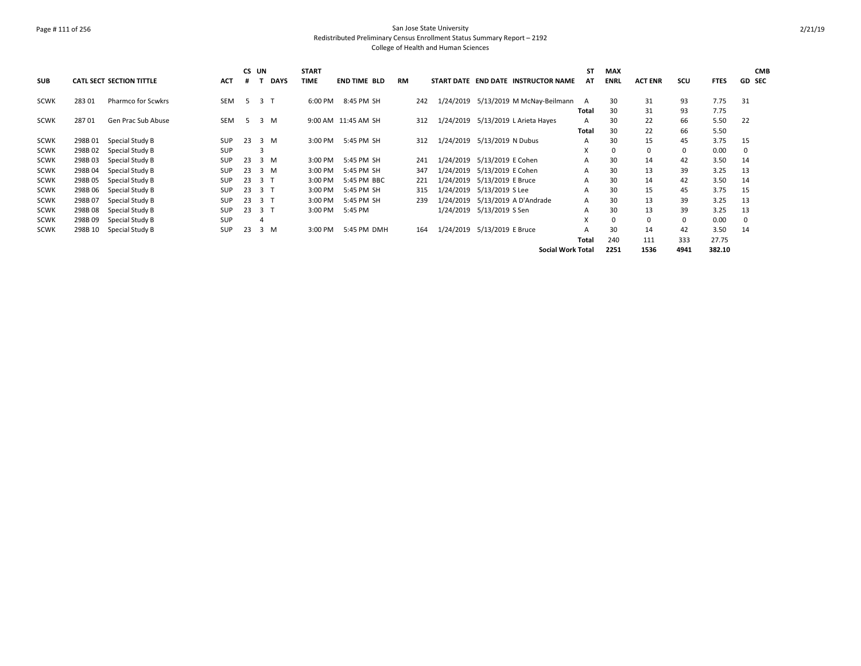### Page # 111 of 256 San Jose State University Redistributed Preliminary Census Enrollment Status Summary Report – 2192 College of Health and Human Sciences

|             |         |                                 |            | CS UN |                |             | <b>START</b> |                     |           |     |                             |                   |                                        | <b>ST</b>    | <b>MAX</b>  |                |          |             |             | <b>CMB</b>    |
|-------------|---------|---------------------------------|------------|-------|----------------|-------------|--------------|---------------------|-----------|-----|-----------------------------|-------------------|----------------------------------------|--------------|-------------|----------------|----------|-------------|-------------|---------------|
| <b>SUB</b>  |         | <b>CATL SECT SECTION TITTLE</b> | <b>ACT</b> | #     |                | <b>DAYS</b> | <b>TIME</b>  | <b>END TIME BLD</b> | <b>RM</b> |     |                             |                   | START DATE END DATE INSTRUCTOR NAME    | AT           | <b>ENRL</b> | <b>ACT ENR</b> | SCU      | <b>FTES</b> |             | <b>GD SEC</b> |
| <b>SCWK</b> | 283 01  | <b>Pharmco for Scwkrs</b>       | <b>SEM</b> | -5    | 3 T            |             | 6:00 PM      | 8:45 PM SH          |           | 242 |                             |                   | 1/24/2019 5/13/2019 M McNay-Beilmann A |              | 30          | 31             | 93       | 7.75        | 31          |               |
|             |         |                                 |            |       |                |             |              |                     |           |     |                             |                   |                                        | <b>Total</b> | 30          | 31             | 93       | 7.75        |             |               |
| <b>SCWK</b> | 28701   | Gen Prac Sub Abuse              | <b>SEM</b> | -5    |                | 3 M         |              | 9:00 AM 11:45 AM SH |           | 312 |                             |                   | 1/24/2019 5/13/2019 L Arieta Hayes     | A            | 30          | 22             | 66       | 5.50        | -22         |               |
|             |         |                                 |            |       |                |             |              |                     |           |     |                             |                   |                                        | Total        | 30          | 22             | 66       | 5.50        |             |               |
| <b>SCWK</b> | 298B01  | Special Study B                 | <b>SUP</b> | 23    |                | 3 M         | 3:00 PM      | 5:45 PM SH          |           | 312 | 1/24/2019 5/13/2019 N Dubus |                   |                                        | A            | 30          | 15             | 45       | 3.75        | -15         |               |
| SCWK        | 298B 02 | Special Study B                 | SUP        |       |                |             |              |                     |           |     |                             |                   |                                        | X            | 0           | $\mathbf 0$    | 0        | 0.00        | $\mathbf 0$ |               |
| <b>SCWK</b> | 298B03  | Special Study B                 | <b>SUP</b> | 23    |                | 3 M         | 3:00 PM      | 5:45 PM SH          |           | 241 | 1/24/2019 5/13/2019 E Cohen |                   |                                        | A            | 30          | 14             | 42       | 3.50        | 14          |               |
| <b>SCWK</b> | 298B 04 | Special Study B                 | <b>SUP</b> | 23    |                | 3 M         | 3:00 PM      | 5:45 PM SH          |           | 347 | 1/24/2019                   | 5/13/2019 E Cohen |                                        | A            | 30          | 13             | 39       | 3.25        | 13          |               |
| <b>SCWK</b> | 298B 05 | Special Study B                 | SUP        | 23    | 3 T            |             | 3:00 PM      | 5:45 PM BBC         |           | 221 | 1/24/2019 5/13/2019 E Bruce |                   |                                        | A            | 30          | 14             | 42       | 3.50        | 14          |               |
| <b>SCWK</b> | 298B 06 | Special Study B                 | <b>SUP</b> | 23    | 3 <sub>1</sub> |             | 3:00 PM      | 5:45 PM SH          |           | 315 | 1/24/2019 5/13/2019 S Lee   |                   |                                        | A            | 30          | 15             | 45       | 3.75        | 15          |               |
| SCWK        | 298B 07 | Special Study B                 | <b>SUP</b> | 23    | 3T             |             | 3:00 PM      | 5:45 PM SH          |           | 239 | 1/24/2019                   |                   | 5/13/2019 A D'Andrade                  | A            | 30          | 13             | 39       | 3.25        | 13          |               |
| <b>SCWK</b> | 298B08  | Special Study B                 | <b>SUP</b> | 23    | 3 T            |             | 3:00 PM      | 5:45 PM             |           |     | 1/24/2019                   | 5/13/2019 S Sen   |                                        | A            | 30          | 13             | 39       | 3.25        | 13          |               |
| <b>SCWK</b> | 298B 09 | Special Study B                 | <b>SUP</b> |       |                |             |              |                     |           |     |                             |                   |                                        | X            |             | 0              | $\Omega$ | 0.00        | 0           |               |
| <b>SCWK</b> | 298B 10 | Special Study B                 | <b>SUP</b> | 23    |                | 3 M         | 3:00 PM      | 5:45 PM DMH         |           | 164 | 1/24/2019                   | 5/13/2019 E Bruce |                                        |              | 30          | 14             | 42       | 3.50        | 14          |               |
|             |         |                                 |            |       |                |             |              |                     |           |     |                             |                   |                                        | <b>Total</b> | 240         | 111            | 333      | 27.75       |             |               |
|             |         |                                 |            |       |                |             |              |                     |           |     |                             |                   | <b>Social Work Total</b>               |              | 2251        | 1536           | 4941     | 382.10      |             |               |